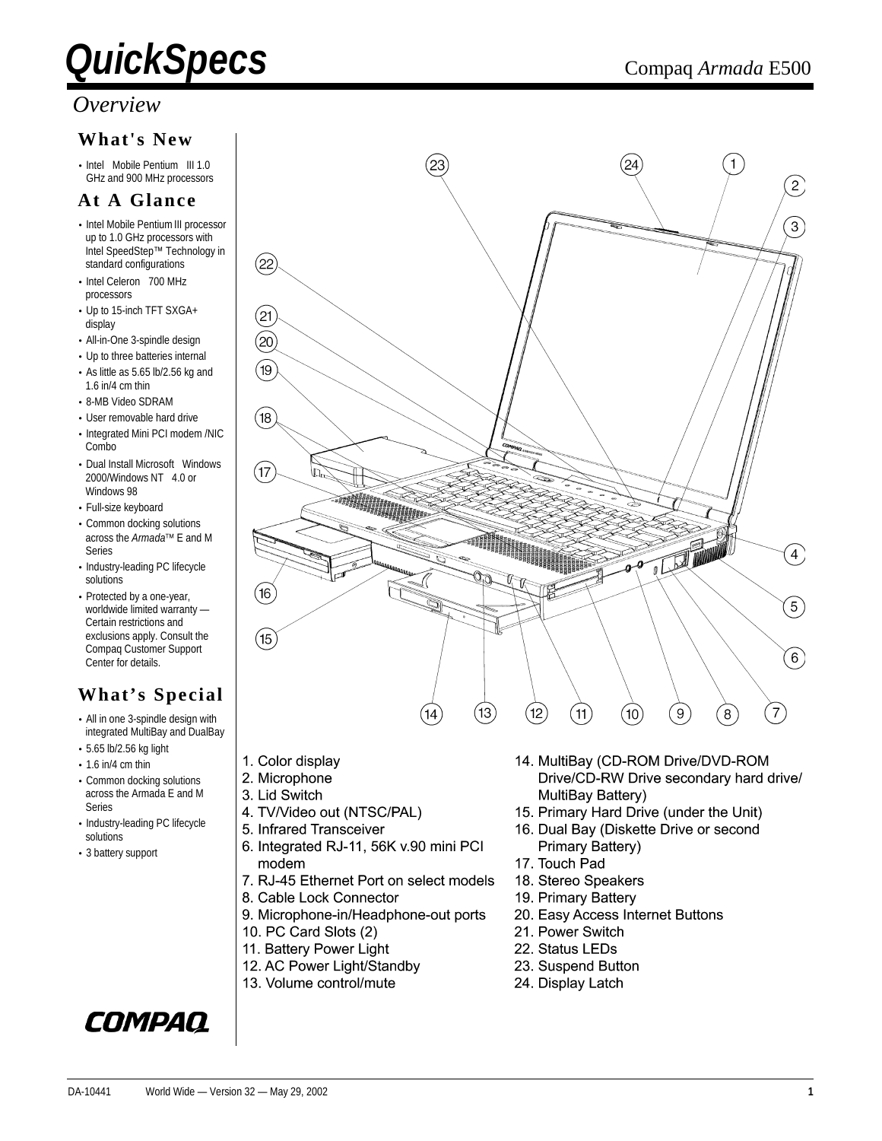#### *Overview*

#### **What's New**

• Intel<sup>®</sup> Mobile Pentium<sup>®</sup> III 1.0 GHz and 900 MHz processors

#### **At A Glance**

- Intel Mobile Pentium III processor up to 1.0 GHz processors with Intel SpeedStep™ Technology in standard configurations
- $\bullet$  Intel Celeron<sup>®</sup> 700 MHz processors
- Up to 15-inch TFT SXGA+ display
- All-in-One 3-spindle design
- Up to three batteries internal
- As little as 5.65 lb/2.56 kg and 1.6 in/4 cm thin
- 8-MB Video SDRAM
- User removable hard drive
- Integrated Mini PCI modem /NIC C<sub>ombo</sub>
- Dual Install Microsoft<sup>®</sup> Windows<sup>®</sup> 2000/Windows  $NT^{\circledast}$  4.0 or Windows 98
- Full-size keyboard
- Common docking solutions across the *Armada*<sup>™</sup> E and M Series
- Industry-leading PC lifecycle solutions
- Protected by a one-year, worldwide limited warranty — Certain restrictions and exclusions apply. Consult the Compaq Customer Support Center for details.

#### **What's Special**

- All in one 3-spindle design with integrated MultiBay and DualBay
- 5.65 lb/2.56 kg light
- $\cdot$  1.6 in/4 cm thin
- Common docking solutions across the Armada E and M Series
- Industry-leading PC lifecycle solutions
- 3 battery support

#### 23  $24$  $\widehat{2}$  $\left(3\right)$ (22  $^{'}21$  $\left( 20\right)$ 19  $\left(18\right)$  $(17)$ 不可  $\left(4\right)$ ina.  $(16)$  $5<sup>2</sup>$  $(15)$  $6^{\circ}$  $(13)$  $(12)$  $\left( 7\right)$

- 1. Color display
- 2. Microphone
- 3. Lid Switch
- 4. TV/Video out (NTSC/PAL)
- 5. Infrared Transceiver
- 6. Integrated RJ-11, 56K v.90 mini PCI modem

 $(14)$ 

- 7. RJ-45 Ethernet Port on select models
- 8. Cable Lock Connector
- 9. Microphone-in/Headphone-out ports
- 10. PC Card Slots (2)
- 11. Battery Power Light
- 12. AC Power Light/Standby
- 13. Volume control/mute

#### 16. Dual Bay (Diskette Drive or second Primary Battery) 17. Touch Pad

MultiBay Battery)

18. Stereo Speakers

 $(11)$ 

 $(10)$ 

14. MultiBay (CD-ROM Drive/DVD-ROM

15. Primary Hard Drive (under the Unit)

 $\overline{9}$ 

Drive/CD-RW Drive secondary hard drive/

 $\overline{8}$ 

- 19. Primary Battery
- 20. Easy Access Internet Buttons
- 21. Power Switch
- 22. Status LEDs
- 23. Suspend Button
- 24. Display Latch

### COMPAQ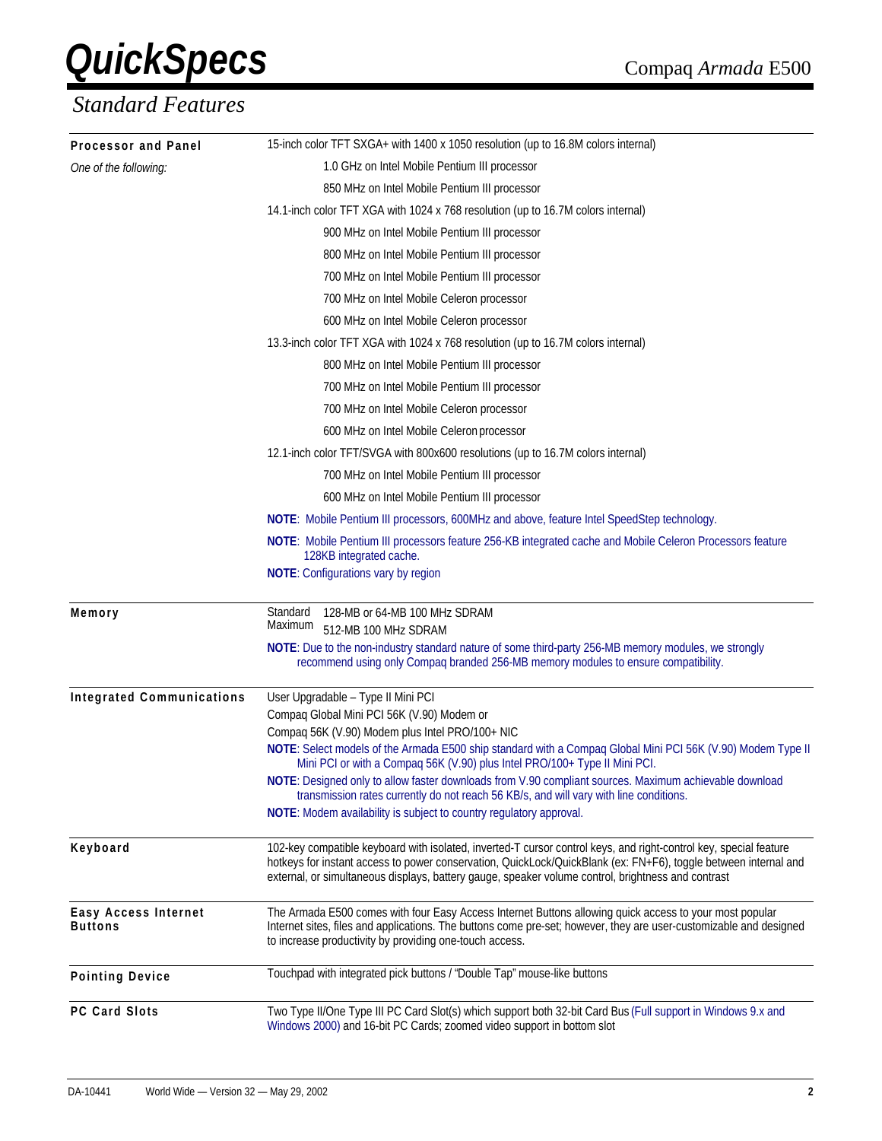| Processor and Panel                    | 15-inch color TFT SXGA+ with 1400 x 1050 resolution (up to 16.8M colors internal)                                                                                                                                                                                                                                                          |  |  |  |  |
|----------------------------------------|--------------------------------------------------------------------------------------------------------------------------------------------------------------------------------------------------------------------------------------------------------------------------------------------------------------------------------------------|--|--|--|--|
| One of the following:                  | 1.0 GHz on Intel Mobile Pentium III processor                                                                                                                                                                                                                                                                                              |  |  |  |  |
|                                        | 850 MHz on Intel Mobile Pentium III processor                                                                                                                                                                                                                                                                                              |  |  |  |  |
|                                        | 14.1-inch color TFT XGA with 1024 x 768 resolution (up to 16.7M colors internal)                                                                                                                                                                                                                                                           |  |  |  |  |
|                                        | 900 MHz on Intel Mobile Pentium III processor                                                                                                                                                                                                                                                                                              |  |  |  |  |
|                                        | 800 MHz on Intel Mobile Pentium III processor                                                                                                                                                                                                                                                                                              |  |  |  |  |
|                                        | 700 MHz on Intel Mobile Pentium III processor                                                                                                                                                                                                                                                                                              |  |  |  |  |
|                                        | 700 MHz on Intel Mobile Celeron processor                                                                                                                                                                                                                                                                                                  |  |  |  |  |
|                                        | 600 MHz on Intel Mobile Celeron processor                                                                                                                                                                                                                                                                                                  |  |  |  |  |
|                                        | 13.3-inch color TFT XGA with 1024 x 768 resolution (up to 16.7M colors internal)                                                                                                                                                                                                                                                           |  |  |  |  |
|                                        | 800 MHz on Intel Mobile Pentium III processor                                                                                                                                                                                                                                                                                              |  |  |  |  |
|                                        | 700 MHz on Intel Mobile Pentium III processor                                                                                                                                                                                                                                                                                              |  |  |  |  |
|                                        | 700 MHz on Intel Mobile Celeron processor                                                                                                                                                                                                                                                                                                  |  |  |  |  |
|                                        | 600 MHz on Intel Mobile Celeron processor                                                                                                                                                                                                                                                                                                  |  |  |  |  |
|                                        | 12.1-inch color TFT/SVGA with 800x600 resolutions (up to 16.7M colors internal)                                                                                                                                                                                                                                                            |  |  |  |  |
|                                        | 700 MHz on Intel Mobile Pentium III processor                                                                                                                                                                                                                                                                                              |  |  |  |  |
|                                        | 600 MHz on Intel Mobile Pentium III processor                                                                                                                                                                                                                                                                                              |  |  |  |  |
|                                        | <b>NOTE:</b> Mobile Pentium III processors, 600MHz and above, feature Intel SpeedStep technology.                                                                                                                                                                                                                                          |  |  |  |  |
|                                        | NOTE: Mobile Pentium III processors feature 256-KB integrated cache and Mobile Celeron Processors feature<br>128KB integrated cache.                                                                                                                                                                                                       |  |  |  |  |
|                                        | NOTE: Configurations vary by region                                                                                                                                                                                                                                                                                                        |  |  |  |  |
| Memory                                 | Standard<br>128-MB or 64-MB 100 MHz SDRAM<br>Maximum<br>512-MB 100 MHz SDRAM                                                                                                                                                                                                                                                               |  |  |  |  |
|                                        | NOTE: Due to the non-industry standard nature of some third-party 256-MB memory modules, we strongly<br>recommend using only Compaq branded 256-MB memory modules to ensure compatibility.                                                                                                                                                 |  |  |  |  |
| <b>Integrated Communications</b>       | User Upgradable - Type II Mini PCI                                                                                                                                                                                                                                                                                                         |  |  |  |  |
|                                        | Compaq Global Mini PCI 56K (V.90) Modem or                                                                                                                                                                                                                                                                                                 |  |  |  |  |
|                                        | Compaq 56K (V.90) Modem plus Intel PRO/100+ NIC<br>NOTE: Select models of the Armada E500 ship standard with a Compaq Global Mini PCI 56K (V.90) Modem Type II                                                                                                                                                                             |  |  |  |  |
|                                        | Mini PCI or with a Compaq 56K (V.90) plus Intel PRO/100+ Type II Mini PCI.                                                                                                                                                                                                                                                                 |  |  |  |  |
|                                        | NOTE: Designed only to allow faster downloads from V.90 compliant sources. Maximum achievable download<br>transmission rates currently do not reach 56 KB/s, and will vary with line conditions.                                                                                                                                           |  |  |  |  |
|                                        | NOTE: Modem availability is subject to country regulatory approval.                                                                                                                                                                                                                                                                        |  |  |  |  |
| Keyboard                               | 102-key compatible keyboard with isolated, inverted-T cursor control keys, and right-control key, special feature<br>hotkeys for instant access to power conservation, QuickLock/QuickBlank (ex: FN+F6), toggle between internal and<br>external, or simultaneous displays, battery gauge, speaker volume control, brightness and contrast |  |  |  |  |
| Easy Access Internet<br><b>Buttons</b> | The Armada E500 comes with four Easy Access Internet Buttons allowing quick access to your most popular<br>Internet sites, files and applications. The buttons come pre-set; however, they are user-customizable and designed<br>to increase productivity by providing one-touch access.                                                   |  |  |  |  |
| <b>Pointing Device</b>                 | Touchpad with integrated pick buttons / "Double Tap" mouse-like buttons                                                                                                                                                                                                                                                                    |  |  |  |  |
| <b>PC Card Slots</b>                   | Two Type II/One Type III PC Card Slot(s) which support both 32-bit Card Bus (Full support in Windows 9.x and<br>Windows 2000) and 16-bit PC Cards; zoomed video support in bottom slot                                                                                                                                                     |  |  |  |  |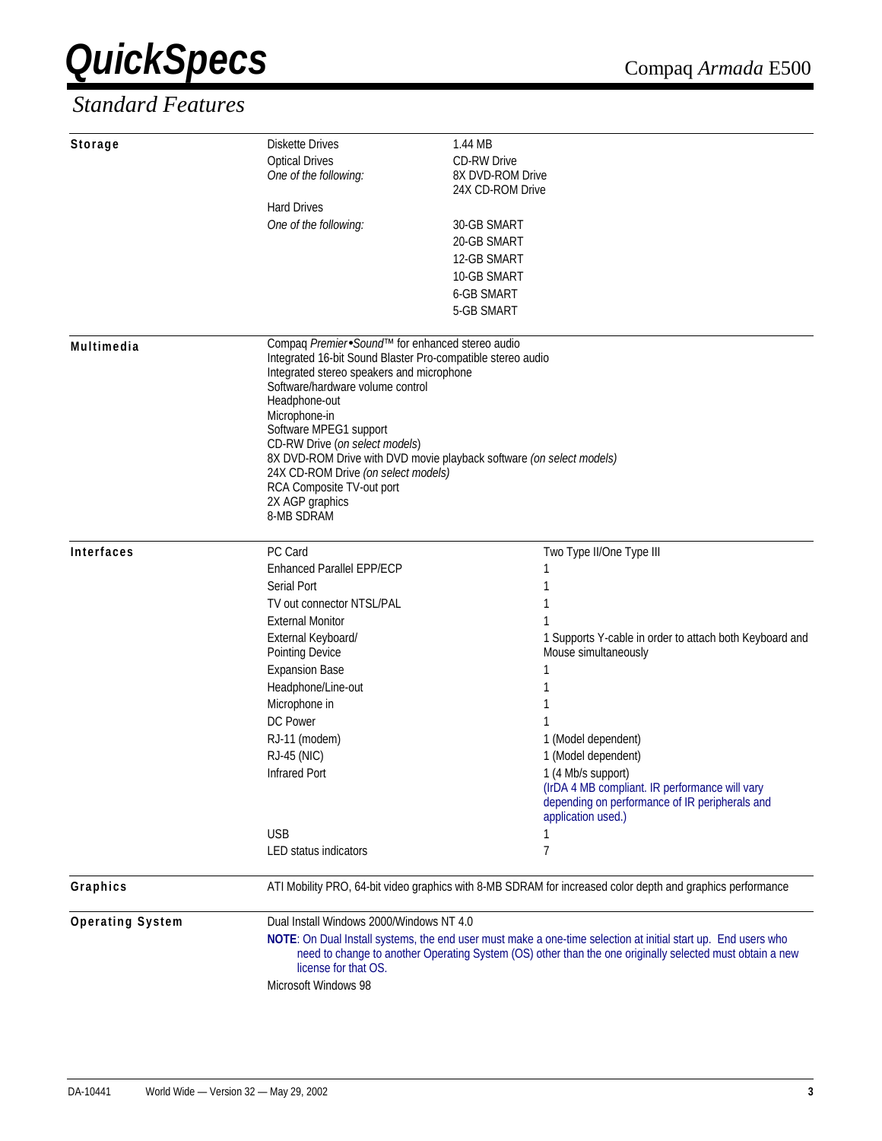| Storage                 | Diskette Drives                                                                                               | 1.44 MB                                                                                                     |  |  |  |  |
|-------------------------|---------------------------------------------------------------------------------------------------------------|-------------------------------------------------------------------------------------------------------------|--|--|--|--|
|                         | <b>Optical Drives</b><br>One of the following:                                                                | <b>CD-RW Drive</b><br>8X DVD-ROM Drive                                                                      |  |  |  |  |
|                         |                                                                                                               | 24X CD-ROM Drive                                                                                            |  |  |  |  |
|                         | <b>Hard Drives</b>                                                                                            |                                                                                                             |  |  |  |  |
|                         | One of the following:                                                                                         | 30-GB SMART                                                                                                 |  |  |  |  |
|                         |                                                                                                               | 20-GB SMART                                                                                                 |  |  |  |  |
|                         |                                                                                                               | 12-GB SMART                                                                                                 |  |  |  |  |
|                         |                                                                                                               | 10-GB SMART                                                                                                 |  |  |  |  |
|                         |                                                                                                               | <b>6-GB SMART</b>                                                                                           |  |  |  |  |
|                         |                                                                                                               | 5-GB SMART                                                                                                  |  |  |  |  |
| Multimedia              | Compaq Premier. Sound <sup>™</sup> for enhanced stereo audio                                                  |                                                                                                             |  |  |  |  |
|                         | Integrated 16-bit Sound Blaster Pro-compatible stereo audio<br>Integrated stereo speakers and microphone      |                                                                                                             |  |  |  |  |
|                         | Software/hardware volume control                                                                              |                                                                                                             |  |  |  |  |
|                         | Headphone-out                                                                                                 |                                                                                                             |  |  |  |  |
|                         | Microphone-in                                                                                                 |                                                                                                             |  |  |  |  |
|                         | Software MPEG1 support                                                                                        |                                                                                                             |  |  |  |  |
|                         | CD-RW Drive (on select models)                                                                                |                                                                                                             |  |  |  |  |
|                         |                                                                                                               | 8X DVD-ROM Drive with DVD movie playback software (on select models)<br>24X CD-ROM Drive (on select models) |  |  |  |  |
|                         | RCA Composite TV-out port                                                                                     |                                                                                                             |  |  |  |  |
|                         | 2X AGP graphics                                                                                               |                                                                                                             |  |  |  |  |
|                         | 8-MB SDRAM                                                                                                    |                                                                                                             |  |  |  |  |
| Interfaces              | PC Card                                                                                                       | Two Type II/One Type III                                                                                    |  |  |  |  |
|                         | <b>Enhanced Parallel EPP/ECP</b>                                                                              | 1                                                                                                           |  |  |  |  |
|                         | Serial Port                                                                                                   | 1                                                                                                           |  |  |  |  |
|                         | TV out connector NTSL/PAL                                                                                     | 1                                                                                                           |  |  |  |  |
|                         | <b>External Monitor</b>                                                                                       | 1                                                                                                           |  |  |  |  |
|                         | External Keyboard/                                                                                            | 1 Supports Y-cable in order to attach both Keyboard and                                                     |  |  |  |  |
|                         | Pointing Device                                                                                               | Mouse simultaneously                                                                                        |  |  |  |  |
|                         | <b>Expansion Base</b>                                                                                         | 1                                                                                                           |  |  |  |  |
|                         | Headphone/Line-out                                                                                            | 1                                                                                                           |  |  |  |  |
|                         | Microphone in                                                                                                 | 1                                                                                                           |  |  |  |  |
|                         | DC Power                                                                                                      | 1                                                                                                           |  |  |  |  |
|                         | RJ-11 (modem)                                                                                                 | 1 (Model dependent)                                                                                         |  |  |  |  |
|                         | <b>RJ-45 (NIC)</b>                                                                                            | 1 (Model dependent)                                                                                         |  |  |  |  |
|                         | <b>Infrared Port</b>                                                                                          | 1 (4 Mb/s support)<br>(IrDA 4 MB compliant. IR performance will vary                                        |  |  |  |  |
|                         |                                                                                                               | depending on performance of IR peripherals and                                                              |  |  |  |  |
|                         |                                                                                                               | application used.)                                                                                          |  |  |  |  |
|                         | <b>USB</b>                                                                                                    | 1                                                                                                           |  |  |  |  |
|                         | <b>LED status indicators</b>                                                                                  | 7                                                                                                           |  |  |  |  |
| Graphics                |                                                                                                               | ATI Mobility PRO, 64-bit video graphics with 8-MB SDRAM for increased color depth and graphics performance  |  |  |  |  |
| <b>Operating System</b> | Dual Install Windows 2000/Windows NT 4.0                                                                      |                                                                                                             |  |  |  |  |
|                         | NOTE: On Dual Install systems, the end user must make a one-time selection at initial start up. End users who |                                                                                                             |  |  |  |  |
|                         | need to change to another Operating System (OS) other than the one originally selected must obtain a new      |                                                                                                             |  |  |  |  |
|                         | license for that OS.                                                                                          |                                                                                                             |  |  |  |  |
|                         | Microsoft Windows 98                                                                                          |                                                                                                             |  |  |  |  |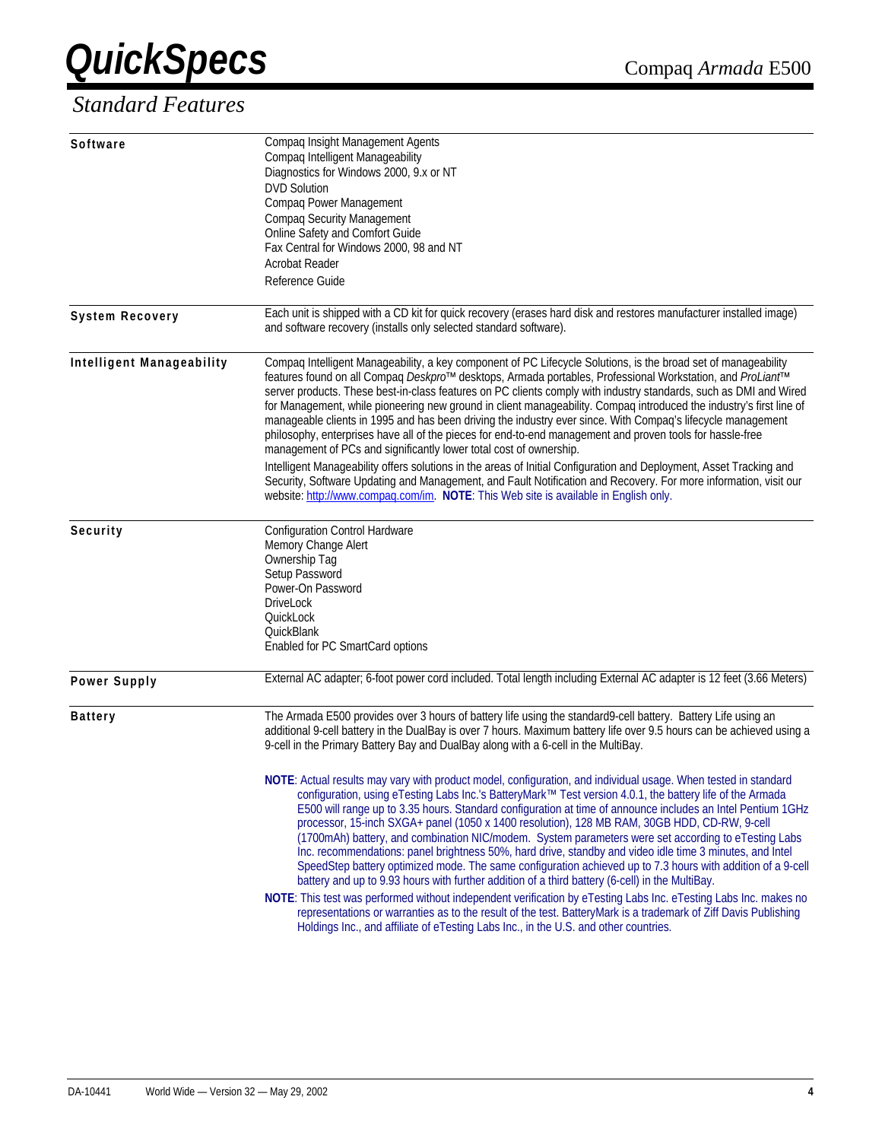| Software                  | Compaq Insight Management Agents<br>Compaq Intelligent Manageability                                                                                                                                                     |
|---------------------------|--------------------------------------------------------------------------------------------------------------------------------------------------------------------------------------------------------------------------|
|                           | Diagnostics for Windows 2000, 9.x or NT                                                                                                                                                                                  |
|                           | <b>DVD Solution</b>                                                                                                                                                                                                      |
|                           | Compaq Power Management                                                                                                                                                                                                  |
|                           | <b>Compaq Security Management</b>                                                                                                                                                                                        |
|                           | Online Safety and Comfort Guide                                                                                                                                                                                          |
|                           | Fax Central for Windows 2000, 98 and NT                                                                                                                                                                                  |
|                           | <b>Acrobat Reader</b>                                                                                                                                                                                                    |
|                           | Reference Guide                                                                                                                                                                                                          |
| <b>System Recovery</b>    | Each unit is shipped with a CD kit for quick recovery (erases hard disk and restores manufacturer installed image)                                                                                                       |
|                           | and software recovery (installs only selected standard software).                                                                                                                                                        |
| Intelligent Manageability | Compaq Intelligent Manageability, a key component of PC Lifecycle Solutions, is the broad set of manageability                                                                                                           |
|                           | features found on all Compaq Deskpro <sup>™</sup> desktops, Armada portables, Professional Workstation, and ProLiant <sup>™</sup>                                                                                        |
|                           | server products. These best-in-class features on PC clients comply with industry standards, such as DMI and Wired                                                                                                        |
|                           | for Management, while pioneering new ground in client manageability. Compaq introduced the industry's first line of                                                                                                      |
|                           | manageable clients in 1995 and has been driving the industry ever since. With Compaq's lifecycle management<br>philosophy, enterprises have all of the pieces for end-to-end management and proven tools for hassle-free |
|                           | management of PCs and significantly lower total cost of ownership.                                                                                                                                                       |
|                           | Intelligent Manageability offers solutions in the areas of Initial Configuration and Deployment, Asset Tracking and                                                                                                      |
|                           | Security, Software Updating and Management, and Fault Notification and Recovery. For more information, visit our                                                                                                         |
|                           | website: http://www.compaq.com/im. NOTE: This Web site is available in English only.                                                                                                                                     |
| Security                  | <b>Configuration Control Hardware</b>                                                                                                                                                                                    |
|                           | Memory Change Alert                                                                                                                                                                                                      |
|                           | Ownership Tag                                                                                                                                                                                                            |
|                           | Setup Password                                                                                                                                                                                                           |
|                           | Power-On Password                                                                                                                                                                                                        |
|                           | <b>DriveLock</b>                                                                                                                                                                                                         |
|                           | QuickLock                                                                                                                                                                                                                |
|                           | QuickBlank                                                                                                                                                                                                               |
|                           | Enabled for PC SmartCard options                                                                                                                                                                                         |
| <b>Power Supply</b>       | External AC adapter; 6-foot power cord included. Total length including External AC adapter is 12 feet (3.66 Meters)                                                                                                     |
| <b>Battery</b>            | The Armada E500 provides over 3 hours of battery life using the standard9-cell battery. Battery Life using an                                                                                                            |
|                           | additional 9-cell battery in the DualBay is over 7 hours. Maximum battery life over 9.5 hours can be achieved using a<br>9-cell in the Primary Battery Bay and DualBay along with a 6-cell in the MultiBay.              |
|                           |                                                                                                                                                                                                                          |
|                           | NOTE: Actual results may vary with product model, configuration, and individual usage. When tested in standard                                                                                                           |
|                           | configuration, using eTesting Labs Inc.'s BatteryMark™ Test version 4.0.1, the battery life of the Armada                                                                                                                |
|                           | E500 will range up to 3.35 hours. Standard configuration at time of announce includes an Intel Pentium 1GHz                                                                                                              |
|                           | processor, 15-inch SXGA+ panel (1050 x 1400 resolution), 128 MB RAM, 30GB HDD, CD-RW, 9-cell                                                                                                                             |
|                           | (1700mAh) battery, and combination NIC/modem. System parameters were set according to eTesting Labs                                                                                                                      |
|                           | Inc. recommendations: panel brightness 50%, hard drive, standby and video idle time 3 minutes, and intel                                                                                                                 |
|                           | SpeedStep battery optimized mode. The same configuration achieved up to 7.3 hours with addition of a 9-cell<br>battery and up to 9.93 hours with further addition of a third battery (6-cell) in the MultiBay.           |
|                           | NOTE: This test was performed without independent verification by eTesting Labs Inc. eTesting Labs Inc. makes no                                                                                                         |
|                           | representations or warranties as to the result of the test. BatteryMark is a trademark of Ziff Davis Publishing                                                                                                          |
|                           | Holdings Inc., and affiliate of eTesting Labs Inc., in the U.S. and other countries.                                                                                                                                     |
|                           |                                                                                                                                                                                                                          |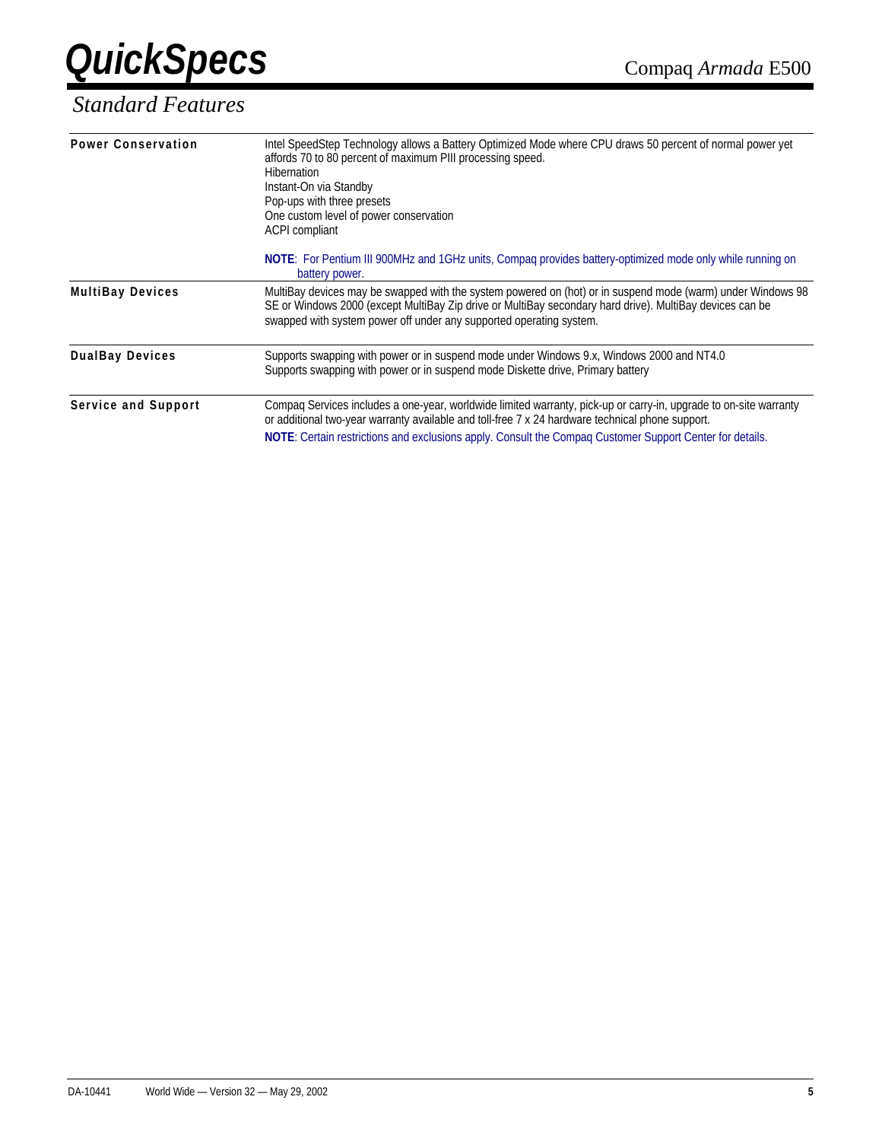

| <b>Power Conservation</b> | Intel SpeedStep Technology allows a Battery Optimized Mode where CPU draws 50 percent of normal power yet<br>affords 70 to 80 percent of maximum PIII processing speed.<br>Hibernation<br>Instant-On via Standby<br>Pop-ups with three presets<br>One custom level of power conservation<br>ACPI compliant                        |
|---------------------------|-----------------------------------------------------------------------------------------------------------------------------------------------------------------------------------------------------------------------------------------------------------------------------------------------------------------------------------|
|                           | NOTE: For Pentium III 900MHz and 1GHz units, Compaq provides battery-optimized mode only while running on<br>battery power.                                                                                                                                                                                                       |
| <b>MultiBay Devices</b>   | MultiBay devices may be swapped with the system powered on (hot) or in suspend mode (warm) under Windows 98<br>SE or Windows 2000 (except MultiBay Zip drive or MultiBay secondary hard drive). MultiBay devices can be<br>swapped with system power off under any supported operating system.                                    |
| <b>DualBay Devices</b>    | Supports swapping with power or in suspend mode under Windows 9.x, Windows 2000 and NT4.0<br>Supports swapping with power or in suspend mode Diskette drive, Primary battery                                                                                                                                                      |
| Service and Support       | Compag Services includes a one-year, worldwide limited warranty, pick-up or carry-in, upgrade to on-site warranty<br>or additional two-year warranty available and toll-free 7 x 24 hardware technical phone support.<br>NOTE: Certain restrictions and exclusions apply. Consult the Compaq Customer Support Center for details. |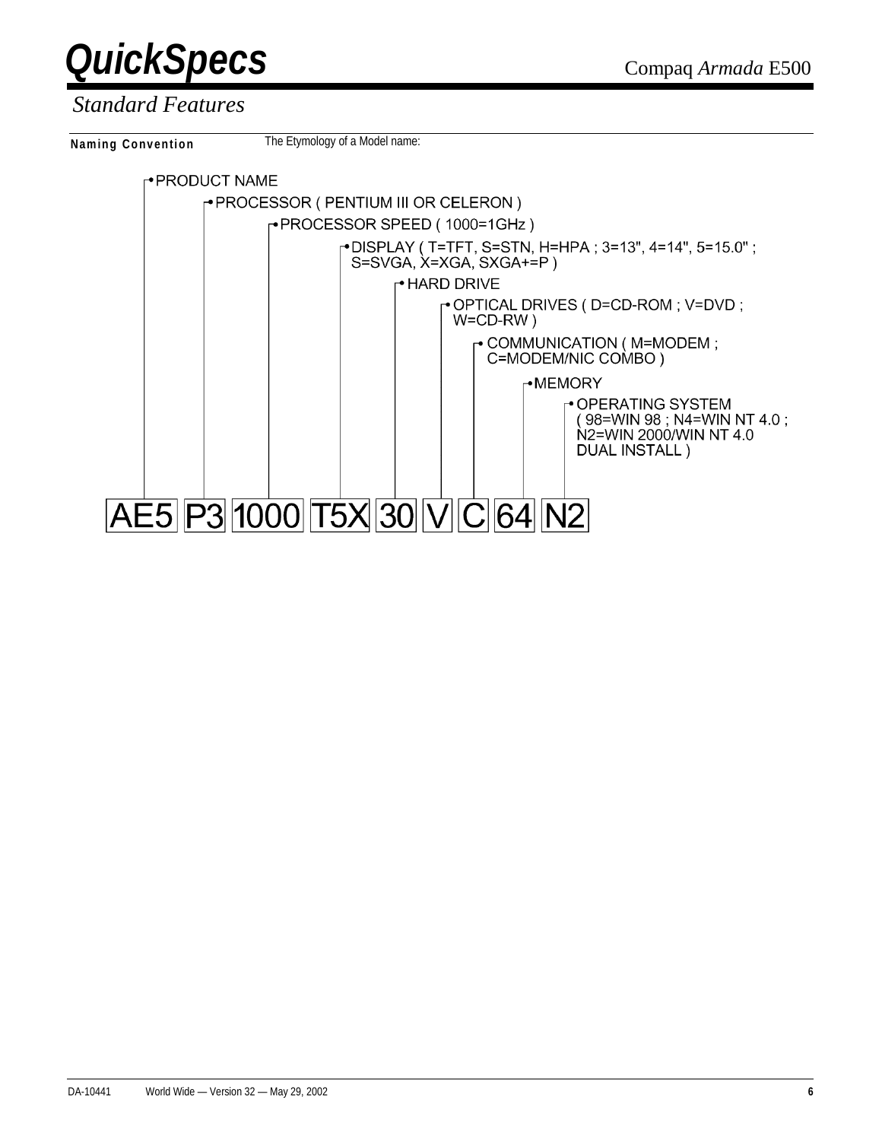



#### *Standard Features*

**Naming Convention** The Etymology of a Model name:

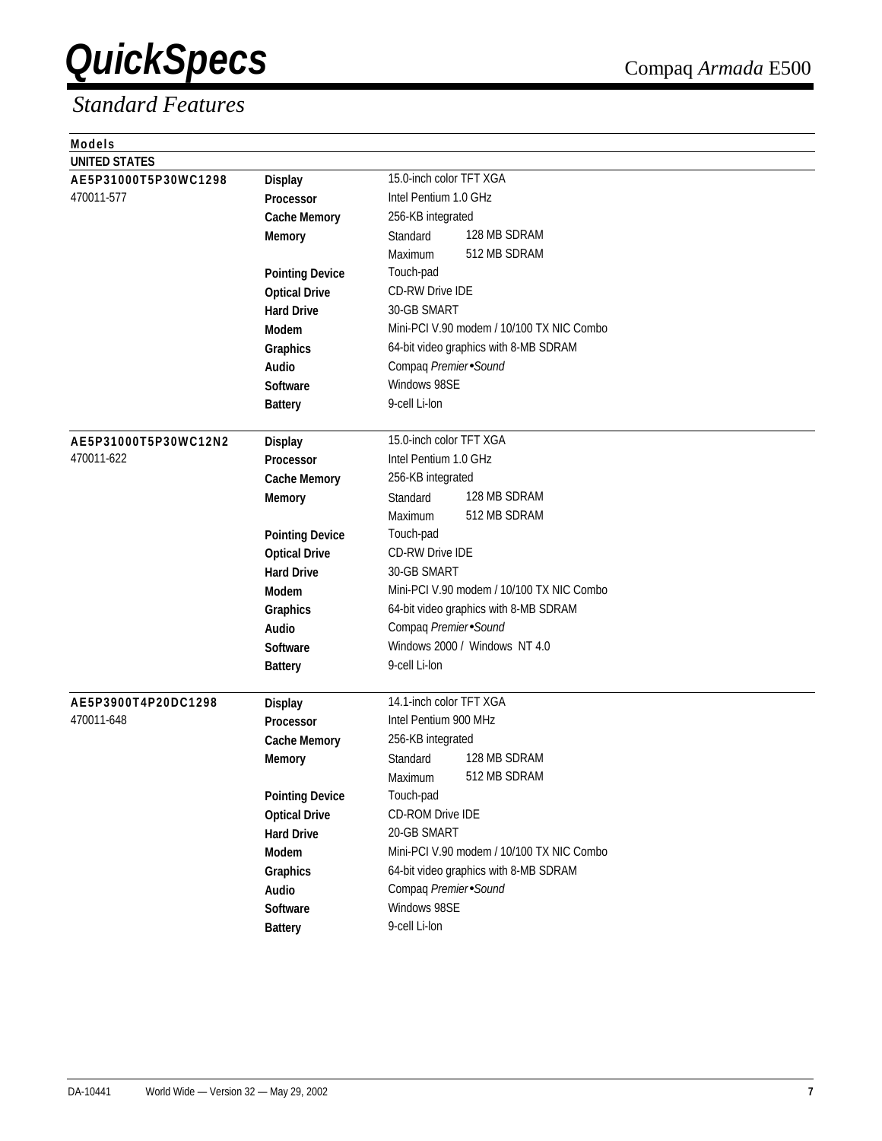| <b>Models</b>        |                        |                                           |  |  |
|----------------------|------------------------|-------------------------------------------|--|--|
| <b>UNITED STATES</b> |                        |                                           |  |  |
| AE5P31000T5P30WC1298 | <b>Display</b>         | 15.0-inch color TFT XGA                   |  |  |
| 470011-577           | Processor              | Intel Pentium 1.0 GHz                     |  |  |
|                      | <b>Cache Memory</b>    | 256-KB integrated                         |  |  |
|                      | <b>Memory</b>          | 128 MB SDRAM<br>Standard                  |  |  |
|                      |                        | 512 MB SDRAM<br>Maximum                   |  |  |
|                      | <b>Pointing Device</b> | Touch-pad                                 |  |  |
|                      | <b>Optical Drive</b>   | <b>CD-RW Drive IDE</b>                    |  |  |
|                      | <b>Hard Drive</b>      | 30-GB SMART                               |  |  |
|                      | <b>Modem</b>           | Mini-PCI V.90 modem / 10/100 TX NIC Combo |  |  |
|                      | Graphics               | 64-bit video graphics with 8-MB SDRAM     |  |  |
|                      | <b>Audio</b>           | Compaq Premier Sound                      |  |  |
|                      | <b>Software</b>        | Windows 98SE                              |  |  |
|                      | <b>Battery</b>         | 9-cell Li-lon                             |  |  |
|                      |                        |                                           |  |  |
| AE5P31000T5P30WC12N2 | <b>Display</b>         | 15.0-inch color TFT XGA                   |  |  |
| 470011-622           | <b>Processor</b>       | Intel Pentium 1.0 GHz                     |  |  |
|                      | <b>Cache Memory</b>    | 256-KB integrated                         |  |  |
|                      | <b>Memory</b>          | 128 MB SDRAM<br>Standard                  |  |  |
|                      |                        | 512 MB SDRAM<br>Maximum                   |  |  |
|                      | <b>Pointing Device</b> | Touch-pad                                 |  |  |
|                      | <b>Optical Drive</b>   | <b>CD-RW Drive IDE</b>                    |  |  |
|                      | <b>Hard Drive</b>      | 30-GB SMART                               |  |  |
|                      | <b>Modem</b>           | Mini-PCI V.90 modem / 10/100 TX NIC Combo |  |  |
|                      | Graphics               | 64-bit video graphics with 8-MB SDRAM     |  |  |
|                      | Audio                  | Compaq Premier Sound                      |  |  |
|                      | <b>Software</b>        | Windows 2000 / Windows NT 4.0             |  |  |
|                      | <b>Battery</b>         | 9-cell Li-lon                             |  |  |
|                      |                        |                                           |  |  |
| AE5P3900T4P20DC1298  | <b>Display</b>         | 14.1-inch color TFT XGA                   |  |  |
| 470011-648           | <b>Processor</b>       | Intel Pentium 900 MHz                     |  |  |
|                      | <b>Cache Memory</b>    | 256-KB integrated<br>128 MB SDRAM         |  |  |
|                      | <b>Memory</b>          | Standard                                  |  |  |
|                      |                        | 512 MB SDRAM<br>Maximum                   |  |  |
|                      | <b>Pointing Device</b> | Touch-pad<br>CD-ROM Drive IDE             |  |  |
|                      | <b>Optical Drive</b>   |                                           |  |  |
|                      | <b>Hard Drive</b>      | 20-GB SMART                               |  |  |
|                      | Modem                  | Mini-PCI V.90 modem / 10/100 TX NIC Combo |  |  |
|                      | Graphics               | 64-bit video graphics with 8-MB SDRAM     |  |  |
|                      | Audio                  | Compaq Premier Sound                      |  |  |
|                      | Software               | Windows 98SE                              |  |  |
|                      | <b>Battery</b>         | 9-cell Li-lon                             |  |  |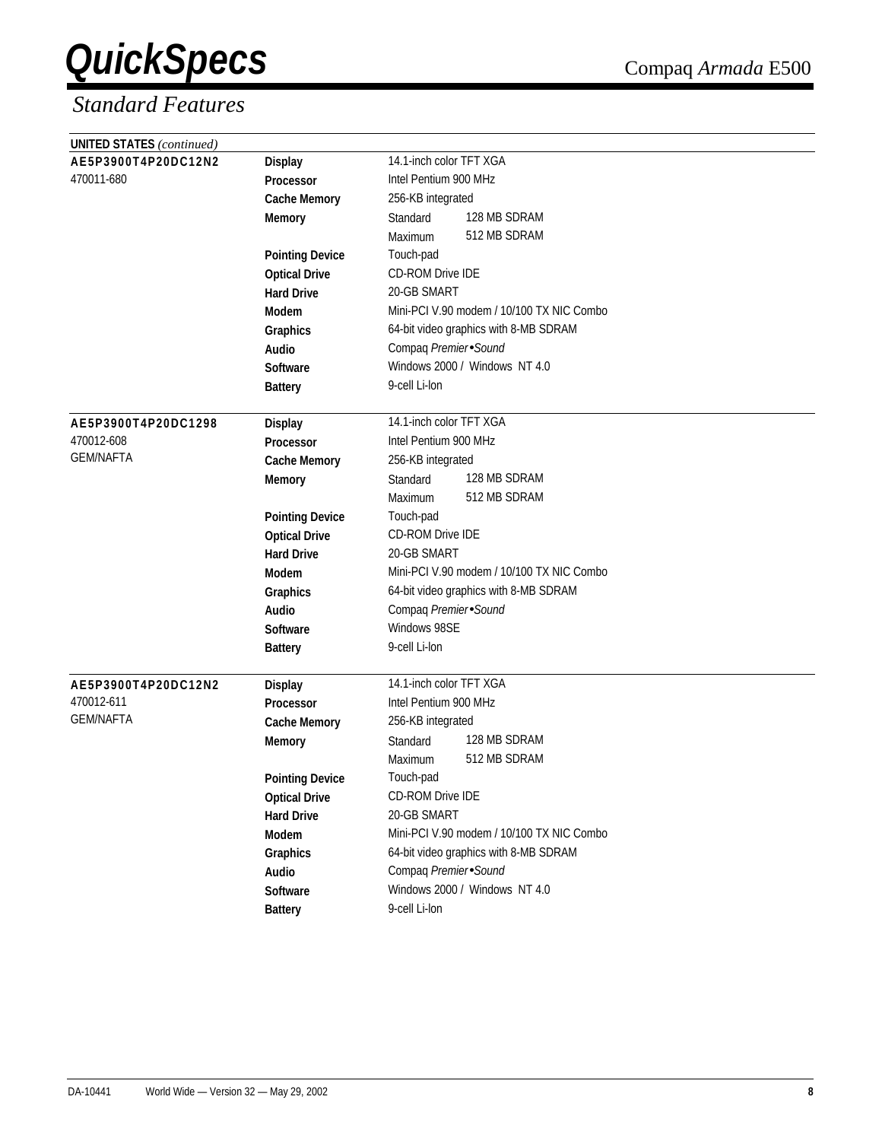| <b>UNITED STATES (continued)</b> |                        |                                           |
|----------------------------------|------------------------|-------------------------------------------|
| AE5P3900T4P20DC12N2              | <b>Display</b>         | 14.1-inch color TFT XGA                   |
| 470011-680                       | <b>Processor</b>       | Intel Pentium 900 MHz                     |
|                                  | <b>Cache Memory</b>    | 256-KB integrated                         |
|                                  | <b>Memory</b>          | 128 MB SDRAM<br>Standard                  |
|                                  |                        | 512 MB SDRAM<br>Maximum                   |
|                                  | <b>Pointing Device</b> | Touch-pad                                 |
|                                  | <b>Optical Drive</b>   | <b>CD-ROM Drive IDE</b>                   |
|                                  | <b>Hard Drive</b>      | 20-GB SMART                               |
|                                  | <b>Modem</b>           | Mini-PCI V.90 modem / 10/100 TX NIC Combo |
|                                  | Graphics               | 64-bit video graphics with 8-MB SDRAM     |
|                                  | Audio                  | Compaq Premier Sound                      |
|                                  | <b>Software</b>        | Windows 2000 / Windows NT 4.0             |
|                                  | <b>Battery</b>         | 9-cell Li-lon                             |
|                                  |                        |                                           |
| AE5P3900T4P20DC1298              | <b>Display</b>         | 14.1-inch color TFT XGA                   |
| 470012-608                       | <b>Processor</b>       | Intel Pentium 900 MHz                     |
| <b>GEM/NAFTA</b>                 | <b>Cache Memory</b>    | 256-KB integrated                         |
|                                  | <b>Memory</b>          | 128 MB SDRAM<br>Standard                  |
|                                  |                        | 512 MB SDRAM<br>Maximum                   |
|                                  | <b>Pointing Device</b> | Touch-pad                                 |
|                                  | <b>Optical Drive</b>   | CD-ROM Drive IDE                          |
|                                  | <b>Hard Drive</b>      | 20-GB SMART                               |
|                                  | Modem                  | Mini-PCI V.90 modem / 10/100 TX NIC Combo |
|                                  | Graphics               | 64-bit video graphics with 8-MB SDRAM     |
|                                  | Audio                  | Compaq Premier Sound                      |
|                                  | <b>Software</b>        | Windows 98SE                              |
|                                  | <b>Battery</b>         | 9-cell Li-lon                             |
| AE5P3900T4P20DC12N2              | <b>Display</b>         | 14.1-inch color TFT XGA                   |
| 470012-611                       | <b>Processor</b>       | Intel Pentium 900 MHz                     |
| <b>GEM/NAFTA</b>                 | <b>Cache Memory</b>    | 256-KB integrated                         |
|                                  | <b>Memory</b>          | 128 MB SDRAM<br>Standard                  |
|                                  |                        | 512 MB SDRAM<br>Maximum                   |
|                                  | <b>Pointing Device</b> | Touch-pad                                 |
|                                  | <b>Optical Drive</b>   | CD-ROM Drive IDE                          |
|                                  | <b>Hard Drive</b>      | 20-GB SMART                               |
|                                  | Modem                  | Mini-PCI V.90 modem / 10/100 TX NIC Combo |
|                                  | Graphics               | 64-bit video graphics with 8-MB SDRAM     |
|                                  | Audio                  | Compaq Premier Sound                      |
|                                  | Software               | Windows 2000 / Windows NT 4.0             |
|                                  | <b>Battery</b>         | 9-cell Li-lon                             |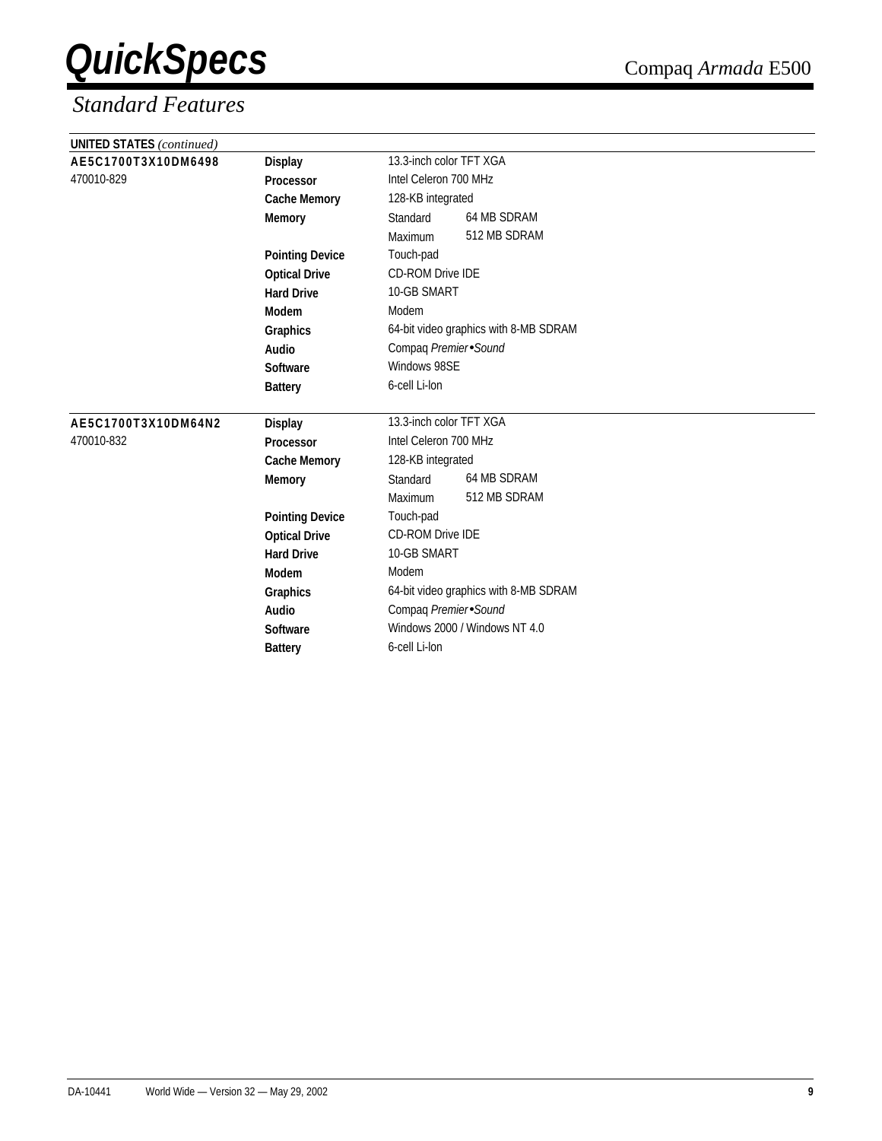| <b>UNITED STATES</b> (continued) |                        |                                       |                                       |  |
|----------------------------------|------------------------|---------------------------------------|---------------------------------------|--|
| AE5C1700T3X10DM6498              | <b>Display</b>         | 13.3-inch color TFT XGA               |                                       |  |
| 470010-829                       | Processor              | Intel Celeron 700 MHz                 |                                       |  |
|                                  | <b>Cache Memory</b>    | 128-KB integrated                     |                                       |  |
|                                  | <b>Memory</b>          | Standard                              | 64 MB SDRAM                           |  |
|                                  |                        | Maximum                               | 512 MB SDRAM                          |  |
|                                  | <b>Pointing Device</b> | Touch-pad                             |                                       |  |
|                                  | <b>Optical Drive</b>   | CD-ROM Drive IDE                      |                                       |  |
|                                  | <b>Hard Drive</b>      | 10-GB SMART                           |                                       |  |
|                                  | Modem                  | Modem                                 |                                       |  |
|                                  | Graphics               | 64-bit video graphics with 8-MB SDRAM |                                       |  |
|                                  | Audio                  | Compaq Premier Sound                  |                                       |  |
|                                  | Software               | Windows 98SE                          |                                       |  |
|                                  | <b>Battery</b>         | 6-cell Li-lon                         |                                       |  |
| AE5C1700T3X10DM64N2              | <b>Display</b>         | 13.3-inch color TFT XGA               |                                       |  |
| 470010-832                       | Processor              | Intel Celeron 700 MHz                 |                                       |  |
|                                  | <b>Cache Memory</b>    | 128-KB integrated                     |                                       |  |
|                                  | <b>Memory</b>          | Standard                              | 64 MB SDRAM                           |  |
|                                  |                        |                                       |                                       |  |
|                                  |                        | Maximum                               | 512 MB SDRAM                          |  |
|                                  | <b>Pointing Device</b> | Touch-pad                             |                                       |  |
|                                  | <b>Optical Drive</b>   | <b>CD-ROM Drive IDE</b>               |                                       |  |
|                                  | <b>Hard Drive</b>      | 10-GB SMART                           |                                       |  |
|                                  | <b>Modem</b>           | Modem                                 |                                       |  |
|                                  | Graphics               |                                       | 64-bit video graphics with 8-MB SDRAM |  |
|                                  | Audio                  | Compaq Premier Sound                  |                                       |  |
|                                  | Software               |                                       | Windows 2000 / Windows NT 4.0         |  |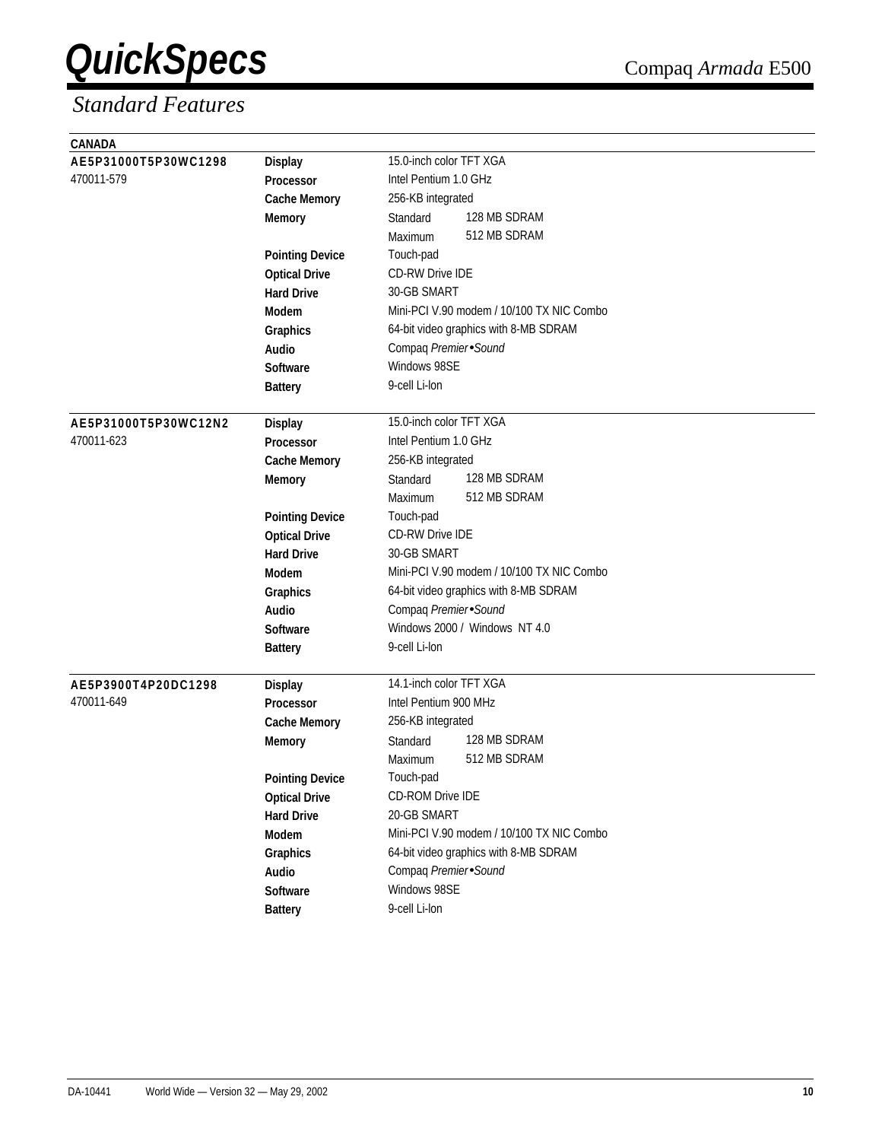| CANADA               |                        |                                           |
|----------------------|------------------------|-------------------------------------------|
| AE5P31000T5P30WC1298 | <b>Display</b>         | 15.0-inch color TFT XGA                   |
| 470011-579           | Processor              | Intel Pentium 1.0 GHz                     |
|                      | <b>Cache Memory</b>    | 256-KB integrated                         |
|                      | <b>Memory</b>          | 128 MB SDRAM<br>Standard                  |
|                      |                        | 512 MB SDRAM<br>Maximum                   |
|                      | <b>Pointing Device</b> | Touch-pad                                 |
|                      | <b>Optical Drive</b>   | <b>CD-RW Drive IDE</b>                    |
|                      | <b>Hard Drive</b>      | 30-GB SMART                               |
|                      | <b>Modem</b>           | Mini-PCI V.90 modem / 10/100 TX NIC Combo |
|                      | Graphics               | 64-bit video graphics with 8-MB SDRAM     |
|                      | Audio                  | Compaq Premier Sound                      |
|                      | <b>Software</b>        | Windows 98SE                              |
|                      | <b>Battery</b>         | 9-cell Li-lon                             |
|                      |                        |                                           |
| AE5P31000T5P30WC12N2 | <b>Display</b>         | 15.0-inch color TFT XGA                   |
| 470011-623           | <b>Processor</b>       | Intel Pentium 1.0 GHz                     |
|                      | <b>Cache Memory</b>    | 256-KB integrated                         |
|                      | <b>Memory</b>          | 128 MB SDRAM<br>Standard                  |
|                      |                        | 512 MB SDRAM<br>Maximum                   |
|                      | <b>Pointing Device</b> | Touch-pad                                 |
|                      | <b>Optical Drive</b>   | <b>CD-RW Drive IDE</b>                    |
|                      | <b>Hard Drive</b>      | 30-GB SMART                               |
|                      | <b>Modem</b>           | Mini-PCI V.90 modem / 10/100 TX NIC Combo |
|                      | Graphics               | 64-bit video graphics with 8-MB SDRAM     |
|                      | Audio                  | Compaq Premier Sound                      |
|                      | <b>Software</b>        | Windows 2000 / Windows NT 4.0             |
|                      | <b>Battery</b>         | 9-cell Li-lon                             |
|                      |                        |                                           |
| AE5P3900T4P20DC1298  | <b>Display</b>         | 14.1-inch color TFT XGA                   |
| 470011-649           | <b>Processor</b>       | Intel Pentium 900 MHz                     |
|                      | <b>Cache Memory</b>    | 256-KB integrated                         |
|                      | <b>Memory</b>          | 128 MB SDRAM<br>Standard                  |
|                      |                        | 512 MB SDRAM<br>Maximum                   |
|                      | <b>Pointing Device</b> | Touch-pad                                 |
|                      | <b>Optical Drive</b>   | CD-ROM Drive IDE                          |
|                      | <b>Hard Drive</b>      | 20-GB SMART                               |
|                      | Modem                  | Mini-PCI V.90 modem / 10/100 TX NIC Combo |
|                      | Graphics               | 64-bit video graphics with 8-MB SDRAM     |
|                      | Audio                  | Compaq Premier Sound                      |
|                      | Software               | Windows 98SE                              |
|                      | <b>Battery</b>         | 9-cell Li-lon                             |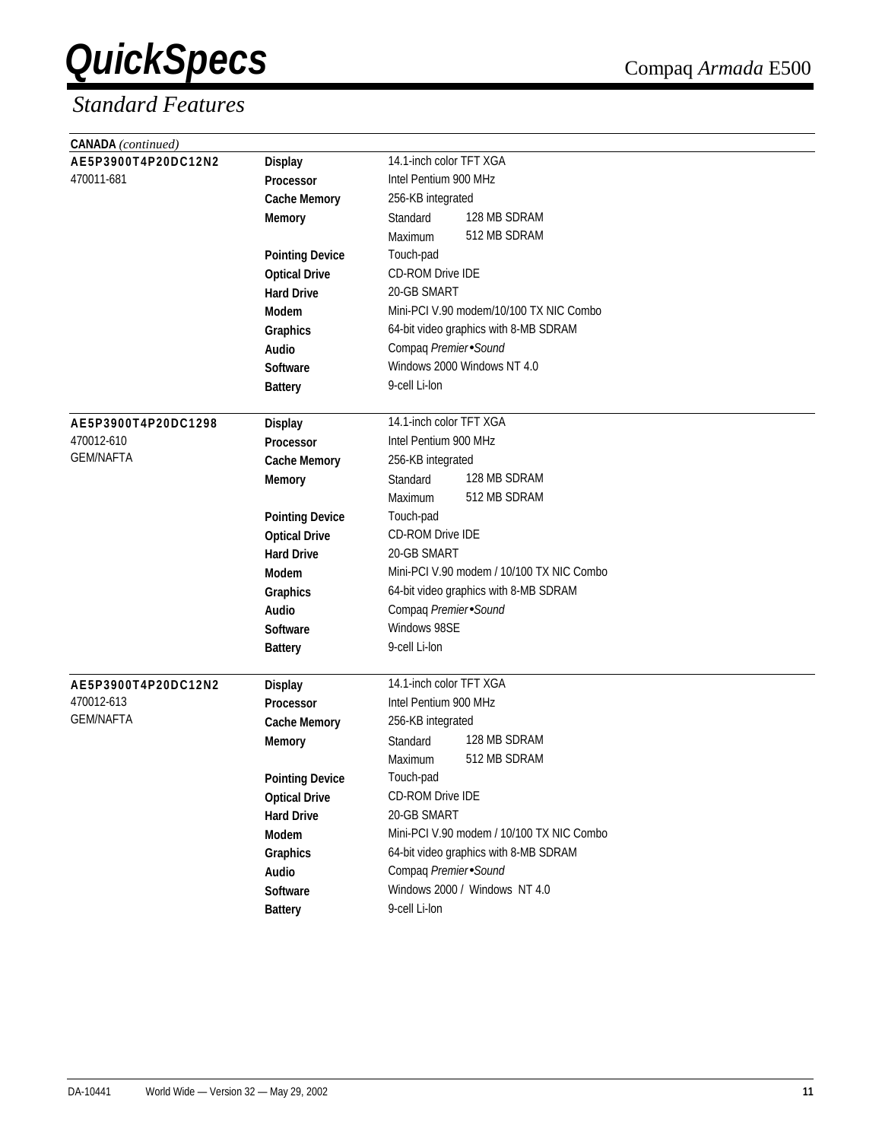| <b>CANADA</b> (continued) |                        |                                           |
|---------------------------|------------------------|-------------------------------------------|
| AE5P3900T4P20DC12N2       | <b>Display</b>         | 14.1-inch color TFT XGA                   |
| 470011-681                | Processor              | Intel Pentium 900 MHz                     |
|                           | <b>Cache Memory</b>    | 256-KB integrated                         |
|                           | <b>Memory</b>          | 128 MB SDRAM<br>Standard                  |
|                           |                        | 512 MB SDRAM<br>Maximum                   |
|                           | <b>Pointing Device</b> | Touch-pad                                 |
|                           | <b>Optical Drive</b>   | <b>CD-ROM Drive IDE</b>                   |
|                           | <b>Hard Drive</b>      | 20-GB SMART                               |
|                           | Modem                  | Mini-PCI V.90 modem/10/100 TX NIC Combo   |
|                           | Graphics               | 64-bit video graphics with 8-MB SDRAM     |
|                           | Audio                  | Compaq Premier Sound                      |
|                           | <b>Software</b>        | Windows 2000 Windows NT 4.0               |
|                           | <b>Battery</b>         | 9-cell Li-lon                             |
| AE5P3900T4P20DC1298       | <b>Display</b>         | 14.1-inch color TFT XGA                   |
| 470012-610                | Processor              | Intel Pentium 900 MHz                     |
| <b>GEM/NAFTA</b>          | <b>Cache Memory</b>    | 256-KB integrated                         |
|                           | <b>Memory</b>          | 128 MB SDRAM<br>Standard                  |
|                           |                        | 512 MB SDRAM<br>Maximum                   |
|                           | <b>Pointing Device</b> | Touch-pad                                 |
|                           | <b>Optical Drive</b>   | <b>CD-ROM Drive IDE</b>                   |
|                           | <b>Hard Drive</b>      | 20-GB SMART                               |
|                           | <b>Modem</b>           | Mini-PCI V.90 modem / 10/100 TX NIC Combo |
|                           | Graphics               | 64-bit video graphics with 8-MB SDRAM     |
|                           | Audio                  | Compaq Premier Sound                      |
|                           | Software               | Windows 98SE                              |
|                           | <b>Battery</b>         | 9-cell Li-lon                             |
|                           |                        |                                           |
| AE5P3900T4P20DC12N2       | <b>Display</b>         | 14.1-inch color TFT XGA                   |
| 470012-613                | <b>Processor</b>       | Intel Pentium 900 MHz                     |
| <b>GEM/NAFTA</b>          | <b>Cache Memory</b>    | 256-KB integrated                         |
|                           | <b>Memory</b>          | 128 MB SDRAM<br>Standard                  |
|                           |                        | 512 MB SDRAM<br>Maximum                   |
|                           | <b>Pointing Device</b> | Touch-pad                                 |
|                           | <b>Optical Drive</b>   | CD-ROM Drive IDE                          |
|                           | <b>Hard Drive</b>      | 20-GB SMART                               |
|                           | Modem                  | Mini-PCI V.90 modem / 10/100 TX NIC Combo |
|                           | Graphics               | 64-bit video graphics with 8-MB SDRAM     |
|                           | Audio                  | Compaq Premier Sound                      |
|                           | Software               | Windows 2000 / Windows NT 4.0             |
|                           | <b>Battery</b>         | 9-cell Li-lon                             |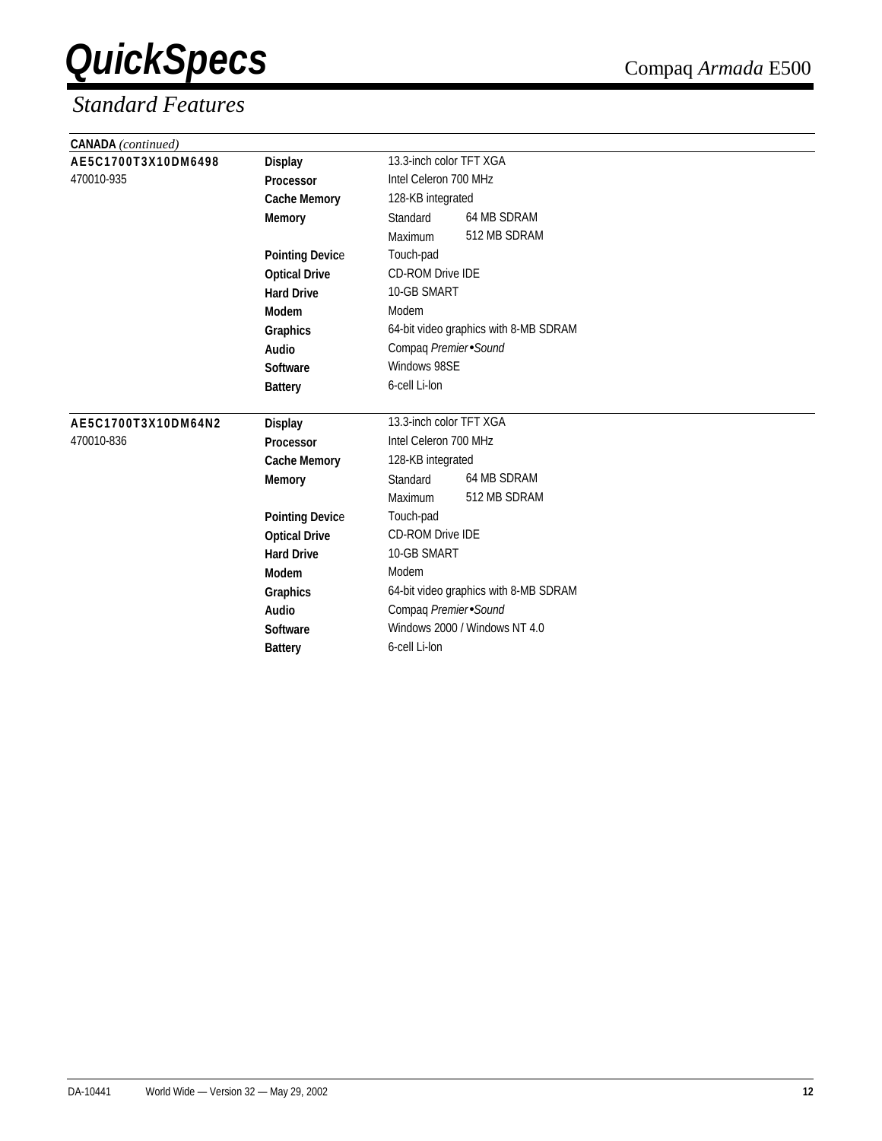| <b>CANADA</b> (continued) |                        |                                       |  |
|---------------------------|------------------------|---------------------------------------|--|
| AE5C1700T3X10DM6498       | <b>Display</b>         | 13.3-inch color TFT XGA               |  |
| 470010-935                | Processor              | Intel Celeron 700 MHz                 |  |
|                           | <b>Cache Memory</b>    | 128-KB integrated                     |  |
|                           | <b>Memory</b>          | 64 MB SDRAM<br>Standard               |  |
|                           |                        | 512 MB SDRAM<br><b>Maximum</b>        |  |
|                           | <b>Pointing Device</b> | Touch-pad                             |  |
|                           | <b>Optical Drive</b>   | <b>CD-ROM Drive IDE</b>               |  |
|                           | <b>Hard Drive</b>      | 10-GB SMART                           |  |
|                           | Modem                  | Modem                                 |  |
|                           | Graphics               | 64-bit video graphics with 8-MB SDRAM |  |
|                           | <b>Audio</b>           | Compaq Premier Sound                  |  |
|                           | Software               | Windows 98SE                          |  |
|                           | <b>Battery</b>         | 6-cell Li-lon                         |  |
| AE5C1700T3X10DM64N2       | <b>Display</b>         | 13.3-inch color TFT XGA               |  |
| 470010-836                | Processor              | Intel Celeron 700 MHz                 |  |
|                           | <b>Cache Memory</b>    | 128-KB integrated                     |  |
|                           | <b>Memory</b>          | 64 MB SDRAM<br>Standard               |  |
|                           |                        | 512 MB SDRAM<br>Maximum               |  |
|                           | <b>Pointing Device</b> | Touch-pad                             |  |
|                           | <b>Optical Drive</b>   | <b>CD-ROM Drive IDE</b>               |  |
|                           | <b>Hard Drive</b>      | 10-GB SMART                           |  |
|                           | Modem                  | Modem                                 |  |
|                           | Graphics               | 64-bit video graphics with 8-MB SDRAM |  |
|                           | <b>Audio</b>           | Compaq Premier Sound                  |  |
|                           | Software               | Windows 2000 / Windows NT 4.0         |  |
|                           | <b>Battery</b>         | 6-cell Li-lon                         |  |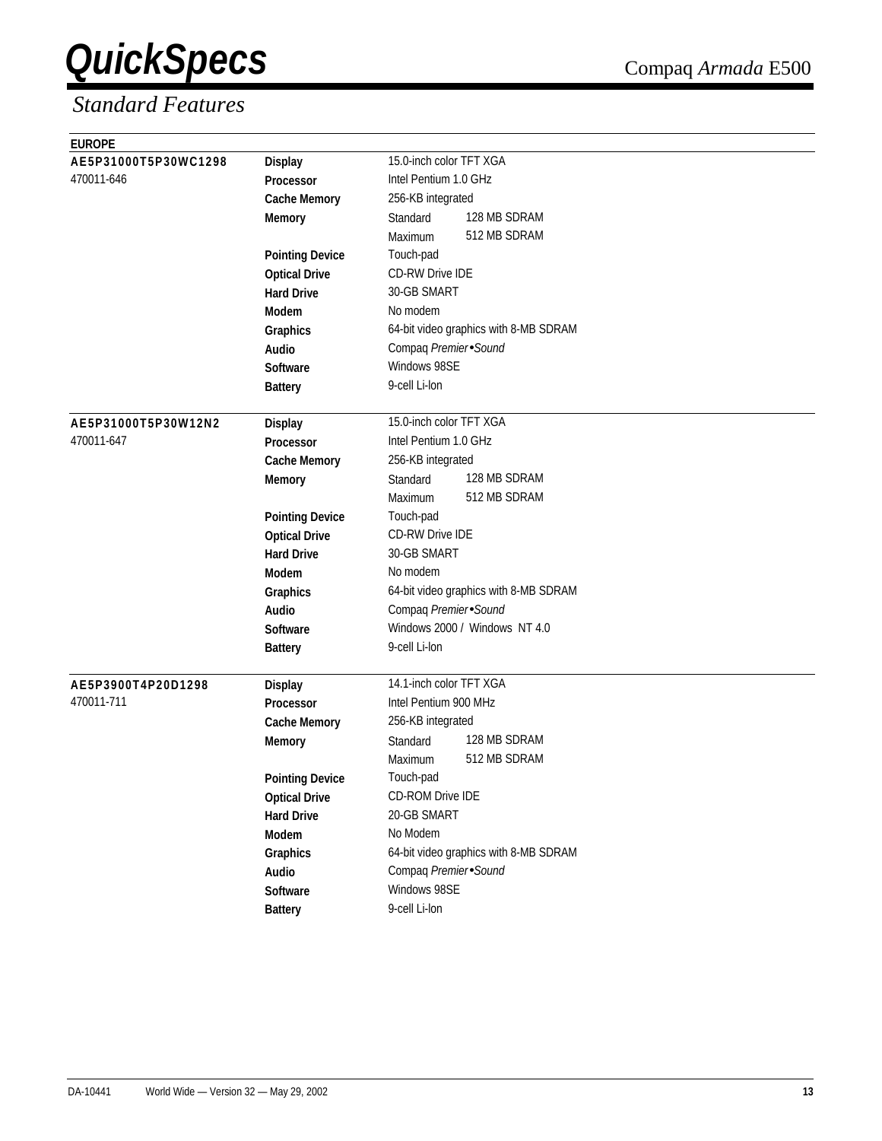| 15.0-inch color TFT XGA<br>AE5P31000T5P30WC1298<br><b>Display</b><br>470011-646<br>Intel Pentium 1.0 GHz<br>Processor<br>256-KB integrated<br><b>Cache Memory</b><br>128 MB SDRAM<br>Standard<br><b>Memory</b><br>512 MB SDRAM<br>Maximum<br>Touch-pad<br><b>Pointing Device</b><br><b>CD-RW Drive IDE</b><br><b>Optical Drive</b><br>30-GB SMART<br><b>Hard Drive</b><br>No modem<br>Modem<br>64-bit video graphics with 8-MB SDRAM<br>Graphics<br>Compaq Premier Sound<br>Audio<br>Windows 98SE<br><b>Software</b><br>9-cell Li-lon<br><b>Battery</b><br>15.0-inch color TFT XGA<br>AE5P31000T5P30W12N2<br><b>Display</b><br>Intel Pentium 1.0 GHz<br>470011-647<br><b>Processor</b><br>256-KB integrated<br><b>Cache Memory</b><br>128 MB SDRAM<br>Standard<br><b>Memory</b><br>512 MB SDRAM<br>Maximum<br>Touch-pad<br><b>Pointing Device</b><br>CD-RW Drive IDE<br><b>Optical Drive</b><br>30-GB SMART<br><b>Hard Drive</b><br>No modem<br>Modem<br>64-bit video graphics with 8-MB SDRAM<br>Graphics<br>Compaq Premier Sound<br>Audio<br>Windows 2000 / Windows NT 4.0<br>Software<br>9-cell Li-lon<br><b>Battery</b><br>14.1-inch color TFT XGA<br>AE5P3900T4P20D1298<br><b>Display</b><br>470011-711<br>Intel Pentium 900 MHz<br><b>Processor</b><br>256-KB integrated<br><b>Cache Memory</b><br>128 MB SDRAM<br>Standard<br><b>Memory</b><br>512 MB SDRAM<br>Maximum<br>Touch-pad<br><b>Pointing Device</b><br>CD-ROM Drive IDE<br><b>Optical Drive</b><br>20-GB SMART<br><b>Hard Drive</b><br>No Modem<br>Modem<br>64-bit video graphics with 8-MB SDRAM<br>Graphics<br>Compaq Premier Sound<br>Audio<br>Windows 98SE<br>Software | <b>EUROPE</b> |                |               |
|---------------------------------------------------------------------------------------------------------------------------------------------------------------------------------------------------------------------------------------------------------------------------------------------------------------------------------------------------------------------------------------------------------------------------------------------------------------------------------------------------------------------------------------------------------------------------------------------------------------------------------------------------------------------------------------------------------------------------------------------------------------------------------------------------------------------------------------------------------------------------------------------------------------------------------------------------------------------------------------------------------------------------------------------------------------------------------------------------------------------------------------------------------------------------------------------------------------------------------------------------------------------------------------------------------------------------------------------------------------------------------------------------------------------------------------------------------------------------------------------------------------------------------------------------------------------------------------------------------------------------------------------|---------------|----------------|---------------|
|                                                                                                                                                                                                                                                                                                                                                                                                                                                                                                                                                                                                                                                                                                                                                                                                                                                                                                                                                                                                                                                                                                                                                                                                                                                                                                                                                                                                                                                                                                                                                                                                                                             |               |                |               |
|                                                                                                                                                                                                                                                                                                                                                                                                                                                                                                                                                                                                                                                                                                                                                                                                                                                                                                                                                                                                                                                                                                                                                                                                                                                                                                                                                                                                                                                                                                                                                                                                                                             |               |                |               |
|                                                                                                                                                                                                                                                                                                                                                                                                                                                                                                                                                                                                                                                                                                                                                                                                                                                                                                                                                                                                                                                                                                                                                                                                                                                                                                                                                                                                                                                                                                                                                                                                                                             |               |                |               |
|                                                                                                                                                                                                                                                                                                                                                                                                                                                                                                                                                                                                                                                                                                                                                                                                                                                                                                                                                                                                                                                                                                                                                                                                                                                                                                                                                                                                                                                                                                                                                                                                                                             |               |                |               |
|                                                                                                                                                                                                                                                                                                                                                                                                                                                                                                                                                                                                                                                                                                                                                                                                                                                                                                                                                                                                                                                                                                                                                                                                                                                                                                                                                                                                                                                                                                                                                                                                                                             |               |                |               |
|                                                                                                                                                                                                                                                                                                                                                                                                                                                                                                                                                                                                                                                                                                                                                                                                                                                                                                                                                                                                                                                                                                                                                                                                                                                                                                                                                                                                                                                                                                                                                                                                                                             |               |                |               |
|                                                                                                                                                                                                                                                                                                                                                                                                                                                                                                                                                                                                                                                                                                                                                                                                                                                                                                                                                                                                                                                                                                                                                                                                                                                                                                                                                                                                                                                                                                                                                                                                                                             |               |                |               |
|                                                                                                                                                                                                                                                                                                                                                                                                                                                                                                                                                                                                                                                                                                                                                                                                                                                                                                                                                                                                                                                                                                                                                                                                                                                                                                                                                                                                                                                                                                                                                                                                                                             |               |                |               |
|                                                                                                                                                                                                                                                                                                                                                                                                                                                                                                                                                                                                                                                                                                                                                                                                                                                                                                                                                                                                                                                                                                                                                                                                                                                                                                                                                                                                                                                                                                                                                                                                                                             |               |                |               |
|                                                                                                                                                                                                                                                                                                                                                                                                                                                                                                                                                                                                                                                                                                                                                                                                                                                                                                                                                                                                                                                                                                                                                                                                                                                                                                                                                                                                                                                                                                                                                                                                                                             |               |                |               |
|                                                                                                                                                                                                                                                                                                                                                                                                                                                                                                                                                                                                                                                                                                                                                                                                                                                                                                                                                                                                                                                                                                                                                                                                                                                                                                                                                                                                                                                                                                                                                                                                                                             |               |                |               |
|                                                                                                                                                                                                                                                                                                                                                                                                                                                                                                                                                                                                                                                                                                                                                                                                                                                                                                                                                                                                                                                                                                                                                                                                                                                                                                                                                                                                                                                                                                                                                                                                                                             |               |                |               |
|                                                                                                                                                                                                                                                                                                                                                                                                                                                                                                                                                                                                                                                                                                                                                                                                                                                                                                                                                                                                                                                                                                                                                                                                                                                                                                                                                                                                                                                                                                                                                                                                                                             |               |                |               |
|                                                                                                                                                                                                                                                                                                                                                                                                                                                                                                                                                                                                                                                                                                                                                                                                                                                                                                                                                                                                                                                                                                                                                                                                                                                                                                                                                                                                                                                                                                                                                                                                                                             |               |                |               |
|                                                                                                                                                                                                                                                                                                                                                                                                                                                                                                                                                                                                                                                                                                                                                                                                                                                                                                                                                                                                                                                                                                                                                                                                                                                                                                                                                                                                                                                                                                                                                                                                                                             |               |                |               |
|                                                                                                                                                                                                                                                                                                                                                                                                                                                                                                                                                                                                                                                                                                                                                                                                                                                                                                                                                                                                                                                                                                                                                                                                                                                                                                                                                                                                                                                                                                                                                                                                                                             |               |                |               |
|                                                                                                                                                                                                                                                                                                                                                                                                                                                                                                                                                                                                                                                                                                                                                                                                                                                                                                                                                                                                                                                                                                                                                                                                                                                                                                                                                                                                                                                                                                                                                                                                                                             |               |                |               |
|                                                                                                                                                                                                                                                                                                                                                                                                                                                                                                                                                                                                                                                                                                                                                                                                                                                                                                                                                                                                                                                                                                                                                                                                                                                                                                                                                                                                                                                                                                                                                                                                                                             |               |                |               |
|                                                                                                                                                                                                                                                                                                                                                                                                                                                                                                                                                                                                                                                                                                                                                                                                                                                                                                                                                                                                                                                                                                                                                                                                                                                                                                                                                                                                                                                                                                                                                                                                                                             |               |                |               |
|                                                                                                                                                                                                                                                                                                                                                                                                                                                                                                                                                                                                                                                                                                                                                                                                                                                                                                                                                                                                                                                                                                                                                                                                                                                                                                                                                                                                                                                                                                                                                                                                                                             |               |                |               |
|                                                                                                                                                                                                                                                                                                                                                                                                                                                                                                                                                                                                                                                                                                                                                                                                                                                                                                                                                                                                                                                                                                                                                                                                                                                                                                                                                                                                                                                                                                                                                                                                                                             |               |                |               |
|                                                                                                                                                                                                                                                                                                                                                                                                                                                                                                                                                                                                                                                                                                                                                                                                                                                                                                                                                                                                                                                                                                                                                                                                                                                                                                                                                                                                                                                                                                                                                                                                                                             |               |                |               |
|                                                                                                                                                                                                                                                                                                                                                                                                                                                                                                                                                                                                                                                                                                                                                                                                                                                                                                                                                                                                                                                                                                                                                                                                                                                                                                                                                                                                                                                                                                                                                                                                                                             |               |                |               |
|                                                                                                                                                                                                                                                                                                                                                                                                                                                                                                                                                                                                                                                                                                                                                                                                                                                                                                                                                                                                                                                                                                                                                                                                                                                                                                                                                                                                                                                                                                                                                                                                                                             |               |                |               |
|                                                                                                                                                                                                                                                                                                                                                                                                                                                                                                                                                                                                                                                                                                                                                                                                                                                                                                                                                                                                                                                                                                                                                                                                                                                                                                                                                                                                                                                                                                                                                                                                                                             |               |                |               |
|                                                                                                                                                                                                                                                                                                                                                                                                                                                                                                                                                                                                                                                                                                                                                                                                                                                                                                                                                                                                                                                                                                                                                                                                                                                                                                                                                                                                                                                                                                                                                                                                                                             |               |                |               |
|                                                                                                                                                                                                                                                                                                                                                                                                                                                                                                                                                                                                                                                                                                                                                                                                                                                                                                                                                                                                                                                                                                                                                                                                                                                                                                                                                                                                                                                                                                                                                                                                                                             |               |                |               |
|                                                                                                                                                                                                                                                                                                                                                                                                                                                                                                                                                                                                                                                                                                                                                                                                                                                                                                                                                                                                                                                                                                                                                                                                                                                                                                                                                                                                                                                                                                                                                                                                                                             |               |                |               |
|                                                                                                                                                                                                                                                                                                                                                                                                                                                                                                                                                                                                                                                                                                                                                                                                                                                                                                                                                                                                                                                                                                                                                                                                                                                                                                                                                                                                                                                                                                                                                                                                                                             |               |                |               |
|                                                                                                                                                                                                                                                                                                                                                                                                                                                                                                                                                                                                                                                                                                                                                                                                                                                                                                                                                                                                                                                                                                                                                                                                                                                                                                                                                                                                                                                                                                                                                                                                                                             |               |                |               |
|                                                                                                                                                                                                                                                                                                                                                                                                                                                                                                                                                                                                                                                                                                                                                                                                                                                                                                                                                                                                                                                                                                                                                                                                                                                                                                                                                                                                                                                                                                                                                                                                                                             |               |                |               |
|                                                                                                                                                                                                                                                                                                                                                                                                                                                                                                                                                                                                                                                                                                                                                                                                                                                                                                                                                                                                                                                                                                                                                                                                                                                                                                                                                                                                                                                                                                                                                                                                                                             |               |                |               |
|                                                                                                                                                                                                                                                                                                                                                                                                                                                                                                                                                                                                                                                                                                                                                                                                                                                                                                                                                                                                                                                                                                                                                                                                                                                                                                                                                                                                                                                                                                                                                                                                                                             |               |                |               |
|                                                                                                                                                                                                                                                                                                                                                                                                                                                                                                                                                                                                                                                                                                                                                                                                                                                                                                                                                                                                                                                                                                                                                                                                                                                                                                                                                                                                                                                                                                                                                                                                                                             |               |                |               |
|                                                                                                                                                                                                                                                                                                                                                                                                                                                                                                                                                                                                                                                                                                                                                                                                                                                                                                                                                                                                                                                                                                                                                                                                                                                                                                                                                                                                                                                                                                                                                                                                                                             |               |                |               |
|                                                                                                                                                                                                                                                                                                                                                                                                                                                                                                                                                                                                                                                                                                                                                                                                                                                                                                                                                                                                                                                                                                                                                                                                                                                                                                                                                                                                                                                                                                                                                                                                                                             |               |                |               |
|                                                                                                                                                                                                                                                                                                                                                                                                                                                                                                                                                                                                                                                                                                                                                                                                                                                                                                                                                                                                                                                                                                                                                                                                                                                                                                                                                                                                                                                                                                                                                                                                                                             |               |                |               |
|                                                                                                                                                                                                                                                                                                                                                                                                                                                                                                                                                                                                                                                                                                                                                                                                                                                                                                                                                                                                                                                                                                                                                                                                                                                                                                                                                                                                                                                                                                                                                                                                                                             |               |                |               |
|                                                                                                                                                                                                                                                                                                                                                                                                                                                                                                                                                                                                                                                                                                                                                                                                                                                                                                                                                                                                                                                                                                                                                                                                                                                                                                                                                                                                                                                                                                                                                                                                                                             |               |                |               |
|                                                                                                                                                                                                                                                                                                                                                                                                                                                                                                                                                                                                                                                                                                                                                                                                                                                                                                                                                                                                                                                                                                                                                                                                                                                                                                                                                                                                                                                                                                                                                                                                                                             |               | <b>Battery</b> | 9-cell Li-lon |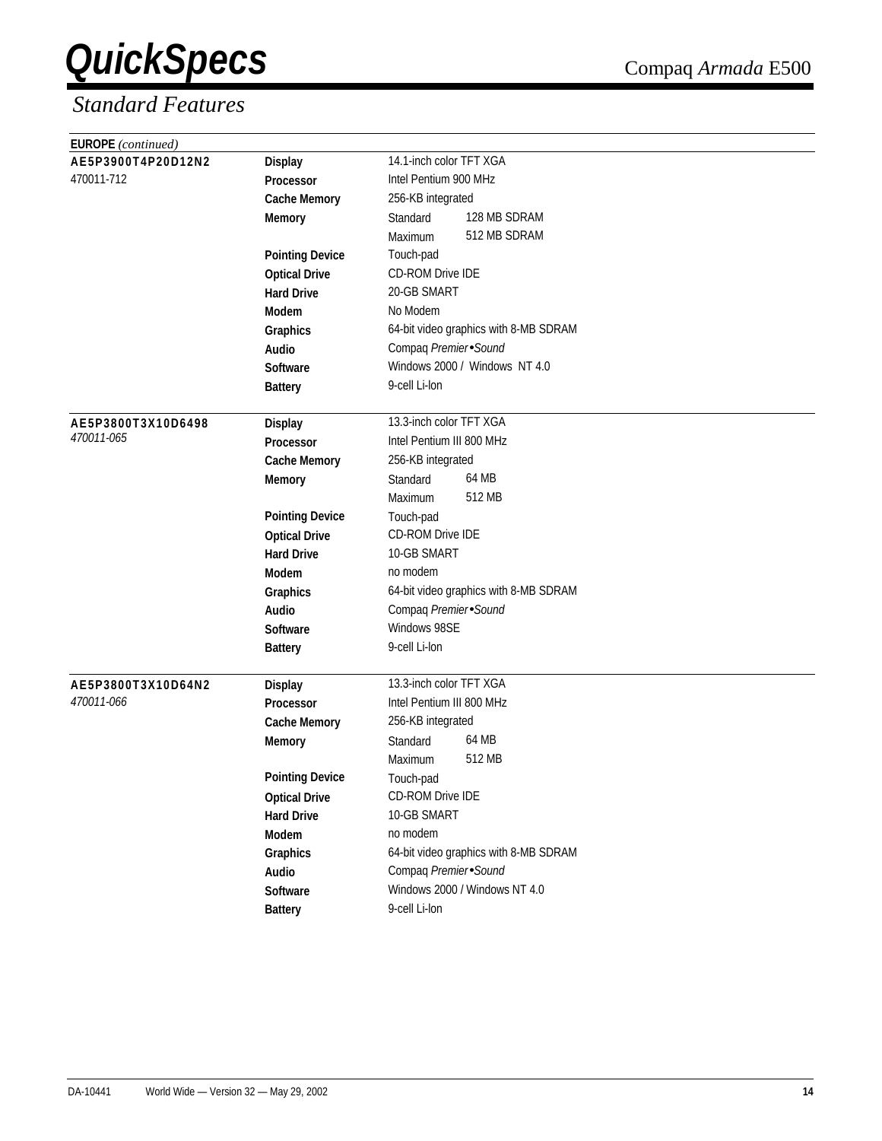| <b>EUROPE</b> (continued) |                        |                                       |
|---------------------------|------------------------|---------------------------------------|
| AE5P3900T4P20D12N2        | <b>Display</b>         | 14.1-inch color TFT XGA               |
| 470011-712                | Processor              | Intel Pentium 900 MHz                 |
|                           | <b>Cache Memory</b>    | 256-KB integrated                     |
|                           | <b>Memory</b>          | 128 MB SDRAM<br>Standard              |
|                           |                        | 512 MB SDRAM<br>Maximum               |
|                           | <b>Pointing Device</b> | Touch-pad                             |
|                           | <b>Optical Drive</b>   | <b>CD-ROM Drive IDE</b>               |
|                           | <b>Hard Drive</b>      | 20-GB SMART                           |
|                           | Modem                  | No Modem                              |
|                           | Graphics               | 64-bit video graphics with 8-MB SDRAM |
|                           | Audio                  | Compaq Premier Sound                  |
|                           | <b>Software</b>        | Windows 2000 / Windows NT 4.0         |
|                           | <b>Battery</b>         | 9-cell Li-lon                         |
| AE5P3800T3X10D6498        | <b>Display</b>         | 13.3-inch color TFT XGA               |
| 470011-065                | <b>Processor</b>       | Intel Pentium III 800 MHz             |
|                           | <b>Cache Memory</b>    | 256-KB integrated                     |
|                           | <b>Memory</b>          | 64 MB<br>Standard                     |
|                           |                        | 512 MB<br>Maximum                     |
|                           | <b>Pointing Device</b> | Touch-pad                             |
|                           | <b>Optical Drive</b>   | CD-ROM Drive IDE                      |
|                           | <b>Hard Drive</b>      | 10-GB SMART                           |
|                           | Modem                  | no modem                              |
|                           | Graphics               | 64-bit video graphics with 8-MB SDRAM |
|                           | Audio                  | Compaq Premier Sound                  |
|                           | Software               | Windows 98SE                          |
|                           | <b>Battery</b>         | 9-cell Li-lon                         |
| AE5P3800T3X10D64N2        | <b>Display</b>         | 13.3-inch color TFT XGA               |
| 470011-066                | Processor              | Intel Pentium III 800 MHz             |
|                           | <b>Cache Memory</b>    | 256-KB integrated                     |
|                           | <b>Memory</b>          | 64 MB<br>Standard                     |
|                           |                        | 512 MB<br>Maximum                     |
|                           | <b>Pointing Device</b> | Touch-pad                             |
|                           | <b>Optical Drive</b>   | CD-ROM Drive IDE                      |
|                           | <b>Hard Drive</b>      | 10-GB SMART                           |
|                           | Modem                  | no modem                              |
|                           | Graphics               | 64-bit video graphics with 8-MB SDRAM |
|                           | Audio                  | Compaq Premier Sound                  |
|                           | Software               | Windows 2000 / Windows NT 4.0         |
|                           | <b>Battery</b>         | 9-cell Li-lon                         |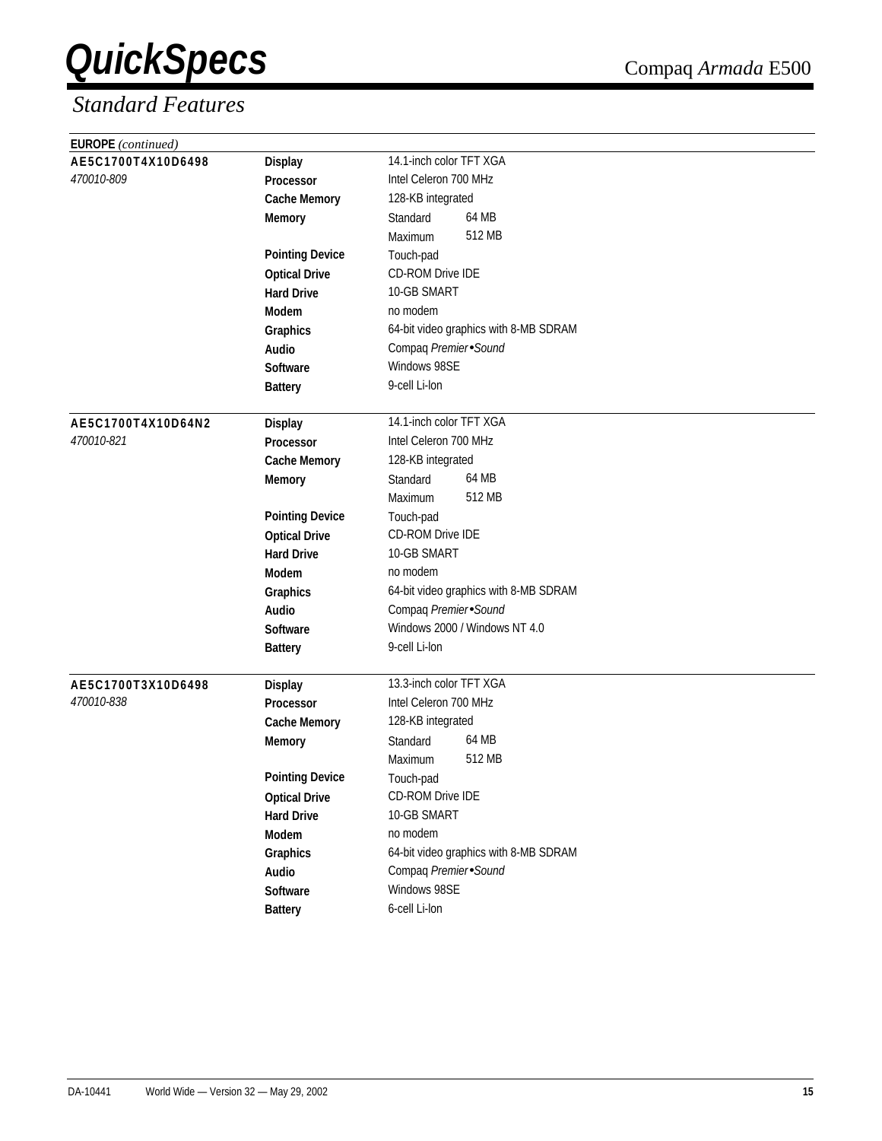| <b>EUROPE</b> (continued)            |                        |                                       |  |
|--------------------------------------|------------------------|---------------------------------------|--|
| AE5C1700T4X10D6498<br><b>Display</b> |                        | 14.1-inch color TFT XGA               |  |
| 470010-809                           | Processor              | Intel Celeron 700 MHz                 |  |
|                                      | <b>Cache Memory</b>    | 128-KB integrated                     |  |
|                                      | <b>Memory</b>          | 64 MB<br>Standard                     |  |
|                                      |                        | 512 MB<br>Maximum                     |  |
|                                      | <b>Pointing Device</b> | Touch-pad                             |  |
|                                      | <b>Optical Drive</b>   | CD-ROM Drive IDE                      |  |
|                                      | <b>Hard Drive</b>      | 10-GB SMART                           |  |
|                                      | <b>Modem</b>           | no modem                              |  |
|                                      | Graphics               | 64-bit video graphics with 8-MB SDRAM |  |
|                                      | Audio                  | Compaq Premier Sound                  |  |
|                                      | <b>Software</b>        | Windows 98SE                          |  |
|                                      | <b>Battery</b>         | 9-cell Li-lon                         |  |
| AE5C1700T4X10D64N2                   | <b>Display</b>         | 14.1-inch color TFT XGA               |  |
| 470010-821                           | Processor              | Intel Celeron 700 MHz                 |  |
|                                      | <b>Cache Memory</b>    | 128-KB integrated                     |  |
|                                      | <b>Memory</b>          | 64 MB<br>Standard                     |  |
|                                      |                        | 512 MB<br>Maximum                     |  |
|                                      | <b>Pointing Device</b> | Touch-pad                             |  |
|                                      | <b>Optical Drive</b>   | <b>CD-ROM Drive IDE</b>               |  |
|                                      | <b>Hard Drive</b>      | 10-GB SMART                           |  |
|                                      | <b>Modem</b>           | no modem                              |  |
|                                      | Graphics               | 64-bit video graphics with 8-MB SDRAM |  |
|                                      | Audio                  | Compaq Premier Sound                  |  |
|                                      | Software               | Windows 2000 / Windows NT 4.0         |  |
|                                      | <b>Battery</b>         | 9-cell Li-lon                         |  |
| AE5C1700T3X10D6498                   | <b>Display</b>         | 13.3-inch color TFT XGA               |  |
| <i>470010-838</i>                    | <b>Processor</b>       | Intel Celeron 700 MHz                 |  |
|                                      | <b>Cache Memory</b>    | 128-KB integrated                     |  |
|                                      | <b>Memory</b>          | 64 MB<br>Standard                     |  |
|                                      |                        | 512 MB<br>Maximum                     |  |
|                                      | <b>Pointing Device</b> | Touch-pad                             |  |
|                                      | <b>Optical Drive</b>   | CD-ROM Drive IDE                      |  |
|                                      | <b>Hard Drive</b>      | 10-GB SMART                           |  |
|                                      | Modem                  | no modem                              |  |
|                                      | Graphics               | 64-bit video graphics with 8-MB SDRAM |  |
|                                      | Audio                  | Compaq Premier Sound                  |  |
|                                      | Software               | Windows 98SE                          |  |
|                                      | <b>Battery</b>         | 6-cell Li-lon                         |  |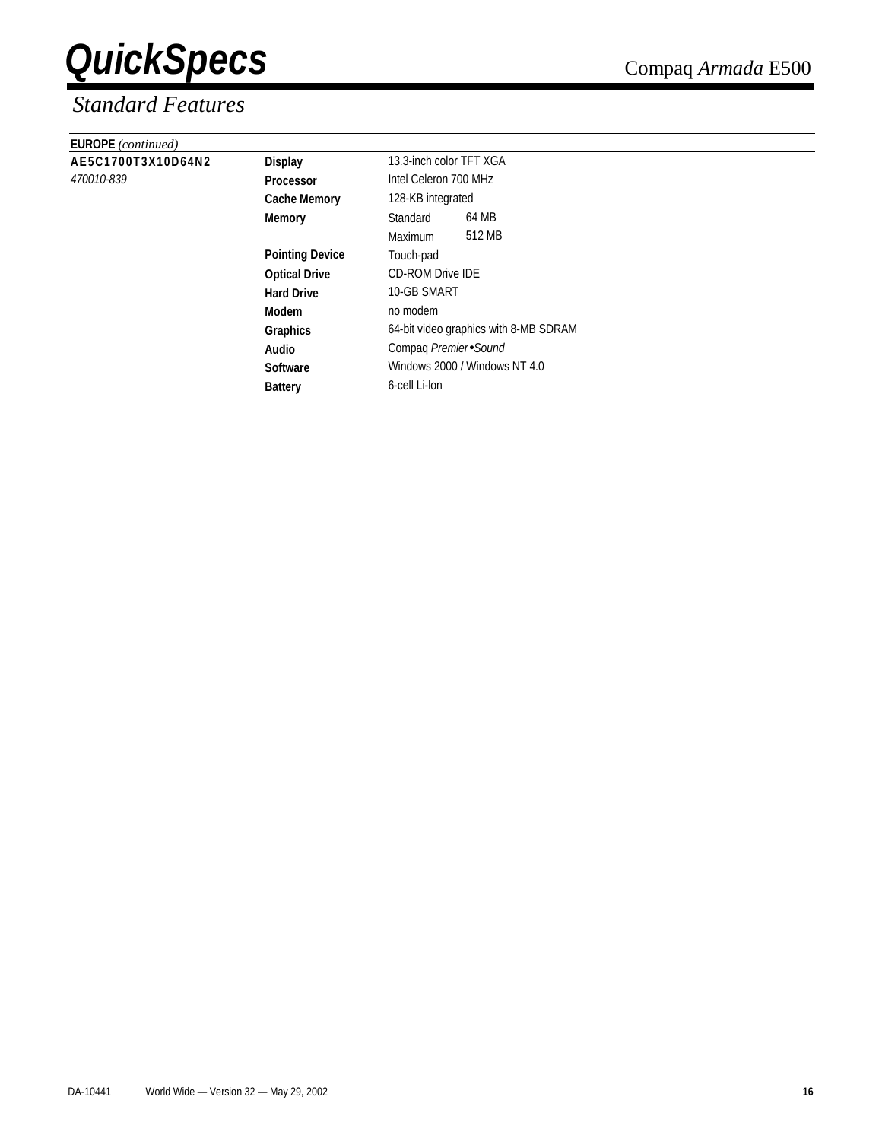| <b>EUROPE</b> (continued) |                        |                                       |  |  |  |
|---------------------------|------------------------|---------------------------------------|--|--|--|
| AE5C1700T3X10D64N2        | <b>Display</b>         | 13.3-inch color TFT XGA               |  |  |  |
| <i>470010-839</i>         | Processor              | Intel Celeron 700 MHz                 |  |  |  |
|                           | <b>Cache Memory</b>    | 128-KB integrated                     |  |  |  |
|                           | Memory                 | 64 MB<br>Standard                     |  |  |  |
|                           |                        | 512 MB<br><b>Maximum</b>              |  |  |  |
|                           | <b>Pointing Device</b> | Touch-pad                             |  |  |  |
|                           | <b>Optical Drive</b>   | <b>CD-ROM Drive IDE</b>               |  |  |  |
|                           | <b>Hard Drive</b>      | 10-GB SMART                           |  |  |  |
|                           | Modem                  | no modem                              |  |  |  |
|                           | Graphics               | 64-bit video graphics with 8-MB SDRAM |  |  |  |
|                           | Audio                  | Compaq Premier Sound                  |  |  |  |
|                           | <b>Software</b>        | Windows 2000 / Windows NT 4.0         |  |  |  |
|                           | <b>Battery</b>         | 6-cell Li-lon                         |  |  |  |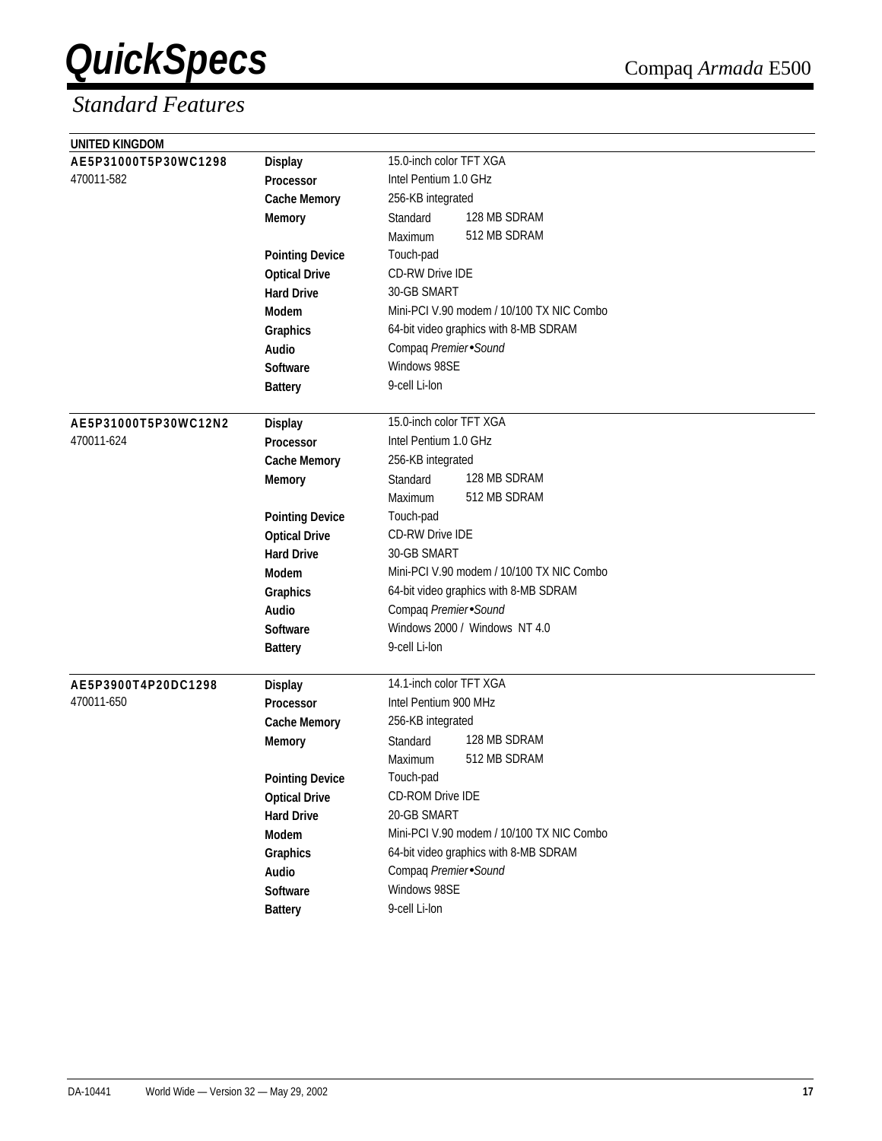| UNITED KINGDOM       |                        |                                           |
|----------------------|------------------------|-------------------------------------------|
| AE5P31000T5P30WC1298 | <b>Display</b>         | 15.0-inch color TFT XGA                   |
| 470011-582           | Processor              | Intel Pentium 1.0 GHz                     |
|                      | <b>Cache Memory</b>    | 256-KB integrated                         |
|                      | <b>Memory</b>          | 128 MB SDRAM<br>Standard                  |
|                      |                        | 512 MB SDRAM<br>Maximum                   |
|                      | <b>Pointing Device</b> | Touch-pad                                 |
|                      | <b>Optical Drive</b>   | <b>CD-RW Drive IDE</b>                    |
|                      | <b>Hard Drive</b>      | 30-GB SMART                               |
|                      | <b>Modem</b>           | Mini-PCI V.90 modem / 10/100 TX NIC Combo |
|                      | Graphics               | 64-bit video graphics with 8-MB SDRAM     |
|                      | Audio                  | Compaq Premier Sound                      |
|                      | <b>Software</b>        | Windows 98SE                              |
|                      | <b>Battery</b>         | 9-cell Li-lon                             |
|                      |                        |                                           |
| AE5P31000T5P30WC12N2 | <b>Display</b>         | 15.0-inch color TFT XGA                   |
| 470011-624           | Processor              | Intel Pentium 1.0 GHz                     |
|                      | <b>Cache Memory</b>    | 256-KB integrated                         |
|                      | <b>Memory</b>          | 128 MB SDRAM<br>Standard                  |
|                      |                        | 512 MB SDRAM<br>Maximum                   |
|                      | <b>Pointing Device</b> | Touch-pad                                 |
|                      | <b>Optical Drive</b>   | <b>CD-RW Drive IDE</b>                    |
|                      | <b>Hard Drive</b>      | 30-GB SMART                               |
|                      | <b>Modem</b>           | Mini-PCI V.90 modem / 10/100 TX NIC Combo |
|                      | Graphics               | 64-bit video graphics with 8-MB SDRAM     |
|                      | Audio                  | Compaq Premier Sound                      |
|                      | <b>Software</b>        | Windows 2000 / Windows NT 4.0             |
|                      | <b>Battery</b>         | 9-cell Li-lon                             |
|                      |                        |                                           |
| AE5P3900T4P20DC1298  | <b>Display</b>         | 14.1-inch color TFT XGA                   |
| 470011-650           | <b>Processor</b>       | Intel Pentium 900 MHz                     |
|                      | <b>Cache Memory</b>    | 256-KB integrated                         |
|                      | <b>Memory</b>          | 128 MB SDRAM<br>Standard                  |
|                      |                        | 512 MB SDRAM<br>Maximum                   |
|                      | <b>Pointing Device</b> | Touch-pad                                 |
|                      | <b>Optical Drive</b>   | CD-ROM Drive IDE                          |
|                      | <b>Hard Drive</b>      | 20-GB SMART                               |
|                      | Modem                  | Mini-PCI V.90 modem / 10/100 TX NIC Combo |
|                      | Graphics               | 64-bit video graphics with 8-MB SDRAM     |
|                      | Audio                  | Compaq Premier Sound                      |
|                      | Software               | Windows 98SE                              |
|                      | <b>Battery</b>         | 9-cell Li-lon                             |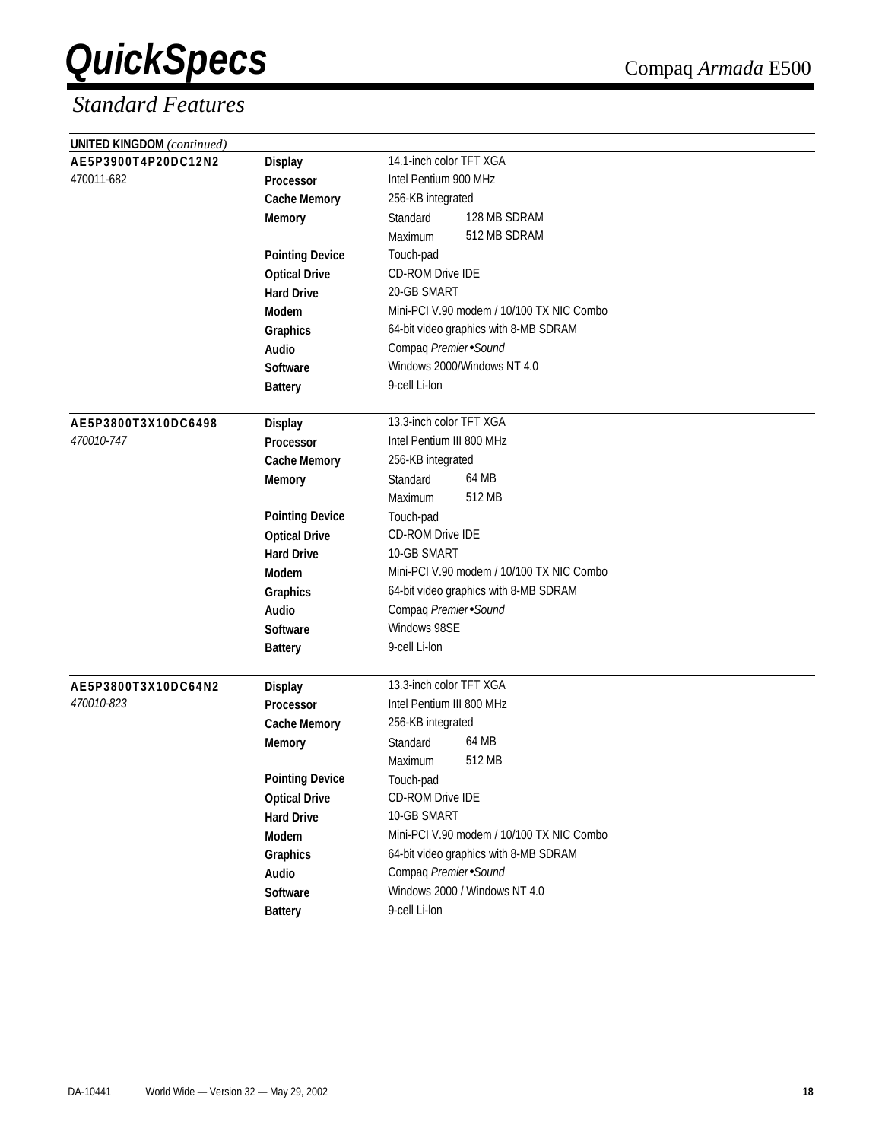| <b>UNITED KINGDOM</b> (continued) |                        |                                           |
|-----------------------------------|------------------------|-------------------------------------------|
| AE5P3900T4P20DC12N2               | <b>Display</b>         | 14.1-inch color TFT XGA                   |
| 470011-682                        | <b>Processor</b>       | Intel Pentium 900 MHz                     |
|                                   | <b>Cache Memory</b>    | 256-KB integrated                         |
|                                   | <b>Memory</b>          | 128 MB SDRAM<br>Standard                  |
|                                   |                        | 512 MB SDRAM<br>Maximum                   |
|                                   | <b>Pointing Device</b> | Touch-pad                                 |
|                                   | <b>Optical Drive</b>   | CD-ROM Drive IDE                          |
|                                   | <b>Hard Drive</b>      | 20-GB SMART                               |
|                                   | <b>Modem</b>           | Mini-PCI V.90 modem / 10/100 TX NIC Combo |
|                                   | Graphics               | 64-bit video graphics with 8-MB SDRAM     |
|                                   | Audio                  | Compaq Premier Sound                      |
|                                   | <b>Software</b>        | Windows 2000/Windows NT 4.0               |
|                                   | <b>Battery</b>         | 9-cell Li-lon                             |
| AE5P3800T3X10DC6498               | <b>Display</b>         | 13.3-inch color TFT XGA                   |
| 470010-747                        | Processor              | Intel Pentium III 800 MHz                 |
|                                   | <b>Cache Memory</b>    | 256-KB integrated                         |
|                                   | <b>Memory</b>          | 64 MB<br>Standard                         |
|                                   |                        | 512 MB<br>Maximum                         |
|                                   | <b>Pointing Device</b> | Touch-pad                                 |
|                                   | <b>Optical Drive</b>   | CD-ROM Drive IDE                          |
|                                   | <b>Hard Drive</b>      | 10-GB SMART                               |
|                                   | Modem                  | Mini-PCI V.90 modem / 10/100 TX NIC Combo |
|                                   | Graphics               | 64-bit video graphics with 8-MB SDRAM     |
|                                   | Audio                  | Compaq Premier Sound                      |
|                                   | Software               | Windows 98SE                              |
|                                   | <b>Battery</b>         | 9-cell Li-lon                             |
| AE5P3800T3X10DC64N2               | <b>Display</b>         | 13.3-inch color TFT XGA                   |
| 470010-823                        | <b>Processor</b>       | Intel Pentium III 800 MHz                 |
|                                   | <b>Cache Memory</b>    | 256-KB integrated                         |
|                                   | <b>Memory</b>          | 64 MB<br>Standard                         |
|                                   |                        | 512 MB<br>Maximum                         |
|                                   | <b>Pointing Device</b> | Touch-pad                                 |
|                                   | <b>Optical Drive</b>   | CD-ROM Drive IDE                          |
|                                   | <b>Hard Drive</b>      | 10-GB SMART                               |
|                                   | Modem                  | Mini-PCI V.90 modem / 10/100 TX NIC Combo |
|                                   | Graphics               | 64-bit video graphics with 8-MB SDRAM     |
|                                   | Audio                  | Compaq Premier Sound                      |
|                                   | Software               | Windows 2000 / Windows NT 4.0             |
|                                   | <b>Battery</b>         | 9-cell Li-lon                             |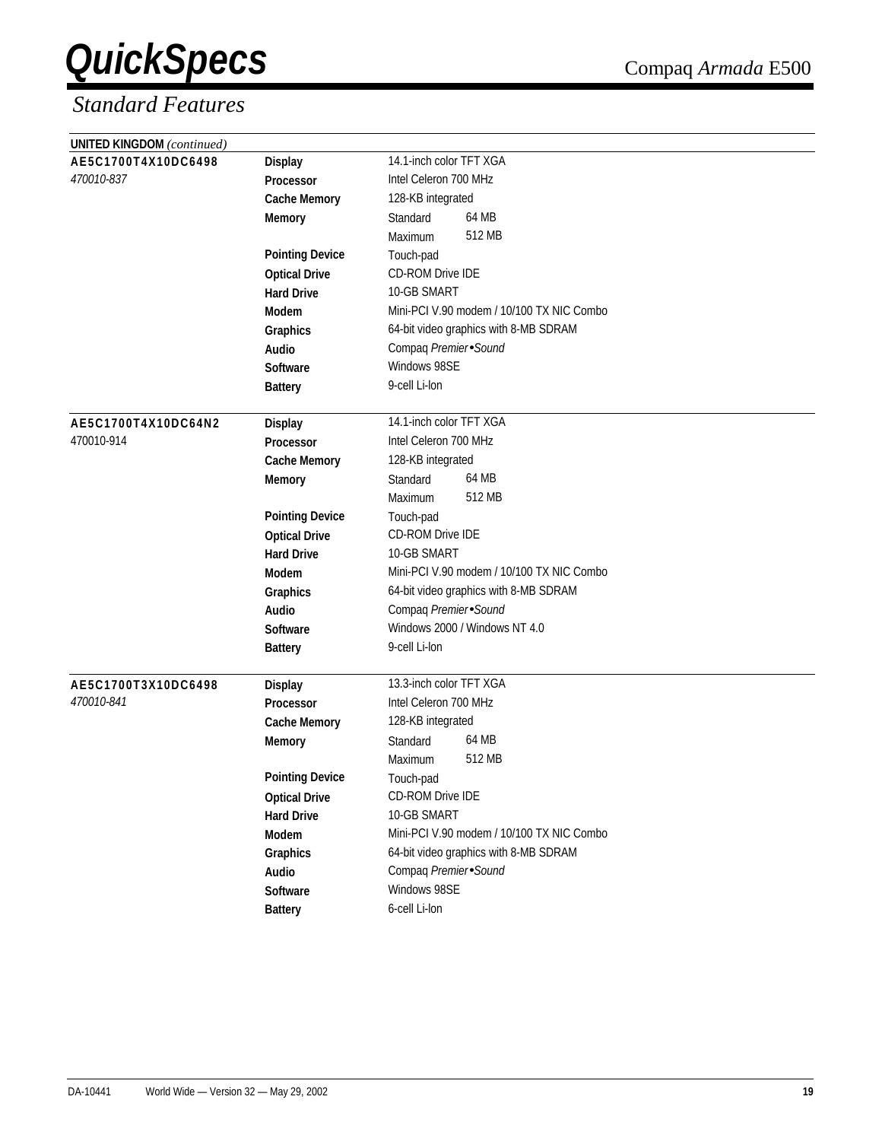| <b>UNITED KINGDOM</b> (continued) |                        |                                           |
|-----------------------------------|------------------------|-------------------------------------------|
| AE5C1700T4X10DC6498               | <b>Display</b>         | 14.1-inch color TFT XGA                   |
| 470010-837                        | <b>Processor</b>       | Intel Celeron 700 MHz                     |
|                                   | <b>Cache Memory</b>    | 128-KB integrated                         |
|                                   | <b>Memory</b>          | 64 MB<br>Standard                         |
|                                   |                        | 512 MB<br>Maximum                         |
|                                   | <b>Pointing Device</b> | Touch-pad                                 |
|                                   | <b>Optical Drive</b>   | CD-ROM Drive IDE                          |
|                                   | <b>Hard Drive</b>      | 10-GB SMART                               |
|                                   | Modem                  | Mini-PCI V.90 modem / 10/100 TX NIC Combo |
|                                   | Graphics               | 64-bit video graphics with 8-MB SDRAM     |
|                                   | Audio                  | Compaq Premier Sound                      |
|                                   | <b>Software</b>        | Windows 98SE                              |
|                                   | <b>Battery</b>         | 9-cell Li-lon                             |
|                                   |                        |                                           |
| AE5C1700T4X10DC64N2               | <b>Display</b>         | 14.1-inch color TFT XGA                   |
| 470010-914                        | Processor              | Intel Celeron 700 MHz                     |
|                                   | <b>Cache Memory</b>    | 128-KB integrated                         |
|                                   | <b>Memory</b>          | 64 MB<br>Standard                         |
|                                   |                        | 512 MB<br>Maximum                         |
|                                   | <b>Pointing Device</b> | Touch-pad                                 |
|                                   | <b>Optical Drive</b>   | CD-ROM Drive IDE                          |
|                                   | <b>Hard Drive</b>      | 10-GB SMART                               |
|                                   | Modem                  | Mini-PCI V.90 modem / 10/100 TX NIC Combo |
|                                   | Graphics               | 64-bit video graphics with 8-MB SDRAM     |
|                                   | Audio                  | Compaq Premier Sound                      |
|                                   | Software               | Windows 2000 / Windows NT 4.0             |
|                                   | <b>Battery</b>         | 9-cell Li-lon                             |
| AE5C1700T3X10DC6498               | <b>Display</b>         | 13.3-inch color TFT XGA                   |
| 470010-841                        | <b>Processor</b>       | Intel Celeron 700 MHz                     |
|                                   | <b>Cache Memory</b>    | 128-KB integrated                         |
|                                   | <b>Memory</b>          | 64 MB<br>Standard                         |
|                                   |                        | 512 MB<br>Maximum                         |
|                                   | <b>Pointing Device</b> | Touch-pad                                 |
|                                   | <b>Optical Drive</b>   | CD-ROM Drive IDE                          |
|                                   | <b>Hard Drive</b>      | 10-GB SMART                               |
|                                   | Modem                  | Mini-PCI V.90 modem / 10/100 TX NIC Combo |
|                                   | Graphics               | 64-bit video graphics with 8-MB SDRAM     |
|                                   | Audio                  | Compaq Premier Sound                      |
|                                   | Software               | Windows 98SE                              |
|                                   | <b>Battery</b>         | 6-cell Li-lon                             |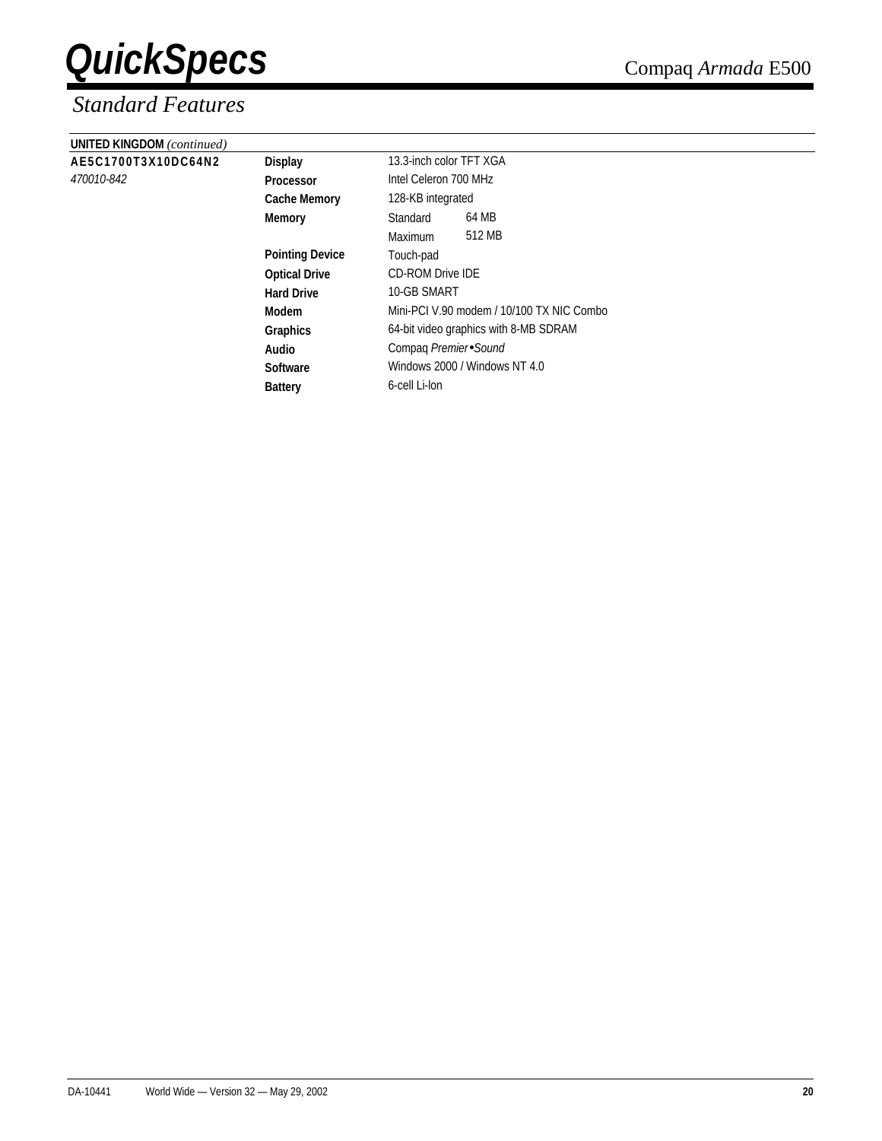| <b>UNITED KINGDOM</b> (continued) |                        |                                           |        |  |
|-----------------------------------|------------------------|-------------------------------------------|--------|--|
| AE5C1700T3X10DC64N2               | <b>Display</b>         | 13.3-inch color TFT XGA                   |        |  |
| 470010-842                        | <b>Processor</b>       | Intel Celeron 700 MHz                     |        |  |
|                                   | <b>Cache Memory</b>    | 128-KB integrated                         |        |  |
|                                   | <b>Memory</b>          | Standard                                  | 64 MB  |  |
|                                   |                        | Maximum                                   | 512 MB |  |
|                                   | <b>Pointing Device</b> | Touch-pad                                 |        |  |
|                                   | <b>Optical Drive</b>   | <b>CD-ROM Drive IDE</b>                   |        |  |
|                                   | <b>Hard Drive</b>      | 10-GB SMART                               |        |  |
|                                   | Modem                  | Mini-PCI V.90 modem / 10/100 TX NIC Combo |        |  |
|                                   | <b>Graphics</b>        | 64-bit video graphics with 8-MB SDRAM     |        |  |
|                                   | Audio                  | Compag Premier Sound                      |        |  |
|                                   | <b>Software</b>        | Windows 2000 / Windows NT 4.0             |        |  |
|                                   | <b>Battery</b>         | 6-cell Li-lon                             |        |  |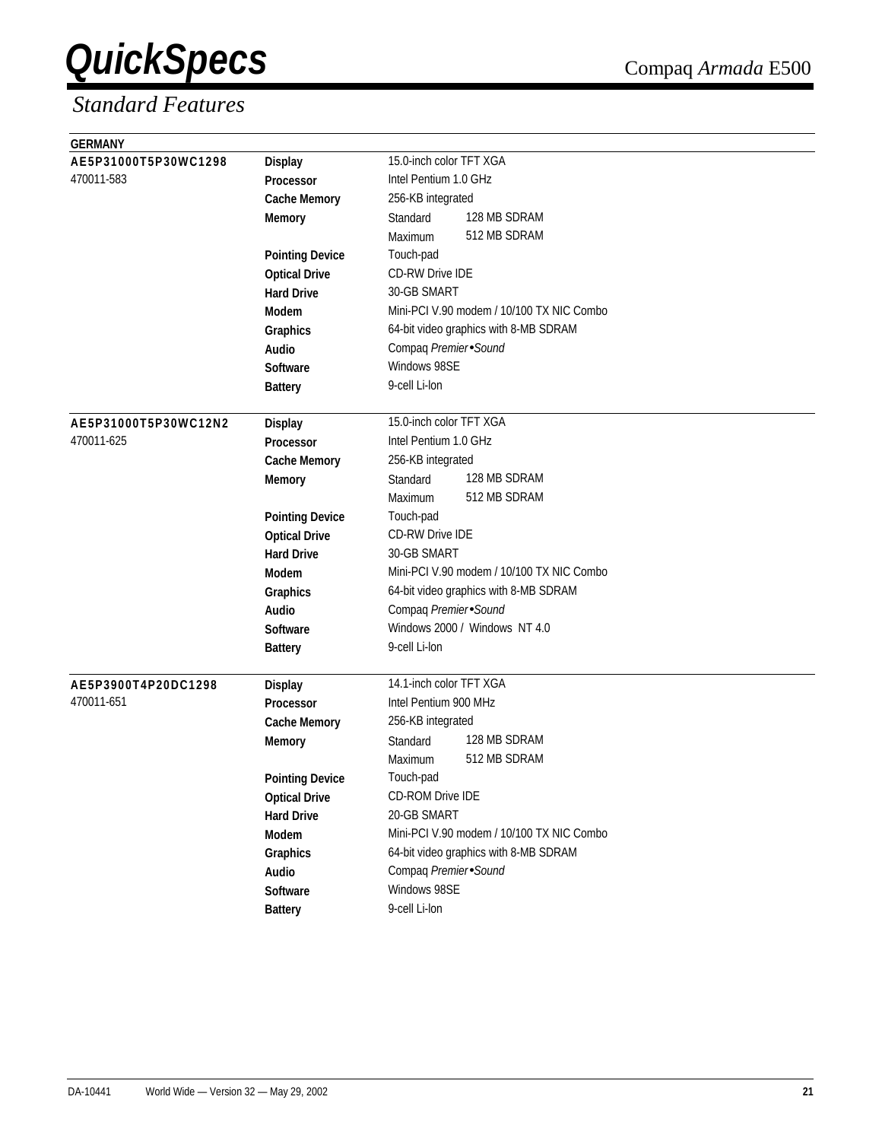| <b>GERMANY</b>       |                        |                                           |
|----------------------|------------------------|-------------------------------------------|
| AE5P31000T5P30WC1298 | <b>Display</b>         | 15.0-inch color TFT XGA                   |
| 470011-583           | Processor              | Intel Pentium 1.0 GHz                     |
|                      | <b>Cache Memory</b>    | 256-KB integrated                         |
|                      | <b>Memory</b>          | 128 MB SDRAM<br>Standard                  |
|                      |                        | 512 MB SDRAM<br>Maximum                   |
|                      | <b>Pointing Device</b> | Touch-pad                                 |
|                      | <b>Optical Drive</b>   | <b>CD-RW Drive IDE</b>                    |
|                      | <b>Hard Drive</b>      | 30-GB SMART                               |
|                      | <b>Modem</b>           | Mini-PCI V.90 modem / 10/100 TX NIC Combo |
|                      | Graphics               | 64-bit video graphics with 8-MB SDRAM     |
|                      | Audio                  | Compaq Premier Sound                      |
|                      | <b>Software</b>        | Windows 98SE                              |
|                      | <b>Battery</b>         | 9-cell Li-lon                             |
|                      |                        |                                           |
| AE5P31000T5P30WC12N2 | <b>Display</b>         | 15.0-inch color TFT XGA                   |
| 470011-625           | Processor              | Intel Pentium 1.0 GHz                     |
|                      | <b>Cache Memory</b>    | 256-KB integrated                         |
|                      | <b>Memory</b>          | 128 MB SDRAM<br>Standard                  |
|                      |                        | 512 MB SDRAM<br>Maximum                   |
|                      | <b>Pointing Device</b> | Touch-pad                                 |
|                      | <b>Optical Drive</b>   | <b>CD-RW Drive IDE</b>                    |
|                      | <b>Hard Drive</b>      | 30-GB SMART                               |
|                      | <b>Modem</b>           | Mini-PCI V.90 modem / 10/100 TX NIC Combo |
|                      | Graphics               | 64-bit video graphics with 8-MB SDRAM     |
|                      | <b>Audio</b>           | Compaq Premier Sound                      |
|                      | <b>Software</b>        | Windows 2000 / Windows NT 4.0             |
|                      | <b>Battery</b>         | 9-cell Li-lon                             |
|                      |                        |                                           |
| AE5P3900T4P20DC1298  | <b>Display</b>         | 14.1-inch color TFT XGA                   |
| 470011-651           | <b>Processor</b>       | Intel Pentium 900 MHz                     |
|                      | <b>Cache Memory</b>    | 256-KB integrated                         |
|                      | <b>Memory</b>          | 128 MB SDRAM<br>Standard                  |
|                      |                        | 512 MB SDRAM<br>Maximum                   |
|                      | <b>Pointing Device</b> | Touch-pad                                 |
|                      | <b>Optical Drive</b>   | CD-ROM Drive IDE                          |
|                      | <b>Hard Drive</b>      | 20-GB SMART                               |
|                      | Modem                  | Mini-PCI V.90 modem / 10/100 TX NIC Combo |
|                      | <b>Graphics</b>        | 64-bit video graphics with 8-MB SDRAM     |
|                      | Audio                  | Compaq Premier Sound                      |
|                      | Software               | Windows 98SE                              |
|                      | <b>Battery</b>         | 9-cell Li-lon                             |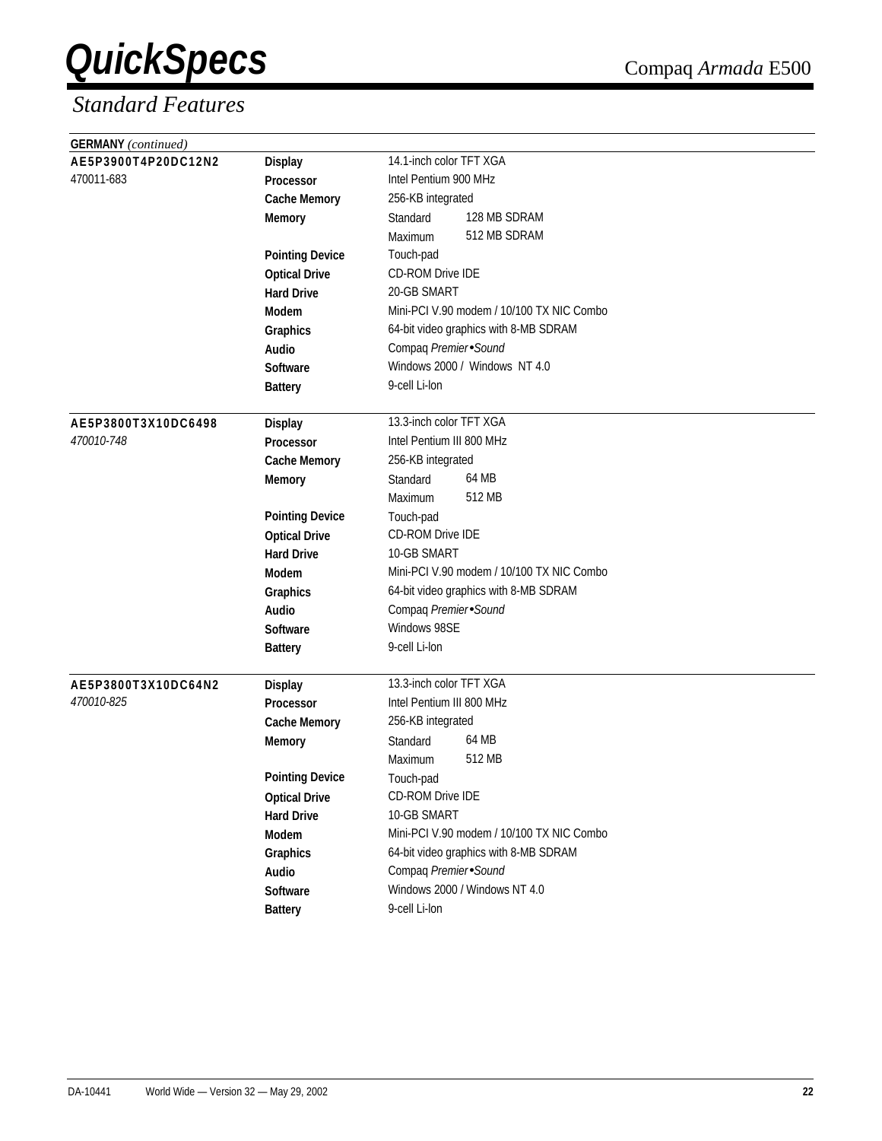| <b>GERMANY</b> (continued) |                        |                                           |
|----------------------------|------------------------|-------------------------------------------|
| AE5P3900T4P20DC12N2        | <b>Display</b>         | 14.1-inch color TFT XGA                   |
| 470011-683                 | Processor              | Intel Pentium 900 MHz                     |
|                            | <b>Cache Memory</b>    | 256-KB integrated                         |
|                            | <b>Memory</b>          | 128 MB SDRAM<br>Standard                  |
|                            |                        | 512 MB SDRAM<br>Maximum                   |
|                            | <b>Pointing Device</b> | Touch-pad                                 |
|                            | <b>Optical Drive</b>   | CD-ROM Drive IDE                          |
|                            | <b>Hard Drive</b>      | 20-GB SMART                               |
|                            | <b>Modem</b>           | Mini-PCI V.90 modem / 10/100 TX NIC Combo |
|                            | Graphics               | 64-bit video graphics with 8-MB SDRAM     |
|                            | Audio                  | Compaq Premier Sound                      |
|                            | <b>Software</b>        | Windows 2000 / Windows NT 4.0             |
|                            | <b>Battery</b>         | 9-cell Li-lon                             |
|                            |                        |                                           |
| AE5P3800T3X10DC6498        | <b>Display</b>         | 13.3-inch color TFT XGA                   |
| 470010-748                 | Processor              | Intel Pentium III 800 MHz                 |
|                            | <b>Cache Memory</b>    | 256-KB integrated                         |
|                            | <b>Memory</b>          | 64 MB<br>Standard                         |
|                            |                        | 512 MB<br>Maximum                         |
|                            | <b>Pointing Device</b> | Touch-pad                                 |
|                            | <b>Optical Drive</b>   | CD-ROM Drive IDE                          |
|                            | <b>Hard Drive</b>      | 10-GB SMART                               |
|                            | <b>Modem</b>           | Mini-PCI V.90 modem / 10/100 TX NIC Combo |
|                            | Graphics               | 64-bit video graphics with 8-MB SDRAM     |
|                            | <b>Audio</b>           | Compaq Premier Sound                      |
|                            | <b>Software</b>        | Windows 98SE                              |
|                            | <b>Battery</b>         | 9-cell Li-lon                             |
|                            |                        |                                           |
| AE5P3800T3X10DC64N2        | <b>Display</b>         | 13.3-inch color TFT XGA                   |
| 470010-825                 | <b>Processor</b>       | Intel Pentium III 800 MHz                 |
|                            | <b>Cache Memory</b>    | 256-KB integrated                         |
|                            | <b>Memory</b>          | 64 MB<br>Standard                         |
|                            |                        | 512 MB<br>Maximum                         |
|                            | <b>Pointing Device</b> | Touch-pad                                 |
|                            | <b>Optical Drive</b>   | CD-ROM Drive IDE                          |
|                            | <b>Hard Drive</b>      | 10-GB SMART                               |
|                            | Modem                  | Mini-PCI V.90 modem / 10/100 TX NIC Combo |
|                            | Graphics               | 64-bit video graphics with 8-MB SDRAM     |
|                            | Audio                  | Compaq Premier Sound                      |
|                            | Software               | Windows 2000 / Windows NT 4.0             |
|                            | <b>Battery</b>         | 9-cell Li-lon                             |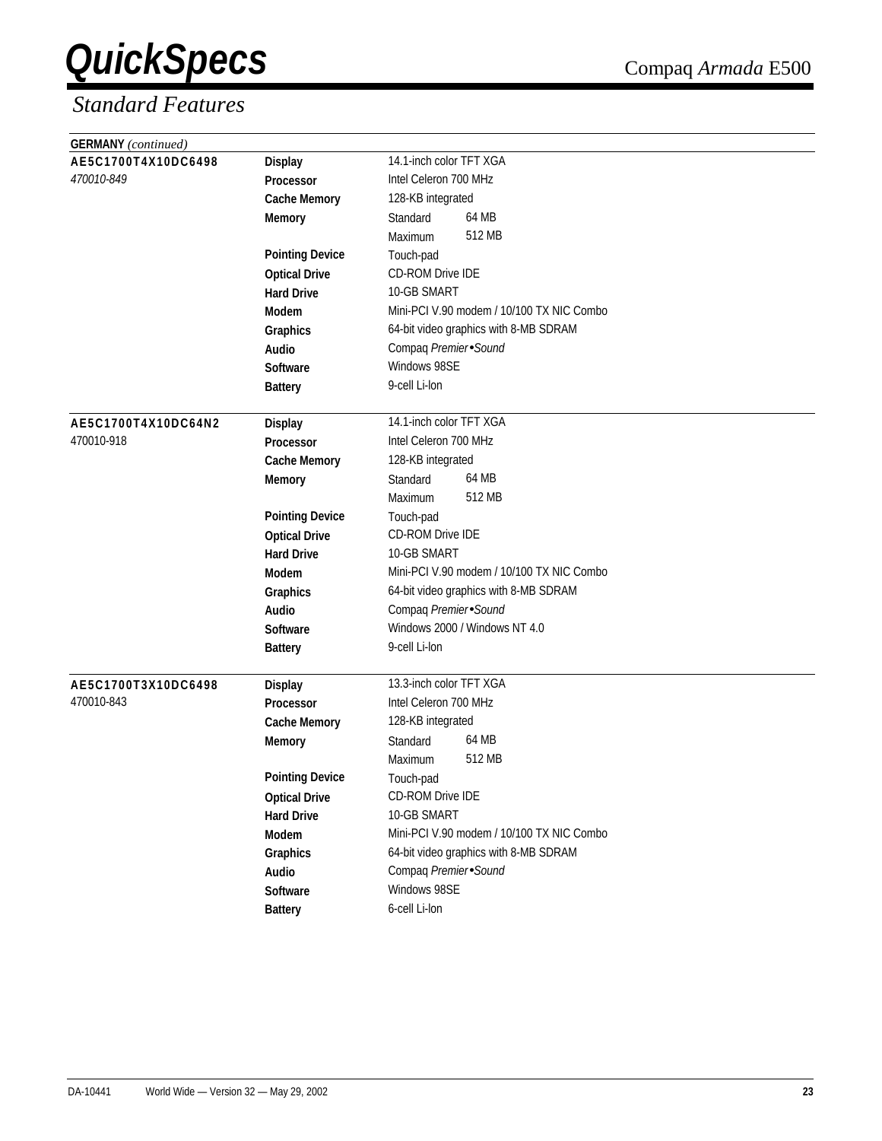| <b>GERMANY</b> (continued) |                        |                                           |
|----------------------------|------------------------|-------------------------------------------|
| AE5C1700T4X10DC6498        | <b>Display</b>         | 14.1-inch color TFT XGA                   |
| 470010-849                 | Processor              | Intel Celeron 700 MHz                     |
|                            | <b>Cache Memory</b>    | 128-KB integrated                         |
|                            | <b>Memory</b>          | 64 MB<br>Standard                         |
|                            |                        | 512 MB<br>Maximum                         |
|                            | <b>Pointing Device</b> | Touch-pad                                 |
|                            | <b>Optical Drive</b>   | CD-ROM Drive IDE                          |
|                            | <b>Hard Drive</b>      | 10-GB SMART                               |
|                            | Modem                  | Mini-PCI V.90 modem / 10/100 TX NIC Combo |
|                            | Graphics               | 64-bit video graphics with 8-MB SDRAM     |
|                            | Audio                  | Compaq Premier Sound                      |
|                            | <b>Software</b>        | Windows 98SE                              |
|                            | <b>Battery</b>         | 9-cell Li-lon                             |
|                            |                        |                                           |
| AE5C1700T4X10DC64N2        | <b>Display</b>         | 14.1-inch color TFT XGA                   |
| 470010-918                 | Processor              | Intel Celeron 700 MHz                     |
|                            | <b>Cache Memory</b>    | 128-KB integrated                         |
|                            | <b>Memory</b>          | 64 MB<br>Standard                         |
|                            |                        | 512 MB<br>Maximum                         |
|                            | <b>Pointing Device</b> | Touch-pad                                 |
|                            | <b>Optical Drive</b>   | <b>CD-ROM Drive IDE</b>                   |
|                            | <b>Hard Drive</b>      | 10-GB SMART                               |
|                            | <b>Modem</b>           | Mini-PCI V.90 modem / 10/100 TX NIC Combo |
|                            | Graphics               | 64-bit video graphics with 8-MB SDRAM     |
|                            | <b>Audio</b>           | Compaq Premier Sound                      |
|                            | <b>Software</b>        | Windows 2000 / Windows NT 4.0             |
|                            | <b>Battery</b>         | 9-cell Li-lon                             |
|                            |                        |                                           |
| AE5C1700T3X10DC6498        | <b>Display</b>         | 13.3-inch color TFT XGA                   |
| 470010-843                 | <b>Processor</b>       | Intel Celeron 700 MHz                     |
|                            | <b>Cache Memory</b>    | 128-KB integrated                         |
|                            | <b>Memory</b>          | 64 MB<br>Standard                         |
|                            |                        | 512 MB<br>Maximum                         |
|                            | <b>Pointing Device</b> | Touch-pad                                 |
|                            | <b>Optical Drive</b>   | CD-ROM Drive IDE                          |
|                            | <b>Hard Drive</b>      | 10-GB SMART                               |
|                            | Modem                  | Mini-PCI V.90 modem / 10/100 TX NIC Combo |
|                            | Graphics               | 64-bit video graphics with 8-MB SDRAM     |
|                            | Audio                  | Compaq Premier Sound                      |
|                            | Software               | Windows 98SE                              |
|                            | <b>Battery</b>         | 6-cell Li-lon                             |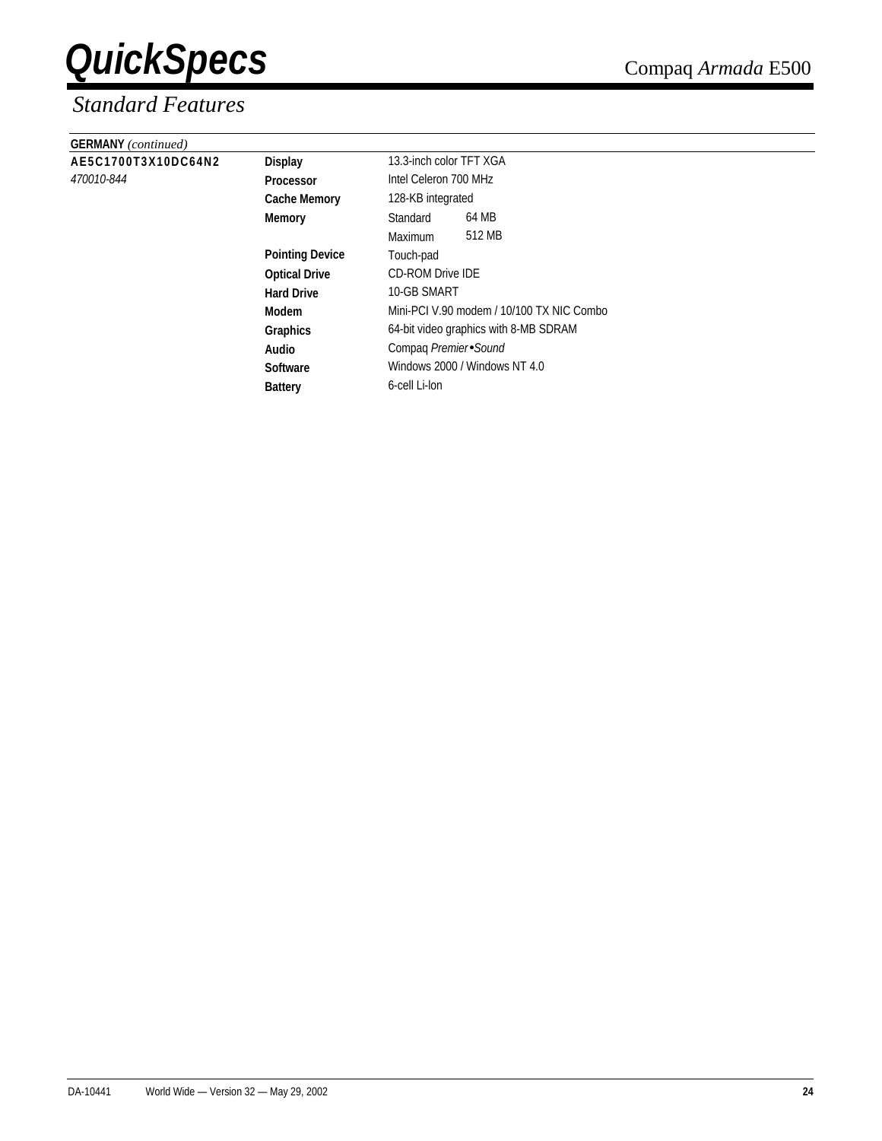| <b>GERMANY</b> (continued) |                        |                                           |        |  |
|----------------------------|------------------------|-------------------------------------------|--------|--|
| AE5C1700T3X10DC64N2        | <b>Display</b>         | 13.3-inch color TFT XGA                   |        |  |
| 470010-844                 | <b>Processor</b>       | Intel Celeron 700 MHz                     |        |  |
|                            | <b>Cache Memory</b>    | 128-KB integrated                         |        |  |
|                            | <b>Memory</b>          | Standard                                  | 64 MB  |  |
|                            |                        | Maximum                                   | 512 MB |  |
|                            | <b>Pointing Device</b> | Touch-pad                                 |        |  |
|                            | <b>Optical Drive</b>   | <b>CD-ROM Drive IDE</b>                   |        |  |
|                            | <b>Hard Drive</b>      | 10-GB SMART                               |        |  |
|                            | Modem                  | Mini-PCI V.90 modem / 10/100 TX NIC Combo |        |  |
|                            | Graphics               | 64-bit video graphics with 8-MB SDRAM     |        |  |
|                            | Audio                  | Compaq Premier Sound                      |        |  |
|                            | <b>Software</b>        | Windows 2000 / Windows NT 4.0             |        |  |
|                            | <b>Battery</b>         | 6-cell Li-lon                             |        |  |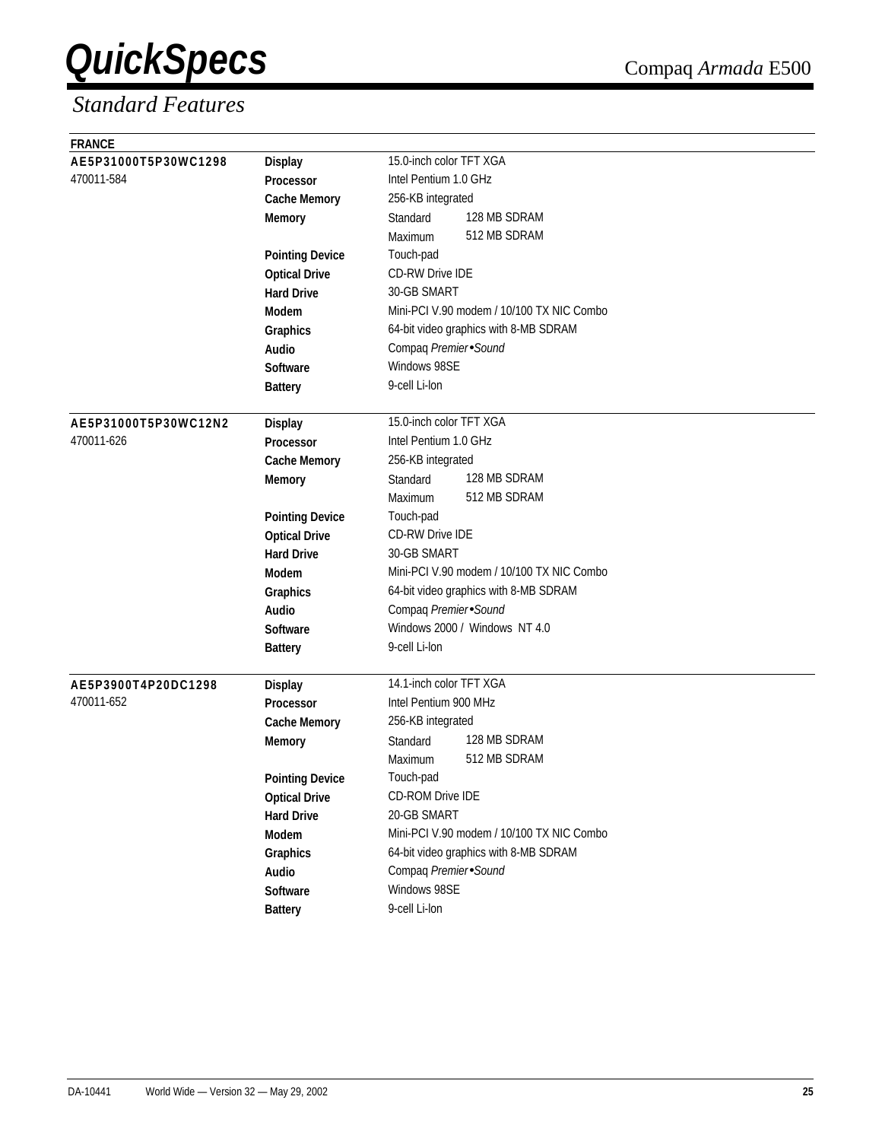| <b>FRANCE</b>        |                        |                                           |
|----------------------|------------------------|-------------------------------------------|
| AE5P31000T5P30WC1298 | <b>Display</b>         | 15.0-inch color TFT XGA                   |
| 470011-584           | Processor              | Intel Pentium 1.0 GHz                     |
|                      | <b>Cache Memory</b>    | 256-KB integrated                         |
|                      | <b>Memory</b>          | 128 MB SDRAM<br>Standard                  |
|                      |                        | 512 MB SDRAM<br>Maximum                   |
|                      | <b>Pointing Device</b> | Touch-pad                                 |
|                      | <b>Optical Drive</b>   | <b>CD-RW Drive IDE</b>                    |
|                      | <b>Hard Drive</b>      | 30-GB SMART                               |
|                      | <b>Modem</b>           | Mini-PCI V.90 modem / 10/100 TX NIC Combo |
|                      | Graphics               | 64-bit video graphics with 8-MB SDRAM     |
|                      | Audio                  | Compaq Premier Sound                      |
|                      | Software               | Windows 98SE                              |
|                      | <b>Battery</b>         | 9-cell Li-lon                             |
|                      |                        |                                           |
| AE5P31000T5P30WC12N2 | <b>Display</b>         | 15.0-inch color TFT XGA                   |
| 470011-626           | <b>Processor</b>       | Intel Pentium 1.0 GHz                     |
|                      | <b>Cache Memory</b>    | 256-KB integrated                         |
|                      | <b>Memory</b>          | 128 MB SDRAM<br>Standard                  |
|                      |                        | 512 MB SDRAM<br>Maximum                   |
|                      | <b>Pointing Device</b> | Touch-pad                                 |
|                      | <b>Optical Drive</b>   | <b>CD-RW Drive IDE</b>                    |
|                      | <b>Hard Drive</b>      | 30-GB SMART                               |
|                      | <b>Modem</b>           | Mini-PCI V.90 modem / 10/100 TX NIC Combo |
|                      | Graphics               | 64-bit video graphics with 8-MB SDRAM     |
|                      | Audio                  | Compaq Premier Sound                      |
|                      | Software               | Windows 2000 / Windows NT 4.0             |
|                      | <b>Battery</b>         | 9-cell Li-lon                             |
| AE5P3900T4P20DC1298  | <b>Display</b>         | 14.1-inch color TFT XGA                   |
| 470011-652           | <b>Processor</b>       | Intel Pentium 900 MHz                     |
|                      | <b>Cache Memory</b>    | 256-KB integrated                         |
|                      | <b>Memory</b>          | 128 MB SDRAM<br>Standard                  |
|                      |                        | 512 MB SDRAM<br>Maximum                   |
|                      | <b>Pointing Device</b> | Touch-pad                                 |
|                      | <b>Optical Drive</b>   | CD-ROM Drive IDE                          |
|                      | <b>Hard Drive</b>      | 20-GB SMART                               |
|                      | Modem                  | Mini-PCI V.90 modem / 10/100 TX NIC Combo |
|                      | Graphics               | 64-bit video graphics with 8-MB SDRAM     |
|                      | Audio                  | Compaq Premier Sound                      |
|                      | Software               | Windows 98SE                              |
|                      | <b>Battery</b>         | 9-cell Li-lon                             |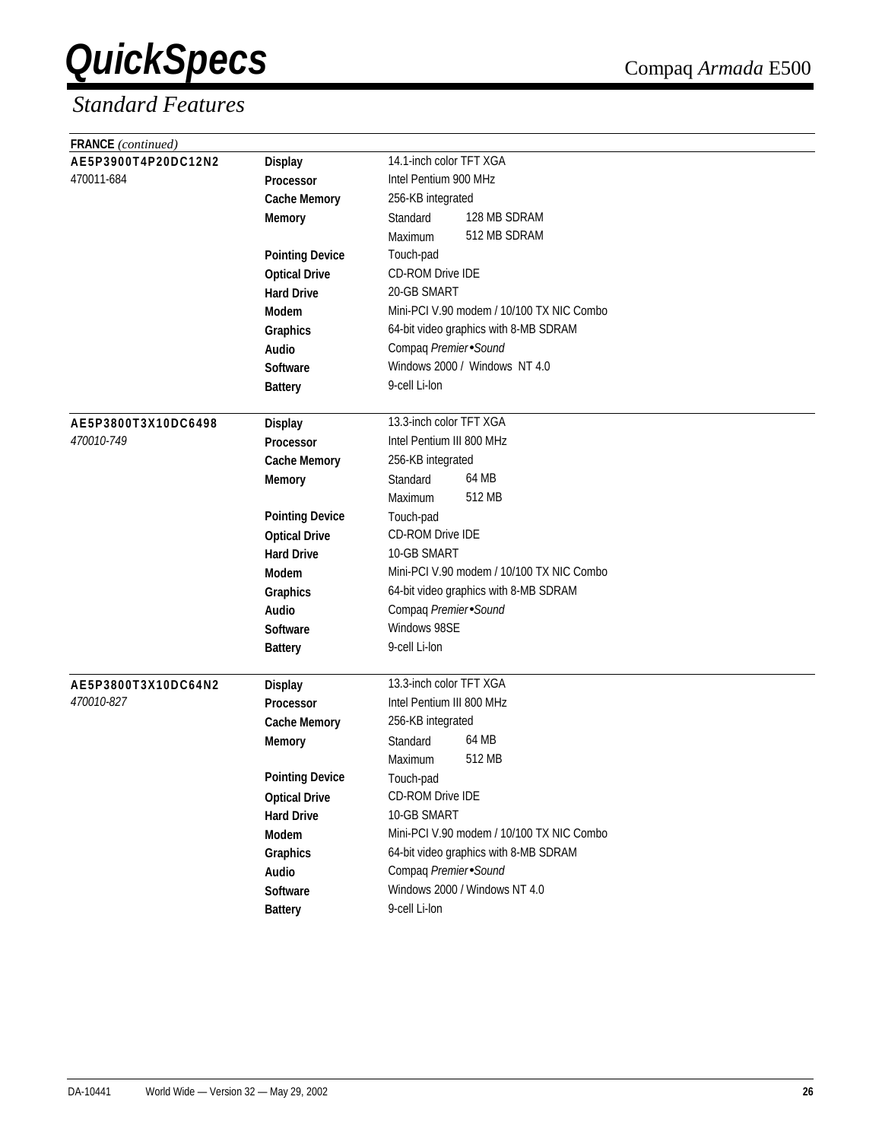| <b>FRANCE</b> (continued) |                        |                                           |  |  |
|---------------------------|------------------------|-------------------------------------------|--|--|
| AE5P3900T4P20DC12N2       | <b>Display</b>         | 14.1-inch color TFT XGA                   |  |  |
| 470011-684                | Processor              | Intel Pentium 900 MHz                     |  |  |
|                           | <b>Cache Memory</b>    | 256-KB integrated                         |  |  |
|                           | <b>Memory</b>          | 128 MB SDRAM<br>Standard                  |  |  |
|                           |                        | 512 MB SDRAM<br>Maximum                   |  |  |
|                           | <b>Pointing Device</b> | Touch-pad                                 |  |  |
|                           | <b>Optical Drive</b>   | <b>CD-ROM Drive IDE</b>                   |  |  |
|                           | <b>Hard Drive</b>      | 20-GB SMART                               |  |  |
|                           | <b>Modem</b>           | Mini-PCI V.90 modem / 10/100 TX NIC Combo |  |  |
|                           | Graphics               | 64-bit video graphics with 8-MB SDRAM     |  |  |
|                           | Audio                  | Compaq Premier Sound                      |  |  |
|                           | <b>Software</b>        | Windows 2000 / Windows NT 4.0             |  |  |
|                           | <b>Battery</b>         | 9-cell Li-lon                             |  |  |
|                           |                        |                                           |  |  |
| AE5P3800T3X10DC6498       | <b>Display</b>         | 13.3-inch color TFT XGA                   |  |  |
| 470010-749                | Processor              | Intel Pentium III 800 MHz                 |  |  |
|                           | <b>Cache Memory</b>    | 256-KB integrated                         |  |  |
|                           | <b>Memory</b>          | 64 MB<br>Standard                         |  |  |
|                           |                        | 512 MB<br>Maximum                         |  |  |
|                           | <b>Pointing Device</b> | Touch-pad                                 |  |  |
|                           | <b>Optical Drive</b>   | CD-ROM Drive IDE                          |  |  |
|                           | <b>Hard Drive</b>      | 10-GB SMART                               |  |  |
|                           | <b>Modem</b>           | Mini-PCI V.90 modem / 10/100 TX NIC Combo |  |  |
|                           | Graphics               | 64-bit video graphics with 8-MB SDRAM     |  |  |
|                           | Audio                  | Compaq Premier Sound                      |  |  |
|                           | <b>Software</b>        | Windows 98SE                              |  |  |
|                           | <b>Battery</b>         | 9-cell Li-lon                             |  |  |
|                           |                        |                                           |  |  |
| AE5P3800T3X10DC64N2       | <b>Display</b>         | 13.3-inch color TFT XGA                   |  |  |
| 470010-827                | <b>Processor</b>       | Intel Pentium III 800 MHz                 |  |  |
|                           | <b>Cache Memory</b>    | 256-KB integrated                         |  |  |
|                           | <b>Memory</b>          | 64 MB<br>Standard                         |  |  |
|                           |                        | 512 MB<br>Maximum                         |  |  |
|                           | <b>Pointing Device</b> | Touch-pad                                 |  |  |
|                           | <b>Optical Drive</b>   | CD-ROM Drive IDE                          |  |  |
|                           | <b>Hard Drive</b>      | 10-GB SMART                               |  |  |
|                           | Modem                  | Mini-PCI V.90 modem / 10/100 TX NIC Combo |  |  |
|                           | Graphics               | 64-bit video graphics with 8-MB SDRAM     |  |  |
|                           | Audio                  | Compaq Premier Sound                      |  |  |
|                           | Software               | Windows 2000 / Windows NT 4.0             |  |  |
|                           | <b>Battery</b>         | 9-cell Li-lon                             |  |  |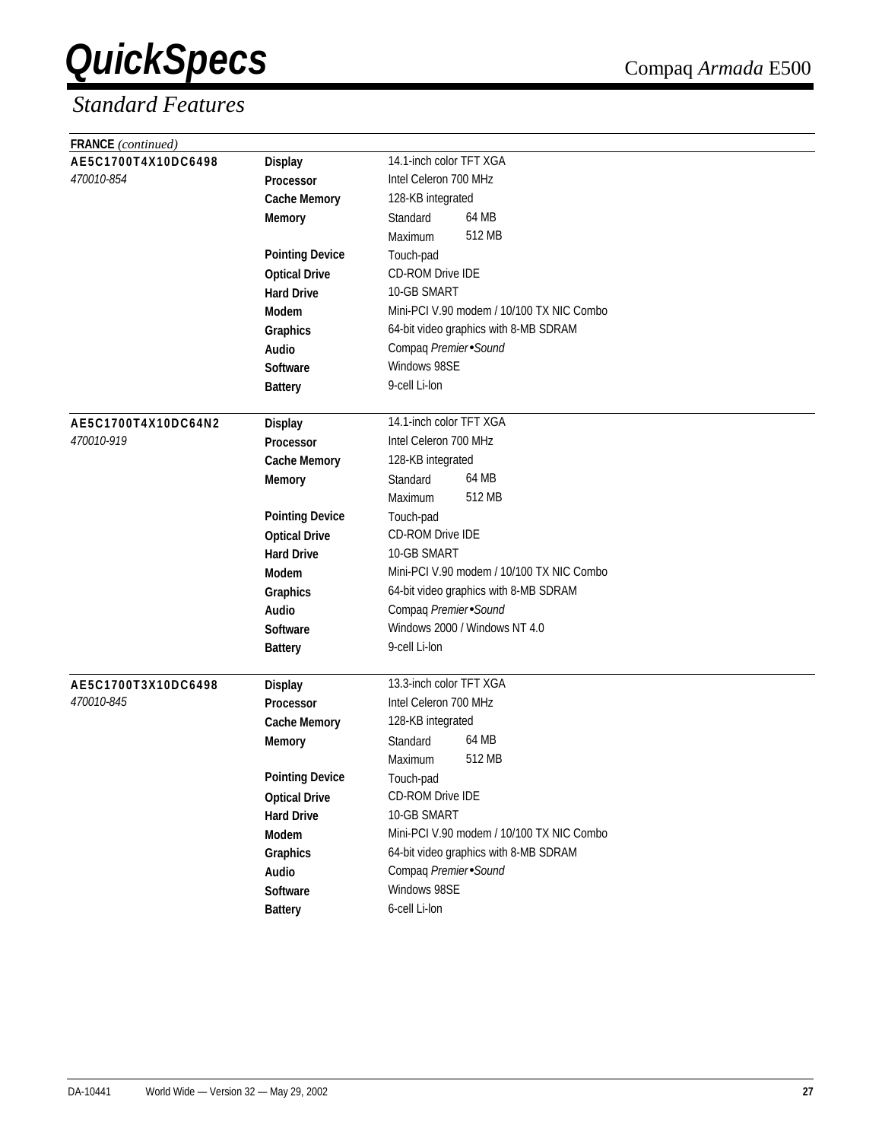| <b>FRANCE</b> (continued) |                                    |                                           |  |  |  |  |
|---------------------------|------------------------------------|-------------------------------------------|--|--|--|--|
| AE5C1700T4X10DC6498       | <b>Display</b>                     | 14.1-inch color TFT XGA                   |  |  |  |  |
| 470010-854                | Processor                          | Intel Celeron 700 MHz                     |  |  |  |  |
|                           | <b>Cache Memory</b>                | 128-KB integrated                         |  |  |  |  |
|                           | <b>Memory</b>                      | 64 MB<br>Standard                         |  |  |  |  |
|                           |                                    | 512 MB<br>Maximum                         |  |  |  |  |
|                           | <b>Pointing Device</b>             | Touch-pad                                 |  |  |  |  |
|                           | <b>Optical Drive</b>               | CD-ROM Drive IDE                          |  |  |  |  |
|                           | <b>Hard Drive</b>                  | 10-GB SMART                               |  |  |  |  |
|                           | Modem                              | Mini-PCI V.90 modem / 10/100 TX NIC Combo |  |  |  |  |
|                           | Graphics                           | 64-bit video graphics with 8-MB SDRAM     |  |  |  |  |
|                           | Audio                              | Compaq Premier Sound                      |  |  |  |  |
|                           | <b>Software</b>                    | Windows 98SE                              |  |  |  |  |
|                           | <b>Battery</b>                     | 9-cell Li-lon                             |  |  |  |  |
|                           |                                    |                                           |  |  |  |  |
| AE5C1700T4X10DC64N2       | <b>Display</b>                     | 14.1-inch color TFT XGA                   |  |  |  |  |
| 470010-919                | Processor                          | Intel Celeron 700 MHz                     |  |  |  |  |
|                           | <b>Cache Memory</b>                | 128-KB integrated                         |  |  |  |  |
|                           | <b>Memory</b>                      | 64 MB<br>Standard                         |  |  |  |  |
|                           |                                    | 512 MB<br>Maximum                         |  |  |  |  |
|                           | <b>Pointing Device</b>             | Touch-pad                                 |  |  |  |  |
|                           | <b>Optical Drive</b>               | <b>CD-ROM Drive IDE</b>                   |  |  |  |  |
|                           | <b>Hard Drive</b>                  | 10-GB SMART                               |  |  |  |  |
|                           | <b>Modem</b>                       | Mini-PCI V.90 modem / 10/100 TX NIC Combo |  |  |  |  |
|                           | Graphics                           | 64-bit video graphics with 8-MB SDRAM     |  |  |  |  |
|                           | <b>Audio</b>                       | Compaq Premier Sound                      |  |  |  |  |
|                           | <b>Software</b>                    | Windows 2000 / Windows NT 4.0             |  |  |  |  |
|                           | <b>Battery</b>                     | 9-cell Li-lon                             |  |  |  |  |
| AE5C1700T3X10DC6498       |                                    | 13.3-inch color TFT XGA                   |  |  |  |  |
| 470010-845                | <b>Display</b><br><b>Processor</b> | Intel Celeron 700 MHz                     |  |  |  |  |
|                           | <b>Cache Memory</b>                | 128-KB integrated                         |  |  |  |  |
|                           | <b>Memory</b>                      | 64 MB<br>Standard                         |  |  |  |  |
|                           |                                    | 512 MB<br>Maximum                         |  |  |  |  |
|                           | <b>Pointing Device</b>             | Touch-pad                                 |  |  |  |  |
|                           | <b>Optical Drive</b>               | CD-ROM Drive IDE                          |  |  |  |  |
|                           | <b>Hard Drive</b>                  | 10-GB SMART                               |  |  |  |  |
|                           | Modem                              | Mini-PCI V.90 modem / 10/100 TX NIC Combo |  |  |  |  |
|                           | Graphics                           | 64-bit video graphics with 8-MB SDRAM     |  |  |  |  |
|                           | Audio                              | Compaq Premier Sound                      |  |  |  |  |
|                           | Software                           | Windows 98SE                              |  |  |  |  |
|                           | <b>Battery</b>                     | 6-cell Li-lon                             |  |  |  |  |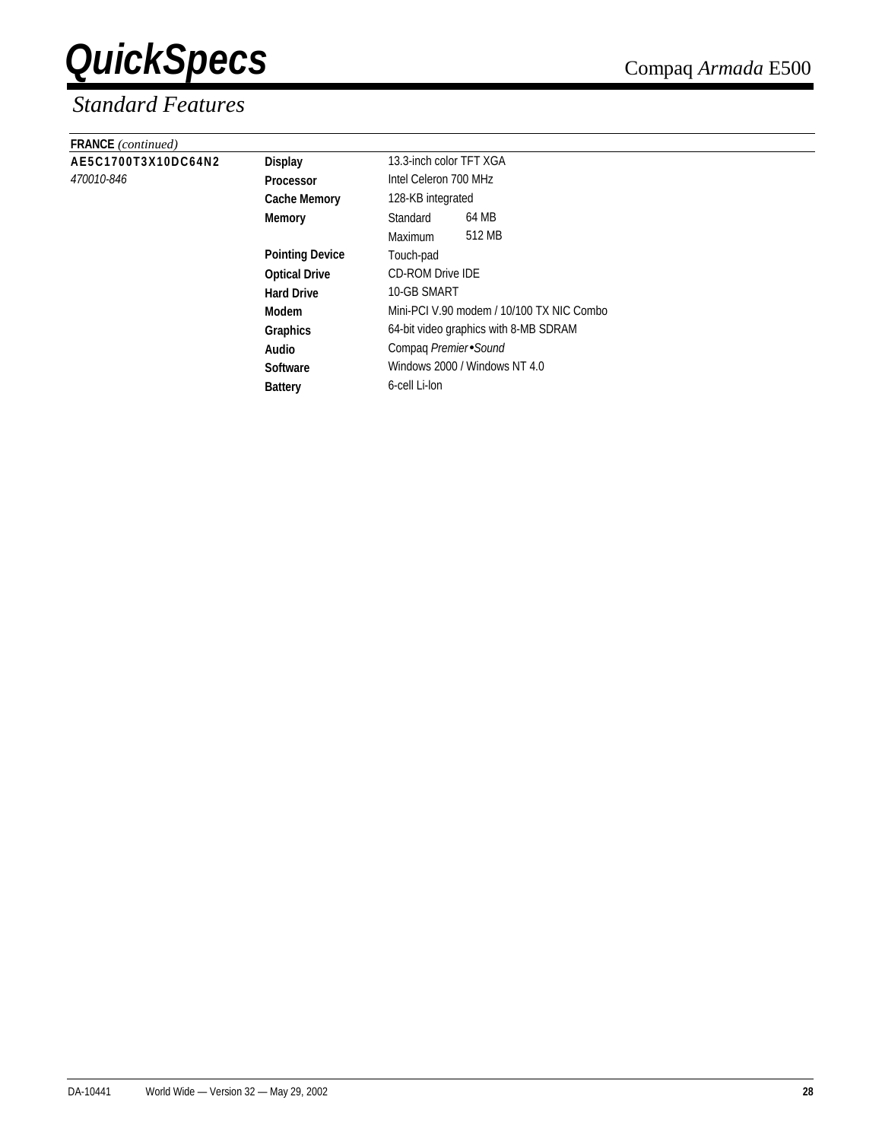| <b>FRANCE</b> (continued) |                        |                                           |  |  |
|---------------------------|------------------------|-------------------------------------------|--|--|
| AE5C1700T3X10DC64N2       | <b>Display</b>         | 13.3-inch color TFT XGA                   |  |  |
| 470010-846                | <b>Processor</b>       | Intel Celeron 700 MHz                     |  |  |
|                           | <b>Cache Memory</b>    | 128-KB integrated                         |  |  |
|                           | <b>Memory</b>          | 64 MB<br>Standard                         |  |  |
|                           |                        | 512 MB<br>Maximum                         |  |  |
|                           | <b>Pointing Device</b> | Touch-pad                                 |  |  |
|                           | <b>Optical Drive</b>   | <b>CD-ROM Drive IDE</b>                   |  |  |
|                           | <b>Hard Drive</b>      | 10-GB SMART                               |  |  |
|                           | Modem                  | Mini-PCI V.90 modem / 10/100 TX NIC Combo |  |  |
|                           | <b>Graphics</b>        | 64-bit video graphics with 8-MB SDRAM     |  |  |
|                           | Audio                  | Compaq Premier Sound                      |  |  |
|                           | <b>Software</b>        | Windows 2000 / Windows NT 4.0             |  |  |
|                           | <b>Battery</b>         | 6-cell Li-lon                             |  |  |
|                           |                        |                                           |  |  |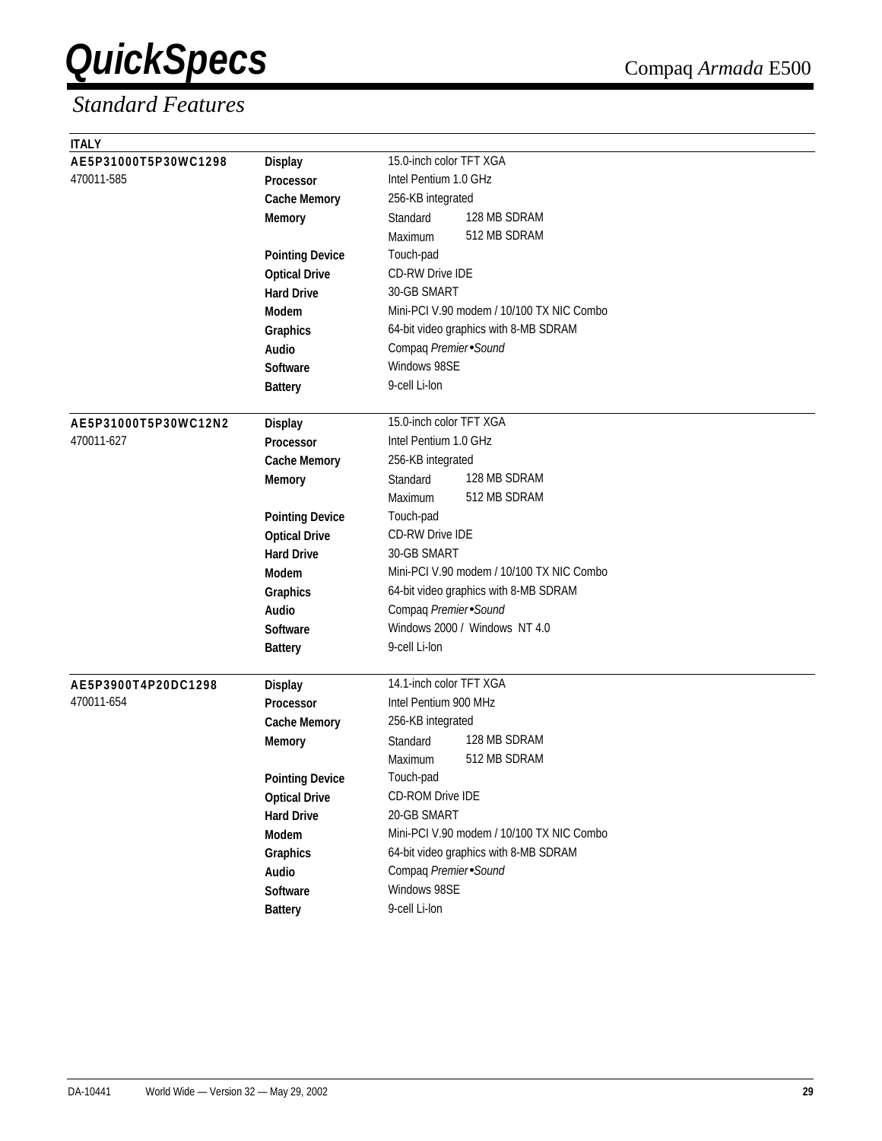| <b>ITALY</b>         |                        |                                           |  |  |  |
|----------------------|------------------------|-------------------------------------------|--|--|--|
| AE5P31000T5P30WC1298 | <b>Display</b>         | 15.0-inch color TFT XGA                   |  |  |  |
| 470011-585           | Processor              | Intel Pentium 1.0 GHz                     |  |  |  |
|                      | <b>Cache Memory</b>    | 256-KB integrated                         |  |  |  |
|                      | <b>Memory</b>          | 128 MB SDRAM<br>Standard                  |  |  |  |
|                      |                        | 512 MB SDRAM<br>Maximum                   |  |  |  |
|                      | <b>Pointing Device</b> | Touch-pad                                 |  |  |  |
|                      | <b>Optical Drive</b>   | <b>CD-RW Drive IDE</b>                    |  |  |  |
|                      | <b>Hard Drive</b>      | 30-GB SMART                               |  |  |  |
|                      | <b>Modem</b>           | Mini-PCI V.90 modem / 10/100 TX NIC Combo |  |  |  |
|                      | <b>Graphics</b>        | 64-bit video graphics with 8-MB SDRAM     |  |  |  |
|                      | Audio                  | Compaq Premier Sound                      |  |  |  |
|                      | <b>Software</b>        | Windows 98SE                              |  |  |  |
|                      | <b>Battery</b>         | 9-cell Li-lon                             |  |  |  |
|                      |                        |                                           |  |  |  |
| AE5P31000T5P30WC12N2 | <b>Display</b>         | 15.0-inch color TFT XGA                   |  |  |  |
| 470011-627           | <b>Processor</b>       | Intel Pentium 1.0 GHz                     |  |  |  |
|                      | <b>Cache Memory</b>    | 256-KB integrated                         |  |  |  |
|                      | <b>Memory</b>          | 128 MB SDRAM<br>Standard                  |  |  |  |
|                      |                        | 512 MB SDRAM<br>Maximum                   |  |  |  |
|                      | <b>Pointing Device</b> | Touch-pad                                 |  |  |  |
|                      | <b>Optical Drive</b>   | <b>CD-RW Drive IDE</b>                    |  |  |  |
|                      | <b>Hard Drive</b>      | 30-GB SMART                               |  |  |  |
|                      | Modem                  | Mini-PCI V.90 modem / 10/100 TX NIC Combo |  |  |  |
|                      | Graphics               | 64-bit video graphics with 8-MB SDRAM     |  |  |  |
|                      | Audio                  | Compaq Premier Sound                      |  |  |  |
|                      | <b>Software</b>        | Windows 2000 / Windows NT 4.0             |  |  |  |
|                      | <b>Battery</b>         | 9-cell Li-lon                             |  |  |  |
|                      |                        |                                           |  |  |  |
| AE5P3900T4P20DC1298  | <b>Display</b>         | 14.1-inch color TFT XGA                   |  |  |  |
| 470011-654           | Processor              | Intel Pentium 900 MHz                     |  |  |  |
|                      | <b>Cache Memory</b>    | 256-KB integrated                         |  |  |  |
|                      | <b>Memory</b>          | 128 MB SDRAM<br>Standard                  |  |  |  |
|                      |                        | 512 MB SDRAM<br>Maximum                   |  |  |  |
|                      | <b>Pointing Device</b> | Touch-pad                                 |  |  |  |
|                      | <b>Optical Drive</b>   | <b>CD-ROM Drive IDE</b>                   |  |  |  |
|                      | <b>Hard Drive</b>      | 20-GB SMART                               |  |  |  |
|                      | Modem                  | Mini-PCI V.90 modem / 10/100 TX NIC Combo |  |  |  |
|                      | Graphics               | 64-bit video graphics with 8-MB SDRAM     |  |  |  |
|                      | Audio                  | Compaq Premier Sound                      |  |  |  |
|                      | Software               | Windows 98SE                              |  |  |  |
|                      | <b>Battery</b>         | 9-cell Li-lon                             |  |  |  |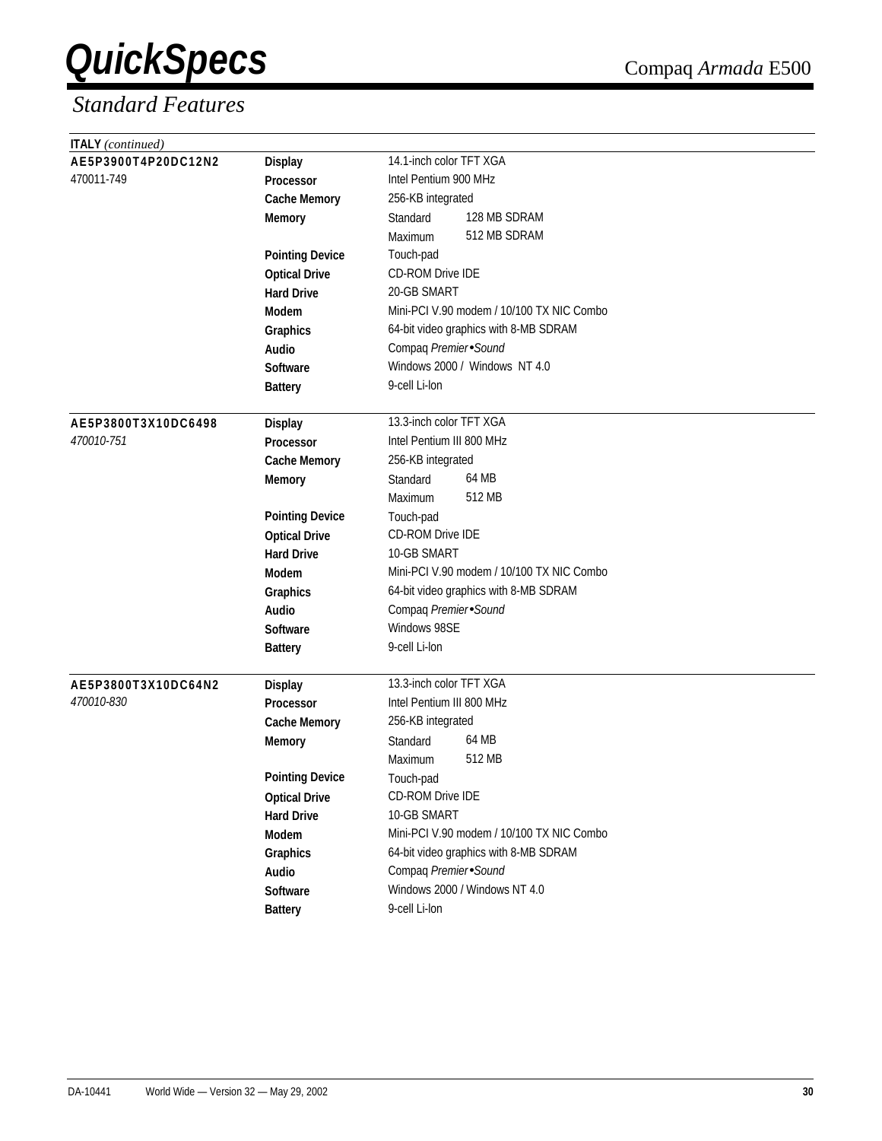| <b>ITALY</b> (continued) |                        |                                           |  |  |  |  |
|--------------------------|------------------------|-------------------------------------------|--|--|--|--|
| AE5P3900T4P20DC12N2      | <b>Display</b>         | 14.1-inch color TFT XGA                   |  |  |  |  |
| 470011-749               | Processor              | Intel Pentium 900 MHz                     |  |  |  |  |
|                          | <b>Cache Memory</b>    | 256-KB integrated                         |  |  |  |  |
|                          | <b>Memory</b>          | 128 MB SDRAM<br>Standard                  |  |  |  |  |
|                          |                        | 512 MB SDRAM<br>Maximum                   |  |  |  |  |
|                          | <b>Pointing Device</b> | Touch-pad                                 |  |  |  |  |
|                          | <b>Optical Drive</b>   | <b>CD-ROM Drive IDE</b>                   |  |  |  |  |
|                          | <b>Hard Drive</b>      | 20-GB SMART                               |  |  |  |  |
|                          | <b>Modem</b>           | Mini-PCI V.90 modem / 10/100 TX NIC Combo |  |  |  |  |
|                          | Graphics               | 64-bit video graphics with 8-MB SDRAM     |  |  |  |  |
|                          | Audio                  | Compaq Premier Sound                      |  |  |  |  |
|                          | <b>Software</b>        | Windows 2000 / Windows NT 4.0             |  |  |  |  |
|                          | <b>Battery</b>         | 9-cell Li-lon                             |  |  |  |  |
|                          |                        |                                           |  |  |  |  |
| AE5P3800T3X10DC6498      | <b>Display</b>         | 13.3-inch color TFT XGA                   |  |  |  |  |
| 470010-751               | Processor              | Intel Pentium III 800 MHz                 |  |  |  |  |
|                          | <b>Cache Memory</b>    | 256-KB integrated                         |  |  |  |  |
|                          | <b>Memory</b>          | 64 MB<br>Standard                         |  |  |  |  |
|                          |                        | 512 MB<br>Maximum                         |  |  |  |  |
|                          | <b>Pointing Device</b> | Touch-pad                                 |  |  |  |  |
|                          | <b>Optical Drive</b>   | CD-ROM Drive IDE                          |  |  |  |  |
|                          | <b>Hard Drive</b>      | 10-GB SMART                               |  |  |  |  |
|                          | <b>Modem</b>           | Mini-PCI V.90 modem / 10/100 TX NIC Combo |  |  |  |  |
|                          | Graphics               | 64-bit video graphics with 8-MB SDRAM     |  |  |  |  |
|                          | Audio                  | Compaq Premier Sound                      |  |  |  |  |
|                          | <b>Software</b>        | Windows 98SE                              |  |  |  |  |
|                          | <b>Battery</b>         | 9-cell Li-lon                             |  |  |  |  |
|                          |                        |                                           |  |  |  |  |
| AE5P3800T3X10DC64N2      | <b>Display</b>         | 13.3-inch color TFT XGA                   |  |  |  |  |
| 470010-830               | <b>Processor</b>       | Intel Pentium III 800 MHz                 |  |  |  |  |
|                          | <b>Cache Memory</b>    | 256-KB integrated                         |  |  |  |  |
|                          | <b>Memory</b>          | 64 MB<br>Standard                         |  |  |  |  |
|                          |                        | 512 MB<br>Maximum                         |  |  |  |  |
|                          | <b>Pointing Device</b> | Touch-pad                                 |  |  |  |  |
|                          | <b>Optical Drive</b>   | CD-ROM Drive IDE                          |  |  |  |  |
|                          | <b>Hard Drive</b>      | 10-GB SMART                               |  |  |  |  |
|                          | Modem                  | Mini-PCI V.90 modem / 10/100 TX NIC Combo |  |  |  |  |
|                          | Graphics               | 64-bit video graphics with 8-MB SDRAM     |  |  |  |  |
|                          | Audio                  | Compaq Premier Sound                      |  |  |  |  |
|                          | Software               | Windows 2000 / Windows NT 4.0             |  |  |  |  |
|                          | <b>Battery</b>         | 9-cell Li-lon                             |  |  |  |  |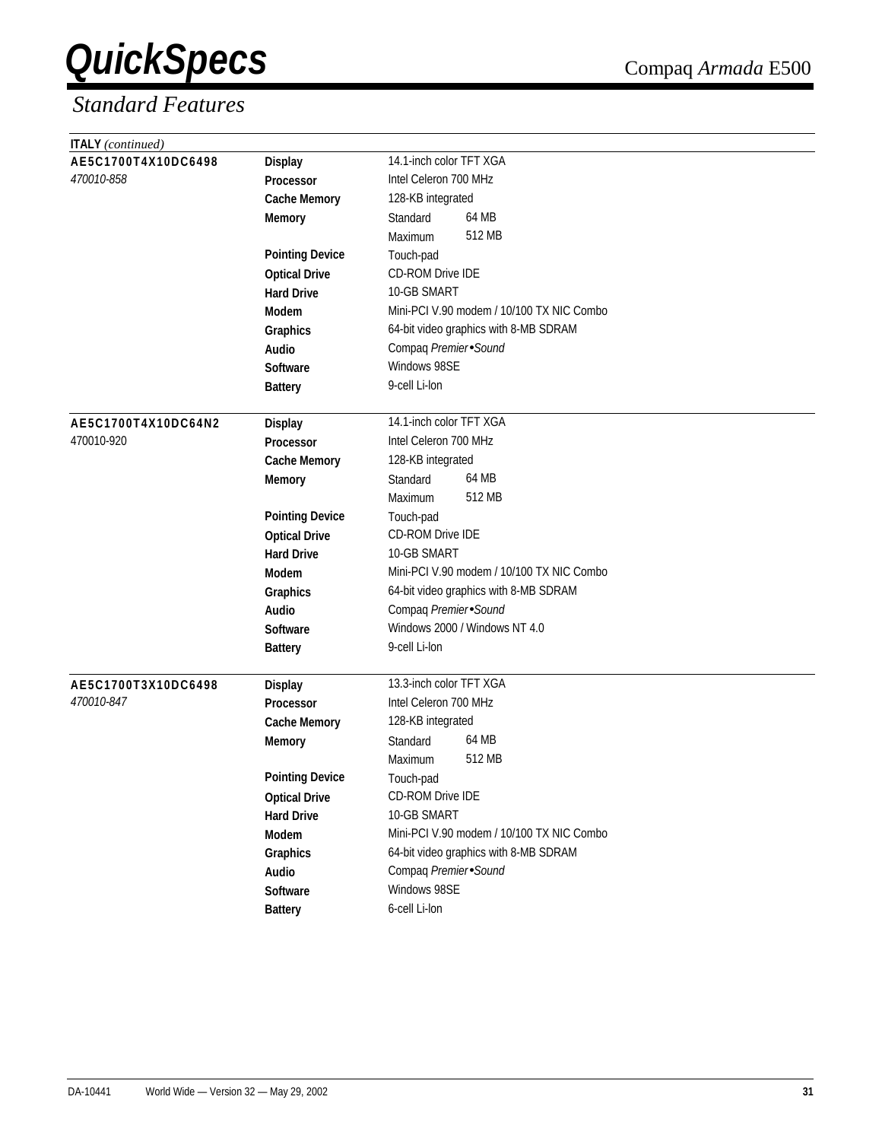| <b>ITALY</b> (continued) |                        |                                           |  |  |  |  |
|--------------------------|------------------------|-------------------------------------------|--|--|--|--|
| AE5C1700T4X10DC6498      | <b>Display</b>         | 14.1-inch color TFT XGA                   |  |  |  |  |
| 470010-858               | Processor              | Intel Celeron 700 MHz                     |  |  |  |  |
|                          | <b>Cache Memory</b>    | 128-KB integrated                         |  |  |  |  |
|                          | <b>Memory</b>          | 64 MB<br>Standard                         |  |  |  |  |
|                          |                        | 512 MB<br>Maximum                         |  |  |  |  |
|                          | <b>Pointing Device</b> | Touch-pad                                 |  |  |  |  |
|                          | <b>Optical Drive</b>   | CD-ROM Drive IDE                          |  |  |  |  |
|                          | <b>Hard Drive</b>      | 10-GB SMART                               |  |  |  |  |
|                          | Modem                  | Mini-PCI V.90 modem / 10/100 TX NIC Combo |  |  |  |  |
|                          | Graphics               | 64-bit video graphics with 8-MB SDRAM     |  |  |  |  |
|                          | Audio                  | Compaq Premier Sound                      |  |  |  |  |
|                          | <b>Software</b>        | Windows 98SE                              |  |  |  |  |
|                          | <b>Battery</b>         | 9-cell Li-lon                             |  |  |  |  |
|                          |                        |                                           |  |  |  |  |
| AE5C1700T4X10DC64N2      | <b>Display</b>         | 14.1-inch color TFT XGA                   |  |  |  |  |
| 470010-920               | Processor              | Intel Celeron 700 MHz                     |  |  |  |  |
|                          | <b>Cache Memory</b>    | 128-KB integrated                         |  |  |  |  |
|                          | <b>Memory</b>          | 64 MB<br>Standard                         |  |  |  |  |
|                          |                        | 512 MB<br>Maximum                         |  |  |  |  |
|                          | <b>Pointing Device</b> | Touch-pad                                 |  |  |  |  |
|                          | <b>Optical Drive</b>   | <b>CD-ROM Drive IDE</b>                   |  |  |  |  |
|                          | <b>Hard Drive</b>      | 10-GB SMART                               |  |  |  |  |
|                          | <b>Modem</b>           | Mini-PCI V.90 modem / 10/100 TX NIC Combo |  |  |  |  |
|                          | Graphics               | 64-bit video graphics with 8-MB SDRAM     |  |  |  |  |
|                          | <b>Audio</b>           | Compaq Premier Sound                      |  |  |  |  |
|                          | <b>Software</b>        | Windows 2000 / Windows NT 4.0             |  |  |  |  |
|                          | <b>Battery</b>         | 9-cell Li-lon                             |  |  |  |  |
|                          |                        |                                           |  |  |  |  |
| AE5C1700T3X10DC6498      | <b>Display</b>         | 13.3-inch color TFT XGA                   |  |  |  |  |
| 470010-847               | <b>Processor</b>       | Intel Celeron 700 MHz                     |  |  |  |  |
|                          | <b>Cache Memory</b>    | 128-KB integrated                         |  |  |  |  |
|                          | <b>Memory</b>          | 64 MB<br>Standard                         |  |  |  |  |
|                          |                        | 512 MB<br>Maximum                         |  |  |  |  |
|                          | <b>Pointing Device</b> | Touch-pad                                 |  |  |  |  |
|                          | <b>Optical Drive</b>   | CD-ROM Drive IDE                          |  |  |  |  |
|                          | <b>Hard Drive</b>      | 10-GB SMART                               |  |  |  |  |
|                          | Modem                  | Mini-PCI V.90 modem / 10/100 TX NIC Combo |  |  |  |  |
|                          | Graphics               | 64-bit video graphics with 8-MB SDRAM     |  |  |  |  |
|                          | Audio                  | Compaq Premier Sound                      |  |  |  |  |
|                          | Software               | Windows 98SE                              |  |  |  |  |
|                          | <b>Battery</b>         | 6-cell Li-lon                             |  |  |  |  |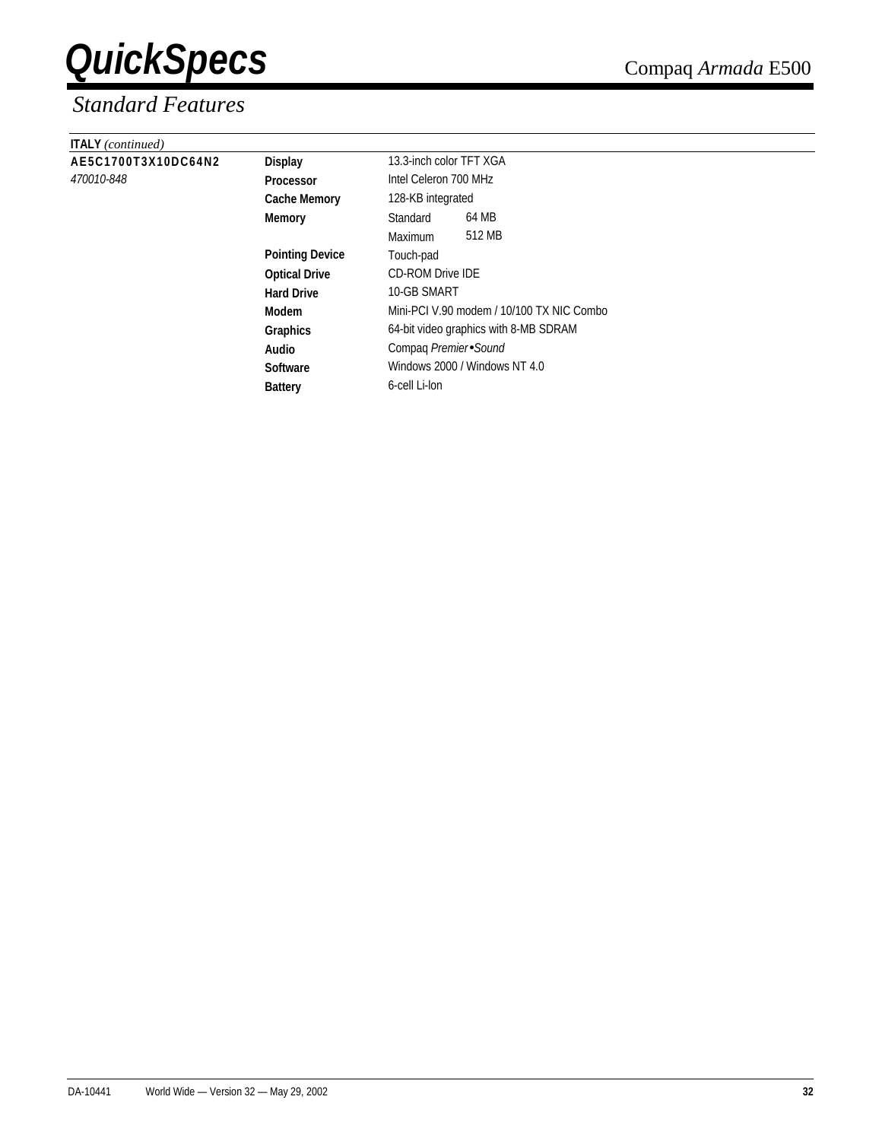| <b>ITALY</b> (continued) |                        |                                           |        |  |
|--------------------------|------------------------|-------------------------------------------|--------|--|
| AE5C1700T3X10DC64N2      | <b>Display</b>         | 13.3-inch color TFT XGA                   |        |  |
| 470010-848               | <b>Processor</b>       | Intel Celeron 700 MHz                     |        |  |
|                          | <b>Cache Memory</b>    | 128-KB integrated                         |        |  |
|                          | Memory                 | Standard                                  | 64 MB  |  |
|                          |                        | Maximum                                   | 512 MB |  |
|                          | <b>Pointing Device</b> | Touch-pad                                 |        |  |
|                          | <b>Optical Drive</b>   | <b>CD-ROM Drive IDE</b>                   |        |  |
|                          | <b>Hard Drive</b>      | 10-GB SMART                               |        |  |
|                          | Modem                  | Mini-PCI V.90 modem / 10/100 TX NIC Combo |        |  |
|                          | Graphics               | 64-bit video graphics with 8-MB SDRAM     |        |  |
|                          | Audio                  | Compaq Premier Sound                      |        |  |
|                          | <b>Software</b>        | Windows 2000 / Windows NT 4.0             |        |  |
|                          | <b>Battery</b>         | 6-cell Li-lon                             |        |  |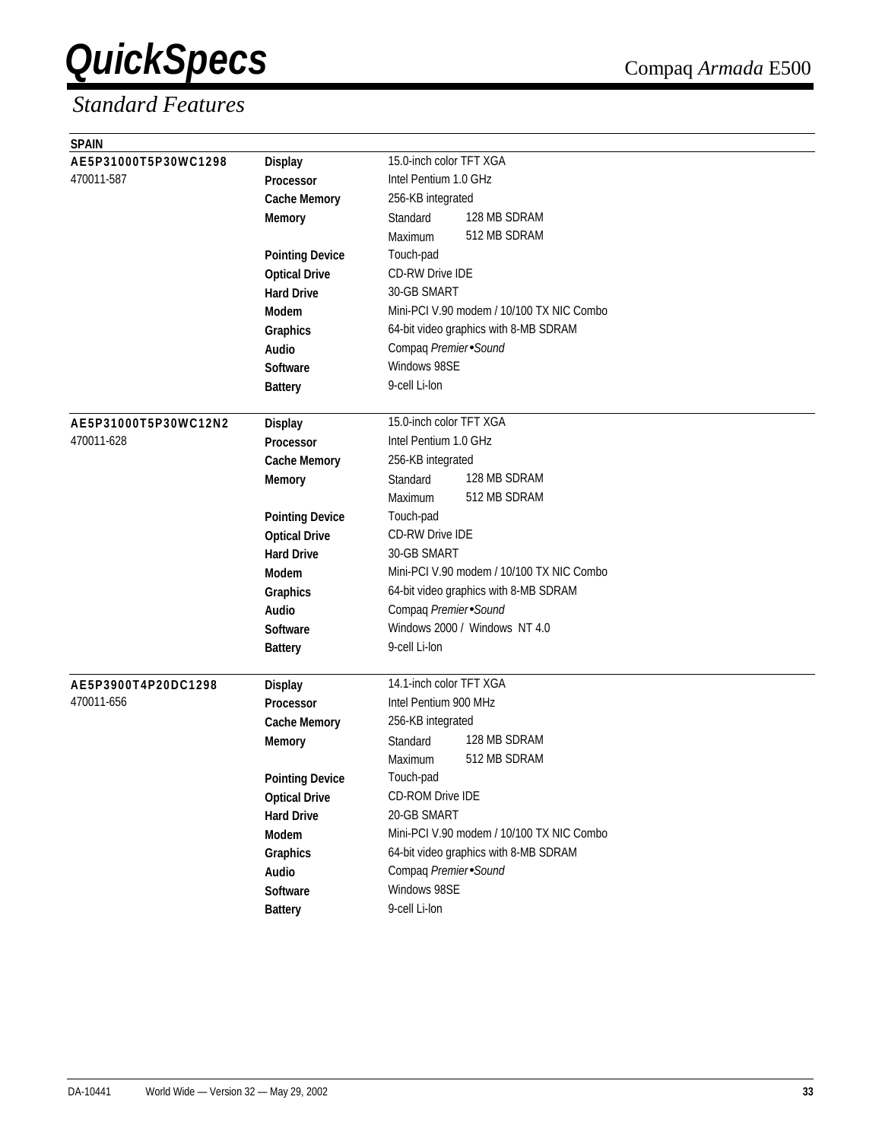| <b>SPAIN</b>         |                        |                                                       |  |  |  |  |
|----------------------|------------------------|-------------------------------------------------------|--|--|--|--|
| AE5P31000T5P30WC1298 | <b>Display</b>         | 15.0-inch color TFT XGA                               |  |  |  |  |
| 470011-587           | Processor              | Intel Pentium 1.0 GHz                                 |  |  |  |  |
|                      | <b>Cache Memory</b>    | 256-KB integrated                                     |  |  |  |  |
|                      | <b>Memory</b>          | 128 MB SDRAM<br>Standard                              |  |  |  |  |
|                      |                        | 512 MB SDRAM<br>Maximum                               |  |  |  |  |
|                      | <b>Pointing Device</b> | Touch-pad                                             |  |  |  |  |
|                      | <b>Optical Drive</b>   | <b>CD-RW Drive IDE</b>                                |  |  |  |  |
|                      | <b>Hard Drive</b>      | 30-GB SMART                                           |  |  |  |  |
|                      | <b>Modem</b>           | Mini-PCI V.90 modem / 10/100 TX NIC Combo             |  |  |  |  |
|                      | Graphics               | 64-bit video graphics with 8-MB SDRAM                 |  |  |  |  |
|                      | Audio                  | Compaq Premier Sound                                  |  |  |  |  |
|                      | Software               | Windows 98SE                                          |  |  |  |  |
|                      | <b>Battery</b>         | 9-cell Li-lon                                         |  |  |  |  |
|                      |                        |                                                       |  |  |  |  |
| AE5P31000T5P30WC12N2 | <b>Display</b>         | 15.0-inch color TFT XGA                               |  |  |  |  |
| 470011-628           | <b>Processor</b>       | Intel Pentium 1.0 GHz                                 |  |  |  |  |
|                      | <b>Cache Memory</b>    | 256-KB integrated                                     |  |  |  |  |
|                      | <b>Memory</b>          | 128 MB SDRAM<br>Standard                              |  |  |  |  |
|                      |                        | 512 MB SDRAM<br>Maximum                               |  |  |  |  |
|                      | <b>Pointing Device</b> | Touch-pad                                             |  |  |  |  |
|                      | <b>Optical Drive</b>   | <b>CD-RW Drive IDE</b>                                |  |  |  |  |
|                      | <b>Hard Drive</b>      | 30-GB SMART                                           |  |  |  |  |
|                      | Modem                  | Mini-PCI V.90 modem / 10/100 TX NIC Combo             |  |  |  |  |
|                      | Graphics               | 64-bit video graphics with 8-MB SDRAM                 |  |  |  |  |
|                      | Audio                  | Compaq Premier Sound<br>Windows 2000 / Windows NT 4.0 |  |  |  |  |
|                      | <b>Software</b>        | 9-cell Li-lon                                         |  |  |  |  |
|                      | <b>Battery</b>         |                                                       |  |  |  |  |
| AE5P3900T4P20DC1298  | <b>Display</b>         | 14.1-inch color TFT XGA                               |  |  |  |  |
| 470011-656           | <b>Processor</b>       | Intel Pentium 900 MHz                                 |  |  |  |  |
|                      | <b>Cache Memory</b>    | 256-KB integrated                                     |  |  |  |  |
|                      | <b>Memory</b>          | 128 MB SDRAM<br>Standard                              |  |  |  |  |
|                      |                        | 512 MB SDRAM<br>Maximum                               |  |  |  |  |
|                      | <b>Pointing Device</b> | Touch-pad                                             |  |  |  |  |
|                      | <b>Optical Drive</b>   | CD-ROM Drive IDE                                      |  |  |  |  |
|                      | <b>Hard Drive</b>      | 20-GB SMART                                           |  |  |  |  |
|                      | Modem                  | Mini-PCI V.90 modem / 10/100 TX NIC Combo             |  |  |  |  |
|                      | Graphics               | 64-bit video graphics with 8-MB SDRAM                 |  |  |  |  |
|                      | Audio                  | Compaq Premier Sound                                  |  |  |  |  |
|                      | Software               | Windows 98SE                                          |  |  |  |  |
|                      | <b>Battery</b>         | 9-cell Li-lon                                         |  |  |  |  |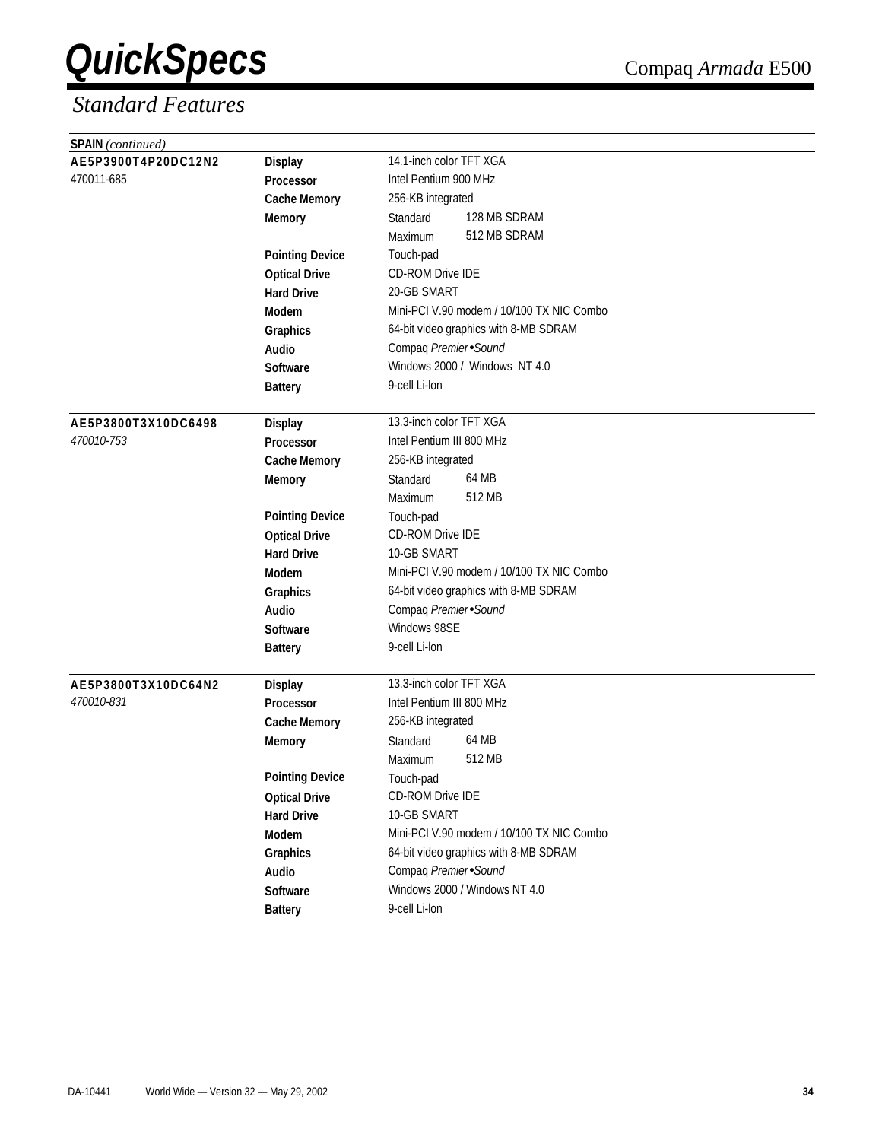| <b>SPAIN</b> (continued)          |                                    |                                           |  |  |  |
|-----------------------------------|------------------------------------|-------------------------------------------|--|--|--|
| AE5P3900T4P20DC12N2               | <b>Display</b>                     | 14.1-inch color TFT XGA                   |  |  |  |
| 470011-685                        | Processor                          | Intel Pentium 900 MHz                     |  |  |  |
|                                   | <b>Cache Memory</b>                | 256-KB integrated                         |  |  |  |
|                                   | <b>Memory</b>                      | 128 MB SDRAM<br>Standard                  |  |  |  |
|                                   |                                    | 512 MB SDRAM<br>Maximum                   |  |  |  |
|                                   | <b>Pointing Device</b>             | Touch-pad                                 |  |  |  |
|                                   | <b>Optical Drive</b>               | <b>CD-ROM Drive IDE</b>                   |  |  |  |
|                                   | <b>Hard Drive</b>                  | 20-GB SMART                               |  |  |  |
|                                   | <b>Modem</b>                       | Mini-PCI V.90 modem / 10/100 TX NIC Combo |  |  |  |
|                                   | Graphics                           | 64-bit video graphics with 8-MB SDRAM     |  |  |  |
|                                   | Audio                              | Compaq Premier Sound                      |  |  |  |
|                                   | <b>Software</b>                    | Windows 2000 / Windows NT 4.0             |  |  |  |
|                                   | <b>Battery</b>                     | 9-cell Li-lon                             |  |  |  |
|                                   |                                    |                                           |  |  |  |
| AE5P3800T3X10DC6498               | <b>Display</b>                     | 13.3-inch color TFT XGA                   |  |  |  |
| 470010-753                        | <b>Processor</b>                   | Intel Pentium III 800 MHz                 |  |  |  |
|                                   | <b>Cache Memory</b>                | 256-KB integrated                         |  |  |  |
|                                   | <b>Memory</b>                      | 64 MB<br>Standard                         |  |  |  |
|                                   |                                    | 512 MB<br>Maximum                         |  |  |  |
|                                   | <b>Pointing Device</b>             | Touch-pad                                 |  |  |  |
|                                   | <b>Optical Drive</b>               | CD-ROM Drive IDE                          |  |  |  |
|                                   | <b>Hard Drive</b>                  | 10-GB SMART                               |  |  |  |
|                                   | Modem                              | Mini-PCI V.90 modem / 10/100 TX NIC Combo |  |  |  |
|                                   | Graphics                           | 64-bit video graphics with 8-MB SDRAM     |  |  |  |
|                                   | Audio                              | Compaq Premier Sound                      |  |  |  |
|                                   | <b>Software</b>                    | Windows 98SE                              |  |  |  |
|                                   | <b>Battery</b>                     | 9-cell Li-lon                             |  |  |  |
|                                   |                                    | 13.3-inch color TFT XGA                   |  |  |  |
| AE5P3800T3X10DC64N2<br>470010-831 | <b>Display</b><br><b>Processor</b> | Intel Pentium III 800 MHz                 |  |  |  |
|                                   | <b>Cache Memory</b>                | 256-KB integrated                         |  |  |  |
|                                   |                                    | 64 MB<br>Standard                         |  |  |  |
|                                   | <b>Memory</b>                      | 512 MB<br>Maximum                         |  |  |  |
|                                   | <b>Pointing Device</b>             | Touch-pad                                 |  |  |  |
|                                   | <b>Optical Drive</b>               | CD-ROM Drive IDE                          |  |  |  |
|                                   |                                    | 10-GB SMART                               |  |  |  |
|                                   | <b>Hard Drive</b><br>Modem         | Mini-PCI V.90 modem / 10/100 TX NIC Combo |  |  |  |
|                                   |                                    | 64-bit video graphics with 8-MB SDRAM     |  |  |  |
|                                   | Graphics                           | Compaq Premier Sound                      |  |  |  |
|                                   | Audio<br>Software                  | Windows 2000 / Windows NT 4.0             |  |  |  |
|                                   |                                    | 9-cell Li-lon                             |  |  |  |
|                                   | <b>Battery</b>                     |                                           |  |  |  |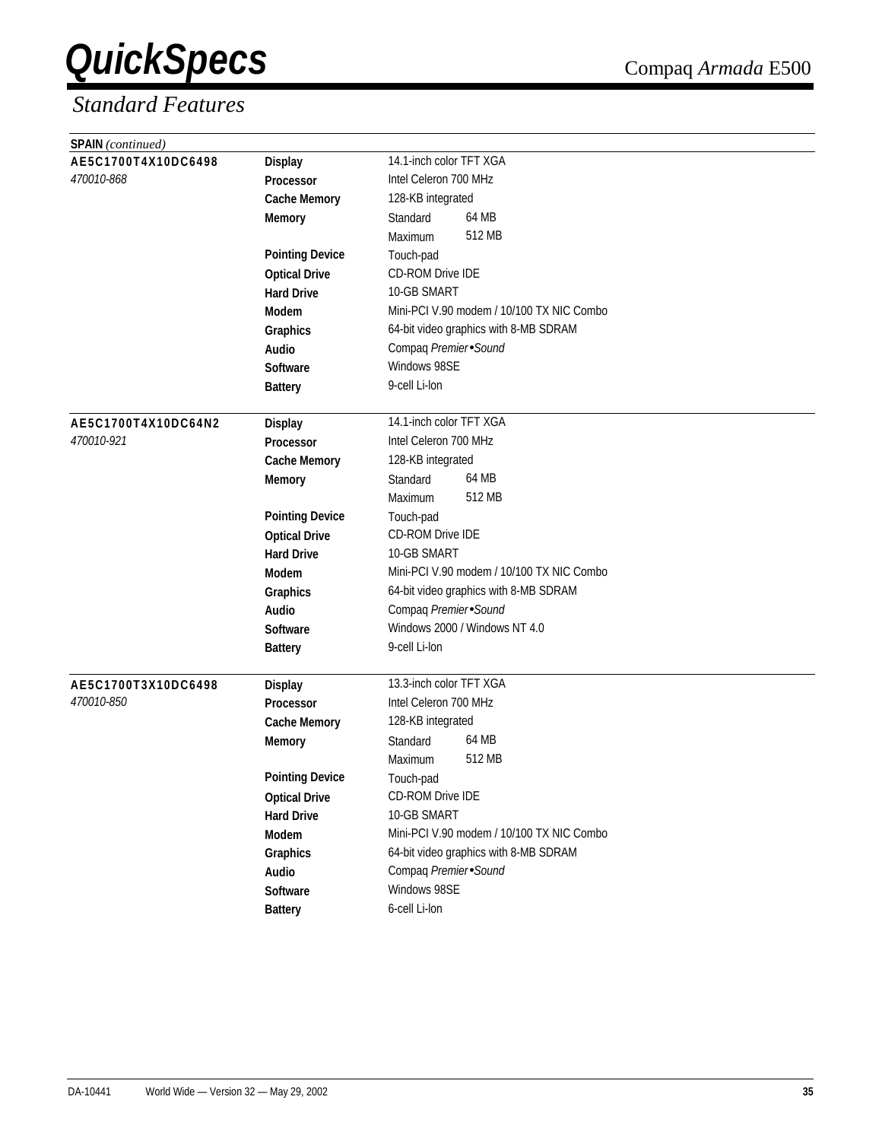| <b>SPAIN</b> (continued) |                        |                                           |  |  |  |  |
|--------------------------|------------------------|-------------------------------------------|--|--|--|--|
| AE5C1700T4X10DC6498      | <b>Display</b>         | 14.1-inch color TFT XGA                   |  |  |  |  |
| 470010-868               | Processor              | Intel Celeron 700 MHz                     |  |  |  |  |
|                          | <b>Cache Memory</b>    | 128-KB integrated                         |  |  |  |  |
|                          | <b>Memory</b>          | 64 MB<br>Standard                         |  |  |  |  |
|                          |                        | 512 MB<br>Maximum                         |  |  |  |  |
|                          | <b>Pointing Device</b> | Touch-pad                                 |  |  |  |  |
|                          | <b>Optical Drive</b>   | CD-ROM Drive IDE                          |  |  |  |  |
|                          | <b>Hard Drive</b>      | 10-GB SMART                               |  |  |  |  |
|                          | <b>Modem</b>           | Mini-PCI V.90 modem / 10/100 TX NIC Combo |  |  |  |  |
|                          | Graphics               | 64-bit video graphics with 8-MB SDRAM     |  |  |  |  |
|                          | Audio                  | Compaq Premier Sound                      |  |  |  |  |
|                          | <b>Software</b>        | Windows 98SE                              |  |  |  |  |
|                          | <b>Battery</b>         | 9-cell Li-lon                             |  |  |  |  |
|                          |                        |                                           |  |  |  |  |
| AE5C1700T4X10DC64N2      | <b>Display</b>         | 14.1-inch color TFT XGA                   |  |  |  |  |
| 470010-921               | Processor              | Intel Celeron 700 MHz                     |  |  |  |  |
|                          | <b>Cache Memory</b>    | 128-KB integrated                         |  |  |  |  |
|                          | <b>Memory</b>          | 64 MB<br>Standard                         |  |  |  |  |
|                          |                        | 512 MB<br>Maximum                         |  |  |  |  |
|                          | <b>Pointing Device</b> | Touch-pad                                 |  |  |  |  |
|                          | <b>Optical Drive</b>   | CD-ROM Drive IDE                          |  |  |  |  |
|                          | <b>Hard Drive</b>      | 10-GB SMART                               |  |  |  |  |
|                          | <b>Modem</b>           | Mini-PCI V.90 modem / 10/100 TX NIC Combo |  |  |  |  |
|                          | Graphics               | 64-bit video graphics with 8-MB SDRAM     |  |  |  |  |
|                          | Audio                  | Compaq Premier Sound                      |  |  |  |  |
|                          | <b>Software</b>        | Windows 2000 / Windows NT 4.0             |  |  |  |  |
|                          | <b>Battery</b>         | 9-cell Li-lon                             |  |  |  |  |
|                          |                        |                                           |  |  |  |  |
| AE5C1700T3X10DC6498      | <b>Display</b>         | 13.3-inch color TFT XGA                   |  |  |  |  |
| <i>470010-850</i>        | <b>Processor</b>       | Intel Celeron 700 MHz                     |  |  |  |  |
|                          | <b>Cache Memory</b>    | 128-KB integrated                         |  |  |  |  |
|                          | <b>Memory</b>          | 64 MB<br>Standard                         |  |  |  |  |
|                          |                        | 512 MB<br>Maximum                         |  |  |  |  |
|                          | <b>Pointing Device</b> | Touch-pad                                 |  |  |  |  |
|                          | <b>Optical Drive</b>   | CD-ROM Drive IDE                          |  |  |  |  |
|                          | <b>Hard Drive</b>      | 10-GB SMART                               |  |  |  |  |
|                          | Modem                  | Mini-PCI V.90 modem / 10/100 TX NIC Combo |  |  |  |  |
|                          | Graphics               | 64-bit video graphics with 8-MB SDRAM     |  |  |  |  |
|                          | Audio                  | Compaq Premier Sound                      |  |  |  |  |
|                          | Software               | Windows 98SE                              |  |  |  |  |
|                          | <b>Battery</b>         | 6-cell Li-lon                             |  |  |  |  |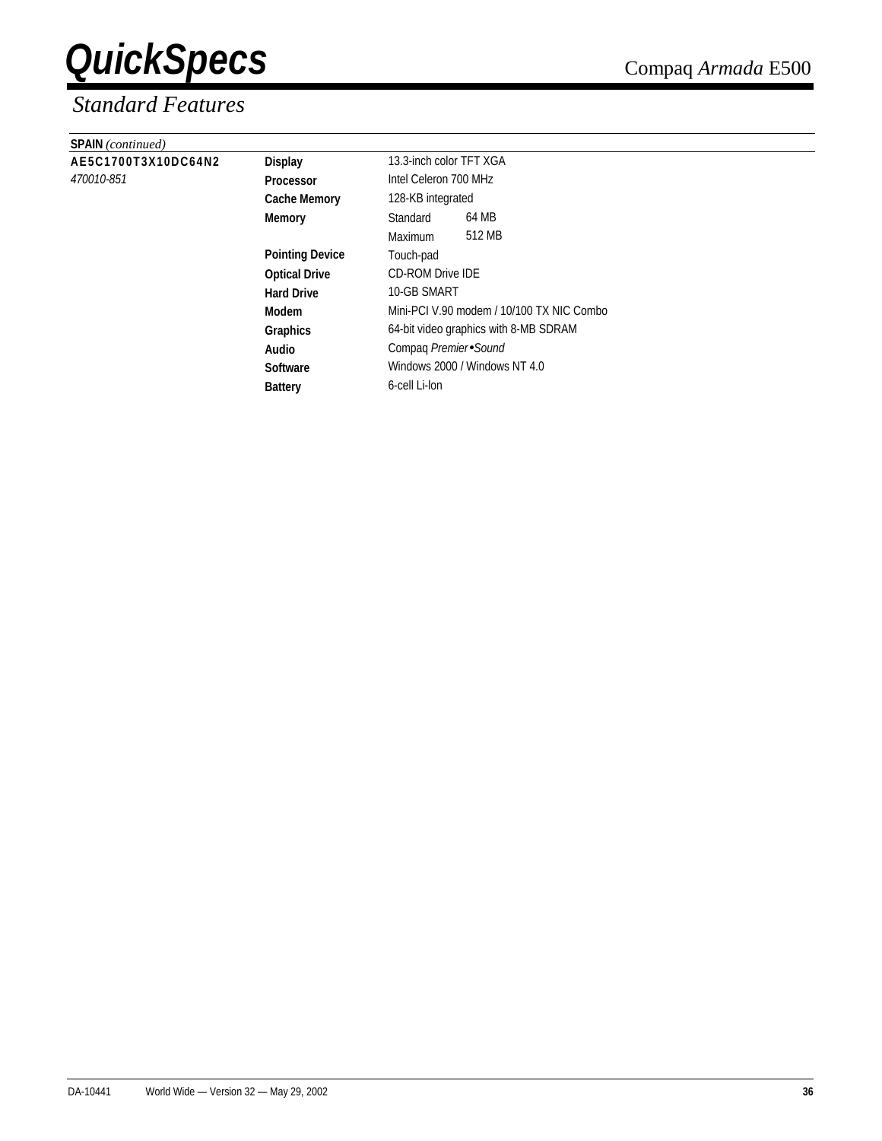| <b>SPAIN</b> (continued) |                        |                                           |        |  |
|--------------------------|------------------------|-------------------------------------------|--------|--|
| AE5C1700T3X10DC64N2      | <b>Display</b>         | 13.3-inch color TFT XGA                   |        |  |
| 470010-851               | <b>Processor</b>       | Intel Celeron 700 MHz                     |        |  |
|                          | <b>Cache Memory</b>    | 128-KB integrated                         |        |  |
|                          | <b>Memory</b>          | Standard                                  | 64 MB  |  |
|                          |                        | Maximum                                   | 512 MB |  |
|                          | <b>Pointing Device</b> | Touch-pad                                 |        |  |
|                          | <b>Optical Drive</b>   | <b>CD-ROM Drive IDE</b>                   |        |  |
|                          | <b>Hard Drive</b>      | 10-GB SMART                               |        |  |
|                          | Modem                  | Mini-PCI V.90 modem / 10/100 TX NIC Combo |        |  |
|                          | <b>Graphics</b>        | 64-bit video graphics with 8-MB SDRAM     |        |  |
|                          | Audio                  | Compaq Premier Sound                      |        |  |
|                          | <b>Software</b>        | Windows 2000 / Windows NT 4.0             |        |  |
|                          | <b>Battery</b>         | 6-cell Li-lon                             |        |  |
|                          |                        |                                           |        |  |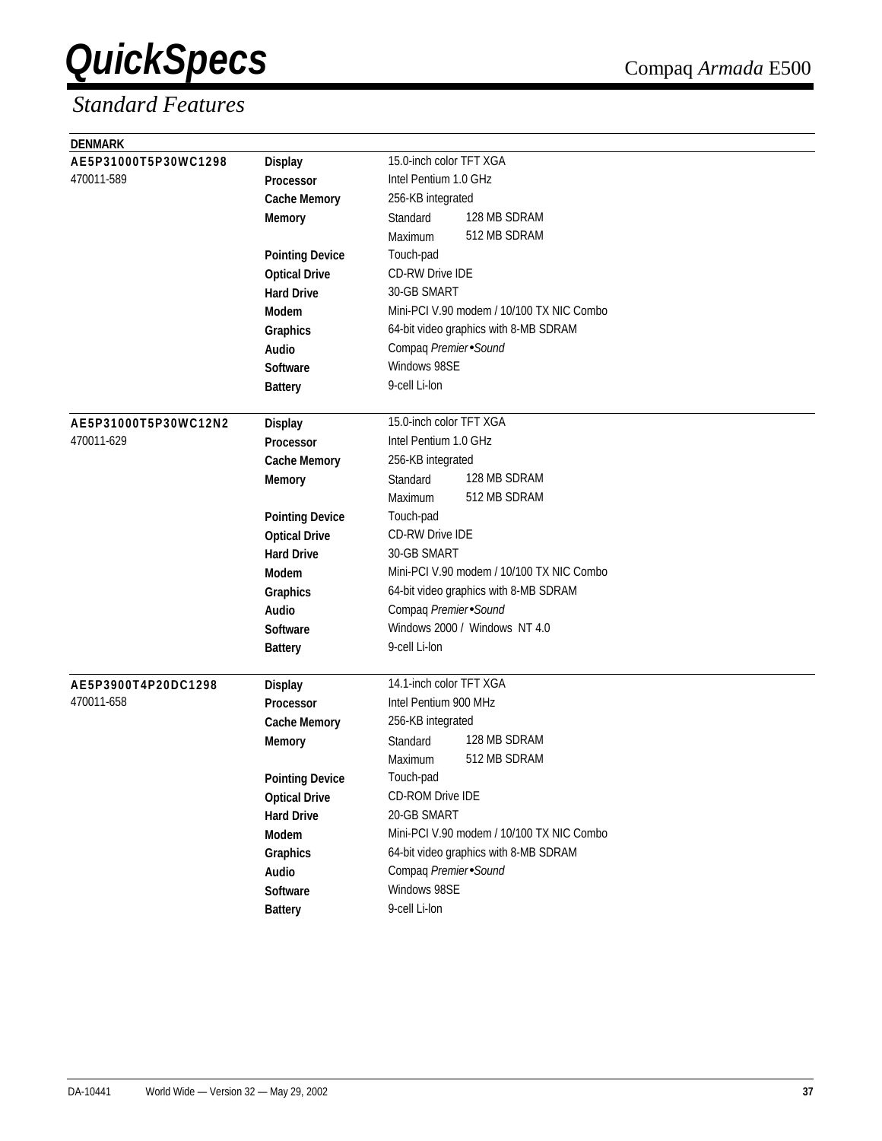| <b>DENMARK</b>       |                        |                                           |
|----------------------|------------------------|-------------------------------------------|
| AE5P31000T5P30WC1298 | <b>Display</b>         | 15.0-inch color TFT XGA                   |
| 470011-589           | Processor              | Intel Pentium 1.0 GHz                     |
|                      | <b>Cache Memory</b>    | 256-KB integrated                         |
|                      | <b>Memory</b>          | 128 MB SDRAM<br>Standard                  |
|                      |                        | 512 MB SDRAM<br>Maximum                   |
|                      | <b>Pointing Device</b> | Touch-pad                                 |
|                      | <b>Optical Drive</b>   | <b>CD-RW Drive IDE</b>                    |
|                      | <b>Hard Drive</b>      | 30-GB SMART                               |
|                      | <b>Modem</b>           | Mini-PCI V.90 modem / 10/100 TX NIC Combo |
|                      | Graphics               | 64-bit video graphics with 8-MB SDRAM     |
|                      | Audio                  | Compaq Premier Sound                      |
|                      | <b>Software</b>        | Windows 98SE                              |
|                      | <b>Battery</b>         | 9-cell Li-lon                             |
|                      |                        |                                           |
| AE5P31000T5P30WC12N2 | <b>Display</b>         | 15.0-inch color TFT XGA                   |
| 470011-629           | Processor              | Intel Pentium 1.0 GHz                     |
|                      | <b>Cache Memory</b>    | 256-KB integrated                         |
|                      | <b>Memory</b>          | 128 MB SDRAM<br>Standard                  |
|                      |                        | 512 MB SDRAM<br>Maximum                   |
|                      | <b>Pointing Device</b> | Touch-pad                                 |
|                      | <b>Optical Drive</b>   | <b>CD-RW Drive IDE</b>                    |
|                      | <b>Hard Drive</b>      | 30-GB SMART                               |
|                      | <b>Modem</b>           | Mini-PCI V.90 modem / 10/100 TX NIC Combo |
|                      | Graphics               | 64-bit video graphics with 8-MB SDRAM     |
|                      | Audio                  | Compaq Premier Sound                      |
|                      | <b>Software</b>        | Windows 2000 / Windows NT 4.0             |
|                      | <b>Battery</b>         | 9-cell Li-lon                             |
|                      |                        |                                           |
| AE5P3900T4P20DC1298  | <b>Display</b>         | 14.1-inch color TFT XGA                   |
| 470011-658           | <b>Processor</b>       | Intel Pentium 900 MHz                     |
|                      | <b>Cache Memory</b>    | 256-KB integrated                         |
|                      | <b>Memory</b>          | 128 MB SDRAM<br>Standard                  |
|                      |                        | 512 MB SDRAM<br>Maximum                   |
|                      | <b>Pointing Device</b> | Touch-pad                                 |
|                      | <b>Optical Drive</b>   | CD-ROM Drive IDE                          |
|                      | <b>Hard Drive</b>      | 20-GB SMART                               |
|                      | Modem                  | Mini-PCI V.90 modem / 10/100 TX NIC Combo |
|                      | <b>Graphics</b>        | 64-bit video graphics with 8-MB SDRAM     |
|                      | Audio                  | Compaq Premier Sound                      |
|                      | Software               | Windows 98SE                              |
|                      | <b>Battery</b>         | 9-cell Li-lon                             |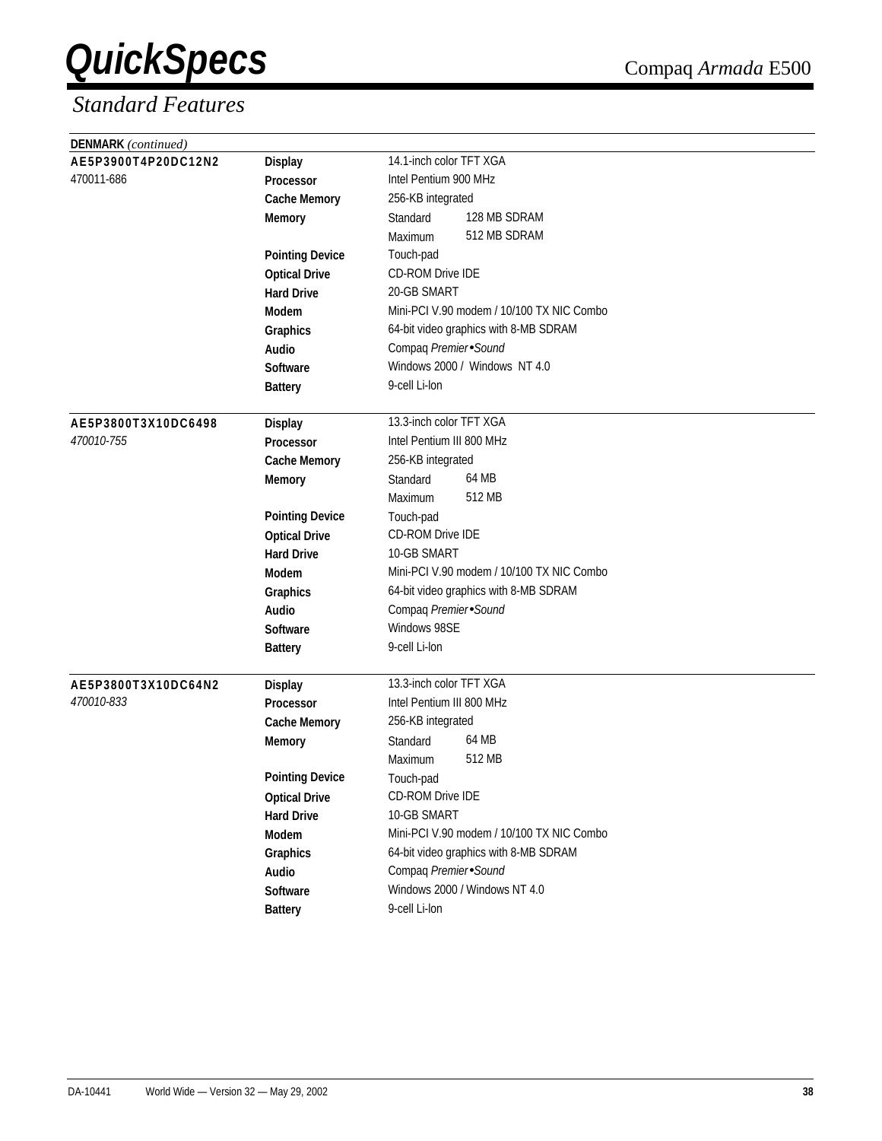| DENMARK (continued) |                        |                                           |  |  |  |
|---------------------|------------------------|-------------------------------------------|--|--|--|
| AE5P3900T4P20DC12N2 | <b>Display</b>         | 14.1-inch color TFT XGA                   |  |  |  |
| 470011-686          | Processor              | Intel Pentium 900 MHz                     |  |  |  |
|                     | <b>Cache Memory</b>    | 256-KB integrated                         |  |  |  |
|                     | <b>Memory</b>          | 128 MB SDRAM<br>Standard                  |  |  |  |
|                     |                        | 512 MB SDRAM<br>Maximum                   |  |  |  |
|                     | <b>Pointing Device</b> | Touch-pad                                 |  |  |  |
|                     | <b>Optical Drive</b>   | <b>CD-ROM Drive IDE</b>                   |  |  |  |
|                     | <b>Hard Drive</b>      | 20-GB SMART                               |  |  |  |
|                     | <b>Modem</b>           | Mini-PCI V.90 modem / 10/100 TX NIC Combo |  |  |  |
|                     | Graphics               | 64-bit video graphics with 8-MB SDRAM     |  |  |  |
|                     | Audio                  | Compaq Premier Sound                      |  |  |  |
|                     | <b>Software</b>        | Windows 2000 / Windows NT 4.0             |  |  |  |
|                     | <b>Battery</b>         | 9-cell Li-lon                             |  |  |  |
|                     |                        |                                           |  |  |  |
| AE5P3800T3X10DC6498 | <b>Display</b>         | 13.3-inch color TFT XGA                   |  |  |  |
| 470010-755          | Processor              | Intel Pentium III 800 MHz                 |  |  |  |
|                     | <b>Cache Memory</b>    | 256-KB integrated                         |  |  |  |
|                     | <b>Memory</b>          | 64 MB<br>Standard                         |  |  |  |
|                     |                        | 512 MB<br>Maximum                         |  |  |  |
|                     | <b>Pointing Device</b> | Touch-pad                                 |  |  |  |
|                     | <b>Optical Drive</b>   | CD-ROM Drive IDE                          |  |  |  |
|                     | <b>Hard Drive</b>      | 10-GB SMART                               |  |  |  |
|                     | <b>Modem</b>           | Mini-PCI V.90 modem / 10/100 TX NIC Combo |  |  |  |
|                     | Graphics               | 64-bit video graphics with 8-MB SDRAM     |  |  |  |
|                     | Audio                  | Compaq Premier Sound                      |  |  |  |
|                     | <b>Software</b>        | Windows 98SE                              |  |  |  |
|                     | <b>Battery</b>         | 9-cell Li-lon                             |  |  |  |
|                     |                        |                                           |  |  |  |
| AE5P3800T3X10DC64N2 | <b>Display</b>         | 13.3-inch color TFT XGA                   |  |  |  |
| 470010-833          | <b>Processor</b>       | Intel Pentium III 800 MHz                 |  |  |  |
|                     | <b>Cache Memory</b>    | 256-KB integrated                         |  |  |  |
|                     | <b>Memory</b>          | 64 MB<br>Standard                         |  |  |  |
|                     |                        | 512 MB<br>Maximum                         |  |  |  |
|                     | <b>Pointing Device</b> | Touch-pad                                 |  |  |  |
|                     | <b>Optical Drive</b>   | CD-ROM Drive IDE                          |  |  |  |
|                     | <b>Hard Drive</b>      | 10-GB SMART                               |  |  |  |
|                     | Modem                  | Mini-PCI V.90 modem / 10/100 TX NIC Combo |  |  |  |
|                     | Graphics               | 64-bit video graphics with 8-MB SDRAM     |  |  |  |
|                     | Audio                  | Compaq Premier Sound                      |  |  |  |
|                     | Software               | Windows 2000 / Windows NT 4.0             |  |  |  |
|                     | <b>Battery</b>         | 9-cell Li-lon                             |  |  |  |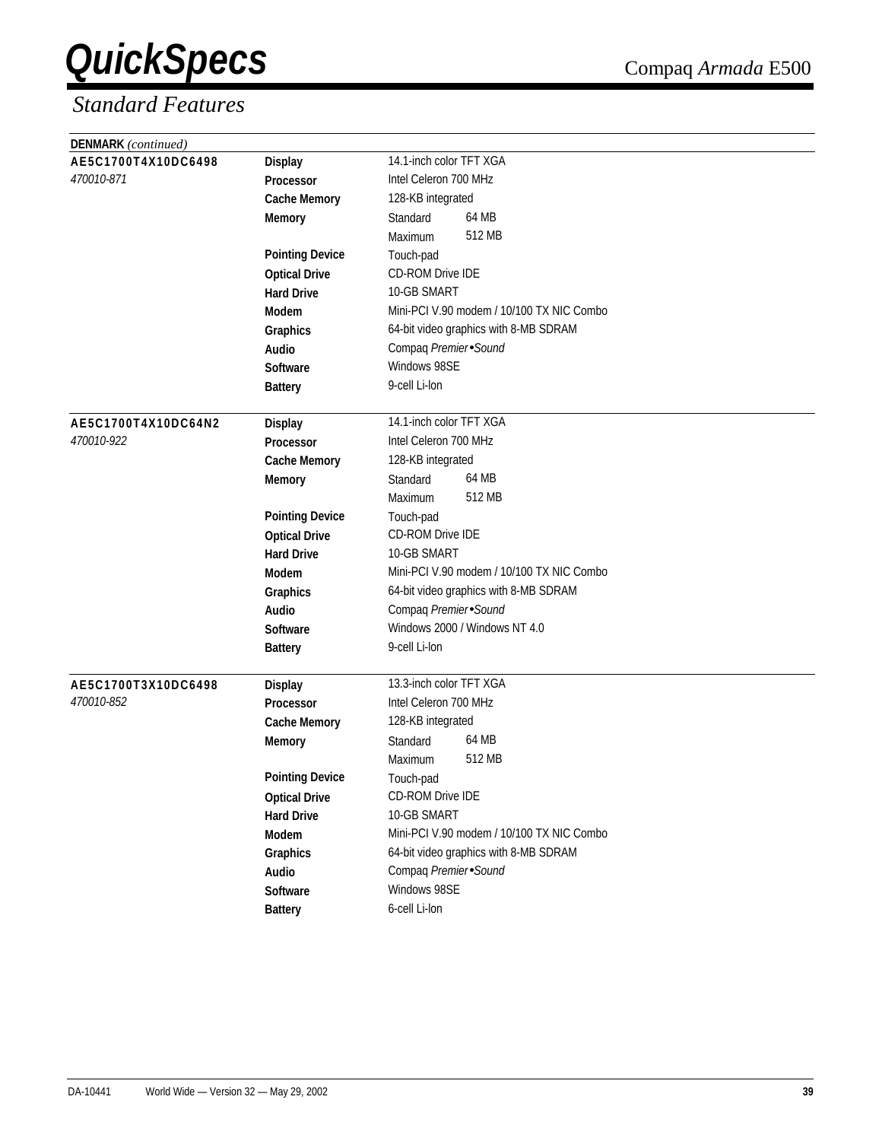| DENMARK (continued) |                        |                                           |
|---------------------|------------------------|-------------------------------------------|
| AE5C1700T4X10DC6498 | <b>Display</b>         | 14.1-inch color TFT XGA                   |
| 470010-871          | Processor              | Intel Celeron 700 MHz                     |
|                     | <b>Cache Memory</b>    | 128-KB integrated                         |
|                     | <b>Memory</b>          | 64 MB<br>Standard                         |
|                     |                        | 512 MB<br>Maximum                         |
|                     | <b>Pointing Device</b> | Touch-pad                                 |
|                     | <b>Optical Drive</b>   | CD-ROM Drive IDE                          |
|                     | <b>Hard Drive</b>      | 10-GB SMART                               |
|                     | Modem                  | Mini-PCI V.90 modem / 10/100 TX NIC Combo |
|                     | Graphics               | 64-bit video graphics with 8-MB SDRAM     |
|                     | Audio                  | Compaq Premier Sound                      |
|                     | <b>Software</b>        | Windows 98SE                              |
|                     | <b>Battery</b>         | 9-cell Li-lon                             |
|                     |                        |                                           |
| AE5C1700T4X10DC64N2 | <b>Display</b>         | 14.1-inch color TFT XGA                   |
| 470010-922          | Processor              | Intel Celeron 700 MHz                     |
|                     | <b>Cache Memory</b>    | 128-KB integrated                         |
|                     | <b>Memory</b>          | 64 MB<br>Standard                         |
|                     |                        | 512 MB<br>Maximum                         |
|                     | <b>Pointing Device</b> | Touch-pad                                 |
|                     | <b>Optical Drive</b>   | <b>CD-ROM Drive IDE</b>                   |
|                     | <b>Hard Drive</b>      | 10-GB SMART                               |
|                     | <b>Modem</b>           | Mini-PCI V.90 modem / 10/100 TX NIC Combo |
|                     | Graphics               | 64-bit video graphics with 8-MB SDRAM     |
|                     | <b>Audio</b>           | Compaq Premier Sound                      |
|                     | <b>Software</b>        | Windows 2000 / Windows NT 4.0             |
|                     | <b>Battery</b>         | 9-cell Li-lon                             |
|                     |                        |                                           |
| AE5C1700T3X10DC6498 | <b>Display</b>         | 13.3-inch color TFT XGA                   |
| 470010-852          | <b>Processor</b>       | Intel Celeron 700 MHz                     |
|                     | <b>Cache Memory</b>    | 128-KB integrated                         |
|                     | <b>Memory</b>          | 64 MB<br>Standard                         |
|                     |                        | 512 MB<br>Maximum                         |
|                     | <b>Pointing Device</b> | Touch-pad                                 |
|                     | <b>Optical Drive</b>   | CD-ROM Drive IDE                          |
|                     | <b>Hard Drive</b>      | 10-GB SMART                               |
|                     | Modem                  | Mini-PCI V.90 modem / 10/100 TX NIC Combo |
|                     | Graphics               | 64-bit video graphics with 8-MB SDRAM     |
|                     | Audio                  | Compaq Premier Sound                      |
|                     | Software               | Windows 98SE                              |
|                     | <b>Battery</b>         | 6-cell Li-lon                             |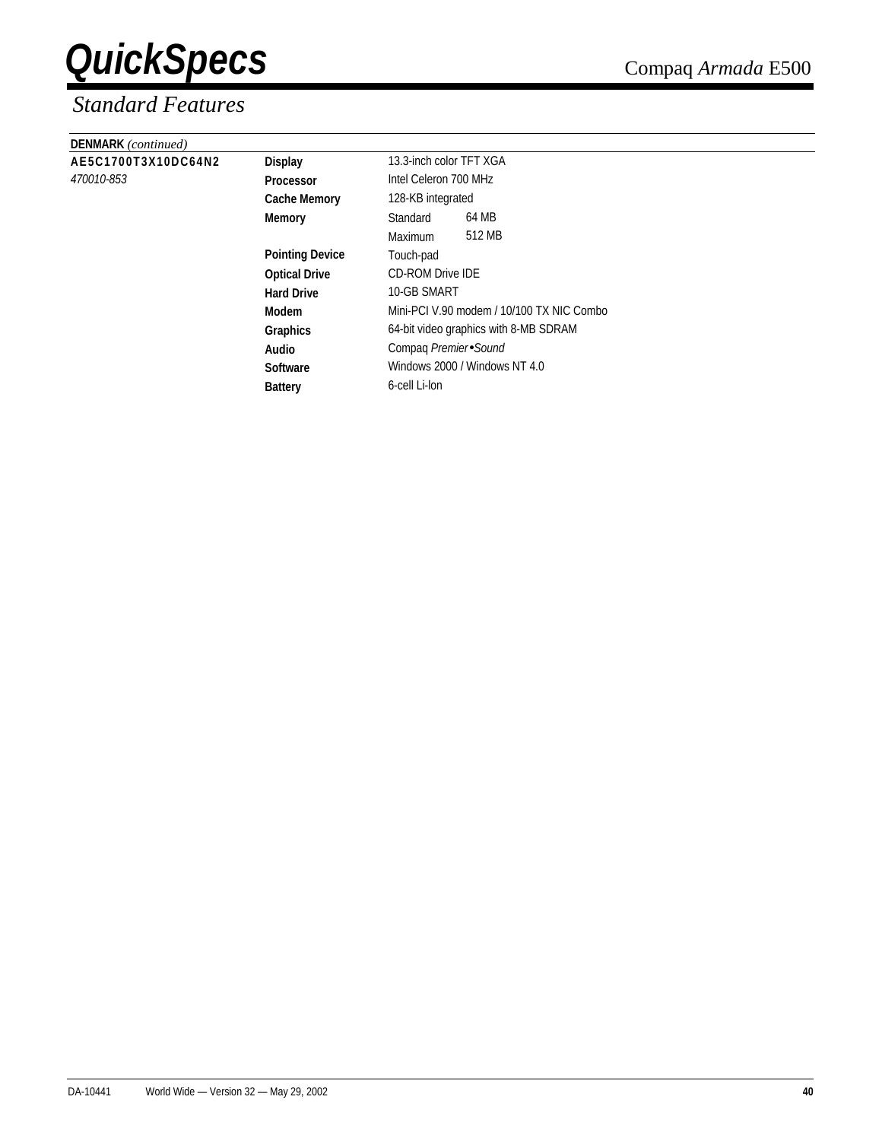| <b>DENMARK</b> (continued) |                        |                                           |        |  |
|----------------------------|------------------------|-------------------------------------------|--------|--|
| AE5C1700T3X10DC64N2        | <b>Display</b>         | 13.3-inch color TFT XGA                   |        |  |
| 470010-853                 | <b>Processor</b>       | Intel Celeron 700 MHz                     |        |  |
|                            | <b>Cache Memory</b>    | 128-KB integrated                         |        |  |
|                            | Memory                 | Standard                                  | 64 MB  |  |
|                            |                        | Maximum                                   | 512 MB |  |
|                            | <b>Pointing Device</b> | Touch-pad                                 |        |  |
|                            | <b>Optical Drive</b>   | <b>CD-ROM Drive IDE</b>                   |        |  |
|                            | <b>Hard Drive</b>      | 10-GB SMART                               |        |  |
|                            | Modem                  | Mini-PCI V.90 modem / 10/100 TX NIC Combo |        |  |
|                            | Graphics               | 64-bit video graphics with 8-MB SDRAM     |        |  |
|                            | Audio                  | Compaq Premier Sound                      |        |  |
|                            | <b>Software</b>        | Windows 2000 / Windows NT 4.0             |        |  |
|                            | <b>Battery</b>         | 6-cell Li-lon                             |        |  |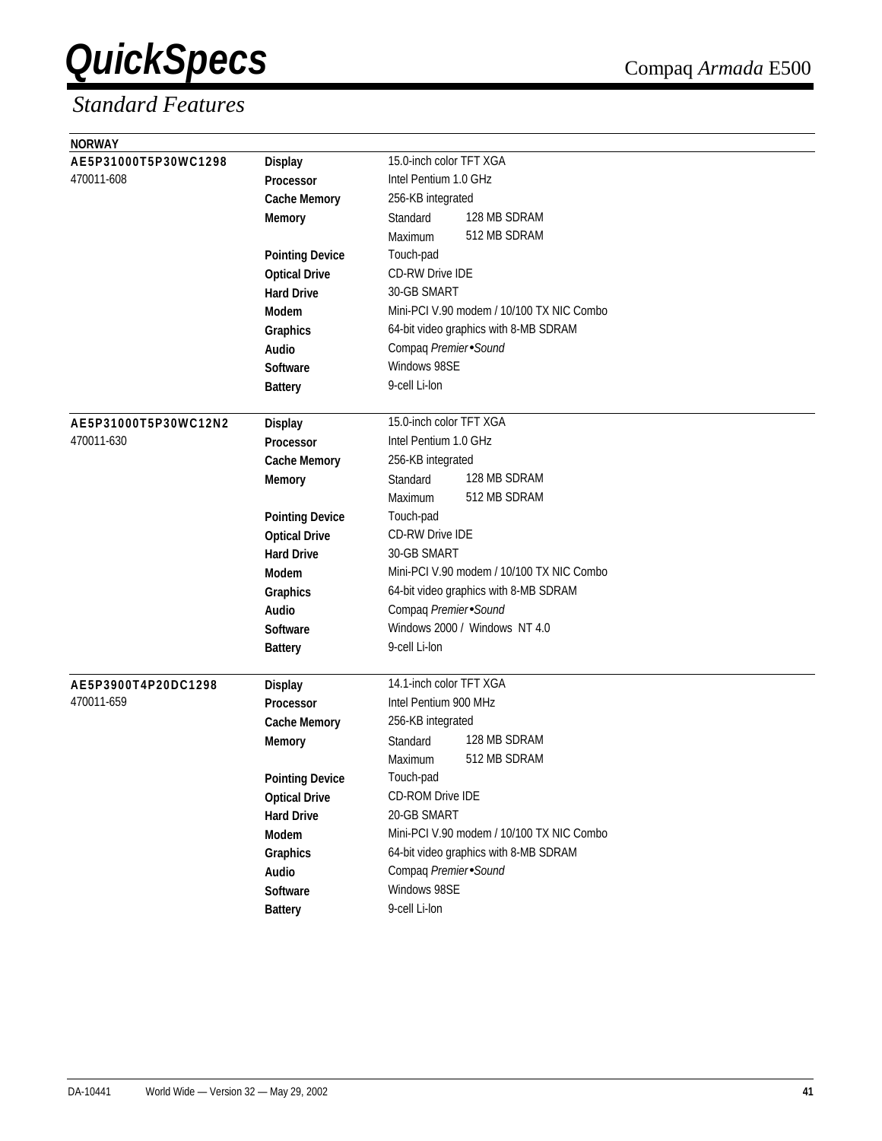| <b>NORWAY</b>        |                        |                                           |
|----------------------|------------------------|-------------------------------------------|
| AE5P31000T5P30WC1298 | <b>Display</b>         | 15.0-inch color TFT XGA                   |
| 470011-608           | Processor              | Intel Pentium 1.0 GHz                     |
|                      | <b>Cache Memory</b>    | 256-KB integrated                         |
|                      | <b>Memory</b>          | 128 MB SDRAM<br>Standard                  |
|                      |                        | 512 MB SDRAM<br>Maximum                   |
|                      | <b>Pointing Device</b> | Touch-pad                                 |
|                      | <b>Optical Drive</b>   | <b>CD-RW Drive IDE</b>                    |
|                      | <b>Hard Drive</b>      | 30-GB SMART                               |
|                      | <b>Modem</b>           | Mini-PCI V.90 modem / 10/100 TX NIC Combo |
|                      | Graphics               | 64-bit video graphics with 8-MB SDRAM     |
|                      | Audio                  | Compaq Premier Sound                      |
|                      | Software               | Windows 98SE                              |
|                      | <b>Battery</b>         | 9-cell Li-lon                             |
|                      |                        |                                           |
| AE5P31000T5P30WC12N2 | <b>Display</b>         | 15.0-inch color TFT XGA                   |
| 470011-630           | <b>Processor</b>       | Intel Pentium 1.0 GHz                     |
|                      | <b>Cache Memory</b>    | 256-KB integrated                         |
|                      | Memory                 | 128 MB SDRAM<br>Standard                  |
|                      |                        | 512 MB SDRAM<br>Maximum                   |
|                      | <b>Pointing Device</b> | Touch-pad                                 |
|                      | <b>Optical Drive</b>   | <b>CD-RW Drive IDE</b>                    |
|                      | <b>Hard Drive</b>      | 30-GB SMART                               |
|                      | Modem                  | Mini-PCI V.90 modem / 10/100 TX NIC Combo |
|                      | Graphics               | 64-bit video graphics with 8-MB SDRAM     |
|                      | <b>Audio</b>           | Compaq Premier Sound                      |
|                      | Software               | Windows 2000 / Windows NT 4.0             |
|                      | <b>Battery</b>         | 9-cell Li-lon                             |
|                      |                        |                                           |
| AE5P3900T4P20DC1298  | <b>Display</b>         | 14.1-inch color TFT XGA                   |
| 470011-659           | Processor              | Intel Pentium 900 MHz                     |
|                      | <b>Cache Memory</b>    | 256-KB integrated                         |
|                      | <b>Memory</b>          | 128 MB SDRAM<br>Standard                  |
|                      |                        | 512 MB SDRAM<br>Maximum                   |
|                      | <b>Pointing Device</b> | Touch-pad                                 |
|                      | <b>Optical Drive</b>   | CD-ROM Drive IDE                          |
|                      | <b>Hard Drive</b>      | 20-GB SMART                               |
|                      | Modem                  | Mini-PCI V.90 modem / 10/100 TX NIC Combo |
|                      | Graphics               | 64-bit video graphics with 8-MB SDRAM     |
|                      | Audio                  | Compaq Premier Sound                      |
|                      | Software               | Windows 98SE                              |
|                      | <b>Battery</b>         | 9-cell Li-lon                             |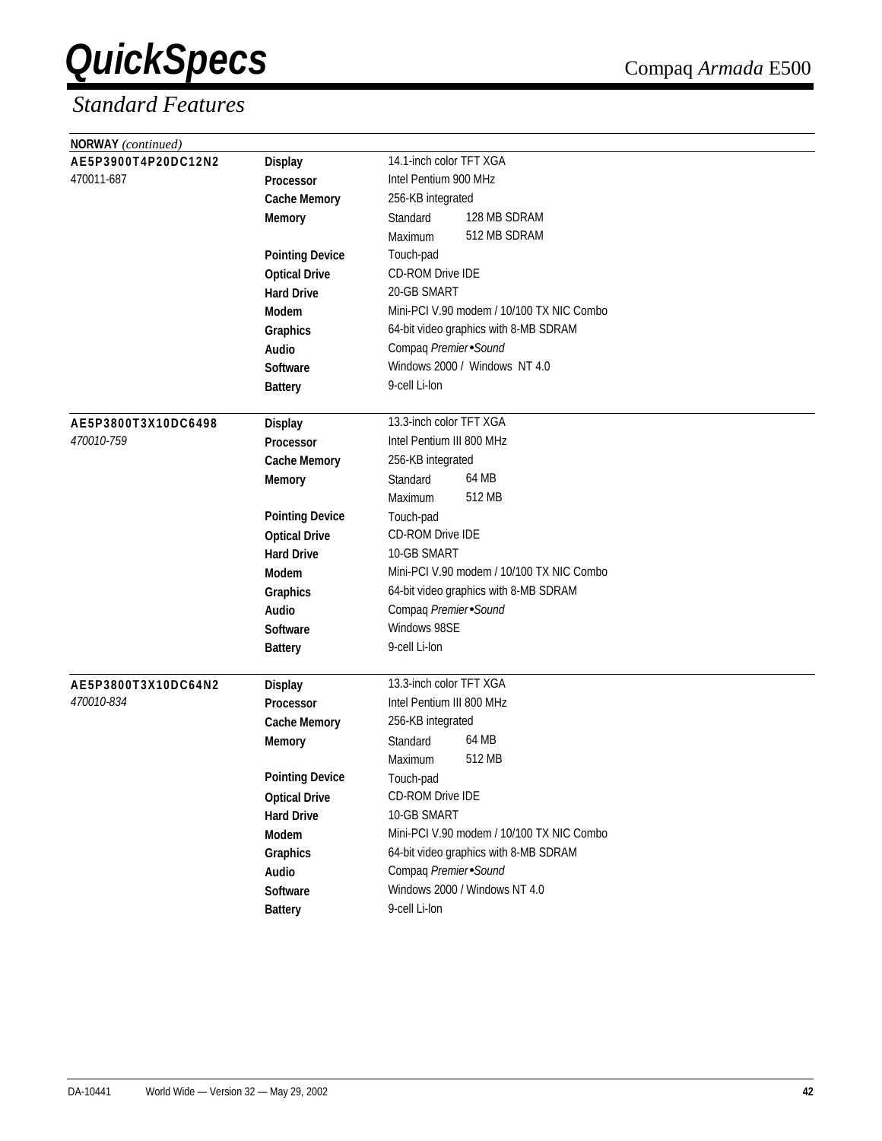| <b>NORWAY</b> (continued) |                        |                                           |
|---------------------------|------------------------|-------------------------------------------|
| AE5P3900T4P20DC12N2       | <b>Display</b>         | 14.1-inch color TFT XGA                   |
| 470011-687                | Processor              | Intel Pentium 900 MHz                     |
|                           | <b>Cache Memory</b>    | 256-KB integrated                         |
|                           | <b>Memory</b>          | 128 MB SDRAM<br>Standard                  |
|                           |                        | 512 MB SDRAM<br>Maximum                   |
|                           | <b>Pointing Device</b> | Touch-pad                                 |
|                           | <b>Optical Drive</b>   | <b>CD-ROM Drive IDE</b>                   |
|                           | <b>Hard Drive</b>      | 20-GB SMART                               |
|                           | <b>Modem</b>           | Mini-PCI V.90 modem / 10/100 TX NIC Combo |
|                           | Graphics               | 64-bit video graphics with 8-MB SDRAM     |
|                           | Audio                  | Compaq Premier Sound                      |
|                           | <b>Software</b>        | Windows 2000 / Windows NT 4.0             |
|                           | <b>Battery</b>         | 9-cell Li-lon                             |
|                           |                        |                                           |
| AE5P3800T3X10DC6498       | <b>Display</b>         | 13.3-inch color TFT XGA                   |
| 470010-759                | <b>Processor</b>       | Intel Pentium III 800 MHz                 |
|                           | <b>Cache Memory</b>    | 256-KB integrated                         |
|                           | <b>Memory</b>          | 64 MB<br>Standard                         |
|                           |                        | 512 MB<br>Maximum                         |
|                           | <b>Pointing Device</b> | Touch-pad                                 |
|                           | <b>Optical Drive</b>   | CD-ROM Drive IDE                          |
|                           | <b>Hard Drive</b>      | 10-GB SMART                               |
|                           | Modem                  | Mini-PCI V.90 modem / 10/100 TX NIC Combo |
|                           | Graphics               | 64-bit video graphics with 8-MB SDRAM     |
|                           | Audio                  | Compaq Premier Sound                      |
|                           | <b>Software</b>        | Windows 98SE                              |
|                           | <b>Battery</b>         | 9-cell Li-lon                             |
| AE5P3800T3X10DC64N2       | <b>Display</b>         | 13.3-inch color TFT XGA                   |
| 470010-834                | <b>Processor</b>       | Intel Pentium III 800 MHz                 |
|                           | <b>Cache Memory</b>    | 256-KB integrated                         |
|                           | <b>Memory</b>          | 64 MB<br>Standard                         |
|                           |                        | 512 MB<br>Maximum                         |
|                           | <b>Pointing Device</b> | Touch-pad                                 |
|                           | <b>Optical Drive</b>   | CD-ROM Drive IDE                          |
|                           | <b>Hard Drive</b>      | 10-GB SMART                               |
|                           | Modem                  | Mini-PCI V.90 modem / 10/100 TX NIC Combo |
|                           | Graphics               | 64-bit video graphics with 8-MB SDRAM     |
|                           | Audio                  | Compaq Premier Sound                      |
|                           | Software               | Windows 2000 / Windows NT 4.0             |
|                           | <b>Battery</b>         | 9-cell Li-lon                             |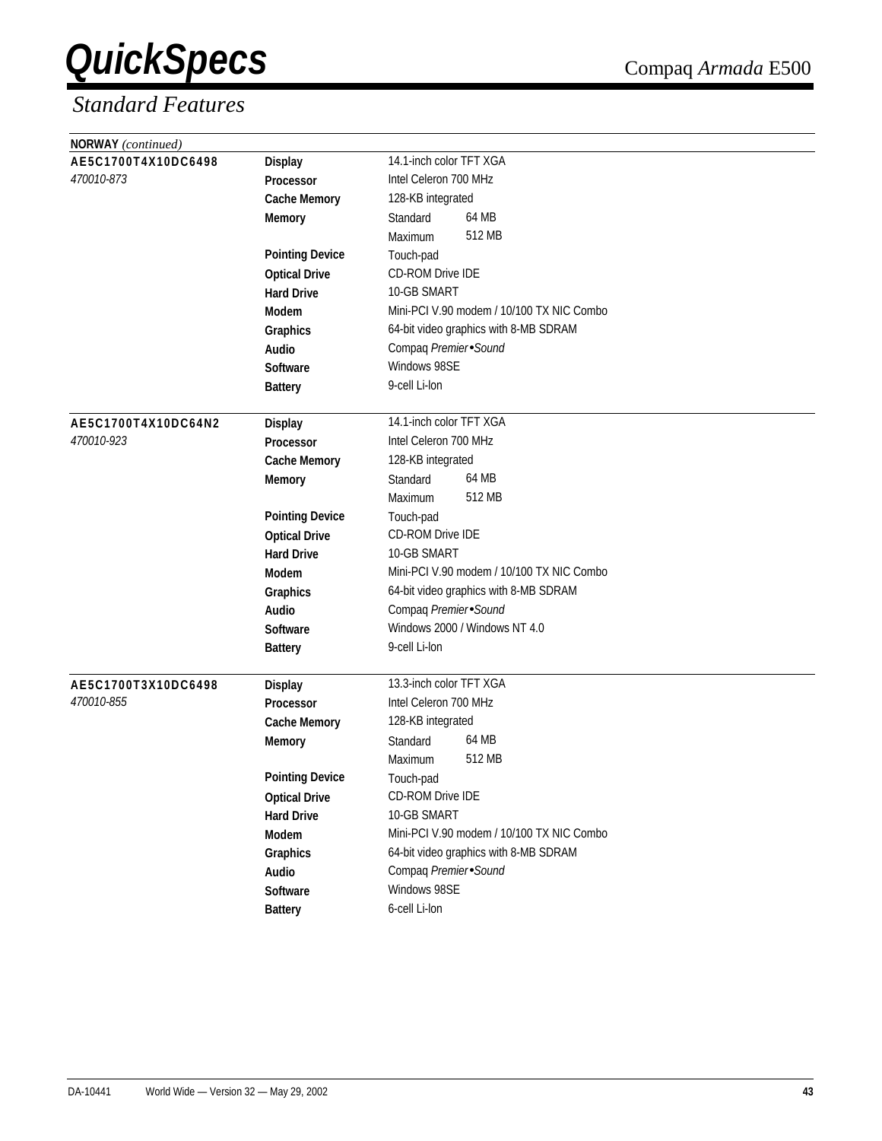| <b>NORWAY</b> (continued) |                        |                                           |  |  |  |
|---------------------------|------------------------|-------------------------------------------|--|--|--|
| AE5C1700T4X10DC6498       | <b>Display</b>         | 14.1-inch color TFT XGA                   |  |  |  |
| 470010-873                | Processor              | Intel Celeron 700 MHz                     |  |  |  |
|                           | <b>Cache Memory</b>    | 128-KB integrated                         |  |  |  |
|                           | <b>Memory</b>          | 64 MB<br>Standard                         |  |  |  |
|                           |                        | 512 MB<br>Maximum                         |  |  |  |
|                           | <b>Pointing Device</b> | Touch-pad                                 |  |  |  |
|                           | <b>Optical Drive</b>   | CD-ROM Drive IDE                          |  |  |  |
|                           | <b>Hard Drive</b>      | 10-GB SMART                               |  |  |  |
|                           | Modem                  | Mini-PCI V.90 modem / 10/100 TX NIC Combo |  |  |  |
|                           | Graphics               | 64-bit video graphics with 8-MB SDRAM     |  |  |  |
|                           | Audio                  | Compaq Premier Sound                      |  |  |  |
|                           | <b>Software</b>        | Windows 98SE                              |  |  |  |
|                           | <b>Battery</b>         | 9-cell Li-lon                             |  |  |  |
|                           |                        |                                           |  |  |  |
| AE5C1700T4X10DC64N2       | <b>Display</b>         | 14.1-inch color TFT XGA                   |  |  |  |
| 470010-923                | Processor              | Intel Celeron 700 MHz                     |  |  |  |
|                           | <b>Cache Memory</b>    | 128-KB integrated                         |  |  |  |
|                           | <b>Memory</b>          | 64 MB<br>Standard                         |  |  |  |
|                           |                        | 512 MB<br>Maximum                         |  |  |  |
|                           | <b>Pointing Device</b> | Touch-pad                                 |  |  |  |
|                           | <b>Optical Drive</b>   | <b>CD-ROM Drive IDE</b>                   |  |  |  |
|                           | <b>Hard Drive</b>      | 10-GB SMART                               |  |  |  |
|                           | <b>Modem</b>           | Mini-PCI V.90 modem / 10/100 TX NIC Combo |  |  |  |
|                           | Graphics               | 64-bit video graphics with 8-MB SDRAM     |  |  |  |
|                           | <b>Audio</b>           | Compaq Premier Sound                      |  |  |  |
|                           | <b>Software</b>        | Windows 2000 / Windows NT 4.0             |  |  |  |
|                           | <b>Battery</b>         | 9-cell Li-lon                             |  |  |  |
|                           |                        |                                           |  |  |  |
| AE5C1700T3X10DC6498       | <b>Display</b>         | 13.3-inch color TFT XGA                   |  |  |  |
| 470010-855                | <b>Processor</b>       | Intel Celeron 700 MHz                     |  |  |  |
|                           | <b>Cache Memory</b>    | 128-KB integrated                         |  |  |  |
|                           | <b>Memory</b>          | 64 MB<br>Standard                         |  |  |  |
|                           |                        | 512 MB<br>Maximum                         |  |  |  |
|                           | <b>Pointing Device</b> | Touch-pad                                 |  |  |  |
|                           | <b>Optical Drive</b>   | CD-ROM Drive IDE                          |  |  |  |
|                           | <b>Hard Drive</b>      | 10-GB SMART                               |  |  |  |
|                           | Modem                  | Mini-PCI V.90 modem / 10/100 TX NIC Combo |  |  |  |
|                           | Graphics               | 64-bit video graphics with 8-MB SDRAM     |  |  |  |
|                           | Audio                  | Compaq Premier Sound                      |  |  |  |
|                           | Software               | Windows 98SE                              |  |  |  |
|                           | <b>Battery</b>         | 6-cell Li-lon                             |  |  |  |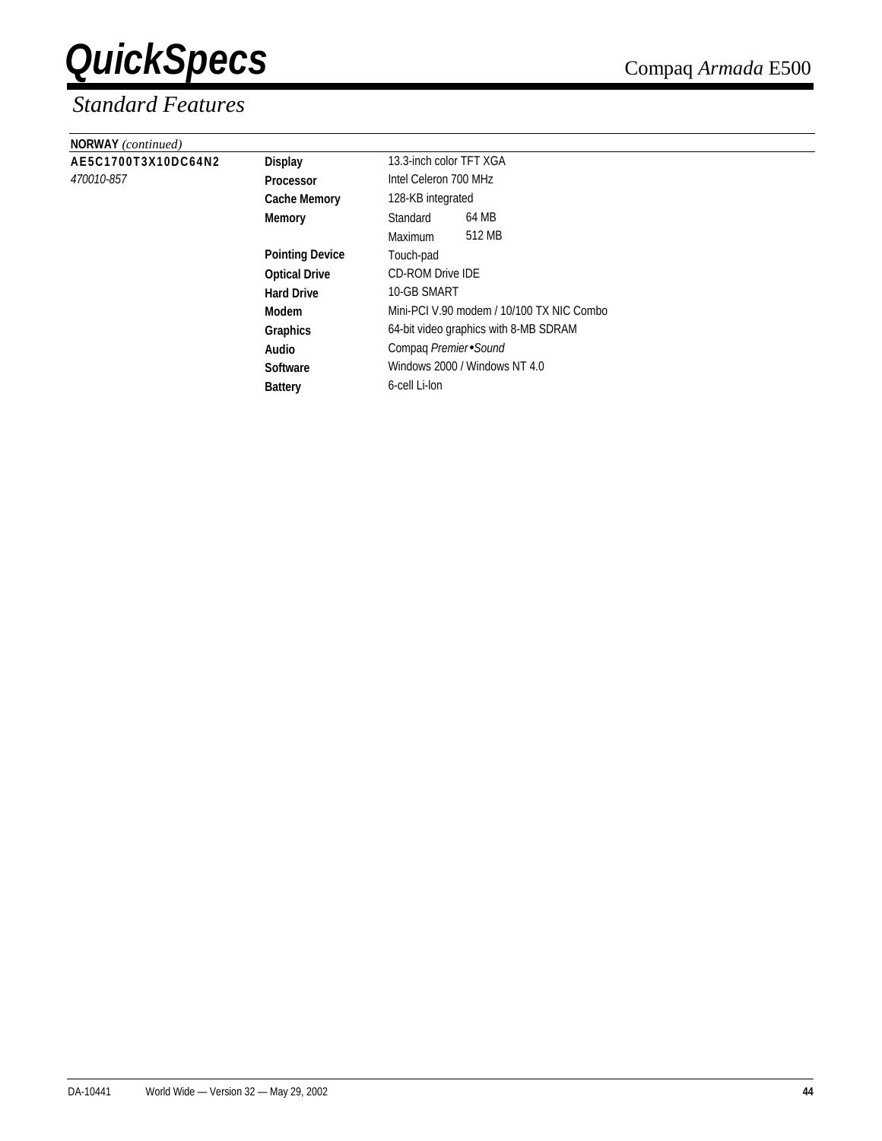| <b>NORWAY</b> (continued) |                        |                                           |                       |  |  |
|---------------------------|------------------------|-------------------------------------------|-----------------------|--|--|
| AE5C1700T3X10DC64N2       | <b>Display</b>         | 13.3-inch color TFT XGA                   |                       |  |  |
| 470010-857                | <b>Processor</b>       |                                           | Intel Celeron 700 MHz |  |  |
|                           | <b>Cache Memory</b>    | 128-KB integrated                         |                       |  |  |
|                           | <b>Memory</b>          | Standard                                  | 64 MB                 |  |  |
|                           |                        | Maximum                                   | 512 MB                |  |  |
|                           | <b>Pointing Device</b> | Touch-pad                                 |                       |  |  |
|                           | <b>Optical Drive</b>   | <b>CD-ROM Drive IDE</b>                   |                       |  |  |
|                           | <b>Hard Drive</b>      | 10-GB SMART                               |                       |  |  |
|                           | Modem                  | Mini-PCI V.90 modem / 10/100 TX NIC Combo |                       |  |  |
|                           | <b>Graphics</b>        | 64-bit video graphics with 8-MB SDRAM     |                       |  |  |
|                           | Audio                  | Compaq Premier Sound                      |                       |  |  |
|                           | <b>Software</b>        | Windows 2000 / Windows NT 4.0             |                       |  |  |
|                           | <b>Battery</b>         | 6-cell Li-lon                             |                       |  |  |
|                           |                        |                                           |                       |  |  |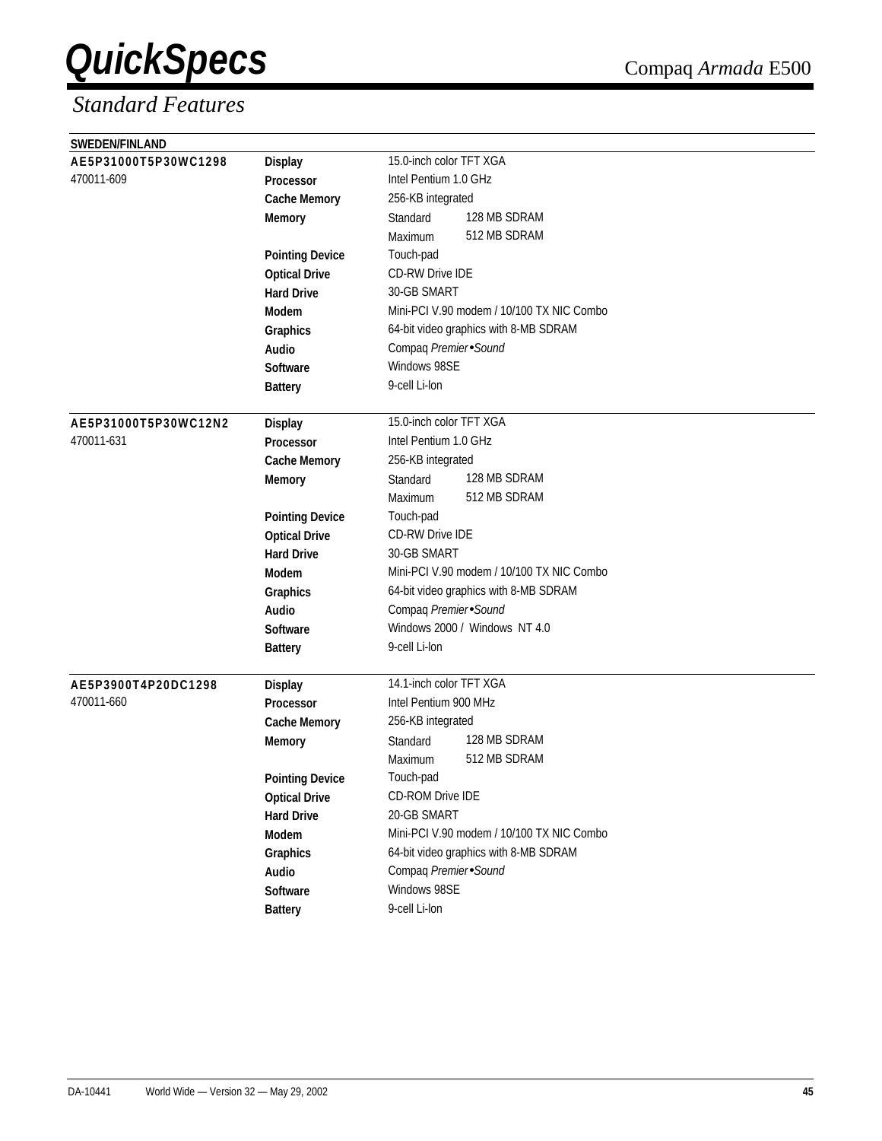| <b>SWEDEN/FINLAND</b> |                        |                                           |  |  |  |  |
|-----------------------|------------------------|-------------------------------------------|--|--|--|--|
| AE5P31000T5P30WC1298  | <b>Display</b>         | 15.0-inch color TFT XGA                   |  |  |  |  |
| 470011-609            | Processor              | Intel Pentium 1.0 GHz                     |  |  |  |  |
|                       | <b>Cache Memory</b>    | 256-KB integrated                         |  |  |  |  |
|                       | <b>Memory</b>          | 128 MB SDRAM<br>Standard                  |  |  |  |  |
|                       |                        | 512 MB SDRAM<br>Maximum                   |  |  |  |  |
|                       | <b>Pointing Device</b> | Touch-pad                                 |  |  |  |  |
|                       | <b>Optical Drive</b>   | <b>CD-RW Drive IDE</b>                    |  |  |  |  |
|                       | <b>Hard Drive</b>      | 30-GB SMART                               |  |  |  |  |
|                       | <b>Modem</b>           | Mini-PCI V.90 modem / 10/100 TX NIC Combo |  |  |  |  |
|                       | Graphics               | 64-bit video graphics with 8-MB SDRAM     |  |  |  |  |
|                       | Audio                  | Compaq Premier Sound                      |  |  |  |  |
|                       | <b>Software</b>        | Windows 98SE                              |  |  |  |  |
|                       | <b>Battery</b>         | 9-cell Li-lon                             |  |  |  |  |
|                       |                        |                                           |  |  |  |  |
| AE5P31000T5P30WC12N2  | <b>Display</b>         | 15.0-inch color TFT XGA                   |  |  |  |  |
| 470011-631            | Processor              | Intel Pentium 1.0 GHz                     |  |  |  |  |
|                       | <b>Cache Memory</b>    | 256-KB integrated                         |  |  |  |  |
|                       | <b>Memory</b>          | 128 MB SDRAM<br>Standard                  |  |  |  |  |
|                       |                        | 512 MB SDRAM<br>Maximum                   |  |  |  |  |
|                       | <b>Pointing Device</b> | Touch-pad                                 |  |  |  |  |
|                       | <b>Optical Drive</b>   | <b>CD-RW Drive IDE</b>                    |  |  |  |  |
|                       | <b>Hard Drive</b>      | 30-GB SMART                               |  |  |  |  |
|                       | <b>Modem</b>           | Mini-PCI V.90 modem / 10/100 TX NIC Combo |  |  |  |  |
|                       | Graphics               | 64-bit video graphics with 8-MB SDRAM     |  |  |  |  |
|                       | Audio                  | Compaq Premier Sound                      |  |  |  |  |
|                       | <b>Software</b>        | Windows 2000 / Windows NT 4.0             |  |  |  |  |
|                       | <b>Battery</b>         | 9-cell Li-lon                             |  |  |  |  |
|                       |                        |                                           |  |  |  |  |
| AE5P3900T4P20DC1298   | <b>Display</b>         | 14.1-inch color TFT XGA                   |  |  |  |  |
| 470011-660            | Processor              | Intel Pentium 900 MHz                     |  |  |  |  |
|                       | <b>Cache Memory</b>    | 256-KB integrated                         |  |  |  |  |
|                       | <b>Memory</b>          | 128 MB SDRAM<br>Standard                  |  |  |  |  |
|                       |                        | 512 MB SDRAM<br>Maximum                   |  |  |  |  |
|                       | <b>Pointing Device</b> | Touch-pad                                 |  |  |  |  |
|                       | <b>Optical Drive</b>   | CD-ROM Drive IDE                          |  |  |  |  |
|                       | <b>Hard Drive</b>      | 20-GB SMART                               |  |  |  |  |
|                       | Modem                  | Mini-PCI V.90 modem / 10/100 TX NIC Combo |  |  |  |  |
|                       | Graphics               | 64-bit video graphics with 8-MB SDRAM     |  |  |  |  |
|                       | Audio                  | Compaq Premier Sound                      |  |  |  |  |
|                       | Software               | Windows 98SE                              |  |  |  |  |
|                       | <b>Battery</b>         | 9-cell Li-lon                             |  |  |  |  |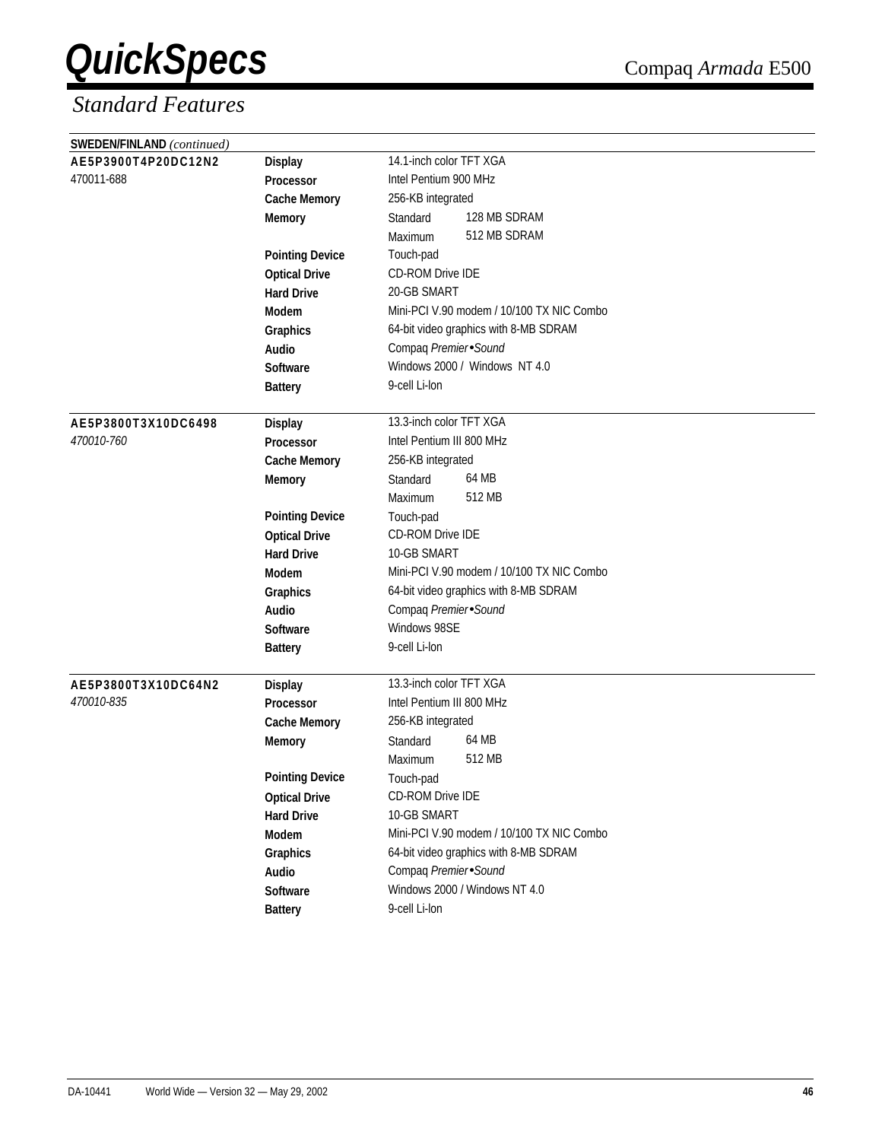| SWEDEN/FINLAND (continued) |                        |                                           |
|----------------------------|------------------------|-------------------------------------------|
| AE5P3900T4P20DC12N2        | <b>Display</b>         | 14.1-inch color TFT XGA                   |
| 470011-688                 | Processor              | Intel Pentium 900 MHz                     |
|                            | <b>Cache Memory</b>    | 256-KB integrated                         |
|                            | <b>Memory</b>          | 128 MB SDRAM<br>Standard                  |
|                            |                        | 512 MB SDRAM<br>Maximum                   |
|                            | <b>Pointing Device</b> | Touch-pad                                 |
|                            | <b>Optical Drive</b>   | <b>CD-ROM Drive IDE</b>                   |
|                            | <b>Hard Drive</b>      | 20-GB SMART                               |
|                            | Modem                  | Mini-PCI V.90 modem / 10/100 TX NIC Combo |
|                            | Graphics               | 64-bit video graphics with 8-MB SDRAM     |
|                            | Audio                  | Compaq Premier Sound                      |
|                            | <b>Software</b>        | Windows 2000 / Windows NT 4.0             |
|                            | <b>Battery</b>         | 9-cell Li-lon                             |
|                            |                        |                                           |
| AE5P3800T3X10DC6498        | <b>Display</b>         | 13.3-inch color TFT XGA                   |
| 470010-760                 | Processor              | Intel Pentium III 800 MHz                 |
|                            | <b>Cache Memory</b>    | 256-KB integrated                         |
|                            | <b>Memory</b>          | 64 MB<br>Standard                         |
|                            |                        | 512 MB<br>Maximum                         |
|                            | <b>Pointing Device</b> | Touch-pad                                 |
|                            | <b>Optical Drive</b>   | <b>CD-ROM Drive IDE</b>                   |
|                            | <b>Hard Drive</b>      | 10-GB SMART                               |
|                            | <b>Modem</b>           | Mini-PCI V.90 modem / 10/100 TX NIC Combo |
|                            | Graphics               | 64-bit video graphics with 8-MB SDRAM     |
|                            | <b>Audio</b>           | Compaq Premier Sound                      |
|                            | <b>Software</b>        | Windows 98SE                              |
|                            | <b>Battery</b>         | 9-cell Li-lon                             |
|                            |                        |                                           |
| AE5P3800T3X10DC64N2        | <b>Display</b>         | 13.3-inch color TFT XGA                   |
| 470010-835                 | <b>Processor</b>       | Intel Pentium III 800 MHz                 |
|                            | <b>Cache Memory</b>    | 256-KB integrated                         |
|                            | <b>Memory</b>          | 64 MB<br>Standard                         |
|                            |                        | 512 MB<br>Maximum                         |
|                            | <b>Pointing Device</b> | Touch-pad                                 |
|                            | <b>Optical Drive</b>   | CD-ROM Drive IDE                          |
|                            | <b>Hard Drive</b>      | 10-GB SMART                               |
|                            | Modem                  | Mini-PCI V.90 modem / 10/100 TX NIC Combo |
|                            | Graphics               | 64-bit video graphics with 8-MB SDRAM     |
|                            | Audio                  | Compaq Premier Sound                      |
|                            | Software               | Windows 2000 / Windows NT 4.0             |
|                            | <b>Battery</b>         | 9-cell Li-lon                             |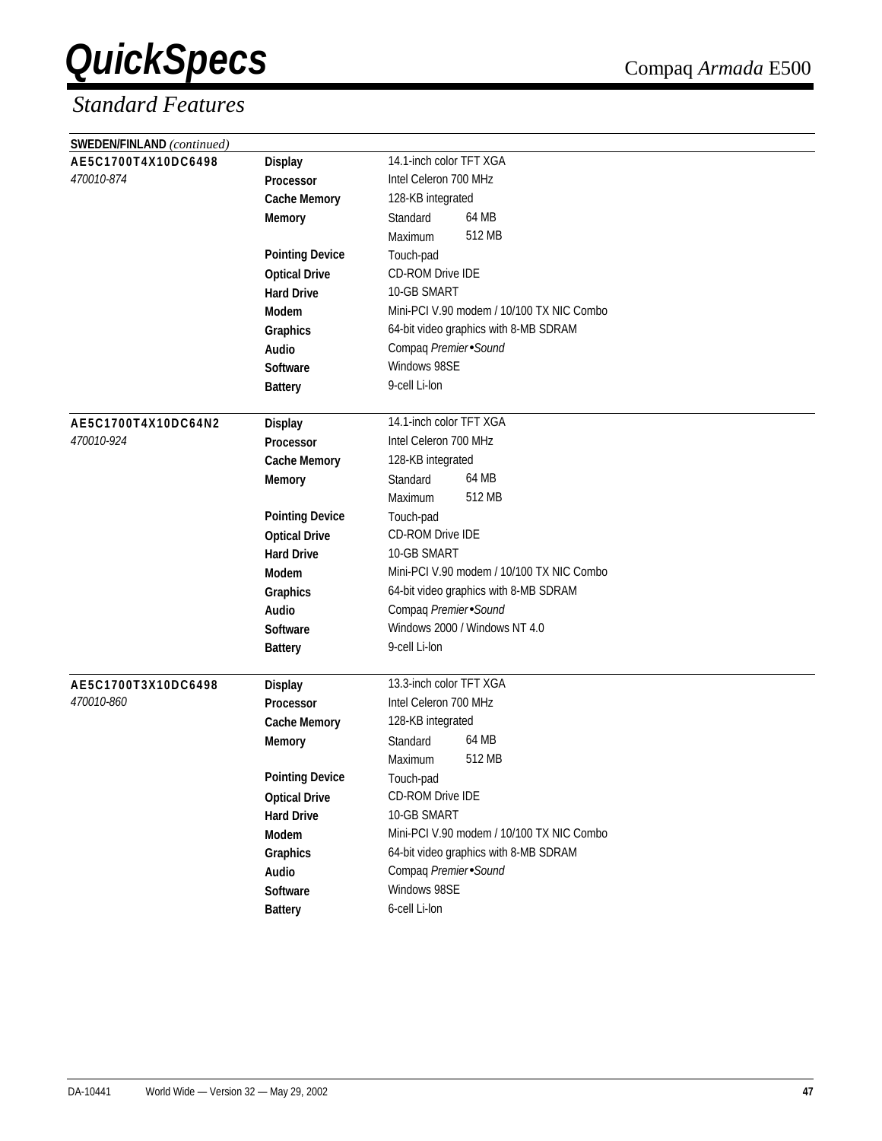| SWEDEN/FINLAND (continued) |                        |                                           |  |  |  |
|----------------------------|------------------------|-------------------------------------------|--|--|--|
| AE5C1700T4X10DC6498        | <b>Display</b>         | 14.1-inch color TFT XGA                   |  |  |  |
| 470010-874                 | <b>Processor</b>       | Intel Celeron 700 MHz                     |  |  |  |
|                            | <b>Cache Memory</b>    | 128-KB integrated                         |  |  |  |
|                            | <b>Memory</b>          | 64 MB<br>Standard                         |  |  |  |
|                            |                        | 512 MB<br>Maximum                         |  |  |  |
|                            | <b>Pointing Device</b> | Touch-pad                                 |  |  |  |
|                            | <b>Optical Drive</b>   | CD-ROM Drive IDE                          |  |  |  |
|                            | <b>Hard Drive</b>      | 10-GB SMART                               |  |  |  |
|                            | <b>Modem</b>           | Mini-PCI V.90 modem / 10/100 TX NIC Combo |  |  |  |
|                            | Graphics               | 64-bit video graphics with 8-MB SDRAM     |  |  |  |
|                            | Audio                  | Compaq Premier Sound                      |  |  |  |
|                            | <b>Software</b>        | Windows 98SE                              |  |  |  |
|                            | <b>Battery</b>         | 9-cell Li-lon                             |  |  |  |
|                            |                        |                                           |  |  |  |
| AE5C1700T4X10DC64N2        | <b>Display</b>         | 14.1-inch color TFT XGA                   |  |  |  |
| 470010-924                 | Processor              | Intel Celeron 700 MHz                     |  |  |  |
|                            | <b>Cache Memory</b>    | 128-KB integrated                         |  |  |  |
|                            | <b>Memory</b>          | 64 MB<br>Standard                         |  |  |  |
|                            |                        | 512 MB<br>Maximum                         |  |  |  |
|                            | <b>Pointing Device</b> | Touch-pad                                 |  |  |  |
|                            | <b>Optical Drive</b>   | CD-ROM Drive IDE                          |  |  |  |
|                            | <b>Hard Drive</b>      | 10-GB SMART                               |  |  |  |
|                            | <b>Modem</b>           | Mini-PCI V.90 modem / 10/100 TX NIC Combo |  |  |  |
|                            | Graphics               | 64-bit video graphics with 8-MB SDRAM     |  |  |  |
|                            | Audio                  | Compaq Premier Sound                      |  |  |  |
|                            | Software               | Windows 2000 / Windows NT 4.0             |  |  |  |
|                            | <b>Battery</b>         | 9-cell Li-lon                             |  |  |  |
|                            |                        |                                           |  |  |  |
| AE5C1700T3X10DC6498        | <b>Display</b>         | 13.3-inch color TFT XGA                   |  |  |  |
| 470010-860                 | <b>Processor</b>       | Intel Celeron 700 MHz                     |  |  |  |
|                            | <b>Cache Memory</b>    | 128-KB integrated                         |  |  |  |
|                            | <b>Memory</b>          | 64 MB<br>Standard                         |  |  |  |
|                            |                        | 512 MB<br>Maximum                         |  |  |  |
|                            | <b>Pointing Device</b> | Touch-pad                                 |  |  |  |
|                            | <b>Optical Drive</b>   | CD-ROM Drive IDE                          |  |  |  |
|                            | <b>Hard Drive</b>      | 10-GB SMART                               |  |  |  |
|                            | Modem                  | Mini-PCI V.90 modem / 10/100 TX NIC Combo |  |  |  |
|                            | Graphics               | 64-bit video graphics with 8-MB SDRAM     |  |  |  |
|                            | Audio                  | Compaq Premier Sound                      |  |  |  |
|                            | Software               | Windows 98SE                              |  |  |  |
|                            | <b>Battery</b>         | 6-cell Li-lon                             |  |  |  |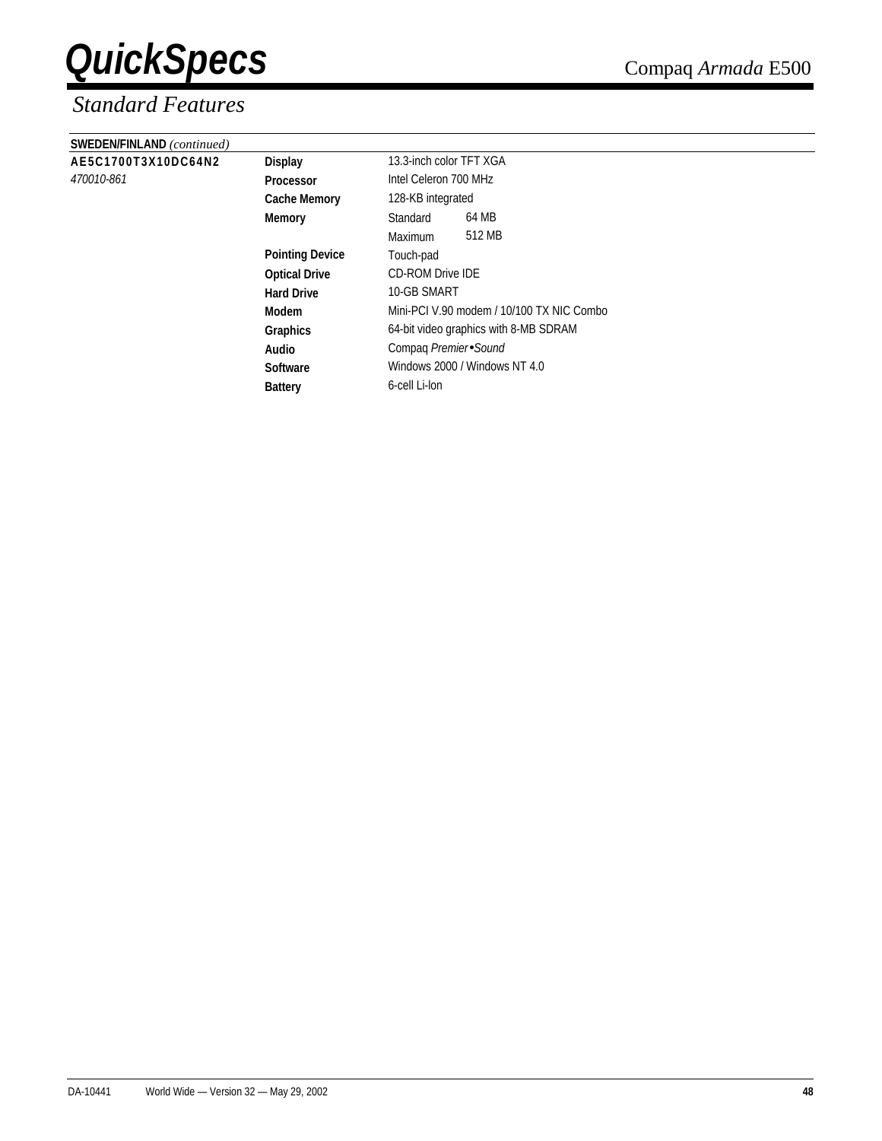| SWEDEN/FINLAND (continued) |                        |                                           |                       |  |  |
|----------------------------|------------------------|-------------------------------------------|-----------------------|--|--|
| AE5C1700T3X10DC64N2        | <b>Display</b>         | 13.3-inch color TFT XGA                   |                       |  |  |
| 470010-861                 | <b>Processor</b>       |                                           | Intel Celeron 700 MHz |  |  |
|                            | <b>Cache Memory</b>    | 128-KB integrated                         |                       |  |  |
|                            | Memory                 | Standard                                  | 64 MB                 |  |  |
|                            |                        | Maximum                                   | 512 MB                |  |  |
|                            | <b>Pointing Device</b> | Touch-pad                                 |                       |  |  |
|                            | <b>Optical Drive</b>   | <b>CD-ROM Drive IDE</b>                   |                       |  |  |
|                            | <b>Hard Drive</b>      | 10-GB SMART                               |                       |  |  |
|                            | Modem                  | Mini-PCI V.90 modem / 10/100 TX NIC Combo |                       |  |  |
|                            | <b>Graphics</b>        | 64-bit video graphics with 8-MB SDRAM     |                       |  |  |
|                            | Audio                  | Compag Premier Sound                      |                       |  |  |
|                            | <b>Software</b>        | Windows 2000 / Windows NT 4.0             |                       |  |  |
|                            | <b>Battery</b>         | 6-cell Li-lon                             |                       |  |  |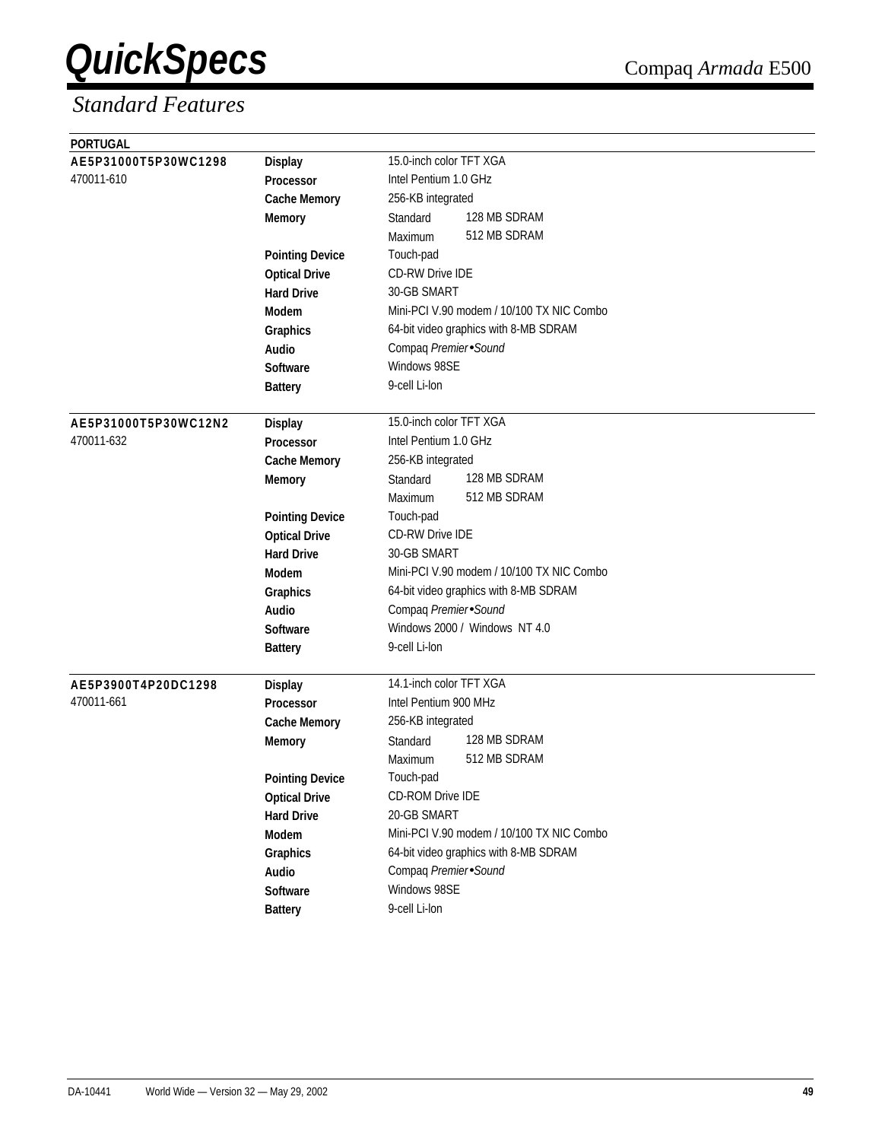| <b>PORTUGAL</b>      |                        |                                           |
|----------------------|------------------------|-------------------------------------------|
| AE5P31000T5P30WC1298 | <b>Display</b>         | 15.0-inch color TFT XGA                   |
| 470011-610           | <b>Processor</b>       | Intel Pentium 1.0 GHz                     |
|                      | <b>Cache Memory</b>    | 256-KB integrated                         |
|                      | <b>Memory</b>          | 128 MB SDRAM<br>Standard                  |
|                      |                        | 512 MB SDRAM<br>Maximum                   |
|                      | <b>Pointing Device</b> | Touch-pad                                 |
|                      | <b>Optical Drive</b>   | CD-RW Drive IDE                           |
|                      | <b>Hard Drive</b>      | 30-GB SMART                               |
|                      | <b>Modem</b>           | Mini-PCI V.90 modem / 10/100 TX NIC Combo |
|                      | Graphics               | 64-bit video graphics with 8-MB SDRAM     |
|                      | Audio                  | Compaq Premier Sound                      |
|                      | <b>Software</b>        | Windows 98SE                              |
|                      | <b>Battery</b>         | 9-cell Li-lon                             |
|                      |                        |                                           |
| AE5P31000T5P30WC12N2 | <b>Display</b>         | 15.0-inch color TFT XGA                   |
| 470011-632           | <b>Processor</b>       | Intel Pentium 1.0 GHz                     |
|                      | <b>Cache Memory</b>    | 256-KB integrated                         |
|                      | <b>Memory</b>          | 128 MB SDRAM<br>Standard                  |
|                      |                        | 512 MB SDRAM<br>Maximum                   |
|                      | <b>Pointing Device</b> | Touch-pad                                 |
|                      | <b>Optical Drive</b>   | <b>CD-RW Drive IDE</b>                    |
|                      | <b>Hard Drive</b>      | 30-GB SMART                               |
|                      | Modem                  | Mini-PCI V.90 modem / 10/100 TX NIC Combo |
|                      | Graphics               | 64-bit video graphics with 8-MB SDRAM     |
|                      | Audio                  | Compaq Premier Sound                      |
|                      | Software               | Windows 2000 / Windows NT 4.0             |
|                      | <b>Battery</b>         | 9-cell Li-lon                             |
|                      |                        |                                           |
| AE5P3900T4P20DC1298  | <b>Display</b>         | 14.1-inch color TFT XGA                   |
| 470011-661           | Processor              | Intel Pentium 900 MHz                     |
|                      | <b>Cache Memory</b>    | 256-KB integrated                         |
|                      | <b>Memory</b>          | 128 MB SDRAM<br>Standard                  |
|                      |                        | 512 MB SDRAM<br>Maximum                   |
|                      | <b>Pointing Device</b> | Touch-pad                                 |
|                      | <b>Optical Drive</b>   | CD-ROM Drive IDE                          |
|                      | <b>Hard Drive</b>      | 20-GB SMART                               |
|                      | Modem                  | Mini-PCI V.90 modem / 10/100 TX NIC Combo |
|                      | Graphics               | 64-bit video graphics with 8-MB SDRAM     |
|                      | Audio                  | Compaq Premier Sound                      |
|                      | Software               | Windows 98SE                              |
|                      | <b>Battery</b>         | 9-cell Li-lon                             |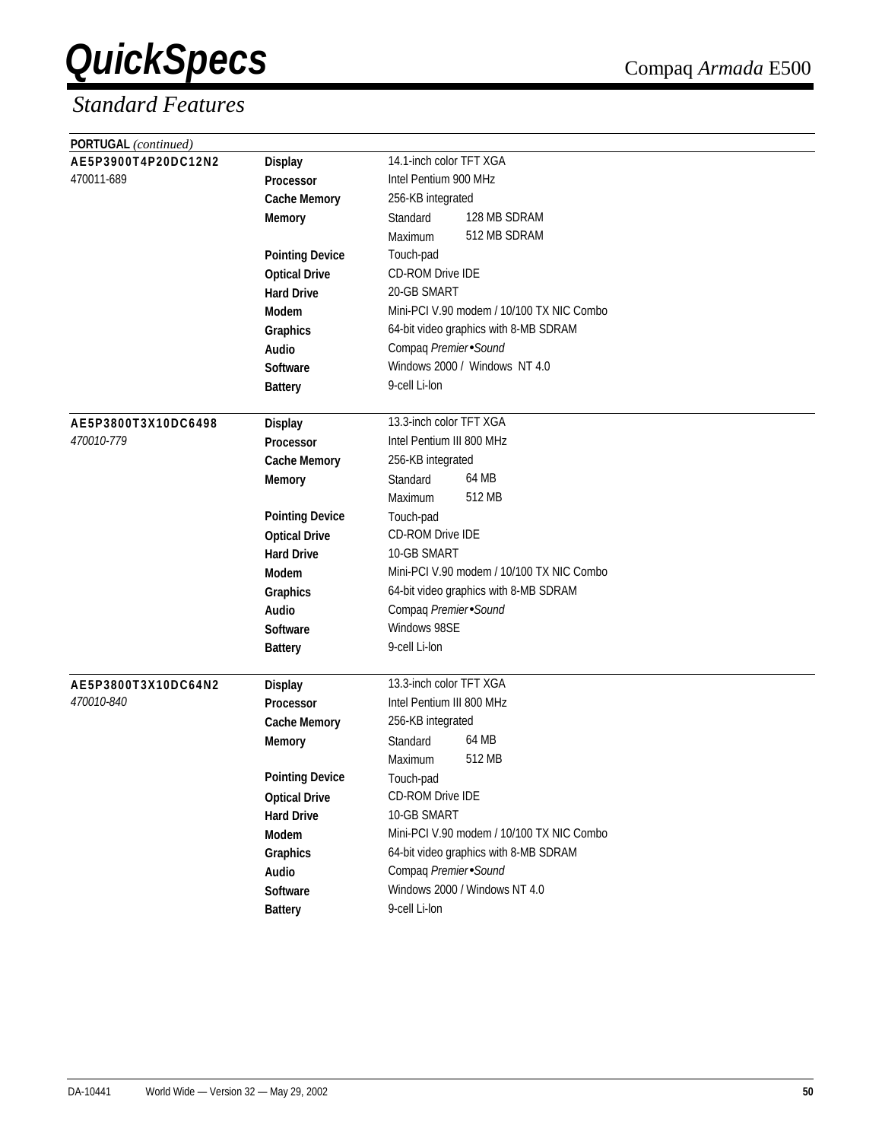| PORTUGAL (continued) |                        |                                           |
|----------------------|------------------------|-------------------------------------------|
| AE5P3900T4P20DC12N2  | <b>Display</b>         | 14.1-inch color TFT XGA                   |
| 470011-689           | Processor              | Intel Pentium 900 MHz                     |
|                      | <b>Cache Memory</b>    | 256-KB integrated                         |
|                      | <b>Memory</b>          | 128 MB SDRAM<br>Standard                  |
|                      |                        | 512 MB SDRAM<br>Maximum                   |
|                      | <b>Pointing Device</b> | Touch-pad                                 |
|                      | <b>Optical Drive</b>   | <b>CD-ROM Drive IDE</b>                   |
|                      | <b>Hard Drive</b>      | 20-GB SMART                               |
|                      | Modem                  | Mini-PCI V.90 modem / 10/100 TX NIC Combo |
|                      | Graphics               | 64-bit video graphics with 8-MB SDRAM     |
|                      | Audio                  | Compaq Premier Sound                      |
|                      | <b>Software</b>        | Windows 2000 / Windows NT 4.0             |
|                      | <b>Battery</b>         | 9-cell Li-lon                             |
|                      |                        |                                           |
| AE5P3800T3X10DC6498  | <b>Display</b>         | 13.3-inch color TFT XGA                   |
| 470010-779           | <b>Processor</b>       | Intel Pentium III 800 MHz                 |
|                      | <b>Cache Memory</b>    | 256-KB integrated                         |
|                      | <b>Memory</b>          | 64 MB<br>Standard                         |
|                      |                        | 512 MB<br>Maximum                         |
|                      | <b>Pointing Device</b> | Touch-pad                                 |
|                      | <b>Optical Drive</b>   | CD-ROM Drive IDE                          |
|                      | <b>Hard Drive</b>      | 10-GB SMART                               |
|                      | Modem                  | Mini-PCI V.90 modem / 10/100 TX NIC Combo |
|                      | Graphics               | 64-bit video graphics with 8-MB SDRAM     |
|                      | Audio                  | Compaq Premier Sound                      |
|                      | <b>Software</b>        | Windows 98SE                              |
|                      | <b>Battery</b>         | 9-cell Li-lon                             |
| AE5P3800T3X10DC64N2  | <b>Display</b>         | 13.3-inch color TFT XGA                   |
| 470010-840           | Processor              | Intel Pentium III 800 MHz                 |
|                      | <b>Cache Memory</b>    | 256-KB integrated                         |
|                      | <b>Memory</b>          | 64 MB<br>Standard                         |
|                      |                        | 512 MB<br>Maximum                         |
|                      | <b>Pointing Device</b> | Touch-pad                                 |
|                      | <b>Optical Drive</b>   | CD-ROM Drive IDE                          |
|                      | <b>Hard Drive</b>      | 10-GB SMART                               |
|                      | Modem                  | Mini-PCI V.90 modem / 10/100 TX NIC Combo |
|                      | Graphics               | 64-bit video graphics with 8-MB SDRAM     |
|                      | Audio                  | Compaq Premier Sound                      |
|                      | Software               | Windows 2000 / Windows NT 4.0             |
|                      | <b>Battery</b>         | 9-cell Li-lon                             |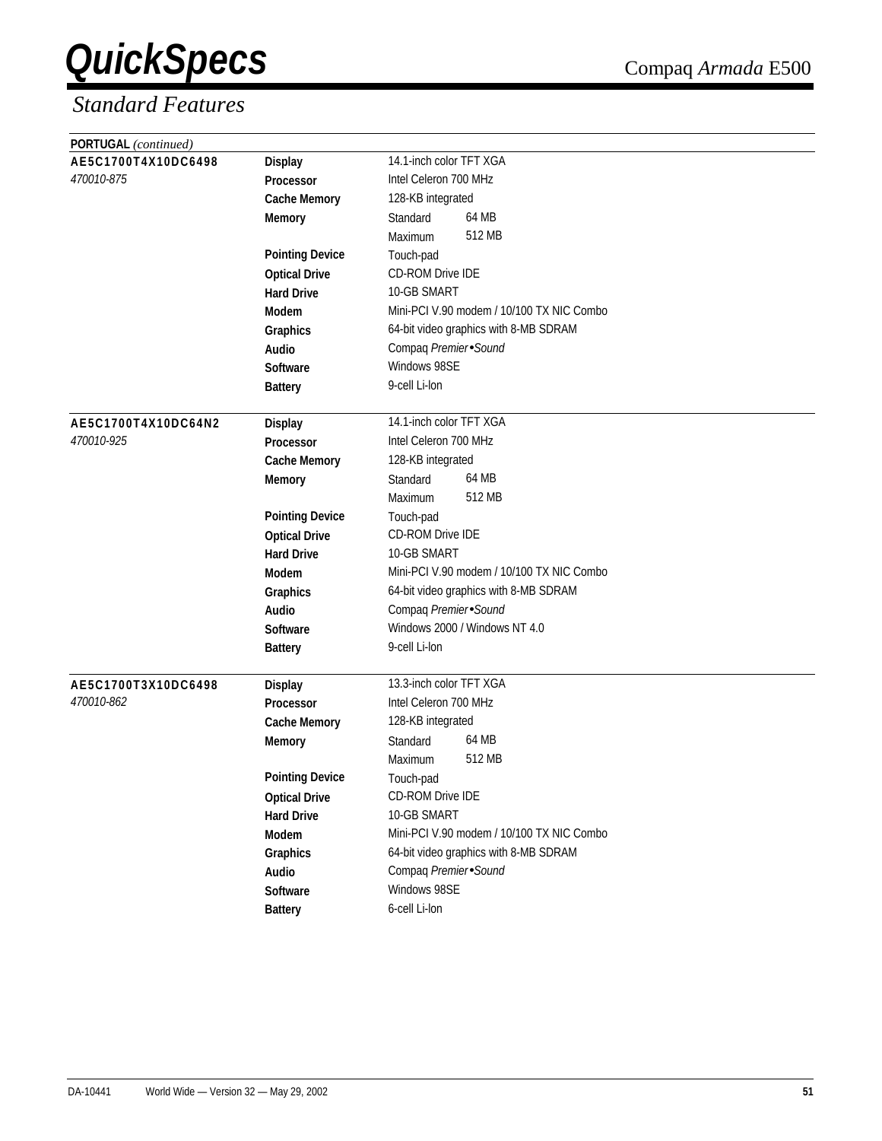| PORTUGAL (continued)              |                        |                                                  |
|-----------------------------------|------------------------|--------------------------------------------------|
| AE5C1700T4X10DC6498               | <b>Display</b>         | 14.1-inch color TFT XGA                          |
| 470010-875                        | Processor              | Intel Celeron 700 MHz                            |
|                                   | <b>Cache Memory</b>    | 128-KB integrated                                |
|                                   | <b>Memory</b>          | 64 MB<br>Standard                                |
|                                   |                        | 512 MB<br>Maximum                                |
|                                   | <b>Pointing Device</b> | Touch-pad                                        |
|                                   | <b>Optical Drive</b>   | <b>CD-ROM Drive IDE</b>                          |
|                                   | <b>Hard Drive</b>      | 10-GB SMART                                      |
|                                   | Modem                  | Mini-PCI V.90 modem / 10/100 TX NIC Combo        |
|                                   | Graphics               | 64-bit video graphics with 8-MB SDRAM            |
|                                   | Audio                  | Compaq Premier Sound                             |
|                                   | <b>Software</b>        | Windows 98SE                                     |
|                                   | <b>Battery</b>         | 9-cell Li-lon                                    |
|                                   |                        |                                                  |
| AE5C1700T4X10DC64N2               | <b>Display</b>         | 14.1-inch color TFT XGA                          |
| 470010-925                        | <b>Processor</b>       | Intel Celeron 700 MHz                            |
|                                   | <b>Cache Memory</b>    | 128-KB integrated                                |
|                                   | <b>Memory</b>          | 64 MB<br>Standard                                |
|                                   |                        | 512 MB<br>Maximum                                |
|                                   | <b>Pointing Device</b> | Touch-pad                                        |
|                                   | <b>Optical Drive</b>   | CD-ROM Drive IDE                                 |
|                                   | <b>Hard Drive</b>      | 10-GB SMART                                      |
|                                   | Modem                  | Mini-PCI V.90 modem / 10/100 TX NIC Combo        |
|                                   | Graphics               | 64-bit video graphics with 8-MB SDRAM            |
|                                   | Audio                  | Compaq Premier Sound                             |
|                                   | <b>Software</b>        | Windows 2000 / Windows NT 4.0                    |
|                                   | <b>Battery</b>         | 9-cell Li-lon                                    |
|                                   |                        |                                                  |
| AE5C1700T3X10DC6498<br>470010-862 | <b>Display</b>         | 13.3-inch color TFT XGA<br>Intel Celeron 700 MHz |
|                                   | <b>Processor</b>       |                                                  |
|                                   | <b>Cache Memory</b>    | 128-KB integrated<br>64 MB                       |
|                                   | <b>Memory</b>          | Standard                                         |
|                                   |                        | 512 MB<br>Maximum                                |
|                                   | <b>Pointing Device</b> | Touch-pad                                        |
|                                   | <b>Optical Drive</b>   | CD-ROM Drive IDE<br>10-GB SMART                  |
|                                   | <b>Hard Drive</b>      |                                                  |
|                                   | Modem                  | Mini-PCI V.90 modem / 10/100 TX NIC Combo        |
|                                   | Graphics               | 64-bit video graphics with 8-MB SDRAM            |
|                                   | Audio                  | Compaq Premier Sound                             |
|                                   | Software               | Windows 98SE                                     |
|                                   | <b>Battery</b>         | 6-cell Li-lon                                    |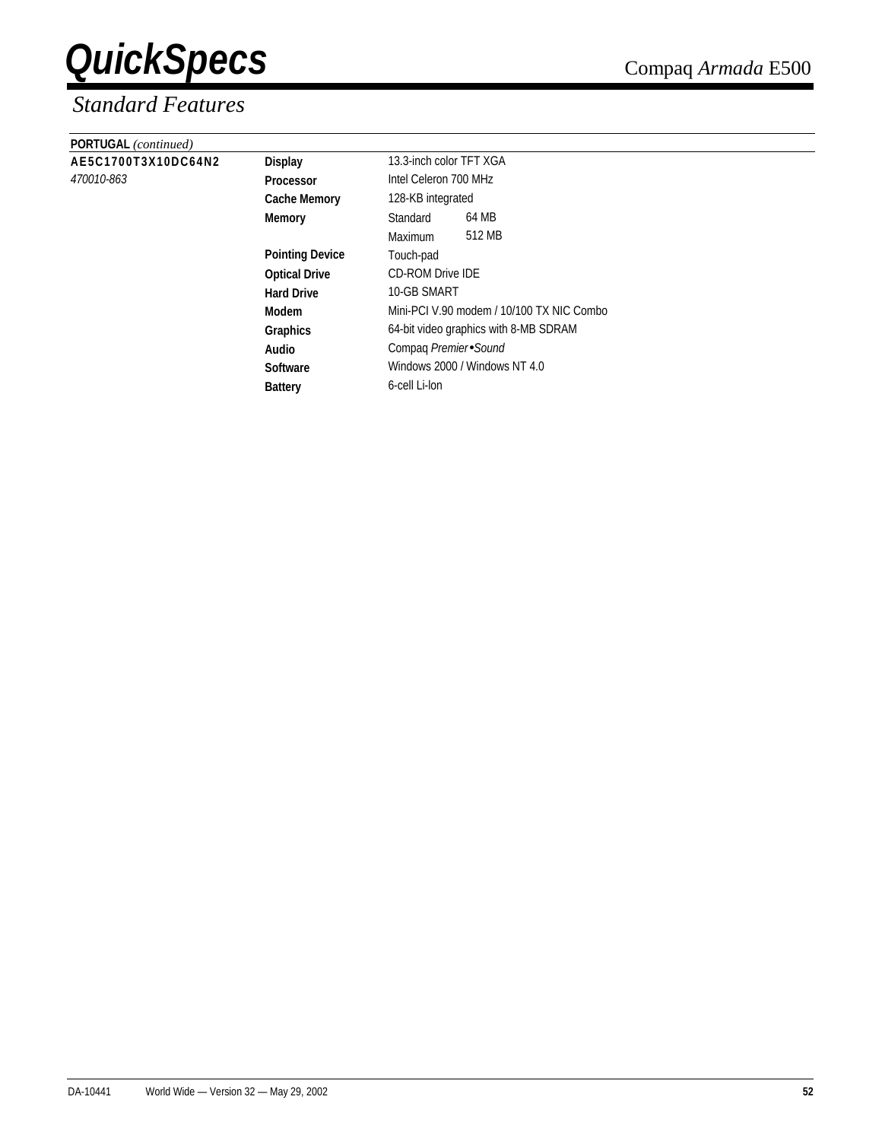| PORTUGAL (continued) |                        |                                           |  |  |
|----------------------|------------------------|-------------------------------------------|--|--|
| AE5C1700T3X10DC64N2  | Display                | 13.3-inch color TFT XGA                   |  |  |
| 470010-863           | <b>Processor</b>       | Intel Celeron 700 MHz                     |  |  |
|                      | <b>Cache Memory</b>    | 128-KB integrated                         |  |  |
|                      | Memory                 | 64 MB<br>Standard                         |  |  |
|                      |                        | 512 MB<br><b>Maximum</b>                  |  |  |
|                      | <b>Pointing Device</b> | Touch-pad                                 |  |  |
|                      | <b>Optical Drive</b>   | <b>CD-ROM Drive IDE</b>                   |  |  |
|                      | <b>Hard Drive</b>      | 10-GB SMART                               |  |  |
|                      | Modem                  | Mini-PCI V.90 modem / 10/100 TX NIC Combo |  |  |
|                      | Graphics               | 64-bit video graphics with 8-MB SDRAM     |  |  |
|                      | Audio                  | Compaq Premier Sound                      |  |  |
|                      | <b>Software</b>        | Windows 2000 / Windows NT 4.0             |  |  |
|                      | <b>Battery</b>         | 6-cell Li-lon                             |  |  |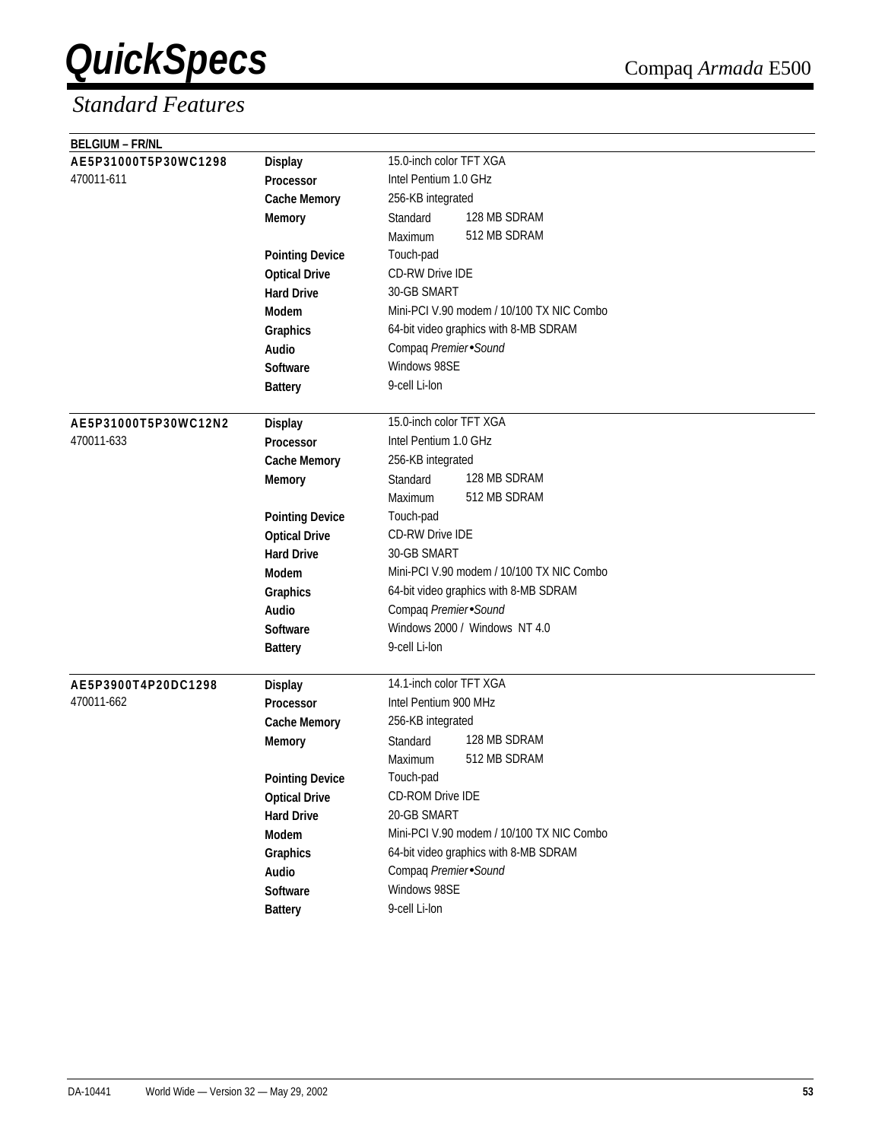| <b>BELGIUM - FR/NL</b> |                        |                                           |
|------------------------|------------------------|-------------------------------------------|
| AE5P31000T5P30WC1298   | <b>Display</b>         | 15.0-inch color TFT XGA                   |
| 470011-611             | Processor              | Intel Pentium 1.0 GHz                     |
|                        | <b>Cache Memory</b>    | 256-KB integrated                         |
|                        | <b>Memory</b>          | 128 MB SDRAM<br>Standard                  |
|                        |                        | 512 MB SDRAM<br>Maximum                   |
|                        | <b>Pointing Device</b> | Touch-pad                                 |
|                        | <b>Optical Drive</b>   | <b>CD-RW Drive IDE</b>                    |
|                        | <b>Hard Drive</b>      | 30-GB SMART                               |
|                        | <b>Modem</b>           | Mini-PCI V.90 modem / 10/100 TX NIC Combo |
|                        | Graphics               | 64-bit video graphics with 8-MB SDRAM     |
|                        | Audio                  | Compaq Premier Sound                      |
|                        | <b>Software</b>        | Windows 98SE                              |
|                        | <b>Battery</b>         | 9-cell Li-lon                             |
|                        |                        |                                           |
| AE5P31000T5P30WC12N2   | <b>Display</b>         | 15.0-inch color TFT XGA                   |
| 470011-633             | Processor              | Intel Pentium 1.0 GHz                     |
|                        | <b>Cache Memory</b>    | 256-KB integrated                         |
|                        | <b>Memory</b>          | 128 MB SDRAM<br>Standard                  |
|                        |                        | 512 MB SDRAM<br>Maximum                   |
|                        | <b>Pointing Device</b> | Touch-pad                                 |
|                        | <b>Optical Drive</b>   | <b>CD-RW Drive IDE</b>                    |
|                        | <b>Hard Drive</b>      | 30-GB SMART                               |
|                        | <b>Modem</b>           | Mini-PCI V.90 modem / 10/100 TX NIC Combo |
|                        | Graphics               | 64-bit video graphics with 8-MB SDRAM     |
|                        | Audio                  | Compaq Premier Sound                      |
|                        | <b>Software</b>        | Windows 2000 / Windows NT 4.0             |
|                        | <b>Battery</b>         | 9-cell Li-lon                             |
|                        |                        |                                           |
| AE5P3900T4P20DC1298    | <b>Display</b>         | 14.1-inch color TFT XGA                   |
| 470011-662             | <b>Processor</b>       | Intel Pentium 900 MHz                     |
|                        | <b>Cache Memory</b>    | 256-KB integrated                         |
|                        | <b>Memory</b>          | 128 MB SDRAM<br>Standard                  |
|                        |                        | 512 MB SDRAM<br>Maximum                   |
|                        | <b>Pointing Device</b> | Touch-pad                                 |
|                        | <b>Optical Drive</b>   | CD-ROM Drive IDE                          |
|                        | <b>Hard Drive</b>      | 20-GB SMART                               |
|                        | Modem                  | Mini-PCI V.90 modem / 10/100 TX NIC Combo |
|                        | Graphics               | 64-bit video graphics with 8-MB SDRAM     |
|                        | Audio                  | Compaq Premier Sound                      |
|                        | Software               | Windows 98SE                              |
|                        | <b>Battery</b>         | 9-cell Li-lon                             |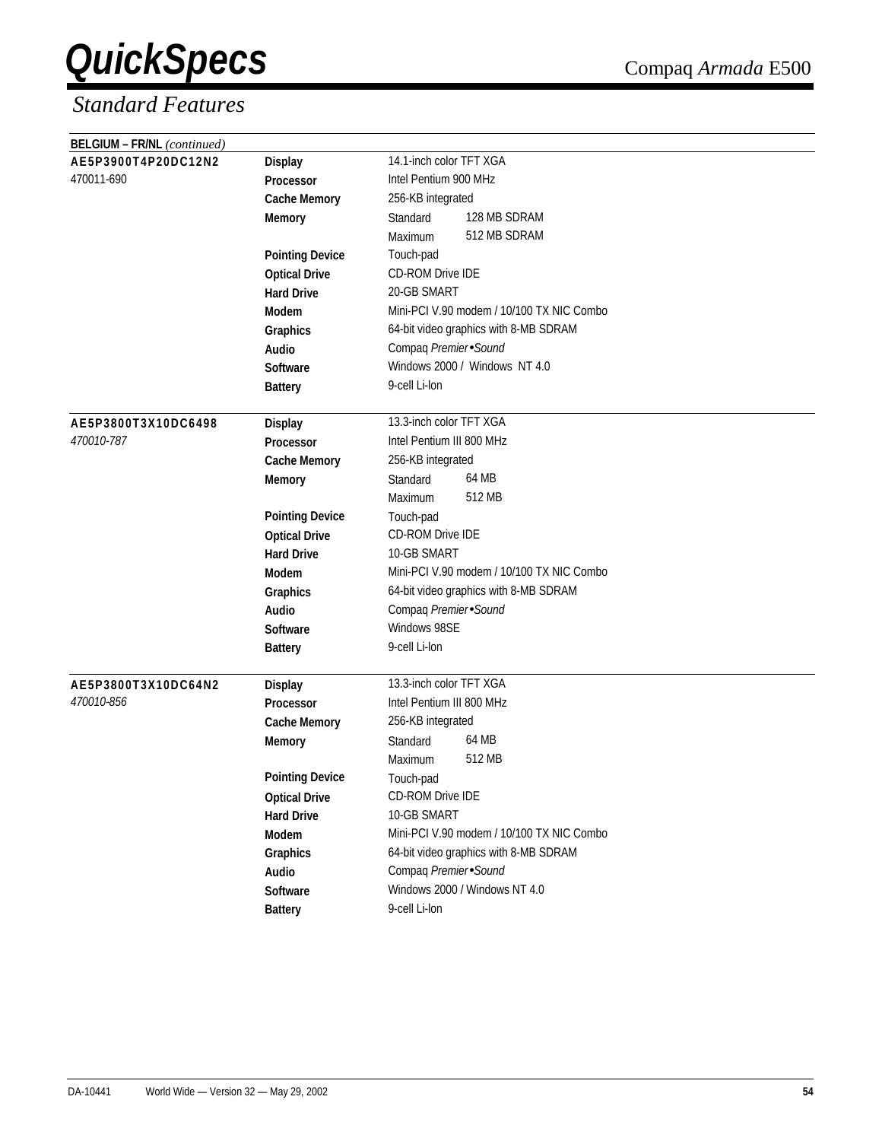| <b>BELGIUM - FR/NL</b> (continued) |                        |                                           |
|------------------------------------|------------------------|-------------------------------------------|
| AE5P3900T4P20DC12N2                | <b>Display</b>         | 14.1-inch color TFT XGA                   |
| 470011-690                         | Processor              | Intel Pentium 900 MHz                     |
|                                    | <b>Cache Memory</b>    | 256-KB integrated                         |
|                                    | <b>Memory</b>          | 128 MB SDRAM<br>Standard                  |
|                                    |                        | 512 MB SDRAM<br>Maximum                   |
|                                    | <b>Pointing Device</b> | Touch-pad                                 |
|                                    | <b>Optical Drive</b>   | <b>CD-ROM Drive IDE</b>                   |
|                                    | <b>Hard Drive</b>      | 20-GB SMART                               |
|                                    | Modem                  | Mini-PCI V.90 modem / 10/100 TX NIC Combo |
|                                    | Graphics               | 64-bit video graphics with 8-MB SDRAM     |
|                                    | Audio                  | Compaq Premier Sound                      |
|                                    | <b>Software</b>        | Windows 2000 / Windows NT 4.0             |
|                                    | <b>Battery</b>         | 9-cell Li-lon                             |
|                                    |                        |                                           |
| AE5P3800T3X10DC6498                | <b>Display</b>         | 13.3-inch color TFT XGA                   |
| 470010-787                         | Processor              | Intel Pentium III 800 MHz                 |
|                                    | <b>Cache Memory</b>    | 256-KB integrated                         |
|                                    | <b>Memory</b>          | 64 MB<br>Standard                         |
|                                    |                        | 512 MB<br>Maximum                         |
|                                    | <b>Pointing Device</b> | Touch-pad                                 |
|                                    | <b>Optical Drive</b>   | <b>CD-ROM Drive IDE</b>                   |
|                                    | <b>Hard Drive</b>      | 10-GB SMART                               |
|                                    | Modem                  | Mini-PCI V.90 modem / 10/100 TX NIC Combo |
|                                    | Graphics               | 64-bit video graphics with 8-MB SDRAM     |
|                                    | <b>Audio</b>           | Compaq Premier Sound                      |
|                                    | <b>Software</b>        | Windows 98SE                              |
|                                    | <b>Battery</b>         | 9-cell Li-lon                             |
|                                    |                        |                                           |
| AE5P3800T3X10DC64N2                | <b>Display</b>         | 13.3-inch color TFT XGA                   |
| <i>470010-856</i>                  | <b>Processor</b>       | Intel Pentium III 800 MHz                 |
|                                    | <b>Cache Memory</b>    | 256-KB integrated                         |
|                                    | <b>Memory</b>          | 64 MB<br>Standard                         |
|                                    |                        | 512 MB<br>Maximum                         |
|                                    | <b>Pointing Device</b> | Touch-pad                                 |
|                                    | <b>Optical Drive</b>   | CD-ROM Drive IDE                          |
|                                    | <b>Hard Drive</b>      | 10-GB SMART                               |
|                                    | Modem                  | Mini-PCI V.90 modem / 10/100 TX NIC Combo |
|                                    | Graphics               | 64-bit video graphics with 8-MB SDRAM     |
|                                    | Audio                  | Compaq Premier Sound                      |
|                                    | Software               | Windows 2000 / Windows NT 4.0             |
|                                    | <b>Battery</b>         | 9-cell Li-lon                             |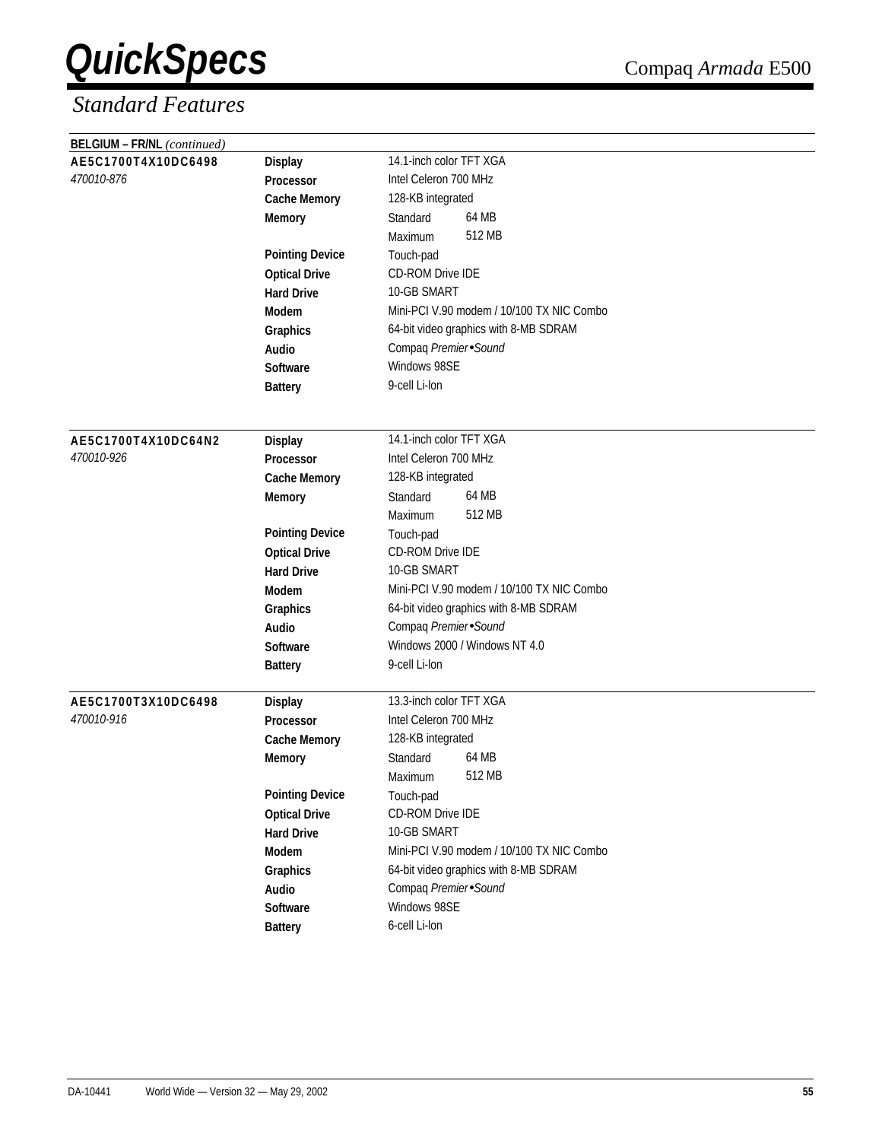| <b>BELGIUM - FR/NL</b> (continued)    |                                           |                                           |  |  |
|---------------------------------------|-------------------------------------------|-------------------------------------------|--|--|
| AE5C1700T4X10DC6498<br><b>Display</b> |                                           | 14.1-inch color TFT XGA                   |  |  |
| 470010-876                            | Processor                                 | Intel Celeron 700 MHz                     |  |  |
|                                       | <b>Cache Memory</b>                       | 128-KB integrated                         |  |  |
|                                       | <b>Memory</b>                             | 64 MB<br>Standard                         |  |  |
|                                       |                                           | 512 MB<br>Maximum                         |  |  |
|                                       | <b>Pointing Device</b>                    | Touch-pad                                 |  |  |
|                                       | <b>Optical Drive</b>                      | CD-ROM Drive IDE                          |  |  |
|                                       | <b>Hard Drive</b>                         | 10-GB SMART                               |  |  |
|                                       | Modem                                     | Mini-PCI V.90 modem / 10/100 TX NIC Combo |  |  |
|                                       | Graphics                                  | 64-bit video graphics with 8-MB SDRAM     |  |  |
|                                       | Audio                                     | Compaq Premier Sound                      |  |  |
|                                       | <b>Software</b>                           | Windows 98SE                              |  |  |
|                                       | <b>Battery</b>                            | 9-cell Li-lon                             |  |  |
|                                       |                                           |                                           |  |  |
|                                       |                                           |                                           |  |  |
| AE5C1700T4X10DC64N2<br>470010-926     | <b>Display</b>                            | 14.1-inch color TFT XGA                   |  |  |
|                                       | <b>Processor</b>                          | Intel Celeron 700 MHz                     |  |  |
|                                       | <b>Cache Memory</b>                       | 128-KB integrated<br>64 MB<br>Standard    |  |  |
|                                       | <b>Memory</b>                             | 512 MB                                    |  |  |
|                                       |                                           | Maximum                                   |  |  |
|                                       | <b>Pointing Device</b>                    | Touch-pad<br>CD-ROM Drive IDE             |  |  |
|                                       | <b>Optical Drive</b><br><b>Hard Drive</b> | 10-GB SMART                               |  |  |
|                                       | <b>Modem</b>                              | Mini-PCI V.90 modem / 10/100 TX NIC Combo |  |  |
|                                       |                                           | 64-bit video graphics with 8-MB SDRAM     |  |  |
|                                       | Graphics<br>Audio                         | Compaq Premier Sound                      |  |  |
|                                       | <b>Software</b>                           | Windows 2000 / Windows NT 4.0             |  |  |
|                                       | <b>Battery</b>                            | 9-cell Li-lon                             |  |  |
|                                       |                                           |                                           |  |  |
| AE5C1700T3X10DC6498                   | <b>Display</b>                            | 13.3-inch color TFT XGA                   |  |  |
| 470010-916                            | <b>Processor</b>                          | Intel Celeron 700 MHz                     |  |  |
|                                       | <b>Cache Memory</b>                       | 128-KB integrated                         |  |  |
|                                       | <b>Memory</b>                             | 64 MB<br>Standard                         |  |  |
|                                       |                                           | 512 MB<br>Maximum                         |  |  |
|                                       | <b>Pointing Device</b>                    | Touch-pad                                 |  |  |
|                                       | <b>Optical Drive</b>                      | CD-ROM Drive IDE                          |  |  |
|                                       | <b>Hard Drive</b>                         | 10-GB SMART                               |  |  |
|                                       | Modem                                     | Mini-PCI V.90 modem / 10/100 TX NIC Combo |  |  |
|                                       | Graphics                                  | 64-bit video graphics with 8-MB SDRAM     |  |  |
|                                       | Audio                                     | Compaq Premier Sound                      |  |  |
|                                       | Software                                  | Windows 98SE                              |  |  |
|                                       | <b>Battery</b>                            | 6-cell Li-lon                             |  |  |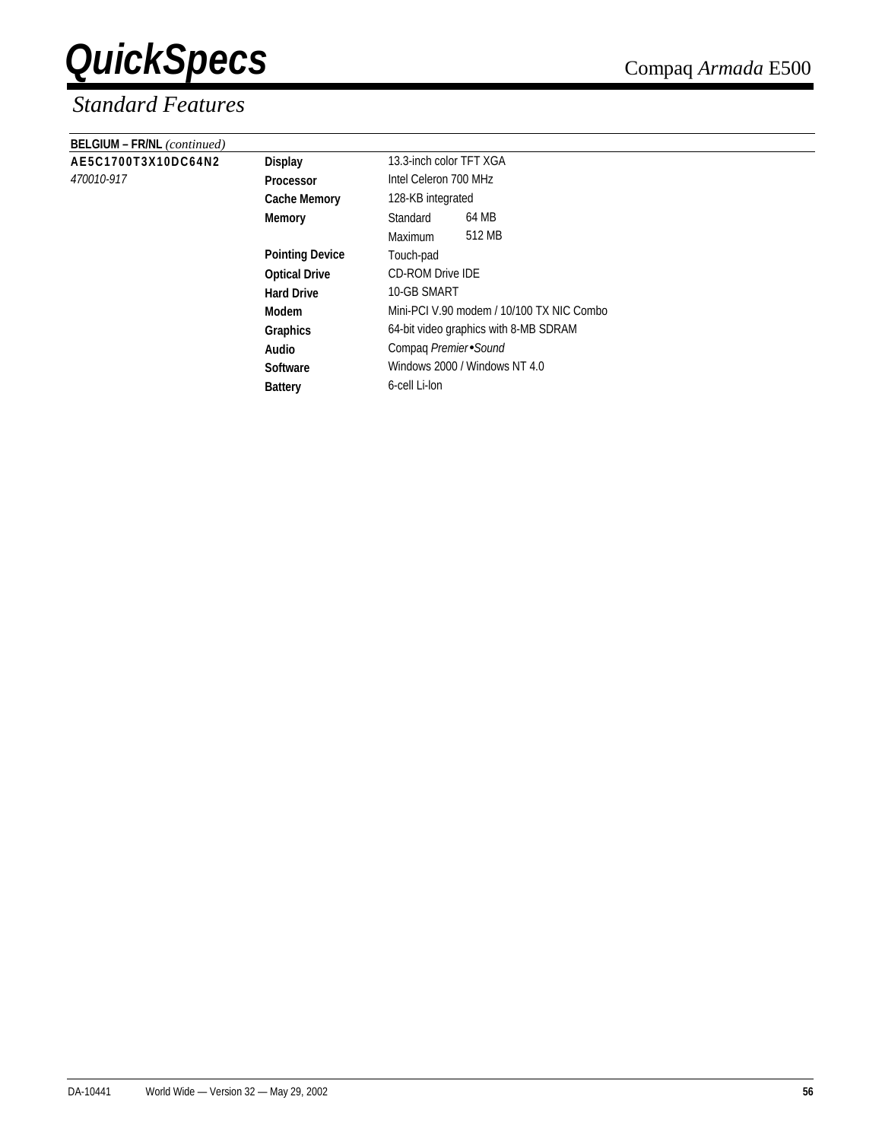| <b>BELGIUM - FR/NL</b> (continued) |                        |                                           |        |  |
|------------------------------------|------------------------|-------------------------------------------|--------|--|
| AE5C1700T3X10DC64N2                | <b>Display</b>         | 13.3-inch color TFT XGA                   |        |  |
| 470010-917                         | <b>Processor</b>       | Intel Celeron 700 MHz                     |        |  |
|                                    | <b>Cache Memory</b>    | 128-KB integrated                         |        |  |
|                                    | Memory                 | Standard                                  | 64 MB  |  |
|                                    |                        | Maximum                                   | 512 MB |  |
|                                    | <b>Pointing Device</b> | Touch-pad                                 |        |  |
|                                    | <b>Optical Drive</b>   | <b>CD-ROM Drive IDE</b>                   |        |  |
|                                    | <b>Hard Drive</b>      | 10-GB SMART                               |        |  |
|                                    | Modem                  | Mini-PCI V.90 modem / 10/100 TX NIC Combo |        |  |
|                                    | Graphics               | 64-bit video graphics with 8-MB SDRAM     |        |  |
|                                    | Audio                  | Compaq Premier Sound                      |        |  |
|                                    | <b>Software</b>        | Windows 2000 / Windows NT 4.0             |        |  |
|                                    | <b>Battery</b>         | 6-cell Li-lon                             |        |  |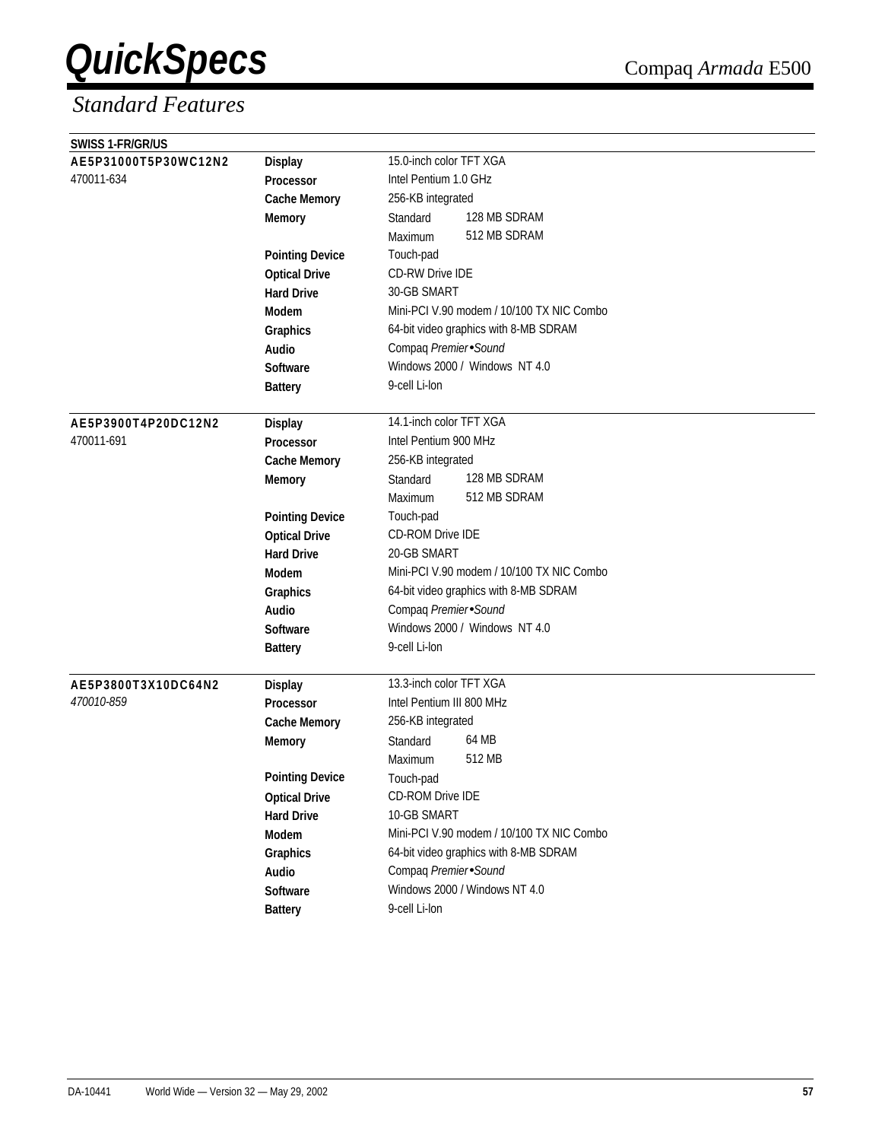| SWISS 1-FR/GR/US     |                        |                                           |  |  |
|----------------------|------------------------|-------------------------------------------|--|--|
| AE5P31000T5P30WC12N2 | <b>Display</b>         | 15.0-inch color TFT XGA                   |  |  |
| 470011-634           | Processor              | Intel Pentium 1.0 GHz                     |  |  |
|                      | <b>Cache Memory</b>    | 256-KB integrated                         |  |  |
|                      | <b>Memory</b>          | 128 MB SDRAM<br>Standard                  |  |  |
|                      |                        | 512 MB SDRAM<br>Maximum                   |  |  |
|                      | <b>Pointing Device</b> | Touch-pad                                 |  |  |
|                      | <b>Optical Drive</b>   | <b>CD-RW Drive IDE</b>                    |  |  |
|                      | <b>Hard Drive</b>      | 30-GB SMART                               |  |  |
|                      | Modem                  | Mini-PCI V.90 modem / 10/100 TX NIC Combo |  |  |
|                      | Graphics               | 64-bit video graphics with 8-MB SDRAM     |  |  |
|                      | Audio                  | Compaq Premier Sound                      |  |  |
|                      | <b>Software</b>        | Windows 2000 / Windows NT 4.0             |  |  |
|                      | <b>Battery</b>         | 9-cell Li-lon                             |  |  |
|                      |                        |                                           |  |  |
| AE5P3900T4P20DC12N2  | <b>Display</b>         | 14.1-inch color TFT XGA                   |  |  |
| 470011-691           | Processor              | Intel Pentium 900 MHz                     |  |  |
|                      | <b>Cache Memory</b>    | 256-KB integrated                         |  |  |
|                      | <b>Memory</b>          | 128 MB SDRAM<br>Standard                  |  |  |
|                      |                        | 512 MB SDRAM<br>Maximum                   |  |  |
|                      | <b>Pointing Device</b> | Touch-pad                                 |  |  |
|                      | <b>Optical Drive</b>   | <b>CD-ROM Drive IDE</b>                   |  |  |
|                      | <b>Hard Drive</b>      | 20-GB SMART                               |  |  |
|                      | <b>Modem</b>           | Mini-PCI V.90 modem / 10/100 TX NIC Combo |  |  |
|                      | Graphics               | 64-bit video graphics with 8-MB SDRAM     |  |  |
|                      | Audio                  | Compaq Premier Sound                      |  |  |
|                      | <b>Software</b>        | Windows 2000 / Windows NT 4.0             |  |  |
|                      | <b>Battery</b>         | 9-cell Li-lon                             |  |  |
|                      |                        |                                           |  |  |
| AE5P3800T3X10DC64N2  | <b>Display</b>         | 13.3-inch color TFT XGA                   |  |  |
| 470010-859           | <b>Processor</b>       | Intel Pentium III 800 MHz                 |  |  |
|                      | <b>Cache Memory</b>    | 256-KB integrated                         |  |  |
|                      | <b>Memory</b>          | 64 MB<br>Standard                         |  |  |
|                      |                        | 512 MB<br>Maximum                         |  |  |
|                      | <b>Pointing Device</b> | Touch-pad                                 |  |  |
|                      | <b>Optical Drive</b>   | CD-ROM Drive IDE                          |  |  |
|                      | <b>Hard Drive</b>      | 10-GB SMART                               |  |  |
|                      | Modem                  | Mini-PCI V.90 modem / 10/100 TX NIC Combo |  |  |
|                      | Graphics               | 64-bit video graphics with 8-MB SDRAM     |  |  |
|                      | Audio                  | Compaq Premier Sound                      |  |  |
|                      | Software               | Windows 2000 / Windows NT 4.0             |  |  |
|                      | <b>Battery</b>         | 9-cell Li-lon                             |  |  |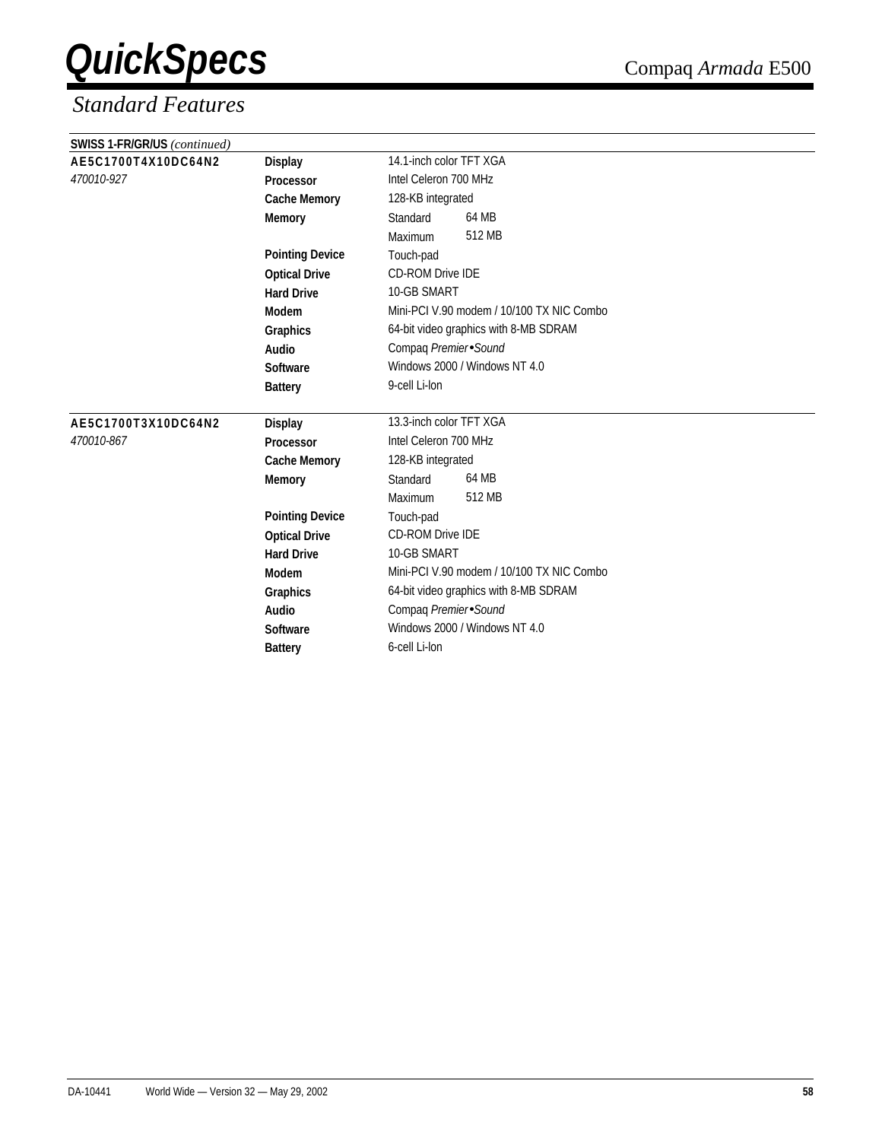| SWISS 1-FR/GR/US (continued) |                        |                                           |  |  |
|------------------------------|------------------------|-------------------------------------------|--|--|
| AE5C1700T4X10DC64N2          | <b>Display</b>         | 14.1-inch color TFT XGA                   |  |  |
| 470010-927                   | Processor              | Intel Celeron 700 MHz                     |  |  |
|                              | <b>Cache Memory</b>    | 128-KB integrated                         |  |  |
|                              | <b>Memory</b>          | 64 MB<br>Standard                         |  |  |
|                              |                        | 512 MB<br>Maximum                         |  |  |
|                              | <b>Pointing Device</b> | Touch-pad                                 |  |  |
|                              | <b>Optical Drive</b>   | <b>CD-ROM Drive IDE</b>                   |  |  |
|                              | <b>Hard Drive</b>      | 10-GB SMART                               |  |  |
|                              | Modem                  | Mini-PCI V.90 modem / 10/100 TX NIC Combo |  |  |
|                              | Graphics               | 64-bit video graphics with 8-MB SDRAM     |  |  |
|                              | Audio                  | Compaq Premier Sound                      |  |  |
|                              | Software               | Windows 2000 / Windows NT 4.0             |  |  |
|                              | <b>Battery</b>         | 9-cell Li-lon                             |  |  |
|                              |                        |                                           |  |  |
| AE5C1700T3X10DC64N2          | <b>Display</b>         | 13.3-inch color TFT XGA                   |  |  |
| 470010-867                   | Processor              | Intel Celeron 700 MHz                     |  |  |
|                              | <b>Cache Memory</b>    | 128-KB integrated                         |  |  |
|                              | <b>Memory</b>          | 64 MB<br>Standard                         |  |  |
|                              |                        | 512 MB<br>Maximum                         |  |  |
|                              | <b>Pointing Device</b> | Touch-pad                                 |  |  |
|                              | <b>Optical Drive</b>   | <b>CD-ROM Drive IDE</b>                   |  |  |
|                              | <b>Hard Drive</b>      | 10-GB SMART                               |  |  |
|                              | Modem                  | Mini-PCI V.90 modem / 10/100 TX NIC Combo |  |  |
|                              | <b>Graphics</b>        | 64-bit video graphics with 8-MB SDRAM     |  |  |
|                              | Audio                  | Compaq Premier Sound                      |  |  |
|                              | Software               | Windows 2000 / Windows NT 4.0             |  |  |
|                              | <b>Battery</b>         | 6-cell Li-lon                             |  |  |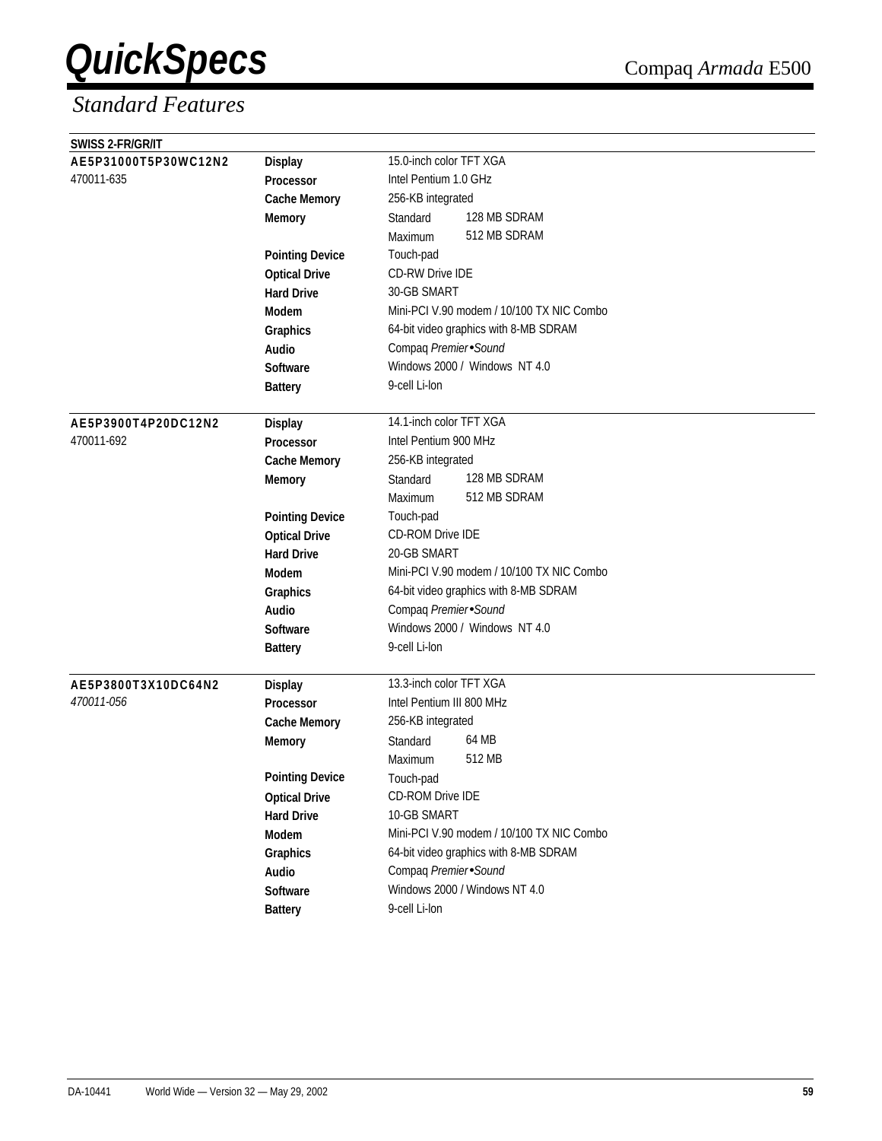| SWISS 2-FR/GR/IT     |                        |                                           |  |
|----------------------|------------------------|-------------------------------------------|--|
| AE5P31000T5P30WC12N2 | <b>Display</b>         | 15.0-inch color TFT XGA                   |  |
| 470011-635           | <b>Processor</b>       | Intel Pentium 1.0 GHz                     |  |
|                      | <b>Cache Memory</b>    | 256-KB integrated                         |  |
|                      | <b>Memory</b>          | 128 MB SDRAM<br>Standard                  |  |
|                      |                        | 512 MB SDRAM<br>Maximum                   |  |
|                      | <b>Pointing Device</b> | Touch-pad                                 |  |
|                      | <b>Optical Drive</b>   | <b>CD-RW Drive IDE</b>                    |  |
|                      | <b>Hard Drive</b>      | 30-GB SMART                               |  |
|                      | Modem                  | Mini-PCI V.90 modem / 10/100 TX NIC Combo |  |
|                      | Graphics               | 64-bit video graphics with 8-MB SDRAM     |  |
|                      | Audio                  | Compaq Premier Sound                      |  |
|                      | Software               | Windows 2000 / Windows NT 4.0             |  |
|                      | <b>Battery</b>         | 9-cell Li-lon                             |  |
|                      |                        |                                           |  |
| AE5P3900T4P20DC12N2  | <b>Display</b>         | 14.1-inch color TFT XGA                   |  |
| 470011-692           | Processor              | Intel Pentium 900 MHz                     |  |
|                      | <b>Cache Memory</b>    | 256-KB integrated                         |  |
|                      | Memory                 | 128 MB SDRAM<br>Standard                  |  |
|                      |                        | 512 MB SDRAM<br>Maximum                   |  |
|                      | <b>Pointing Device</b> | Touch-pad                                 |  |
|                      | <b>Optical Drive</b>   | CD-ROM Drive IDE                          |  |
|                      | <b>Hard Drive</b>      | 20-GB SMART                               |  |
|                      | Modem                  | Mini-PCI V.90 modem / 10/100 TX NIC Combo |  |
|                      | Graphics               | 64-bit video graphics with 8-MB SDRAM     |  |
|                      | Audio                  | Compaq Premier Sound                      |  |
|                      | <b>Software</b>        | Windows 2000 / Windows NT 4.0             |  |
|                      | <b>Battery</b>         | 9-cell Li-lon                             |  |
|                      |                        |                                           |  |
| AE5P3800T3X10DC64N2  | <b>Display</b>         | 13.3-inch color TFT XGA                   |  |
| 470011-056           | <b>Processor</b>       | Intel Pentium III 800 MHz                 |  |
|                      | <b>Cache Memory</b>    | 256-KB integrated                         |  |
|                      | <b>Memory</b>          | 64 MB<br>Standard                         |  |
|                      |                        | 512 MB<br>Maximum                         |  |
|                      | <b>Pointing Device</b> | Touch-pad                                 |  |
|                      | <b>Optical Drive</b>   | CD-ROM Drive IDE                          |  |
|                      | <b>Hard Drive</b>      | 10-GB SMART                               |  |
|                      | Modem                  | Mini-PCI V.90 modem / 10/100 TX NIC Combo |  |
|                      | Graphics               | 64-bit video graphics with 8-MB SDRAM     |  |
|                      | Audio                  | Compaq Premier Sound                      |  |
|                      | Software               | Windows 2000 / Windows NT 4.0             |  |
|                      | <b>Battery</b>         | 9-cell Li-lon                             |  |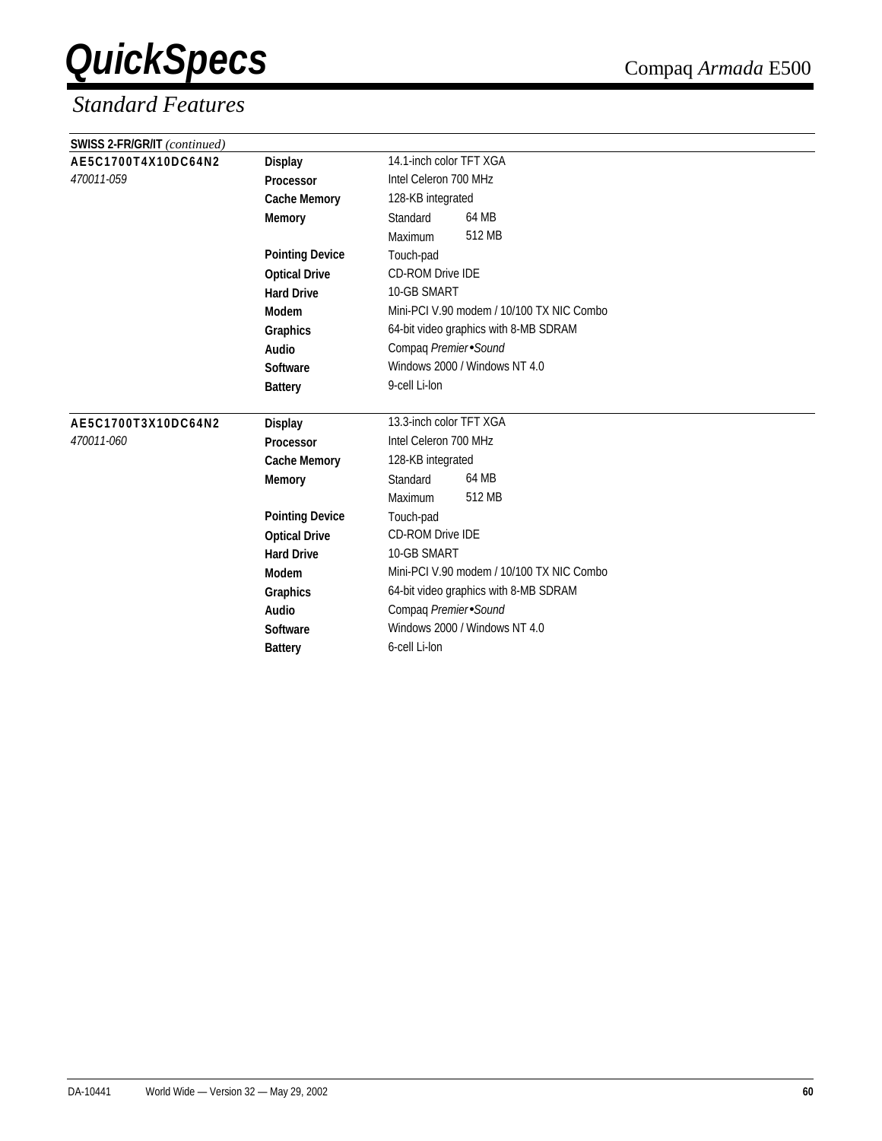| SWISS 2-FR/GR/IT (continued) |                        |                                           |  |  |
|------------------------------|------------------------|-------------------------------------------|--|--|
| AE5C1700T4X10DC64N2          | <b>Display</b>         | 14.1-inch color TFT XGA                   |  |  |
| 470011-059<br>Processor      |                        | Intel Celeron 700 MHz                     |  |  |
|                              | <b>Cache Memory</b>    | 128-KB integrated                         |  |  |
|                              | <b>Memory</b>          | 64 MB<br>Standard                         |  |  |
|                              |                        | 512 MB<br>Maximum                         |  |  |
|                              | <b>Pointing Device</b> | Touch-pad                                 |  |  |
|                              | <b>Optical Drive</b>   | <b>CD-ROM Drive IDE</b>                   |  |  |
|                              | <b>Hard Drive</b>      | 10-GB SMART                               |  |  |
|                              | Modem                  | Mini-PCI V.90 modem / 10/100 TX NIC Combo |  |  |
|                              | Graphics               | 64-bit video graphics with 8-MB SDRAM     |  |  |
|                              | Audio                  | Compaq Premier Sound                      |  |  |
|                              | Software               | Windows 2000 / Windows NT 4.0             |  |  |
|                              | <b>Battery</b>         | 9-cell Li-lon                             |  |  |
| AE5C1700T3X10DC64N2          | <b>Display</b>         | 13.3-inch color TFT XGA                   |  |  |
| 470011-060                   | Processor              | Intel Celeron 700 MHz                     |  |  |
|                              | <b>Cache Memory</b>    | 128-KB integrated                         |  |  |
|                              | <b>Memory</b>          | 64 MB<br>Standard                         |  |  |
|                              |                        | 512 MB<br>Maximum                         |  |  |
|                              | <b>Pointing Device</b> | Touch-pad                                 |  |  |
|                              | <b>Optical Drive</b>   | <b>CD-ROM Drive IDE</b>                   |  |  |
|                              | <b>Hard Drive</b>      | 10-GB SMART                               |  |  |
|                              | Modem                  | Mini-PCI V.90 modem / 10/100 TX NIC Combo |  |  |
|                              | Graphics               | 64-bit video graphics with 8-MB SDRAM     |  |  |
|                              | Audio                  | Compaq Premier Sound                      |  |  |
|                              | Software               | Windows 2000 / Windows NT 4.0             |  |  |
|                              | <b>Battery</b>         | 6-cell Li-lon                             |  |  |
|                              |                        |                                           |  |  |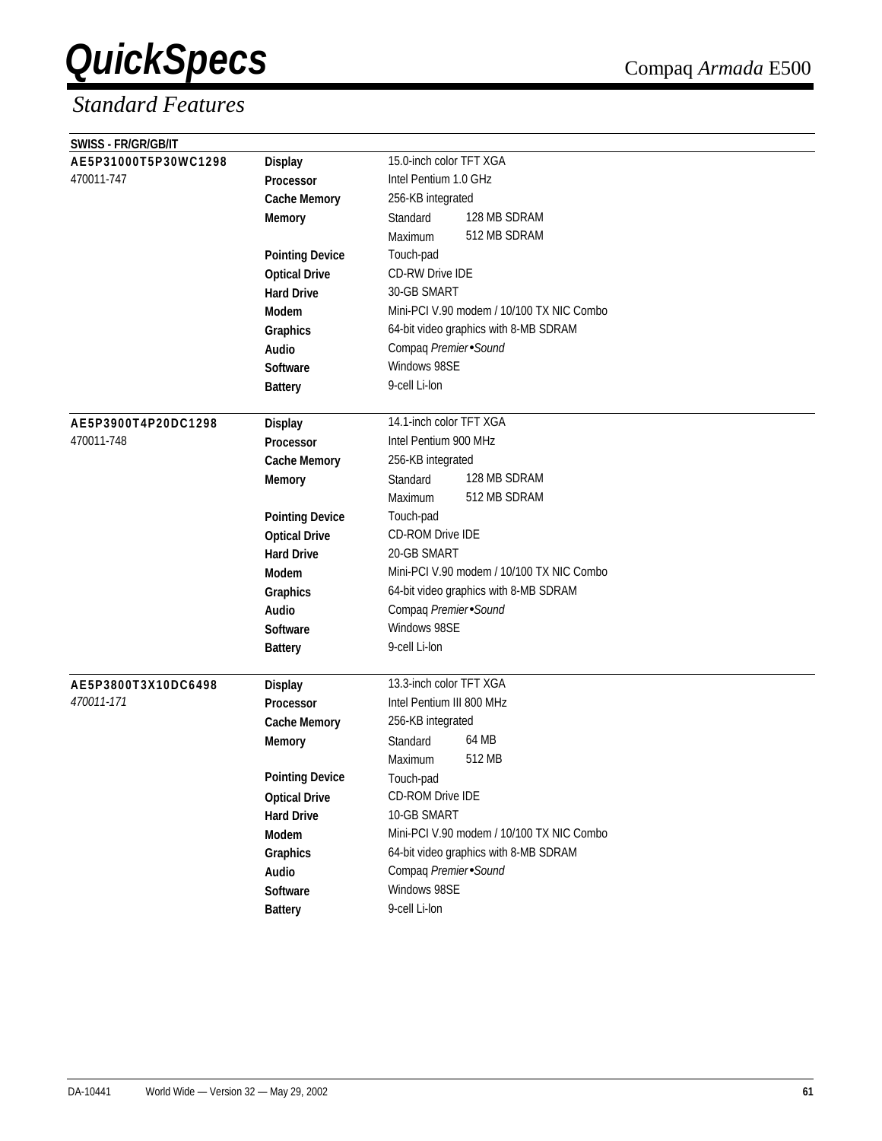| SWISS - FR/GR/GB/IT  |                        |                                           |  |  |
|----------------------|------------------------|-------------------------------------------|--|--|
| AE5P31000T5P30WC1298 | <b>Display</b>         | 15.0-inch color TFT XGA                   |  |  |
| 470011-747           | Processor              | Intel Pentium 1.0 GHz                     |  |  |
|                      | <b>Cache Memory</b>    | 256-KB integrated                         |  |  |
|                      | <b>Memory</b>          | 128 MB SDRAM<br>Standard                  |  |  |
|                      |                        | 512 MB SDRAM<br>Maximum                   |  |  |
|                      | <b>Pointing Device</b> | Touch-pad                                 |  |  |
|                      | <b>Optical Drive</b>   | CD-RW Drive IDE                           |  |  |
|                      | <b>Hard Drive</b>      | 30-GB SMART                               |  |  |
|                      | Modem                  | Mini-PCI V.90 modem / 10/100 TX NIC Combo |  |  |
|                      | Graphics               | 64-bit video graphics with 8-MB SDRAM     |  |  |
|                      | Audio                  | Compaq Premier Sound                      |  |  |
|                      | Software               | Windows 98SE                              |  |  |
|                      | <b>Battery</b>         | 9-cell Li-lon                             |  |  |
|                      |                        |                                           |  |  |
| AE5P3900T4P20DC1298  | <b>Display</b>         | 14.1-inch color TFT XGA                   |  |  |
| 470011-748           | Processor              | Intel Pentium 900 MHz                     |  |  |
|                      | <b>Cache Memory</b>    | 256-KB integrated                         |  |  |
|                      | Memory                 | 128 MB SDRAM<br>Standard                  |  |  |
|                      |                        | 512 MB SDRAM<br>Maximum                   |  |  |
|                      | <b>Pointing Device</b> | Touch-pad                                 |  |  |
|                      | <b>Optical Drive</b>   | CD-ROM Drive IDE                          |  |  |
|                      | <b>Hard Drive</b>      | 20-GB SMART                               |  |  |
|                      | Modem                  | Mini-PCI V.90 modem / 10/100 TX NIC Combo |  |  |
|                      | Graphics               | 64-bit video graphics with 8-MB SDRAM     |  |  |
|                      | Audio                  | Compaq Premier Sound                      |  |  |
|                      | <b>Software</b>        | Windows 98SE                              |  |  |
|                      | <b>Battery</b>         | 9-cell Li-lon                             |  |  |
|                      |                        |                                           |  |  |
| AE5P3800T3X10DC6498  | <b>Display</b>         | 13.3-inch color TFT XGA                   |  |  |
| 470011-171           | Processor              | Intel Pentium III 800 MHz                 |  |  |
|                      | <b>Cache Memory</b>    | 256-KB integrated                         |  |  |
|                      | <b>Memory</b>          | 64 MB<br>Standard                         |  |  |
|                      |                        | 512 MB<br>Maximum                         |  |  |
|                      | <b>Pointing Device</b> | Touch-pad                                 |  |  |
|                      | <b>Optical Drive</b>   | CD-ROM Drive IDE                          |  |  |
|                      | <b>Hard Drive</b>      | 10-GB SMART                               |  |  |
|                      | Modem                  | Mini-PCI V.90 modem / 10/100 TX NIC Combo |  |  |
|                      | Graphics               | 64-bit video graphics with 8-MB SDRAM     |  |  |
|                      | Audio                  | Compaq Premier Sound                      |  |  |
|                      | Software               | Windows 98SE                              |  |  |
|                      | <b>Battery</b>         | 9-cell Li-lon                             |  |  |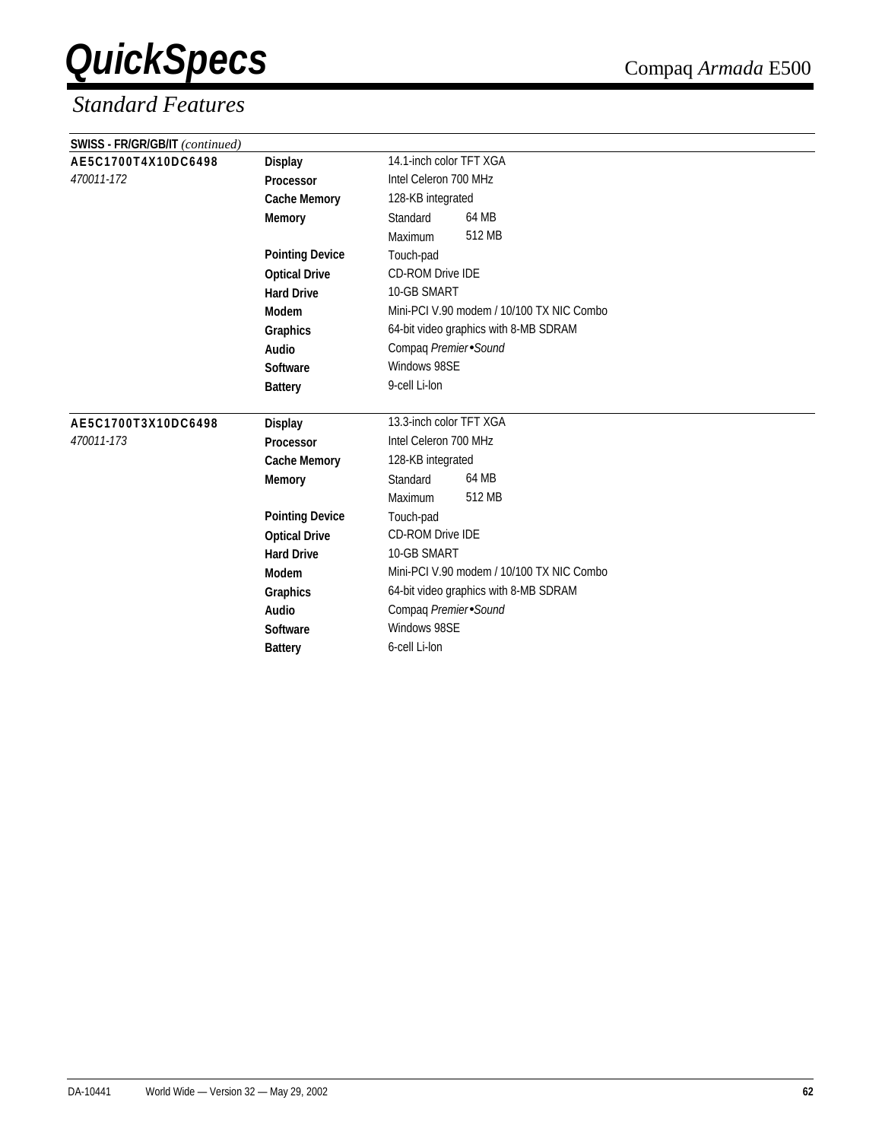| SWISS - FR/GR/GB/IT (continued) |                        |                                           |  |  |
|---------------------------------|------------------------|-------------------------------------------|--|--|
| AE5C1700T4X10DC6498             | <b>Display</b>         | 14.1-inch color TFT XGA                   |  |  |
| 470011-172                      | Processor              | Intel Celeron 700 MHz                     |  |  |
|                                 | <b>Cache Memory</b>    | 128-KB integrated                         |  |  |
|                                 | <b>Memory</b>          | 64 MB<br>Standard                         |  |  |
|                                 |                        | 512 MB<br>Maximum                         |  |  |
|                                 | <b>Pointing Device</b> | Touch-pad                                 |  |  |
|                                 | <b>Optical Drive</b>   | <b>CD-ROM Drive IDE</b>                   |  |  |
|                                 | <b>Hard Drive</b>      | 10-GB SMART                               |  |  |
|                                 | Modem                  | Mini-PCI V.90 modem / 10/100 TX NIC Combo |  |  |
|                                 | Graphics               | 64-bit video graphics with 8-MB SDRAM     |  |  |
|                                 | Audio                  | Compaq Premier Sound                      |  |  |
|                                 | Software               | Windows 98SE                              |  |  |
|                                 | <b>Battery</b>         | 9-cell Li-lon                             |  |  |
|                                 |                        |                                           |  |  |
| AE5C1700T3X10DC6498             | <b>Display</b>         | 13.3-inch color TFT XGA                   |  |  |
| 470011-173                      | Processor              | Intel Celeron 700 MHz                     |  |  |
|                                 | <b>Cache Memory</b>    | 128-KB integrated                         |  |  |
|                                 | <b>Memory</b>          | 64 MB<br>Standard                         |  |  |
|                                 |                        | 512 MB<br>Maximum                         |  |  |
|                                 | <b>Pointing Device</b> | Touch-pad                                 |  |  |
|                                 | <b>Optical Drive</b>   | CD-ROM Drive IDE                          |  |  |
|                                 | <b>Hard Drive</b>      | 10-GB SMART                               |  |  |
|                                 | Modem                  | Mini-PCI V.90 modem / 10/100 TX NIC Combo |  |  |
|                                 | Graphics               | 64-bit video graphics with 8-MB SDRAM     |  |  |
|                                 | Audio                  | Compaq Premier Sound                      |  |  |
|                                 | Software               | Windows 98SE                              |  |  |
|                                 | <b>Battery</b>         | 6-cell Li-lon                             |  |  |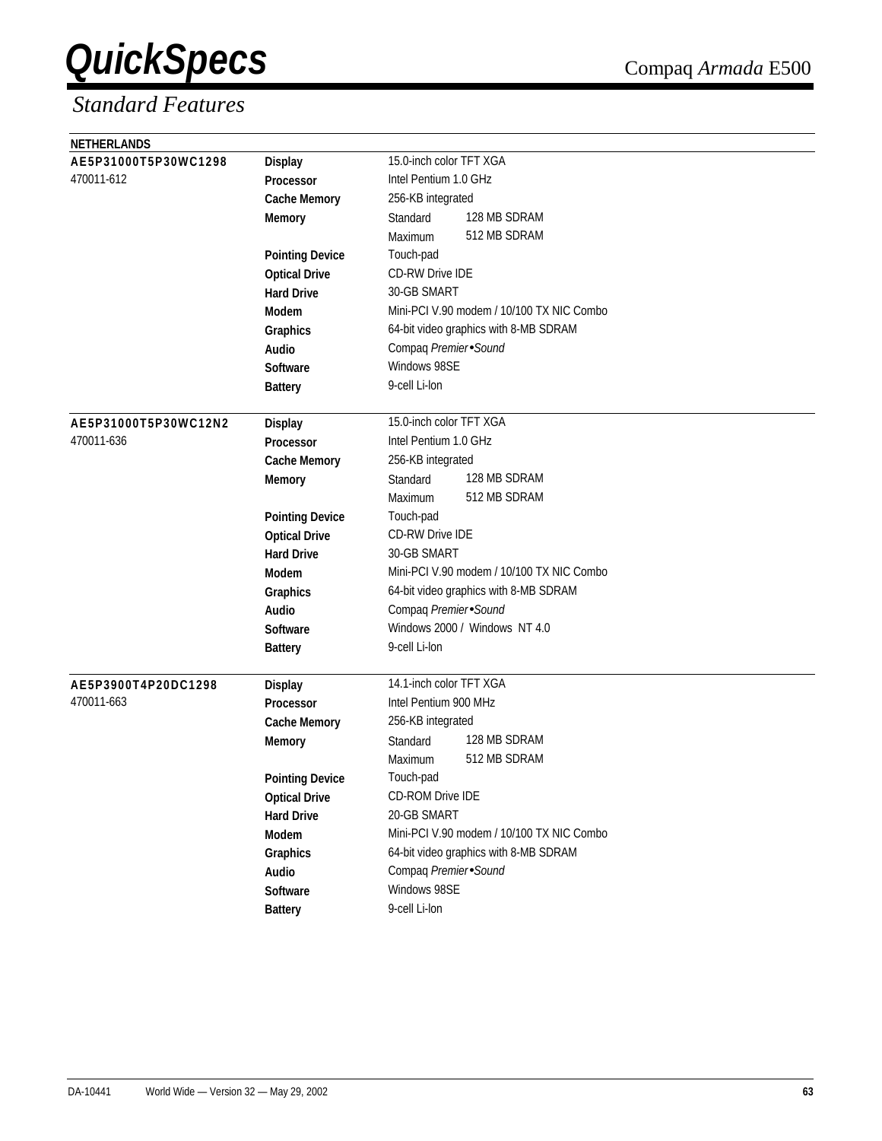| <b>NETHERLANDS</b>   |                        |                                           |
|----------------------|------------------------|-------------------------------------------|
| AE5P31000T5P30WC1298 | <b>Display</b>         | 15.0-inch color TFT XGA                   |
| 470011-612           | Processor              | Intel Pentium 1.0 GHz                     |
|                      | <b>Cache Memory</b>    | 256-KB integrated                         |
|                      | <b>Memory</b>          | 128 MB SDRAM<br>Standard                  |
|                      |                        | 512 MB SDRAM<br>Maximum                   |
|                      | <b>Pointing Device</b> | Touch-pad                                 |
|                      | <b>Optical Drive</b>   | <b>CD-RW Drive IDE</b>                    |
|                      | <b>Hard Drive</b>      | 30-GB SMART                               |
|                      | <b>Modem</b>           | Mini-PCI V.90 modem / 10/100 TX NIC Combo |
|                      | Graphics               | 64-bit video graphics with 8-MB SDRAM     |
|                      | Audio                  | Compaq Premier Sound                      |
|                      | <b>Software</b>        | Windows 98SE                              |
|                      | <b>Battery</b>         | 9-cell Li-lon                             |
|                      |                        |                                           |
| AE5P31000T5P30WC12N2 | <b>Display</b>         | 15.0-inch color TFT XGA                   |
| 470011-636           | Processor              | Intel Pentium 1.0 GHz                     |
|                      | <b>Cache Memory</b>    | 256-KB integrated                         |
|                      | <b>Memory</b>          | 128 MB SDRAM<br>Standard                  |
|                      |                        | 512 MB SDRAM<br>Maximum                   |
|                      | <b>Pointing Device</b> | Touch-pad                                 |
|                      | <b>Optical Drive</b>   | <b>CD-RW Drive IDE</b>                    |
|                      | <b>Hard Drive</b>      | 30-GB SMART                               |
|                      | <b>Modem</b>           | Mini-PCI V.90 modem / 10/100 TX NIC Combo |
|                      | Graphics               | 64-bit video graphics with 8-MB SDRAM     |
|                      | Audio                  | Compaq Premier Sound                      |
|                      | <b>Software</b>        | Windows 2000 / Windows NT 4.0             |
|                      | <b>Battery</b>         | 9-cell Li-lon                             |
|                      |                        |                                           |
| AE5P3900T4P20DC1298  | <b>Display</b>         | 14.1-inch color TFT XGA                   |
| 470011-663           | <b>Processor</b>       | Intel Pentium 900 MHz                     |
|                      | <b>Cache Memory</b>    | 256-KB integrated                         |
|                      | <b>Memory</b>          | 128 MB SDRAM<br>Standard                  |
|                      |                        | 512 MB SDRAM<br>Maximum                   |
|                      | <b>Pointing Device</b> | Touch-pad                                 |
|                      | <b>Optical Drive</b>   | CD-ROM Drive IDE                          |
|                      | <b>Hard Drive</b>      | 20-GB SMART                               |
|                      | Modem                  | Mini-PCI V.90 modem / 10/100 TX NIC Combo |
|                      | Graphics               | 64-bit video graphics with 8-MB SDRAM     |
|                      | Audio                  | Compaq Premier Sound                      |
|                      | Software               | Windows 98SE                              |
|                      | <b>Battery</b>         | 9-cell Li-lon                             |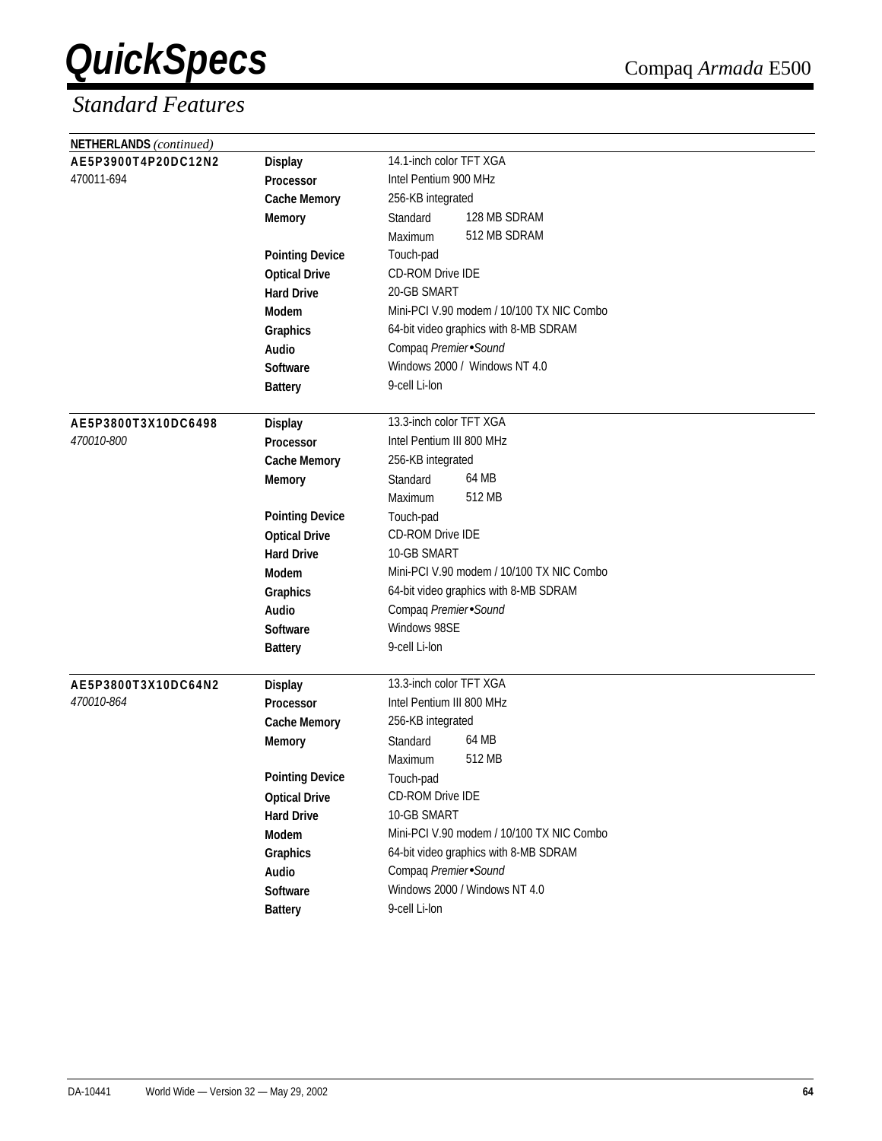| NETHERLANDS (continued) |                        |                                           |  |  |
|-------------------------|------------------------|-------------------------------------------|--|--|
| AE5P3900T4P20DC12N2     | <b>Display</b>         | 14.1-inch color TFT XGA                   |  |  |
| 470011-694              | Processor              | Intel Pentium 900 MHz                     |  |  |
|                         | <b>Cache Memory</b>    | 256-KB integrated                         |  |  |
|                         | <b>Memory</b>          | 128 MB SDRAM<br>Standard                  |  |  |
|                         |                        | 512 MB SDRAM<br>Maximum                   |  |  |
|                         | <b>Pointing Device</b> | Touch-pad                                 |  |  |
|                         | <b>Optical Drive</b>   | CD-ROM Drive IDE                          |  |  |
|                         | <b>Hard Drive</b>      | 20-GB SMART                               |  |  |
|                         | Modem                  | Mini-PCI V.90 modem / 10/100 TX NIC Combo |  |  |
|                         | Graphics               | 64-bit video graphics with 8-MB SDRAM     |  |  |
|                         | Audio                  | Compaq Premier Sound                      |  |  |
|                         | <b>Software</b>        | Windows 2000 / Windows NT 4.0             |  |  |
|                         | <b>Battery</b>         | 9-cell Li-lon                             |  |  |
| AE5P3800T3X10DC6498     | <b>Display</b>         | 13.3-inch color TFT XGA                   |  |  |
| 470010-800              | <b>Processor</b>       | Intel Pentium III 800 MHz                 |  |  |
|                         | <b>Cache Memory</b>    | 256-KB integrated                         |  |  |
|                         | <b>Memory</b>          | 64 MB<br>Standard                         |  |  |
|                         |                        | 512 MB<br>Maximum                         |  |  |
|                         | <b>Pointing Device</b> | Touch-pad                                 |  |  |
|                         | <b>Optical Drive</b>   | CD-ROM Drive IDE                          |  |  |
|                         | <b>Hard Drive</b>      | 10-GB SMART                               |  |  |
|                         | Modem                  | Mini-PCI V.90 modem / 10/100 TX NIC Combo |  |  |
|                         | Graphics               | 64-bit video graphics with 8-MB SDRAM     |  |  |
|                         | Audio                  | Compaq Premier Sound                      |  |  |
|                         | Software               | Windows 98SE                              |  |  |
|                         | <b>Battery</b>         | 9-cell Li-lon                             |  |  |
| AE5P3800T3X10DC64N2     | <b>Display</b>         | 13.3-inch color TFT XGA                   |  |  |
| 470010-864              | <b>Processor</b>       | Intel Pentium III 800 MHz                 |  |  |
|                         | <b>Cache Memory</b>    | 256-KB integrated                         |  |  |
|                         | <b>Memory</b>          | 64 MB<br>Standard                         |  |  |
|                         |                        | 512 MB<br>Maximum                         |  |  |
|                         | <b>Pointing Device</b> | Touch-pad                                 |  |  |
|                         | <b>Optical Drive</b>   | CD-ROM Drive IDE                          |  |  |
|                         | <b>Hard Drive</b>      | 10-GB SMART                               |  |  |
|                         | Modem                  | Mini-PCI V.90 modem / 10/100 TX NIC Combo |  |  |
|                         | Graphics               | 64-bit video graphics with 8-MB SDRAM     |  |  |
|                         | Audio                  | Compaq Premier Sound                      |  |  |
|                         | Software               | Windows 2000 / Windows NT 4.0             |  |  |
|                         | <b>Battery</b>         | 9-cell Li-lon                             |  |  |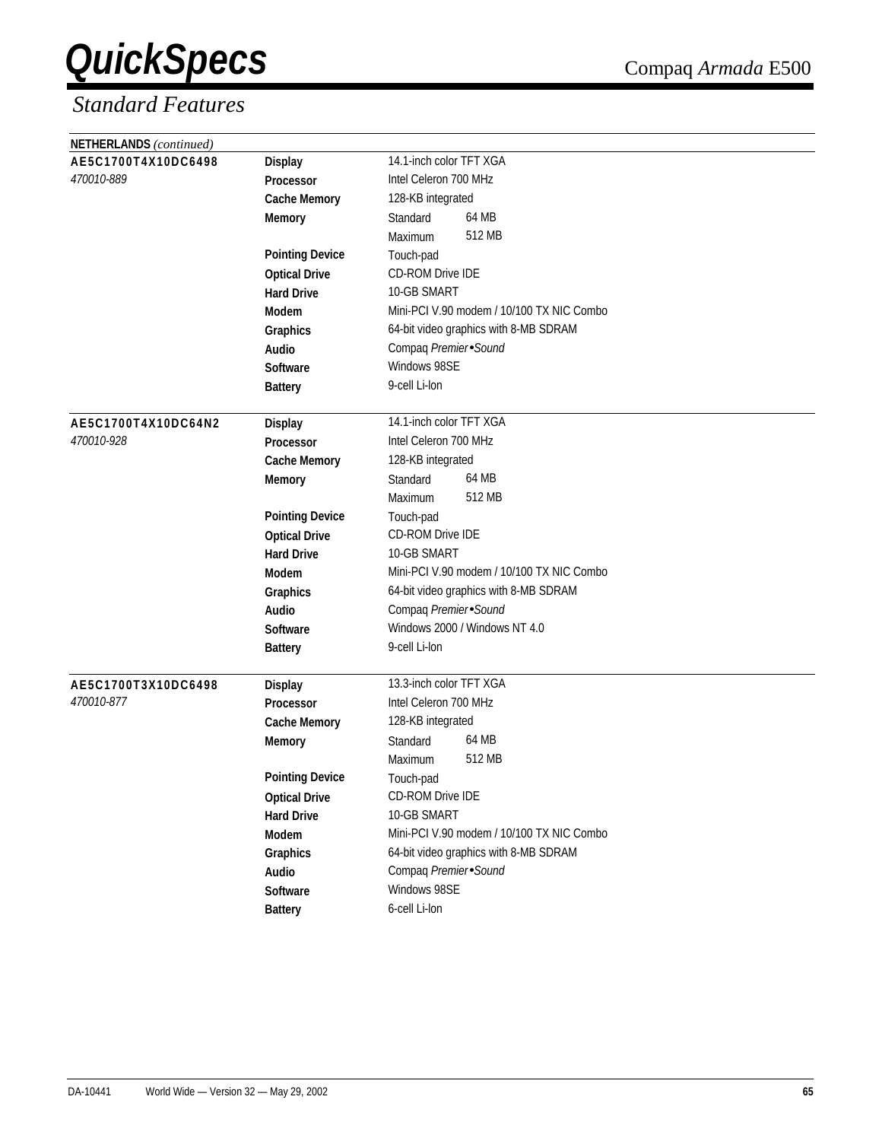| NETHERLANDS (continued) |                        |                                           |  |
|-------------------------|------------------------|-------------------------------------------|--|
| AE5C1700T4X10DC6498     | <b>Display</b>         | 14.1-inch color TFT XGA                   |  |
| 470010-889              | Processor              | Intel Celeron 700 MHz                     |  |
|                         | <b>Cache Memory</b>    | 128-KB integrated                         |  |
|                         | <b>Memory</b>          | 64 MB<br>Standard                         |  |
|                         |                        | 512 MB<br>Maximum                         |  |
|                         | <b>Pointing Device</b> | Touch-pad                                 |  |
|                         | <b>Optical Drive</b>   | <b>CD-ROM Drive IDE</b>                   |  |
|                         | <b>Hard Drive</b>      | 10-GB SMART                               |  |
|                         | Modem                  | Mini-PCI V.90 modem / 10/100 TX NIC Combo |  |
|                         | Graphics               | 64-bit video graphics with 8-MB SDRAM     |  |
|                         | Audio                  | Compaq Premier Sound                      |  |
|                         | <b>Software</b>        | Windows 98SE                              |  |
|                         | <b>Battery</b>         | 9-cell Li-lon                             |  |
|                         |                        |                                           |  |
| AE5C1700T4X10DC64N2     | <b>Display</b>         | 14.1-inch color TFT XGA                   |  |
| 470010-928              | <b>Processor</b>       | Intel Celeron 700 MHz                     |  |
|                         | <b>Cache Memory</b>    | 128-KB integrated                         |  |
|                         | <b>Memory</b>          | 64 MB<br>Standard                         |  |
|                         |                        | 512 MB<br>Maximum                         |  |
|                         | <b>Pointing Device</b> | Touch-pad                                 |  |
|                         | <b>Optical Drive</b>   | CD-ROM Drive IDE                          |  |
|                         | <b>Hard Drive</b>      | 10-GB SMART                               |  |
|                         | Modem                  | Mini-PCI V.90 modem / 10/100 TX NIC Combo |  |
|                         | Graphics               | 64-bit video graphics with 8-MB SDRAM     |  |
|                         | Audio                  | Compaq Premier Sound                      |  |
|                         | <b>Software</b>        | Windows 2000 / Windows NT 4.0             |  |
|                         | <b>Battery</b>         | 9-cell Li-lon                             |  |
| AE5C1700T3X10DC6498     | <b>Display</b>         | 13.3-inch color TFT XGA                   |  |
| 470010-877              | <b>Processor</b>       | Intel Celeron 700 MHz                     |  |
|                         | <b>Cache Memory</b>    | 128-KB integrated                         |  |
|                         | <b>Memory</b>          | 64 MB<br>Standard                         |  |
|                         |                        | 512 MB<br>Maximum                         |  |
|                         | <b>Pointing Device</b> | Touch-pad                                 |  |
|                         | <b>Optical Drive</b>   | CD-ROM Drive IDE                          |  |
|                         | <b>Hard Drive</b>      | 10-GB SMART                               |  |
|                         | Modem                  | Mini-PCI V.90 modem / 10/100 TX NIC Combo |  |
|                         | Graphics               | 64-bit video graphics with 8-MB SDRAM     |  |
|                         | Audio                  | Compaq Premier Sound                      |  |
|                         | Software               | Windows 98SE                              |  |
|                         | <b>Battery</b>         | 6-cell Li-lon                             |  |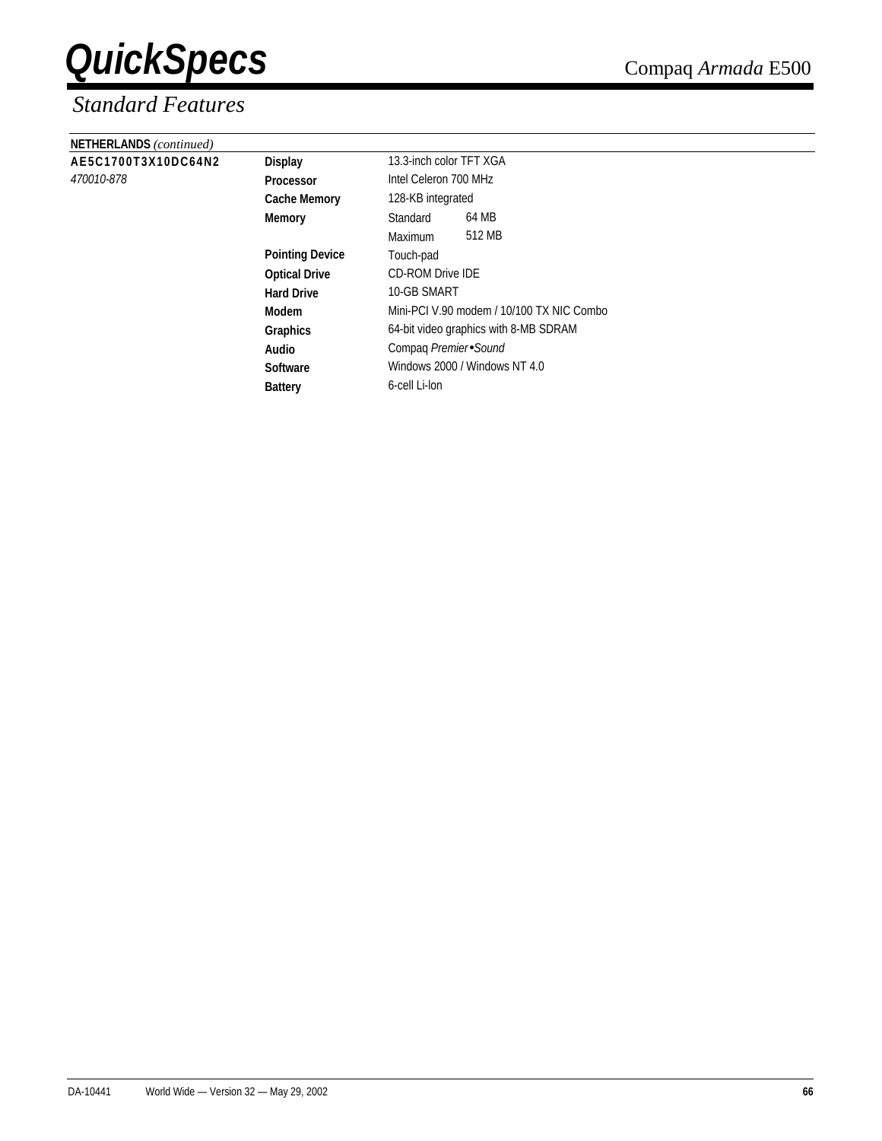| <b>NETHERLANDS</b> (continued) |                        |                                           |                       |  |  |
|--------------------------------|------------------------|-------------------------------------------|-----------------------|--|--|
| AE5C1700T3X10DC64N2            | <b>Display</b>         | 13.3-inch color TFT XGA                   |                       |  |  |
| 470010-878                     | <b>Processor</b>       |                                           | Intel Celeron 700 MHz |  |  |
|                                | <b>Cache Memory</b>    | 128-KB integrated                         |                       |  |  |
|                                | <b>Memory</b>          | Standard                                  | 64 MB                 |  |  |
|                                |                        | Maximum                                   | 512 MB                |  |  |
|                                | <b>Pointing Device</b> | Touch-pad                                 |                       |  |  |
|                                | <b>Optical Drive</b>   | <b>CD-ROM Drive IDE</b>                   |                       |  |  |
|                                | <b>Hard Drive</b>      | 10-GB SMART                               |                       |  |  |
|                                | Modem                  | Mini-PCI V.90 modem / 10/100 TX NIC Combo |                       |  |  |
|                                | <b>Graphics</b>        | 64-bit video graphics with 8-MB SDRAM     |                       |  |  |
|                                | Audio                  | Compag Premier Sound                      |                       |  |  |
|                                | <b>Software</b>        | Windows 2000 / Windows NT 4.0             |                       |  |  |
|                                | <b>Battery</b>         | 6-cell Li-lon                             |                       |  |  |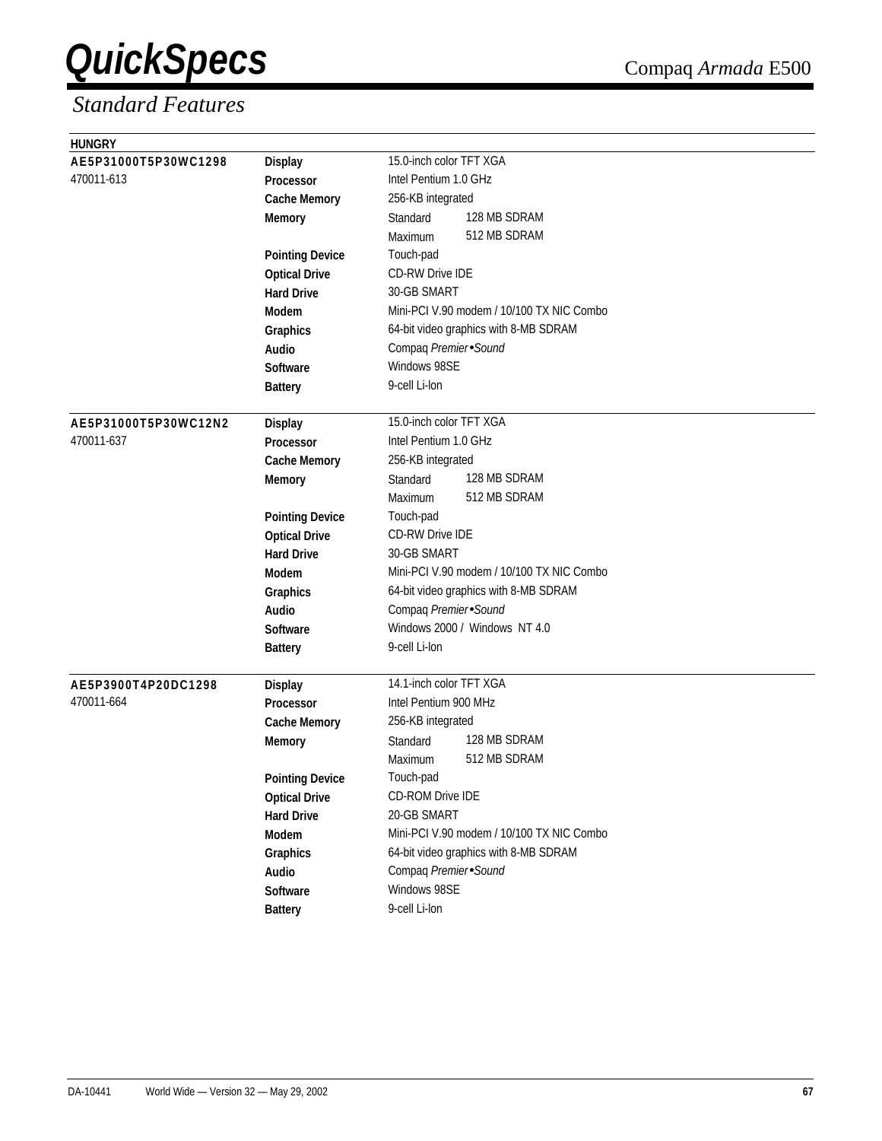| <b>HUNGRY</b>        |                        |                                           |
|----------------------|------------------------|-------------------------------------------|
| AE5P31000T5P30WC1298 | <b>Display</b>         | 15.0-inch color TFT XGA                   |
| 470011-613           | Processor              | Intel Pentium 1.0 GHz                     |
|                      | <b>Cache Memory</b>    | 256-KB integrated                         |
|                      | <b>Memory</b>          | 128 MB SDRAM<br>Standard                  |
|                      |                        | 512 MB SDRAM<br>Maximum                   |
|                      | <b>Pointing Device</b> | Touch-pad                                 |
|                      | <b>Optical Drive</b>   | CD-RW Drive IDE                           |
|                      | <b>Hard Drive</b>      | 30-GB SMART                               |
|                      | Modem                  | Mini-PCI V.90 modem / 10/100 TX NIC Combo |
|                      | Graphics               | 64-bit video graphics with 8-MB SDRAM     |
|                      | Audio                  | Compaq Premier Sound                      |
|                      | Software               | Windows 98SE                              |
|                      | <b>Battery</b>         | 9-cell Li-lon                             |
|                      |                        |                                           |
| AE5P31000T5P30WC12N2 | <b>Display</b>         | 15.0-inch color TFT XGA                   |
| 470011-637           | <b>Processor</b>       | Intel Pentium 1.0 GHz                     |
|                      | <b>Cache Memory</b>    | 256-KB integrated                         |
|                      | <b>Memory</b>          | 128 MB SDRAM<br>Standard                  |
|                      |                        | 512 MB SDRAM<br>Maximum                   |
|                      | <b>Pointing Device</b> | Touch-pad                                 |
|                      | <b>Optical Drive</b>   | <b>CD-RW Drive IDE</b>                    |
|                      | <b>Hard Drive</b>      | 30-GB SMART                               |
|                      | Modem                  | Mini-PCI V.90 modem / 10/100 TX NIC Combo |
|                      | Graphics               | 64-bit video graphics with 8-MB SDRAM     |
|                      | Audio                  | Compaq Premier Sound                      |
|                      | <b>Software</b>        | Windows 2000 / Windows NT 4.0             |
|                      | <b>Battery</b>         | 9-cell Li-lon                             |
|                      |                        |                                           |
| AE5P3900T4P20DC1298  | <b>Display</b>         | 14.1-inch color TFT XGA                   |
| 470011-664           | Processor              | Intel Pentium 900 MHz                     |
|                      | <b>Cache Memory</b>    | 256-KB integrated                         |
|                      | <b>Memory</b>          | 128 MB SDRAM<br>Standard                  |
|                      |                        | 512 MB SDRAM<br>Maximum                   |
|                      | <b>Pointing Device</b> | Touch-pad                                 |
|                      | <b>Optical Drive</b>   | CD-ROM Drive IDE                          |
|                      | <b>Hard Drive</b>      | 20-GB SMART                               |
|                      | Modem                  | Mini-PCI V.90 modem / 10/100 TX NIC Combo |
|                      | Graphics               | 64-bit video graphics with 8-MB SDRAM     |
|                      | Audio                  | Compaq Premier Sound                      |
|                      | Software               | Windows 98SE                              |
|                      | <b>Battery</b>         | 9-cell Li-lon                             |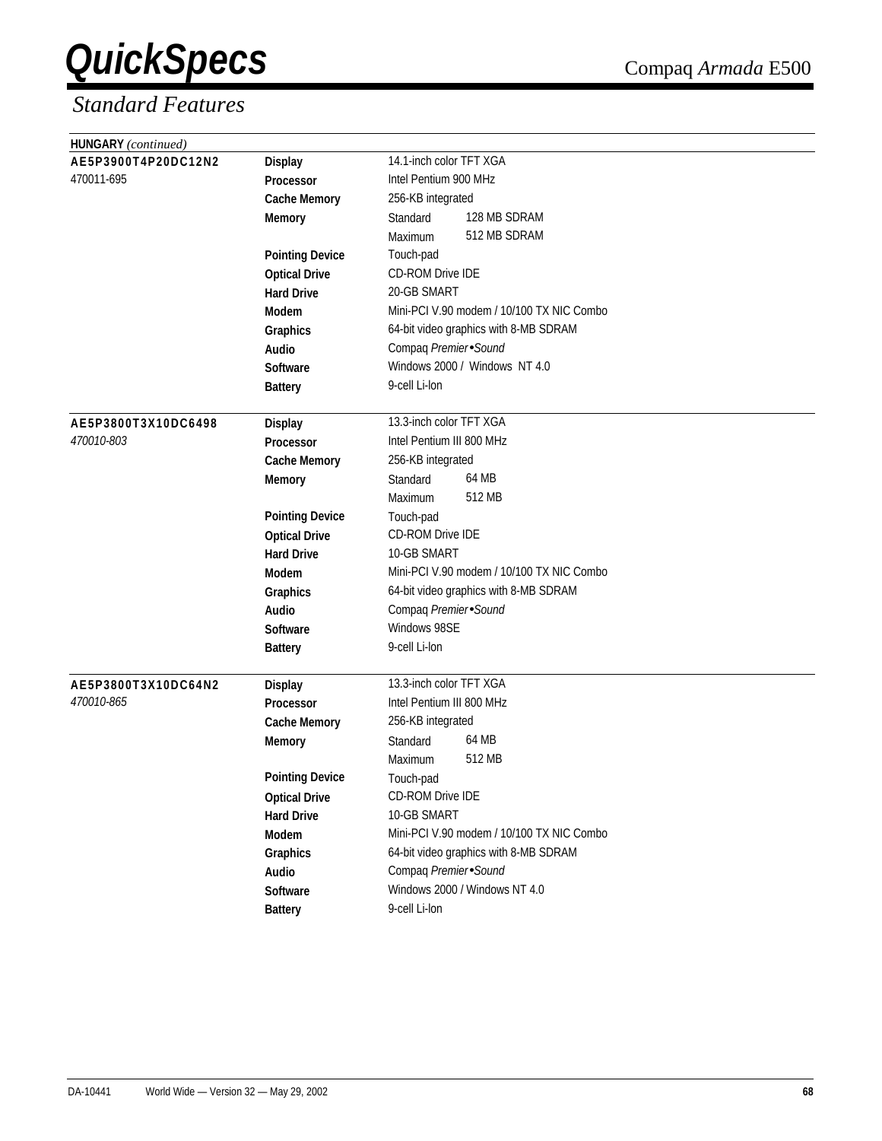| HUNGARY (continued) |                        |                                           |
|---------------------|------------------------|-------------------------------------------|
| AE5P3900T4P20DC12N2 | <b>Display</b>         | 14.1-inch color TFT XGA                   |
| 470011-695          | Processor              | Intel Pentium 900 MHz                     |
|                     | <b>Cache Memory</b>    | 256-KB integrated                         |
|                     | <b>Memory</b>          | 128 MB SDRAM<br>Standard                  |
|                     |                        | 512 MB SDRAM<br>Maximum                   |
|                     | <b>Pointing Device</b> | Touch-pad                                 |
|                     | <b>Optical Drive</b>   | <b>CD-ROM Drive IDE</b>                   |
|                     | <b>Hard Drive</b>      | 20-GB SMART                               |
|                     | Modem                  | Mini-PCI V.90 modem / 10/100 TX NIC Combo |
|                     | Graphics               | 64-bit video graphics with 8-MB SDRAM     |
|                     | Audio                  | Compaq Premier Sound                      |
|                     | <b>Software</b>        | Windows 2000 / Windows NT 4.0             |
|                     | <b>Battery</b>         | 9-cell Li-lon                             |
|                     |                        |                                           |
| AE5P3800T3X10DC6498 | <b>Display</b>         | 13.3-inch color TFT XGA                   |
| 470010-803          | <b>Processor</b>       | Intel Pentium III 800 MHz                 |
|                     | <b>Cache Memory</b>    | 256-KB integrated                         |
|                     | <b>Memory</b>          | 64 MB<br>Standard                         |
|                     |                        | 512 MB<br>Maximum                         |
|                     | <b>Pointing Device</b> | Touch-pad                                 |
|                     | <b>Optical Drive</b>   | CD-ROM Drive IDE                          |
|                     | <b>Hard Drive</b>      | 10-GB SMART                               |
|                     | Modem                  | Mini-PCI V.90 modem / 10/100 TX NIC Combo |
|                     | Graphics               | 64-bit video graphics with 8-MB SDRAM     |
|                     | Audio                  | Compaq Premier Sound                      |
|                     | <b>Software</b>        | Windows 98SE                              |
|                     | <b>Battery</b>         | 9-cell Li-lon                             |
| AE5P3800T3X10DC64N2 | <b>Display</b>         | 13.3-inch color TFT XGA                   |
| 470010-865          | <b>Processor</b>       | Intel Pentium III 800 MHz                 |
|                     | <b>Cache Memory</b>    | 256-KB integrated                         |
|                     | <b>Memory</b>          | 64 MB<br>Standard                         |
|                     |                        | 512 MB<br>Maximum                         |
|                     | <b>Pointing Device</b> | Touch-pad                                 |
|                     | <b>Optical Drive</b>   | CD-ROM Drive IDE                          |
|                     | <b>Hard Drive</b>      | 10-GB SMART                               |
|                     | Modem                  | Mini-PCI V.90 modem / 10/100 TX NIC Combo |
|                     | Graphics               | 64-bit video graphics with 8-MB SDRAM     |
|                     | Audio                  | Compaq Premier Sound                      |
|                     | Software               | Windows 2000 / Windows NT 4.0             |
|                     | <b>Battery</b>         | 9-cell Li-lon                             |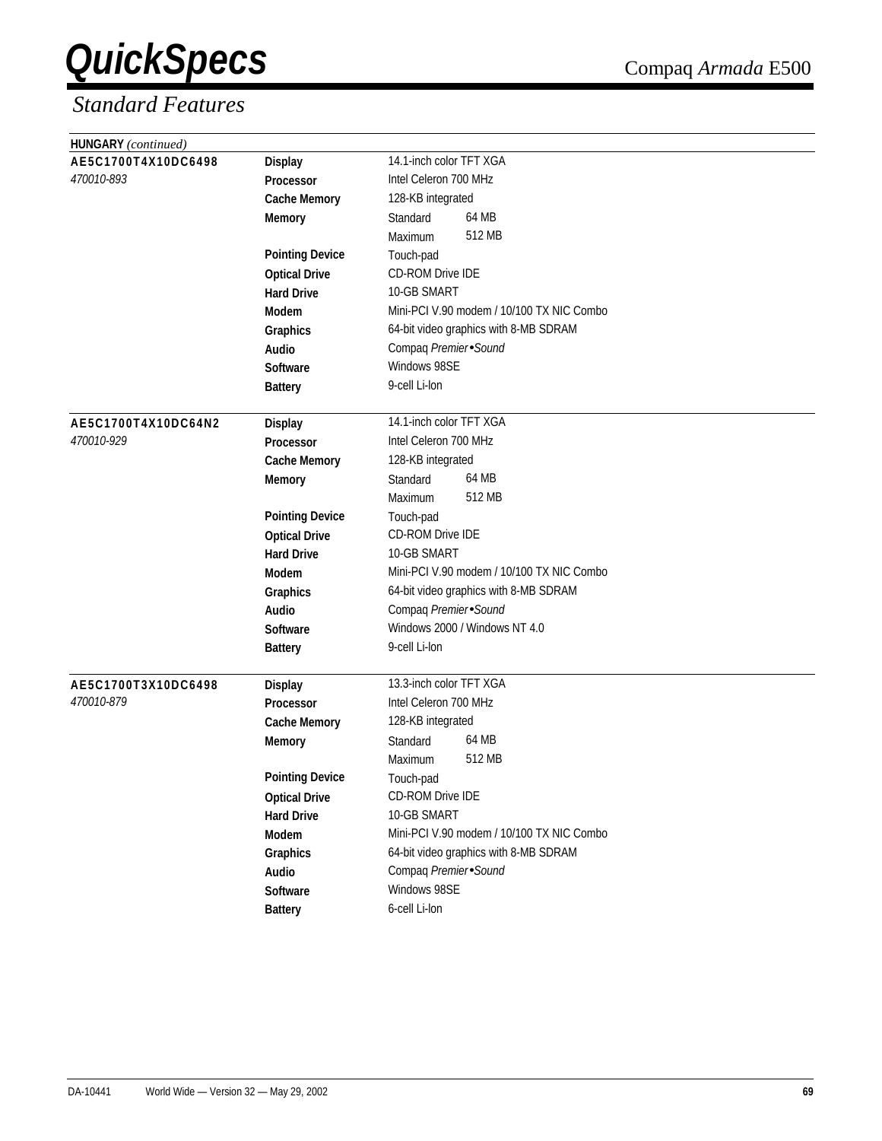| HUNGARY (continued)                   |                                    |                                           |
|---------------------------------------|------------------------------------|-------------------------------------------|
| AE5C1700T4X10DC6498<br><b>Display</b> |                                    | 14.1-inch color TFT XGA                   |
| 470010-893                            | Processor                          | Intel Celeron 700 MHz                     |
|                                       | <b>Cache Memory</b>                | 128-KB integrated                         |
|                                       | <b>Memory</b>                      | 64 MB<br>Standard                         |
|                                       |                                    | 512 MB<br>Maximum                         |
|                                       | <b>Pointing Device</b>             | Touch-pad                                 |
|                                       | <b>Optical Drive</b>               | <b>CD-ROM Drive IDE</b>                   |
|                                       | <b>Hard Drive</b>                  | 10-GB SMART                               |
|                                       | Modem                              | Mini-PCI V.90 modem / 10/100 TX NIC Combo |
|                                       | Graphics                           | 64-bit video graphics with 8-MB SDRAM     |
|                                       | Audio                              | Compaq Premier Sound                      |
|                                       | <b>Software</b>                    | Windows 98SE                              |
|                                       | <b>Battery</b>                     | 9-cell Li-lon                             |
|                                       |                                    |                                           |
| AE5C1700T4X10DC64N2                   | <b>Display</b>                     | 14.1-inch color TFT XGA                   |
| 470010-929                            | <b>Processor</b>                   | Intel Celeron 700 MHz                     |
|                                       | <b>Cache Memory</b>                | 128-KB integrated                         |
|                                       | <b>Memory</b>                      | 64 MB<br>Standard                         |
|                                       |                                    | 512 MB<br>Maximum                         |
|                                       | <b>Pointing Device</b>             | Touch-pad                                 |
|                                       | <b>Optical Drive</b>               | CD-ROM Drive IDE                          |
|                                       | <b>Hard Drive</b>                  | 10-GB SMART                               |
|                                       | Modem                              | Mini-PCI V.90 modem / 10/100 TX NIC Combo |
|                                       | Graphics                           | 64-bit video graphics with 8-MB SDRAM     |
|                                       | Audio                              | Compaq Premier Sound                      |
|                                       | <b>Software</b>                    | Windows 2000 / Windows NT 4.0             |
|                                       | <b>Battery</b>                     | 9-cell Li-lon                             |
| AE5C1700T3X10DC6498                   |                                    | 13.3-inch color TFT XGA                   |
| 470010-879                            | <b>Display</b><br><b>Processor</b> | Intel Celeron 700 MHz                     |
|                                       | <b>Cache Memory</b>                | 128-KB integrated                         |
|                                       | <b>Memory</b>                      | 64 MB<br>Standard                         |
|                                       |                                    | 512 MB<br>Maximum                         |
|                                       | <b>Pointing Device</b>             | Touch-pad                                 |
|                                       | <b>Optical Drive</b>               | CD-ROM Drive IDE                          |
|                                       | <b>Hard Drive</b>                  | 10-GB SMART                               |
|                                       | Modem                              | Mini-PCI V.90 modem / 10/100 TX NIC Combo |
|                                       | Graphics                           | 64-bit video graphics with 8-MB SDRAM     |
|                                       | Audio                              | Compaq Premier Sound                      |
|                                       | Software                           | Windows 98SE                              |
|                                       | <b>Battery</b>                     | 6-cell Li-lon                             |
|                                       |                                    |                                           |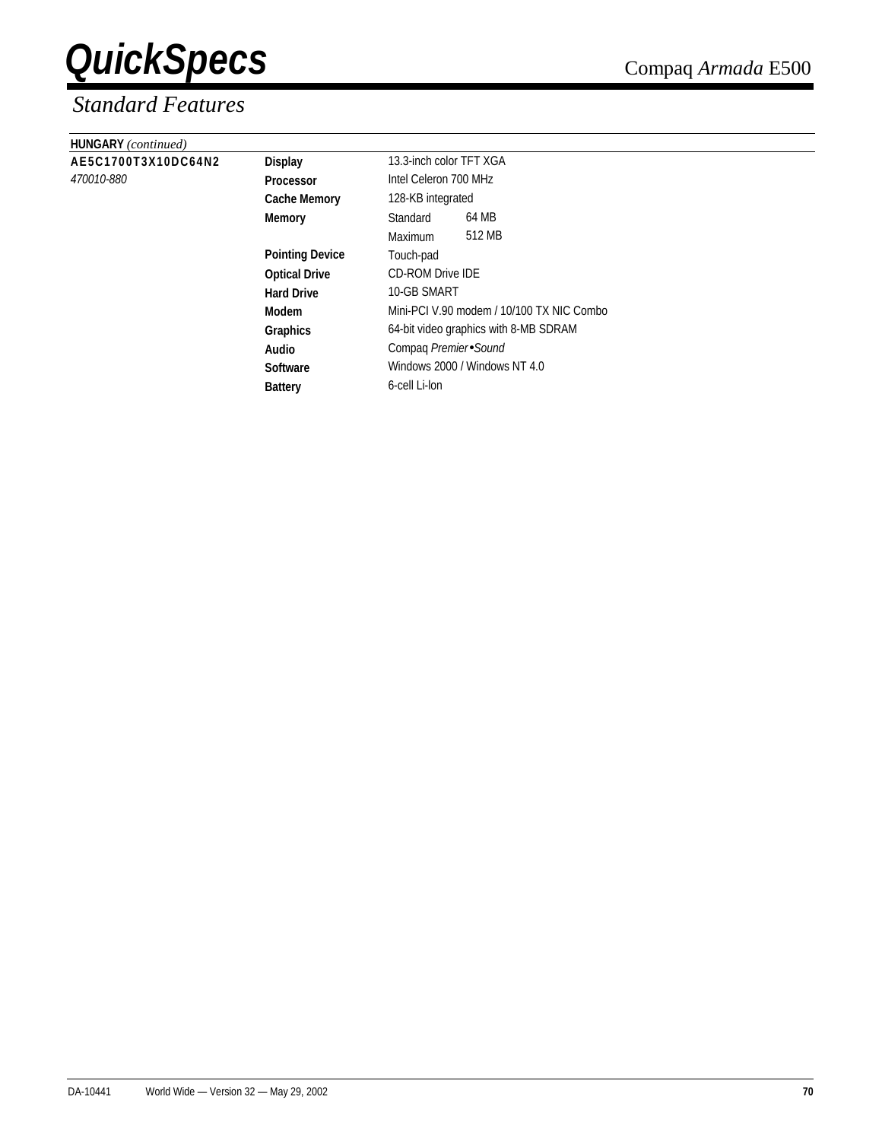| <b>HUNGARY</b> (continued) |                        |                                           |                       |  |  |
|----------------------------|------------------------|-------------------------------------------|-----------------------|--|--|
| AE5C1700T3X10DC64N2        | <b>Display</b>         | 13.3-inch color TFT XGA                   |                       |  |  |
| 470010-880                 | <b>Processor</b>       |                                           | Intel Celeron 700 MHz |  |  |
|                            | <b>Cache Memory</b>    | 128-KB integrated                         |                       |  |  |
|                            | Memory                 | Standard                                  | 64 MB                 |  |  |
|                            |                        | Maximum                                   | 512 MB                |  |  |
|                            | <b>Pointing Device</b> | Touch-pad                                 |                       |  |  |
|                            | <b>Optical Drive</b>   | <b>CD-ROM Drive IDE</b>                   |                       |  |  |
|                            | <b>Hard Drive</b>      | 10-GB SMART                               |                       |  |  |
|                            | Modem                  | Mini-PCI V.90 modem / 10/100 TX NIC Combo |                       |  |  |
|                            | <b>Graphics</b>        | 64-bit video graphics with 8-MB SDRAM     |                       |  |  |
|                            | Audio                  | Compaq Premier Sound                      |                       |  |  |
|                            | <b>Software</b>        | Windows 2000 / Windows NT 4.0             |                       |  |  |
|                            | <b>Battery</b>         | 6-cell Li-lon                             |                       |  |  |
|                            |                        |                                           |                       |  |  |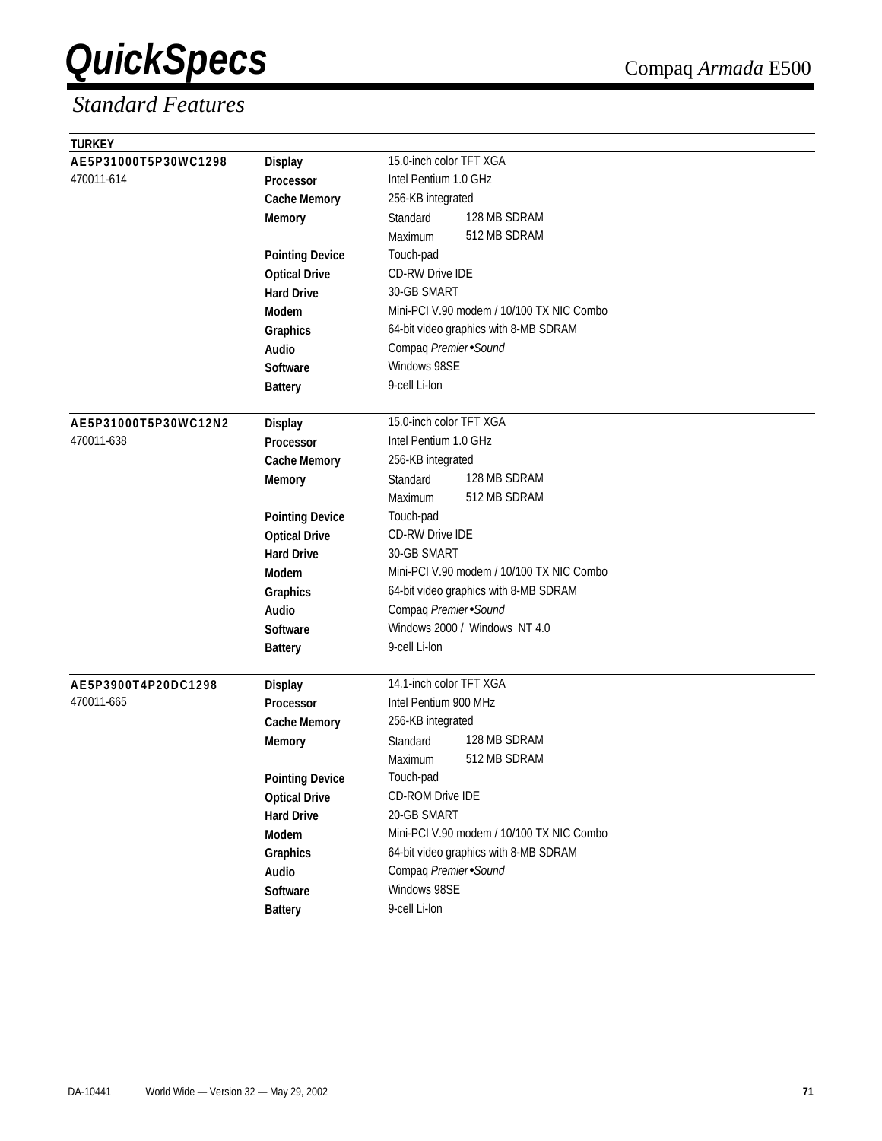| <b>TURKEY</b>        |                        |                                           |
|----------------------|------------------------|-------------------------------------------|
| AE5P31000T5P30WC1298 | <b>Display</b>         | 15.0-inch color TFT XGA                   |
| 470011-614           | Processor              | Intel Pentium 1.0 GHz                     |
|                      | <b>Cache Memory</b>    | 256-KB integrated                         |
|                      | <b>Memory</b>          | 128 MB SDRAM<br>Standard                  |
|                      |                        | 512 MB SDRAM<br>Maximum                   |
|                      | <b>Pointing Device</b> | Touch-pad                                 |
|                      | <b>Optical Drive</b>   | <b>CD-RW Drive IDE</b>                    |
|                      | <b>Hard Drive</b>      | 30-GB SMART                               |
|                      | <b>Modem</b>           | Mini-PCI V.90 modem / 10/100 TX NIC Combo |
|                      | Graphics               | 64-bit video graphics with 8-MB SDRAM     |
|                      | Audio                  | Compaq Premier Sound                      |
|                      | <b>Software</b>        | Windows 98SE                              |
|                      | <b>Battery</b>         | 9-cell Li-lon                             |
|                      |                        |                                           |
| AE5P31000T5P30WC12N2 | <b>Display</b>         | 15.0-inch color TFT XGA                   |
| 470011-638           | <b>Processor</b>       | Intel Pentium 1.0 GHz                     |
|                      | <b>Cache Memory</b>    | 256-KB integrated                         |
|                      | <b>Memory</b>          | 128 MB SDRAM<br>Standard                  |
|                      |                        | 512 MB SDRAM<br>Maximum                   |
|                      | <b>Pointing Device</b> | Touch-pad                                 |
|                      | <b>Optical Drive</b>   | <b>CD-RW Drive IDE</b>                    |
|                      | <b>Hard Drive</b>      | 30-GB SMART                               |
|                      | <b>Modem</b>           | Mini-PCI V.90 modem / 10/100 TX NIC Combo |
|                      | Graphics               | 64-bit video graphics with 8-MB SDRAM     |
|                      | Audio                  | Compaq Premier Sound                      |
|                      | <b>Software</b>        | Windows 2000 / Windows NT 4.0             |
|                      | <b>Battery</b>         | 9-cell Li-lon                             |
|                      |                        |                                           |
| AE5P3900T4P20DC1298  | <b>Display</b>         | 14.1-inch color TFT XGA                   |
| 470011-665           | Processor              | Intel Pentium 900 MHz                     |
|                      | <b>Cache Memory</b>    | 256-KB integrated                         |
|                      | <b>Memory</b>          | 128 MB SDRAM<br>Standard                  |
|                      |                        | 512 MB SDRAM<br>Maximum                   |
|                      | <b>Pointing Device</b> | Touch-pad                                 |
|                      | <b>Optical Drive</b>   | CD-ROM Drive IDE                          |
|                      | <b>Hard Drive</b>      | 20-GB SMART                               |
|                      | Modem                  | Mini-PCI V.90 modem / 10/100 TX NIC Combo |
|                      | Graphics               | 64-bit video graphics with 8-MB SDRAM     |
|                      | Audio                  | Compaq Premier Sound                      |
|                      | Software               | Windows 98SE                              |
|                      | <b>Battery</b>         | 9-cell Li-lon                             |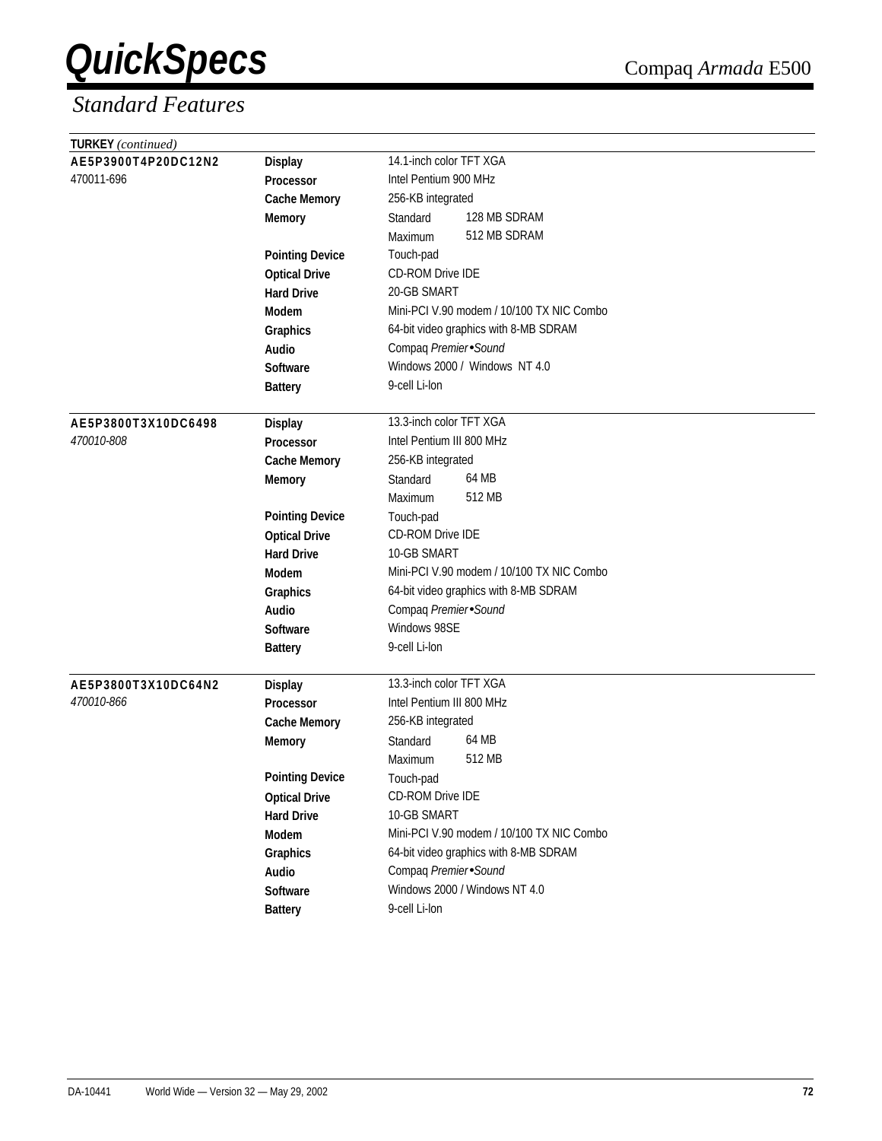| <b>TURKEY</b> (continued) |                        |                                           |  |  |
|---------------------------|------------------------|-------------------------------------------|--|--|
| AE5P3900T4P20DC12N2       | <b>Display</b>         | 14.1-inch color TFT XGA                   |  |  |
| 470011-696                | <b>Processor</b>       | Intel Pentium 900 MHz                     |  |  |
|                           | <b>Cache Memory</b>    | 256-KB integrated                         |  |  |
|                           | <b>Memory</b>          | 128 MB SDRAM<br>Standard                  |  |  |
|                           |                        | 512 MB SDRAM<br>Maximum                   |  |  |
|                           | <b>Pointing Device</b> | Touch-pad                                 |  |  |
|                           | <b>Optical Drive</b>   | CD-ROM Drive IDE                          |  |  |
|                           | <b>Hard Drive</b>      | 20-GB SMART                               |  |  |
|                           | Modem                  | Mini-PCI V.90 modem / 10/100 TX NIC Combo |  |  |
|                           | Graphics               | 64-bit video graphics with 8-MB SDRAM     |  |  |
|                           | Audio                  | Compaq Premier Sound                      |  |  |
|                           | <b>Software</b>        | Windows 2000 / Windows NT 4.0             |  |  |
|                           | <b>Battery</b>         | 9-cell Li-lon                             |  |  |
|                           |                        |                                           |  |  |
| AE5P3800T3X10DC6498       | <b>Display</b>         | 13.3-inch color TFT XGA                   |  |  |
| 470010-808                | Processor              | Intel Pentium III 800 MHz                 |  |  |
|                           | <b>Cache Memory</b>    | 256-KB integrated                         |  |  |
|                           | <b>Memory</b>          | 64 MB<br>Standard                         |  |  |
|                           |                        | 512 MB<br>Maximum                         |  |  |
|                           | <b>Pointing Device</b> | Touch-pad                                 |  |  |
|                           | <b>Optical Drive</b>   | CD-ROM Drive IDE                          |  |  |
|                           | <b>Hard Drive</b>      | 10-GB SMART                               |  |  |
|                           | Modem                  | Mini-PCI V.90 modem / 10/100 TX NIC Combo |  |  |
|                           | Graphics               | 64-bit video graphics with 8-MB SDRAM     |  |  |
|                           | Audio                  | Compaq Premier Sound                      |  |  |
|                           | <b>Software</b>        | Windows 98SE                              |  |  |
|                           | <b>Battery</b>         | 9-cell Li-lon                             |  |  |
|                           |                        |                                           |  |  |
| AE5P3800T3X10DC64N2       | <b>Display</b>         | 13.3-inch color TFT XGA                   |  |  |
| 470010-866                | <b>Processor</b>       | Intel Pentium III 800 MHz                 |  |  |
|                           | <b>Cache Memory</b>    | 256-KB integrated                         |  |  |
|                           | <b>Memory</b>          | 64 MB<br>Standard                         |  |  |
|                           |                        | 512 MB<br>Maximum                         |  |  |
|                           | <b>Pointing Device</b> | Touch-pad                                 |  |  |
|                           | <b>Optical Drive</b>   | CD-ROM Drive IDE                          |  |  |
|                           | <b>Hard Drive</b>      | 10-GB SMART                               |  |  |
|                           | Modem                  | Mini-PCI V.90 modem / 10/100 TX NIC Combo |  |  |
|                           | Graphics               | 64-bit video graphics with 8-MB SDRAM     |  |  |
|                           | Audio                  | Compaq Premier Sound                      |  |  |
|                           | Software               | Windows 2000 / Windows NT 4.0             |  |  |
|                           | <b>Battery</b>         | 9-cell Li-lon                             |  |  |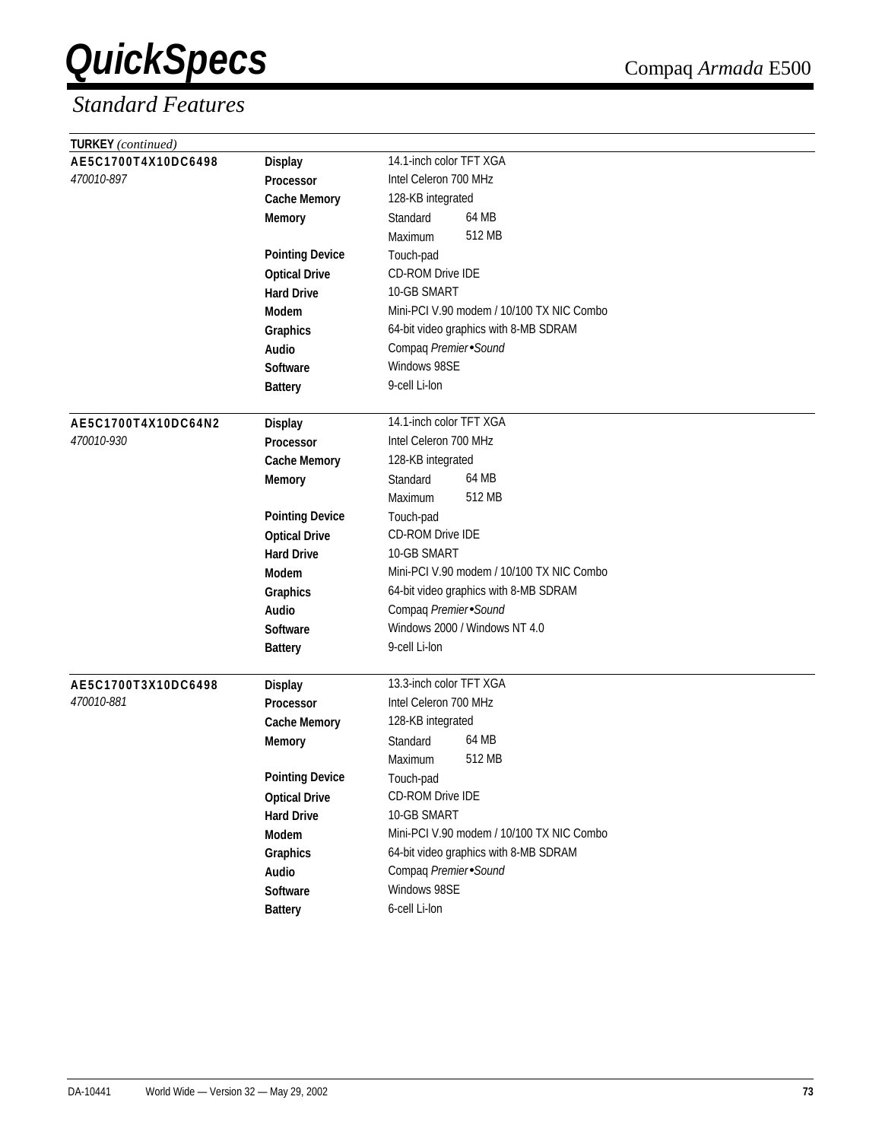| TURKEY (continued)                |                        |                                                  |
|-----------------------------------|------------------------|--------------------------------------------------|
| AE5C1700T4X10DC6498               | <b>Display</b>         | 14.1-inch color TFT XGA                          |
| 470010-897                        | Processor              | Intel Celeron 700 MHz                            |
|                                   | <b>Cache Memory</b>    | 128-KB integrated                                |
|                                   | <b>Memory</b>          | 64 MB<br>Standard                                |
|                                   |                        | 512 MB<br>Maximum                                |
|                                   | <b>Pointing Device</b> | Touch-pad                                        |
|                                   | <b>Optical Drive</b>   | <b>CD-ROM Drive IDE</b>                          |
|                                   | <b>Hard Drive</b>      | 10-GB SMART                                      |
|                                   | <b>Modem</b>           | Mini-PCI V.90 modem / 10/100 TX NIC Combo        |
|                                   | Graphics               | 64-bit video graphics with 8-MB SDRAM            |
|                                   | Audio                  | Compaq Premier Sound                             |
|                                   | <b>Software</b>        | Windows 98SE                                     |
|                                   | <b>Battery</b>         | 9-cell Li-lon                                    |
|                                   |                        |                                                  |
| AE5C1700T4X10DC64N2               | <b>Display</b>         | 14.1-inch color TFT XGA                          |
| 470010-930                        | <b>Processor</b>       | Intel Celeron 700 MHz                            |
|                                   | <b>Cache Memory</b>    | 128-KB integrated                                |
|                                   | <b>Memory</b>          | 64 MB<br>Standard                                |
|                                   |                        | 512 MB<br>Maximum                                |
|                                   | <b>Pointing Device</b> | Touch-pad                                        |
|                                   | <b>Optical Drive</b>   | CD-ROM Drive IDE                                 |
|                                   | <b>Hard Drive</b>      | 10-GB SMART                                      |
|                                   | Modem                  | Mini-PCI V.90 modem / 10/100 TX NIC Combo        |
|                                   | Graphics               | 64-bit video graphics with 8-MB SDRAM            |
|                                   | Audio                  | Compaq Premier Sound                             |
|                                   | <b>Software</b>        | Windows 2000 / Windows NT 4.0                    |
|                                   | <b>Battery</b>         | 9-cell Li-lon                                    |
|                                   |                        |                                                  |
| AE5C1700T3X10DC6498<br>470010-881 | <b>Display</b>         | 13.3-inch color TFT XGA<br>Intel Celeron 700 MHz |
|                                   | <b>Processor</b>       | 128-KB integrated                                |
|                                   | <b>Cache Memory</b>    | 64 MB                                            |
|                                   | <b>Memory</b>          | Standard<br>512 MB                               |
|                                   |                        | Maximum                                          |
|                                   | <b>Pointing Device</b> | Touch-pad                                        |
|                                   | <b>Optical Drive</b>   | CD-ROM Drive IDE<br>10-GB SMART                  |
|                                   | <b>Hard Drive</b>      | Mini-PCI V.90 modem / 10/100 TX NIC Combo        |
|                                   | Modem                  |                                                  |
|                                   | Graphics               | 64-bit video graphics with 8-MB SDRAM            |
|                                   | Audio                  | Compaq Premier Sound                             |
|                                   | Software               | Windows 98SE                                     |
|                                   | <b>Battery</b>         | 6-cell Li-lon                                    |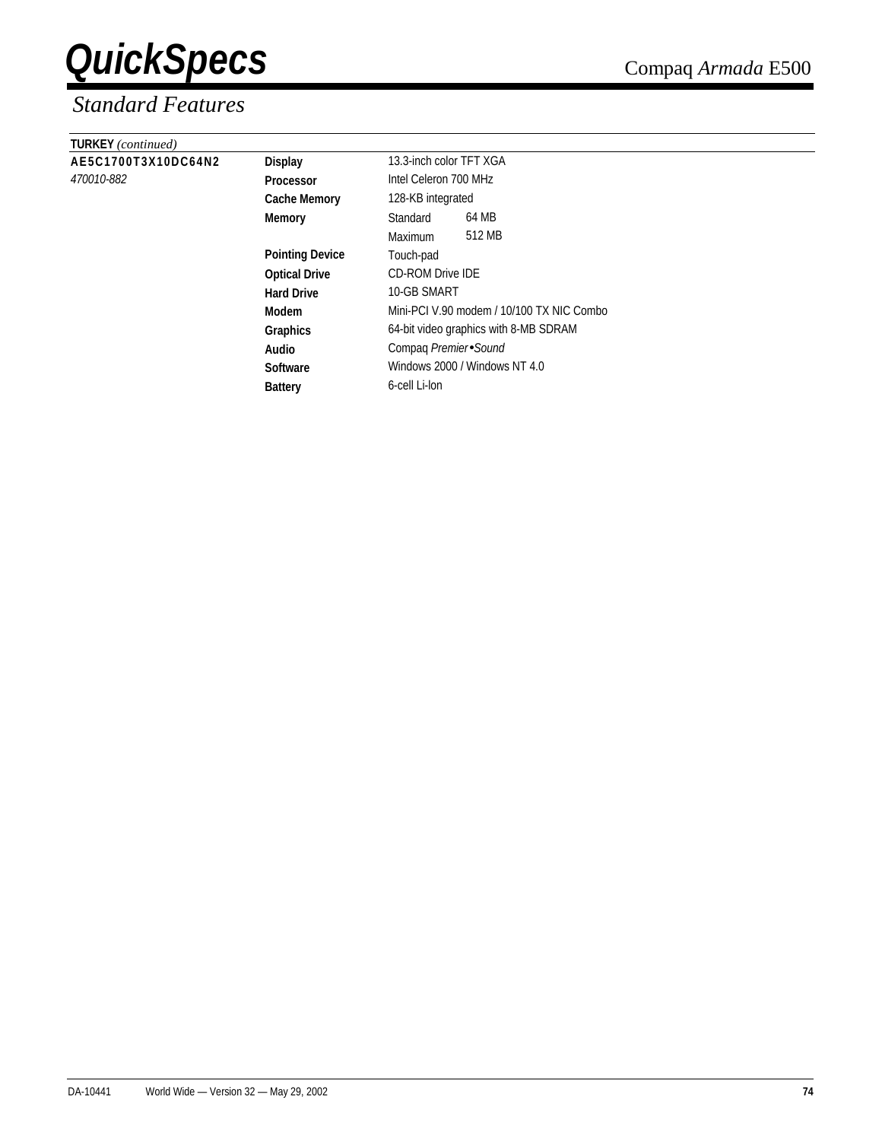| <b>TURKEY</b> (continued) |                        |                                           |                       |  |  |
|---------------------------|------------------------|-------------------------------------------|-----------------------|--|--|
| AE5C1700T3X10DC64N2       | <b>Display</b>         | 13.3-inch color TFT XGA                   |                       |  |  |
| 470010-882                | <b>Processor</b>       |                                           | Intel Celeron 700 MHz |  |  |
|                           | <b>Cache Memory</b>    | 128-KB integrated                         |                       |  |  |
|                           | Memory                 | Standard                                  | 64 MB                 |  |  |
|                           |                        | <b>Maximum</b>                            | 512 MB                |  |  |
|                           | <b>Pointing Device</b> | Touch-pad                                 |                       |  |  |
|                           | <b>Optical Drive</b>   | <b>CD-ROM Drive IDE</b>                   |                       |  |  |
|                           | <b>Hard Drive</b>      | 10-GB SMART                               |                       |  |  |
|                           | Modem                  | Mini-PCI V.90 modem / 10/100 TX NIC Combo |                       |  |  |
|                           | Graphics               | 64-bit video graphics with 8-MB SDRAM     |                       |  |  |
|                           | Audio                  | Compaq Premier Sound                      |                       |  |  |
|                           | <b>Software</b>        | Windows 2000 / Windows NT 4.0             |                       |  |  |
|                           | <b>Battery</b>         | 6-cell Li-lon                             |                       |  |  |
|                           |                        |                                           |                       |  |  |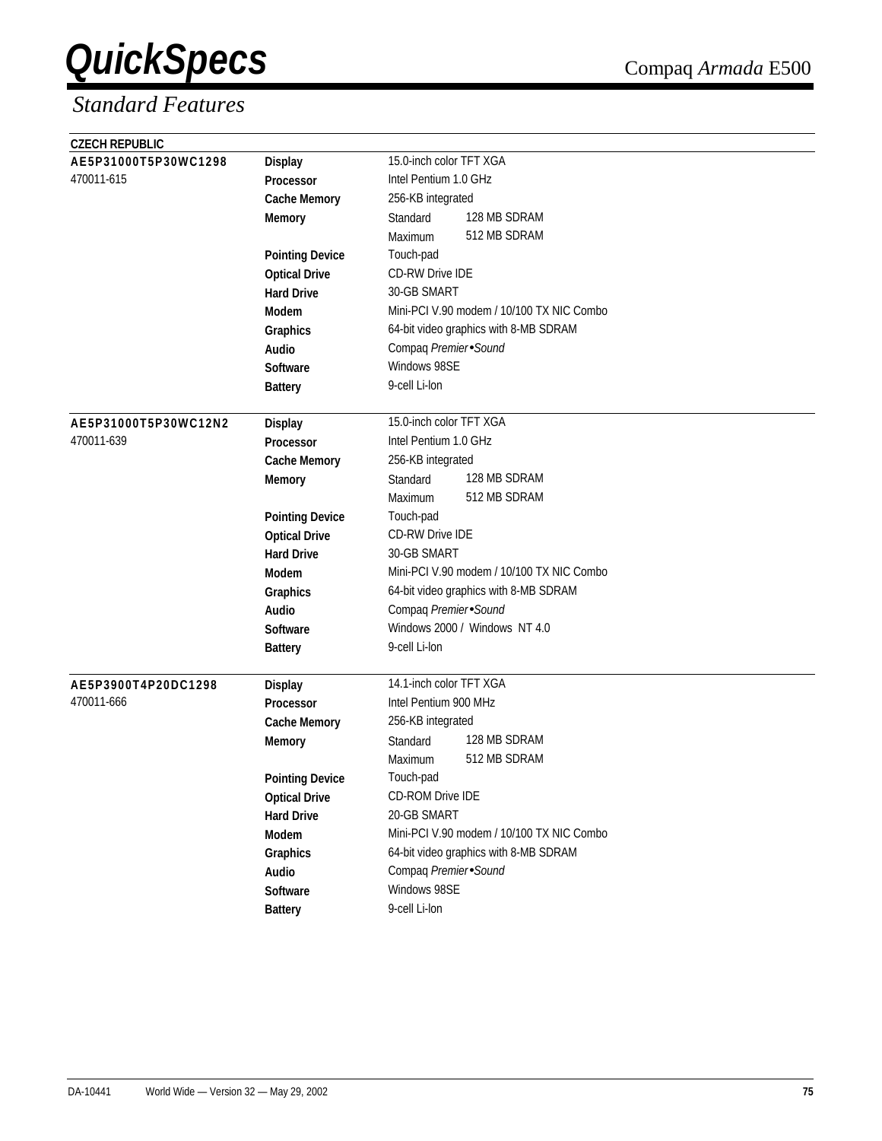| <b>CZECH REPUBLIC</b> |                        |                                           |
|-----------------------|------------------------|-------------------------------------------|
| AE5P31000T5P30WC1298  | <b>Display</b>         | 15.0-inch color TFT XGA                   |
| 470011-615            | <b>Processor</b>       | Intel Pentium 1.0 GHz                     |
|                       | <b>Cache Memory</b>    | 256-KB integrated                         |
|                       | <b>Memory</b>          | 128 MB SDRAM<br>Standard                  |
|                       |                        | 512 MB SDRAM<br>Maximum                   |
|                       | <b>Pointing Device</b> | Touch-pad                                 |
|                       | <b>Optical Drive</b>   | <b>CD-RW Drive IDE</b>                    |
|                       | <b>Hard Drive</b>      | 30-GB SMART                               |
|                       | <b>Modem</b>           | Mini-PCI V.90 modem / 10/100 TX NIC Combo |
|                       | Graphics               | 64-bit video graphics with 8-MB SDRAM     |
|                       | Audio                  | Compaq Premier Sound                      |
|                       | <b>Software</b>        | Windows 98SE                              |
|                       | <b>Battery</b>         | 9-cell Li-lon                             |
|                       |                        |                                           |
| AE5P31000T5P30WC12N2  | <b>Display</b>         | 15.0-inch color TFT XGA                   |
| 470011-639            | <b>Processor</b>       | Intel Pentium 1.0 GHz                     |
|                       | <b>Cache Memory</b>    | 256-KB integrated                         |
|                       | <b>Memory</b>          | 128 MB SDRAM<br>Standard                  |
|                       |                        | 512 MB SDRAM<br>Maximum                   |
|                       | <b>Pointing Device</b> | Touch-pad                                 |
|                       | <b>Optical Drive</b>   | <b>CD-RW Drive IDE</b>                    |
|                       | <b>Hard Drive</b>      | 30-GB SMART                               |
|                       | <b>Modem</b>           | Mini-PCI V.90 modem / 10/100 TX NIC Combo |
|                       | Graphics               | 64-bit video graphics with 8-MB SDRAM     |
|                       | Audio                  | Compaq Premier Sound                      |
|                       | <b>Software</b>        | Windows 2000 / Windows NT 4.0             |
|                       | <b>Battery</b>         | 9-cell Li-lon                             |
|                       |                        |                                           |
| AE5P3900T4P20DC1298   | <b>Display</b>         | 14.1-inch color TFT XGA                   |
| 470011-666            | <b>Processor</b>       | Intel Pentium 900 MHz                     |
|                       | <b>Cache Memory</b>    | 256-KB integrated                         |
|                       | <b>Memory</b>          | 128 MB SDRAM<br>Standard                  |
|                       |                        | 512 MB SDRAM<br>Maximum                   |
|                       | <b>Pointing Device</b> | Touch-pad                                 |
|                       | <b>Optical Drive</b>   | CD-ROM Drive IDE                          |
|                       | <b>Hard Drive</b>      | 20-GB SMART                               |
|                       | Modem                  | Mini-PCI V.90 modem / 10/100 TX NIC Combo |
|                       | Graphics               | 64-bit video graphics with 8-MB SDRAM     |
|                       | Audio                  | Compaq Premier Sound                      |
|                       | Software               | Windows 98SE                              |
|                       | <b>Battery</b>         | 9-cell Li-lon                             |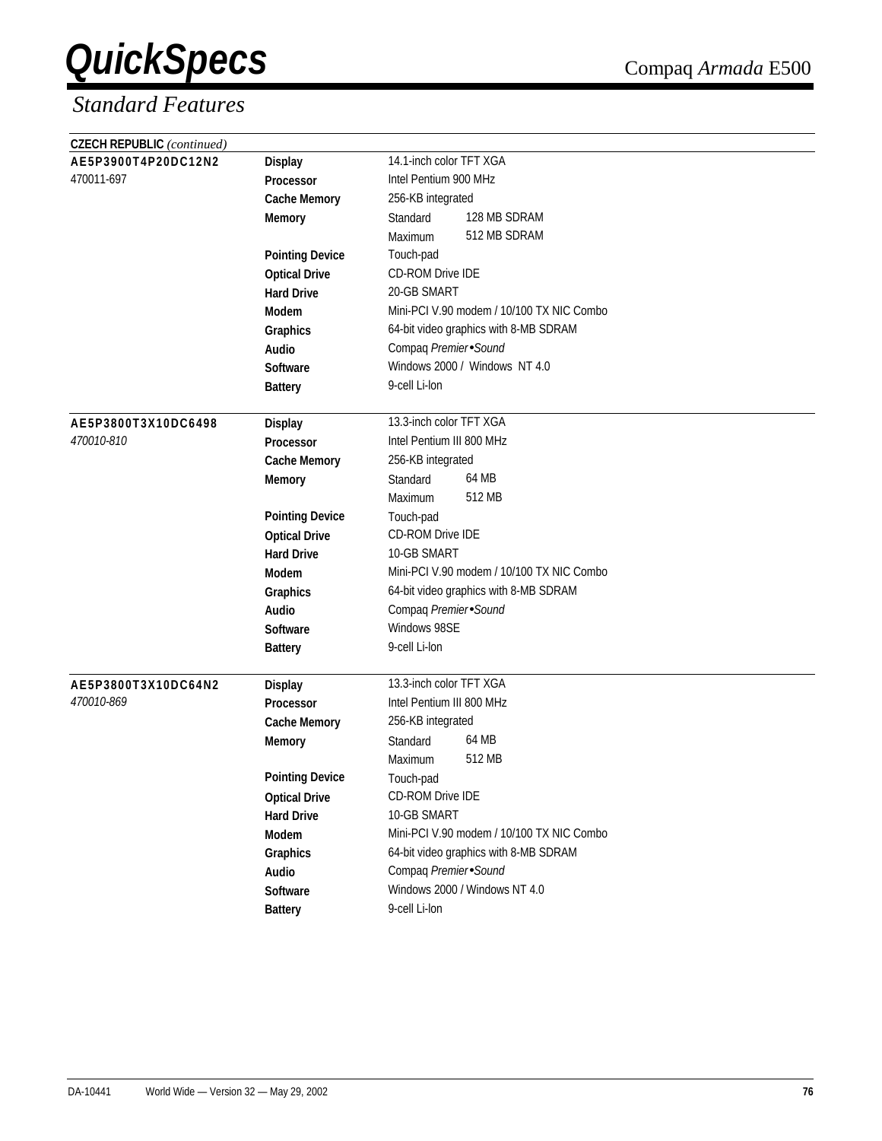| <b>CZECH REPUBLIC</b> (continued) |                            |                                           |
|-----------------------------------|----------------------------|-------------------------------------------|
| AE5P3900T4P20DC12N2               | <b>Display</b>             | 14.1-inch color TFT XGA                   |
| 470011-697                        | Processor                  | Intel Pentium 900 MHz                     |
|                                   | <b>Cache Memory</b>        | 256-KB integrated                         |
|                                   | <b>Memory</b>              | 128 MB SDRAM<br>Standard                  |
|                                   |                            | 512 MB SDRAM<br>Maximum                   |
|                                   | <b>Pointing Device</b>     | Touch-pad                                 |
|                                   | <b>Optical Drive</b>       | <b>CD-ROM Drive IDE</b>                   |
|                                   | <b>Hard Drive</b>          | 20-GB SMART                               |
|                                   | Modem                      | Mini-PCI V.90 modem / 10/100 TX NIC Combo |
|                                   | Graphics                   | 64-bit video graphics with 8-MB SDRAM     |
|                                   | Audio                      | Compaq Premier Sound                      |
|                                   | <b>Software</b>            | Windows 2000 / Windows NT 4.0             |
|                                   | <b>Battery</b>             | 9-cell Li-lon                             |
|                                   |                            |                                           |
| AE5P3800T3X10DC6498               | <b>Display</b>             | 13.3-inch color TFT XGA                   |
| 470010-810                        | Processor                  | Intel Pentium III 800 MHz                 |
|                                   | <b>Cache Memory</b>        | 256-KB integrated                         |
|                                   | <b>Memory</b>              | 64 MB<br>Standard                         |
|                                   |                            | 512 MB<br>Maximum                         |
|                                   | <b>Pointing Device</b>     | Touch-pad                                 |
|                                   | <b>Optical Drive</b>       | CD-ROM Drive IDE                          |
|                                   | <b>Hard Drive</b>          | 10-GB SMART                               |
|                                   | <b>Modem</b>               | Mini-PCI V.90 modem / 10/100 TX NIC Combo |
|                                   | Graphics                   | 64-bit video graphics with 8-MB SDRAM     |
|                                   | <b>Audio</b>               | Compaq Premier Sound                      |
|                                   | <b>Software</b>            | Windows 98SE                              |
|                                   | <b>Battery</b>             | 9-cell Li-lon                             |
|                                   |                            | 13.3-inch color TFT XGA                   |
| AE5P3800T3X10DC64N2<br>470010-869 | <b>Display</b>             | Intel Pentium III 800 MHz                 |
|                                   | <b>Processor</b>           | 256-KB integrated                         |
|                                   | <b>Cache Memory</b>        | 64 MB<br>Standard                         |
|                                   | <b>Memory</b>              | 512 MB<br>Maximum                         |
|                                   | <b>Pointing Device</b>     |                                           |
|                                   |                            | Touch-pad<br>CD-ROM Drive IDE             |
|                                   | <b>Optical Drive</b>       | 10-GB SMART                               |
|                                   | <b>Hard Drive</b><br>Modem | Mini-PCI V.90 modem / 10/100 TX NIC Combo |
|                                   |                            | 64-bit video graphics with 8-MB SDRAM     |
|                                   | Graphics                   | Compaq Premier Sound                      |
|                                   | Audio<br>Software          | Windows 2000 / Windows NT 4.0             |
|                                   |                            | 9-cell Li-lon                             |
|                                   | <b>Battery</b>             |                                           |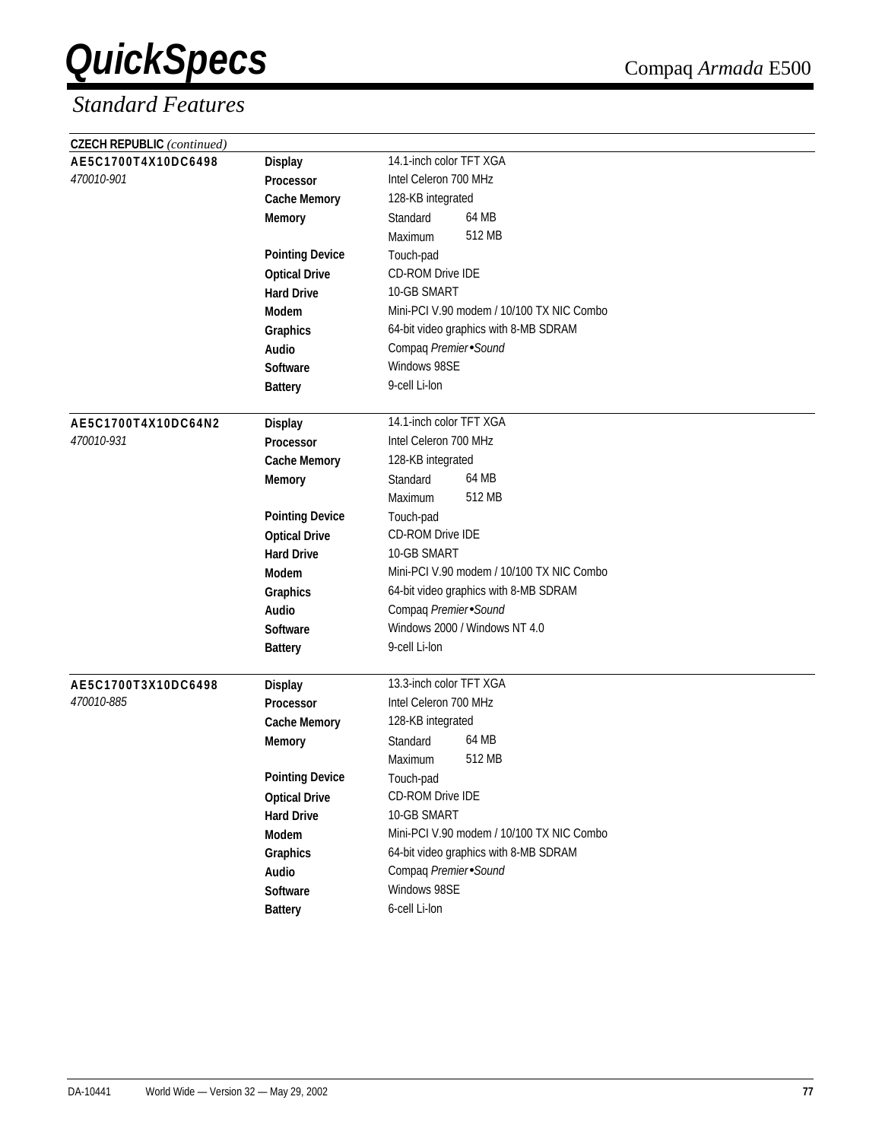| <b>CZECH REPUBLIC</b> (continued) |                        |                                           |
|-----------------------------------|------------------------|-------------------------------------------|
| AE5C1700T4X10DC6498               | <b>Display</b>         | 14.1-inch color TFT XGA                   |
| 470010-901                        | <b>Processor</b>       | Intel Celeron 700 MHz                     |
|                                   | <b>Cache Memory</b>    | 128-KB integrated                         |
|                                   | <b>Memory</b>          | 64 MB<br>Standard                         |
|                                   |                        | 512 MB<br>Maximum                         |
|                                   | <b>Pointing Device</b> | Touch-pad                                 |
|                                   | <b>Optical Drive</b>   | CD-ROM Drive IDE                          |
|                                   | <b>Hard Drive</b>      | 10-GB SMART                               |
|                                   | <b>Modem</b>           | Mini-PCI V.90 modem / 10/100 TX NIC Combo |
|                                   | Graphics               | 64-bit video graphics with 8-MB SDRAM     |
|                                   | Audio                  | Compaq Premier Sound                      |
|                                   | <b>Software</b>        | Windows 98SE                              |
|                                   | <b>Battery</b>         | 9-cell Li-lon                             |
|                                   |                        |                                           |
| AE5C1700T4X10DC64N2               | <b>Display</b>         | 14.1-inch color TFT XGA                   |
| 470010-931                        | Processor              | Intel Celeron 700 MHz                     |
|                                   | <b>Cache Memory</b>    | 128-KB integrated                         |
|                                   | <b>Memory</b>          | 64 MB<br>Standard                         |
|                                   |                        | 512 MB<br>Maximum                         |
|                                   | <b>Pointing Device</b> | Touch-pad                                 |
|                                   | <b>Optical Drive</b>   | CD-ROM Drive IDE                          |
|                                   | <b>Hard Drive</b>      | 10-GB SMART                               |
|                                   | <b>Modem</b>           | Mini-PCI V.90 modem / 10/100 TX NIC Combo |
|                                   | Graphics               | 64-bit video graphics with 8-MB SDRAM     |
|                                   | Audio                  | Compaq Premier Sound                      |
|                                   | Software               | Windows 2000 / Windows NT 4.0             |
|                                   | <b>Battery</b>         | 9-cell Li-lon                             |
|                                   |                        |                                           |
| AE5C1700T3X10DC6498               | <b>Display</b>         | 13.3-inch color TFT XGA                   |
| 470010-885                        | <b>Processor</b>       | Intel Celeron 700 MHz                     |
|                                   | <b>Cache Memory</b>    | 128-KB integrated                         |
|                                   | <b>Memory</b>          | 64 MB<br>Standard                         |
|                                   |                        | 512 MB<br>Maximum                         |
|                                   | <b>Pointing Device</b> | Touch-pad                                 |
|                                   | <b>Optical Drive</b>   | CD-ROM Drive IDE                          |
|                                   | <b>Hard Drive</b>      | 10-GB SMART                               |
|                                   | Modem                  | Mini-PCI V.90 modem / 10/100 TX NIC Combo |
|                                   | Graphics               | 64-bit video graphics with 8-MB SDRAM     |
|                                   | Audio                  | Compaq Premier Sound                      |
|                                   | Software               | Windows 98SE                              |
|                                   | <b>Battery</b>         | 6-cell Li-lon                             |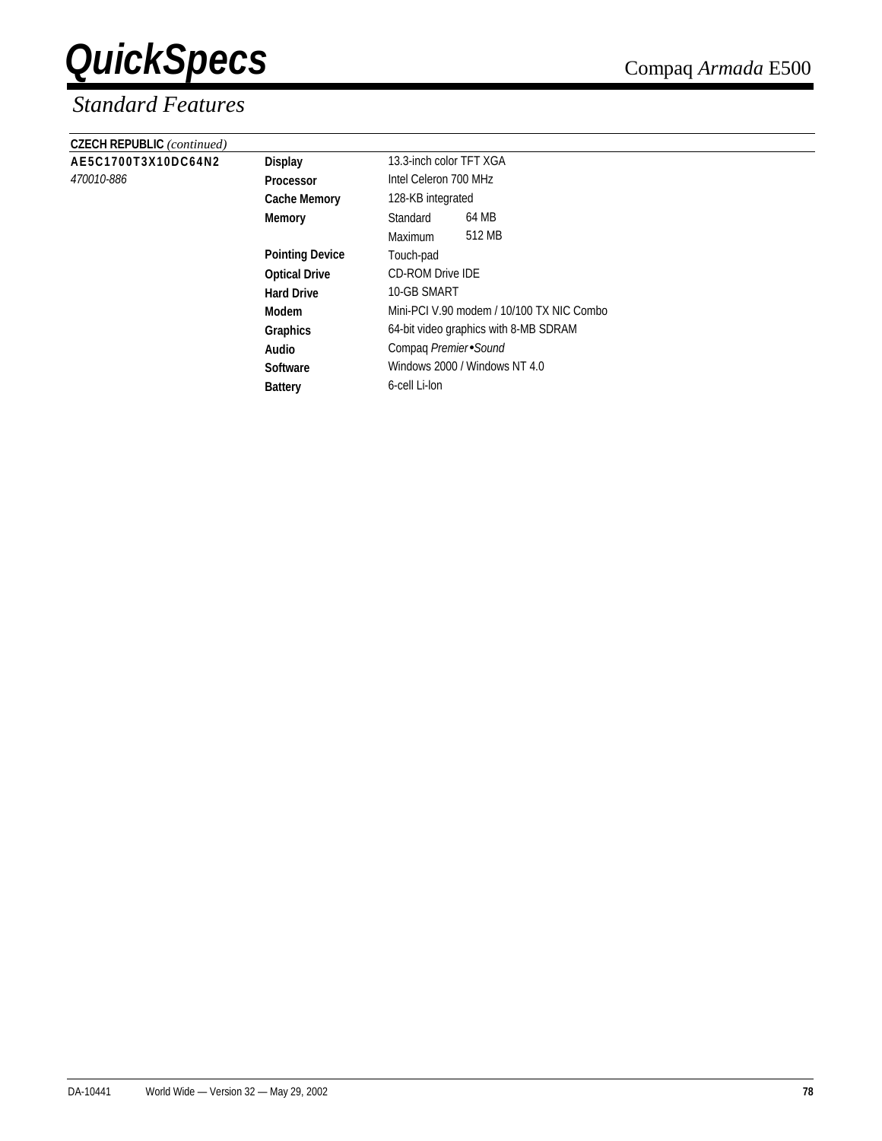| <b>CZECH REPUBLIC</b> (continued) |                        |                                           |                       |  |  |
|-----------------------------------|------------------------|-------------------------------------------|-----------------------|--|--|
| AE5C1700T3X10DC64N2               | <b>Display</b>         | 13.3-inch color TFT XGA                   |                       |  |  |
| 470010-886                        | <b>Processor</b>       |                                           | Intel Celeron 700 MHz |  |  |
|                                   | <b>Cache Memory</b>    | 128-KB integrated                         |                       |  |  |
|                                   | <b>Memory</b>          | Standard                                  | 64 MB                 |  |  |
|                                   |                        | <b>Maximum</b>                            | 512 MB                |  |  |
|                                   | <b>Pointing Device</b> | Touch-pad                                 |                       |  |  |
|                                   | <b>Optical Drive</b>   | <b>CD-ROM Drive IDE</b>                   |                       |  |  |
|                                   | <b>Hard Drive</b>      | 10-GB SMART                               |                       |  |  |
|                                   | Modem                  | Mini-PCI V.90 modem / 10/100 TX NIC Combo |                       |  |  |
|                                   | <b>Graphics</b>        | 64-bit video graphics with 8-MB SDRAM     |                       |  |  |
|                                   | Audio                  | Compag Premier Sound                      |                       |  |  |
|                                   | <b>Software</b>        | Windows 2000 / Windows NT 4.0             |                       |  |  |
|                                   | <b>Battery</b>         | 6-cell Li-lon                             |                       |  |  |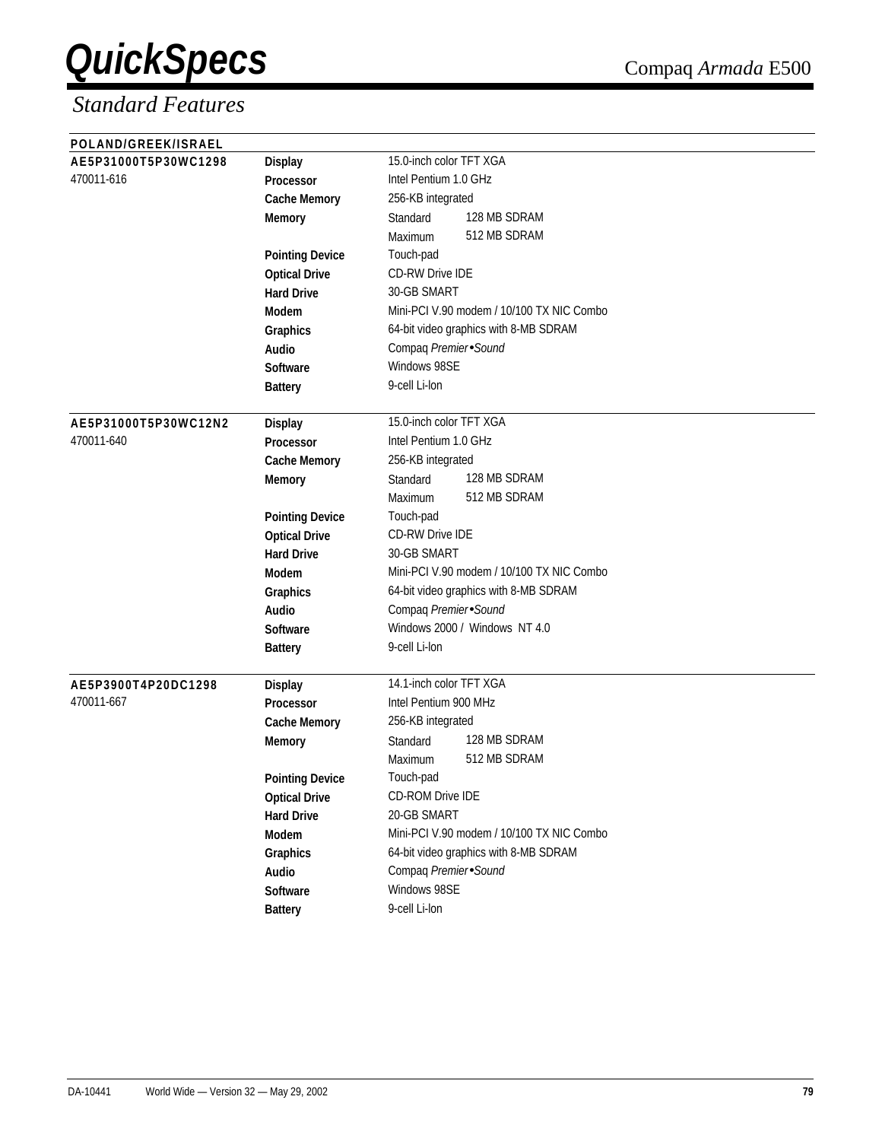| POLAND/GREEK/ISRAEL                |                                                |                                           |
|------------------------------------|------------------------------------------------|-------------------------------------------|
| AE5P31000T5P30WC1298               | <b>Display</b>                                 | 15.0-inch color TFT XGA                   |
| 470011-616                         | Processor                                      | Intel Pentium 1.0 GHz                     |
|                                    | <b>Cache Memory</b>                            | 256-KB integrated                         |
|                                    | <b>Memory</b>                                  | 128 MB SDRAM<br>Standard                  |
|                                    |                                                | 512 MB SDRAM<br>Maximum                   |
|                                    | <b>Pointing Device</b>                         | Touch-pad                                 |
|                                    | <b>Optical Drive</b>                           | <b>CD-RW Drive IDE</b>                    |
|                                    | <b>Hard Drive</b>                              | 30-GB SMART                               |
|                                    | <b>Modem</b>                                   | Mini-PCI V.90 modem / 10/100 TX NIC Combo |
|                                    | Graphics                                       | 64-bit video graphics with 8-MB SDRAM     |
|                                    | Audio                                          | Compaq Premier Sound                      |
|                                    | <b>Software</b>                                | Windows 98SE                              |
|                                    | <b>Battery</b>                                 | 9-cell Li-lon                             |
|                                    |                                                | 15.0-inch color TFT XGA                   |
| AE5P31000T5P30WC12N2<br>470011-640 | <b>Display</b>                                 | Intel Pentium 1.0 GHz                     |
|                                    | <b>Processor</b><br><b>Cache Memory</b>        | 256-KB integrated                         |
|                                    |                                                | 128 MB SDRAM<br>Standard                  |
|                                    | <b>Memory</b>                                  | 512 MB SDRAM<br>Maximum                   |
|                                    |                                                | Touch-pad                                 |
|                                    | <b>Pointing Device</b><br><b>Optical Drive</b> | <b>CD-RW Drive IDE</b>                    |
|                                    | <b>Hard Drive</b>                              | 30-GB SMART                               |
|                                    | Modem                                          | Mini-PCI V.90 modem / 10/100 TX NIC Combo |
|                                    |                                                | 64-bit video graphics with 8-MB SDRAM     |
|                                    | Graphics<br>Audio                              | Compaq Premier Sound                      |
|                                    | <b>Software</b>                                | Windows 2000 / Windows NT 4.0             |
|                                    |                                                | 9-cell Li-lon                             |
|                                    | <b>Battery</b>                                 |                                           |
| AE5P3900T4P20DC1298                | <b>Display</b>                                 | 14.1-inch color TFT XGA                   |
| 470011-667                         | <b>Processor</b>                               | Intel Pentium 900 MHz                     |
|                                    | <b>Cache Memory</b>                            | 256-KB integrated                         |
|                                    | <b>Memory</b>                                  | 128 MB SDRAM<br>Standard                  |
|                                    |                                                | 512 MB SDRAM<br>Maximum                   |
|                                    | <b>Pointing Device</b>                         | Touch-pad                                 |
|                                    | <b>Optical Drive</b>                           | <b>CD-ROM Drive IDE</b>                   |
|                                    | <b>Hard Drive</b>                              | 20-GB SMART                               |
|                                    | Modem                                          | Mini-PCI V.90 modem / 10/100 TX NIC Combo |
|                                    | Graphics                                       | 64-bit video graphics with 8-MB SDRAM     |
|                                    | Audio                                          | Compaq Premier Sound                      |
|                                    | Software                                       | Windows 98SE                              |
|                                    | <b>Battery</b>                                 | 9-cell Li-lon                             |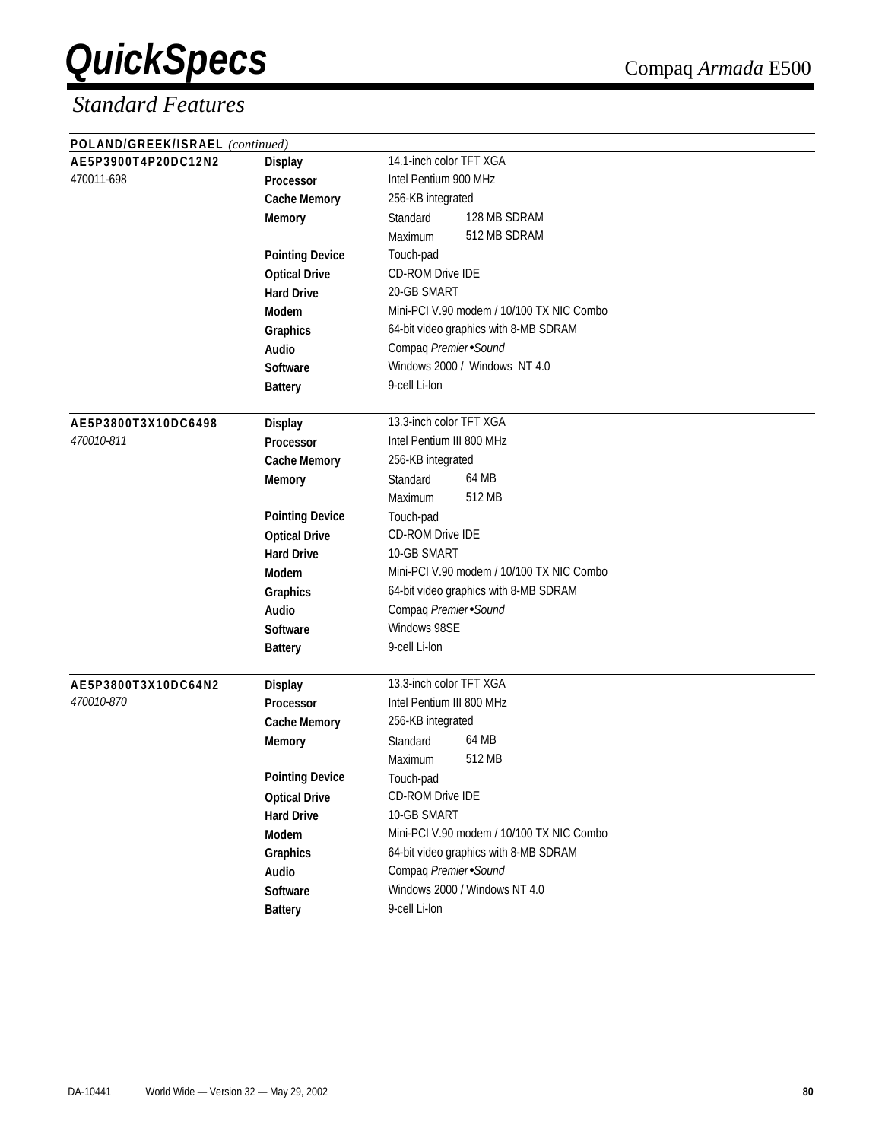| POLAND/GREEK/ISRAEL (continued) |                        |                                           |  |  |
|---------------------------------|------------------------|-------------------------------------------|--|--|
| AE5P3900T4P20DC12N2             | <b>Display</b>         | 14.1-inch color TFT XGA                   |  |  |
| 470011-698                      | <b>Processor</b>       | Intel Pentium 900 MHz                     |  |  |
|                                 | <b>Cache Memory</b>    | 256-KB integrated                         |  |  |
|                                 | <b>Memory</b>          | 128 MB SDRAM<br>Standard                  |  |  |
|                                 |                        | 512 MB SDRAM<br>Maximum                   |  |  |
|                                 | <b>Pointing Device</b> | Touch-pad                                 |  |  |
|                                 | <b>Optical Drive</b>   | CD-ROM Drive IDE                          |  |  |
|                                 | <b>Hard Drive</b>      | 20-GB SMART                               |  |  |
|                                 | <b>Modem</b>           | Mini-PCI V.90 modem / 10/100 TX NIC Combo |  |  |
|                                 | Graphics               | 64-bit video graphics with 8-MB SDRAM     |  |  |
|                                 | Audio                  | Compaq Premier Sound                      |  |  |
|                                 | <b>Software</b>        | Windows 2000 / Windows NT 4.0             |  |  |
|                                 | <b>Battery</b>         | 9-cell Li-lon                             |  |  |
|                                 |                        |                                           |  |  |
| AE5P3800T3X10DC6498             | <b>Display</b>         | 13.3-inch color TFT XGA                   |  |  |
| 470010-811                      | Processor              | Intel Pentium III 800 MHz                 |  |  |
|                                 | <b>Cache Memory</b>    | 256-KB integrated                         |  |  |
|                                 | <b>Memory</b>          | 64 MB<br>Standard                         |  |  |
|                                 |                        | 512 MB<br>Maximum                         |  |  |
|                                 | <b>Pointing Device</b> | Touch-pad                                 |  |  |
|                                 | <b>Optical Drive</b>   | CD-ROM Drive IDE                          |  |  |
|                                 | <b>Hard Drive</b>      | 10-GB SMART                               |  |  |
|                                 | <b>Modem</b>           | Mini-PCI V.90 modem / 10/100 TX NIC Combo |  |  |
|                                 | Graphics               | 64-bit video graphics with 8-MB SDRAM     |  |  |
|                                 | Audio                  | Compaq Premier Sound                      |  |  |
|                                 | <b>Software</b>        | Windows 98SE                              |  |  |
|                                 | <b>Battery</b>         | 9-cell Li-lon                             |  |  |
|                                 |                        |                                           |  |  |
| AE5P3800T3X10DC64N2             | <b>Display</b>         | 13.3-inch color TFT XGA                   |  |  |
| 470010-870                      | <b>Processor</b>       | Intel Pentium III 800 MHz                 |  |  |
|                                 | <b>Cache Memory</b>    | 256-KB integrated                         |  |  |
|                                 | <b>Memory</b>          | 64 MB<br>Standard                         |  |  |
|                                 |                        | 512 MB<br>Maximum                         |  |  |
|                                 | <b>Pointing Device</b> | Touch-pad                                 |  |  |
|                                 | <b>Optical Drive</b>   | <b>CD-ROM Drive IDE</b>                   |  |  |
|                                 | <b>Hard Drive</b>      | 10-GB SMART                               |  |  |
|                                 | Modem                  | Mini-PCI V.90 modem / 10/100 TX NIC Combo |  |  |
|                                 | Graphics               | 64-bit video graphics with 8-MB SDRAM     |  |  |
|                                 | Audio                  | Compaq Premier Sound                      |  |  |
|                                 | Software               | Windows 2000 / Windows NT 4.0             |  |  |
|                                 | <b>Battery</b>         | 9-cell Li-lon                             |  |  |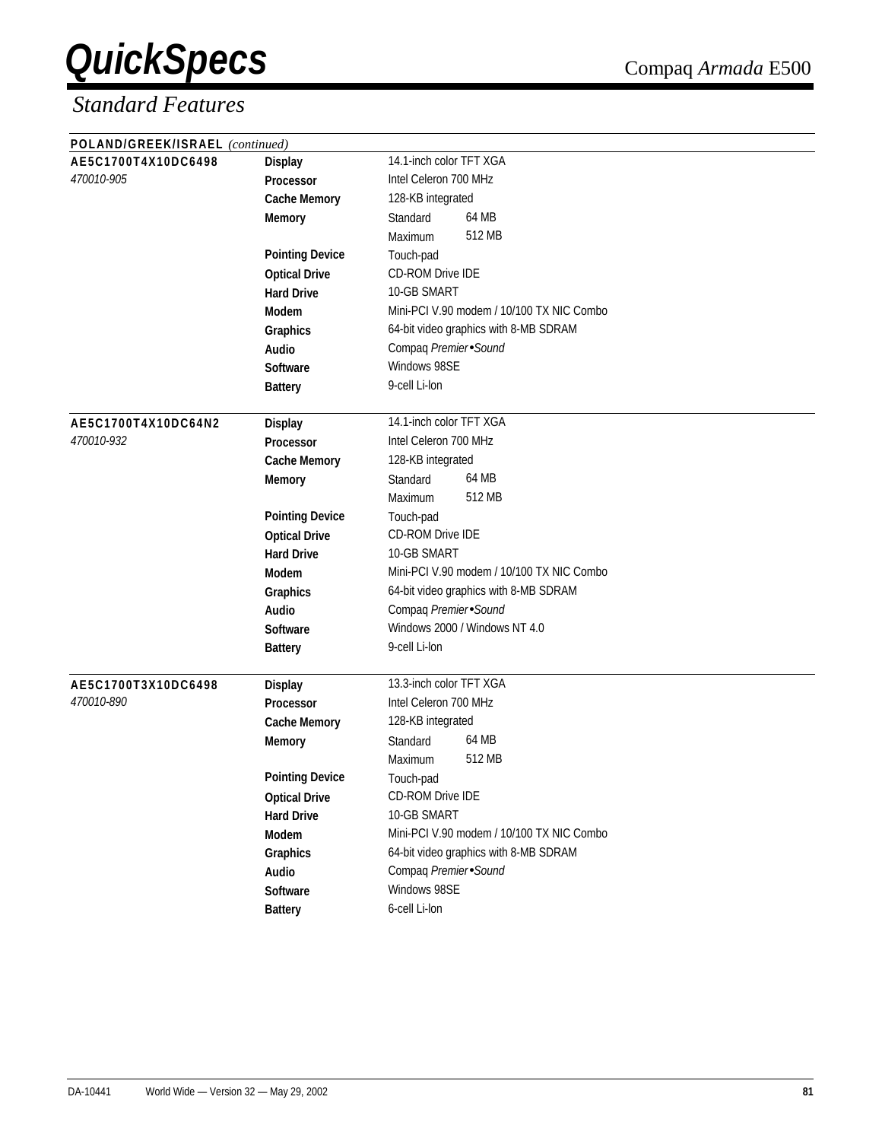| POLAND/GREEK/ISRAEL (continued) |                        |                                           |  |  |
|---------------------------------|------------------------|-------------------------------------------|--|--|
| AE5C1700T4X10DC6498             | <b>Display</b>         | 14.1-inch color TFT XGA                   |  |  |
| 470010-905                      | <b>Processor</b>       | Intel Celeron 700 MHz                     |  |  |
|                                 | <b>Cache Memory</b>    | 128-KB integrated                         |  |  |
|                                 | <b>Memory</b>          | 64 MB<br>Standard                         |  |  |
|                                 |                        | 512 MB<br>Maximum                         |  |  |
|                                 | <b>Pointing Device</b> | Touch-pad                                 |  |  |
|                                 | <b>Optical Drive</b>   | CD-ROM Drive IDE                          |  |  |
|                                 | <b>Hard Drive</b>      | 10-GB SMART                               |  |  |
|                                 | Modem                  | Mini-PCI V.90 modem / 10/100 TX NIC Combo |  |  |
|                                 | Graphics               | 64-bit video graphics with 8-MB SDRAM     |  |  |
|                                 | Audio                  | Compaq Premier Sound                      |  |  |
|                                 | <b>Software</b>        | Windows 98SE                              |  |  |
|                                 | <b>Battery</b>         | 9-cell Li-lon                             |  |  |
| AE5C1700T4X10DC64N2             | <b>Display</b>         | 14.1-inch color TFT XGA                   |  |  |
| 470010-932                      | <b>Processor</b>       | Intel Celeron 700 MHz                     |  |  |
|                                 | <b>Cache Memory</b>    | 128-KB integrated                         |  |  |
|                                 | <b>Memory</b>          | 64 MB<br>Standard                         |  |  |
|                                 |                        | 512 MB<br>Maximum                         |  |  |
|                                 | <b>Pointing Device</b> | Touch-pad                                 |  |  |
|                                 | <b>Optical Drive</b>   | <b>CD-ROM Drive IDE</b>                   |  |  |
|                                 | <b>Hard Drive</b>      | 10-GB SMART                               |  |  |
|                                 | <b>Modem</b>           | Mini-PCI V.90 modem / 10/100 TX NIC Combo |  |  |
|                                 | Graphics               | 64-bit video graphics with 8-MB SDRAM     |  |  |
|                                 | Audio                  | Compaq Premier Sound                      |  |  |
|                                 | <b>Software</b>        | Windows 2000 / Windows NT 4.0             |  |  |
|                                 | <b>Battery</b>         | 9-cell Li-lon                             |  |  |
|                                 |                        |                                           |  |  |
| AE5C1700T3X10DC6498             | <b>Display</b>         | 13.3-inch color TFT XGA                   |  |  |
| 470010-890                      | <b>Processor</b>       | Intel Celeron 700 MHz                     |  |  |
|                                 | <b>Cache Memory</b>    | 128-KB integrated                         |  |  |
|                                 | <b>Memory</b>          | 64 MB<br>Standard                         |  |  |
|                                 |                        | 512 MB<br><b>Maximum</b>                  |  |  |
|                                 | <b>Pointing Device</b> | Touch-pad                                 |  |  |
|                                 | <b>Optical Drive</b>   | CD-ROM Drive IDE                          |  |  |
|                                 | <b>Hard Drive</b>      | 10-GB SMART                               |  |  |
|                                 | Modem                  | Mini-PCI V.90 modem / 10/100 TX NIC Combo |  |  |
|                                 | Graphics               | 64-bit video graphics with 8-MB SDRAM     |  |  |
|                                 | Audio                  | Compaq Premier Sound                      |  |  |
|                                 | Software               | Windows 98SE                              |  |  |
|                                 | <b>Battery</b>         | 6-cell Li-lon                             |  |  |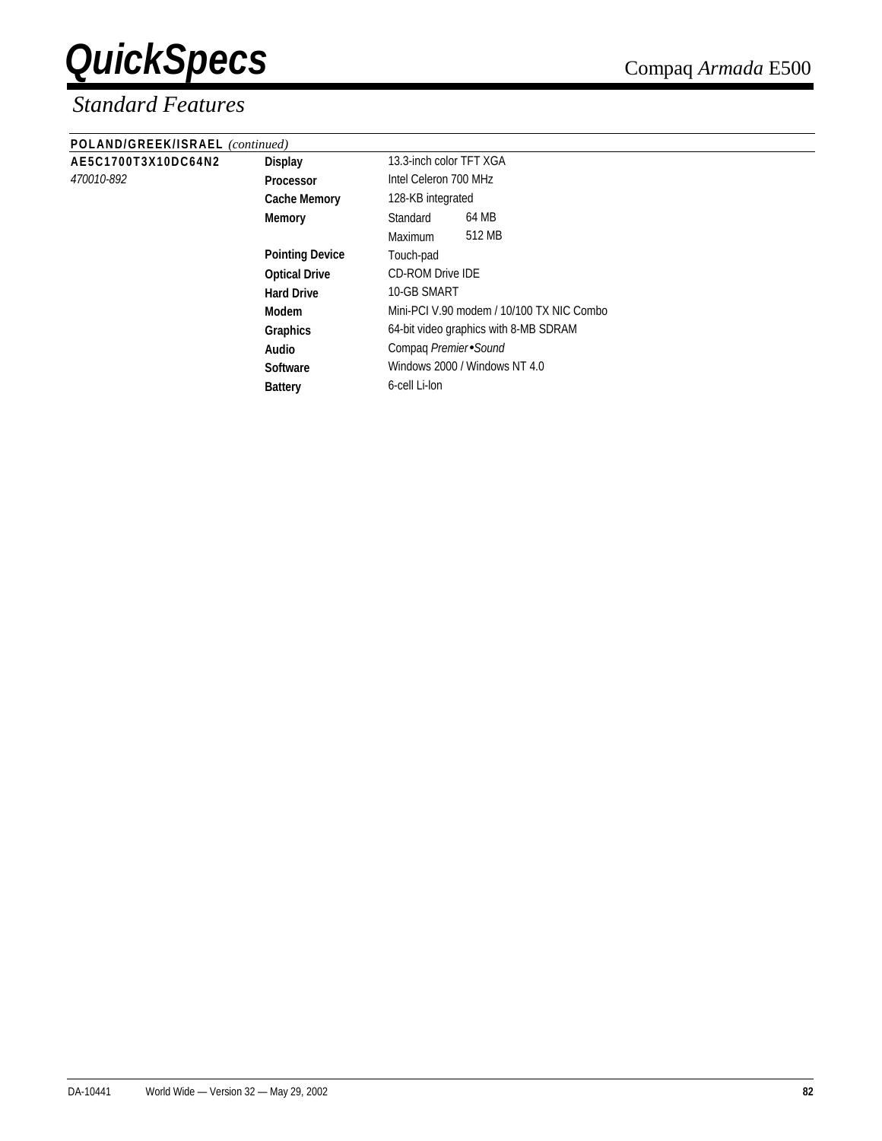### *Standard Features*

#### **POLAND/GREEK/ISRAEL** *(continued)*

| POLAND/GREEK/ISRAEL (continued) |                        |                                           |
|---------------------------------|------------------------|-------------------------------------------|
| AE5C1700T3X10DC64N2             | <b>Display</b>         | 13.3-inch color TFT XGA                   |
| <i>470010-892</i>               | <b>Processor</b>       | Intel Celeron 700 MHz                     |
|                                 | <b>Cache Memory</b>    | 128-KB integrated                         |
|                                 | <b>Memory</b>          | 64 MB<br>Standard                         |
|                                 |                        | 512 MB<br>Maximum                         |
|                                 | <b>Pointing Device</b> | Touch-pad                                 |
|                                 | <b>Optical Drive</b>   | <b>CD-ROM Drive IDE</b>                   |
|                                 | <b>Hard Drive</b>      | 10-GB SMART                               |
|                                 | <b>Modem</b>           | Mini-PCI V.90 modem / 10/100 TX NIC Combo |
|                                 | <b>Graphics</b>        | 64-bit video graphics with 8-MB SDRAM     |
|                                 | Audio                  | Compaq Premier Sound                      |
|                                 | <b>Software</b>        | Windows 2000 / Windows NT 4.0             |
|                                 | <b>Battery</b>         | 6-cell Li-lon                             |
|                                 |                        |                                           |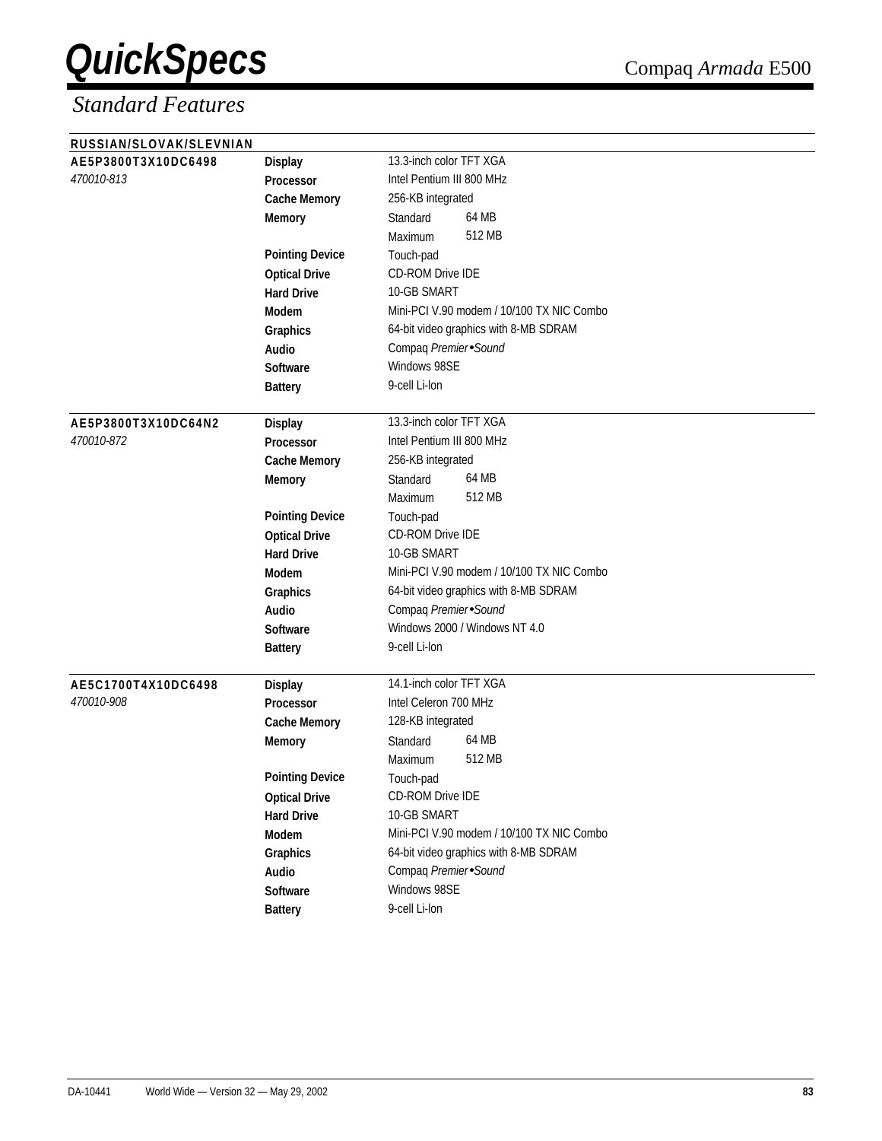| RUSSIAN/SLOVAK/SLEVNIAN |                        |                                           |
|-------------------------|------------------------|-------------------------------------------|
| AE5P3800T3X10DC6498     | <b>Display</b>         | 13.3-inch color TFT XGA                   |
| 470010-813              | <b>Processor</b>       | Intel Pentium III 800 MHz                 |
|                         | <b>Cache Memory</b>    | 256-KB integrated                         |
|                         | <b>Memory</b>          | 64 MB<br>Standard                         |
|                         |                        | 512 MB<br>Maximum                         |
|                         | <b>Pointing Device</b> | Touch-pad                                 |
|                         | <b>Optical Drive</b>   | CD-ROM Drive IDE                          |
|                         | <b>Hard Drive</b>      | 10-GB SMART                               |
|                         | <b>Modem</b>           | Mini-PCI V.90 modem / 10/100 TX NIC Combo |
|                         | Graphics               | 64-bit video graphics with 8-MB SDRAM     |
|                         | Audio                  | Compaq Premier Sound                      |
|                         | <b>Software</b>        | Windows 98SE                              |
|                         | <b>Battery</b>         | 9-cell Li-lon                             |
|                         |                        |                                           |
| AE5P3800T3X10DC64N2     | <b>Display</b>         | 13.3-inch color TFT XGA                   |
| 470010-872              | Processor              | Intel Pentium III 800 MHz                 |
|                         | <b>Cache Memory</b>    | 256-KB integrated                         |
|                         | <b>Memory</b>          | 64 MB<br>Standard                         |
|                         |                        | 512 MB<br>Maximum                         |
|                         | <b>Pointing Device</b> | Touch-pad                                 |
|                         | <b>Optical Drive</b>   | <b>CD-ROM Drive IDE</b>                   |
|                         | <b>Hard Drive</b>      | 10-GB SMART                               |
|                         | <b>Modem</b>           | Mini-PCI V.90 modem / 10/100 TX NIC Combo |
|                         | Graphics               | 64-bit video graphics with 8-MB SDRAM     |
|                         | Audio                  | Compaq Premier Sound                      |
|                         | <b>Software</b>        | Windows 2000 / Windows NT 4.0             |
|                         | <b>Battery</b>         | 9-cell Li-lon                             |
|                         |                        |                                           |
| AE5C1700T4X10DC6498     | <b>Display</b>         | 14.1-inch color TFT XGA                   |
| 470010-908              | <b>Processor</b>       | Intel Celeron 700 MHz                     |
|                         | <b>Cache Memory</b>    | 128-KB integrated                         |
|                         | <b>Memory</b>          | 64 MB<br>Standard                         |
|                         |                        | 512 MB<br>Maximum                         |
|                         | <b>Pointing Device</b> | Touch-pad                                 |
|                         | <b>Optical Drive</b>   | CD-ROM Drive IDE                          |
|                         | <b>Hard Drive</b>      | 10-GB SMART                               |
|                         | Modem                  | Mini-PCI V.90 modem / 10/100 TX NIC Combo |
|                         | Graphics               | 64-bit video graphics with 8-MB SDRAM     |
|                         | Audio                  | Compaq Premier Sound                      |
|                         | Software               | Windows 98SE                              |
|                         | <b>Battery</b>         | 9-cell Li-lon                             |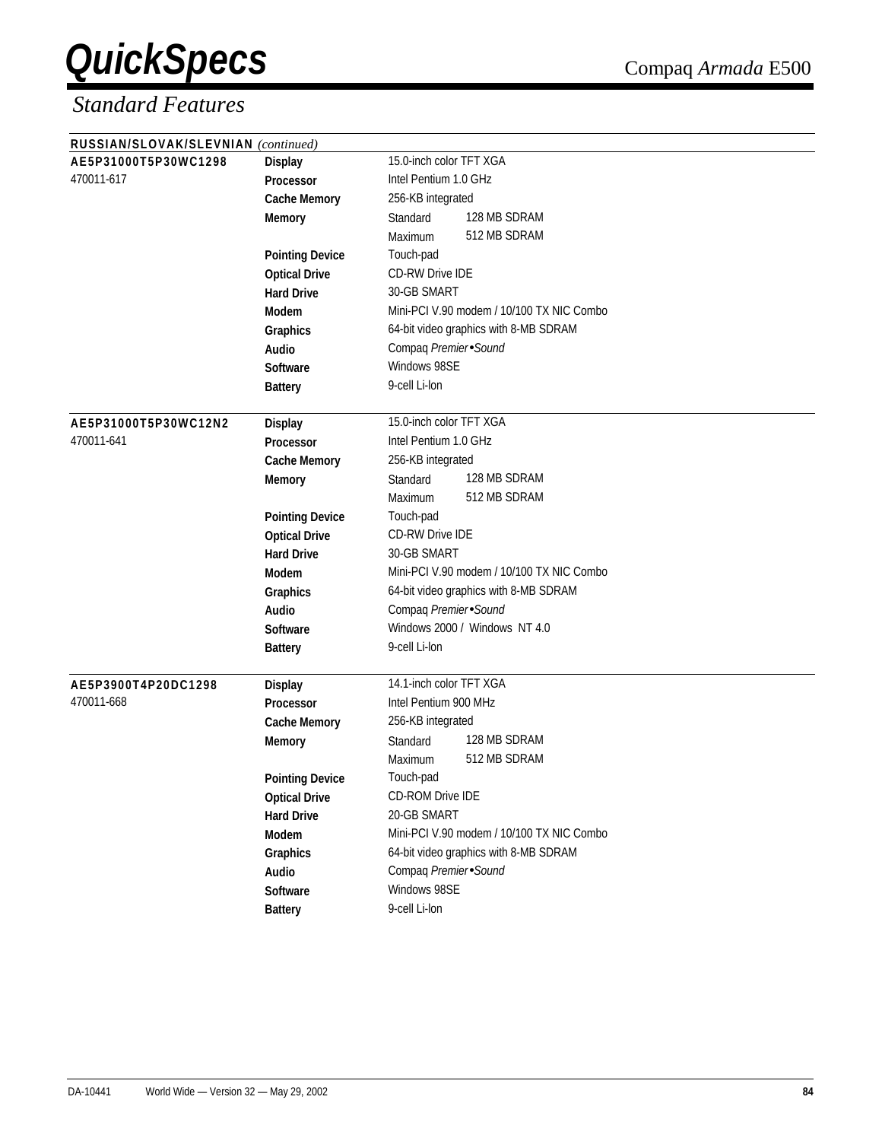| RUSSIAN/SLOVAK/SLEVNIAN (continued) |                        |                                                  |  |  |
|-------------------------------------|------------------------|--------------------------------------------------|--|--|
| AE5P31000T5P30WC1298                | <b>Display</b>         | 15.0-inch color TFT XGA<br>Intel Pentium 1.0 GHz |  |  |
| 470011-617                          | <b>Processor</b>       |                                                  |  |  |
|                                     | <b>Cache Memory</b>    | 256-KB integrated                                |  |  |
|                                     | <b>Memory</b>          | 128 MB SDRAM<br>Standard                         |  |  |
|                                     |                        | 512 MB SDRAM<br>Maximum                          |  |  |
|                                     | <b>Pointing Device</b> | Touch-pad                                        |  |  |
|                                     | <b>Optical Drive</b>   | <b>CD-RW Drive IDE</b>                           |  |  |
|                                     | <b>Hard Drive</b>      | 30-GB SMART                                      |  |  |
|                                     | <b>Modem</b>           | Mini-PCI V.90 modem / 10/100 TX NIC Combo        |  |  |
|                                     | Graphics               | 64-bit video graphics with 8-MB SDRAM            |  |  |
|                                     | Audio                  | Compaq Premier Sound                             |  |  |
|                                     | <b>Software</b>        | Windows 98SE                                     |  |  |
|                                     | <b>Battery</b>         | 9-cell Li-lon                                    |  |  |
|                                     |                        |                                                  |  |  |
| AE5P31000T5P30WC12N2                | <b>Display</b>         | 15.0-inch color TFT XGA                          |  |  |
| 470011-641                          | Processor              | Intel Pentium 1.0 GHz                            |  |  |
|                                     | <b>Cache Memory</b>    | 256-KB integrated                                |  |  |
|                                     | <b>Memory</b>          | 128 MB SDRAM<br>Standard                         |  |  |
|                                     |                        | 512 MB SDRAM<br>Maximum                          |  |  |
|                                     | <b>Pointing Device</b> | Touch-pad                                        |  |  |
|                                     | <b>Optical Drive</b>   | CD-RW Drive IDE                                  |  |  |
|                                     | <b>Hard Drive</b>      | 30-GB SMART                                      |  |  |
|                                     | <b>Modem</b>           | Mini-PCI V.90 modem / 10/100 TX NIC Combo        |  |  |
|                                     | Graphics               | 64-bit video graphics with 8-MB SDRAM            |  |  |
|                                     | <b>Audio</b>           | Compaq Premier Sound                             |  |  |
|                                     | Software               | Windows 2000 / Windows NT 4.0                    |  |  |
|                                     | <b>Battery</b>         | 9-cell Li-lon                                    |  |  |
|                                     |                        |                                                  |  |  |
| AE5P3900T4P20DC1298                 | <b>Display</b>         | 14.1-inch color TFT XGA                          |  |  |
| 470011-668                          | Processor              | Intel Pentium 900 MHz                            |  |  |
|                                     | <b>Cache Memory</b>    | 256-KB integrated                                |  |  |
|                                     | <b>Memory</b>          | 128 MB SDRAM<br>Standard                         |  |  |
|                                     |                        | 512 MB SDRAM<br>Maximum                          |  |  |
|                                     | <b>Pointing Device</b> | Touch-pad                                        |  |  |
|                                     | <b>Optical Drive</b>   | CD-ROM Drive IDE                                 |  |  |
|                                     | <b>Hard Drive</b>      | 20-GB SMART                                      |  |  |
|                                     | Modem                  | Mini-PCI V.90 modem / 10/100 TX NIC Combo        |  |  |
|                                     | Graphics               | 64-bit video graphics with 8-MB SDRAM            |  |  |
|                                     | Audio                  | Compaq Premier Sound                             |  |  |
|                                     | <b>Software</b>        | Windows 98SE                                     |  |  |
|                                     |                        | 9-cell Li-lon                                    |  |  |
|                                     | <b>Battery</b>         |                                                  |  |  |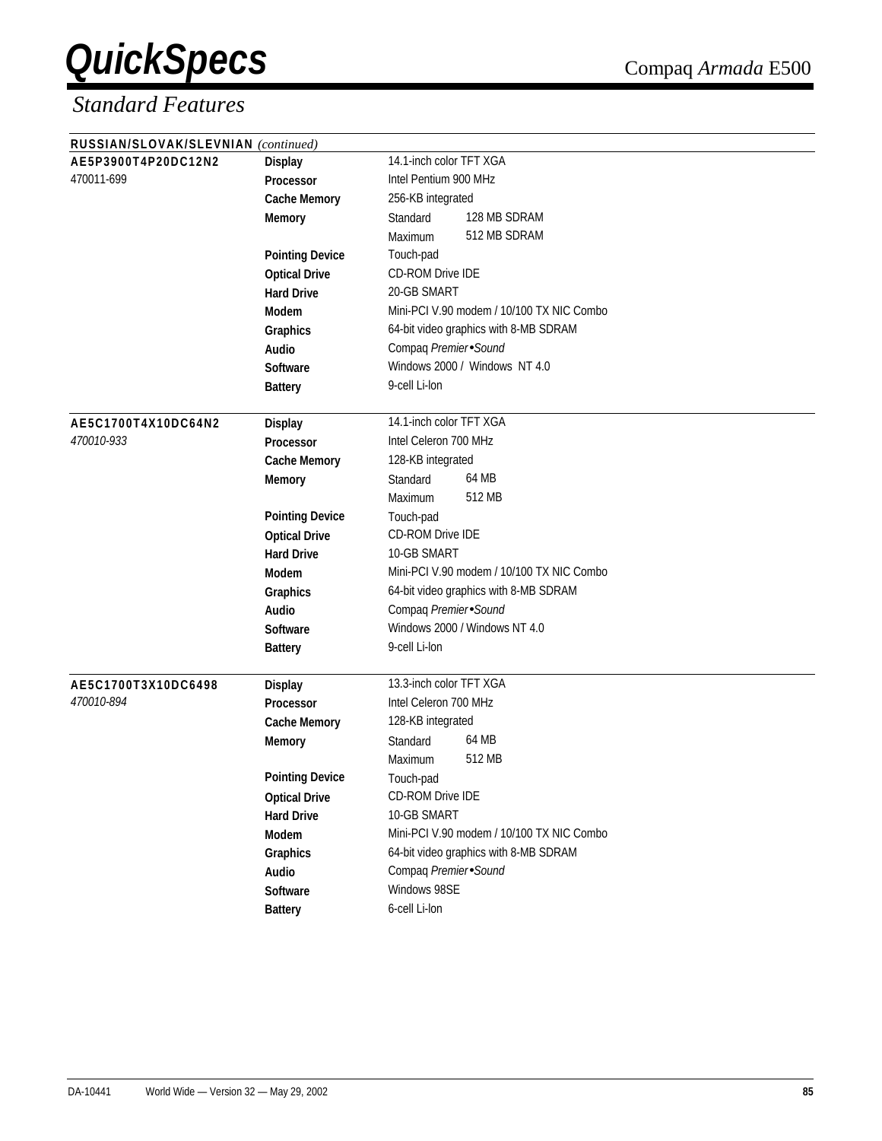| RUSSIAN/SLOVAK/SLEVNIAN (continued) |                        |                                           |
|-------------------------------------|------------------------|-------------------------------------------|
| AE5P3900T4P20DC12N2                 | <b>Display</b>         | 14.1-inch color TFT XGA                   |
| 470011-699                          | <b>Processor</b>       | Intel Pentium 900 MHz                     |
|                                     | <b>Cache Memory</b>    | 256-KB integrated                         |
|                                     | <b>Memory</b>          | 128 MB SDRAM<br>Standard                  |
|                                     |                        | 512 MB SDRAM<br>Maximum                   |
|                                     | <b>Pointing Device</b> | Touch-pad                                 |
|                                     | <b>Optical Drive</b>   | CD-ROM Drive IDE                          |
|                                     | <b>Hard Drive</b>      | 20-GB SMART                               |
|                                     | Modem                  | Mini-PCI V.90 modem / 10/100 TX NIC Combo |
|                                     | Graphics               | 64-bit video graphics with 8-MB SDRAM     |
|                                     | Audio                  | Compaq Premier Sound                      |
|                                     | Software               | Windows 2000 / Windows NT 4.0             |
|                                     | <b>Battery</b>         | 9-cell Li-lon                             |
| AE5C1700T4X10DC64N2                 | <b>Display</b>         | 14.1-inch color TFT XGA                   |
| 470010-933                          | <b>Processor</b>       | Intel Celeron 700 MHz                     |
|                                     | <b>Cache Memory</b>    | 128-KB integrated                         |
|                                     | <b>Memory</b>          | 64 MB<br>Standard                         |
|                                     |                        | 512 MB<br>Maximum                         |
|                                     | <b>Pointing Device</b> | Touch-pad                                 |
|                                     | <b>Optical Drive</b>   | CD-ROM Drive IDE                          |
|                                     | <b>Hard Drive</b>      | 10-GB SMART                               |
|                                     | Modem                  | Mini-PCI V.90 modem / 10/100 TX NIC Combo |
|                                     | Graphics               | 64-bit video graphics with 8-MB SDRAM     |
|                                     | Audio                  | Compaq Premier Sound                      |
|                                     | Software               | Windows 2000 / Windows NT 4.0             |
|                                     | <b>Battery</b>         | 9-cell Li-lon                             |
| AE5C1700T3X10DC6498                 | <b>Display</b>         | 13.3-inch color TFT XGA                   |
| 470010-894                          | Processor              | Intel Celeron 700 MHz                     |
|                                     | <b>Cache Memory</b>    | 128-KB integrated                         |
|                                     | <b>Memory</b>          | 64 MB<br>Standard                         |
|                                     |                        | 512 MB<br>Maximum                         |
|                                     | <b>Pointing Device</b> | Touch-pad                                 |
|                                     | <b>Optical Drive</b>   | CD-ROM Drive IDE                          |
|                                     | <b>Hard Drive</b>      | 10-GB SMART                               |
|                                     | Modem                  | Mini-PCI V.90 modem / 10/100 TX NIC Combo |
|                                     | Graphics               | 64-bit video graphics with 8-MB SDRAM     |
|                                     | Audio                  | Compaq Premier Sound                      |
|                                     | Software               | Windows 98SE                              |
|                                     | <b>Battery</b>         | 6-cell Li-lon                             |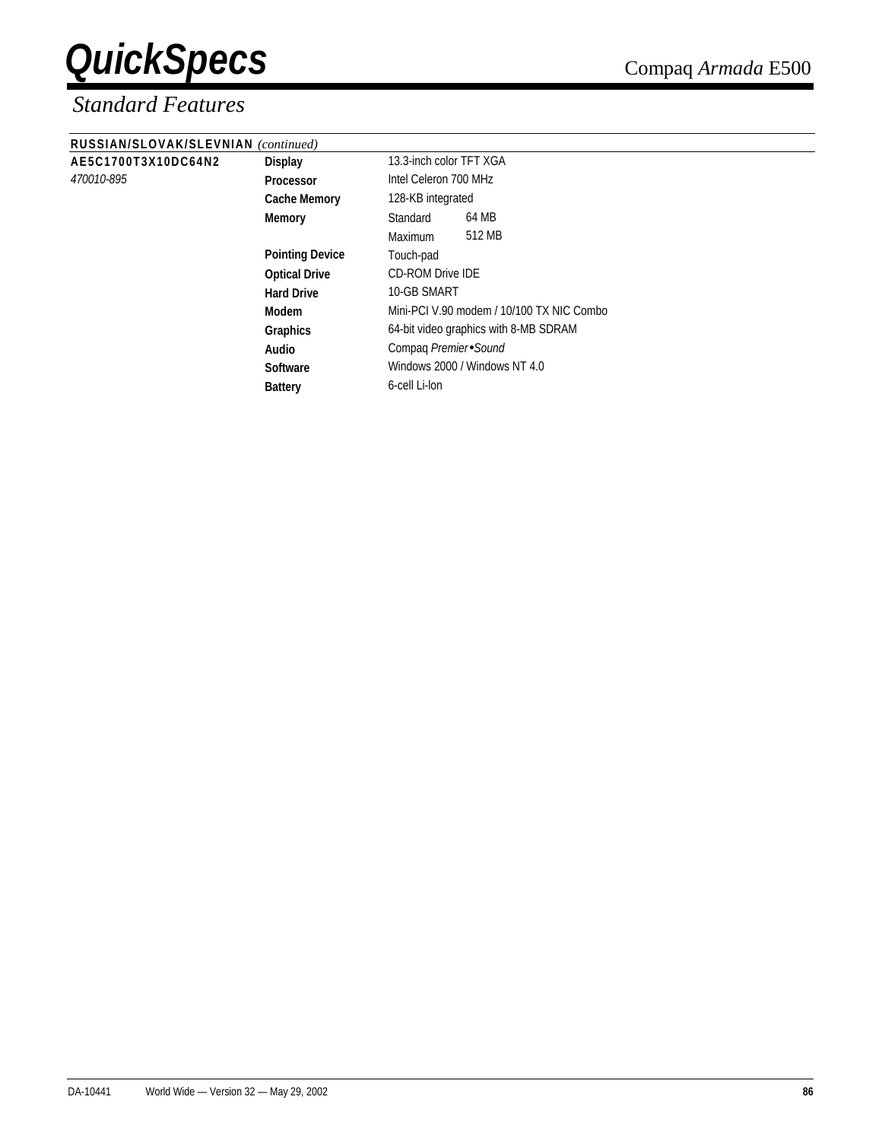#### *Standard Features*

**AE5C1700T3X10DC64N2 Display** 13.3-inch color TFT XGA

*470010-895* **Processor** Intel Celeron 700 MHz

| RUSSIAN/SLOVAK/SLEVNIAN (continued) |
|-------------------------------------|
|-------------------------------------|

| 331AN/3LUVAN/3LEVNIAN ( <i>continued</i> ) |                        |                         |                                           |
|--------------------------------------------|------------------------|-------------------------|-------------------------------------------|
| 5C1700T3X10DC64N2                          | <b>Display</b>         | 13.3-inch color TFT XGA |                                           |
| 010-895                                    | Processor              | Intel Celeron 700 MHz   |                                           |
|                                            | <b>Cache Memory</b>    | 128-KB integrated       |                                           |
|                                            | <b>Memory</b>          | Standard                | 64 MB                                     |
|                                            |                        | <b>Maximum</b>          | 512 MB                                    |
|                                            | <b>Pointing Device</b> | Touch-pad               |                                           |
|                                            | <b>Optical Drive</b>   | <b>CD-ROM Drive IDE</b> |                                           |
|                                            | <b>Hard Drive</b>      | 10-GB SMART             |                                           |
|                                            | Modem                  |                         | Mini-PCI V.90 modem / 10/100 TX NIC Combo |
|                                            | <b>Graphics</b>        |                         | 64-bit video graphics with 8-MB SDRAM     |
|                                            | Audio                  | Compag Premier Sound    |                                           |
|                                            | <b>Software</b>        |                         | Windows 2000 / Windows NT 4.0             |
|                                            | <b>Battery</b>         | 6-cell Li-lon           |                                           |
|                                            |                        |                         |                                           |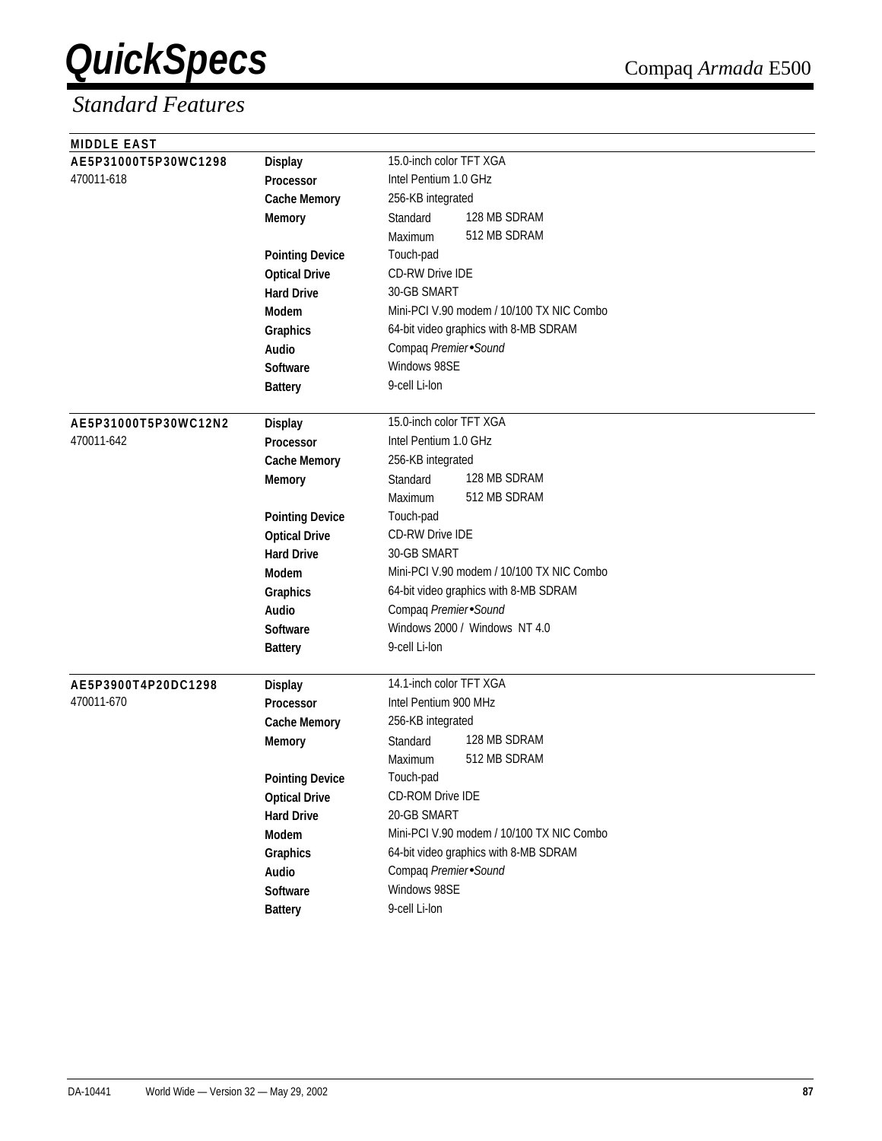| <b>MIDDLE EAST</b>   |                        |                                           |
|----------------------|------------------------|-------------------------------------------|
| AE5P31000T5P30WC1298 | <b>Display</b>         | 15.0-inch color TFT XGA                   |
| 470011-618           | <b>Processor</b>       | Intel Pentium 1.0 GHz                     |
|                      | <b>Cache Memory</b>    | 256-KB integrated                         |
|                      | <b>Memory</b>          | 128 MB SDRAM<br>Standard                  |
|                      |                        | 512 MB SDRAM<br>Maximum                   |
|                      | <b>Pointing Device</b> | Touch-pad                                 |
|                      | <b>Optical Drive</b>   | <b>CD-RW Drive IDE</b>                    |
|                      | <b>Hard Drive</b>      | 30-GB SMART                               |
|                      | <b>Modem</b>           | Mini-PCI V.90 modem / 10/100 TX NIC Combo |
|                      | Graphics               | 64-bit video graphics with 8-MB SDRAM     |
|                      | Audio                  | Compaq Premier Sound                      |
|                      | Software               | Windows 98SE                              |
|                      | <b>Battery</b>         | 9-cell Li-lon                             |
|                      |                        |                                           |
| AE5P31000T5P30WC12N2 | <b>Display</b>         | 15.0-inch color TFT XGA                   |
| 470011-642           | Processor              | Intel Pentium 1.0 GHz                     |
|                      | <b>Cache Memory</b>    | 256-KB integrated                         |
|                      | <b>Memory</b>          | 128 MB SDRAM<br>Standard                  |
|                      |                        | 512 MB SDRAM<br>Maximum                   |
|                      | <b>Pointing Device</b> | Touch-pad                                 |
|                      | <b>Optical Drive</b>   | <b>CD-RW Drive IDE</b>                    |
|                      | <b>Hard Drive</b>      | 30-GB SMART                               |
|                      | <b>Modem</b>           | Mini-PCI V.90 modem / 10/100 TX NIC Combo |
|                      | Graphics               | 64-bit video graphics with 8-MB SDRAM     |
|                      | Audio                  | Compaq Premier Sound                      |
|                      | <b>Software</b>        | Windows 2000 / Windows NT 4.0             |
|                      | <b>Battery</b>         | 9-cell Li-lon                             |
|                      |                        |                                           |
| AE5P3900T4P20DC1298  | <b>Display</b>         | 14.1-inch color TFT XGA                   |
| 470011-670           | <b>Processor</b>       | Intel Pentium 900 MHz                     |
|                      | <b>Cache Memory</b>    | 256-KB integrated                         |
|                      | <b>Memory</b>          | 128 MB SDRAM<br>Standard                  |
|                      |                        | 512 MB SDRAM<br>Maximum                   |
|                      | <b>Pointing Device</b> | Touch-pad                                 |
|                      | <b>Optical Drive</b>   | CD-ROM Drive IDE                          |
|                      | <b>Hard Drive</b>      | 20-GB SMART                               |
|                      | Modem                  | Mini-PCI V.90 modem / 10/100 TX NIC Combo |
|                      | Graphics               | 64-bit video graphics with 8-MB SDRAM     |
|                      | Audio                  | Compaq Premier Sound                      |
|                      | Software               | Windows 98SE                              |
|                      | <b>Battery</b>         | 9-cell Li-lon                             |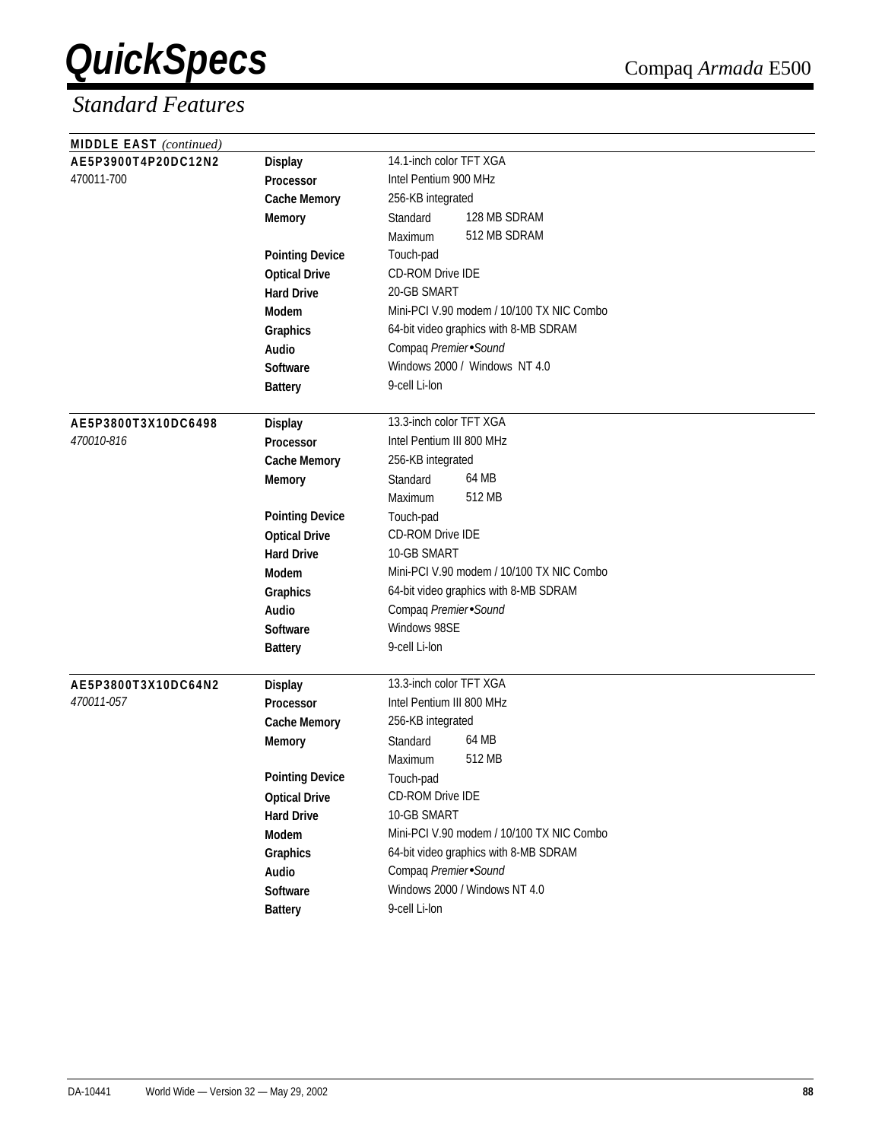| <b>MIDDLE EAST</b> (continued) |                        |                                           |
|--------------------------------|------------------------|-------------------------------------------|
| AE5P3900T4P20DC12N2            | <b>Display</b>         | 14.1-inch color TFT XGA                   |
| 470011-700                     | Processor              | Intel Pentium 900 MHz                     |
|                                | <b>Cache Memory</b>    | 256-KB integrated                         |
|                                | <b>Memory</b>          | 128 MB SDRAM<br>Standard                  |
|                                |                        | 512 MB SDRAM<br>Maximum                   |
|                                | <b>Pointing Device</b> | Touch-pad                                 |
|                                | <b>Optical Drive</b>   | <b>CD-ROM Drive IDE</b>                   |
|                                | <b>Hard Drive</b>      | 20-GB SMART                               |
|                                | Modem                  | Mini-PCI V.90 modem / 10/100 TX NIC Combo |
|                                | Graphics               | 64-bit video graphics with 8-MB SDRAM     |
|                                | Audio                  | Compaq Premier Sound                      |
|                                | Software               | Windows 2000 / Windows NT 4.0             |
|                                | <b>Battery</b>         | 9-cell Li-lon                             |
| AE5P3800T3X10DC6498            | <b>Display</b>         | 13.3-inch color TFT XGA                   |
| 470010-816                     | <b>Processor</b>       | Intel Pentium III 800 MHz                 |
|                                | <b>Cache Memory</b>    | 256-KB integrated                         |
|                                | <b>Memory</b>          | 64 MB<br>Standard                         |
|                                |                        | 512 MB<br>Maximum                         |
|                                | <b>Pointing Device</b> | Touch-pad                                 |
|                                | <b>Optical Drive</b>   | CD-ROM Drive IDE                          |
|                                | <b>Hard Drive</b>      | 10-GB SMART                               |
|                                | Modem                  | Mini-PCI V.90 modem / 10/100 TX NIC Combo |
|                                | Graphics               | 64-bit video graphics with 8-MB SDRAM     |
|                                | Audio                  | Compaq Premier Sound                      |
|                                | Software               | Windows 98SE                              |
|                                | <b>Battery</b>         | 9-cell Li-lon                             |
| AE5P3800T3X10DC64N2            | <b>Display</b>         | 13.3-inch color TFT XGA                   |
| 470011-057                     | <b>Processor</b>       | Intel Pentium III 800 MHz                 |
|                                | <b>Cache Memory</b>    | 256-KB integrated                         |
|                                | <b>Memory</b>          | 64 MB<br>Standard                         |
|                                |                        | 512 MB<br>Maximum                         |
|                                | <b>Pointing Device</b> | Touch-pad                                 |
|                                | <b>Optical Drive</b>   | CD-ROM Drive IDE                          |
|                                | <b>Hard Drive</b>      | 10-GB SMART                               |
|                                | Modem                  | Mini-PCI V.90 modem / 10/100 TX NIC Combo |
|                                | Graphics               | 64-bit video graphics with 8-MB SDRAM     |
|                                | Audio                  | Compaq Premier Sound                      |
|                                | Software               | Windows 2000 / Windows NT 4.0             |
|                                | <b>Battery</b>         | 9-cell Li-lon                             |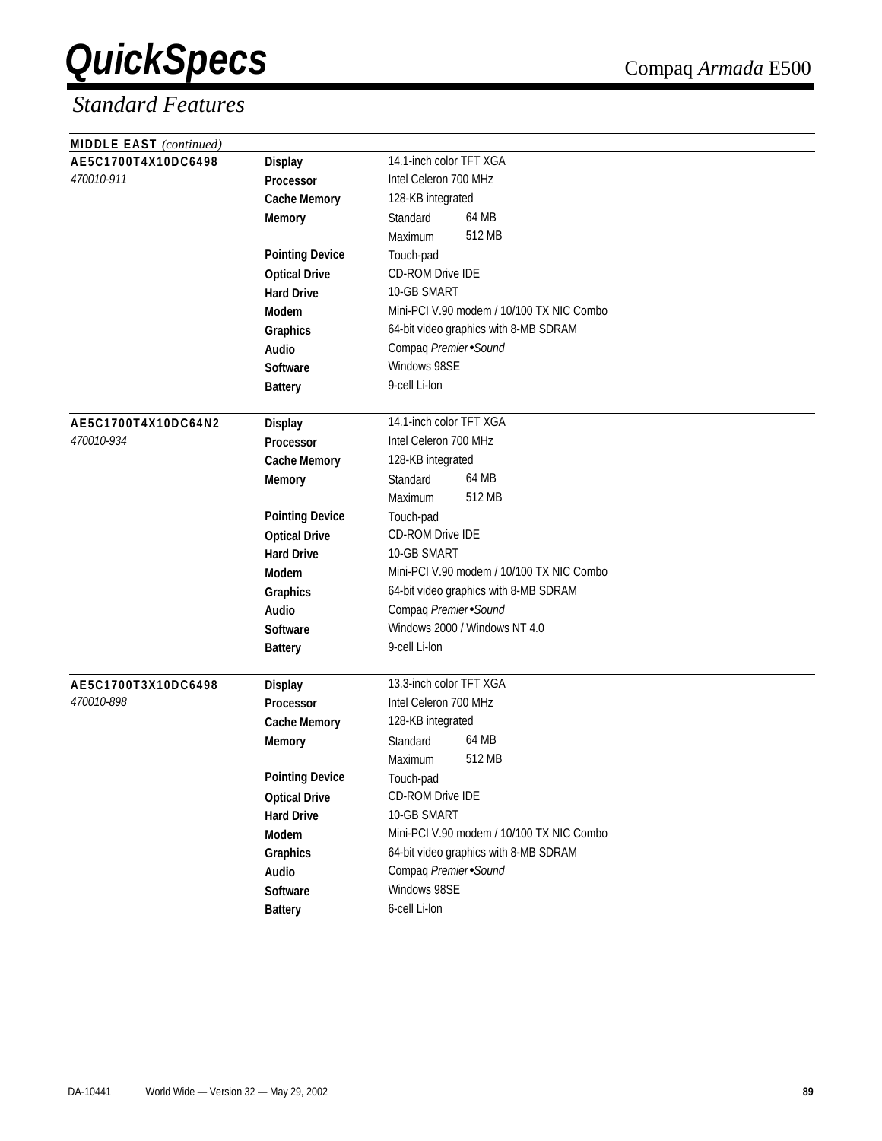| <b>MIDDLE EAST</b> (continued) |                        |                                           |
|--------------------------------|------------------------|-------------------------------------------|
| AE5C1700T4X10DC6498            | <b>Display</b>         | 14.1-inch color TFT XGA                   |
| 470010-911                     | Processor              | Intel Celeron 700 MHz                     |
|                                | <b>Cache Memory</b>    | 128-KB integrated                         |
|                                | <b>Memory</b>          | 64 MB<br>Standard                         |
|                                |                        | 512 MB<br>Maximum                         |
|                                | <b>Pointing Device</b> | Touch-pad                                 |
|                                | <b>Optical Drive</b>   | CD-ROM Drive IDE                          |
|                                | <b>Hard Drive</b>      | 10-GB SMART                               |
|                                | <b>Modem</b>           | Mini-PCI V.90 modem / 10/100 TX NIC Combo |
|                                | Graphics               | 64-bit video graphics with 8-MB SDRAM     |
|                                | Audio                  | Compaq Premier Sound                      |
|                                | <b>Software</b>        | Windows 98SE                              |
|                                | <b>Battery</b>         | 9-cell Li-lon                             |
|                                |                        |                                           |
| AE5C1700T4X10DC64N2            | <b>Display</b>         | 14.1-inch color TFT XGA                   |
| 470010-934                     | Processor              | Intel Celeron 700 MHz                     |
|                                | <b>Cache Memory</b>    | 128-KB integrated                         |
|                                | <b>Memory</b>          | 64 MB<br>Standard                         |
|                                |                        | 512 MB<br>Maximum                         |
|                                | <b>Pointing Device</b> | Touch-pad                                 |
|                                | <b>Optical Drive</b>   | CD-ROM Drive IDE                          |
|                                | <b>Hard Drive</b>      | 10-GB SMART                               |
|                                | <b>Modem</b>           | Mini-PCI V.90 modem / 10/100 TX NIC Combo |
|                                | Graphics               | 64-bit video graphics with 8-MB SDRAM     |
|                                | <b>Audio</b>           | Compaq Premier Sound                      |
|                                | Software               | Windows 2000 / Windows NT 4.0             |
|                                | <b>Battery</b>         | 9-cell Li-lon                             |
|                                |                        |                                           |
| AE5C1700T3X10DC6498            | <b>Display</b>         | 13.3-inch color TFT XGA                   |
| 470010-898                     | <b>Processor</b>       | Intel Celeron 700 MHz                     |
|                                | <b>Cache Memory</b>    | 128-KB integrated                         |
|                                | <b>Memory</b>          | 64 MB<br>Standard                         |
|                                |                        | 512 MB<br>Maximum                         |
|                                | <b>Pointing Device</b> | Touch-pad                                 |
|                                | <b>Optical Drive</b>   | CD-ROM Drive IDE                          |
|                                | <b>Hard Drive</b>      | 10-GB SMART                               |
|                                | Modem                  | Mini-PCI V.90 modem / 10/100 TX NIC Combo |
|                                | Graphics               | 64-bit video graphics with 8-MB SDRAM     |
|                                | Audio                  | Compaq Premier Sound                      |
|                                | Software               | Windows 98SE                              |
|                                | <b>Battery</b>         | 6-cell Li-lon                             |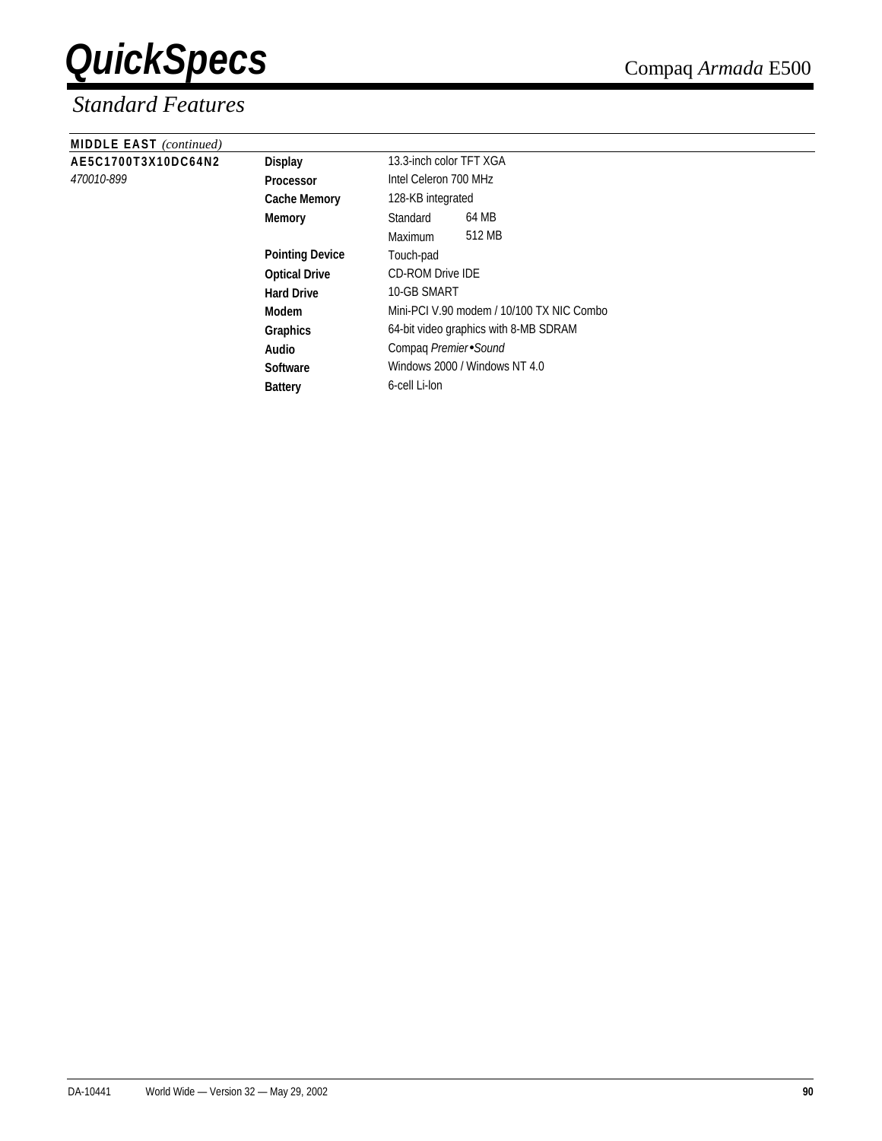| <b>MIDDLE EAST</b> (continued) |                        |                                           |
|--------------------------------|------------------------|-------------------------------------------|
| AE5C1700T3X10DC64N2            | <b>Display</b>         | 13.3-inch color TFT XGA                   |
| 470010-899                     | <b>Processor</b>       | Intel Celeron 700 MHz                     |
|                                | <b>Cache Memory</b>    | 128-KB integrated                         |
|                                | <b>Memory</b>          | 64 MB<br>Standard                         |
|                                |                        | 512 MB<br>Maximum                         |
|                                | <b>Pointing Device</b> | Touch-pad                                 |
|                                | <b>Optical Drive</b>   | <b>CD-ROM Drive IDE</b>                   |
|                                | <b>Hard Drive</b>      | 10-GB SMART                               |
|                                | Modem                  | Mini-PCI V.90 modem / 10/100 TX NIC Combo |
|                                | <b>Graphics</b>        | 64-bit video graphics with 8-MB SDRAM     |
|                                | Audio                  | Compaq Premier Sound                      |
|                                | Software               | Windows 2000 / Windows NT 4.0             |
|                                | <b>Battery</b>         | 6-cell Li-lon                             |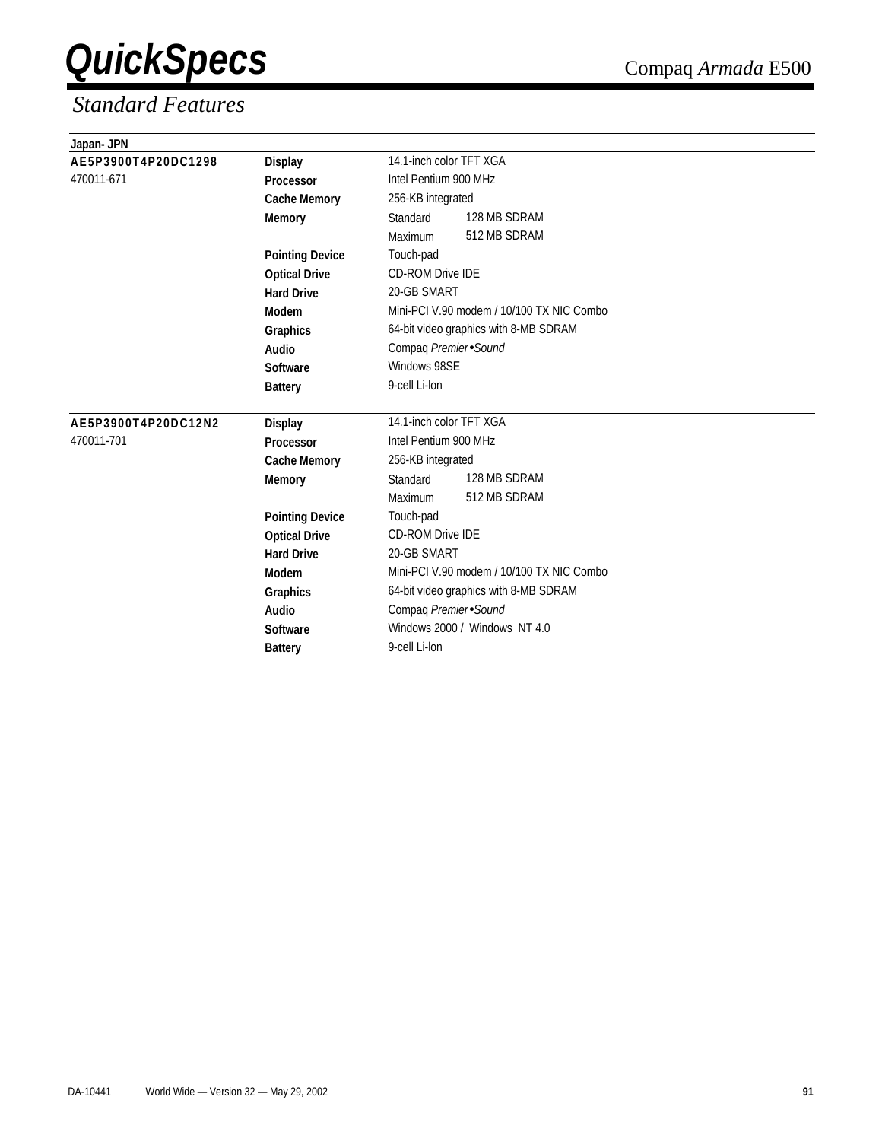| Japan- JPN          |                        |                                           |
|---------------------|------------------------|-------------------------------------------|
| AE5P3900T4P20DC1298 | <b>Display</b>         | 14.1-inch color TFT XGA                   |
| 470011-671          | Processor              | Intel Pentium 900 MHz                     |
|                     | <b>Cache Memory</b>    | 256-KB integrated                         |
|                     | <b>Memory</b>          | 128 MB SDRAM<br>Standard                  |
|                     |                        | 512 MB SDRAM<br>Maximum                   |
|                     | <b>Pointing Device</b> | Touch-pad                                 |
|                     | <b>Optical Drive</b>   | <b>CD-ROM Drive IDE</b>                   |
|                     | <b>Hard Drive</b>      | 20-GB SMART                               |
|                     | Modem                  | Mini-PCI V.90 modem / 10/100 TX NIC Combo |
|                     | Graphics               | 64-bit video graphics with 8-MB SDRAM     |
|                     | Audio                  | Compaq Premier Sound                      |
|                     | Software               | Windows 98SE                              |
|                     | <b>Battery</b>         | 9-cell Li-lon                             |
| AE5P3900T4P20DC12N2 | <b>Display</b>         | 14.1-inch color TFT XGA                   |
| 470011-701          | Processor              | Intel Pentium 900 MHz                     |
|                     | <b>Cache Memory</b>    | 256-KB integrated                         |
|                     | <b>Memory</b>          | 128 MB SDRAM<br>Standard                  |
|                     |                        | 512 MB SDRAM<br>Maximum                   |
|                     | <b>Pointing Device</b> | Touch-pad                                 |
|                     | <b>Optical Drive</b>   | <b>CD-ROM Drive IDE</b>                   |
|                     | <b>Hard Drive</b>      | 20-GB SMART                               |
|                     | Modem                  | Mini-PCI V.90 modem / 10/100 TX NIC Combo |
|                     | Graphics               | 64-bit video graphics with 8-MB SDRAM     |
|                     | Audio                  | Compaq Premier Sound                      |
|                     | <b>Software</b>        | Windows 2000 / Windows NT 4.0             |
|                     | <b>Battery</b>         | 9-cell Li-lon                             |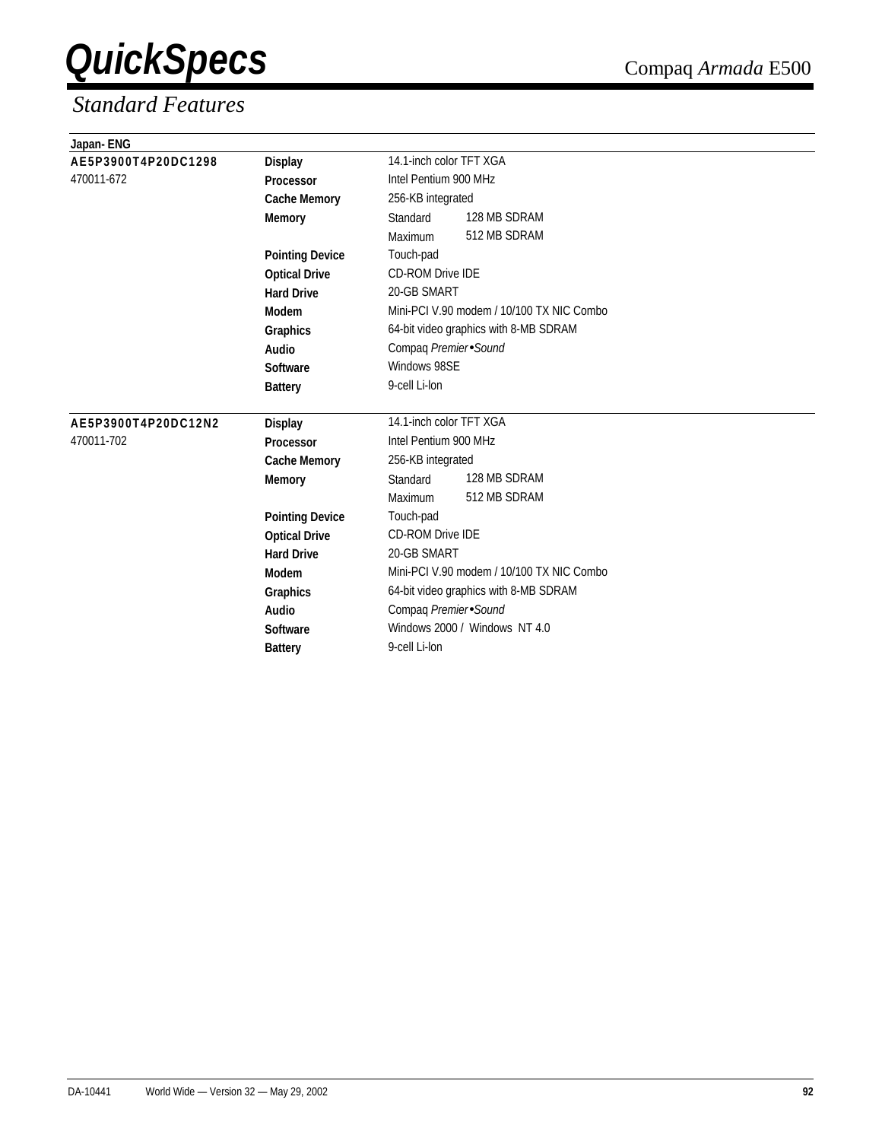| Japan-ENG           |                        |                                           |  |  |
|---------------------|------------------------|-------------------------------------------|--|--|
| AE5P3900T4P20DC1298 | <b>Display</b>         | 14.1-inch color TFT XGA                   |  |  |
| 470011-672          | <b>Processor</b>       | Intel Pentium 900 MHz                     |  |  |
|                     | <b>Cache Memory</b>    | 256-KB integrated                         |  |  |
|                     | <b>Memory</b>          | 128 MB SDRAM<br>Standard                  |  |  |
|                     |                        | 512 MB SDRAM<br>Maximum                   |  |  |
|                     | <b>Pointing Device</b> | Touch-pad                                 |  |  |
|                     | <b>Optical Drive</b>   | <b>CD-ROM Drive IDE</b>                   |  |  |
|                     | <b>Hard Drive</b>      | 20-GB SMART                               |  |  |
|                     | Modem                  | Mini-PCI V.90 modem / 10/100 TX NIC Combo |  |  |
|                     | Graphics               | 64-bit video graphics with 8-MB SDRAM     |  |  |
|                     | Audio                  | Compaq Premier Sound                      |  |  |
|                     | Software               | Windows 98SE                              |  |  |
|                     | <b>Battery</b>         | 9-cell Li-lon                             |  |  |
| AE5P3900T4P20DC12N2 | Display                | 14.1-inch color TFT XGA                   |  |  |
| 470011-702          | <b>Processor</b>       | Intel Pentium 900 MHz                     |  |  |
|                     | <b>Cache Memory</b>    | 256-KB integrated                         |  |  |
|                     | <b>Memory</b>          | 128 MB SDRAM<br>Standard                  |  |  |
|                     |                        | 512 MB SDRAM<br>Maximum                   |  |  |
|                     | <b>Pointing Device</b> | Touch-pad                                 |  |  |
|                     | <b>Optical Drive</b>   | <b>CD-ROM Drive IDE</b>                   |  |  |
|                     | <b>Hard Drive</b>      | 20-GB SMART                               |  |  |
|                     | Modem                  | Mini-PCI V.90 modem / 10/100 TX NIC Combo |  |  |
|                     | Graphics               | 64-bit video graphics with 8-MB SDRAM     |  |  |
|                     | Audio                  | Compaq Premier Sound                      |  |  |
|                     | Software               | Windows 2000 / Windows NT 4.0             |  |  |
|                     | <b>Battery</b>         | 9-cell Li-lon                             |  |  |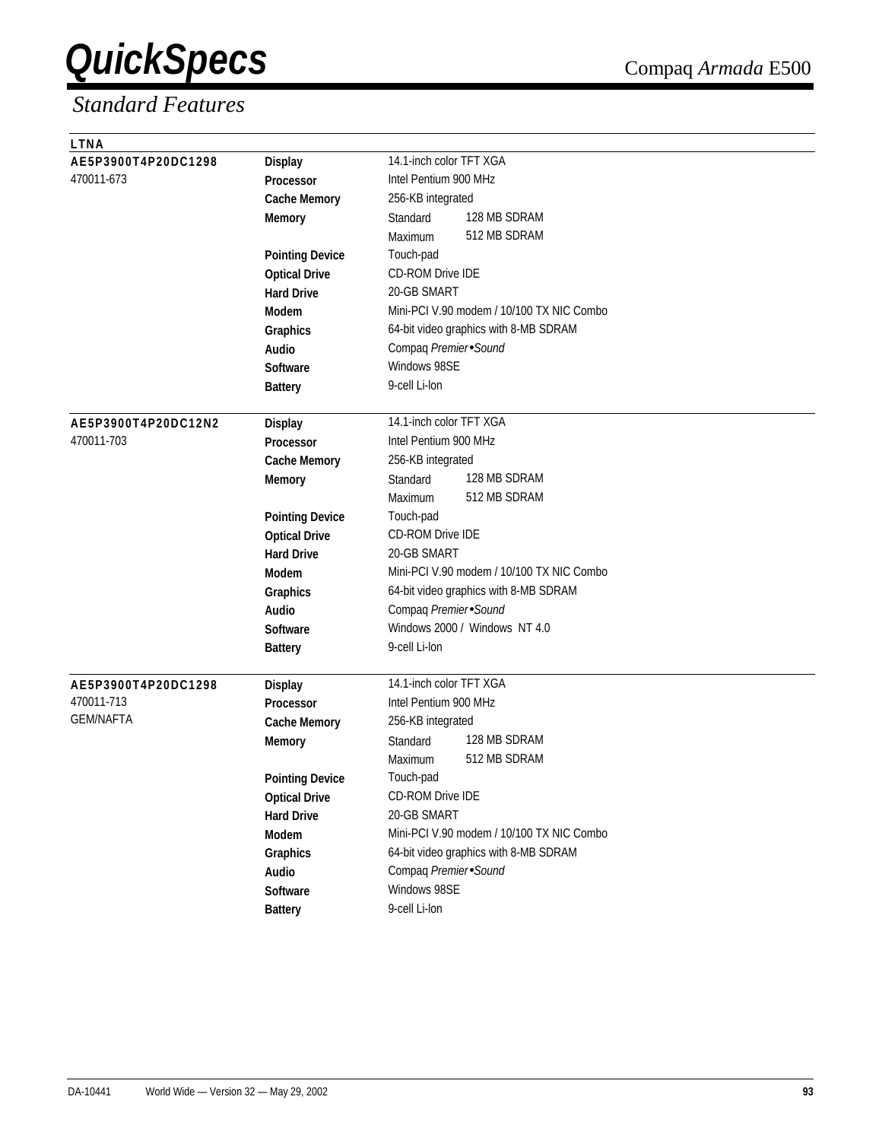| <b>LTNA</b>         |                        |                                           |
|---------------------|------------------------|-------------------------------------------|
| AE5P3900T4P20DC1298 | <b>Display</b>         | 14.1-inch color TFT XGA                   |
| 470011-673          | Processor              | Intel Pentium 900 MHz                     |
|                     | <b>Cache Memory</b>    | 256-KB integrated                         |
|                     | <b>Memory</b>          | 128 MB SDRAM<br>Standard                  |
|                     |                        | 512 MB SDRAM<br>Maximum                   |
|                     | <b>Pointing Device</b> | Touch-pad                                 |
|                     | <b>Optical Drive</b>   | <b>CD-ROM Drive IDE</b>                   |
|                     | <b>Hard Drive</b>      | 20-GB SMART                               |
|                     | Modem                  | Mini-PCI V.90 modem / 10/100 TX NIC Combo |
|                     | Graphics               | 64-bit video graphics with 8-MB SDRAM     |
|                     | <b>Audio</b>           | Compaq Premier Sound                      |
|                     | <b>Software</b>        | Windows 98SE                              |
|                     | <b>Battery</b>         | 9-cell Li-lon                             |
| AE5P3900T4P20DC12N2 | <b>Display</b>         | 14.1-inch color TFT XGA                   |
| 470011-703          | <b>Processor</b>       | Intel Pentium 900 MHz                     |
|                     | <b>Cache Memory</b>    | 256-KB integrated                         |
|                     | <b>Memory</b>          | 128 MB SDRAM<br>Standard                  |
|                     |                        | 512 MB SDRAM<br>Maximum                   |
|                     | <b>Pointing Device</b> | Touch-pad                                 |
|                     | <b>Optical Drive</b>   | CD-ROM Drive IDE                          |
|                     | <b>Hard Drive</b>      | 20-GB SMART                               |
|                     | Modem                  | Mini-PCI V.90 modem / 10/100 TX NIC Combo |
|                     | Graphics               | 64-bit video graphics with 8-MB SDRAM     |
|                     | Audio                  | Compaq Premier Sound                      |
|                     | <b>Software</b>        | Windows 2000 / Windows NT 4.0             |
|                     | <b>Battery</b>         | 9-cell Li-lon                             |
|                     |                        |                                           |
| AE5P3900T4P20DC1298 | <b>Display</b>         | 14.1-inch color TFT XGA                   |
| 470011-713          | Processor              | Intel Pentium 900 MHz                     |
| <b>GEM/NAFTA</b>    | <b>Cache Memory</b>    | 256-KB integrated                         |
|                     | <b>Memory</b>          | 128 MB SDRAM<br>Standard                  |
|                     |                        | 512 MB SDRAM<br>Maximum                   |
|                     | <b>Pointing Device</b> | Touch-pad                                 |
|                     | <b>Optical Drive</b>   | <b>CD-ROM Drive IDE</b>                   |
|                     | <b>Hard Drive</b>      | 20-GB SMART                               |
|                     | Modem                  | Mini-PCI V.90 modem / 10/100 TX NIC Combo |
|                     | Graphics               | 64-bit video graphics with 8-MB SDRAM     |
|                     | Audio                  | Compaq Premier Sound                      |
|                     | Software               | Windows 98SE                              |
|                     | <b>Battery</b>         | 9-cell Li-lon                             |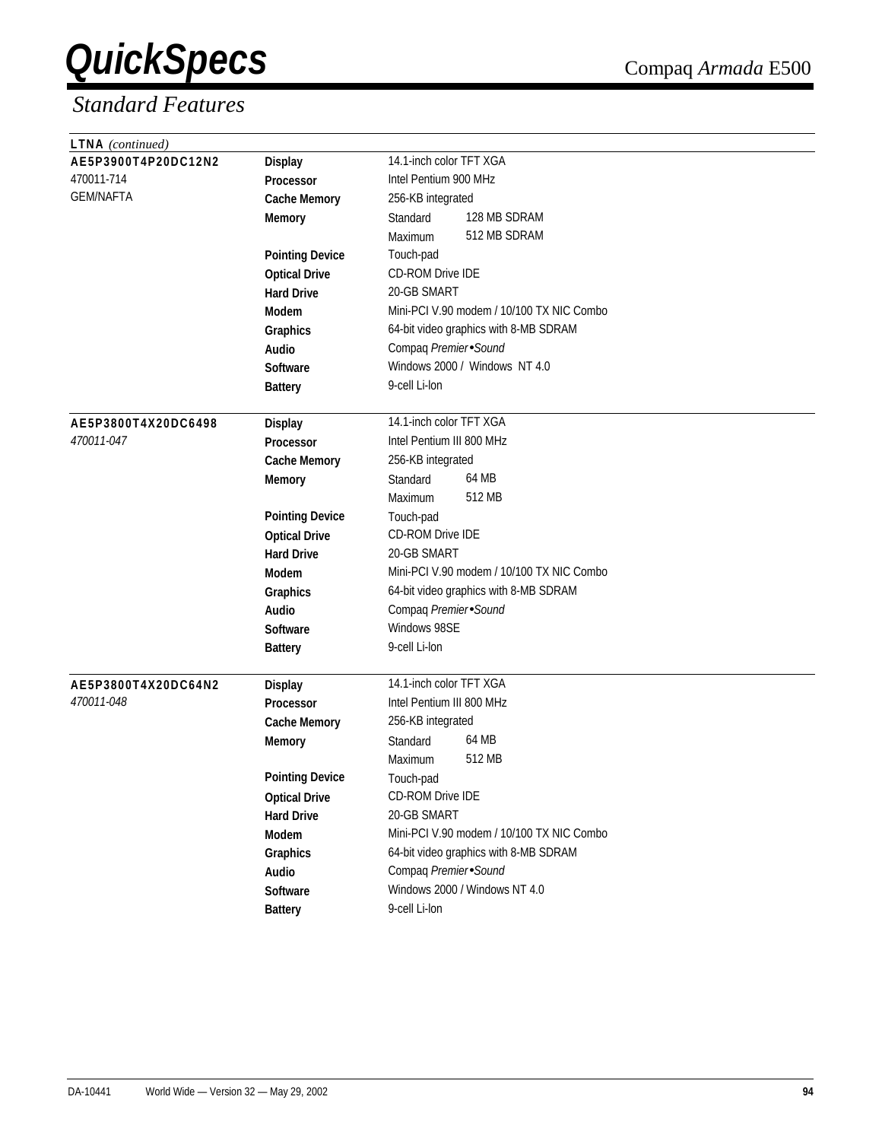| <b>LTNA</b> (continued) |                        |                                           |
|-------------------------|------------------------|-------------------------------------------|
| AE5P3900T4P20DC12N2     | <b>Display</b>         | 14.1-inch color TFT XGA                   |
| 470011-714              | Processor              | Intel Pentium 900 MHz                     |
| <b>GEM/NAFTA</b>        | <b>Cache Memory</b>    | 256-KB integrated                         |
|                         | <b>Memory</b>          | 128 MB SDRAM<br>Standard                  |
|                         |                        | 512 MB SDRAM<br>Maximum                   |
|                         | <b>Pointing Device</b> | Touch-pad                                 |
|                         | <b>Optical Drive</b>   | <b>CD-ROM Drive IDE</b>                   |
|                         | <b>Hard Drive</b>      | 20-GB SMART                               |
|                         | <b>Modem</b>           | Mini-PCI V.90 modem / 10/100 TX NIC Combo |
|                         | Graphics               | 64-bit video graphics with 8-MB SDRAM     |
|                         | Audio                  | Compaq Premier Sound                      |
|                         | <b>Software</b>        | Windows 2000 / Windows NT 4.0             |
|                         | <b>Battery</b>         | 9-cell Li-lon                             |
|                         |                        |                                           |
| AE5P3800T4X20DC6498     | <b>Display</b>         | 14.1-inch color TFT XGA                   |
| 470011-047              | Processor              | Intel Pentium III 800 MHz                 |
|                         | <b>Cache Memory</b>    | 256-KB integrated                         |
|                         | <b>Memory</b>          | 64 MB<br>Standard                         |
|                         |                        | 512 MB<br>Maximum                         |
|                         | <b>Pointing Device</b> | Touch-pad                                 |
|                         | <b>Optical Drive</b>   | <b>CD-ROM Drive IDE</b>                   |
|                         | <b>Hard Drive</b>      | 20-GB SMART                               |
|                         | <b>Modem</b>           | Mini-PCI V.90 modem / 10/100 TX NIC Combo |
|                         | Graphics               | 64-bit video graphics with 8-MB SDRAM     |
|                         | Audio                  | Compaq Premier Sound                      |
|                         | <b>Software</b>        | Windows 98SE                              |
|                         | <b>Battery</b>         | 9-cell Li-lon                             |
|                         |                        |                                           |
| AE5P3800T4X20DC64N2     | <b>Display</b>         | 14.1-inch color TFT XGA                   |
| 470011-048              | <b>Processor</b>       | Intel Pentium III 800 MHz                 |
|                         | <b>Cache Memory</b>    | 256-KB integrated                         |
|                         | <b>Memory</b>          | 64 MB<br>Standard                         |
|                         |                        | 512 MB<br>Maximum                         |
|                         | <b>Pointing Device</b> | Touch-pad                                 |
|                         | <b>Optical Drive</b>   | CD-ROM Drive IDE                          |
|                         | <b>Hard Drive</b>      | 20-GB SMART                               |
|                         | Modem                  | Mini-PCI V.90 modem / 10/100 TX NIC Combo |
|                         | Graphics               | 64-bit video graphics with 8-MB SDRAM     |
|                         | Audio                  | Compaq Premier Sound                      |
|                         | Software               | Windows 2000 / Windows NT 4.0             |
|                         | <b>Battery</b>         | 9-cell Li-lon                             |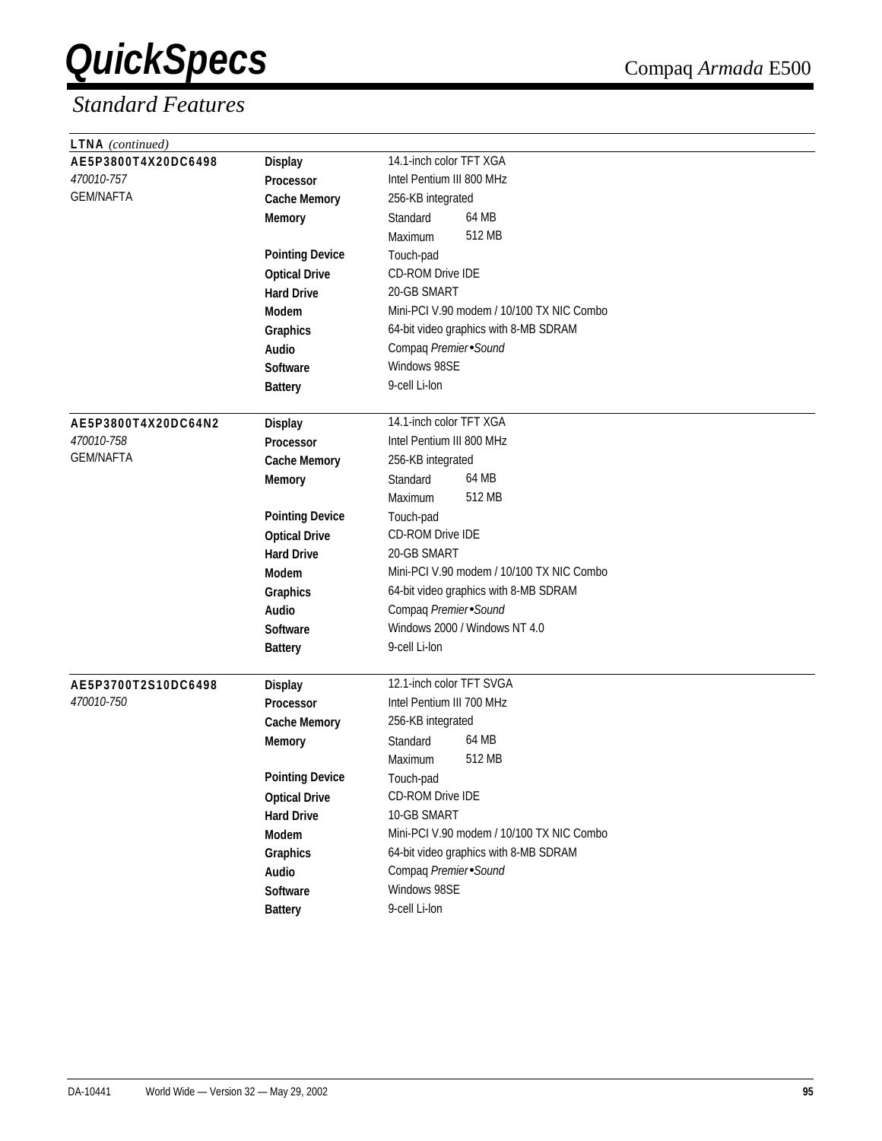| <b>LTNA</b> (continued) |                        |                                           |
|-------------------------|------------------------|-------------------------------------------|
| AE5P3800T4X20DC6498     | <b>Display</b>         | 14.1-inch color TFT XGA                   |
| 470010-757              | <b>Processor</b>       | Intel Pentium III 800 MHz                 |
| <b>GEM/NAFTA</b>        | <b>Cache Memory</b>    | 256-KB integrated                         |
|                         | <b>Memory</b>          | 64 MB<br>Standard                         |
|                         |                        | 512 MB<br>Maximum                         |
|                         | <b>Pointing Device</b> | Touch-pad                                 |
|                         | <b>Optical Drive</b>   | <b>CD-ROM Drive IDE</b>                   |
|                         | <b>Hard Drive</b>      | 20-GB SMART                               |
|                         | <b>Modem</b>           | Mini-PCI V.90 modem / 10/100 TX NIC Combo |
|                         | Graphics               | 64-bit video graphics with 8-MB SDRAM     |
|                         | Audio                  | Compaq Premier Sound                      |
|                         | Software               | Windows 98SE                              |
|                         | <b>Battery</b>         | 9-cell Li-lon                             |
|                         |                        |                                           |
| AE5P3800T4X20DC64N2     | <b>Display</b>         | 14.1-inch color TFT XGA                   |
| 470010-758              | Processor              | Intel Pentium III 800 MHz                 |
| <b>GEM/NAFTA</b>        | <b>Cache Memory</b>    | 256-KB integrated                         |
|                         | <b>Memory</b>          | 64 MB<br>Standard                         |
|                         |                        | 512 MB<br>Maximum                         |
|                         | <b>Pointing Device</b> | Touch-pad                                 |
|                         | <b>Optical Drive</b>   | CD-ROM Drive IDE                          |
|                         | <b>Hard Drive</b>      | 20-GB SMART                               |
|                         | <b>Modem</b>           | Mini-PCI V.90 modem / 10/100 TX NIC Combo |
|                         | Graphics               | 64-bit video graphics with 8-MB SDRAM     |
|                         | Audio                  | Compaq Premier Sound                      |
|                         | <b>Software</b>        | Windows 2000 / Windows NT 4.0             |
|                         | <b>Battery</b>         | 9-cell Li-lon                             |
|                         |                        |                                           |
| AE5P3700T2S10DC6498     | <b>Display</b>         | 12.1-inch color TFT SVGA                  |
| 470010-750              | <b>Processor</b>       | Intel Pentium III 700 MHz                 |
|                         | <b>Cache Memory</b>    | 256-KB integrated                         |
|                         | <b>Memory</b>          | 64 MB<br>Standard                         |
|                         |                        | 512 MB<br>Maximum                         |
|                         | <b>Pointing Device</b> | Touch-pad                                 |
|                         | <b>Optical Drive</b>   | CD-ROM Drive IDE                          |
|                         | <b>Hard Drive</b>      | 10-GB SMART                               |
|                         | Modem                  | Mini-PCI V.90 modem / 10/100 TX NIC Combo |
|                         | <b>Graphics</b>        | 64-bit video graphics with 8-MB SDRAM     |
|                         | Audio                  | Compaq Premier Sound                      |
|                         | Software               | Windows 98SE                              |
|                         | <b>Battery</b>         | 9-cell Li-lon                             |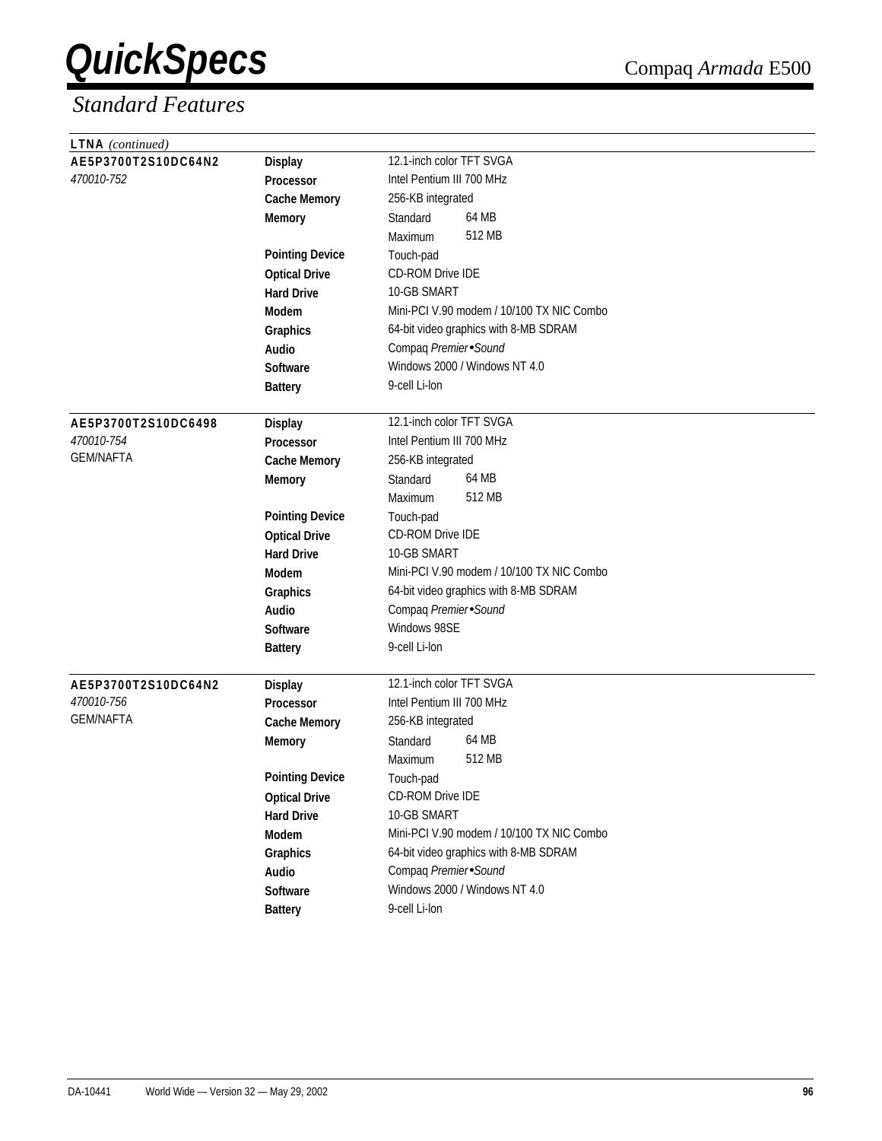| <b>LTNA</b> (continued) |                        |                                           |
|-------------------------|------------------------|-------------------------------------------|
| AE5P3700T2S10DC64N2     | <b>Display</b>         | 12.1-inch color TFT SVGA                  |
| 470010-752              | Processor              | Intel Pentium III 700 MHz                 |
|                         | <b>Cache Memory</b>    | 256-KB integrated                         |
|                         | <b>Memory</b>          | 64 MB<br>Standard                         |
|                         |                        | 512 MB<br>Maximum                         |
|                         | <b>Pointing Device</b> | Touch-pad                                 |
|                         | <b>Optical Drive</b>   | CD-ROM Drive IDE                          |
|                         | <b>Hard Drive</b>      | 10-GB SMART                               |
|                         | <b>Modem</b>           | Mini-PCI V.90 modem / 10/100 TX NIC Combo |
|                         | Graphics               | 64-bit video graphics with 8-MB SDRAM     |
|                         | Audio                  | Compaq Premier Sound                      |
|                         | <b>Software</b>        | Windows 2000 / Windows NT 4.0             |
|                         | <b>Battery</b>         | 9-cell Li-lon                             |
|                         |                        |                                           |
| AE5P3700T2S10DC6498     | <b>Display</b>         | 12.1-inch color TFT SVGA                  |
| 470010-754              | Processor              | Intel Pentium III 700 MHz                 |
| <b>GEM/NAFTA</b>        | <b>Cache Memory</b>    | 256-KB integrated                         |
|                         | <b>Memory</b>          | 64 MB<br>Standard                         |
|                         |                        | 512 MB<br>Maximum                         |
|                         | <b>Pointing Device</b> | Touch-pad                                 |
|                         | <b>Optical Drive</b>   | CD-ROM Drive IDE                          |
|                         | <b>Hard Drive</b>      | 10-GB SMART                               |
|                         | <b>Modem</b>           | Mini-PCI V.90 modem / 10/100 TX NIC Combo |
|                         | Graphics               | 64-bit video graphics with 8-MB SDRAM     |
|                         | <b>Audio</b>           | Compaq Premier Sound                      |
|                         | Software               | Windows 98SE                              |
|                         | <b>Battery</b>         | 9-cell Li-lon                             |
|                         |                        |                                           |
| AE5P3700T2S10DC64N2     | <b>Display</b>         | 12.1-inch color TFT SVGA                  |
| 470010-756              | <b>Processor</b>       | Intel Pentium III 700 MHz                 |
| <b>GEM/NAFTA</b>        | <b>Cache Memory</b>    | 256-KB integrated                         |
|                         | <b>Memory</b>          | 64 MB<br>Standard                         |
|                         |                        | 512 MB<br>Maximum                         |
|                         | <b>Pointing Device</b> | Touch-pad                                 |
|                         | <b>Optical Drive</b>   | CD-ROM Drive IDE                          |
|                         | <b>Hard Drive</b>      | 10-GB SMART                               |
|                         | Modem                  | Mini-PCI V.90 modem / 10/100 TX NIC Combo |
|                         | Graphics               | 64-bit video graphics with 8-MB SDRAM     |
|                         | Audio                  | Compaq Premier Sound                      |
|                         | Software               | Windows 2000 / Windows NT 4.0             |
|                         | <b>Battery</b>         | 9-cell Li-lon                             |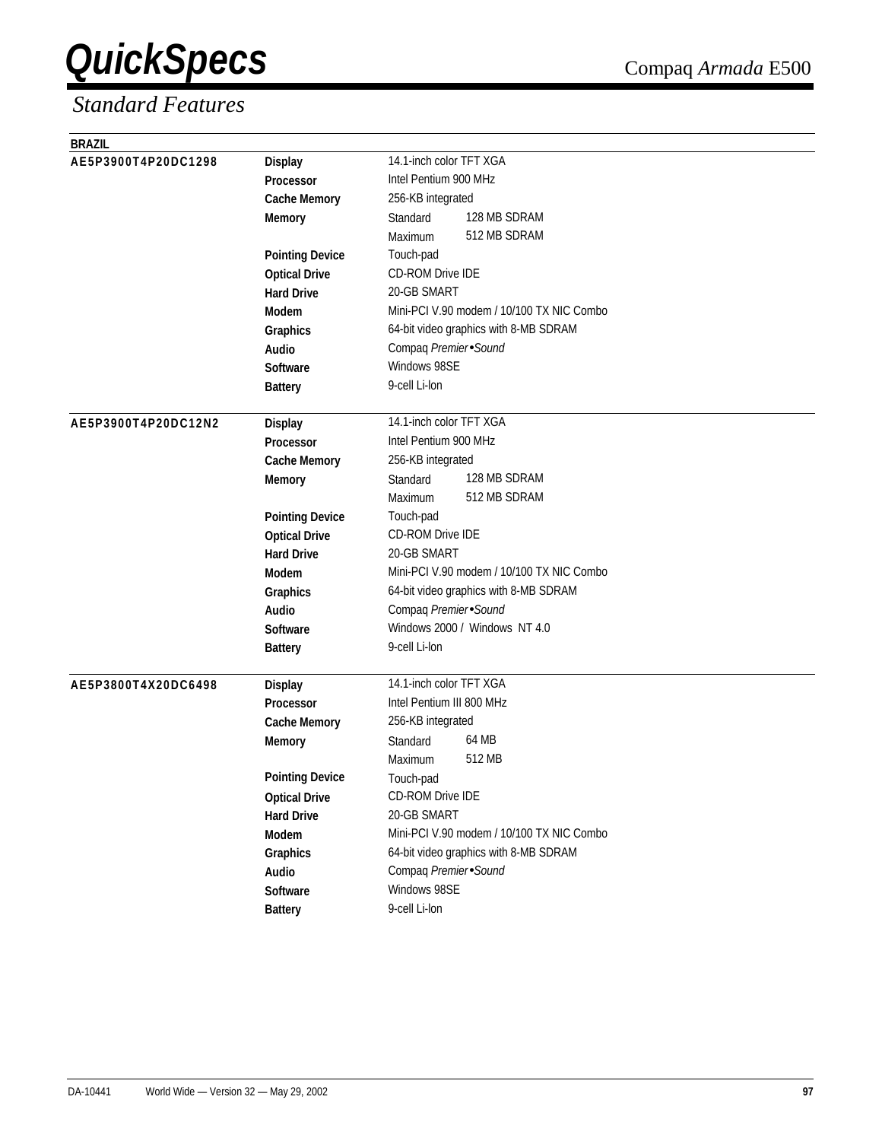| <b>BRAZIL</b>       |                        |                                           |
|---------------------|------------------------|-------------------------------------------|
| AE5P3900T4P20DC1298 | <b>Display</b>         | 14.1-inch color TFT XGA                   |
|                     | Processor              | Intel Pentium 900 MHz                     |
|                     | <b>Cache Memory</b>    | 256-KB integrated                         |
|                     | <b>Memory</b>          | 128 MB SDRAM<br>Standard                  |
|                     |                        | 512 MB SDRAM<br>Maximum                   |
|                     | <b>Pointing Device</b> | Touch-pad                                 |
|                     | <b>Optical Drive</b>   | <b>CD-ROM Drive IDE</b>                   |
|                     | <b>Hard Drive</b>      | 20-GB SMART                               |
|                     | <b>Modem</b>           | Mini-PCI V.90 modem / 10/100 TX NIC Combo |
|                     | Graphics               | 64-bit video graphics with 8-MB SDRAM     |
|                     | Audio                  | Compaq Premier Sound                      |
|                     | <b>Software</b>        | Windows 98SE                              |
|                     | <b>Battery</b>         | 9-cell Li-lon                             |
| AE5P3900T4P20DC12N2 | <b>Display</b>         | 14.1-inch color TFT XGA                   |
|                     | Processor              | Intel Pentium 900 MHz                     |
|                     | <b>Cache Memory</b>    | 256-KB integrated                         |
|                     | <b>Memory</b>          | 128 MB SDRAM<br>Standard                  |
|                     |                        | 512 MB SDRAM<br>Maximum                   |
|                     | <b>Pointing Device</b> | Touch-pad                                 |
|                     | <b>Optical Drive</b>   | <b>CD-ROM Drive IDE</b>                   |
|                     | <b>Hard Drive</b>      | 20-GB SMART                               |
|                     | <b>Modem</b>           | Mini-PCI V.90 modem / 10/100 TX NIC Combo |
|                     | Graphics               | 64-bit video graphics with 8-MB SDRAM     |
|                     | <b>Audio</b>           | Compaq Premier Sound                      |
|                     | <b>Software</b>        | Windows 2000 / Windows NT 4.0             |
|                     | <b>Battery</b>         | 9-cell Li-lon                             |
| AE5P3800T4X20DC6498 | <b>Display</b>         | 14.1-inch color TFT XGA                   |
|                     | <b>Processor</b>       | Intel Pentium III 800 MHz                 |
|                     | <b>Cache Memory</b>    | 256-KB integrated                         |
|                     | <b>Memory</b>          | 64 MB<br>Standard                         |
|                     |                        | 512 MB<br>Maximum                         |
|                     | <b>Pointing Device</b> | Touch-pad                                 |
|                     | <b>Optical Drive</b>   | <b>CD-ROM Drive IDE</b>                   |
|                     | <b>Hard Drive</b>      | 20-GB SMART                               |
|                     | Modem                  | Mini-PCI V.90 modem / 10/100 TX NIC Combo |
|                     | Graphics               | 64-bit video graphics with 8-MB SDRAM     |
|                     | Audio                  | Compaq Premier Sound                      |
|                     | Software               | Windows 98SE                              |
|                     | <b>Battery</b>         | 9-cell Li-lon                             |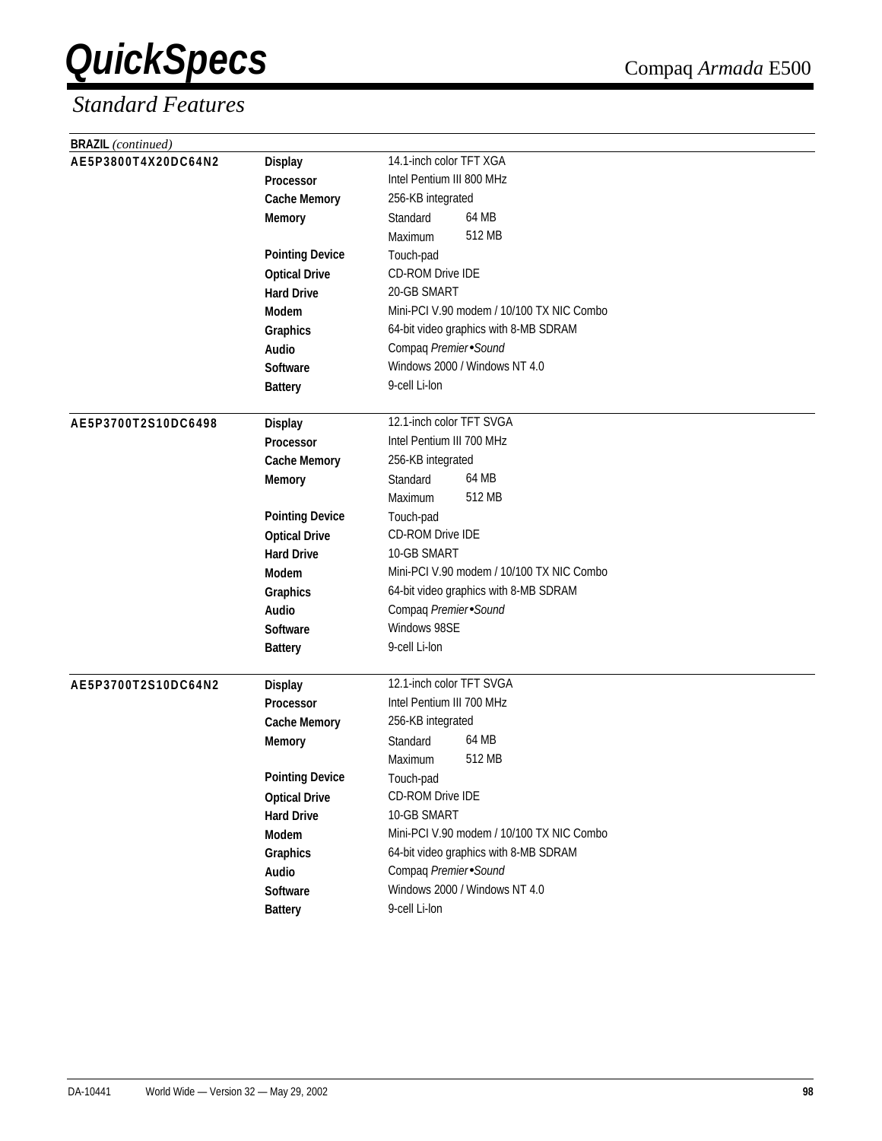| <b>BRAZIL</b> (continued) |                        |                                           |
|---------------------------|------------------------|-------------------------------------------|
| AE5P3800T4X20DC64N2       | <b>Display</b>         | 14.1-inch color TFT XGA                   |
|                           | Processor              | Intel Pentium III 800 MHz                 |
|                           | <b>Cache Memory</b>    | 256-KB integrated                         |
|                           | <b>Memory</b>          | 64 MB<br>Standard                         |
|                           |                        | 512 MB<br>Maximum                         |
|                           | <b>Pointing Device</b> | Touch-pad                                 |
|                           | <b>Optical Drive</b>   | <b>CD-ROM Drive IDE</b>                   |
|                           | <b>Hard Drive</b>      | 20-GB SMART                               |
|                           | Modem                  | Mini-PCI V.90 modem / 10/100 TX NIC Combo |
|                           | Graphics               | 64-bit video graphics with 8-MB SDRAM     |
|                           | Audio                  | Compaq Premier Sound                      |
|                           | <b>Software</b>        | Windows 2000 / Windows NT 4.0             |
|                           | <b>Battery</b>         | 9-cell Li-lon                             |
| AE5P3700T2S10DC6498       | <b>Display</b>         | 12.1-inch color TFT SVGA                  |
|                           | Processor              | Intel Pentium III 700 MHz                 |
|                           | <b>Cache Memory</b>    | 256-KB integrated                         |
|                           | <b>Memory</b>          | 64 MB<br>Standard                         |
|                           |                        | 512 MB<br>Maximum                         |
|                           | <b>Pointing Device</b> | Touch-pad                                 |
|                           | <b>Optical Drive</b>   | CD-ROM Drive IDE                          |
|                           | <b>Hard Drive</b>      | 10-GB SMART                               |
|                           | Modem                  | Mini-PCI V.90 modem / 10/100 TX NIC Combo |
|                           | Graphics               | 64-bit video graphics with 8-MB SDRAM     |
|                           | Audio                  | Compaq Premier Sound                      |
|                           | <b>Software</b>        | Windows 98SE                              |
|                           | <b>Battery</b>         | 9-cell Li-lon                             |
| AE5P3700T2S10DC64N2       | <b>Display</b>         | 12.1-inch color TFT SVGA                  |
|                           | Processor              | Intel Pentium III 700 MHz                 |
|                           | <b>Cache Memory</b>    | 256-KB integrated                         |
|                           | <b>Memory</b>          | 64 MB<br>Standard                         |
|                           |                        | 512 MB<br>Maximum                         |
|                           | <b>Pointing Device</b> | Touch-pad                                 |
|                           | <b>Optical Drive</b>   | CD-ROM Drive IDE                          |
|                           | <b>Hard Drive</b>      | 10-GB SMART                               |
|                           | Modem                  | Mini-PCI V.90 modem / 10/100 TX NIC Combo |
|                           | Graphics               | 64-bit video graphics with 8-MB SDRAM     |
|                           | Audio                  | Compaq Premier Sound                      |
|                           | Software               | Windows 2000 / Windows NT 4.0             |
|                           | <b>Battery</b>         | 9-cell Li-lon                             |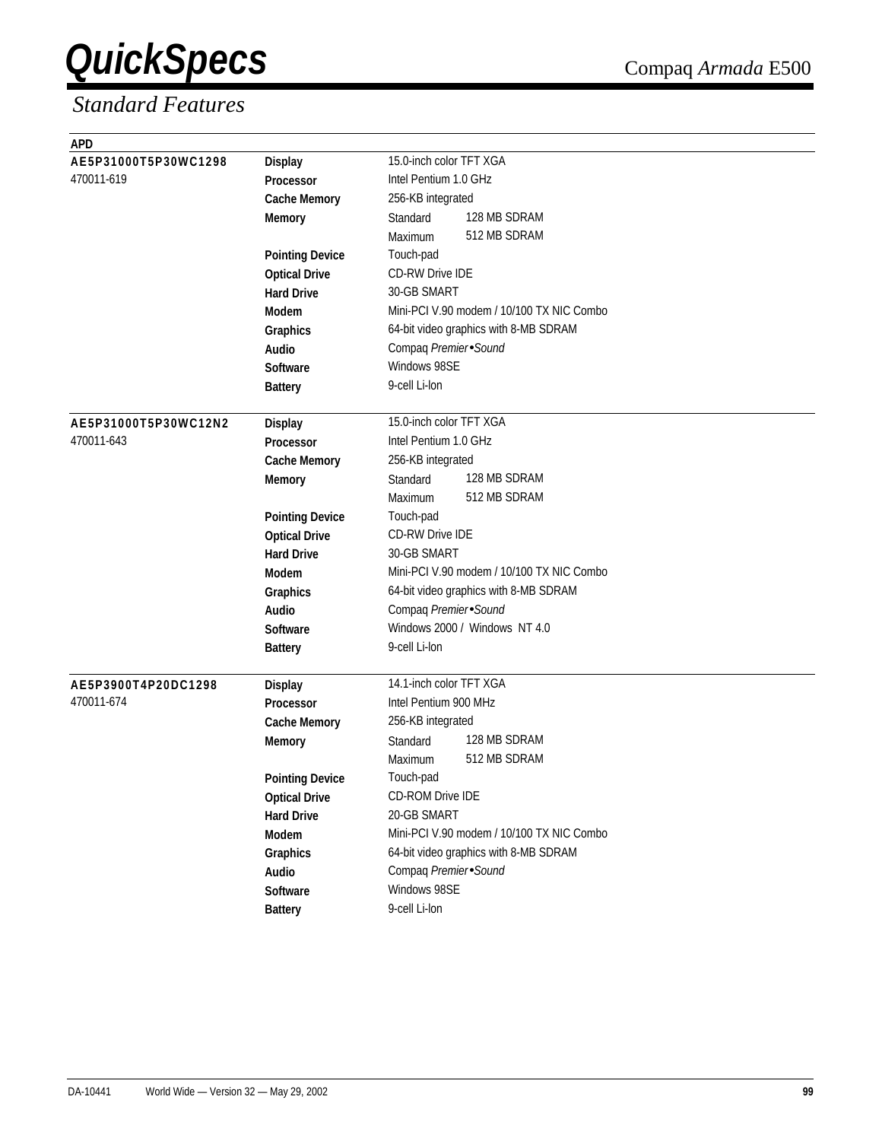| <b>APD</b>                        |                                         |                                           |
|-----------------------------------|-----------------------------------------|-------------------------------------------|
| AE5P31000T5P30WC1298              | <b>Display</b>                          | 15.0-inch color TFT XGA                   |
| 470011-619                        | Processor                               | Intel Pentium 1.0 GHz                     |
|                                   | <b>Cache Memory</b>                     | 256-KB integrated                         |
|                                   | <b>Memory</b>                           | 128 MB SDRAM<br>Standard                  |
|                                   |                                         | 512 MB SDRAM<br>Maximum                   |
|                                   | <b>Pointing Device</b>                  | Touch-pad                                 |
|                                   | <b>Optical Drive</b>                    | CD-RW Drive IDE                           |
|                                   | <b>Hard Drive</b>                       | 30-GB SMART                               |
|                                   | <b>Modem</b>                            | Mini-PCI V.90 modem / 10/100 TX NIC Combo |
|                                   | <b>Graphics</b>                         | 64-bit video graphics with 8-MB SDRAM     |
|                                   | Audio                                   | Compaq Premier Sound                      |
|                                   | Software                                | Windows 98SE                              |
|                                   | <b>Battery</b>                          | 9-cell Li-lon                             |
|                                   |                                         |                                           |
| AE5P31000T5P30WC12N2              | <b>Display</b>                          | 15.0-inch color TFT XGA                   |
| 470011-643                        | Processor                               | Intel Pentium 1.0 GHz                     |
|                                   | <b>Cache Memory</b>                     | 256-KB integrated                         |
|                                   | <b>Memory</b>                           | 128 MB SDRAM<br>Standard                  |
|                                   |                                         | 512 MB SDRAM<br>Maximum                   |
|                                   | <b>Pointing Device</b>                  | Touch-pad                                 |
|                                   | <b>Optical Drive</b>                    | <b>CD-RW Drive IDE</b>                    |
|                                   | <b>Hard Drive</b>                       | 30-GB SMART                               |
|                                   | <b>Modem</b>                            | Mini-PCI V.90 modem / 10/100 TX NIC Combo |
|                                   | Graphics                                | 64-bit video graphics with 8-MB SDRAM     |
|                                   | Audio                                   | Compaq Premier Sound                      |
|                                   | Software                                | Windows 2000 / Windows NT 4.0             |
|                                   | <b>Battery</b>                          | 9-cell Li-lon                             |
|                                   |                                         | 14.1-inch color TFT XGA                   |
| AE5P3900T4P20DC1298<br>470011-674 | <b>Display</b>                          | Intel Pentium 900 MHz                     |
|                                   | <b>Processor</b><br><b>Cache Memory</b> | 256-KB integrated                         |
|                                   |                                         | 128 MB SDRAM<br>Standard                  |
|                                   | <b>Memory</b>                           | 512 MB SDRAM<br>Maximum                   |
|                                   | <b>Pointing Device</b>                  | Touch-pad                                 |
|                                   | <b>Optical Drive</b>                    | <b>CD-ROM Drive IDE</b>                   |
|                                   | <b>Hard Drive</b>                       | 20-GB SMART                               |
|                                   | Modem                                   | Mini-PCI V.90 modem / 10/100 TX NIC Combo |
|                                   | Graphics                                | 64-bit video graphics with 8-MB SDRAM     |
|                                   | Audio                                   | Compaq Premier Sound                      |
|                                   | Software                                | Windows 98SE                              |
|                                   | <b>Battery</b>                          | 9-cell Li-lon                             |
|                                   |                                         |                                           |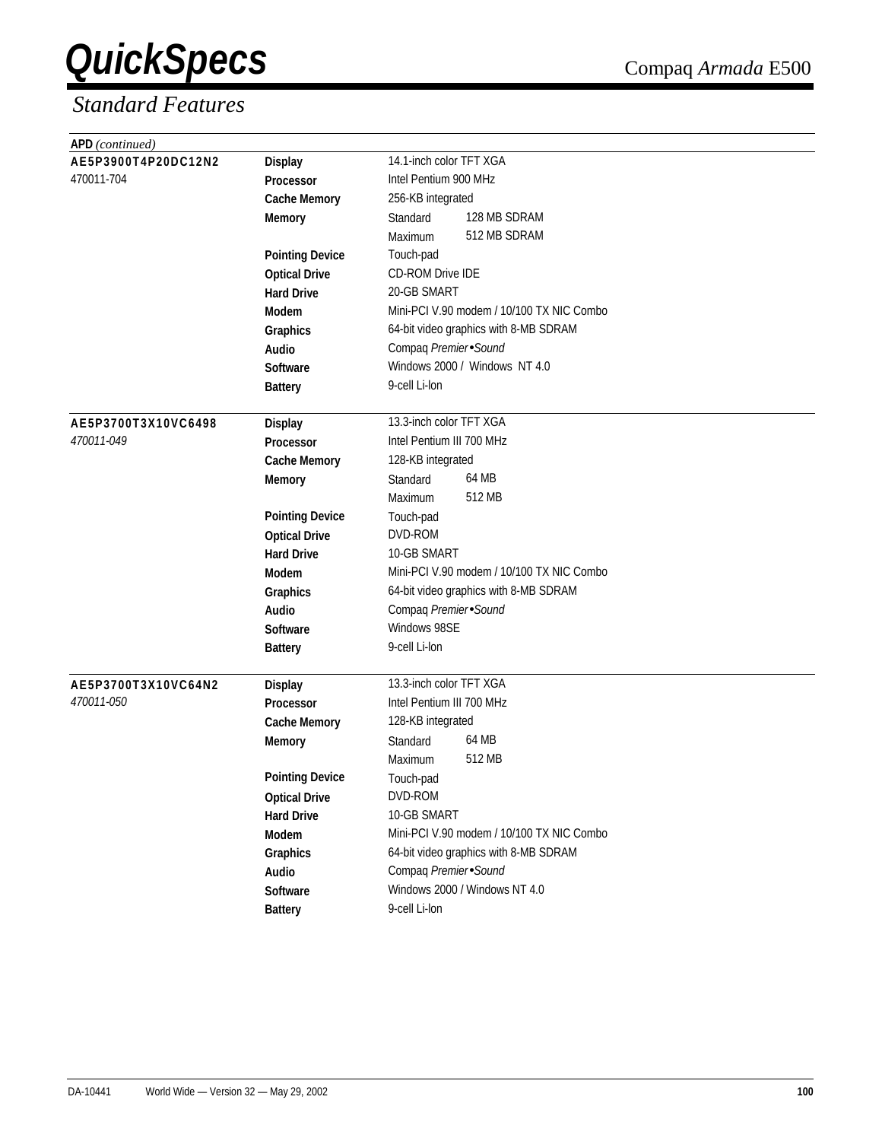| APD (continued)     |                        |                                           |
|---------------------|------------------------|-------------------------------------------|
| AE5P3900T4P20DC12N2 | <b>Display</b>         | 14.1-inch color TFT XGA                   |
| 470011-704          | Processor              | Intel Pentium 900 MHz                     |
|                     | <b>Cache Memory</b>    | 256-KB integrated                         |
|                     | <b>Memory</b>          | 128 MB SDRAM<br>Standard                  |
|                     |                        | 512 MB SDRAM<br>Maximum                   |
|                     | <b>Pointing Device</b> | Touch-pad                                 |
|                     | <b>Optical Drive</b>   | <b>CD-ROM Drive IDE</b>                   |
|                     | <b>Hard Drive</b>      | 20-GB SMART                               |
|                     | Modem                  | Mini-PCI V.90 modem / 10/100 TX NIC Combo |
|                     | Graphics               | 64-bit video graphics with 8-MB SDRAM     |
|                     | Audio                  | Compaq Premier Sound                      |
|                     | <b>Software</b>        | Windows 2000 / Windows NT 4.0             |
|                     | <b>Battery</b>         | 9-cell Li-lon                             |
|                     |                        |                                           |
| AE5P3700T3X10VC6498 | <b>Display</b>         | 13.3-inch color TFT XGA                   |
| 470011-049          | Processor              | Intel Pentium III 700 MHz                 |
|                     | <b>Cache Memory</b>    | 128-KB integrated                         |
|                     | <b>Memory</b>          | 64 MB<br>Standard                         |
|                     |                        | 512 MB<br>Maximum                         |
|                     | <b>Pointing Device</b> | Touch-pad                                 |
|                     | <b>Optical Drive</b>   | DVD-ROM                                   |
|                     | <b>Hard Drive</b>      | 10-GB SMART                               |
|                     | <b>Modem</b>           | Mini-PCI V.90 modem / 10/100 TX NIC Combo |
|                     | Graphics               | 64-bit video graphics with 8-MB SDRAM     |
|                     | <b>Audio</b>           | Compaq Premier Sound                      |
|                     | Software               | Windows 98SE                              |
|                     | <b>Battery</b>         | 9-cell Li-lon                             |
| AE5P3700T3X10VC64N2 | <b>Display</b>         | 13.3-inch color TFT XGA                   |
| 470011-050          | <b>Processor</b>       | Intel Pentium III 700 MHz                 |
|                     | <b>Cache Memory</b>    | 128-KB integrated                         |
|                     | <b>Memory</b>          | 64 MB<br>Standard                         |
|                     |                        | 512 MB<br>Maximum                         |
|                     | <b>Pointing Device</b> |                                           |
|                     | <b>Optical Drive</b>   | Touch-pad<br>DVD-ROM                      |
|                     | <b>Hard Drive</b>      | 10-GB SMART                               |
|                     |                        | Mini-PCI V.90 modem / 10/100 TX NIC Combo |
|                     | Modem                  | 64-bit video graphics with 8-MB SDRAM     |
|                     | Graphics               | Compaq Premier Sound                      |
|                     | Audio                  | Windows 2000 / Windows NT 4.0             |
|                     | Software               |                                           |
|                     | <b>Battery</b>         | 9-cell Li-lon                             |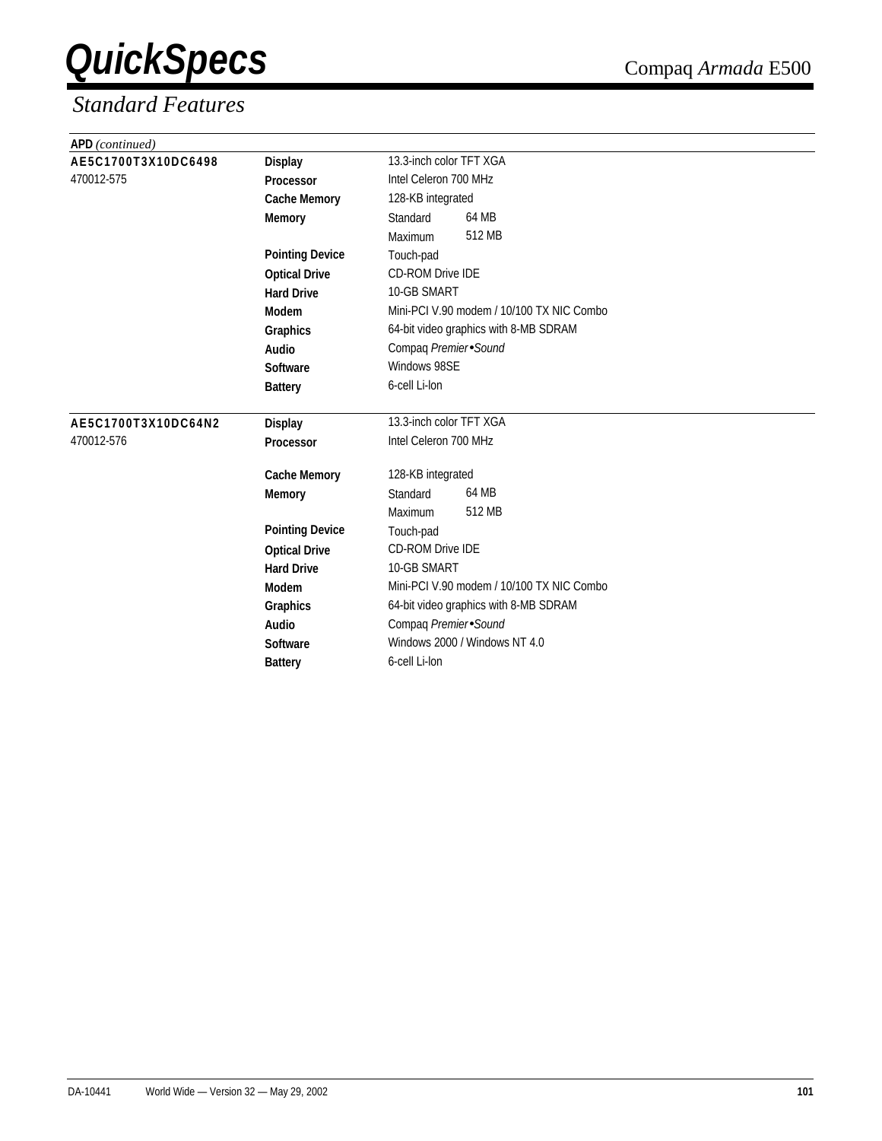| APD (continued)     |                        |                                           |
|---------------------|------------------------|-------------------------------------------|
| AE5C1700T3X10DC6498 | <b>Display</b>         | 13.3-inch color TFT XGA                   |
| 470012-575          | Processor              | Intel Celeron 700 MHz                     |
|                     | <b>Cache Memory</b>    | 128-KB integrated                         |
|                     | <b>Memory</b>          | 64 MB<br>Standard                         |
|                     |                        | 512 MB<br>Maximum                         |
|                     | <b>Pointing Device</b> | Touch-pad                                 |
|                     | <b>Optical Drive</b>   | <b>CD-ROM Drive IDE</b>                   |
|                     | <b>Hard Drive</b>      | 10-GB SMART                               |
|                     | Modem                  | Mini-PCI V.90 modem / 10/100 TX NIC Combo |
|                     | Graphics               | 64-bit video graphics with 8-MB SDRAM     |
|                     | Audio                  | Compaq Premier Sound                      |
|                     | Software               | Windows 98SE                              |
|                     | <b>Battery</b>         | 6-cell Li-lon                             |
| AE5C1700T3X10DC64N2 | <b>Display</b>         | 13.3-inch color TFT XGA                   |
| 470012-576          | Processor              | Intel Celeron 700 MHz                     |
|                     | <b>Cache Memory</b>    | 128-KB integrated                         |
|                     | <b>Memory</b>          | 64 MB<br>Standard                         |
|                     |                        | 512 MB<br><b>Maximum</b>                  |
|                     | <b>Pointing Device</b> | Touch-pad                                 |
|                     | <b>Optical Drive</b>   | <b>CD-ROM Drive IDE</b>                   |
|                     | <b>Hard Drive</b>      | 10-GB SMART                               |
|                     | <b>Modem</b>           | Mini-PCI V.90 modem / 10/100 TX NIC Combo |
|                     | Graphics               | 64-bit video graphics with 8-MB SDRAM     |
|                     | Audio                  | Compaq Premier Sound                      |
|                     | Software               | Windows 2000 / Windows NT 4.0             |
|                     | <b>Battery</b>         | 6-cell Li-lon                             |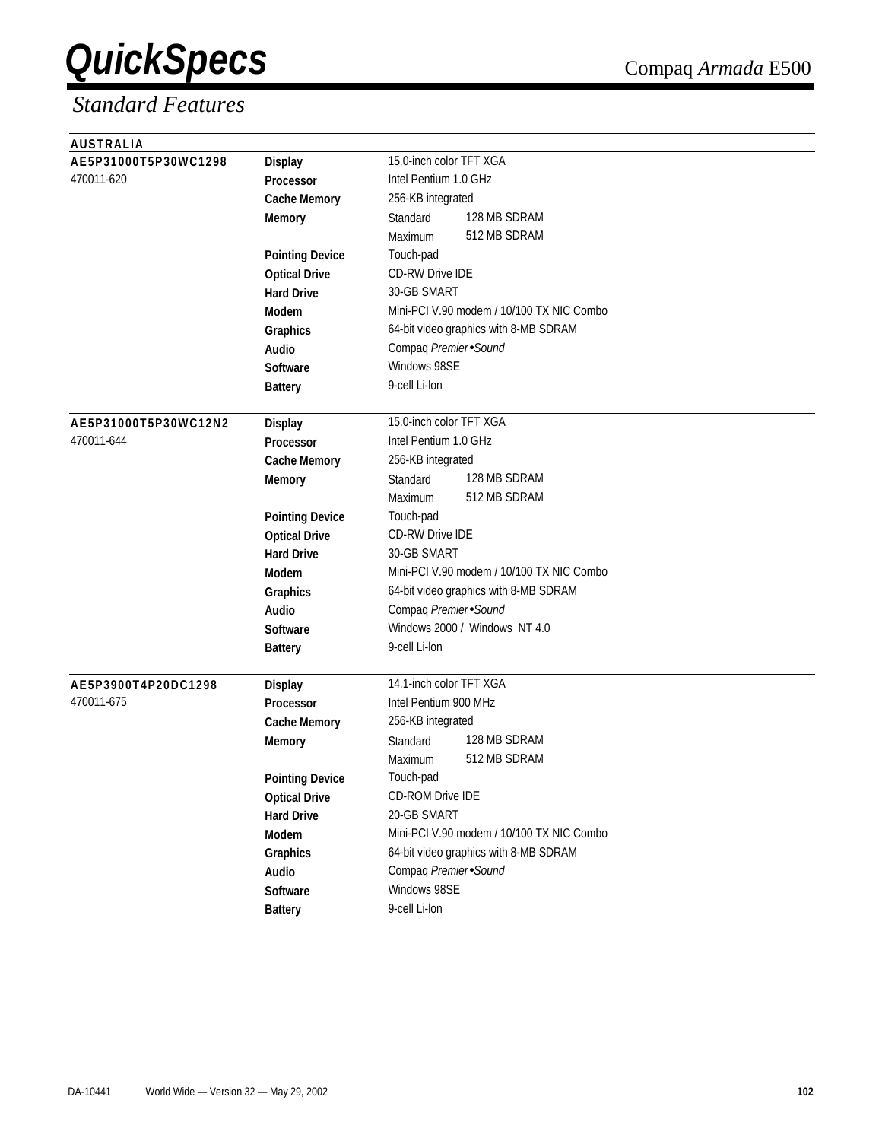| <b>AUSTRALIA</b>     |                        |                                           |
|----------------------|------------------------|-------------------------------------------|
| AE5P31000T5P30WC1298 | <b>Display</b>         | 15.0-inch color TFT XGA                   |
| 470011-620           | Processor              | Intel Pentium 1.0 GHz                     |
|                      | <b>Cache Memory</b>    | 256-KB integrated                         |
|                      | <b>Memory</b>          | 128 MB SDRAM<br>Standard                  |
|                      |                        | 512 MB SDRAM<br>Maximum                   |
|                      | <b>Pointing Device</b> | Touch-pad                                 |
|                      | <b>Optical Drive</b>   | <b>CD-RW Drive IDE</b>                    |
|                      | <b>Hard Drive</b>      | 30-GB SMART                               |
|                      | Modem                  | Mini-PCI V.90 modem / 10/100 TX NIC Combo |
|                      | Graphics               | 64-bit video graphics with 8-MB SDRAM     |
|                      | Audio                  | Compaq Premier Sound                      |
|                      | <b>Software</b>        | Windows 98SE                              |
|                      | <b>Battery</b>         | 9-cell Li-lon                             |
|                      |                        |                                           |
| AE5P31000T5P30WC12N2 | <b>Display</b>         | 15.0-inch color TFT XGA                   |
| 470011-644           | Processor              | Intel Pentium 1.0 GHz                     |
|                      | <b>Cache Memory</b>    | 256-KB integrated                         |
|                      | <b>Memory</b>          | 128 MB SDRAM<br>Standard                  |
|                      |                        | 512 MB SDRAM<br>Maximum                   |
|                      | <b>Pointing Device</b> | Touch-pad                                 |
|                      | <b>Optical Drive</b>   | <b>CD-RW Drive IDE</b>                    |
|                      | <b>Hard Drive</b>      | 30-GB SMART                               |
|                      | <b>Modem</b>           | Mini-PCI V.90 modem / 10/100 TX NIC Combo |
|                      | Graphics               | 64-bit video graphics with 8-MB SDRAM     |
|                      | Audio                  | Compaq Premier Sound                      |
|                      | Software               | Windows 2000 / Windows NT 4.0             |
|                      | <b>Battery</b>         | 9-cell Li-lon                             |
|                      |                        |                                           |
| AE5P3900T4P20DC1298  | <b>Display</b>         | 14.1-inch color TFT XGA                   |
| 470011-675           | <b>Processor</b>       | Intel Pentium 900 MHz                     |
|                      | <b>Cache Memory</b>    | 256-KB integrated                         |
|                      | <b>Memory</b>          | 128 MB SDRAM<br>Standard                  |
|                      |                        | 512 MB SDRAM<br>Maximum                   |
|                      | <b>Pointing Device</b> | Touch-pad                                 |
|                      | <b>Optical Drive</b>   | CD-ROM Drive IDE                          |
|                      | <b>Hard Drive</b>      | 20-GB SMART                               |
|                      | Modem                  | Mini-PCI V.90 modem / 10/100 TX NIC Combo |
|                      | Graphics               | 64-bit video graphics with 8-MB SDRAM     |
|                      | Audio                  | Compaq Premier Sound                      |
|                      | Software               | Windows 98SE                              |
|                      | <b>Battery</b>         | 9-cell Li-lon                             |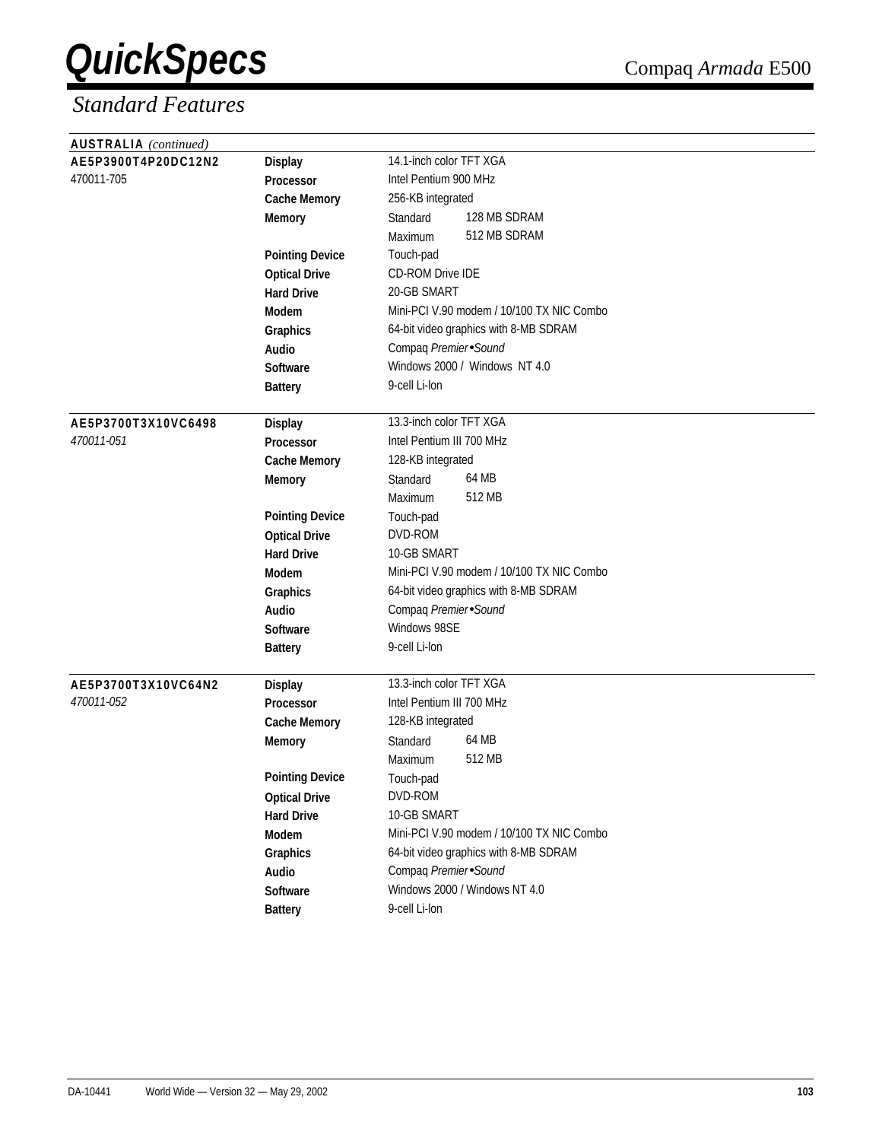| <b>AUSTRALIA</b> (continued) |                        |                                           |
|------------------------------|------------------------|-------------------------------------------|
| AE5P3900T4P20DC12N2          | <b>Display</b>         | 14.1-inch color TFT XGA                   |
| 470011-705                   | Processor              | Intel Pentium 900 MHz                     |
|                              | <b>Cache Memory</b>    | 256-KB integrated                         |
|                              | <b>Memory</b>          | 128 MB SDRAM<br>Standard                  |
|                              |                        | 512 MB SDRAM<br>Maximum                   |
|                              | <b>Pointing Device</b> | Touch-pad                                 |
|                              | <b>Optical Drive</b>   | <b>CD-ROM Drive IDE</b>                   |
|                              | <b>Hard Drive</b>      | 20-GB SMART                               |
|                              | Modem                  | Mini-PCI V.90 modem / 10/100 TX NIC Combo |
|                              | Graphics               | 64-bit video graphics with 8-MB SDRAM     |
|                              | Audio                  | Compaq Premier Sound                      |
|                              | <b>Software</b>        | Windows 2000 / Windows NT 4.0             |
|                              | <b>Battery</b>         | 9-cell Li-lon                             |
|                              |                        |                                           |
| AE5P3700T3X10VC6498          | <b>Display</b>         | 13.3-inch color TFT XGA                   |
| 470011-051                   | Processor              | Intel Pentium III 700 MHz                 |
|                              | <b>Cache Memory</b>    | 128-KB integrated                         |
|                              | <b>Memory</b>          | 64 MB<br>Standard                         |
|                              |                        | 512 MB<br>Maximum                         |
|                              | <b>Pointing Device</b> | Touch-pad                                 |
|                              | <b>Optical Drive</b>   | DVD-ROM                                   |
|                              | <b>Hard Drive</b>      | 10-GB SMART                               |
|                              | <b>Modem</b>           | Mini-PCI V.90 modem / 10/100 TX NIC Combo |
|                              | Graphics               | 64-bit video graphics with 8-MB SDRAM     |
|                              | <b>Audio</b>           | Compaq Premier Sound                      |
|                              | Software               | Windows 98SE                              |
|                              | <b>Battery</b>         | 9-cell Li-lon                             |
| AE5P3700T3X10VC64N2          | <b>Display</b>         | 13.3-inch color TFT XGA                   |
| 470011-052                   | <b>Processor</b>       | Intel Pentium III 700 MHz                 |
|                              | <b>Cache Memory</b>    | 128-KB integrated                         |
|                              | <b>Memory</b>          | 64 MB<br>Standard                         |
|                              |                        | 512 MB<br>Maximum                         |
|                              | <b>Pointing Device</b> |                                           |
|                              | <b>Optical Drive</b>   | Touch-pad<br>DVD-ROM                      |
|                              | <b>Hard Drive</b>      | 10-GB SMART                               |
|                              | Modem                  | Mini-PCI V.90 modem / 10/100 TX NIC Combo |
|                              |                        | 64-bit video graphics with 8-MB SDRAM     |
|                              | Graphics               | Compaq Premier Sound                      |
|                              | Audio                  | Windows 2000 / Windows NT 4.0             |
|                              | Software               |                                           |
|                              | <b>Battery</b>         | 9-cell Li-lon                             |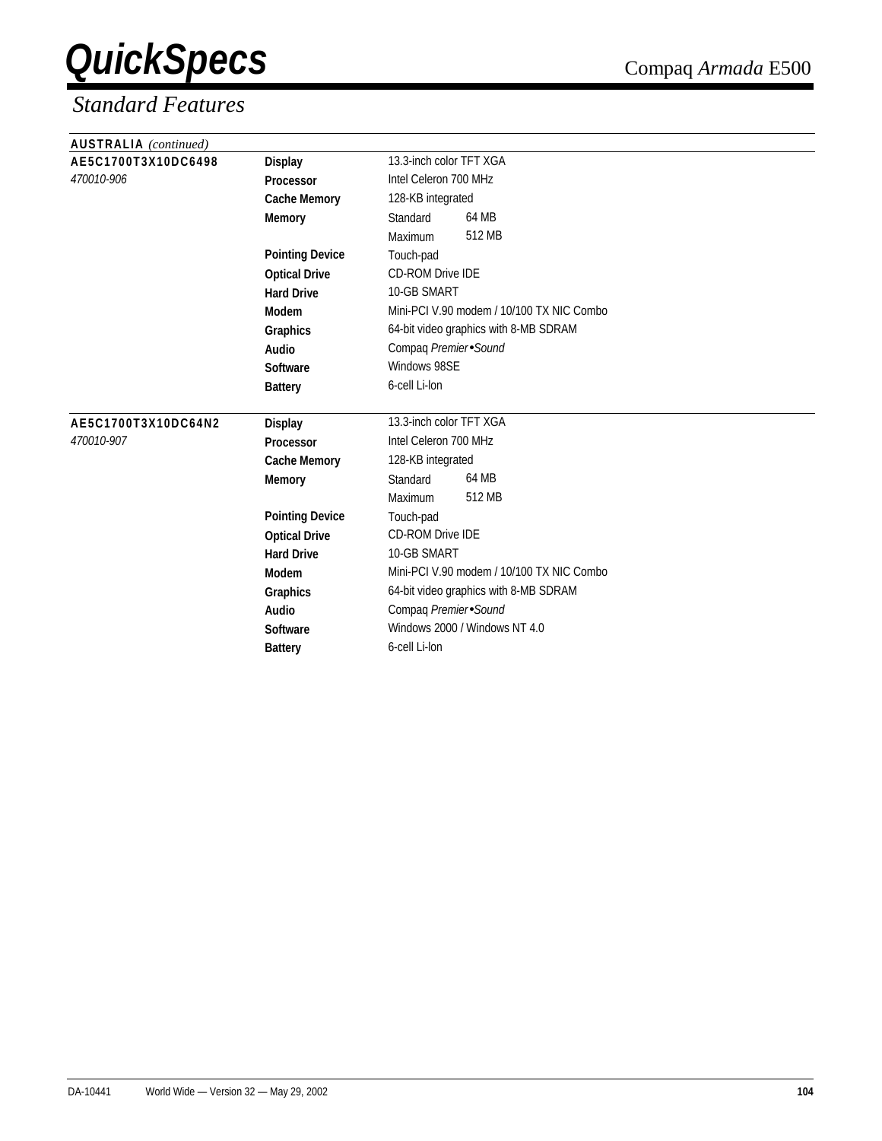| <b>AUSTRALIA</b> (continued) |                        |                                           |
|------------------------------|------------------------|-------------------------------------------|
| AE5C1700T3X10DC6498          | <b>Display</b>         | 13.3-inch color TFT XGA                   |
| 470010-906                   | Processor              | Intel Celeron 700 MHz                     |
|                              | <b>Cache Memory</b>    | 128-KB integrated                         |
|                              | <b>Memory</b>          | 64 MB<br>Standard                         |
|                              |                        | 512 MB<br>Maximum                         |
|                              | <b>Pointing Device</b> | Touch-pad                                 |
|                              | <b>Optical Drive</b>   | <b>CD-ROM Drive IDE</b>                   |
|                              | <b>Hard Drive</b>      | 10-GB SMART                               |
|                              | Modem                  | Mini-PCI V.90 modem / 10/100 TX NIC Combo |
|                              | Graphics               | 64-bit video graphics with 8-MB SDRAM     |
|                              | Audio                  | Compaq Premier Sound                      |
|                              | Software               | Windows 98SE                              |
|                              | <b>Battery</b>         | 6-cell Li-lon                             |
| AE5C1700T3X10DC64N2          | <b>Display</b>         | 13.3-inch color TFT XGA                   |
| 470010-907                   | <b>Processor</b>       | Intel Celeron 700 MHz                     |
|                              | <b>Cache Memory</b>    | 128-KB integrated                         |
|                              | <b>Memory</b>          | 64 MB<br>Standard                         |
|                              |                        | 512 MB<br>Maximum                         |
|                              | <b>Pointing Device</b> | Touch-pad                                 |
|                              | <b>Optical Drive</b>   | <b>CD-ROM Drive IDE</b>                   |
|                              | <b>Hard Drive</b>      | 10-GB SMART                               |
|                              | Modem                  | Mini-PCI V.90 modem / 10/100 TX NIC Combo |
|                              | Graphics               | 64-bit video graphics with 8-MB SDRAM     |
|                              | Audio                  | Compaq Premier Sound                      |
|                              | <b>Software</b>        | Windows 2000 / Windows NT 4.0             |
|                              | <b>Battery</b>         | 6-cell Li-lon                             |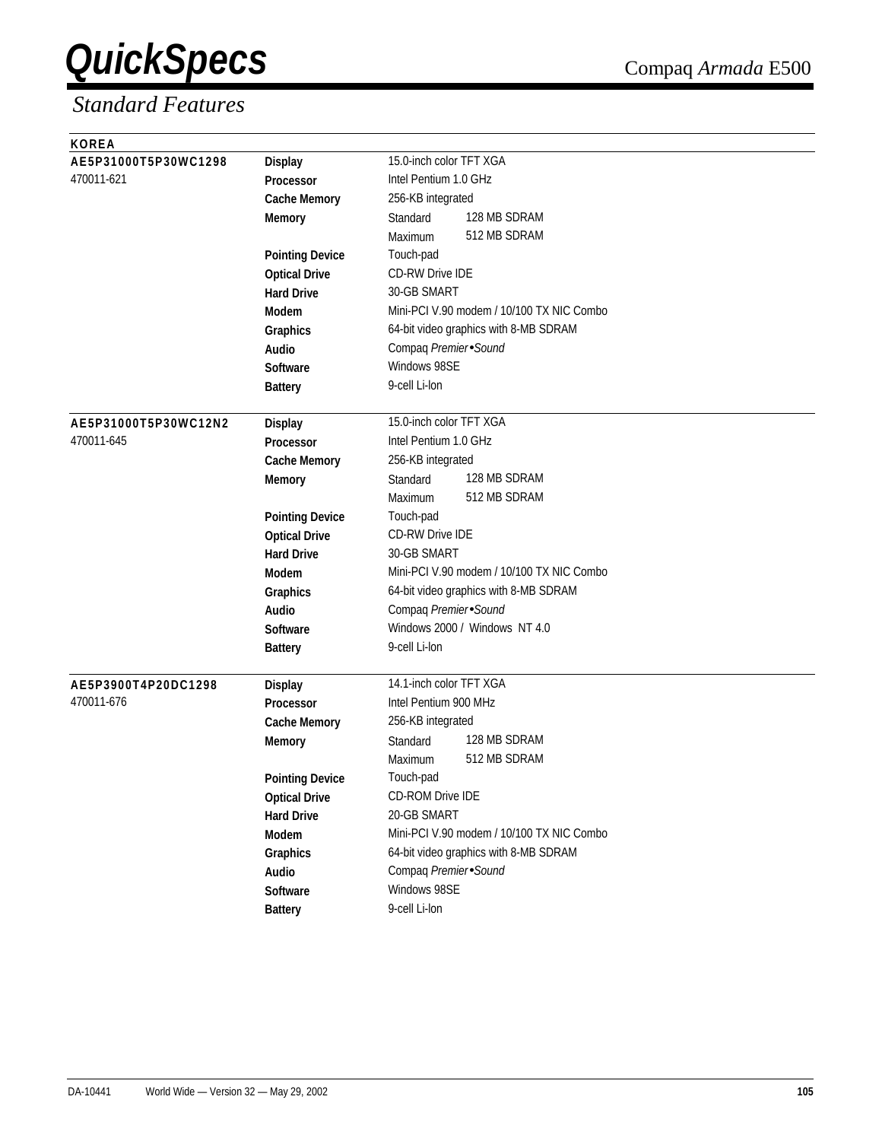| <b>KOREA</b>         |                        |                                           |
|----------------------|------------------------|-------------------------------------------|
| AE5P31000T5P30WC1298 | <b>Display</b>         | 15.0-inch color TFT XGA                   |
| 470011-621           | Processor              | Intel Pentium 1.0 GHz                     |
|                      | <b>Cache Memory</b>    | 256-KB integrated                         |
|                      | <b>Memory</b>          | 128 MB SDRAM<br>Standard                  |
|                      |                        | 512 MB SDRAM<br>Maximum                   |
|                      | <b>Pointing Device</b> | Touch-pad                                 |
|                      | <b>Optical Drive</b>   | <b>CD-RW Drive IDE</b>                    |
|                      | <b>Hard Drive</b>      | 30-GB SMART                               |
|                      | Modem                  | Mini-PCI V.90 modem / 10/100 TX NIC Combo |
|                      | Graphics               | 64-bit video graphics with 8-MB SDRAM     |
|                      | Audio                  | Compaq Premier Sound                      |
|                      | <b>Software</b>        | Windows 98SE                              |
|                      | <b>Battery</b>         | 9-cell Li-lon                             |
|                      |                        |                                           |
| AE5P31000T5P30WC12N2 | <b>Display</b>         | 15.0-inch color TFT XGA                   |
| 470011-645           | Processor              | Intel Pentium 1.0 GHz                     |
|                      | <b>Cache Memory</b>    | 256-KB integrated                         |
|                      | <b>Memory</b>          | 128 MB SDRAM<br>Standard                  |
|                      |                        | 512 MB SDRAM<br>Maximum                   |
|                      | <b>Pointing Device</b> | Touch-pad                                 |
|                      | <b>Optical Drive</b>   | <b>CD-RW Drive IDE</b>                    |
|                      | <b>Hard Drive</b>      | 30-GB SMART                               |
|                      | Modem                  | Mini-PCI V.90 modem / 10/100 TX NIC Combo |
|                      | Graphics               | 64-bit video graphics with 8-MB SDRAM     |
|                      | Audio                  | Compaq Premier Sound                      |
|                      | <b>Software</b>        | Windows 2000 / Windows NT 4.0             |
|                      | <b>Battery</b>         | 9-cell Li-lon                             |
|                      |                        |                                           |
| AE5P3900T4P20DC1298  | <b>Display</b>         | 14.1-inch color TFT XGA                   |
| 470011-676           | Processor              | Intel Pentium 900 MHz                     |
|                      | <b>Cache Memory</b>    | 256-KB integrated                         |
|                      | <b>Memory</b>          | 128 MB SDRAM<br>Standard                  |
|                      |                        | 512 MB SDRAM<br>Maximum                   |
|                      | <b>Pointing Device</b> | Touch-pad                                 |
|                      | <b>Optical Drive</b>   | CD-ROM Drive IDE                          |
|                      | <b>Hard Drive</b>      | 20-GB SMART                               |
|                      | Modem                  | Mini-PCI V.90 modem / 10/100 TX NIC Combo |
|                      | Graphics               | 64-bit video graphics with 8-MB SDRAM     |
|                      | Audio                  | Compaq Premier Sound                      |
|                      | Software               | Windows 98SE                              |
|                      | <b>Battery</b>         | 9-cell Li-lon                             |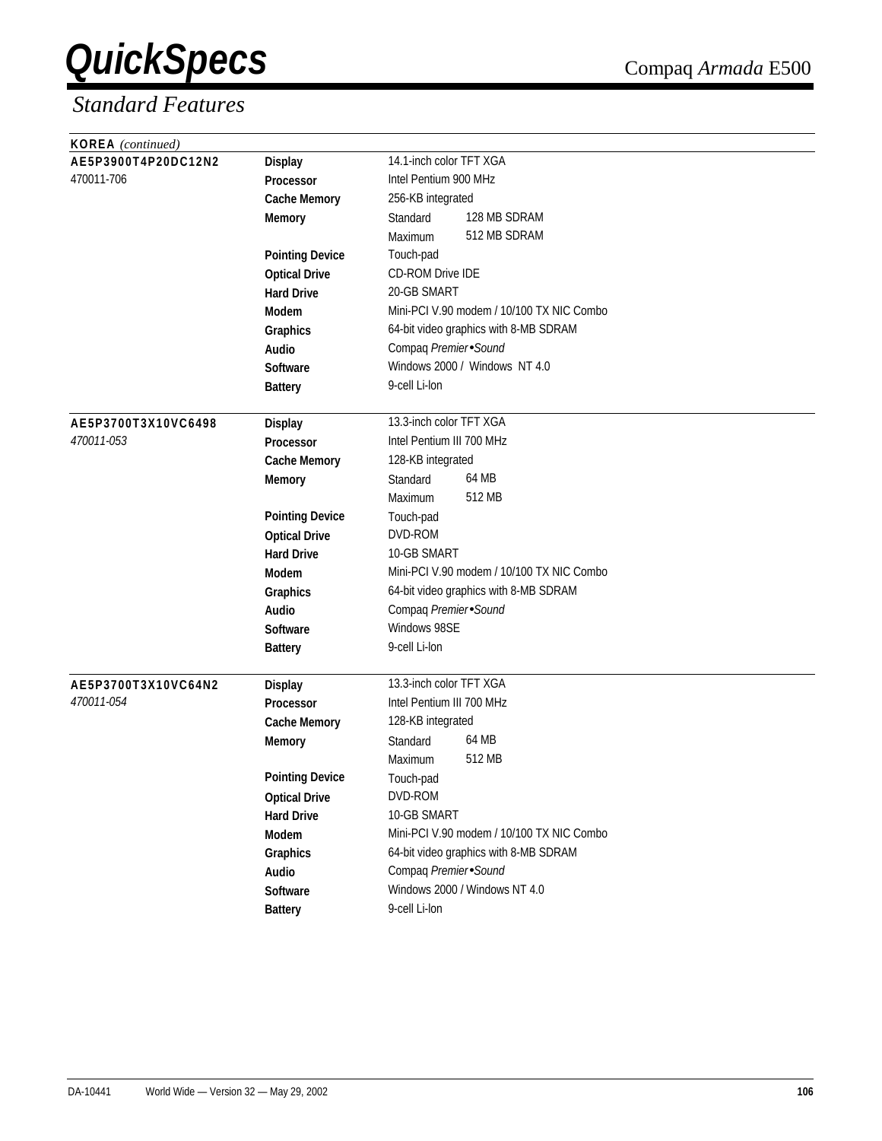| <b>KOREA</b> (continued) |                        |                                           |
|--------------------------|------------------------|-------------------------------------------|
| AE5P3900T4P20DC12N2      | <b>Display</b>         | 14.1-inch color TFT XGA                   |
| 470011-706               | Processor              | Intel Pentium 900 MHz                     |
|                          | <b>Cache Memory</b>    | 256-KB integrated                         |
|                          | <b>Memory</b>          | 128 MB SDRAM<br>Standard                  |
|                          |                        | 512 MB SDRAM<br>Maximum                   |
|                          | <b>Pointing Device</b> | Touch-pad                                 |
|                          | <b>Optical Drive</b>   | <b>CD-ROM Drive IDE</b>                   |
|                          | <b>Hard Drive</b>      | 20-GB SMART                               |
|                          | Modem                  | Mini-PCI V.90 modem / 10/100 TX NIC Combo |
|                          | Graphics               | 64-bit video graphics with 8-MB SDRAM     |
|                          | Audio                  | Compaq Premier Sound                      |
|                          | <b>Software</b>        | Windows 2000 / Windows NT 4.0             |
|                          | <b>Battery</b>         | 9-cell Li-lon                             |
|                          |                        |                                           |
| AE5P3700T3X10VC6498      | <b>Display</b>         | 13.3-inch color TFT XGA                   |
| 470011-053               | <b>Processor</b>       | Intel Pentium III 700 MHz                 |
|                          | <b>Cache Memory</b>    | 128-KB integrated                         |
|                          | <b>Memory</b>          | 64 MB<br>Standard                         |
|                          |                        | 512 MB<br>Maximum                         |
|                          | <b>Pointing Device</b> | Touch-pad                                 |
|                          | <b>Optical Drive</b>   | DVD-ROM                                   |
|                          | <b>Hard Drive</b>      | 10-GB SMART                               |
|                          | Modem                  | Mini-PCI V.90 modem / 10/100 TX NIC Combo |
|                          | Graphics               | 64-bit video graphics with 8-MB SDRAM     |
|                          | Audio                  | Compaq Premier Sound                      |
|                          | <b>Software</b>        | Windows 98SE                              |
|                          | <b>Battery</b>         | 9-cell Li-lon                             |
| AE5P3700T3X10VC64N2      | <b>Display</b>         | 13.3-inch color TFT XGA                   |
| 470011-054               | <b>Processor</b>       | Intel Pentium III 700 MHz                 |
|                          | <b>Cache Memory</b>    | 128-KB integrated                         |
|                          | <b>Memory</b>          | 64 MB<br>Standard                         |
|                          |                        | 512 MB<br>Maximum                         |
|                          | <b>Pointing Device</b> | Touch-pad                                 |
|                          | <b>Optical Drive</b>   | DVD-ROM                                   |
|                          | <b>Hard Drive</b>      | 10-GB SMART                               |
|                          | Modem                  | Mini-PCI V.90 modem / 10/100 TX NIC Combo |
|                          | Graphics               | 64-bit video graphics with 8-MB SDRAM     |
|                          | Audio                  | Compaq Premier Sound                      |
|                          | Software               | Windows 2000 / Windows NT 4.0             |
|                          | <b>Battery</b>         | 9-cell Li-lon                             |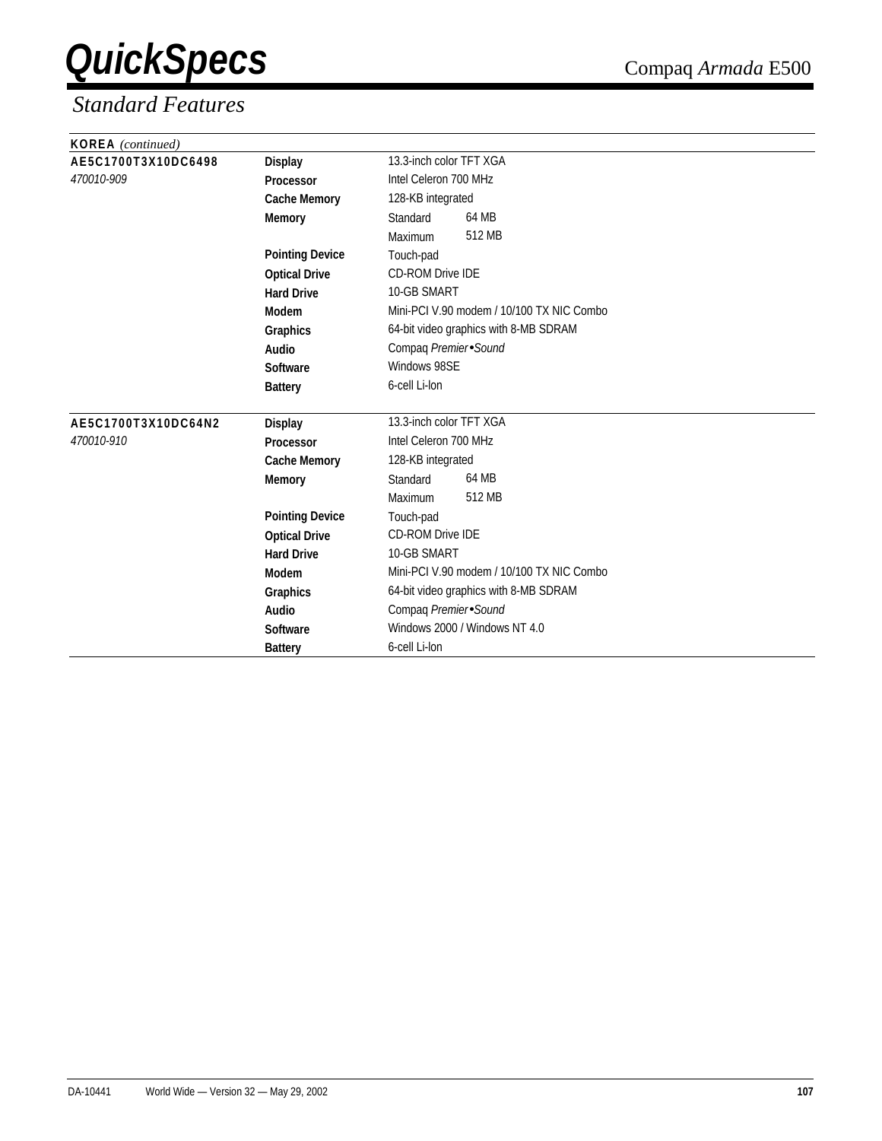| <b>KOREA</b> (continued) |                        |                                           |
|--------------------------|------------------------|-------------------------------------------|
| AE5C1700T3X10DC6498      | <b>Display</b>         | 13.3-inch color TFT XGA                   |
| 470010-909               | Processor              | Intel Celeron 700 MHz                     |
|                          | <b>Cache Memory</b>    | 128-KB integrated                         |
|                          | <b>Memory</b>          | 64 MB<br>Standard                         |
|                          |                        | 512 MB<br>Maximum                         |
|                          | <b>Pointing Device</b> | Touch-pad                                 |
|                          | <b>Optical Drive</b>   | <b>CD-ROM Drive IDE</b>                   |
|                          | <b>Hard Drive</b>      | 10-GB SMART                               |
|                          | Modem                  | Mini-PCI V.90 modem / 10/100 TX NIC Combo |
|                          | Graphics               | 64-bit video graphics with 8-MB SDRAM     |
|                          | Audio                  | Compaq Premier Sound                      |
|                          | Software               | Windows 98SE                              |
|                          | <b>Battery</b>         | 6-cell Li-lon                             |
|                          |                        |                                           |
| AE5C1700T3X10DC64N2      | <b>Display</b>         | 13.3-inch color TFT XGA                   |
| 470010-910               | Processor              | Intel Celeron 700 MHz                     |
|                          | <b>Cache Memory</b>    | 128-KB integrated                         |
|                          | <b>Memory</b>          | 64 MB<br>Standard                         |
|                          |                        | 512 MB<br>Maximum                         |
|                          | <b>Pointing Device</b> | Touch-pad                                 |
|                          | <b>Optical Drive</b>   | <b>CD-ROM Drive IDE</b>                   |
|                          | <b>Hard Drive</b>      | 10-GB SMART                               |
|                          | Modem                  | Mini-PCI V.90 modem / 10/100 TX NIC Combo |
|                          | Graphics               | 64-bit video graphics with 8-MB SDRAM     |
|                          | Audio                  | Compaq Premier Sound                      |
|                          | <b>Software</b>        | Windows 2000 / Windows NT 4.0             |
|                          | <b>Battery</b>         | 6-cell Li-lon                             |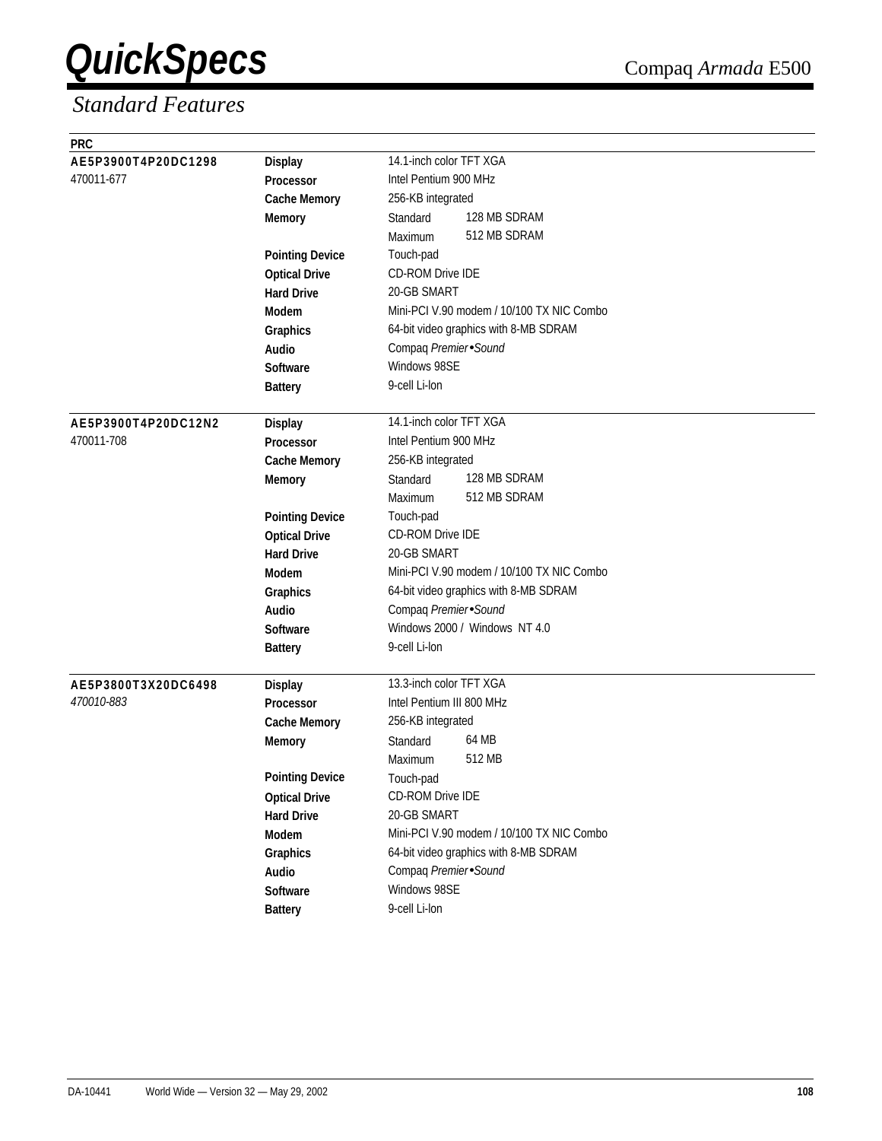| <b>PRC</b>          |                        |                                           |
|---------------------|------------------------|-------------------------------------------|
| AE5P3900T4P20DC1298 | <b>Display</b>         | 14.1-inch color TFT XGA                   |
| 470011-677          | Processor              | Intel Pentium 900 MHz                     |
|                     | <b>Cache Memory</b>    | 256-KB integrated                         |
|                     | <b>Memory</b>          | 128 MB SDRAM<br>Standard                  |
|                     |                        | 512 MB SDRAM<br>Maximum                   |
|                     | <b>Pointing Device</b> | Touch-pad                                 |
|                     | <b>Optical Drive</b>   | <b>CD-ROM Drive IDE</b>                   |
|                     | <b>Hard Drive</b>      | 20-GB SMART                               |
|                     | Modem                  | Mini-PCI V.90 modem / 10/100 TX NIC Combo |
|                     | Graphics               | 64-bit video graphics with 8-MB SDRAM     |
|                     | Audio                  | Compaq Premier Sound                      |
|                     | <b>Software</b>        | Windows 98SE                              |
|                     | <b>Battery</b>         | 9-cell Li-lon                             |
| AE5P3900T4P20DC12N2 | <b>Display</b>         | 14.1-inch color TFT XGA                   |
| 470011-708          | Processor              | Intel Pentium 900 MHz                     |
|                     | <b>Cache Memory</b>    | 256-KB integrated                         |
|                     | <b>Memory</b>          | 128 MB SDRAM<br>Standard                  |
|                     |                        | 512 MB SDRAM<br>Maximum                   |
|                     | <b>Pointing Device</b> | Touch-pad                                 |
|                     | <b>Optical Drive</b>   | CD-ROM Drive IDE                          |
|                     | <b>Hard Drive</b>      | 20-GB SMART                               |
|                     | Modem                  | Mini-PCI V.90 modem / 10/100 TX NIC Combo |
|                     | Graphics               | 64-bit video graphics with 8-MB SDRAM     |
|                     | Audio                  | Compaq Premier Sound                      |
|                     | <b>Software</b>        | Windows 2000 / Windows NT 4.0             |
|                     | <b>Battery</b>         | 9-cell Li-lon                             |
| AE5P3800T3X20DC6498 | <b>Display</b>         | 13.3-inch color TFT XGA                   |
| 470010-883          | <b>Processor</b>       | Intel Pentium III 800 MHz                 |
|                     | <b>Cache Memory</b>    | 256-KB integrated                         |
|                     | <b>Memory</b>          | 64 MB<br>Standard                         |
|                     |                        | 512 MB<br>Maximum                         |
|                     | <b>Pointing Device</b> | Touch-pad                                 |
|                     | <b>Optical Drive</b>   | <b>CD-ROM Drive IDE</b>                   |
|                     | <b>Hard Drive</b>      | 20-GB SMART                               |
|                     | Modem                  | Mini-PCI V.90 modem / 10/100 TX NIC Combo |
|                     | Graphics               | 64-bit video graphics with 8-MB SDRAM     |
|                     | Audio                  | Compaq Premier Sound                      |
|                     | Software               | Windows 98SE                              |
|                     | <b>Battery</b>         | 9-cell Li-lon                             |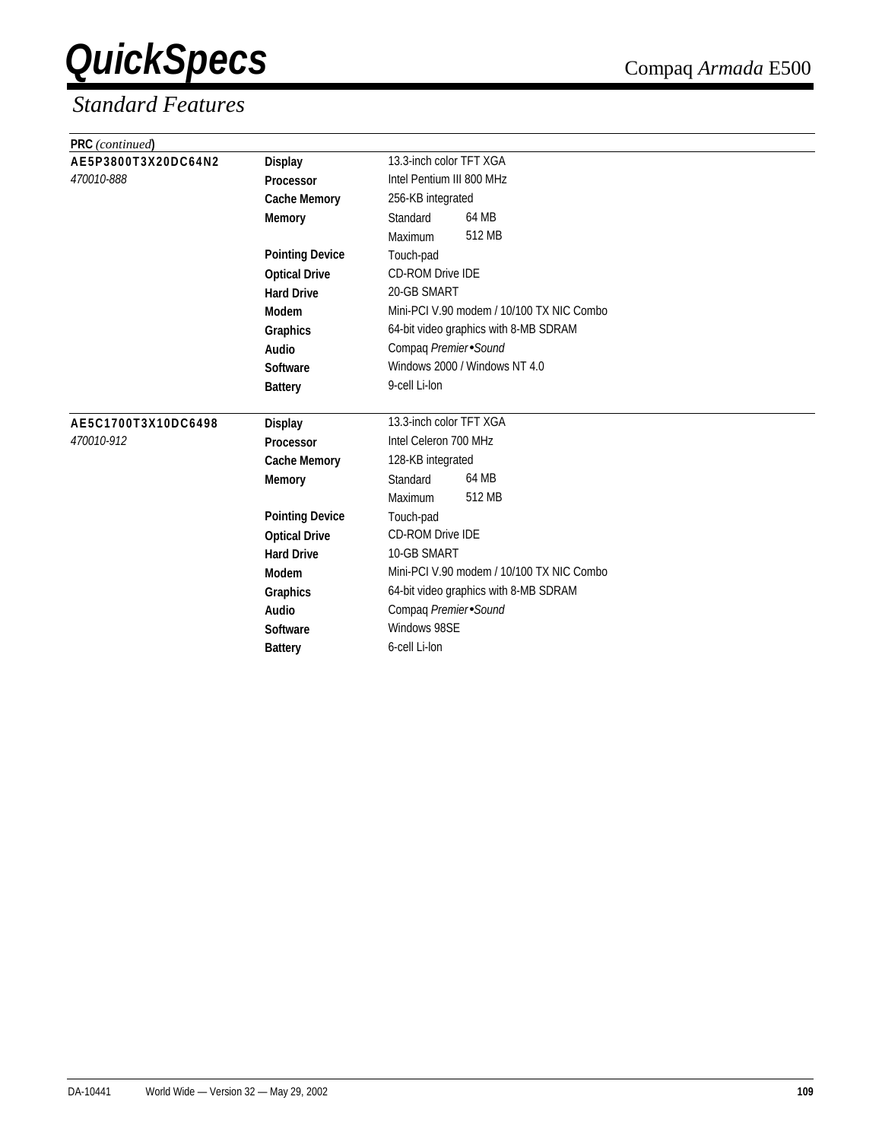| <b>PRC</b> (continued) |                        |                                           |
|------------------------|------------------------|-------------------------------------------|
| AE5P3800T3X20DC64N2    | <b>Display</b>         | 13.3-inch color TFT XGA                   |
| 470010-888             | Processor              | Intel Pentium III 800 MHz                 |
|                        | <b>Cache Memory</b>    | 256-KB integrated                         |
|                        | <b>Memory</b>          | 64 MB<br>Standard                         |
|                        |                        | 512 MB<br>Maximum                         |
|                        | <b>Pointing Device</b> | Touch-pad                                 |
|                        | <b>Optical Drive</b>   | <b>CD-ROM Drive IDE</b>                   |
|                        | <b>Hard Drive</b>      | 20-GB SMART                               |
|                        | <b>Modem</b>           | Mini-PCI V.90 modem / 10/100 TX NIC Combo |
|                        | Graphics               | 64-bit video graphics with 8-MB SDRAM     |
|                        | Audio                  | Compaq Premier Sound                      |
|                        | Software               | Windows 2000 / Windows NT 4.0             |
|                        | <b>Battery</b>         | 9-cell Li-lon                             |
| AE5C1700T3X10DC6498    | <b>Display</b>         | 13.3-inch color TFT XGA                   |
| 470010-912             | Processor              | Intel Celeron 700 MHz                     |
|                        | <b>Cache Memory</b>    | 128-KB integrated                         |
|                        | <b>Memory</b>          | 64 MB<br>Standard                         |
|                        |                        | 512 MB<br>Maximum                         |
|                        | <b>Pointing Device</b> | Touch-pad                                 |
|                        | <b>Optical Drive</b>   | <b>CD-ROM Drive IDE</b>                   |
|                        | <b>Hard Drive</b>      | 10-GB SMART                               |
|                        | <b>Modem</b>           | Mini-PCI V.90 modem / 10/100 TX NIC Combo |
|                        | Graphics               | 64-bit video graphics with 8-MB SDRAM     |
|                        | Audio                  | Compaq Premier Sound                      |
|                        | Software               | Windows 98SE                              |
|                        | <b>Battery</b>         | 6-cell Li-lon                             |
|                        |                        |                                           |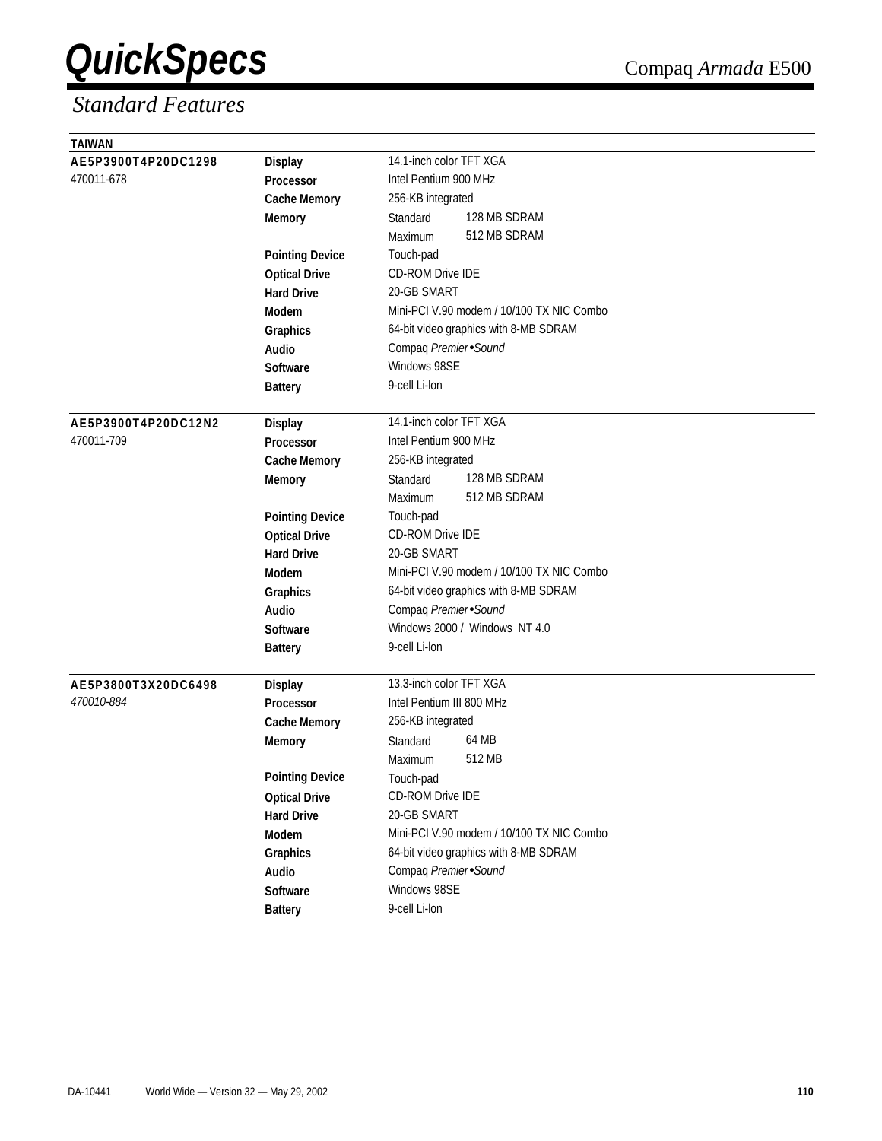| <b>TAIWAN</b>       |                        |                                           |
|---------------------|------------------------|-------------------------------------------|
| AE5P3900T4P20DC1298 | <b>Display</b>         | 14.1-inch color TFT XGA                   |
| 470011-678          | Processor              | Intel Pentium 900 MHz                     |
|                     | <b>Cache Memory</b>    | 256-KB integrated                         |
|                     | <b>Memory</b>          | 128 MB SDRAM<br>Standard                  |
|                     |                        | 512 MB SDRAM<br>Maximum                   |
|                     | <b>Pointing Device</b> | Touch-pad                                 |
|                     | <b>Optical Drive</b>   | CD-ROM Drive IDE                          |
|                     | <b>Hard Drive</b>      | 20-GB SMART                               |
|                     | <b>Modem</b>           | Mini-PCI V.90 modem / 10/100 TX NIC Combo |
|                     | Graphics               | 64-bit video graphics with 8-MB SDRAM     |
|                     | Audio                  | Compaq Premier Sound                      |
|                     | <b>Software</b>        | Windows 98SE                              |
|                     | <b>Battery</b>         | 9-cell Li-lon                             |
| AE5P3900T4P20DC12N2 | <b>Display</b>         | 14.1-inch color TFT XGA                   |
| 470011-709          | <b>Processor</b>       | Intel Pentium 900 MHz                     |
|                     | <b>Cache Memory</b>    | 256-KB integrated                         |
|                     | <b>Memory</b>          | 128 MB SDRAM<br>Standard                  |
|                     |                        | 512 MB SDRAM<br>Maximum                   |
|                     | <b>Pointing Device</b> | Touch-pad                                 |
|                     | <b>Optical Drive</b>   | CD-ROM Drive IDE                          |
|                     | <b>Hard Drive</b>      | 20-GB SMART                               |
|                     | <b>Modem</b>           | Mini-PCI V.90 modem / 10/100 TX NIC Combo |
|                     | Graphics               | 64-bit video graphics with 8-MB SDRAM     |
|                     | Audio                  | Compaq Premier Sound                      |
|                     | <b>Software</b>        | Windows 2000 / Windows NT 4.0             |
|                     | <b>Battery</b>         | 9-cell Li-lon                             |
|                     |                        |                                           |
| AE5P3800T3X20DC6498 | <b>Display</b>         | 13.3-inch color TFT XGA                   |
| 470010-884          | Processor              | Intel Pentium III 800 MHz                 |
|                     | <b>Cache Memory</b>    | 256-KB integrated                         |
|                     | <b>Memory</b>          | 64 MB<br>Standard                         |
|                     |                        | 512 MB<br>Maximum                         |
|                     | <b>Pointing Device</b> | Touch-pad                                 |
|                     | <b>Optical Drive</b>   | <b>CD-ROM Drive IDE</b>                   |
|                     | <b>Hard Drive</b>      | 20-GB SMART                               |
|                     | Modem                  | Mini-PCI V.90 modem / 10/100 TX NIC Combo |
|                     | Graphics               | 64-bit video graphics with 8-MB SDRAM     |
|                     | Audio                  | Compaq Premier Sound                      |
|                     | Software               | Windows 98SE                              |
|                     | <b>Battery</b>         | 9-cell Li-lon                             |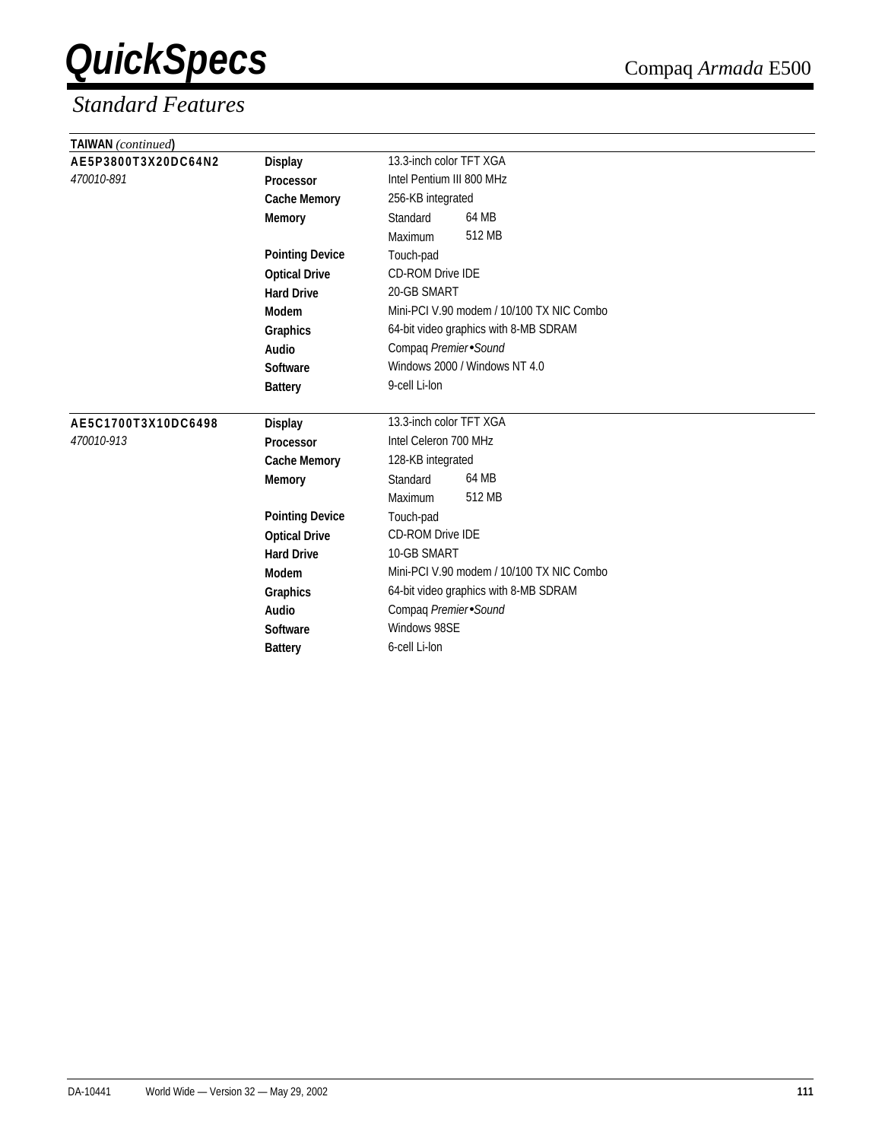| TAIWAN (continued)  |                        |                                           |
|---------------------|------------------------|-------------------------------------------|
| AE5P3800T3X20DC64N2 | <b>Display</b>         | 13.3-inch color TFT XGA                   |
| 470010-891          | Processor              | Intel Pentium III 800 MHz                 |
|                     | <b>Cache Memory</b>    | 256-KB integrated                         |
|                     | <b>Memory</b>          | 64 MB<br>Standard                         |
|                     |                        | 512 MB<br>Maximum                         |
|                     | <b>Pointing Device</b> | Touch-pad                                 |
|                     | <b>Optical Drive</b>   | CD-ROM Drive IDE                          |
|                     | <b>Hard Drive</b>      | 20-GB SMART                               |
|                     | Modem                  | Mini-PCI V.90 modem / 10/100 TX NIC Combo |
|                     | Graphics               | 64-bit video graphics with 8-MB SDRAM     |
|                     | Audio                  | Compaq Premier Sound                      |
|                     | Software               | Windows 2000 / Windows NT 4.0             |
|                     | <b>Battery</b>         | 9-cell Li-lon                             |
| AE5C1700T3X10DC6498 | <b>Display</b>         | 13.3-inch color TFT XGA                   |
| 470010-913          | Processor              | Intel Celeron 700 MHz                     |
|                     | <b>Cache Memory</b>    | 128-KB integrated                         |
|                     | <b>Memory</b>          | 64 MB<br>Standard                         |
|                     |                        | 512 MB<br>Maximum                         |
|                     | <b>Pointing Device</b> | Touch-pad                                 |
|                     | <b>Optical Drive</b>   | <b>CD-ROM Drive IDE</b>                   |
|                     | <b>Hard Drive</b>      | 10-GB SMART                               |
|                     | Modem                  | Mini-PCI V.90 modem / 10/100 TX NIC Combo |
|                     | Graphics               | 64-bit video graphics with 8-MB SDRAM     |
|                     | Audio                  | Compaq Premier Sound                      |
|                     | <b>Software</b>        | Windows 98SE                              |
|                     | <b>Battery</b>         | 6-cell Li-lon                             |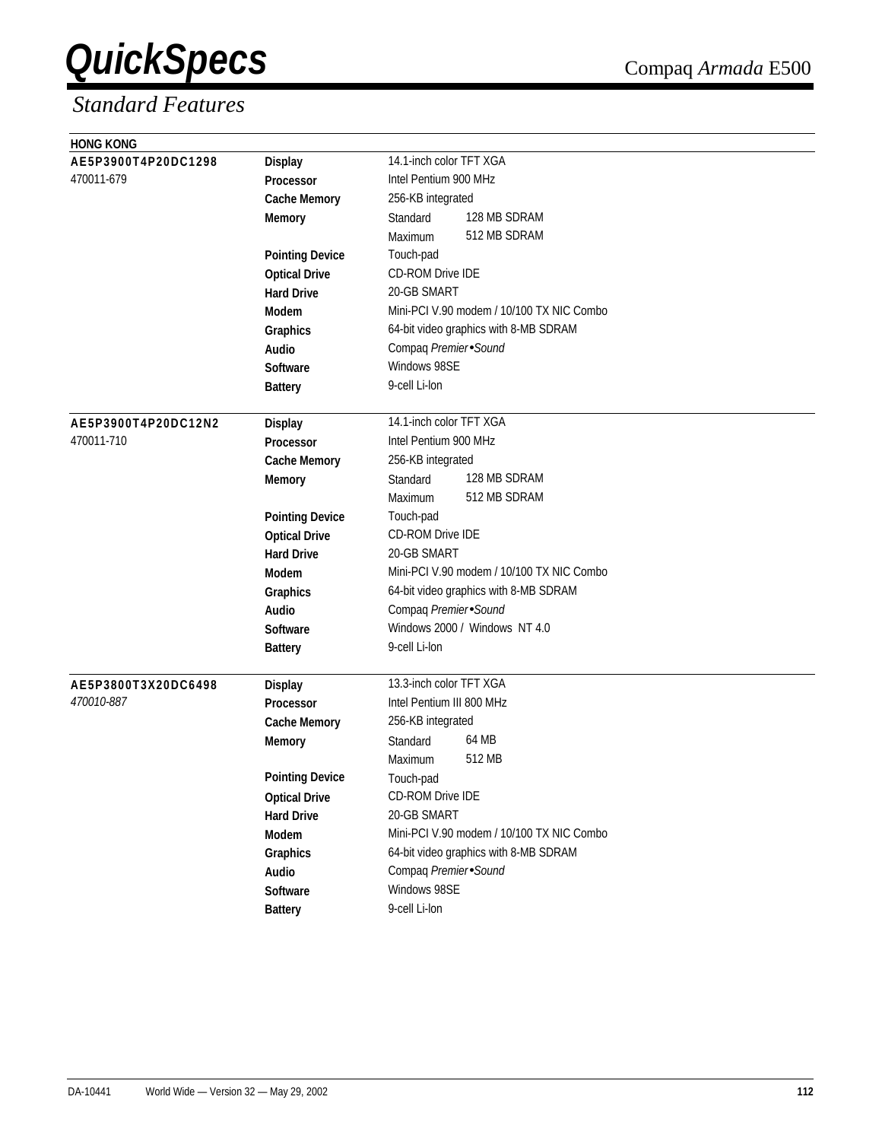| <b>HONG KONG</b>    |                        |                                           |
|---------------------|------------------------|-------------------------------------------|
| AE5P3900T4P20DC1298 | <b>Display</b>         | 14.1-inch color TFT XGA                   |
| 470011-679          | Processor              | Intel Pentium 900 MHz                     |
|                     | <b>Cache Memory</b>    | 256-KB integrated                         |
|                     | <b>Memory</b>          | 128 MB SDRAM<br>Standard                  |
|                     |                        | 512 MB SDRAM<br>Maximum                   |
|                     | <b>Pointing Device</b> | Touch-pad                                 |
|                     | <b>Optical Drive</b>   | <b>CD-ROM Drive IDE</b>                   |
|                     | <b>Hard Drive</b>      | 20-GB SMART                               |
|                     | Modem                  | Mini-PCI V.90 modem / 10/100 TX NIC Combo |
|                     | Graphics               | 64-bit video graphics with 8-MB SDRAM     |
|                     | Audio                  | Compaq Premier Sound                      |
|                     | <b>Software</b>        | Windows 98SE                              |
|                     | <b>Battery</b>         | 9-cell Li-lon                             |
|                     |                        |                                           |
| AE5P3900T4P20DC12N2 | <b>Display</b>         | 14.1-inch color TFT XGA                   |
| 470011-710          | Processor              | Intel Pentium 900 MHz                     |
|                     | <b>Cache Memory</b>    | 256-KB integrated                         |
|                     | <b>Memory</b>          | 128 MB SDRAM<br>Standard                  |
|                     |                        | 512 MB SDRAM<br>Maximum                   |
|                     | <b>Pointing Device</b> | Touch-pad                                 |
|                     | <b>Optical Drive</b>   | CD-ROM Drive IDE                          |
|                     | <b>Hard Drive</b>      | 20-GB SMART                               |
|                     | <b>Modem</b>           | Mini-PCI V.90 modem / 10/100 TX NIC Combo |
|                     | Graphics               | 64-bit video graphics with 8-MB SDRAM     |
|                     | Audio                  | Compaq Premier Sound                      |
|                     | Software               | Windows 2000 / Windows NT 4.0             |
|                     | <b>Battery</b>         | 9-cell Li-lon                             |
| AE5P3800T3X20DC6498 | <b>Display</b>         | 13.3-inch color TFT XGA                   |
| 470010-887          | <b>Processor</b>       | Intel Pentium III 800 MHz                 |
|                     | <b>Cache Memory</b>    | 256-KB integrated                         |
|                     | <b>Memory</b>          | 64 MB<br>Standard                         |
|                     |                        | 512 MB<br>Maximum                         |
|                     | <b>Pointing Device</b> | Touch-pad                                 |
|                     | <b>Optical Drive</b>   | <b>CD-ROM Drive IDE</b>                   |
|                     | <b>Hard Drive</b>      | 20-GB SMART                               |
|                     | Modem                  | Mini-PCI V.90 modem / 10/100 TX NIC Combo |
|                     | Graphics               | 64-bit video graphics with 8-MB SDRAM     |
|                     | Audio                  | Compaq Premier Sound                      |
|                     | Software               | Windows 98SE                              |
|                     | <b>Battery</b>         | 9-cell Li-lon                             |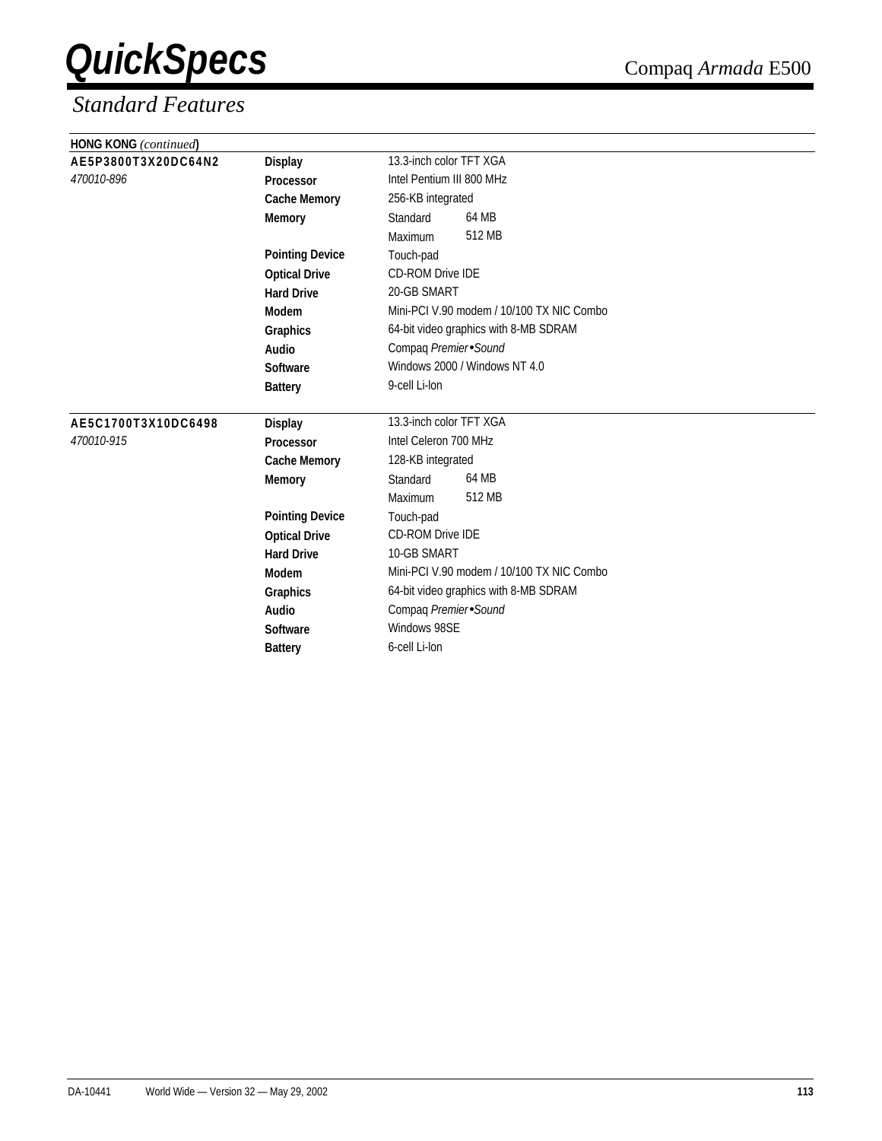| <b>HONG KONG</b> (continued) |                        |                                           |
|------------------------------|------------------------|-------------------------------------------|
| AE5P3800T3X20DC64N2          | <b>Display</b>         | 13.3-inch color TFT XGA                   |
| 470010-896                   | Processor              | Intel Pentium III 800 MHz                 |
|                              | <b>Cache Memory</b>    | 256-KB integrated                         |
|                              | <b>Memory</b>          | 64 MB<br>Standard                         |
|                              |                        | 512 MB<br>Maximum                         |
|                              | <b>Pointing Device</b> | Touch-pad                                 |
|                              | <b>Optical Drive</b>   | CD-ROM Drive IDE                          |
|                              | <b>Hard Drive</b>      | 20-GB SMART                               |
|                              | Modem                  | Mini-PCI V.90 modem / 10/100 TX NIC Combo |
|                              | Graphics               | 64-bit video graphics with 8-MB SDRAM     |
|                              | Audio                  | Compaq Premier Sound                      |
|                              | Software               | Windows 2000 / Windows NT 4.0             |
|                              | <b>Battery</b>         | 9-cell Li-lon                             |
| AE5C1700T3X10DC6498          | <b>Display</b>         | 13.3-inch color TFT XGA                   |
| 470010-915                   | <b>Processor</b>       | Intel Celeron 700 MHz                     |
|                              | <b>Cache Memory</b>    | 128-KB integrated                         |
|                              | <b>Memory</b>          | 64 MB<br>Standard                         |
|                              |                        | 512 MB<br>Maximum                         |
|                              | <b>Pointing Device</b> | Touch-pad                                 |
|                              | <b>Optical Drive</b>   | <b>CD-ROM Drive IDE</b>                   |
|                              | <b>Hard Drive</b>      | 10-GB SMART                               |
|                              | Modem                  | Mini-PCI V.90 modem / 10/100 TX NIC Combo |
|                              | Graphics               | 64-bit video graphics with 8-MB SDRAM     |
|                              | Audio                  | Compaq Premier Sound                      |
|                              | <b>Software</b>        | Windows 98SE                              |
|                              | <b>Battery</b>         | 6-cell Li-lon                             |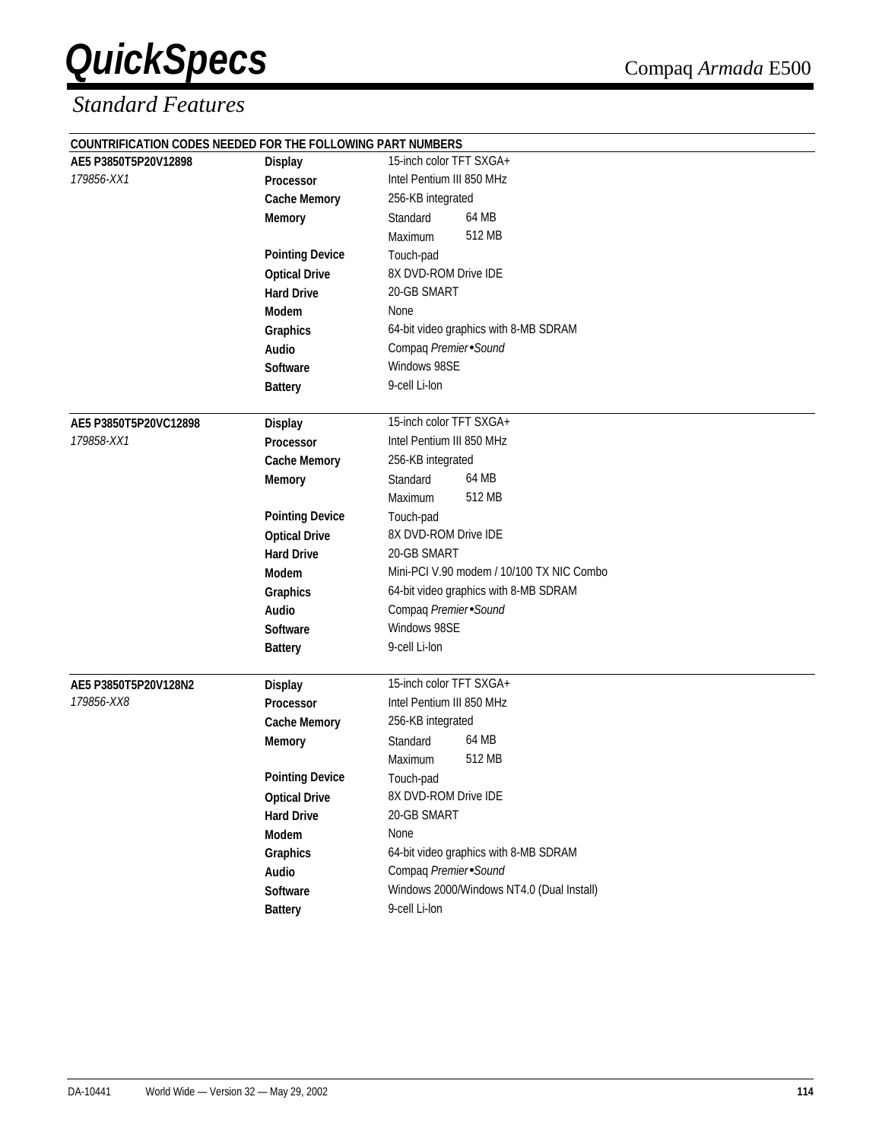| COUNTRIFICATION CODES NEEDED FOR THE FOLLOWING PART NUMBERS |                        |                                           |
|-------------------------------------------------------------|------------------------|-------------------------------------------|
| AE5 P3850T5P20V12898                                        | <b>Display</b>         | 15-inch color TFT SXGA+                   |
| 179856-XX1                                                  | Processor              | Intel Pentium III 850 MHz                 |
|                                                             | <b>Cache Memory</b>    | 256-KB integrated                         |
|                                                             | <b>Memory</b>          | 64 MB<br>Standard                         |
|                                                             |                        | 512 MB<br>Maximum                         |
|                                                             | <b>Pointing Device</b> | Touch-pad                                 |
|                                                             | <b>Optical Drive</b>   | 8X DVD-ROM Drive IDE                      |
|                                                             | <b>Hard Drive</b>      | 20-GB SMART                               |
|                                                             | <b>Modem</b>           | None                                      |
|                                                             | Graphics               | 64-bit video graphics with 8-MB SDRAM     |
|                                                             | Audio                  | Compaq Premier Sound                      |
|                                                             | Software               | Windows 98SE                              |
|                                                             | <b>Battery</b>         | 9-cell Li-lon                             |
|                                                             |                        |                                           |
| AE5 P3850T5P20VC12898                                       | <b>Display</b>         | 15-inch color TFT SXGA+                   |
| 179858-XX1                                                  | Processor              | Intel Pentium III 850 MHz                 |
|                                                             | <b>Cache Memory</b>    | 256-KB integrated                         |
|                                                             | <b>Memory</b>          | 64 MB<br>Standard                         |
|                                                             |                        | 512 MB<br>Maximum                         |
|                                                             | <b>Pointing Device</b> | Touch-pad                                 |
|                                                             | <b>Optical Drive</b>   | 8X DVD-ROM Drive IDE                      |
|                                                             | <b>Hard Drive</b>      | 20-GB SMART                               |
|                                                             | <b>Modem</b>           | Mini-PCI V.90 modem / 10/100 TX NIC Combo |
|                                                             | Graphics               | 64-bit video graphics with 8-MB SDRAM     |
|                                                             | Audio                  | Compaq Premier Sound                      |
|                                                             | Software               | Windows 98SE                              |
|                                                             | <b>Battery</b>         | 9-cell Li-lon                             |
| AE5 P3850T5P20V128N2                                        | <b>Display</b>         | 15-inch color TFT SXGA+                   |
| 179856-XX8                                                  | <b>Processor</b>       | Intel Pentium III 850 MHz                 |
|                                                             | <b>Cache Memory</b>    | 256-KB integrated                         |
|                                                             | <b>Memory</b>          | 64 MB<br>Standard                         |
|                                                             |                        | 512 MB<br>Maximum                         |
|                                                             | <b>Pointing Device</b> | Touch-pad                                 |
|                                                             | <b>Optical Drive</b>   | 8X DVD-ROM Drive IDE                      |
|                                                             | <b>Hard Drive</b>      | 20-GB SMART                               |
|                                                             | Modem                  | None                                      |
|                                                             | Graphics               | 64-bit video graphics with 8-MB SDRAM     |
|                                                             | Audio                  | Compaq Premier Sound                      |
|                                                             | Software               | Windows 2000/Windows NT4.0 (Dual Install) |
|                                                             | <b>Battery</b>         | 9-cell Li-lon                             |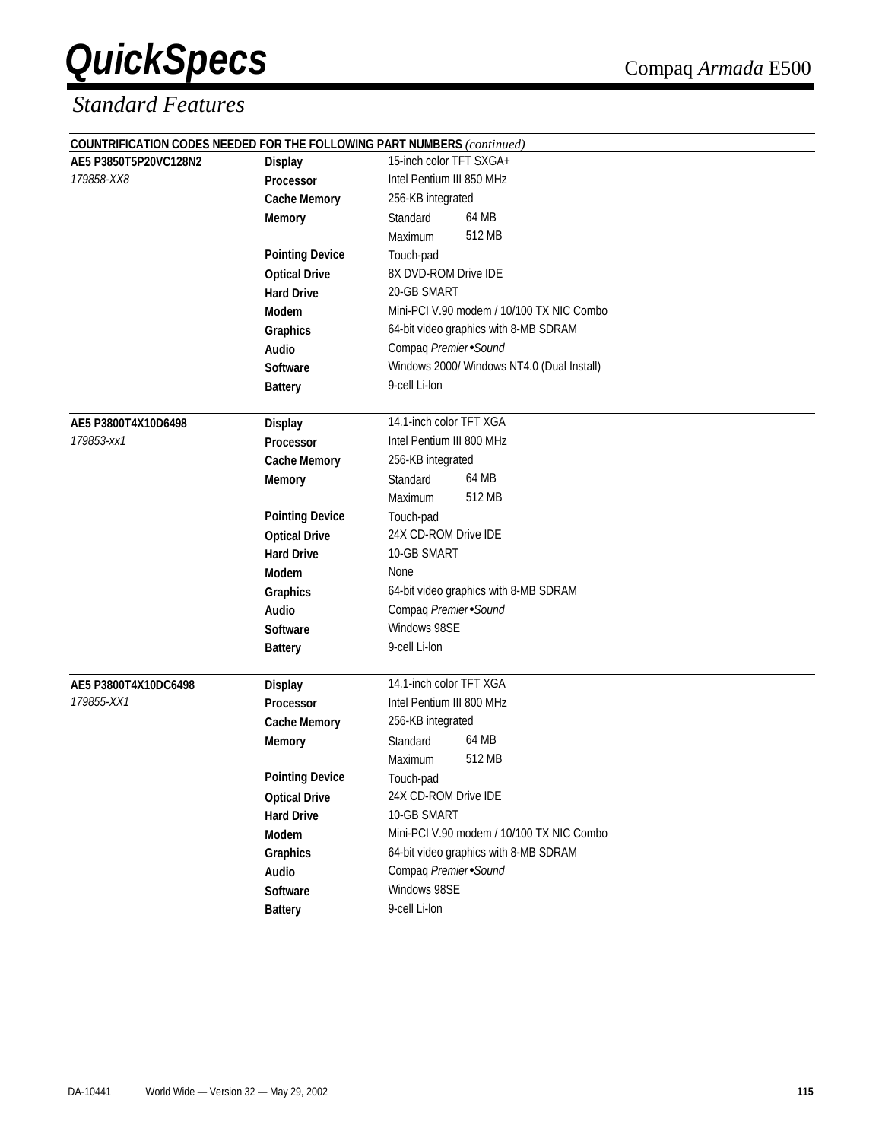|                       |                        | <b>COUNTRIFICATION CODES NEEDED FOR THE FOLLOWING PART NUMBERS</b> (continued) |  |
|-----------------------|------------------------|--------------------------------------------------------------------------------|--|
| AE5 P3850T5P20VC128N2 | <b>Display</b>         | 15-inch color TFT SXGA+                                                        |  |
| 179858-XX8            | Processor              | Intel Pentium III 850 MHz                                                      |  |
|                       | <b>Cache Memory</b>    | 256-KB integrated                                                              |  |
|                       | <b>Memory</b>          | 64 MB<br>Standard                                                              |  |
|                       |                        | 512 MB<br>Maximum                                                              |  |
|                       | <b>Pointing Device</b> | Touch-pad                                                                      |  |
|                       | <b>Optical Drive</b>   | 8X DVD-ROM Drive IDE                                                           |  |
|                       | <b>Hard Drive</b>      | 20-GB SMART                                                                    |  |
|                       | Modem                  | Mini-PCI V.90 modem / 10/100 TX NIC Combo                                      |  |
|                       | Graphics               | 64-bit video graphics with 8-MB SDRAM                                          |  |
|                       | Audio                  | Compaq Premier Sound                                                           |  |
|                       | Software               | Windows 2000/ Windows NT4.0 (Dual Install)                                     |  |
|                       | <b>Battery</b>         | 9-cell Li-lon                                                                  |  |
| AE5 P3800T4X10D6498   | <b>Display</b>         | 14.1-inch color TFT XGA                                                        |  |
| 179853-xx1            | <b>Processor</b>       | Intel Pentium III 800 MHz                                                      |  |
|                       | <b>Cache Memory</b>    | 256-KB integrated                                                              |  |
|                       | <b>Memory</b>          | 64 MB<br>Standard                                                              |  |
|                       |                        | 512 MB<br>Maximum                                                              |  |
|                       | <b>Pointing Device</b> | Touch-pad                                                                      |  |
|                       | <b>Optical Drive</b>   | 24X CD-ROM Drive IDE                                                           |  |
|                       | <b>Hard Drive</b>      | 10-GB SMART                                                                    |  |
|                       | Modem                  | None                                                                           |  |
|                       | Graphics               | 64-bit video graphics with 8-MB SDRAM                                          |  |
|                       | <b>Audio</b>           | Compaq Premier Sound                                                           |  |
|                       | Software               | Windows 98SE                                                                   |  |
|                       | <b>Battery</b>         | 9-cell Li-lon                                                                  |  |
| AE5 P3800T4X10DC6498  | <b>Display</b>         | 14.1-inch color TFT XGA                                                        |  |
| 179855-XX1            | Processor              | Intel Pentium III 800 MHz                                                      |  |
|                       | <b>Cache Memory</b>    | 256-KB integrated                                                              |  |
|                       | <b>Memory</b>          | 64 MB<br>Standard                                                              |  |
|                       |                        | 512 MB<br>Maximum                                                              |  |
|                       | <b>Pointing Device</b> | Touch-pad                                                                      |  |
|                       | <b>Optical Drive</b>   | 24X CD-ROM Drive IDE                                                           |  |
|                       | <b>Hard Drive</b>      | 10-GB SMART                                                                    |  |
|                       | Modem                  | Mini-PCI V.90 modem / 10/100 TX NIC Combo                                      |  |
|                       | Graphics               | 64-bit video graphics with 8-MB SDRAM                                          |  |
|                       | Audio                  | Compaq Premier Sound                                                           |  |
|                       | Software               | Windows 98SE                                                                   |  |
|                       | <b>Battery</b>         | 9-cell Li-lon                                                                  |  |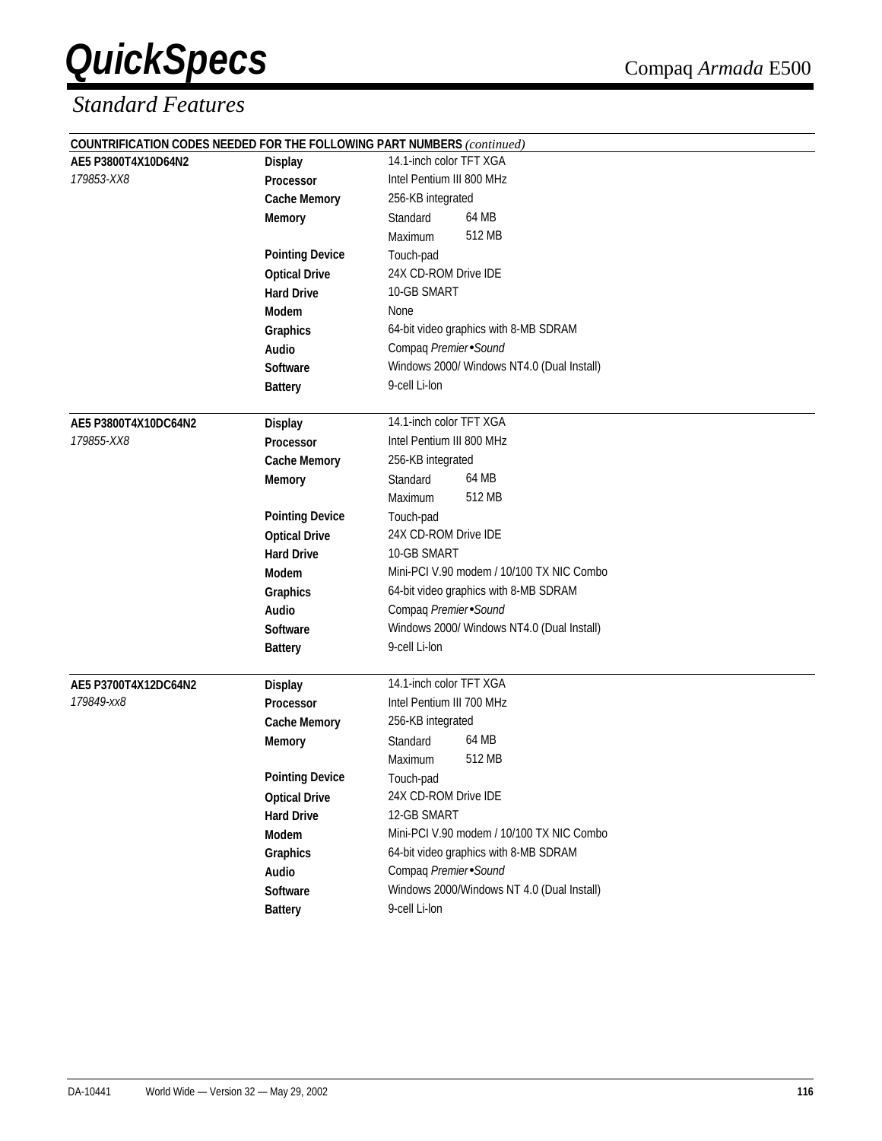|                                   |                                    | COUNTRIFICATION CODES NEEDED FOR THE FOLLOWING PART NUMBERS (continued) |  |
|-----------------------------------|------------------------------------|-------------------------------------------------------------------------|--|
| AE5 P3800T4X10D64N2<br>179853-XX8 | <b>Display</b><br><b>Processor</b> | 14.1-inch color TFT XGA                                                 |  |
|                                   |                                    | Intel Pentium III 800 MHz                                               |  |
|                                   | <b>Cache Memory</b>                | 256-KB integrated                                                       |  |
|                                   | <b>Memory</b>                      | 64 MB<br>Standard                                                       |  |
|                                   |                                    | 512 MB<br>Maximum                                                       |  |
|                                   | <b>Pointing Device</b>             | Touch-pad                                                               |  |
|                                   | <b>Optical Drive</b>               | 24X CD-ROM Drive IDE                                                    |  |
|                                   | <b>Hard Drive</b>                  | 10-GB SMART                                                             |  |
|                                   | Modem                              | None                                                                    |  |
|                                   | Graphics                           | 64-bit video graphics with 8-MB SDRAM                                   |  |
|                                   | Audio                              | Compaq Premier Sound                                                    |  |
|                                   | <b>Software</b>                    | Windows 2000/ Windows NT4.0 (Dual Install)                              |  |
|                                   | <b>Battery</b>                     | 9-cell Li-lon                                                           |  |
|                                   |                                    |                                                                         |  |
| AE5 P3800T4X10DC64N2              | <b>Display</b>                     | 14.1-inch color TFT XGA                                                 |  |
| 179855-XX8                        | <b>Processor</b>                   | Intel Pentium III 800 MHz                                               |  |
|                                   | <b>Cache Memory</b>                | 256-KB integrated                                                       |  |
|                                   | <b>Memory</b>                      | 64 MB<br>Standard                                                       |  |
|                                   |                                    | 512 MB<br>Maximum                                                       |  |
|                                   | <b>Pointing Device</b>             | Touch-pad                                                               |  |
|                                   | <b>Optical Drive</b>               | 24X CD-ROM Drive IDE                                                    |  |
|                                   | <b>Hard Drive</b>                  | 10-GB SMART                                                             |  |
|                                   | <b>Modem</b>                       | Mini-PCI V.90 modem / 10/100 TX NIC Combo                               |  |
|                                   | Graphics                           | 64-bit video graphics with 8-MB SDRAM                                   |  |
|                                   | <b>Audio</b>                       | Compaq Premier Sound                                                    |  |
|                                   | <b>Software</b>                    | Windows 2000/ Windows NT4.0 (Dual Install)                              |  |
|                                   | <b>Battery</b>                     | 9-cell Li-lon                                                           |  |
|                                   |                                    |                                                                         |  |
| AE5 P3700T4X12DC64N2              | <b>Display</b>                     | 14.1-inch color TFT XGA                                                 |  |
| 179849-xx8                        | Processor                          | Intel Pentium III 700 MHz                                               |  |
|                                   | <b>Cache Memory</b>                | 256-KB integrated                                                       |  |
|                                   | <b>Memory</b>                      | 64 MB<br>Standard                                                       |  |
|                                   |                                    | 512 MB<br>Maximum                                                       |  |
|                                   | <b>Pointing Device</b>             | Touch-pad                                                               |  |
|                                   | <b>Optical Drive</b>               | 24X CD-ROM Drive IDE                                                    |  |
|                                   | <b>Hard Drive</b>                  | 12-GB SMART                                                             |  |
|                                   | Modem                              | Mini-PCI V.90 modem / 10/100 TX NIC Combo                               |  |
|                                   | Graphics                           | 64-bit video graphics with 8-MB SDRAM                                   |  |
|                                   | Audio                              | Compaq Premier Sound                                                    |  |
|                                   | Software                           | Windows 2000/Windows NT 4.0 (Dual Install)                              |  |
|                                   | <b>Battery</b>                     | 9-cell Li-lon                                                           |  |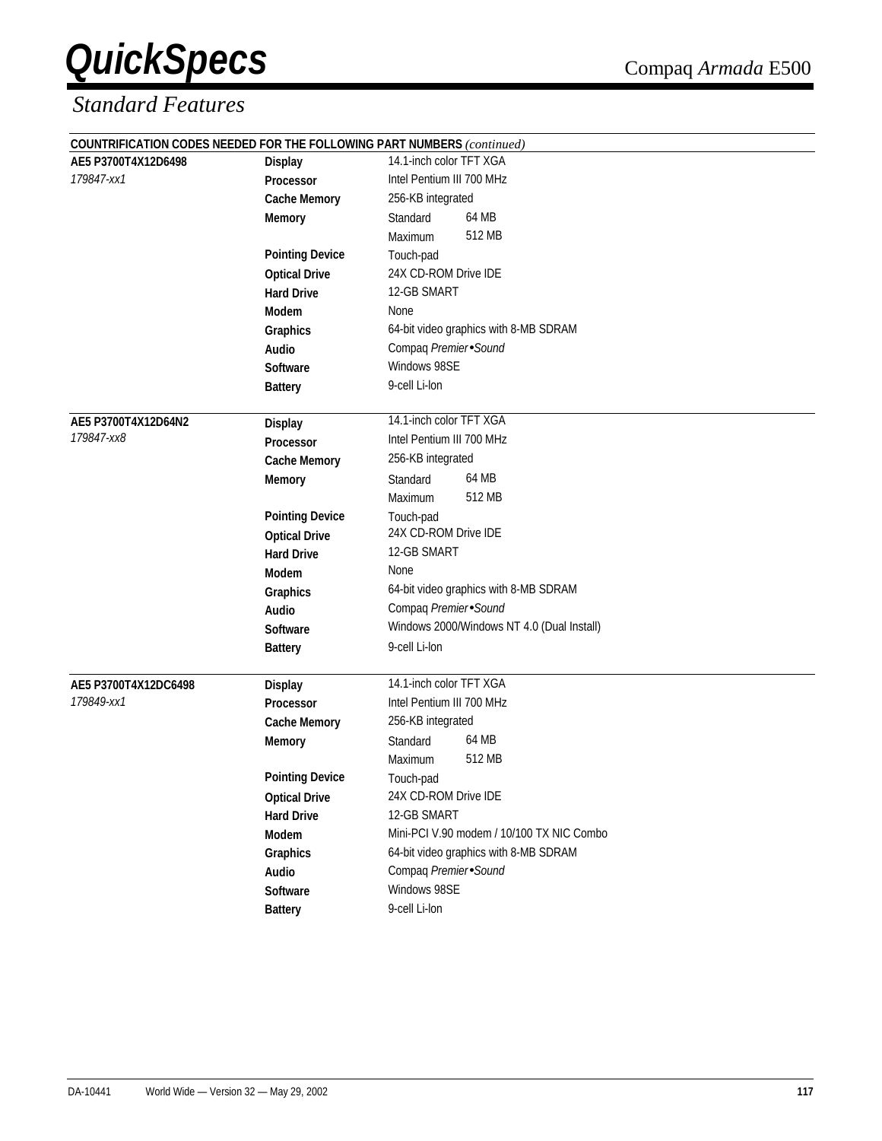|                      |                        | <b>COUNTRIFICATION CODES NEEDED FOR THE FOLLOWING PART NUMBERS</b> (continued) |
|----------------------|------------------------|--------------------------------------------------------------------------------|
| AE5 P3700T4X12D6498  | <b>Display</b>         | 14.1-inch color TFT XGA                                                        |
| 179847-xx1           | Processor              | Intel Pentium III 700 MHz                                                      |
|                      | <b>Cache Memory</b>    | 256-KB integrated                                                              |
|                      | <b>Memory</b>          | 64 MB<br>Standard                                                              |
|                      |                        | 512 MB<br>Maximum                                                              |
|                      | <b>Pointing Device</b> | Touch-pad                                                                      |
|                      | <b>Optical Drive</b>   | 24X CD-ROM Drive IDE                                                           |
|                      | <b>Hard Drive</b>      | 12-GB SMART                                                                    |
|                      | Modem                  | None                                                                           |
|                      | Graphics               | 64-bit video graphics with 8-MB SDRAM                                          |
|                      | Audio                  | Compaq Premier Sound                                                           |
|                      | <b>Software</b>        | Windows 98SE                                                                   |
|                      | <b>Battery</b>         | 9-cell Li-lon                                                                  |
|                      |                        |                                                                                |
| AE5 P3700T4X12D64N2  | <b>Display</b>         | 14.1-inch color TFT XGA                                                        |
| 179847-xx8           | <b>Processor</b>       | Intel Pentium III 700 MHz                                                      |
|                      | <b>Cache Memory</b>    | 256-KB integrated                                                              |
|                      | <b>Memory</b>          | 64 MB<br>Standard                                                              |
|                      |                        | 512 MB<br>Maximum                                                              |
|                      | <b>Pointing Device</b> | Touch-pad                                                                      |
|                      | <b>Optical Drive</b>   | 24X CD-ROM Drive IDE                                                           |
|                      | <b>Hard Drive</b>      | 12-GB SMART                                                                    |
|                      | Modem                  | None                                                                           |
|                      | Graphics               | 64-bit video graphics with 8-MB SDRAM                                          |
|                      | <b>Audio</b>           | Compaq Premier Sound                                                           |
|                      | Software               | Windows 2000/Windows NT 4.0 (Dual Install)                                     |
|                      | <b>Battery</b>         | 9-cell Li-lon                                                                  |
| AE5 P3700T4X12DC6498 | <b>Display</b>         | 14.1-inch color TFT XGA                                                        |
| 179849-xx1           | Processor              | Intel Pentium III 700 MHz                                                      |
|                      | <b>Cache Memory</b>    | 256-KB integrated                                                              |
|                      | <b>Memory</b>          | 64 MB<br>Standard                                                              |
|                      |                        | 512 MB<br>Maximum                                                              |
|                      | <b>Pointing Device</b> | Touch-pad                                                                      |
|                      | <b>Optical Drive</b>   | 24X CD-ROM Drive IDE                                                           |
|                      | <b>Hard Drive</b>      | 12-GB SMART                                                                    |
|                      | Modem                  | Mini-PCI V.90 modem / 10/100 TX NIC Combo                                      |
|                      | Graphics               | 64-bit video graphics with 8-MB SDRAM                                          |
|                      | Audio                  | Compaq Premier Sound                                                           |
|                      | Software               | Windows 98SE                                                                   |
|                      | <b>Battery</b>         | 9-cell Li-lon                                                                  |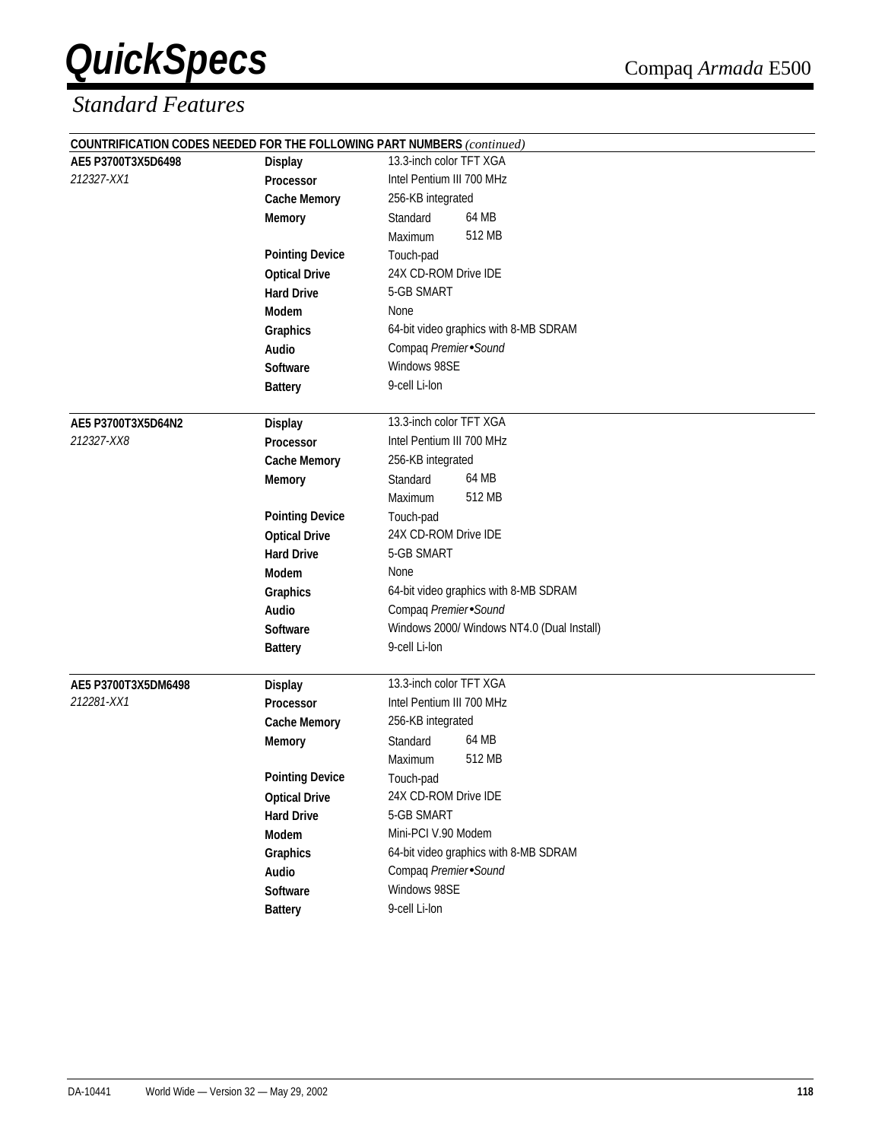|                     |                             | <b>COUNTRIFICATION CODES NEEDED FOR THE FOLLOWING PART NUMBERS</b> (continued) |
|---------------------|-----------------------------|--------------------------------------------------------------------------------|
| AE5 P3700T3X5D6498  | <b>Display</b><br>Processor | 13.3-inch color TFT XGA                                                        |
| 212327-XX1          |                             | Intel Pentium III 700 MHz                                                      |
|                     | <b>Cache Memory</b>         | 256-KB integrated                                                              |
|                     | <b>Memory</b>               | 64 MB<br>Standard                                                              |
|                     |                             | 512 MB<br>Maximum                                                              |
|                     | <b>Pointing Device</b>      | Touch-pad                                                                      |
|                     | <b>Optical Drive</b>        | 24X CD-ROM Drive IDE                                                           |
|                     | <b>Hard Drive</b>           | 5-GB SMART                                                                     |
|                     | <b>Modem</b>                | None                                                                           |
|                     | Graphics                    | 64-bit video graphics with 8-MB SDRAM                                          |
|                     | Audio                       | Compaq Premier Sound                                                           |
|                     | Software                    | Windows 98SE                                                                   |
|                     | <b>Battery</b>              | 9-cell Li-lon                                                                  |
| AE5 P3700T3X5D64N2  | <b>Display</b>              | 13.3-inch color TFT XGA                                                        |
| 212327-XX8          | <b>Processor</b>            | Intel Pentium III 700 MHz                                                      |
|                     | <b>Cache Memory</b>         | 256-KB integrated                                                              |
|                     | <b>Memory</b>               | 64 MB<br>Standard                                                              |
|                     |                             | 512 MB<br>Maximum                                                              |
|                     | <b>Pointing Device</b>      | Touch-pad                                                                      |
|                     | <b>Optical Drive</b>        | 24X CD-ROM Drive IDE                                                           |
|                     | <b>Hard Drive</b>           | 5-GB SMART                                                                     |
|                     | <b>Modem</b>                | None                                                                           |
|                     | Graphics                    | 64-bit video graphics with 8-MB SDRAM                                          |
|                     | Audio                       | Compaq Premier Sound                                                           |
|                     | Software                    | Windows 2000/ Windows NT4.0 (Dual Install)                                     |
|                     | <b>Battery</b>              | 9-cell Li-lon                                                                  |
| AE5 P3700T3X5DM6498 | <b>Display</b>              | 13.3-inch color TFT XGA                                                        |
| 212281-XX1          | Processor                   | Intel Pentium III 700 MHz                                                      |
|                     | <b>Cache Memory</b>         | 256-KB integrated                                                              |
|                     | <b>Memory</b>               | 64 MB<br>Standard                                                              |
|                     |                             | 512 MB<br>Maximum                                                              |
|                     | <b>Pointing Device</b>      | Touch-pad                                                                      |
|                     | <b>Optical Drive</b>        | 24X CD-ROM Drive IDE                                                           |
|                     | <b>Hard Drive</b>           | 5-GB SMART                                                                     |
|                     | Modem                       | Mini-PCI V.90 Modem                                                            |
|                     | Graphics                    | 64-bit video graphics with 8-MB SDRAM                                          |
|                     | Audio                       | Compaq Premier Sound                                                           |
|                     | Software                    | Windows 98SE                                                                   |
|                     | <b>Battery</b>              | 9-cell Li-lon                                                                  |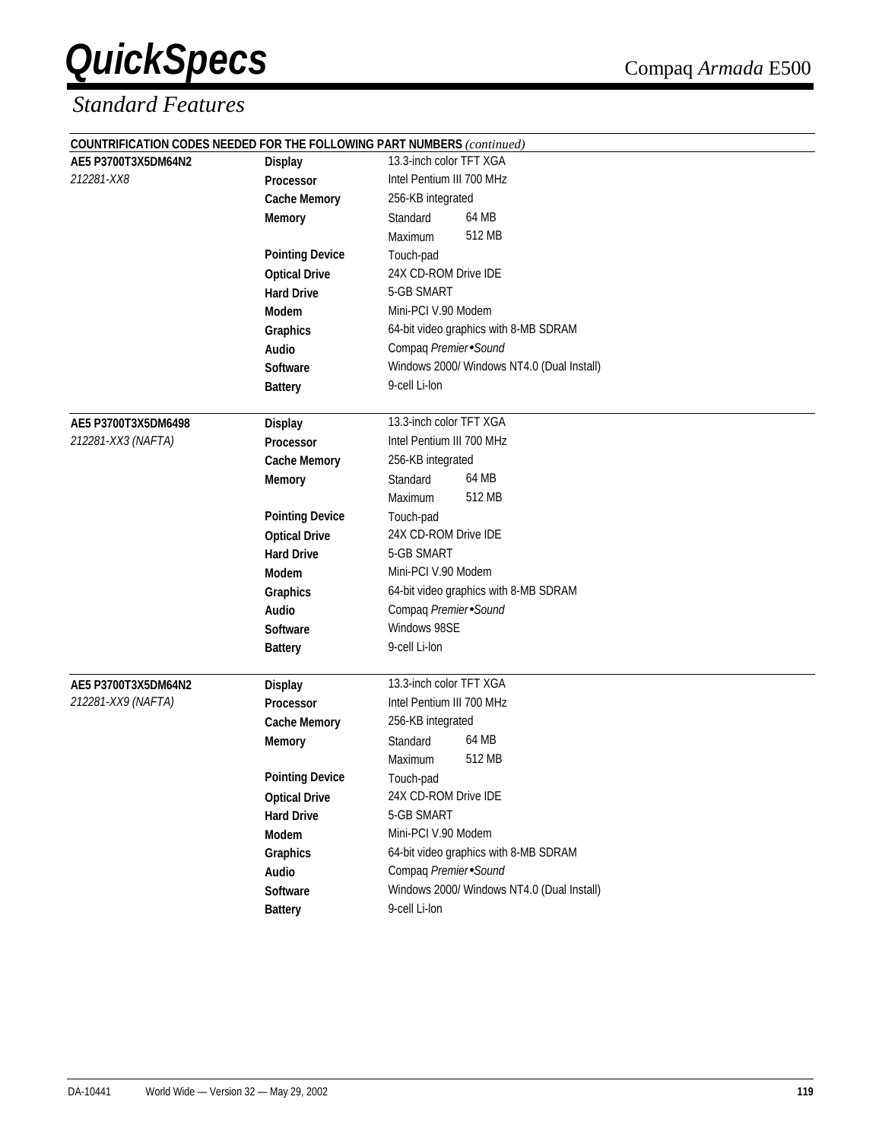|                     |                        | COUNTRIFICATION CODES NEEDED FOR THE FOLLOWING PART NUMBERS (continued) |  |
|---------------------|------------------------|-------------------------------------------------------------------------|--|
| AE5 P3700T3X5DM64N2 | <b>Display</b>         | 13.3-inch color TFT XGA                                                 |  |
| 212281-XX8          | <b>Processor</b>       | Intel Pentium III 700 MHz                                               |  |
|                     | <b>Cache Memory</b>    | 256-KB integrated                                                       |  |
|                     | <b>Memory</b>          | 64 MB<br>Standard                                                       |  |
|                     |                        | 512 MB<br>Maximum                                                       |  |
|                     | <b>Pointing Device</b> | Touch-pad                                                               |  |
|                     | <b>Optical Drive</b>   | 24X CD-ROM Drive IDE                                                    |  |
|                     | <b>Hard Drive</b>      | 5-GB SMART                                                              |  |
|                     | Modem                  | Mini-PCI V.90 Modem                                                     |  |
|                     | Graphics               | 64-bit video graphics with 8-MB SDRAM                                   |  |
|                     | Audio                  | Compaq Premier Sound                                                    |  |
|                     | <b>Software</b>        | Windows 2000/ Windows NT4.0 (Dual Install)                              |  |
|                     | <b>Battery</b>         | 9-cell Li-lon                                                           |  |
| AE5 P3700T3X5DM6498 | <b>Display</b>         | 13.3-inch color TFT XGA                                                 |  |
| 212281-XX3 (NAFTA)  | <b>Processor</b>       | Intel Pentium III 700 MHz                                               |  |
|                     | <b>Cache Memory</b>    | 256-KB integrated                                                       |  |
|                     | <b>Memory</b>          | 64 MB<br>Standard                                                       |  |
|                     |                        | 512 MB<br>Maximum                                                       |  |
|                     | <b>Pointing Device</b> | Touch-pad                                                               |  |
|                     | <b>Optical Drive</b>   | 24X CD-ROM Drive IDE                                                    |  |
|                     | <b>Hard Drive</b>      | 5-GB SMART                                                              |  |
|                     | Modem                  | Mini-PCI V.90 Modem                                                     |  |
|                     | Graphics               | 64-bit video graphics with 8-MB SDRAM                                   |  |
|                     | Audio                  | Compaq Premier Sound                                                    |  |
|                     | Software               | Windows 98SE                                                            |  |
|                     | <b>Battery</b>         | 9-cell Li-lon                                                           |  |
| AE5 P3700T3X5DM64N2 | <b>Display</b>         | 13.3-inch color TFT XGA                                                 |  |
| 212281-XX9 (NAFTA)  | Processor              | Intel Pentium III 700 MHz                                               |  |
|                     | <b>Cache Memory</b>    | 256-KB integrated                                                       |  |
|                     | <b>Memory</b>          | 64 MB<br>Standard                                                       |  |
|                     |                        | 512 MB<br>Maximum                                                       |  |
|                     | <b>Pointing Device</b> | Touch-pad                                                               |  |
|                     | <b>Optical Drive</b>   | 24X CD-ROM Drive IDE                                                    |  |
|                     | <b>Hard Drive</b>      | 5-GB SMART                                                              |  |
|                     | Modem                  | Mini-PCI V.90 Modem                                                     |  |
|                     | Graphics               | 64-bit video graphics with 8-MB SDRAM                                   |  |
|                     | Audio                  | Compaq Premier Sound                                                    |  |
|                     | Software               | Windows 2000/ Windows NT4.0 (Dual Install)                              |  |
|                     | <b>Battery</b>         | 9-cell Li-lon                                                           |  |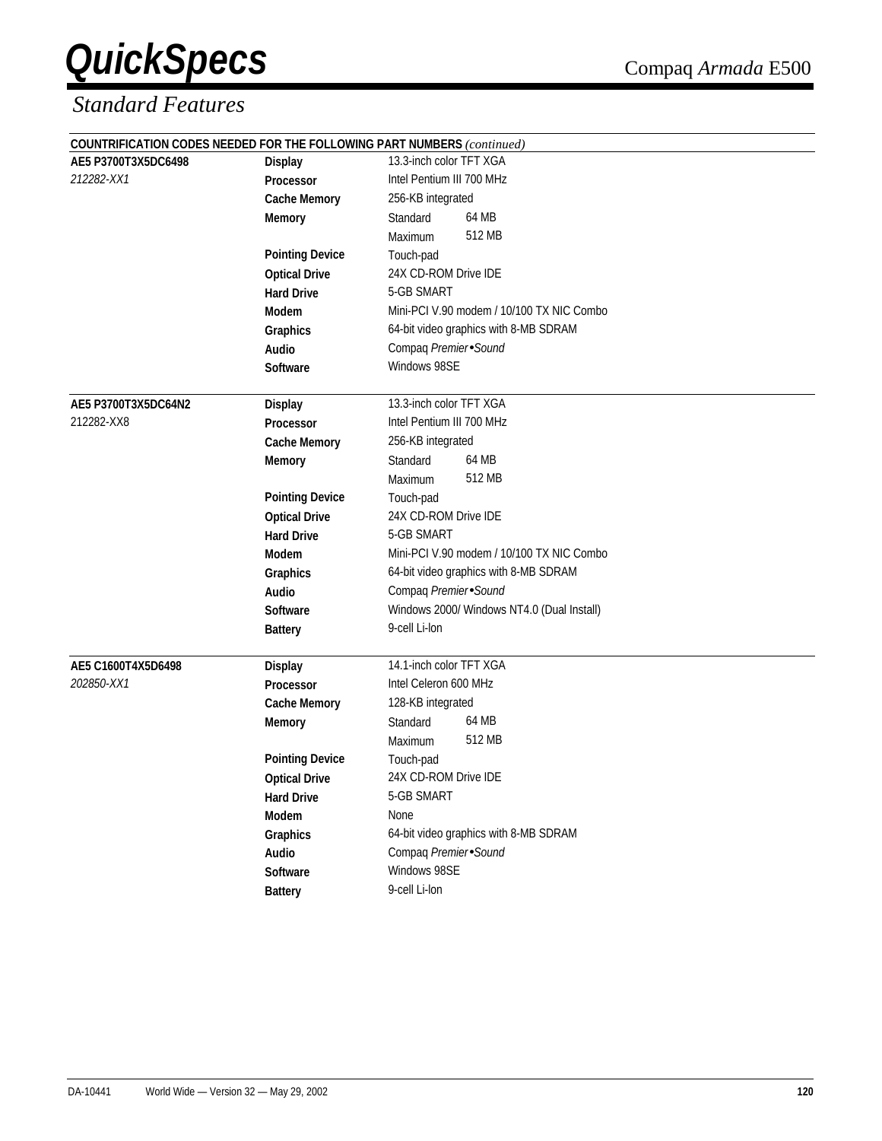|                     |                        | COUNTRIFICATION CODES NEEDED FOR THE FOLLOWING PART NUMBERS (continued) |
|---------------------|------------------------|-------------------------------------------------------------------------|
| AE5 P3700T3X5DC6498 | <b>Display</b>         | 13.3-inch color TFT XGA                                                 |
| 212282-XX1          | Processor              | Intel Pentium III 700 MHz                                               |
|                     | <b>Cache Memory</b>    | 256-KB integrated                                                       |
|                     | <b>Memory</b>          | 64 MB<br>Standard                                                       |
|                     |                        | 512 MB<br>Maximum                                                       |
|                     | <b>Pointing Device</b> | Touch-pad                                                               |
|                     | <b>Optical Drive</b>   | 24X CD-ROM Drive IDE                                                    |
|                     | <b>Hard Drive</b>      | 5-GB SMART                                                              |
|                     | <b>Modem</b>           | Mini-PCI V.90 modem / 10/100 TX NIC Combo                               |
|                     | Graphics               | 64-bit video graphics with 8-MB SDRAM                                   |
|                     | Audio                  | Compaq Premier Sound                                                    |
|                     | Software               | Windows 98SE                                                            |
| AE5 P3700T3X5DC64N2 | <b>Display</b>         | 13.3-inch color TFT XGA                                                 |
| 212282-XX8          | <b>Processor</b>       | Intel Pentium III 700 MHz                                               |
|                     | <b>Cache Memory</b>    | 256-KB integrated                                                       |
|                     | <b>Memory</b>          | 64 MB<br>Standard                                                       |
|                     |                        | 512 MB<br>Maximum                                                       |
|                     | <b>Pointing Device</b> | Touch-pad                                                               |
|                     | <b>Optical Drive</b>   | 24X CD-ROM Drive IDE                                                    |
|                     | <b>Hard Drive</b>      | 5-GB SMART                                                              |
|                     | <b>Modem</b>           | Mini-PCI V.90 modem / 10/100 TX NIC Combo                               |
|                     | Graphics               | 64-bit video graphics with 8-MB SDRAM                                   |
|                     | Audio                  | Compaq Premier Sound                                                    |
|                     | Software               | Windows 2000/ Windows NT4.0 (Dual Install)                              |
|                     | <b>Battery</b>         | 9-cell Li-lon                                                           |
| AE5 C1600T4X5D6498  | <b>Display</b>         | 14.1-inch color TFT XGA                                                 |
| 202850-XX1          | <b>Processor</b>       | Intel Celeron 600 MHz                                                   |
|                     | <b>Cache Memory</b>    | 128-KB integrated                                                       |
|                     | <b>Memory</b>          | 64 MB<br>Standard                                                       |
|                     |                        | 512 MB<br>Maximum                                                       |
|                     | <b>Pointing Device</b> | Touch-pad                                                               |
|                     | <b>Optical Drive</b>   | 24X CD-ROM Drive IDE                                                    |
|                     | <b>Hard Drive</b>      | 5-GB SMART                                                              |
|                     | Modem                  | None                                                                    |
|                     | Graphics               | 64-bit video graphics with 8-MB SDRAM                                   |
|                     | Audio                  | Compaq Premier Sound                                                    |
|                     | Software               | Windows 98SE                                                            |
|                     | <b>Battery</b>         | 9-cell Li-lon                                                           |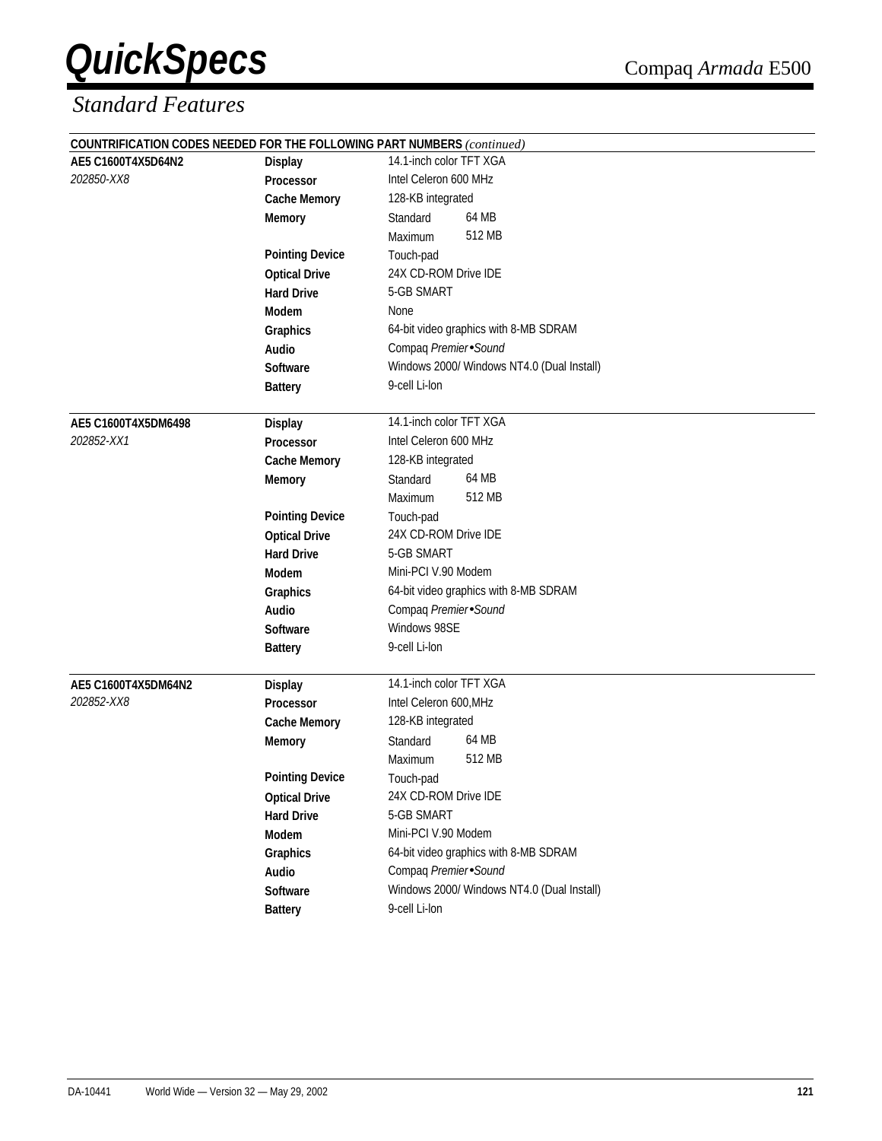|                     |                        | COUNTRIFICATION CODES NEEDED FOR THE FOLLOWING PART NUMBERS (continued) |  |  |
|---------------------|------------------------|-------------------------------------------------------------------------|--|--|
| AE5 C1600T4X5D64N2  | <b>Display</b>         | 14.1-inch color TFT XGA                                                 |  |  |
| 202850-XX8          | Processor              | Intel Celeron 600 MHz                                                   |  |  |
|                     | <b>Cache Memory</b>    | 128-KB integrated                                                       |  |  |
|                     | <b>Memory</b>          | 64 MB<br>Standard                                                       |  |  |
|                     |                        | 512 MB<br>Maximum                                                       |  |  |
|                     | <b>Pointing Device</b> | Touch-pad                                                               |  |  |
|                     | <b>Optical Drive</b>   | 24X CD-ROM Drive IDE                                                    |  |  |
|                     | <b>Hard Drive</b>      | 5-GB SMART                                                              |  |  |
|                     | Modem                  | None                                                                    |  |  |
|                     | Graphics               | 64-bit video graphics with 8-MB SDRAM                                   |  |  |
|                     | Audio                  | Compaq Premier Sound                                                    |  |  |
|                     | <b>Software</b>        | Windows 2000/ Windows NT4.0 (Dual Install)                              |  |  |
|                     | <b>Battery</b>         | 9-cell Li-lon                                                           |  |  |
| AE5 C1600T4X5DM6498 | <b>Display</b>         | 14.1-inch color TFT XGA                                                 |  |  |
| 202852-XX1          | <b>Processor</b>       | Intel Celeron 600 MHz                                                   |  |  |
|                     | <b>Cache Memory</b>    | 128-KB integrated                                                       |  |  |
|                     | <b>Memory</b>          | 64 MB<br>Standard                                                       |  |  |
|                     |                        | 512 MB<br>Maximum                                                       |  |  |
|                     | <b>Pointing Device</b> | Touch-pad                                                               |  |  |
|                     | <b>Optical Drive</b>   | 24X CD-ROM Drive IDE                                                    |  |  |
|                     | <b>Hard Drive</b>      | 5-GB SMART                                                              |  |  |
|                     | Modem                  | Mini-PCI V.90 Modem                                                     |  |  |
|                     | Graphics               | 64-bit video graphics with 8-MB SDRAM                                   |  |  |
|                     | Audio                  | Compaq Premier Sound                                                    |  |  |
|                     | Software               | Windows 98SE                                                            |  |  |
|                     | <b>Battery</b>         | 9-cell Li-lon                                                           |  |  |
| AE5 C1600T4X5DM64N2 | <b>Display</b>         | 14.1-inch color TFT XGA                                                 |  |  |
| 202852-XX8          | <b>Processor</b>       | Intel Celeron 600, MHz                                                  |  |  |
|                     | <b>Cache Memory</b>    | 128-KB integrated                                                       |  |  |
|                     | <b>Memory</b>          | 64 MB<br>Standard                                                       |  |  |
|                     |                        | 512 MB<br>Maximum                                                       |  |  |
|                     | <b>Pointing Device</b> | Touch-pad                                                               |  |  |
|                     | <b>Optical Drive</b>   | 24X CD-ROM Drive IDE                                                    |  |  |
|                     | <b>Hard Drive</b>      | 5-GB SMART                                                              |  |  |
|                     | Modem                  | Mini-PCI V.90 Modem                                                     |  |  |
|                     | Graphics               | 64-bit video graphics with 8-MB SDRAM                                   |  |  |
|                     | Audio                  | Compaq Premier Sound                                                    |  |  |
|                     | Software               | Windows 2000/ Windows NT4.0 (Dual Install)                              |  |  |
|                     | <b>Battery</b>         | 9-cell Li-lon                                                           |  |  |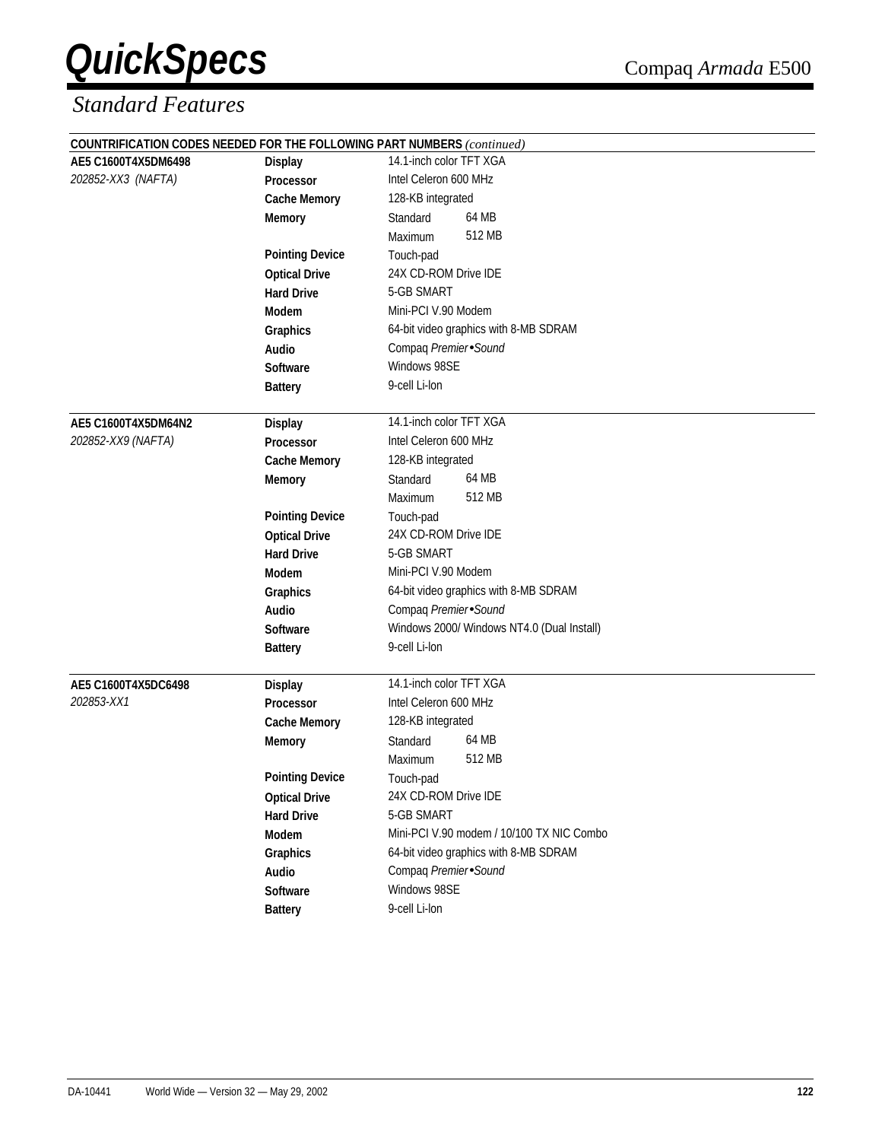|                     |                        | COUNTRIFICATION CODES NEEDED FOR THE FOLLOWING PART NUMBERS (continued) |  |  |
|---------------------|------------------------|-------------------------------------------------------------------------|--|--|
| AE5 C1600T4X5DM6498 | <b>Display</b>         | 14.1-inch color TFT XGA                                                 |  |  |
| 202852-XX3 (NAFTA)  | <b>Processor</b>       | Intel Celeron 600 MHz                                                   |  |  |
|                     | <b>Cache Memory</b>    | 128-KB integrated                                                       |  |  |
|                     | <b>Memory</b>          | 64 MB<br>Standard                                                       |  |  |
|                     |                        | 512 MB<br>Maximum                                                       |  |  |
|                     | <b>Pointing Device</b> | Touch-pad                                                               |  |  |
|                     | <b>Optical Drive</b>   | 24X CD-ROM Drive IDE                                                    |  |  |
|                     | <b>Hard Drive</b>      | 5-GB SMART                                                              |  |  |
|                     | Modem                  | Mini-PCI V.90 Modem                                                     |  |  |
|                     | Graphics               | 64-bit video graphics with 8-MB SDRAM                                   |  |  |
|                     | Audio                  | Compaq Premier Sound                                                    |  |  |
|                     | <b>Software</b>        | Windows 98SE                                                            |  |  |
|                     | <b>Battery</b>         | 9-cell Li-lon                                                           |  |  |
| AE5 C1600T4X5DM64N2 | <b>Display</b>         | 14.1-inch color TFT XGA                                                 |  |  |
| 202852-XX9 (NAFTA)  | <b>Processor</b>       | Intel Celeron 600 MHz                                                   |  |  |
|                     | <b>Cache Memory</b>    | 128-KB integrated                                                       |  |  |
|                     | <b>Memory</b>          | 64 MB<br>Standard                                                       |  |  |
|                     |                        | 512 MB<br>Maximum                                                       |  |  |
|                     | <b>Pointing Device</b> | Touch-pad                                                               |  |  |
|                     | <b>Optical Drive</b>   | 24X CD-ROM Drive IDE                                                    |  |  |
|                     | <b>Hard Drive</b>      | 5-GB SMART                                                              |  |  |
|                     | Modem                  | Mini-PCI V.90 Modem                                                     |  |  |
|                     | Graphics               | 64-bit video graphics with 8-MB SDRAM                                   |  |  |
|                     | <b>Audio</b>           | Compaq Premier Sound                                                    |  |  |
|                     | Software               | Windows 2000/ Windows NT4.0 (Dual Install)                              |  |  |
|                     | <b>Battery</b>         | 9-cell Li-lon                                                           |  |  |
| AE5 C1600T4X5DC6498 | Display                | 14.1-inch color TFT XGA                                                 |  |  |
| 202853-XX1          | Processor              | Intel Celeron 600 MHz                                                   |  |  |
|                     | <b>Cache Memory</b>    | 128-KB integrated                                                       |  |  |
|                     | <b>Memory</b>          | 64 MB<br>Standard                                                       |  |  |
|                     |                        | 512 MB<br>Maximum                                                       |  |  |
|                     | <b>Pointing Device</b> | Touch-pad                                                               |  |  |
|                     | <b>Optical Drive</b>   | 24X CD-ROM Drive IDE                                                    |  |  |
|                     | <b>Hard Drive</b>      | 5-GB SMART                                                              |  |  |
|                     | Modem                  | Mini-PCI V.90 modem / 10/100 TX NIC Combo                               |  |  |
|                     | Graphics               | 64-bit video graphics with 8-MB SDRAM                                   |  |  |
|                     | Audio                  | Compaq Premier Sound                                                    |  |  |
|                     | <b>Software</b>        | Windows 98SE                                                            |  |  |
|                     | <b>Battery</b>         | 9-cell Li-lon                                                           |  |  |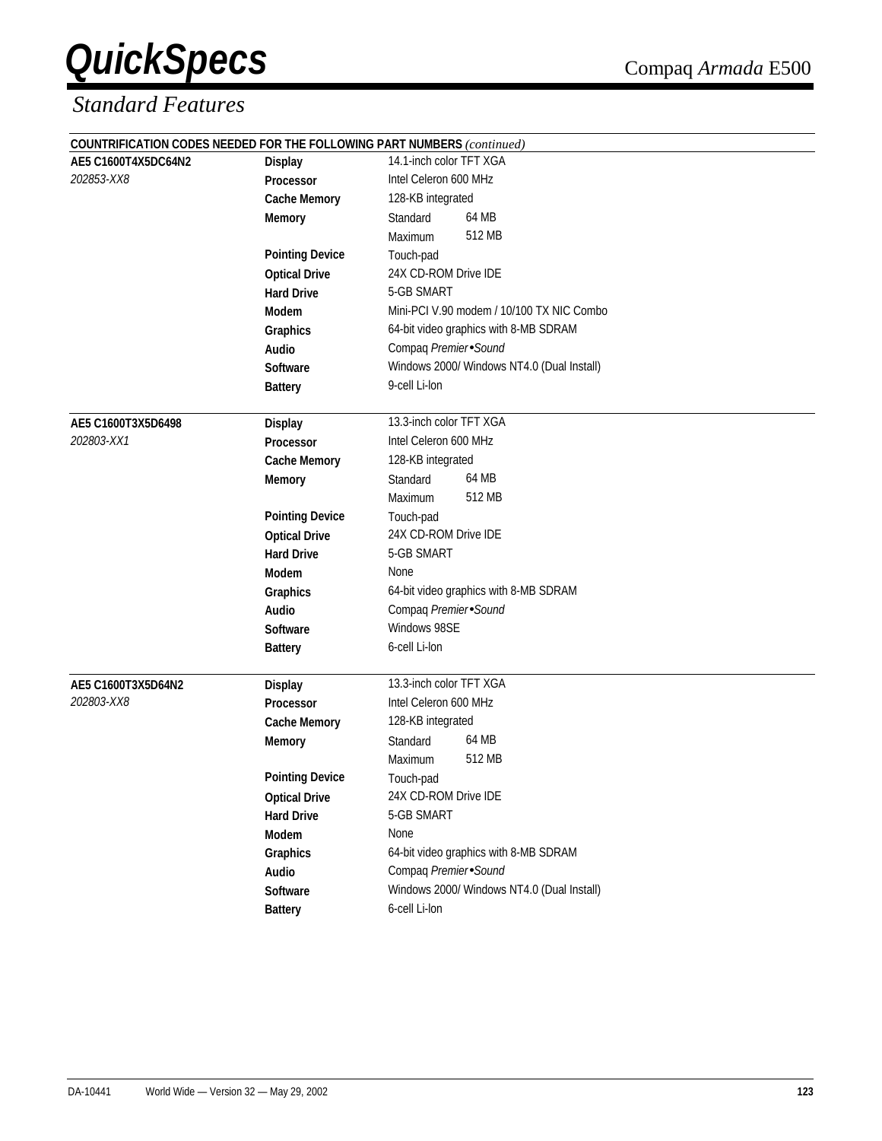|                     |                        | COUNTRIFICATION CODES NEEDED FOR THE FOLLOWING PART NUMBERS (continued) |  |  |
|---------------------|------------------------|-------------------------------------------------------------------------|--|--|
| AE5 C1600T4X5DC64N2 | <b>Display</b>         | 14.1-inch color TFT XGA                                                 |  |  |
| 202853-XX8          | Processor              | Intel Celeron 600 MHz                                                   |  |  |
|                     | <b>Cache Memory</b>    | 128-KB integrated                                                       |  |  |
|                     | <b>Memory</b>          | 64 MB<br>Standard                                                       |  |  |
|                     |                        | 512 MB<br>Maximum                                                       |  |  |
|                     | <b>Pointing Device</b> | Touch-pad                                                               |  |  |
|                     | <b>Optical Drive</b>   | 24X CD-ROM Drive IDE                                                    |  |  |
|                     | <b>Hard Drive</b>      | 5-GB SMART                                                              |  |  |
|                     | Modem                  | Mini-PCI V.90 modem / 10/100 TX NIC Combo                               |  |  |
|                     | Graphics               | 64-bit video graphics with 8-MB SDRAM                                   |  |  |
|                     | Audio                  | Compaq Premier Sound                                                    |  |  |
|                     | <b>Software</b>        | Windows 2000/ Windows NT4.0 (Dual Install)                              |  |  |
|                     | <b>Battery</b>         | 9-cell Li-lon                                                           |  |  |
| AE5 C1600T3X5D6498  | <b>Display</b>         | 13.3-inch color TFT XGA                                                 |  |  |
| 202803-XX1          | <b>Processor</b>       | Intel Celeron 600 MHz                                                   |  |  |
|                     | <b>Cache Memory</b>    | 128-KB integrated                                                       |  |  |
|                     | <b>Memory</b>          | 64 MB<br>Standard                                                       |  |  |
|                     |                        | 512 MB<br>Maximum                                                       |  |  |
|                     | <b>Pointing Device</b> | Touch-pad                                                               |  |  |
|                     | <b>Optical Drive</b>   | 24X CD-ROM Drive IDE                                                    |  |  |
|                     | <b>Hard Drive</b>      | 5-GB SMART                                                              |  |  |
|                     | Modem                  | None                                                                    |  |  |
|                     | Graphics               | 64-bit video graphics with 8-MB SDRAM                                   |  |  |
|                     | <b>Audio</b>           | Compaq Premier Sound                                                    |  |  |
|                     | <b>Software</b>        | Windows 98SE                                                            |  |  |
|                     | <b>Battery</b>         | 6-cell Li-lon                                                           |  |  |
| AE5 C1600T3X5D64N2  | <b>Display</b>         | 13.3-inch color TFT XGA                                                 |  |  |
| 202803-XX8          | Processor              | Intel Celeron 600 MHz                                                   |  |  |
|                     | <b>Cache Memory</b>    | 128-KB integrated                                                       |  |  |
|                     | <b>Memory</b>          | 64 MB<br>Standard                                                       |  |  |
|                     |                        | 512 MB<br>Maximum                                                       |  |  |
|                     | <b>Pointing Device</b> | Touch-pad                                                               |  |  |
|                     | <b>Optical Drive</b>   | 24X CD-ROM Drive IDE                                                    |  |  |
|                     | <b>Hard Drive</b>      | 5-GB SMART                                                              |  |  |
|                     | Modem                  | None                                                                    |  |  |
|                     | Graphics               | 64-bit video graphics with 8-MB SDRAM                                   |  |  |
|                     | Audio                  | Compaq Premier Sound                                                    |  |  |
|                     | Software               | Windows 2000/ Windows NT4.0 (Dual Install)                              |  |  |
|                     | <b>Battery</b>         | 6-cell Li-lon                                                           |  |  |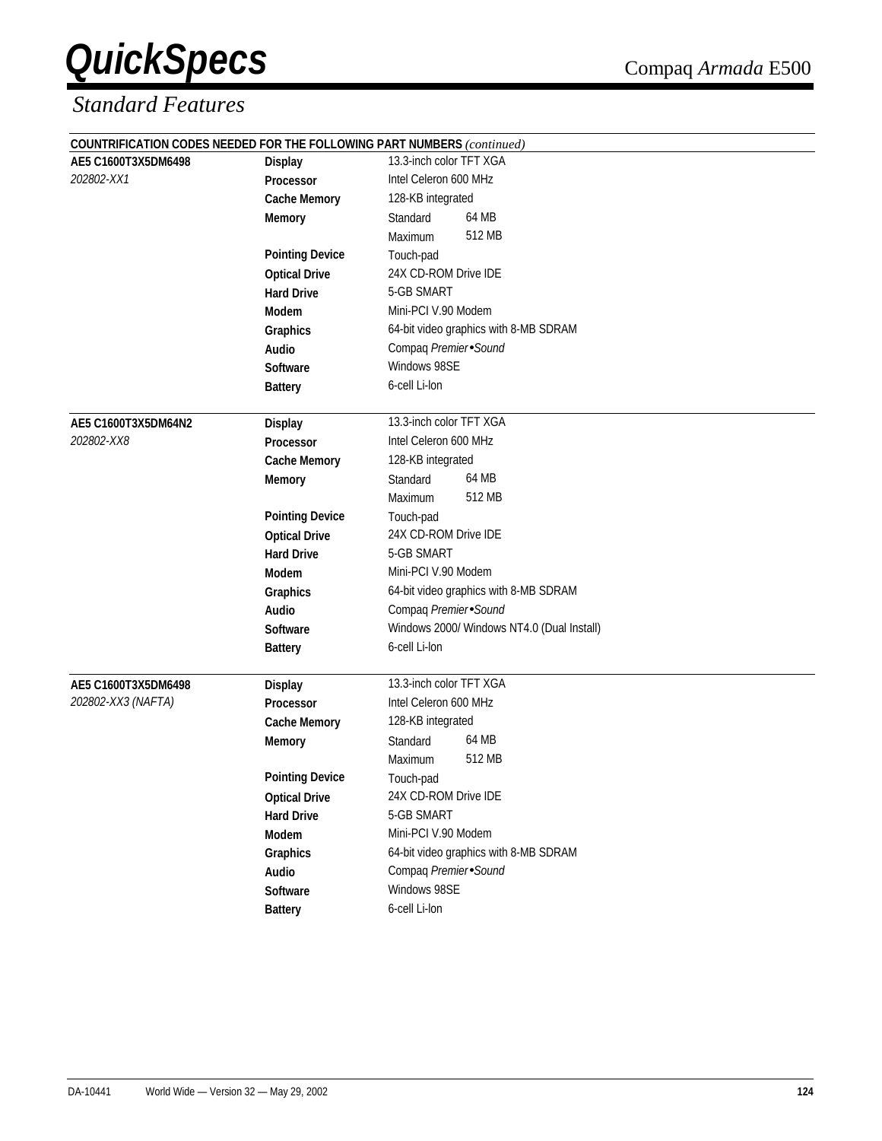|                     |                        | COUNTRIFICATION CODES NEEDED FOR THE FOLLOWING PART NUMBERS (continued) |  |  |
|---------------------|------------------------|-------------------------------------------------------------------------|--|--|
| AE5 C1600T3X5DM6498 | <b>Display</b>         | 13.3-inch color TFT XGA                                                 |  |  |
| 202802-XX1          | Processor              | Intel Celeron 600 MHz                                                   |  |  |
|                     | <b>Cache Memory</b>    | 128-KB integrated                                                       |  |  |
|                     | <b>Memory</b>          | 64 MB<br>Standard                                                       |  |  |
|                     |                        | 512 MB<br>Maximum                                                       |  |  |
|                     | <b>Pointing Device</b> | Touch-pad                                                               |  |  |
|                     | <b>Optical Drive</b>   | 24X CD-ROM Drive IDE                                                    |  |  |
|                     | <b>Hard Drive</b>      | 5-GB SMART                                                              |  |  |
|                     | Modem                  | Mini-PCI V.90 Modem                                                     |  |  |
|                     | Graphics               | 64-bit video graphics with 8-MB SDRAM                                   |  |  |
|                     | Audio                  | Compaq Premier Sound                                                    |  |  |
|                     | <b>Software</b>        | Windows 98SE                                                            |  |  |
|                     | <b>Battery</b>         | 6-cell Li-lon                                                           |  |  |
| AE5 C1600T3X5DM64N2 | <b>Display</b>         | 13.3-inch color TFT XGA                                                 |  |  |
| 202802-XX8          | <b>Processor</b>       | Intel Celeron 600 MHz                                                   |  |  |
|                     | <b>Cache Memory</b>    | 128-KB integrated                                                       |  |  |
|                     | <b>Memory</b>          | 64 MB<br>Standard                                                       |  |  |
|                     |                        | 512 MB<br>Maximum                                                       |  |  |
|                     | <b>Pointing Device</b> | Touch-pad                                                               |  |  |
|                     | <b>Optical Drive</b>   | 24X CD-ROM Drive IDE                                                    |  |  |
|                     | <b>Hard Drive</b>      | 5-GB SMART                                                              |  |  |
|                     | Modem                  | Mini-PCI V.90 Modem                                                     |  |  |
|                     | Graphics               | 64-bit video graphics with 8-MB SDRAM                                   |  |  |
|                     | Audio                  | Compaq Premier Sound                                                    |  |  |
|                     | Software               | Windows 2000/ Windows NT4.0 (Dual Install)                              |  |  |
|                     | <b>Battery</b>         | 6-cell Li-lon                                                           |  |  |
| AE5 C1600T3X5DM6498 | <b>Display</b>         | 13.3-inch color TFT XGA                                                 |  |  |
| 202802-XX3 (NAFTA)  | Processor              | Intel Celeron 600 MHz                                                   |  |  |
|                     | <b>Cache Memory</b>    | 128-KB integrated                                                       |  |  |
|                     | <b>Memory</b>          | 64 MB<br>Standard                                                       |  |  |
|                     |                        | 512 MB<br>Maximum                                                       |  |  |
|                     | <b>Pointing Device</b> | Touch-pad                                                               |  |  |
|                     | <b>Optical Drive</b>   | 24X CD-ROM Drive IDE                                                    |  |  |
|                     | <b>Hard Drive</b>      | 5-GB SMART                                                              |  |  |
|                     | Modem                  | Mini-PCI V.90 Modem                                                     |  |  |
|                     | Graphics               | 64-bit video graphics with 8-MB SDRAM                                   |  |  |
|                     | Audio                  | Compaq Premier Sound                                                    |  |  |
|                     | Software               | Windows 98SE                                                            |  |  |
|                     | <b>Battery</b>         | 6-cell Li-lon                                                           |  |  |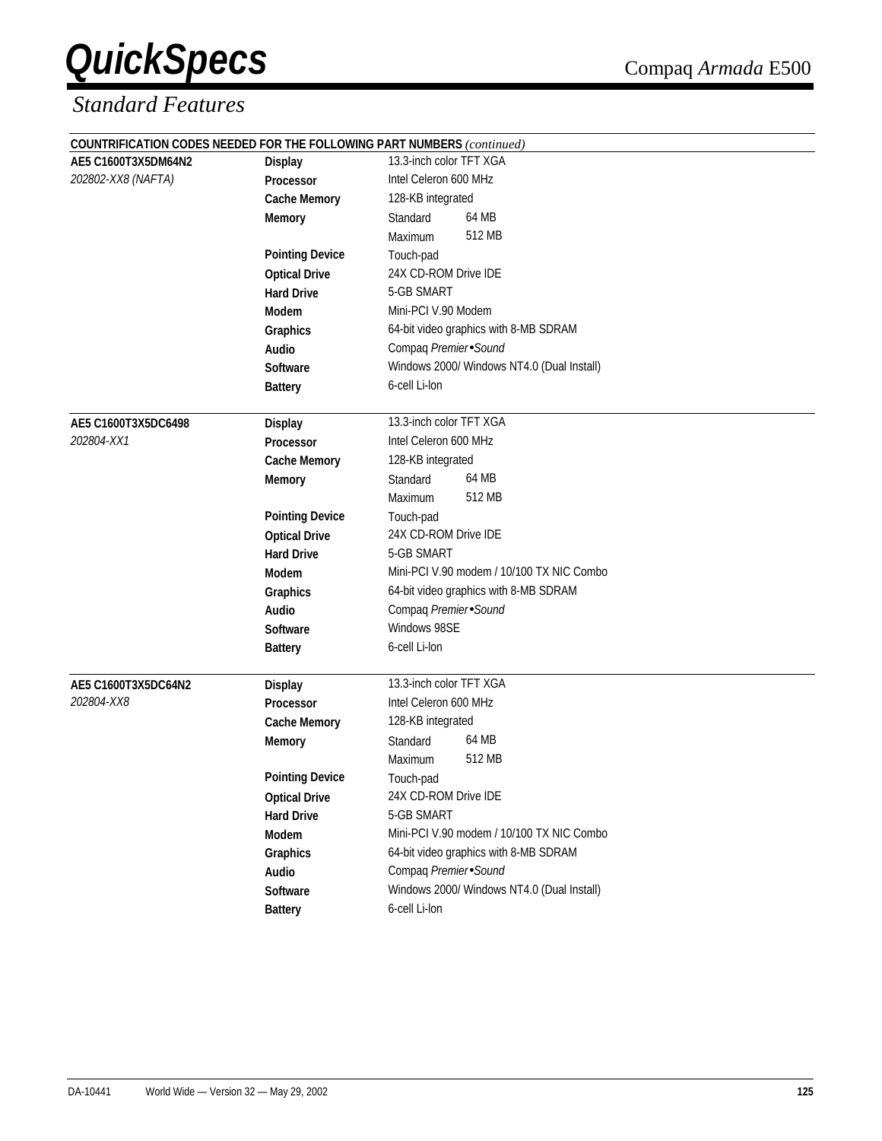| COUNTRIFICATION CODES NEEDED FOR THE FOLLOWING PART NUMBERS (continued) |                        |                                            |  |  |
|-------------------------------------------------------------------------|------------------------|--------------------------------------------|--|--|
| AE5 C1600T3X5DM64N2                                                     | <b>Display</b>         | 13.3-inch color TFT XGA                    |  |  |
| 202802-XX8 (NAFTA)                                                      | <b>Processor</b>       | Intel Celeron 600 MHz                      |  |  |
|                                                                         | <b>Cache Memory</b>    | 128-KB integrated                          |  |  |
|                                                                         | <b>Memory</b>          | 64 MB<br>Standard                          |  |  |
|                                                                         |                        | 512 MB<br>Maximum                          |  |  |
|                                                                         | <b>Pointing Device</b> | Touch-pad                                  |  |  |
|                                                                         | <b>Optical Drive</b>   | 24X CD-ROM Drive IDE                       |  |  |
|                                                                         | <b>Hard Drive</b>      | 5-GB SMART                                 |  |  |
|                                                                         | Modem                  | Mini-PCI V.90 Modem                        |  |  |
|                                                                         | Graphics               | 64-bit video graphics with 8-MB SDRAM      |  |  |
|                                                                         | Audio                  | Compaq Premier Sound                       |  |  |
|                                                                         | <b>Software</b>        | Windows 2000/ Windows NT4.0 (Dual Install) |  |  |
|                                                                         | <b>Battery</b>         | 6-cell Li-lon                              |  |  |
|                                                                         |                        |                                            |  |  |
| AE5 C1600T3X5DC6498                                                     | <b>Display</b>         | 13.3-inch color TFT XGA                    |  |  |
| 202804-XX1                                                              | Processor              | Intel Celeron 600 MHz                      |  |  |
|                                                                         | <b>Cache Memory</b>    | 128-KB integrated                          |  |  |
|                                                                         | <b>Memory</b>          | 64 MB<br>Standard                          |  |  |
|                                                                         |                        | 512 MB<br>Maximum                          |  |  |
|                                                                         | <b>Pointing Device</b> | Touch-pad                                  |  |  |
|                                                                         | <b>Optical Drive</b>   | 24X CD-ROM Drive IDE                       |  |  |
|                                                                         | <b>Hard Drive</b>      | 5-GB SMART                                 |  |  |
|                                                                         | Modem                  | Mini-PCI V.90 modem / 10/100 TX NIC Combo  |  |  |
|                                                                         | Graphics               | 64-bit video graphics with 8-MB SDRAM      |  |  |
|                                                                         | <b>Audio</b>           | Compaq Premier Sound                       |  |  |
|                                                                         | <b>Software</b>        | Windows 98SE                               |  |  |
|                                                                         | <b>Battery</b>         | 6-cell Li-lon                              |  |  |
|                                                                         |                        |                                            |  |  |
| AE5 C1600T3X5DC64N2                                                     | <b>Display</b>         | 13.3-inch color TFT XGA                    |  |  |
| 202804-XX8                                                              | Processor              | Intel Celeron 600 MHz                      |  |  |
|                                                                         | <b>Cache Memory</b>    | 128-KB integrated                          |  |  |
|                                                                         | <b>Memory</b>          | 64 MB<br>Standard                          |  |  |
|                                                                         |                        | 512 MB<br>Maximum                          |  |  |
|                                                                         | <b>Pointing Device</b> | Touch-pad                                  |  |  |
|                                                                         | <b>Optical Drive</b>   | 24X CD-ROM Drive IDE                       |  |  |
|                                                                         | <b>Hard Drive</b>      | 5-GB SMART                                 |  |  |
|                                                                         | Modem                  | Mini-PCI V.90 modem / 10/100 TX NIC Combo  |  |  |
|                                                                         | Graphics               | 64-bit video graphics with 8-MB SDRAM      |  |  |
|                                                                         | Audio                  | Compaq Premier Sound                       |  |  |
|                                                                         | Software               | Windows 2000/ Windows NT4.0 (Dual Install) |  |  |
|                                                                         | <b>Battery</b>         | 6-cell Li-lon                              |  |  |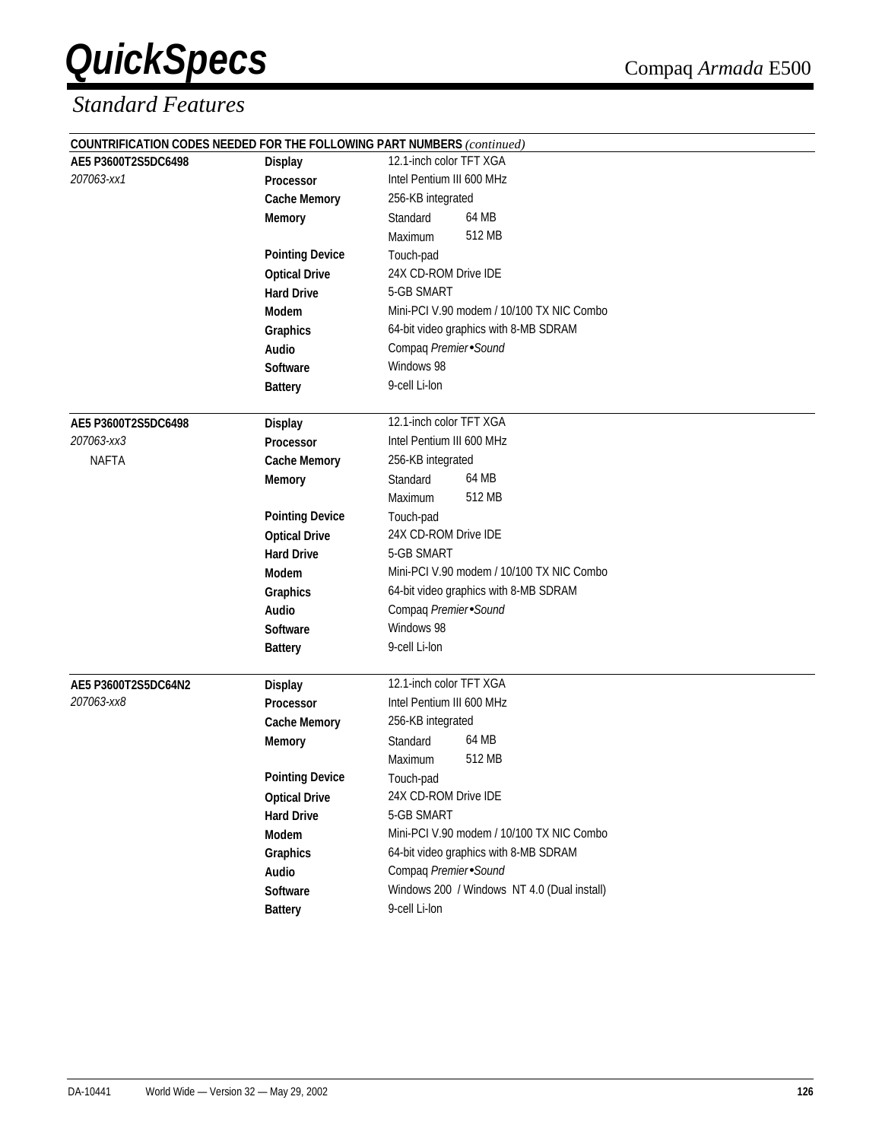|                     |                        | COUNTRIFICATION CODES NEEDED FOR THE FOLLOWING PART NUMBERS (continued) |
|---------------------|------------------------|-------------------------------------------------------------------------|
| AE5 P3600T2S5DC6498 | <b>Display</b>         | 12.1-inch color TFT XGA                                                 |
| 207063-xx1          | Processor              | Intel Pentium III 600 MHz                                               |
|                     | <b>Cache Memory</b>    | 256-KB integrated                                                       |
|                     | Memory                 | 64 MB<br>Standard                                                       |
|                     |                        | 512 MB<br>Maximum                                                       |
|                     | <b>Pointing Device</b> | Touch-pad                                                               |
|                     | <b>Optical Drive</b>   | 24X CD-ROM Drive IDE                                                    |
|                     | <b>Hard Drive</b>      | 5-GB SMART                                                              |
|                     | Modem                  | Mini-PCI V.90 modem / 10/100 TX NIC Combo                               |
|                     | Graphics               | 64-bit video graphics with 8-MB SDRAM                                   |
|                     | Audio                  | Compaq Premier Sound                                                    |
|                     | <b>Software</b>        | Windows 98                                                              |
|                     | <b>Battery</b>         | 9-cell Li-lon                                                           |
| AE5 P3600T2S5DC6498 | <b>Display</b>         | 12.1-inch color TFT XGA                                                 |
| 207063-xx3          | <b>Processor</b>       | Intel Pentium III 600 MHz                                               |
| <b>NAFTA</b>        | <b>Cache Memory</b>    | 256-KB integrated                                                       |
|                     | <b>Memory</b>          | 64 MB<br>Standard                                                       |
|                     |                        | 512 MB<br>Maximum                                                       |
|                     | <b>Pointing Device</b> | Touch-pad                                                               |
|                     | <b>Optical Drive</b>   | 24X CD-ROM Drive IDE                                                    |
|                     | <b>Hard Drive</b>      | 5-GB SMART                                                              |
|                     | Modem                  | Mini-PCI V.90 modem / 10/100 TX NIC Combo                               |
|                     | Graphics               | 64-bit video graphics with 8-MB SDRAM                                   |
|                     | <b>Audio</b>           | Compaq Premier Sound                                                    |
|                     | Software               | Windows 98                                                              |
|                     | <b>Battery</b>         | 9-cell Li-lon                                                           |
| AE5 P3600T2S5DC64N2 | <b>Display</b>         | 12.1-inch color TFT XGA                                                 |
| 207063-xx8          | Processor              | Intel Pentium III 600 MHz                                               |
|                     | <b>Cache Memory</b>    | 256-KB integrated                                                       |
|                     | <b>Memory</b>          | 64 MB<br>Standard                                                       |
|                     |                        | 512 MB<br><b>Maximum</b>                                                |
|                     | <b>Pointing Device</b> | Touch-pad                                                               |
|                     | <b>Optical Drive</b>   | 24X CD-ROM Drive IDE                                                    |
|                     | <b>Hard Drive</b>      | 5-GB SMART                                                              |
|                     | Modem                  | Mini-PCI V.90 modem / 10/100 TX NIC Combo                               |
|                     | Graphics               | 64-bit video graphics with 8-MB SDRAM                                   |
|                     | Audio                  | Compaq Premier Sound                                                    |
|                     | Software               | Windows 200 / Windows NT 4.0 (Dual install)                             |
|                     | <b>Battery</b>         | 9-cell Li-lon                                                           |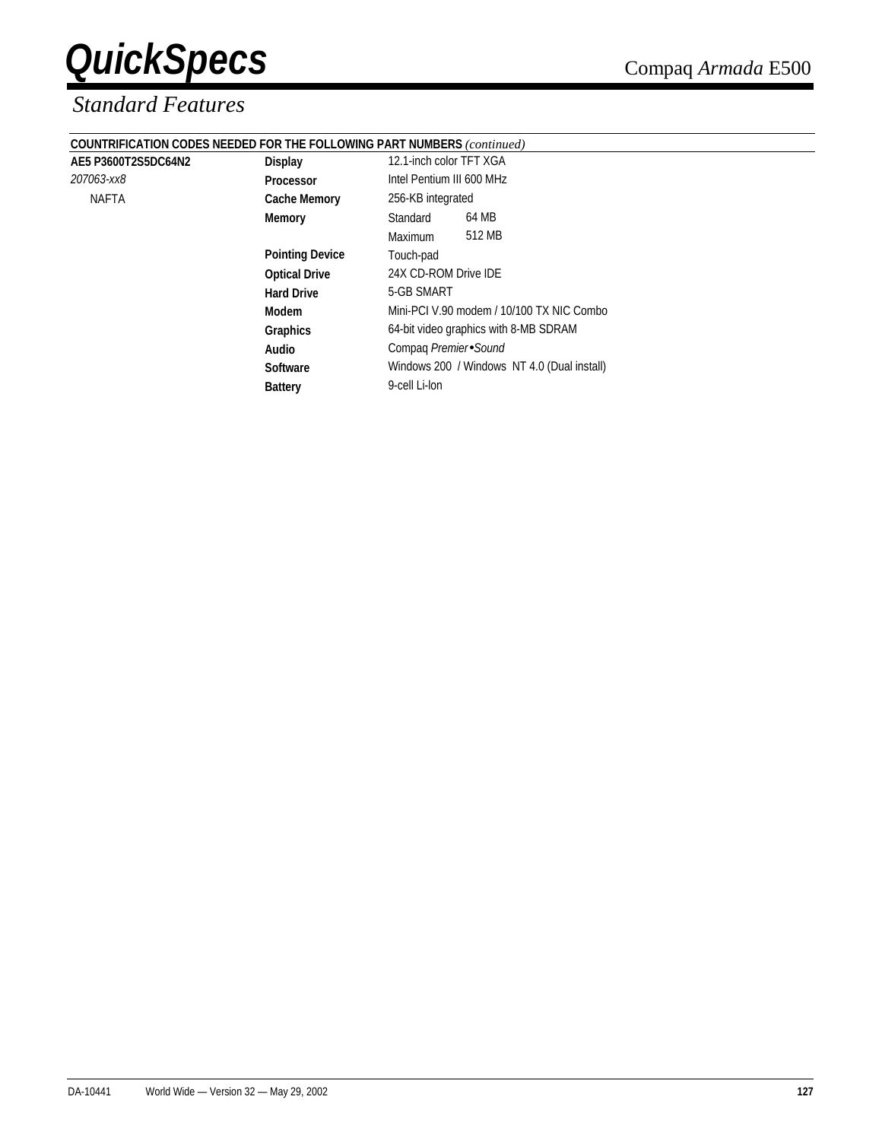### *Standard Features*

| <b>COUNTRIFICATION CODES NEEDED FOR THE FOLLOWING PART NUMBERS (continued)</b> |  |
|--------------------------------------------------------------------------------|--|
|                                                                                |  |

*207063-xx8* **Processor** Intel Pentium III 600 MHz

| AE5 P3600T2S5DC64N2 | <b>Display</b> | 12.1-inch color TFT XGA |
|---------------------|----------------|-------------------------|
|---------------------|----------------|-------------------------|

| 063-хх8 | <b>Processor</b>       | Intel Pentium III 600 MHz                   |
|---------|------------------------|---------------------------------------------|
| NAFTA   | <b>Cache Memory</b>    | 256-KB integrated                           |
|         | <b>Memory</b>          | 64 MB<br>Standard                           |
|         |                        | 512 MB<br><b>Maximum</b>                    |
|         | <b>Pointing Device</b> | Touch-pad                                   |
|         | <b>Optical Drive</b>   | 24X CD-ROM Drive IDE                        |
|         | <b>Hard Drive</b>      | 5-GB SMART                                  |
|         | Modem                  | Mini-PCI V.90 modem / 10/100 TX NIC Combo   |
|         | <b>Graphics</b>        | 64-bit video graphics with 8-MB SDRAM       |
|         | Audio                  | Compag Premier Sound                        |
|         | <b>Software</b>        | Windows 200 / Windows NT 4.0 (Dual install) |
|         | <b>Battery</b>         | 9-cell Li-lon                               |
|         |                        |                                             |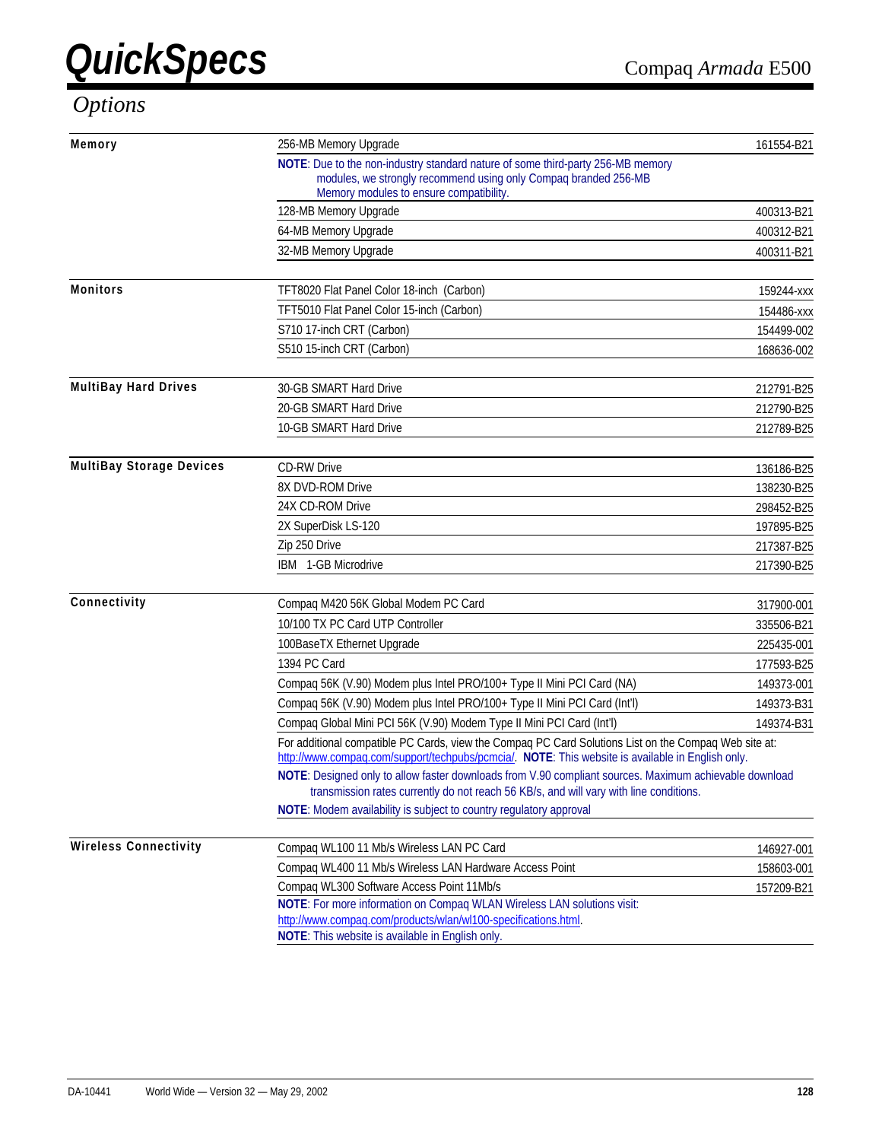## *Options*

| Memory                          | 256-MB Memory Upgrade<br>161554-B21                                                                                                                                                                       |            |  |  |
|---------------------------------|-----------------------------------------------------------------------------------------------------------------------------------------------------------------------------------------------------------|------------|--|--|
|                                 | NOTE: Due to the non-industry standard nature of some third-party 256-MB memory<br>modules, we strongly recommend using only Compag branded 256-MB<br>Memory modules to ensure compatibility.             |            |  |  |
|                                 | 128-MB Memory Upgrade                                                                                                                                                                                     | 400313-B21 |  |  |
|                                 | 64-MB Memory Upgrade                                                                                                                                                                                      | 400312-B21 |  |  |
|                                 | 32-MB Memory Upgrade                                                                                                                                                                                      | 400311-B21 |  |  |
| <b>Monitors</b>                 | TFT8020 Flat Panel Color 18-inch (Carbon)                                                                                                                                                                 | 159244-xxx |  |  |
|                                 | TFT5010 Flat Panel Color 15-inch (Carbon)                                                                                                                                                                 | 154486-xxx |  |  |
|                                 | S710 17-inch CRT (Carbon)                                                                                                                                                                                 | 154499-002 |  |  |
|                                 | S510 15-inch CRT (Carbon)                                                                                                                                                                                 | 168636-002 |  |  |
| <b>MultiBay Hard Drives</b>     | 30-GB SMART Hard Drive                                                                                                                                                                                    | 212791-B25 |  |  |
|                                 | 20-GB SMART Hard Drive                                                                                                                                                                                    | 212790-B25 |  |  |
|                                 | 10-GB SMART Hard Drive                                                                                                                                                                                    | 212789-B25 |  |  |
| <b>MultiBay Storage Devices</b> | <b>CD-RW Drive</b>                                                                                                                                                                                        | 136186-B25 |  |  |
|                                 | 8X DVD-ROM Drive                                                                                                                                                                                          | 138230-B25 |  |  |
|                                 | 24X CD-ROM Drive                                                                                                                                                                                          | 298452-B25 |  |  |
|                                 | 2X SuperDisk LS-120                                                                                                                                                                                       | 197895-B25 |  |  |
|                                 | Zip 250 Drive                                                                                                                                                                                             | 217387-B25 |  |  |
|                                 | IBM® 1-GB Microdrive                                                                                                                                                                                      | 217390-B25 |  |  |
| Connectivity                    | Compaq M420 56K Global Modem PC Card                                                                                                                                                                      | 317900-001 |  |  |
|                                 | 10/100 TX PC Card UTP Controller                                                                                                                                                                          | 335506-B21 |  |  |
|                                 | 100BaseTX Ethernet Upgrade                                                                                                                                                                                | 225435-001 |  |  |
|                                 | 1394 PC Card                                                                                                                                                                                              | 177593-B25 |  |  |
|                                 | Compaq 56K (V.90) Modem plus Intel PRO/100+ Type II Mini PCI Card (NA)                                                                                                                                    | 149373-001 |  |  |
|                                 | Compaq 56K (V.90) Modem plus Intel PRO/100+ Type II Mini PCI Card (Int'l)                                                                                                                                 | 149373-B31 |  |  |
|                                 | Compaq Global Mini PCI 56K (V.90) Modem Type II Mini PCI Card (Int'l)                                                                                                                                     | 149374-B31 |  |  |
|                                 | For additional compatible PC Cards, view the Compaq PC Card Solutions List on the Compaq Web site at:<br>http://www.compaq.com/support/techpubs/pcmcia/. NOTE: This website is available in English only. |            |  |  |
|                                 | NOTE: Designed only to allow faster downloads from V.90 compliant sources. Maximum achievable download<br>transmission rates currently do not reach 56 KB/s, and will vary with line conditions.          |            |  |  |
|                                 | NOTE: Modem availability is subject to country regulatory approval                                                                                                                                        |            |  |  |
| <b>Wireless Connectivity</b>    | Compaq WL100 11 Mb/s Wireless LAN PC Card                                                                                                                                                                 | 146927-001 |  |  |
|                                 | Compaq WL400 11 Mb/s Wireless LAN Hardware Access Point                                                                                                                                                   | 158603-001 |  |  |
|                                 | Compaq WL300 Software Access Point 11Mb/s                                                                                                                                                                 | 157209-B21 |  |  |
|                                 | NOTE: For more information on Compaq WLAN Wireless LAN solutions visit:<br>http://www.compag.com/products/wlan/wl100-specifications.html.                                                                 |            |  |  |
|                                 | NOTE: This website is available in English only.                                                                                                                                                          |            |  |  |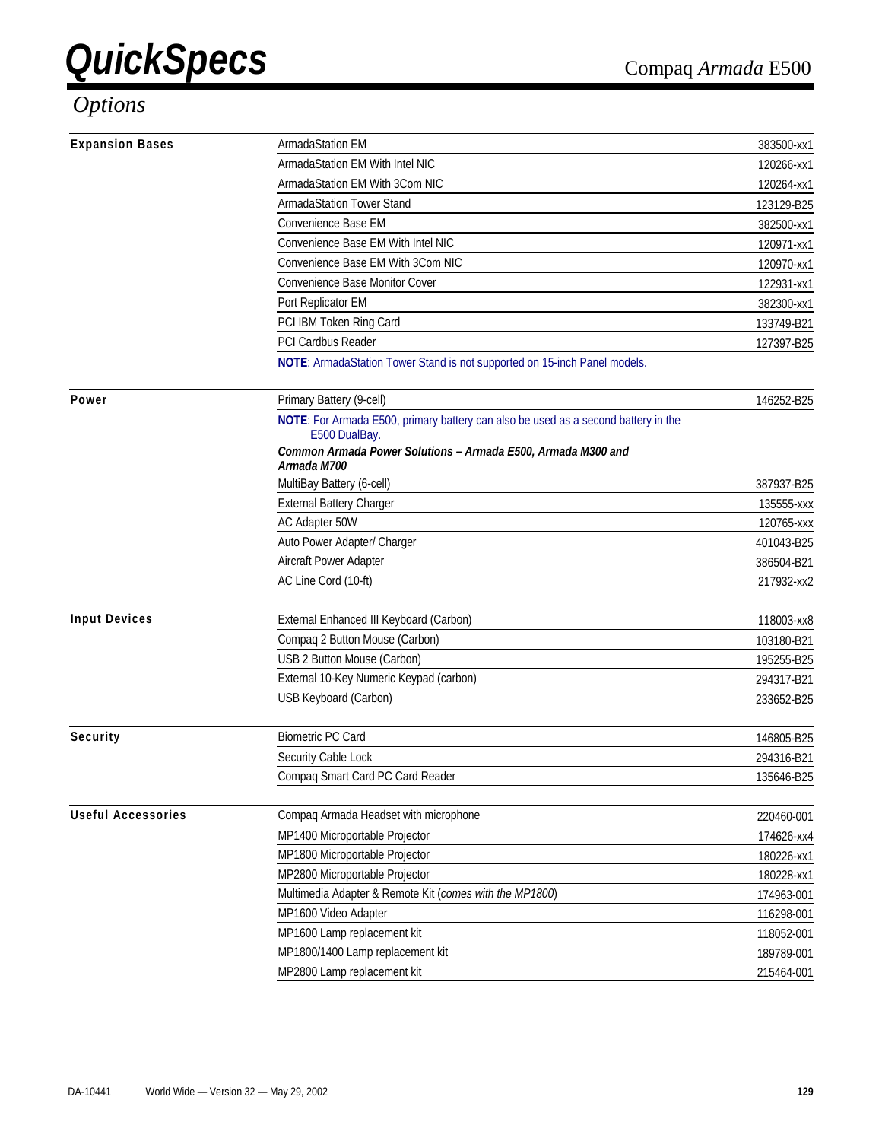### *Options*

| <b>Expansion Bases</b>    | ArmadaStation EM                                                                                    | 383500-xx1 |
|---------------------------|-----------------------------------------------------------------------------------------------------|------------|
|                           | ArmadaStation EM With Intel NIC                                                                     | 120266-xx1 |
|                           | ArmadaStation EM With 3Com NIC                                                                      | 120264-xx1 |
|                           | <b>ArmadaStation Tower Stand</b>                                                                    | 123129-B25 |
|                           | Convenience Base EM                                                                                 | 382500-xx1 |
|                           | Convenience Base EM With Intel NIC                                                                  | 120971-xx1 |
|                           | Convenience Base EM With 3Com NIC                                                                   | 120970-xx1 |
|                           | <b>Convenience Base Monitor Cover</b>                                                               | 122931-xx1 |
|                           | Port Replicator EM                                                                                  | 382300-xx1 |
|                           | PCI IBM Token Ring Card                                                                             | 133749-B21 |
|                           | PCI Cardbus Reader                                                                                  | 127397-B25 |
|                           | NOTE: ArmadaStation Tower Stand is not supported on 15-inch Panel models.                           |            |
| Power                     | Primary Battery (9-cell)                                                                            | 146252-B25 |
|                           | NOTE: For Armada E500, primary battery can also be used as a second battery in the<br>E500 DualBay. |            |
|                           | Common Armada Power Solutions - Armada E500, Armada M300 and<br>Armada M700                         |            |
|                           | MultiBay Battery (6-cell)                                                                           | 387937-B25 |
|                           | <b>External Battery Charger</b>                                                                     |            |
|                           | AC Adapter 50W                                                                                      | 120765-xxx |
|                           | Auto Power Adapter/ Charger                                                                         |            |
|                           | Aircraft Power Adapter                                                                              |            |
|                           | AC Line Cord (10-ft)                                                                                | 217932-xx2 |
| <b>Input Devices</b>      | External Enhanced III Keyboard (Carbon)                                                             | 118003-xx8 |
|                           | Compaq 2 Button Mouse (Carbon)                                                                      | 103180-B21 |
|                           | USB 2 Button Mouse (Carbon)                                                                         | 195255-B25 |
|                           | External 10-Key Numeric Keypad (carbon)                                                             | 294317-B21 |
|                           | USB Keyboard (Carbon)                                                                               | 233652-B25 |
| Security                  | <b>Biometric PC Card</b>                                                                            | 146805-B25 |
|                           | Security Cable Lock                                                                                 | 294316-B21 |
|                           | Compaq Smart Card PC Card Reader                                                                    | 135646-B25 |
| <b>Useful Accessories</b> | Compaq Armada Headset with microphone                                                               | 220460-001 |
|                           | MP1400 Microportable Projector                                                                      | 174626-xx4 |
|                           | MP1800 Microportable Projector                                                                      | 180226-xx1 |
|                           | MP2800 Microportable Projector                                                                      | 180228-xx1 |
|                           | Multimedia Adapter & Remote Kit (comes with the MP1800)                                             | 174963-001 |
|                           | MP1600 Video Adapter                                                                                | 116298-001 |
|                           | MP1600 Lamp replacement kit                                                                         | 118052-001 |
|                           | MP1800/1400 Lamp replacement kit                                                                    | 189789-001 |
|                           | MP2800 Lamp replacement kit                                                                         | 215464-001 |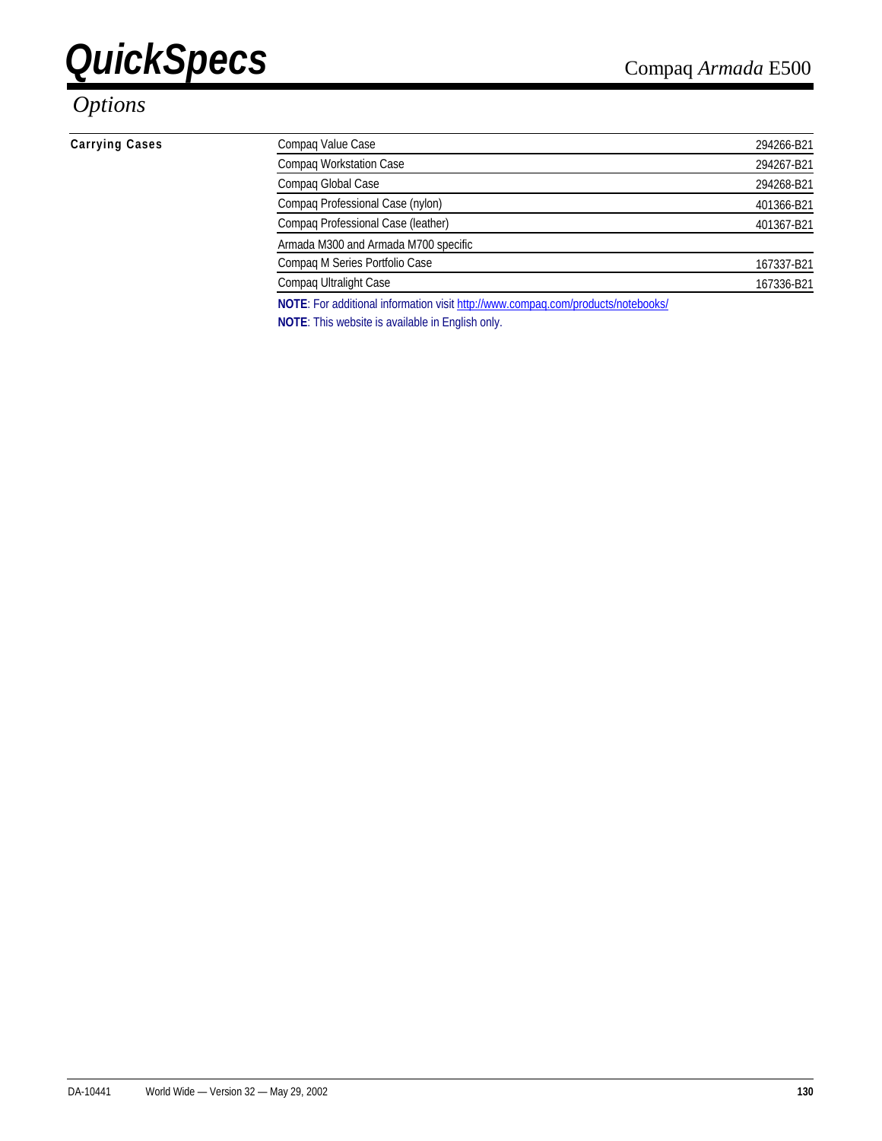### *Options*

#### **Carrying Cases**

| Compag Value Case                                                                | 294266-B21 |
|----------------------------------------------------------------------------------|------------|
| Compaq Workstation Case                                                          | 294267-B21 |
| Compaq Global Case                                                               | 294268-B21 |
| Compaq Professional Case (nylon)                                                 | 401366-B21 |
| Compaq Professional Case (leather)                                               | 401367-B21 |
| Armada M300 and Armada M700 specific                                             |            |
| Compaq M Series Portfolio Case                                                   | 167337-B21 |
| Compaq Ultralight Case                                                           | 167336-B21 |
| NOTE: For additional information visit http://www.compaq.com/products/notebooks/ |            |
|                                                                                  |            |

**NOTE**: This website is available in English only.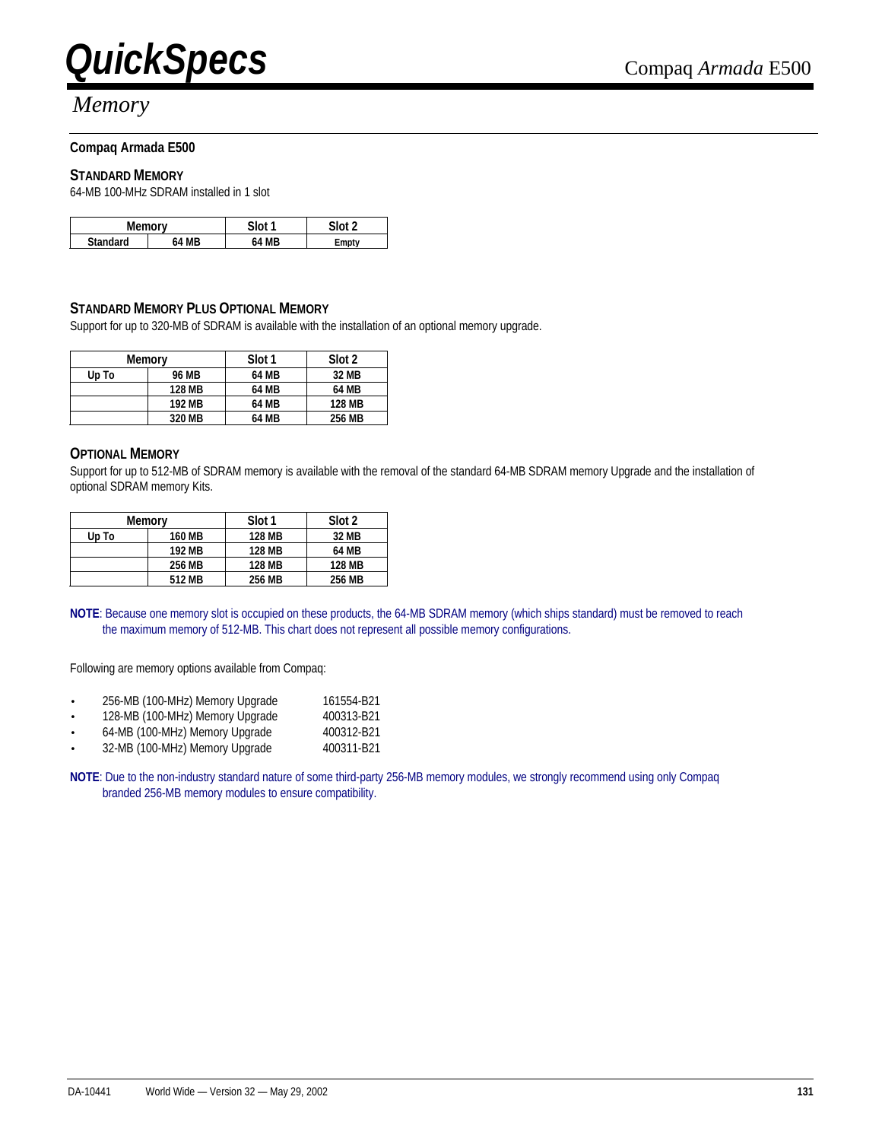

### *Memory*

#### **Compaq Armada E500**

#### **STANDARD MEMORY**

64-MB 100-MHz SDRAM installed in 1 slot

| Men<br>™∩rv     |           | Slot 1 | 0.110 |
|-----------------|-----------|--------|-------|
| <b>Standard</b> | <b>MR</b> | MR     | `mntv |

#### **STANDARD MEMORY PLUS OPTIONAL MEMORY**

Support for up to 320-MB of SDRAM is available with the installation of an optional memory upgrade.

| Memory |               | Slot 1 | Slot 2        |
|--------|---------------|--------|---------------|
| Up To  | 96 MB         | 64 MB  | 32 MB         |
|        | <b>128 MB</b> | 64 MB  | 64 MB         |
|        | 192 MB        | 64 MB  | <b>128 MB</b> |
|        | 320 MB        | 64 MB  | 256 MB        |

#### **OPTIONAL MEMORY**

Support for up to 512-MB of SDRAM memory is available with the removal of the standard 64-MB SDRAM memory Upgrade and the installation of optional SDRAM memory Kits.

| Memory |               | Slot 1        | Slot 2 |
|--------|---------------|---------------|--------|
| Up To  | <b>160 MB</b> | <b>128 MB</b> | 32 MB  |
|        | 192 MB        | <b>128 MB</b> | 64 MB  |
|        | 256 MB        | <b>128 MB</b> | 128 MB |
|        | 512 MB        | 256 MB        | 256 MB |

**NOTE**: Because one memory slot is occupied on these products, the 64-MB SDRAM memory (which ships standard) must be removed to reach the maximum memory of 512-MB. This chart does not represent all possible memory configurations.

Following are memory options available from Compaq:

- 256-MB (100-MHz) Memory Upgrade 161554-B21
- 128-MB (100-MHz) Memory Upgrade 400313-B21
- 64-MB (100-MHz) Memory Upgrade 400312-B21
- 32-MB (100-MHz) Memory Upgrade 400311-B21

**NOTE**: Due to the non-industry standard nature of some third-party 256-MB memory modules, we strongly recommend using only Compaq branded 256-MB memory modules to ensure compatibility.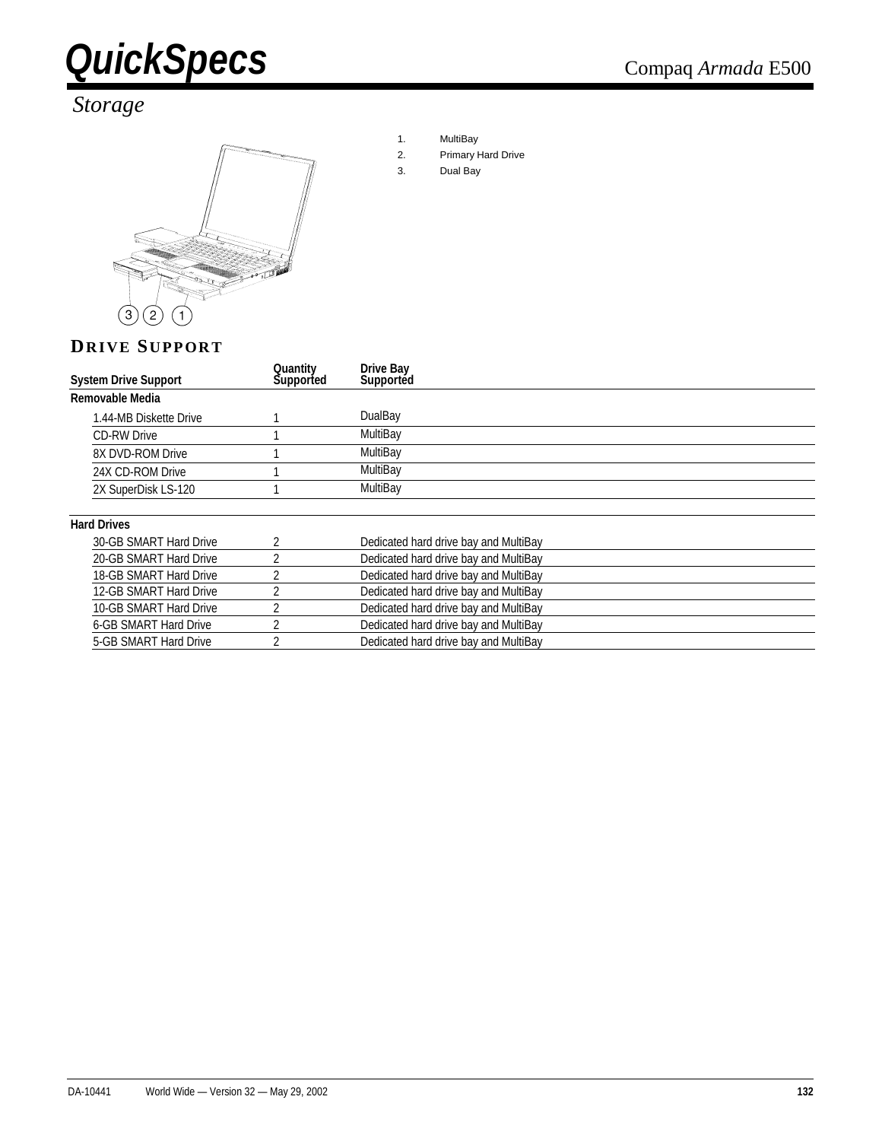

### *Storage*



- 1. MultiBay
- 2. Primary Hard Drive
- 3. Dual Bay

#### **DRIVE SUPPORT**

| <b>System Drive Support</b>  | Quantity<br>Supported | Drive Bay<br>Supported                |
|------------------------------|-----------------------|---------------------------------------|
| Removable Media              |                       |                                       |
| 1.44-MB Diskette Drive       |                       | DualBay                               |
| <b>CD-RW Drive</b>           |                       | MultiBay                              |
| 8X DVD-ROM Drive             |                       | MultiBay                              |
| 24X CD-ROM Drive             |                       | MultiBay                              |
| 2X SuperDisk LS-120          |                       | MultiBay                              |
| <b>Hard Drives</b>           |                       |                                       |
| 30-GB SMART Hard Drive       |                       | Dedicated hard drive bay and MultiBay |
| 20-GB SMART Hard Drive       | h                     | Dedicated hard drive bay and MultiBay |
| 18-GB SMART Hard Drive       | h                     | Dedicated hard drive bay and MultiBay |
| 12-GB SMART Hard Drive       |                       | Dedicated hard drive bay and MultiBay |
| 10-GB SMART Hard Drive       |                       | Dedicated hard drive bay and MultiBay |
| <b>6-GB SMART Hard Drive</b> | 2                     | Dedicated hard drive bay and MultiBay |
| 5-GB SMART Hard Drive        |                       | Dedicated hard drive bay and MultiBay |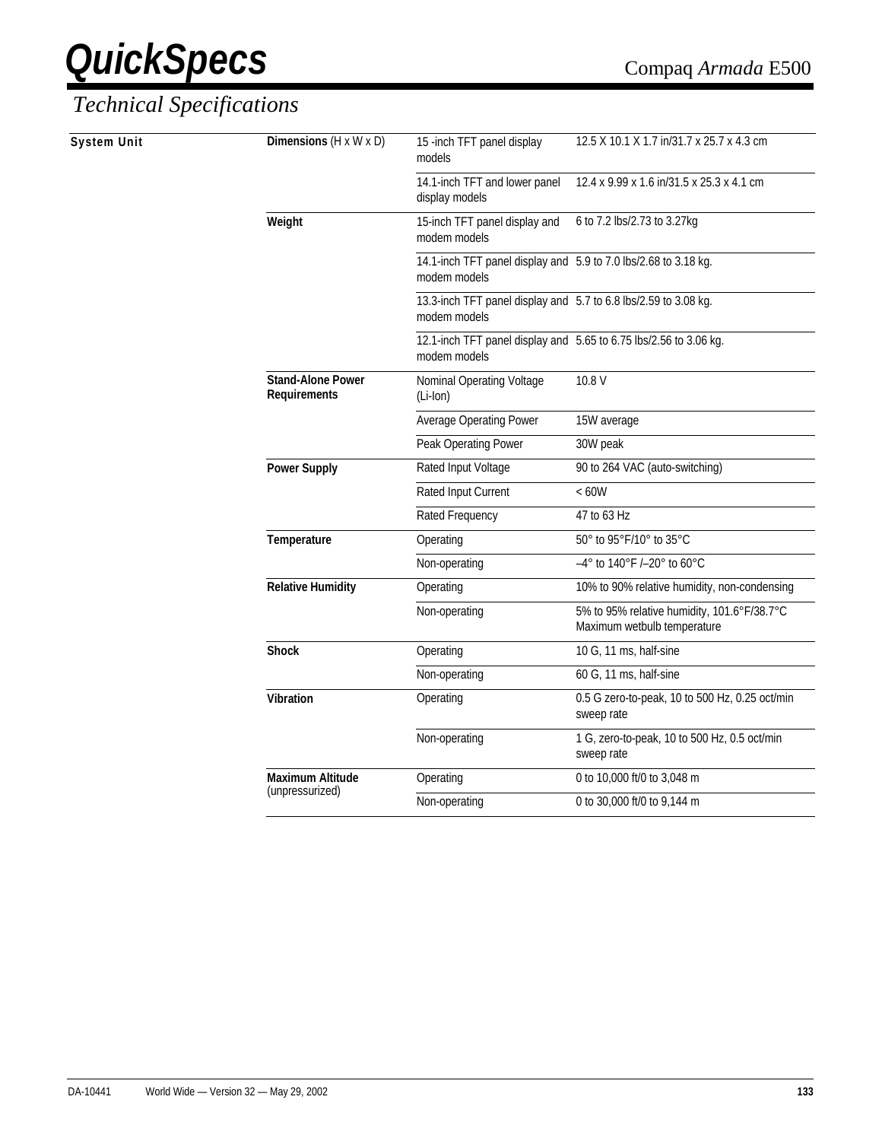| 12.4 x 9.99 x 1.6 in/31.5 x 25.3 x 4.1 cm<br>14.1-inch TFT and lower panel<br>display models<br>Weight<br>6 to 7.2 lbs/2.73 to 3.27kg<br>15-inch TFT panel display and<br>modem models<br>14.1-inch TFT panel display and 5.9 to 7.0 lbs/2.68 to 3.18 kg.<br>modem models<br>13.3-inch TFT panel display and 5.7 to 6.8 lbs/2.59 to 3.08 kg.<br>modem models<br>12.1-inch TFT panel display and 5.65 to 6.75 lbs/2.56 to 3.06 kg.<br>modem models<br><b>Stand-Alone Power</b><br>10.8 V<br>Nominal Operating Voltage<br><b>Requirements</b><br>(Li-Ion)<br><b>Average Operating Power</b><br>15W average<br>Peak Operating Power<br>30W peak<br>90 to 264 VAC (auto-switching)<br><b>Power Supply</b><br>Rated Input Voltage<br>Rated Input Current<br><60W<br>Rated Frequency<br>47 to 63 Hz<br>50° to 95°F/10° to 35°C<br>Temperature<br>Operating<br>-4° to 140°F /-20° to 60°C<br>Non-operating<br><b>Relative Humidity</b><br>10% to 90% relative humidity, non-condensing<br>Operating<br>5% to 95% relative humidity, 101.6°F/38.7°C<br>Non-operating<br>Maximum wetbulb temperature<br><b>Shock</b><br>10 G, 11 ms, half-sine<br>Operating<br>Non-operating<br>60 G, 11 ms, half-sine<br>Vibration<br>Operating<br>0.5 G zero-to-peak, 10 to 500 Hz, 0.25 oct/min<br>sweep rate<br>Non-operating<br>1 G, zero-to-peak, 10 to 500 Hz, 0.5 oct/min<br>sweep rate<br><b>Maximum Altitude</b><br>Operating<br>0 to 10,000 ft/0 to 3,048 m<br>(unpressurized)<br>Non-operating<br>0 to 30,000 ft/0 to 9,144 m | System Unit | Dimensions $(H \times W \times D)$ | 15 -inch TFT panel display<br>models | 12.5 X 10.1 X 1.7 in/31.7 x 25.7 x 4.3 cm |
|------------------------------------------------------------------------------------------------------------------------------------------------------------------------------------------------------------------------------------------------------------------------------------------------------------------------------------------------------------------------------------------------------------------------------------------------------------------------------------------------------------------------------------------------------------------------------------------------------------------------------------------------------------------------------------------------------------------------------------------------------------------------------------------------------------------------------------------------------------------------------------------------------------------------------------------------------------------------------------------------------------------------------------------------------------------------------------------------------------------------------------------------------------------------------------------------------------------------------------------------------------------------------------------------------------------------------------------------------------------------------------------------------------------------------------------------------------------------------------------------------------------|-------------|------------------------------------|--------------------------------------|-------------------------------------------|
|                                                                                                                                                                                                                                                                                                                                                                                                                                                                                                                                                                                                                                                                                                                                                                                                                                                                                                                                                                                                                                                                                                                                                                                                                                                                                                                                                                                                                                                                                                                  |             |                                    |                                      |                                           |
|                                                                                                                                                                                                                                                                                                                                                                                                                                                                                                                                                                                                                                                                                                                                                                                                                                                                                                                                                                                                                                                                                                                                                                                                                                                                                                                                                                                                                                                                                                                  |             |                                    |                                      |                                           |
|                                                                                                                                                                                                                                                                                                                                                                                                                                                                                                                                                                                                                                                                                                                                                                                                                                                                                                                                                                                                                                                                                                                                                                                                                                                                                                                                                                                                                                                                                                                  |             |                                    |                                      |                                           |
|                                                                                                                                                                                                                                                                                                                                                                                                                                                                                                                                                                                                                                                                                                                                                                                                                                                                                                                                                                                                                                                                                                                                                                                                                                                                                                                                                                                                                                                                                                                  |             |                                    |                                      |                                           |
|                                                                                                                                                                                                                                                                                                                                                                                                                                                                                                                                                                                                                                                                                                                                                                                                                                                                                                                                                                                                                                                                                                                                                                                                                                                                                                                                                                                                                                                                                                                  |             |                                    |                                      |                                           |
|                                                                                                                                                                                                                                                                                                                                                                                                                                                                                                                                                                                                                                                                                                                                                                                                                                                                                                                                                                                                                                                                                                                                                                                                                                                                                                                                                                                                                                                                                                                  |             |                                    |                                      |                                           |
|                                                                                                                                                                                                                                                                                                                                                                                                                                                                                                                                                                                                                                                                                                                                                                                                                                                                                                                                                                                                                                                                                                                                                                                                                                                                                                                                                                                                                                                                                                                  |             |                                    |                                      |                                           |
|                                                                                                                                                                                                                                                                                                                                                                                                                                                                                                                                                                                                                                                                                                                                                                                                                                                                                                                                                                                                                                                                                                                                                                                                                                                                                                                                                                                                                                                                                                                  |             |                                    |                                      |                                           |
|                                                                                                                                                                                                                                                                                                                                                                                                                                                                                                                                                                                                                                                                                                                                                                                                                                                                                                                                                                                                                                                                                                                                                                                                                                                                                                                                                                                                                                                                                                                  |             |                                    |                                      |                                           |
|                                                                                                                                                                                                                                                                                                                                                                                                                                                                                                                                                                                                                                                                                                                                                                                                                                                                                                                                                                                                                                                                                                                                                                                                                                                                                                                                                                                                                                                                                                                  |             |                                    |                                      |                                           |
|                                                                                                                                                                                                                                                                                                                                                                                                                                                                                                                                                                                                                                                                                                                                                                                                                                                                                                                                                                                                                                                                                                                                                                                                                                                                                                                                                                                                                                                                                                                  |             |                                    |                                      |                                           |
|                                                                                                                                                                                                                                                                                                                                                                                                                                                                                                                                                                                                                                                                                                                                                                                                                                                                                                                                                                                                                                                                                                                                                                                                                                                                                                                                                                                                                                                                                                                  |             |                                    |                                      |                                           |
|                                                                                                                                                                                                                                                                                                                                                                                                                                                                                                                                                                                                                                                                                                                                                                                                                                                                                                                                                                                                                                                                                                                                                                                                                                                                                                                                                                                                                                                                                                                  |             |                                    |                                      |                                           |
|                                                                                                                                                                                                                                                                                                                                                                                                                                                                                                                                                                                                                                                                                                                                                                                                                                                                                                                                                                                                                                                                                                                                                                                                                                                                                                                                                                                                                                                                                                                  |             |                                    |                                      |                                           |
|                                                                                                                                                                                                                                                                                                                                                                                                                                                                                                                                                                                                                                                                                                                                                                                                                                                                                                                                                                                                                                                                                                                                                                                                                                                                                                                                                                                                                                                                                                                  |             |                                    |                                      |                                           |
|                                                                                                                                                                                                                                                                                                                                                                                                                                                                                                                                                                                                                                                                                                                                                                                                                                                                                                                                                                                                                                                                                                                                                                                                                                                                                                                                                                                                                                                                                                                  |             |                                    |                                      |                                           |
|                                                                                                                                                                                                                                                                                                                                                                                                                                                                                                                                                                                                                                                                                                                                                                                                                                                                                                                                                                                                                                                                                                                                                                                                                                                                                                                                                                                                                                                                                                                  |             |                                    |                                      |                                           |
|                                                                                                                                                                                                                                                                                                                                                                                                                                                                                                                                                                                                                                                                                                                                                                                                                                                                                                                                                                                                                                                                                                                                                                                                                                                                                                                                                                                                                                                                                                                  |             |                                    |                                      |                                           |
|                                                                                                                                                                                                                                                                                                                                                                                                                                                                                                                                                                                                                                                                                                                                                                                                                                                                                                                                                                                                                                                                                                                                                                                                                                                                                                                                                                                                                                                                                                                  |             |                                    |                                      |                                           |
|                                                                                                                                                                                                                                                                                                                                                                                                                                                                                                                                                                                                                                                                                                                                                                                                                                                                                                                                                                                                                                                                                                                                                                                                                                                                                                                                                                                                                                                                                                                  |             |                                    |                                      |                                           |
|                                                                                                                                                                                                                                                                                                                                                                                                                                                                                                                                                                                                                                                                                                                                                                                                                                                                                                                                                                                                                                                                                                                                                                                                                                                                                                                                                                                                                                                                                                                  |             |                                    |                                      |                                           |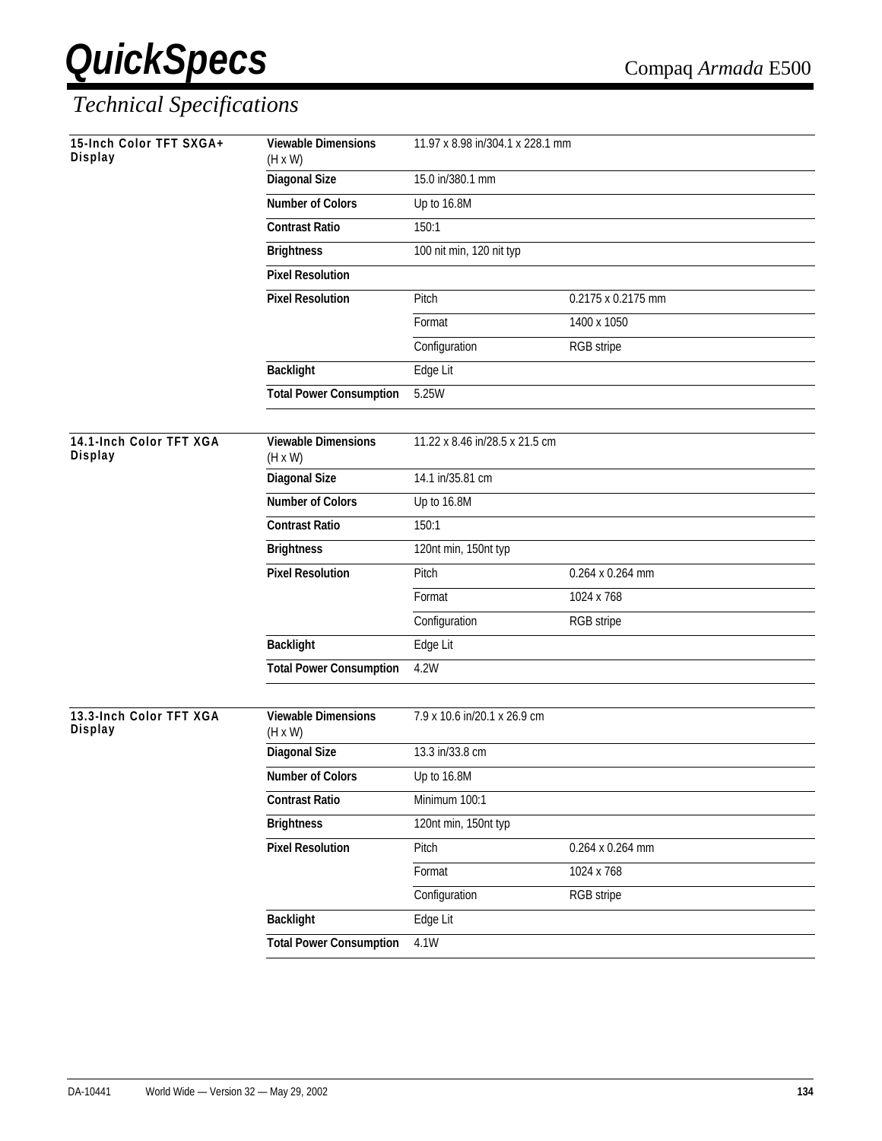| 15-Inch Color TFT SXGA+<br>Display | <b>Viewable Dimensions</b><br>$(H \times W)$ | 11.97 x 8.98 in/304.1 x 228.1 mm |                    |
|------------------------------------|----------------------------------------------|----------------------------------|--------------------|
|                                    | <b>Diagonal Size</b>                         | 15.0 in/380.1 mm                 |                    |
|                                    | Number of Colors                             | Up to 16.8M                      |                    |
|                                    | <b>Contrast Ratio</b>                        | 150:1                            |                    |
|                                    | <b>Brightness</b>                            | 100 nit min, 120 nit typ         |                    |
|                                    | <b>Pixel Resolution</b>                      |                                  |                    |
|                                    | <b>Pixel Resolution</b>                      | Pitch                            | 0.2175 x 0.2175 mm |
|                                    |                                              | Format                           | 1400 x 1050        |
|                                    |                                              | Configuration                    | RGB stripe         |
|                                    | <b>Backlight</b>                             | Edge Lit                         |                    |
|                                    | <b>Total Power Consumption</b>               | 5.25W                            |                    |
|                                    |                                              |                                  |                    |
| 14.1-Inch Color TFT XGA<br>Display | <b>Viewable Dimensions</b><br>$(H \times W)$ | 11.22 x 8.46 in/28.5 x 21.5 cm   |                    |
|                                    | <b>Diagonal Size</b>                         | 14.1 in/35.81 cm                 |                    |
|                                    | <b>Number of Colors</b>                      | Up to 16.8M                      |                    |
|                                    | <b>Contrast Ratio</b>                        | 150:1                            |                    |
|                                    | <b>Brightness</b>                            | 120nt min, 150nt typ             |                    |
|                                    | <b>Pixel Resolution</b>                      | Pitch                            | 0.264 x 0.264 mm   |
|                                    |                                              | Format                           | 1024 x 768         |
|                                    |                                              | Configuration                    | RGB stripe         |
|                                    | <b>Backlight</b>                             | Edge Lit                         |                    |
|                                    | <b>Total Power Consumption</b>               | 4.2W                             |                    |
|                                    |                                              |                                  |                    |
| 13.3-Inch Color TFT XGA<br>Display | <b>Viewable Dimensions</b><br>$(H \times W)$ | 7.9 x 10.6 in/20.1 x 26.9 cm     |                    |
|                                    | <b>Diagonal Size</b>                         | 13.3 in/33.8 cm                  |                    |
|                                    | <b>Number of Colors</b>                      | Up to 16.8M                      |                    |
|                                    | <b>Contrast Ratio</b>                        | Minimum 100:1                    |                    |
|                                    | <b>Brightness</b>                            | 120nt min, 150nt typ             |                    |
|                                    | <b>Pixel Resolution</b>                      | Pitch                            | 0.264 x 0.264 mm   |
|                                    |                                              | Format                           | 1024 x 768         |
|                                    |                                              | Configuration                    | RGB stripe         |
|                                    | <b>Backlight</b>                             | Edge Lit                         |                    |
|                                    | <b>Total Power Consumption</b>               | $\overline{4.1W}$                |                    |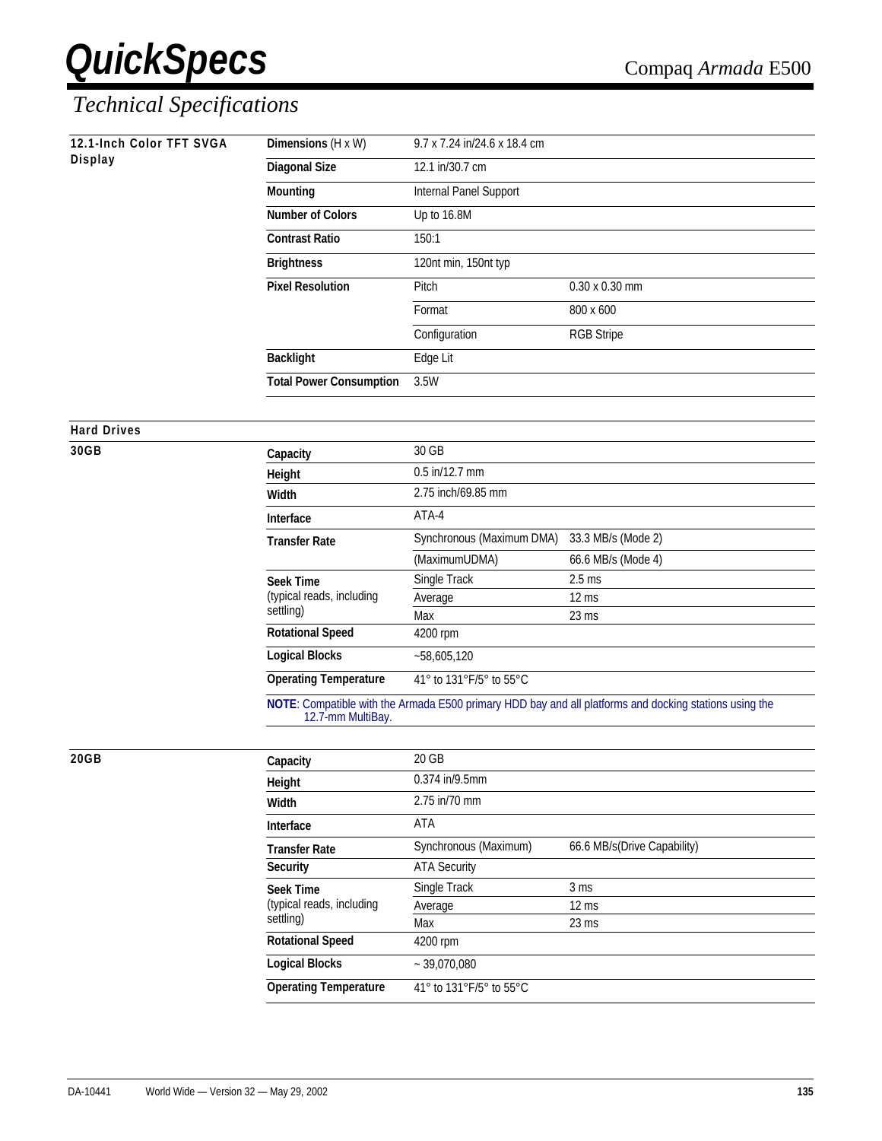## *Technical Specifications*

| 12.1-Inch Color TFT SVGA<br><b>Display</b> | Dimensions (H x W)             | 9.7 x 7.24 in/24.6 x 18.4 cm |                                                                                                        |
|--------------------------------------------|--------------------------------|------------------------------|--------------------------------------------------------------------------------------------------------|
|                                            | <b>Diagonal Size</b>           | 12.1 in/30.7 cm              |                                                                                                        |
|                                            | <b>Mounting</b>                | Internal Panel Support       |                                                                                                        |
|                                            | <b>Number of Colors</b>        | Up to 16.8M                  |                                                                                                        |
|                                            |                                |                              |                                                                                                        |
|                                            | <b>Contrast Ratio</b>          | 150:1                        |                                                                                                        |
|                                            | <b>Brightness</b>              | 120nt min, 150nt typ         |                                                                                                        |
|                                            | <b>Pixel Resolution</b>        | Pitch                        | 0.30 x 0.30 mm                                                                                         |
|                                            |                                | Format                       | 800 x 600                                                                                              |
|                                            |                                | Configuration                | <b>RGB Stripe</b>                                                                                      |
|                                            | <b>Backlight</b>               | Edge Lit                     |                                                                                                        |
|                                            | <b>Total Power Consumption</b> | 3.5W                         |                                                                                                        |
|                                            |                                |                              |                                                                                                        |
| <b>Hard Drives</b>                         |                                |                              |                                                                                                        |
| 30GB                                       | Capacity                       | 30 GB                        |                                                                                                        |
|                                            | Height                         | 0.5 in/12.7 mm               |                                                                                                        |
|                                            | Width                          | 2.75 inch/69.85 mm           |                                                                                                        |
|                                            | Interface                      | ATA-4                        |                                                                                                        |
|                                            | <b>Transfer Rate</b>           | Synchronous (Maximum DMA)    | 33.3 MB/s (Mode 2)                                                                                     |
|                                            |                                | (MaximumUDMA)                | 66.6 MB/s (Mode 4)                                                                                     |
|                                            | <b>Seek Time</b>               | Single Track                 | $2.5$ ms                                                                                               |
|                                            | (typical reads, including      | Average                      | $12 \text{ ms}$                                                                                        |
|                                            | settling)                      | Max                          | 23 ms                                                                                                  |
|                                            | <b>Rotational Speed</b>        | 4200 rpm                     |                                                                                                        |
|                                            | <b>Logical Blocks</b>          | $-58,605,120$                |                                                                                                        |
|                                            | <b>Operating Temperature</b>   | 41° to 131°F/5° to 55°C      |                                                                                                        |
|                                            | 12.7-mm MultiBay.              |                              | NOTE: Compatible with the Armada E500 primary HDD bay and all platforms and docking stations using the |

**20GB** 

| 20GB | Capacity                     | 20 GB                   |                             |
|------|------------------------------|-------------------------|-----------------------------|
|      | Height                       | 0.374 in/9.5mm          |                             |
|      | Width                        | 2.75 in/70 mm           |                             |
|      | Interface                    | ATA                     |                             |
|      | <b>Transfer Rate</b>         | Synchronous (Maximum)   | 66.6 MB/s(Drive Capability) |
|      | <b>Security</b>              | <b>ATA Security</b>     |                             |
|      | <b>Seek Time</b>             | Single Track            | 3 <sub>ms</sub>             |
|      | (typical reads, including    | Average                 | $12 \text{ ms}$             |
|      | settling)                    | Max                     | $23 \text{ ms}$             |
|      | <b>Rotational Speed</b>      | 4200 rpm                |                             |
|      | <b>Logical Blocks</b>        | $~1$ - 39,070,080       |                             |
|      | <b>Operating Temperature</b> | 41° to 131°F/5° to 55°C |                             |
|      |                              |                         |                             |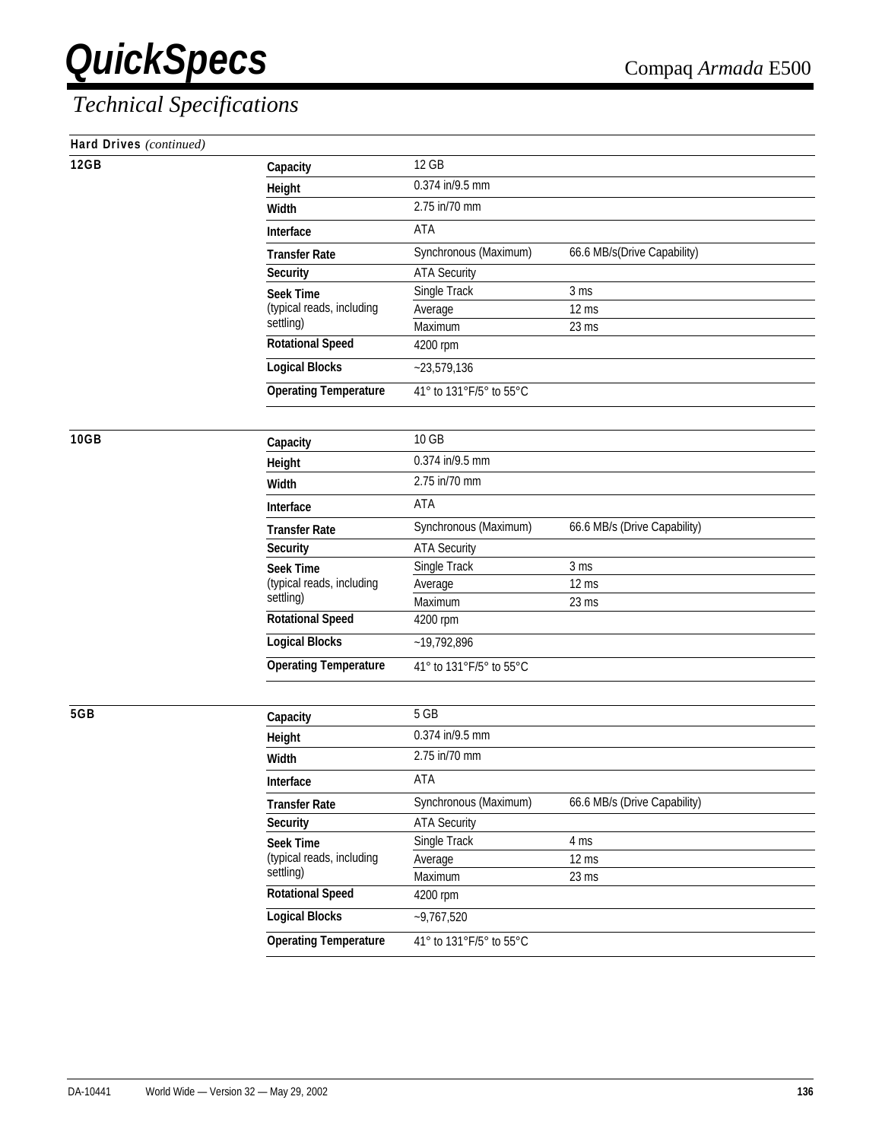| Hard Drives (continued) |  |
|-------------------------|--|
|-------------------------|--|

| Hard Drives (continued)<br><b>12GB</b> |                                        |                         |                              |  |
|----------------------------------------|----------------------------------------|-------------------------|------------------------------|--|
|                                        | Capacity                               | 12 GB                   |                              |  |
|                                        | Height                                 | 0.374 in/9.5 mm         |                              |  |
|                                        | Width                                  | 2.75 in/70 mm           |                              |  |
|                                        | Interface                              | ATA                     |                              |  |
|                                        | <b>Transfer Rate</b>                   | Synchronous (Maximum)   | 66.6 MB/s(Drive Capability)  |  |
|                                        | <b>Security</b>                        | <b>ATA Security</b>     |                              |  |
|                                        | <b>Seek Time</b>                       | Single Track            | 3 <sub>ms</sub>              |  |
|                                        | (typical reads, including<br>settling) | Average                 | 12 ms                        |  |
|                                        |                                        | Maximum                 | 23 ms                        |  |
|                                        | <b>Rotational Speed</b>                | 4200 rpm                |                              |  |
|                                        | <b>Logical Blocks</b>                  | $-23,579,136$           |                              |  |
|                                        | <b>Operating Temperature</b>           | 41° to 131°F/5° to 55°C |                              |  |
| 10GB                                   |                                        | 10 GB                   |                              |  |
|                                        | Capacity                               | 0.374 in/9.5 mm         |                              |  |
|                                        | Height                                 | 2.75 in/70 mm           |                              |  |
|                                        | Width                                  |                         |                              |  |
|                                        | Interface                              | ATA                     |                              |  |
|                                        | <b>Transfer Rate</b>                   | Synchronous (Maximum)   | 66.6 MB/s (Drive Capability) |  |
|                                        | <b>Security</b>                        | <b>ATA Security</b>     |                              |  |
|                                        | <b>Seek Time</b>                       | Single Track            | 3 <sub>ms</sub>              |  |
|                                        | (typical reads, including<br>settling) | Average                 | $12 \text{ ms}$              |  |
|                                        | <b>Rotational Speed</b>                | Maximum<br>4200 rpm     | 23 ms                        |  |
|                                        |                                        |                         |                              |  |
|                                        | <b>Logical Blocks</b>                  | $-19,792,896$           |                              |  |
|                                        | <b>Operating Temperature</b>           | 41° to 131°F/5° to 55°C |                              |  |
| 5GB                                    |                                        | 5 GB                    |                              |  |
|                                        | Capacity                               | 0.374 in/9.5 mm         |                              |  |
|                                        | Height                                 | 2.75 in/70 mm           |                              |  |
|                                        | Width                                  |                         |                              |  |
|                                        | Interface                              | ATA                     |                              |  |
|                                        | <b>Transfer Rate</b>                   | Synchronous (Maximum)   | 66.6 MB/s (Drive Capability) |  |
|                                        | <b>Security</b>                        | <b>ATA Security</b>     |                              |  |
|                                        | <b>Seek Time</b>                       | Single Track            | 4 ms                         |  |
|                                        | (typical reads, including<br>settling) | Average                 | 12 ms                        |  |
|                                        | <b>Rotational Speed</b>                | Maximum<br>4200 rpm     | 23 ms                        |  |
|                                        | <b>Logical Blocks</b>                  | $-9,767,520$            |                              |  |
|                                        |                                        |                         |                              |  |
|                                        | <b>Operating Temperature</b>           | 41° to 131°F/5° to 55°C |                              |  |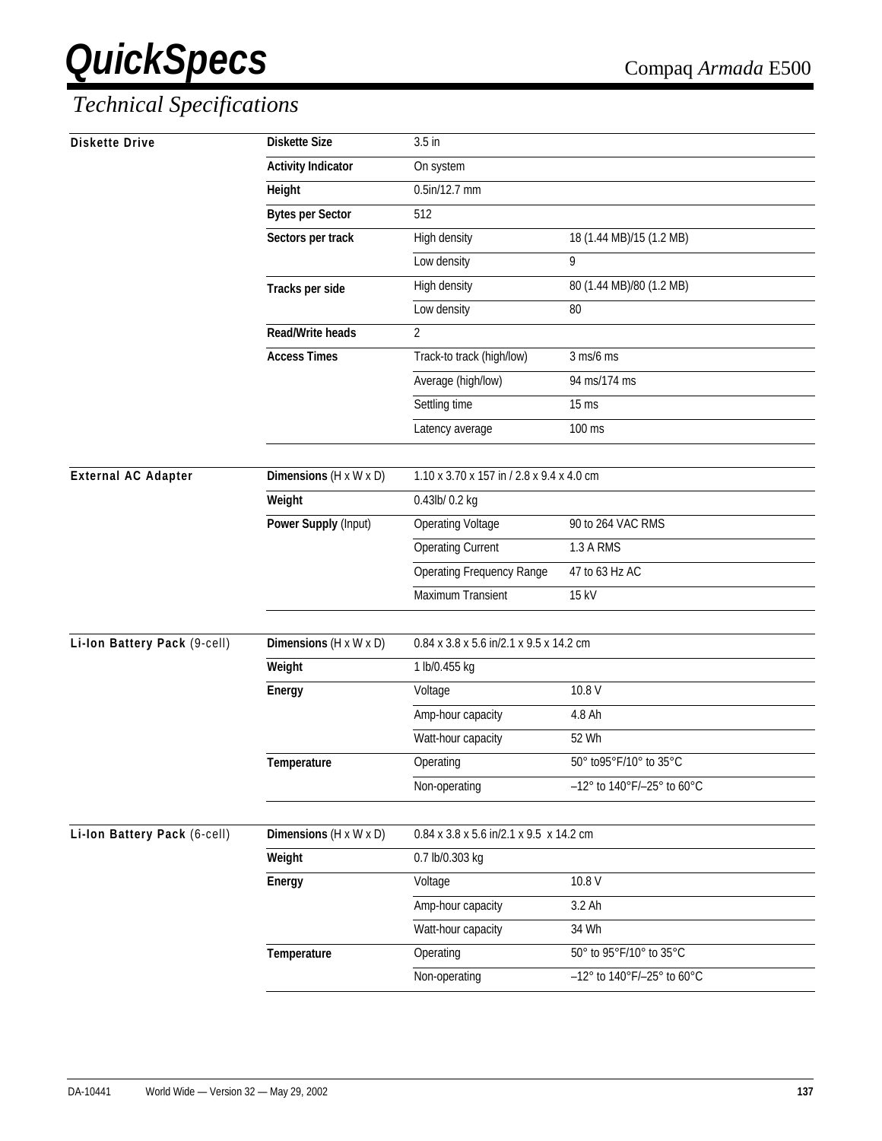| <b>Diskette Drive</b>        | <b>Diskette Size</b>               | 3.5 in                                    |                                               |
|------------------------------|------------------------------------|-------------------------------------------|-----------------------------------------------|
|                              | <b>Activity Indicator</b>          | On system                                 |                                               |
|                              | Height                             | 0.5in/12.7 mm                             |                                               |
|                              | <b>Bytes per Sector</b>            | 512                                       |                                               |
|                              | Sectors per track                  | High density                              | 18 (1.44 MB)/15 (1.2 MB)                      |
|                              |                                    | Low density                               | 9                                             |
|                              | Tracks per side                    | High density                              | 80 (1.44 MB)/80 (1.2 MB)                      |
|                              |                                    | Low density                               | 80                                            |
|                              | <b>Read/Write heads</b>            | $\overline{2}$                            |                                               |
|                              | <b>Access Times</b>                | Track-to track (high/low)                 | $3$ ms/6 ms                                   |
|                              |                                    | Average (high/low)                        | 94 ms/174 ms                                  |
|                              |                                    | Settling time                             | $15 \text{ ms}$                               |
|                              |                                    | Latency average                           | 100 ms                                        |
| <b>External AC Adapter</b>   | Dimensions (H x W x D)             | 1.10 x 3.70 x 157 in / 2.8 x 9.4 x 4.0 cm |                                               |
|                              | Weight                             | 0.43lb/ 0.2 kg                            |                                               |
|                              | Power Supply (Input)               | <b>Operating Voltage</b>                  | 90 to 264 VAC RMS                             |
|                              |                                    | <b>Operating Current</b>                  | 1.3 A RMS                                     |
|                              |                                    | <b>Operating Frequency Range</b>          | 47 to 63 Hz AC                                |
|                              |                                    | Maximum Transient                         | 15 kV                                         |
|                              |                                    |                                           |                                               |
| Li-Ion Battery Pack (9-cell) | Dimensions $(H \times W \times D)$ | 0.84 x 3.8 x 5.6 in/2.1 x 9.5 x 14.2 cm   |                                               |
|                              | Weight                             | 1 lb/0.455 kg                             |                                               |
|                              | Energy                             | Voltage                                   | 10.8 V                                        |
|                              |                                    | Amp-hour capacity                         | 4.8 Ah                                        |
|                              |                                    | Watt-hour capacity                        | 52 Wh                                         |
|                              | Temperature                        | Operating                                 | 50° to95°F/10° to 35°C                        |
|                              |                                    | Non-operating                             | -12° to 140°F/-25° to 60°C                    |
|                              | Dimensions $(H \times W \times D)$ | 0.84 x 3.8 x 5.6 in/2.1 x 9.5 x 14.2 cm   |                                               |
| Li-Ion Battery Pack (6-cell) |                                    |                                           |                                               |
|                              | Weight                             | 0.7 lb/0.303 kg                           | 10.8 V                                        |
|                              | Energy                             | Voltage                                   |                                               |
|                              |                                    | Amp-hour capacity                         | 3.2 Ah                                        |
|                              |                                    | Watt-hour capacity                        | 34 Wh                                         |
|                              | Temperature                        | Operating                                 | 50° to 95°F/10° to 35°C                       |
|                              |                                    | Non-operating                             | $-12^{\circ}$ to $140^{\circ}$ F/-25° to 60°C |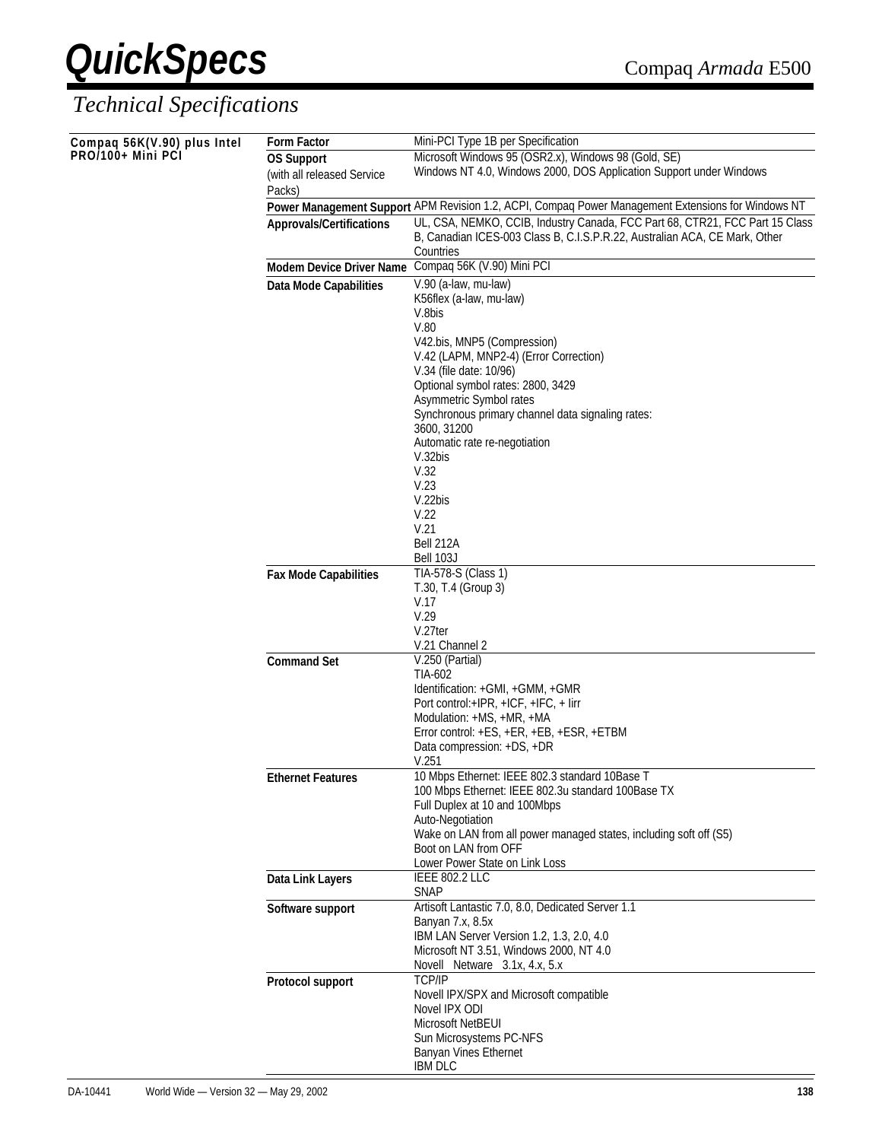| Compaq 56K(V.90) plus Intel | <b>Form Factor</b>                              | Mini-PCI Type 1B per Specification                                                                                                                                      |
|-----------------------------|-------------------------------------------------|-------------------------------------------------------------------------------------------------------------------------------------------------------------------------|
| PRO/100+ Mini PCI           | <b>OS Support</b><br>(with all released Service | Microsoft Windows 95 (OSR2.x), Windows 98 (Gold, SE)<br>Windows NT 4.0, Windows 2000, DOS Application Support under Windows                                             |
|                             | Packs)                                          |                                                                                                                                                                         |
|                             |                                                 | Power Management Support APM Revision 1.2, ACPI, Compaq Power Management Extensions for Windows NT                                                                      |
|                             | <b>Approvals/Certifications</b>                 | UL, CSA, NEMKO, CCIB, Industry Canada, FCC Part 68, CTR21, FCC Part 15 Class<br>B, Canadian ICES-003 Class B, C.I.S.P.R.22, Australian ACA, CE Mark, Other<br>Countries |
|                             | <b>Modem Device Driver Name</b>                 | Compaq 56K (V.90) Mini PCI                                                                                                                                              |
|                             | Data Mode Capabilities                          | V.90 (a-law, mu-law)                                                                                                                                                    |
|                             |                                                 | K56flex (a-law, mu-law)                                                                                                                                                 |
|                             |                                                 | V.8bis                                                                                                                                                                  |
|                             |                                                 | V.80                                                                                                                                                                    |
|                             |                                                 | V42.bis, MNP5 (Compression)<br>V.42 (LAPM, MNP2-4) (Error Correction)                                                                                                   |
|                             |                                                 | V.34 (file date: 10/96)                                                                                                                                                 |
|                             |                                                 | Optional symbol rates: 2800, 3429                                                                                                                                       |
|                             |                                                 | Asymmetric Symbol rates                                                                                                                                                 |
|                             |                                                 | Synchronous primary channel data signaling rates:<br>3600, 31200                                                                                                        |
|                             |                                                 | Automatic rate re-negotiation                                                                                                                                           |
|                             |                                                 | V.32bis                                                                                                                                                                 |
|                             |                                                 | V.32                                                                                                                                                                    |
|                             |                                                 | V.23<br>V.22bis                                                                                                                                                         |
|                             |                                                 | V.22                                                                                                                                                                    |
|                             |                                                 | V.21                                                                                                                                                                    |
|                             |                                                 | Bell 212A                                                                                                                                                               |
|                             |                                                 | Bell 103J                                                                                                                                                               |
|                             | <b>Fax Mode Capabilities</b>                    | TIA-578-S (Class 1)<br>T.30, T.4 (Group 3)                                                                                                                              |
|                             |                                                 | V.17                                                                                                                                                                    |
|                             |                                                 | V.29                                                                                                                                                                    |
|                             |                                                 | V.27ter                                                                                                                                                                 |
|                             | <b>Command Set</b>                              | V.21 Channel 2<br>V.250 (Partial)                                                                                                                                       |
|                             |                                                 | TIA-602                                                                                                                                                                 |
|                             |                                                 | Identification: +GMI, +GMM, +GMR                                                                                                                                        |
|                             |                                                 | Port control:+IPR, +ICF, +IFC, + lirr                                                                                                                                   |
|                             |                                                 | Modulation: +MS, +MR, +MA<br>Error control: +ES, +ER, +EB, +ESR, +ETBM                                                                                                  |
|                             |                                                 | Data compression: +DS, +DR                                                                                                                                              |
|                             |                                                 | V.251                                                                                                                                                                   |
|                             | <b>Ethernet Features</b>                        | 10 Mbps Ethernet: IEEE 802.3 standard 10Base T                                                                                                                          |
|                             |                                                 | 100 Mbps Ethernet: IEEE 802.3u standard 100Base TX<br>Full Duplex at 10 and 100Mbps                                                                                     |
|                             |                                                 | Auto-Negotiation                                                                                                                                                        |
|                             |                                                 | Wake on LAN from all power managed states, including soft off (S5)                                                                                                      |
|                             |                                                 | Boot on LAN from OFF                                                                                                                                                    |
|                             | Data Link Layers                                | Lower Power State on Link Loss<br><b>IEEE 802.2 LLC</b>                                                                                                                 |
|                             |                                                 | <b>SNAP</b>                                                                                                                                                             |
|                             | Software support                                | Artisoft Lantastic 7.0, 8.0, Dedicated Server 1.1                                                                                                                       |
|                             |                                                 | Banyan 7.x, 8.5x                                                                                                                                                        |
|                             |                                                 | IBM LAN Server Version 1.2, 1.3, 2.0, 4.0<br>Microsoft NT 3.51, Windows 2000, NT 4.0                                                                                    |
|                             |                                                 | Novell® Netware® 3.1x, 4.x, 5.x                                                                                                                                         |
|                             | Protocol support                                | <b>TCP/IP</b>                                                                                                                                                           |
|                             |                                                 | Novell IPX/SPX and Microsoft compatible                                                                                                                                 |
|                             |                                                 | Novel IPX ODI                                                                                                                                                           |
|                             |                                                 | Microsoft NetBEUI<br>Sun Microsystems PC-NFS                                                                                                                            |
|                             |                                                 | Banyan Vines Ethernet                                                                                                                                                   |
|                             |                                                 | <b>IBM DLC</b>                                                                                                                                                          |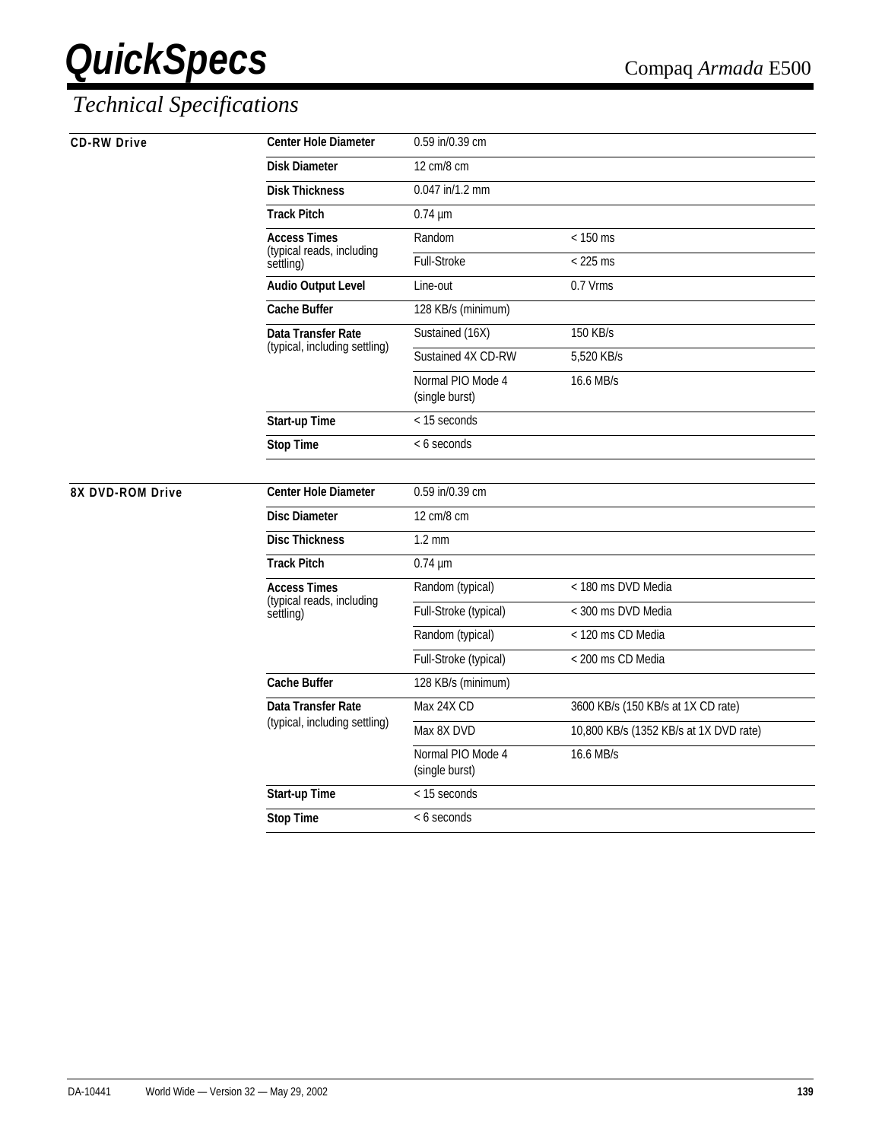| <b>CD-RW Drive</b> | <b>Center Hole Diameter</b>                                   | 0.59 in/0.39 cm                     |                                        |
|--------------------|---------------------------------------------------------------|-------------------------------------|----------------------------------------|
|                    | <b>Disk Diameter</b>                                          | 12 cm/8 cm                          |                                        |
|                    | <b>Disk Thickness</b>                                         | 0.047 in/1.2 mm                     |                                        |
|                    | <b>Track Pitch</b>                                            | $0.74 \mu m$                        |                                        |
|                    | <b>Access Times</b><br>(typical reads, including<br>settling) | Random                              | $< 150$ ms                             |
|                    |                                                               | <b>Full-Stroke</b>                  | $<$ 225 ms                             |
|                    | <b>Audio Output Level</b>                                     | Line-out                            | 0.7 Vrms                               |
|                    | <b>Cache Buffer</b>                                           | 128 KB/s (minimum)                  |                                        |
|                    | Data Transfer Rate<br>(typical, including settling)           | Sustained (16X)                     | 150 KB/s                               |
|                    |                                                               | Sustained 4X CD-RW                  | 5,520 KB/s                             |
|                    |                                                               | Normal PIO Mode 4<br>(single burst) | 16.6 MB/s                              |
|                    | Start-up Time                                                 | < 15 seconds                        |                                        |
|                    | <b>Stop Time</b>                                              | < 6 seconds                         |                                        |
|                    |                                                               |                                     |                                        |
| 8X DVD-ROM Drive   | <b>Center Hole Diameter</b>                                   | 0.59 in/0.39 cm                     |                                        |
|                    | <b>Disc Diameter</b>                                          | 12 cm/8 cm                          |                                        |
|                    | <b>Disc Thickness</b>                                         | $1.2 \text{ mm}$                    |                                        |
|                    | <b>Track Pitch</b>                                            | $0.74 \mu m$                        |                                        |
|                    | <b>Access Times</b><br>(typical reads, including<br>settling) | Random (typical)                    | < 180 ms DVD Media                     |
|                    |                                                               | Full-Stroke (typical)               | < 300 ms DVD Media                     |
|                    |                                                               | Random (typical)                    | < 120 ms CD Media                      |
|                    |                                                               | Full-Stroke (typical)               | < 200 ms CD Media                      |
|                    | <b>Cache Buffer</b>                                           | 128 KB/s (minimum)                  |                                        |
|                    | Data Transfer Rate<br>(typical, including settling)           | Max 24X CD                          | 3600 KB/s (150 KB/s at 1X CD rate)     |
|                    |                                                               | Max 8X DVD                          | 10,800 KB/s (1352 KB/s at 1X DVD rate) |
|                    |                                                               | Normal PIO Mode 4<br>(single burst) | 16.6 MB/s                              |
|                    | Start-up Time                                                 | < 15 seconds                        |                                        |
|                    | <b>Stop Time</b>                                              | < 6 seconds                         |                                        |